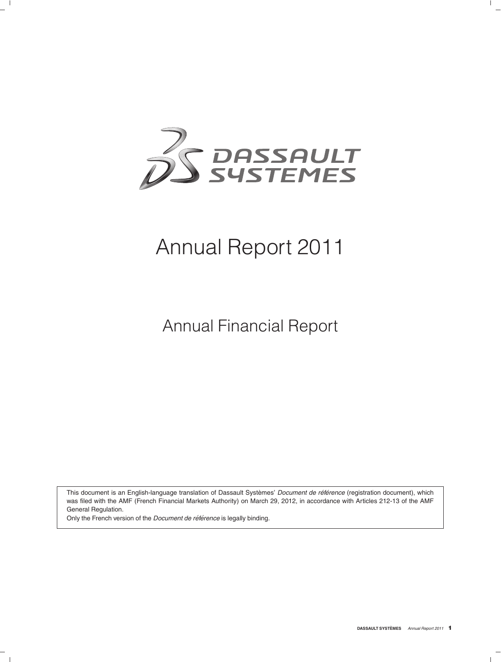

# Annual Report 2011

Annual Financial Report

This document is an English-language translation of Dassault Systèmes' Document de référence (registration document), which was filed with the AMF (French Financial Markets Authority) on March 29, 2012, in accordance with Articles 212-13 of the AMF General Regulation.

Only the French version of the *Document de référence* is legally binding.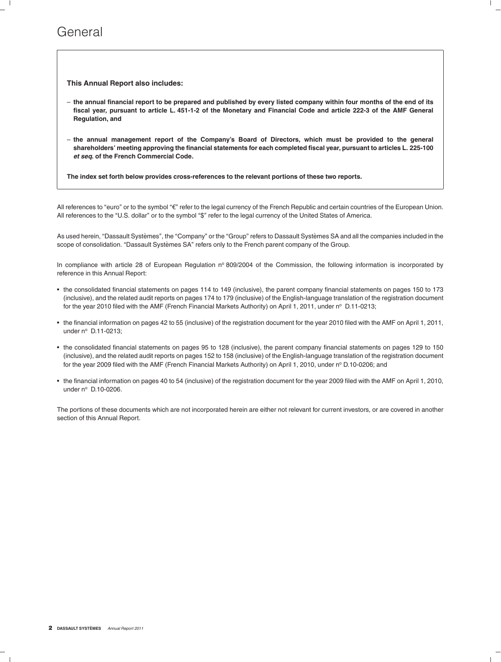### General

**This Annual Report also includes:**

- **the annual financial report to be prepared and published by every listed company within four months of the end of its fiscal year, pursuant to article L. 451-1-2 of the Monetary and Financial Code and article 222-3 of the AMF General Regulation, and**
- **the annual management report of the Company's Board of Directors, which must be provided to the general shareholders' meeting approving the financial statements for each completed fiscal year, pursuant to articles L. 225-100** *et seq***. of the French Commercial Code.**

**The index set forth below provides cross-references to the relevant portions of these two reports.**

All references to "euro" or to the symbol " $\varepsilon$ " refer to the legal currency of the French Republic and certain countries of the European Union. All references to the ''U.S. dollar'' or to the symbol ''\$'' refer to the legal currency of the United States of America.

As used herein, "Dassault Systèmes", the "Company" or the "Group" refers to Dassault Systèmes SA and all the companies included in the scope of consolidation. "Dassault Systèmes SA" refers only to the French parent company of the Group.

In compliance with article 28 of European Regulation  $n^{\circ}$  809/2004 of the Commission, the following information is incorporated by reference in this Annual Report:

- the consolidated financial statements on pages 114 to 149 (inclusive), the parent company financial statements on pages 150 to 173 (inclusive), and the related audit reports on pages 174 to 179 (inclusive) of the English-language translation of the registration document for the year 2010 filed with the AMF (French Financial Markets Authority) on April 1, 2011, under n° D.11-0213;
- the financial information on pages 42 to 55 (inclusive) of the registration document for the year 2010 filed with the AMF on April 1, 2011, under nº D.11-0213:
- the consolidated financial statements on pages 95 to 128 (inclusive), the parent company financial statements on pages 129 to 150 (inclusive), and the related audit reports on pages 152 to 158 (inclusive) of the English-language translation of the registration document for the year 2009 filed with the AMF (French Financial Markets Authority) on April 1, 2010, under nº D.10-0206; and
- the financial information on pages 40 to 54 (inclusive) of the registration document for the year 2009 filed with the AMF on April 1, 2010, under  $n^{\circ}$  D.10-0206.

The portions of these documents which are not incorporated herein are either not relevant for current investors, or are covered in another section of this Annual Report.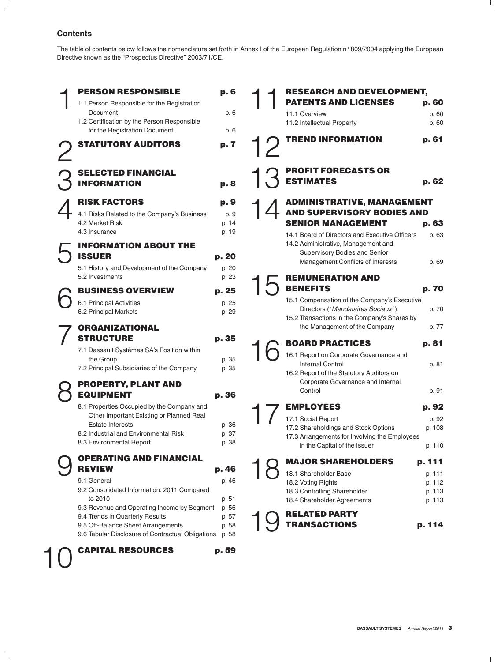#### **Contents**

The table of contents below follows the nomenclature set forth in Annex I of the European Regulation nº 809/2004 applying the European Directive known as the "Prospectus Directive" 2003/71/CE.

| <b>PERSON RESPONSIBLE</b><br>1.1 Person Responsible for the Registration<br>Document<br>1.2 Certification by the Person Responsible<br>for the Registration Document<br><b>STATUTORY AUDITORS</b>                                                                                                     | p. 6<br>p. 6<br>p. 6<br>p. 7                                |  | <b>RESEARCH AND DEVELOPMENT,</b><br><b>PATENTS AND LICENSES</b><br>11.1 Overview<br>11.2 Intellectual Property<br><b>TREND INFORMATION</b>                                                                                                                        | p. 60<br>p. 60<br>p. 60<br>p. 61                         |
|-------------------------------------------------------------------------------------------------------------------------------------------------------------------------------------------------------------------------------------------------------------------------------------------------------|-------------------------------------------------------------|--|-------------------------------------------------------------------------------------------------------------------------------------------------------------------------------------------------------------------------------------------------------------------|----------------------------------------------------------|
| <b>SELECTED FINANCIAL</b><br><b>INFORMATION</b>                                                                                                                                                                                                                                                       | p. 8                                                        |  | <b>PROFIT FORECASTS OR</b><br><b>ESTIMATES</b>                                                                                                                                                                                                                    | p. 62                                                    |
| <b>RISK FACTORS</b><br>4.1 Risks Related to the Company's Business<br>4.2 Market Risk<br>4.3 Insurance<br><b>INFORMATION ABOUT THE</b><br><b>ISSUER</b>                                                                                                                                               | p. 9<br>p. 9<br>p. 14<br>p. 19<br>p. 20                     |  | <b>ADMINISTRATIVE, MANAGEMENT</b><br><b>AND SUPERVISORY BODIES AND</b><br><b>SENIOR MANAGEMENT</b><br>14.1 Board of Directors and Executive Officers<br>14.2 Administrative, Management and<br>Supervisory Bodies and Senior<br>Management Conflicts of Interests | p.63<br>p. 63<br>p. 69                                   |
| 5.1 History and Development of the Company<br>5.2 Investments<br><b>BUSINESS OVERVIEW</b><br>6.1 Principal Activities<br>6.2 Principal Markets                                                                                                                                                        | p. 20<br>p. 23<br>p. 25<br>p. 25<br>p. 29                   |  | <b>REMUNERATION AND</b><br><b>BENEFITS</b><br>15.1 Compensation of the Company's Executive<br>Directors ("Mandataires Sociaux")<br>15.2 Transactions in the Company's Shares by                                                                                   | p. 70<br>p. 70                                           |
| <b>ORGANIZATIONAL</b><br><b>STRUCTURE</b><br>7.1 Dassault Systèmes SA's Position within<br>the Group<br>7.2 Principal Subsidiaries of the Company                                                                                                                                                     | p. 35<br>p. 35<br>p. 35                                     |  | the Management of the Company<br><b>BOARD PRACTICES</b><br>16.1 Report on Corporate Governance and<br><b>Internal Control</b>                                                                                                                                     | p. 77<br>p. 81<br>p. 81                                  |
| <b>PROPERTY, PLANT AND</b><br><b>EQUIPMENT</b><br>8.1 Properties Occupied by the Company and<br>Other Important Existing or Planned Real<br><b>Estate Interests</b><br>8.2 Industrial and Environmental Risk<br>8.3 Environmental Report                                                              | p. 36<br>p. 36<br>p. 37<br>p. 38                            |  | 16.2 Report of the Statutory Auditors on<br>Corporate Governance and Internal<br>Control<br><b>EMPLOYEES</b><br>17.1 Social Report<br>17.2 Shareholdings and Stock Options<br>17.3 Arrangements for Involving the Employees<br>in the Capital of the Issuer       | p. 91<br>p. 92<br>p. 92<br>p. 108<br>p. 110              |
| <b>OPERATING AND FINANCIAL</b><br><b>REVIEW</b><br>9.1 General<br>9.2 Consolidated Information: 2011 Compared<br>to 2010<br>9.3 Revenue and Operating Income by Segment<br>9.4 Trends in Quarterly Results<br>9.5 Off-Balance Sheet Arrangements<br>9.6 Tabular Disclosure of Contractual Obligations | p. 46<br>p. 46<br>p. 51<br>p. 56<br>p. 57<br>p. 58<br>p. 58 |  | <b>MAJOR SHAREHOLDERS</b><br>18.1 Shareholder Base<br>18.2 Voting Rights<br>18.3 Controlling Shareholder<br>18.4 Shareholder Agreements<br><b>RELATED PARTY</b><br><b>TRANSACTIONS</b>                                                                            | p. 111<br>p. 111<br>p. 112<br>p. 113<br>p. 113<br>p. 114 |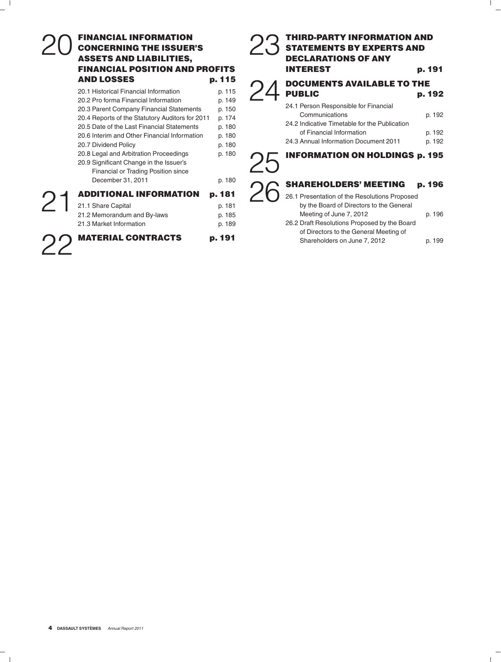# **FINANCIAL INFORMATION CONCERNING THE ISSUER'S CONCERNING THE ISSUER'S CONCERNING THE ISSUER'S STATEMENTS BY EXPERTS AND<br>ASSETS AND LIABILITIES. DECLARATIONS OF ANY ASSETS AND LIABILITIES.**

| AND LUSSES                                                                                                                                                                                                        | P. 115                                         | <b>DOCUMENTS AVAILABLE TO THE</b>                                                                                                    |                            |
|-------------------------------------------------------------------------------------------------------------------------------------------------------------------------------------------------------------------|------------------------------------------------|--------------------------------------------------------------------------------------------------------------------------------------|----------------------------|
| 20.1 Historical Financial Information<br>20.2 Pro forma Financial Information                                                                                                                                     | p. 115<br>p. 149                               | <b>PUBLIC</b><br>24.1 Person Responsible for Financial                                                                               | p. 192                     |
| 20.3 Parent Company Financial Statements<br>20.4 Reports of the Statutory Auditors for 2011<br>20.5 Date of the Last Financial Statements<br>20.6 Interim and Other Financial Information<br>20.7 Dividend Policy | p. 150<br>p. 174<br>p. 180<br>p. 180<br>p. 180 | Communications<br>24.2 Indicative Timetable for the Publication<br>of Financial Information<br>24.3 Annual Information Document 2011 | p. 192<br>p. 192<br>p. 192 |
| 20.8 Legal and Arbitration Proceedings<br>20.9 Significant Change in the Issuer's<br>Financial or Trading Position since<br>December 31, 2011                                                                     | p. 180<br>p. 180                               | <b>INFORMATION ON HOLDINGS p. 195</b><br><b>SHAREHOLDERS' MEETING</b>                                                                | p. 196                     |
| <b>ADDITIONAL INFORMATION</b><br>21.1 Share Capital                                                                                                                                                               | p. 181<br>p. 181                               | 26.1 Presentation of the Resolutions Proposed<br>by the Board of Directors to the General                                            |                            |
| 21.2 Memorandum and By-laws<br>21.3 Market Information                                                                                                                                                            | p. 185<br>p. 189                               | Meeting of June 7, 2012<br>26.2 Draft Resolutions Proposed by the Board                                                              | p. 196                     |
| <b>MATERIAL CONTRACTS</b>                                                                                                                                                                                         | p. 191                                         | of Directors to the General Meeting of<br>Shareholders on June 7, 2012                                                               | p. 199                     |

# **FINANCIAL POSITION AND PROFITS INTEREST b. 191** AND LOSSES **p. 115**  $\bigcap$  *A* DOCUMENTS AVAILABLE TO THE

| INFARMETAN AN HALRINAA  JAF                   |        |
|-----------------------------------------------|--------|
| 24.3 Annual Information Document 2011         | p. 192 |
| of Financial Information                      | p. 192 |
| 24.2 Indicative Timetable for the Publication |        |

#### **INFORMATION ON HOLDINGS p. 195** 25

### SHAREHOLDERS' MEETING p. 196

| <b>ADDITIONAL INFORMATION</b> | p. 181 | 26.1 Presentation of the Resolutions Proposed |        |
|-------------------------------|--------|-----------------------------------------------|--------|
| 21.1 Share Capital            | p. 181 | by the Board of Directors to the General      |        |
| 21.2 Memorandum and By-laws   | p. 185 | Meeting of June 7, 2012                       | p. 196 |
| 21.3 Market Information       | p. 189 | 26.2 Draft Resolutions Proposed by the Board  |        |
|                               |        | of Directors to the General Meeting of        |        |
| <b>MATERIAL CONTRACTS</b>     | p. 191 | Shareholders on June 7, 2012                  | p. 199 |
|                               |        |                                               |        |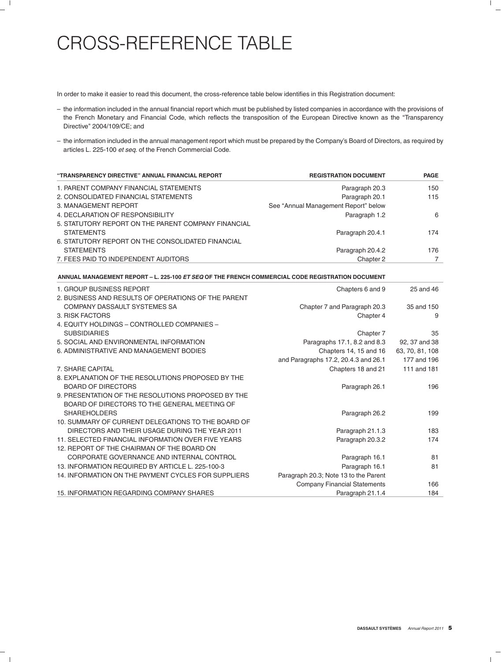# CROSS-REFERENCE TABLE

In order to make it easier to read this document, the cross-reference table below identifies in this Registration document:

- the information included in the annual financial report which must be published by listed companies in accordance with the provisions of the French Monetary and Financial Code, which reflects the transposition of the European Directive known as the ''Transparency Directive'' 2004/109/CE; and
- the information included in the annual management report which must be prepared by the Company's Board of Directors, as required by articles L. 225-100 *et seq.* of the French Commercial Code.

| "TRANSPARENCY DIRECTIVE" ANNUAL FINANCIAL REPORT    | <b>REGISTRATION DOCUMENT</b>         | <b>PAGE</b> |
|-----------------------------------------------------|--------------------------------------|-------------|
| 1. PARENT COMPANY FINANCIAL STATEMENTS              | Paragraph 20.3                       | 150         |
| 2. CONSOLIDATED FINANCIAL STATEMENTS                | Paragraph 20.1                       | 115         |
| 3. MANAGEMENT REPORT                                | See "Annual Management Report" below |             |
| 4. DECLARATION OF RESPONSIBILITY                    | Paragraph 1.2                        | 6           |
| 5. STATUTORY REPORT ON THE PARENT COMPANY FINANCIAL |                                      |             |
| <b>STATEMENTS</b>                                   | Paragraph 20.4.1                     | 174         |
| 6. STATUTORY REPORT ON THE CONSOLIDATED FINANCIAL   |                                      |             |
| <b>STATEMENTS</b>                                   | Paragraph 20.4.2                     | 176         |
| 7. FEES PAID TO INDEPENDENT AUDITORS                | Chapter 2                            |             |

**ANNUAL MANAGEMENT REPORT – L. 225-100** *ET SEQ* **OF THE FRENCH COMMERCIAL CODE REGISTRATION DOCUMENT**

| 1. GROUP BUSINESS REPORT                            | Chapters 6 and 9                      | 25 and 46       |
|-----------------------------------------------------|---------------------------------------|-----------------|
| 2. BUSINESS AND RESULTS OF OPERATIONS OF THE PARENT |                                       |                 |
| COMPANY DASSAULT SYSTEMES SA                        | Chapter 7 and Paragraph 20.3          | 35 and 150      |
| 3. RISK FACTORS                                     | Chapter 4                             | 9               |
| 4. EQUITY HOLDINGS - CONTROLLED COMPANIES -         |                                       |                 |
| <b>SUBSIDIARIES</b>                                 | Chapter 7                             | 35              |
| 5. SOCIAL AND ENVIRONMENTAL INFORMATION             | Paragraphs 17.1, 8.2 and 8.3          | 92, 37 and 38   |
| 6. ADMINISTRATIVE AND MANAGEMENT BODIES             | Chapters 14, 15 and 16                | 63, 70, 81, 108 |
|                                                     | and Paragraphs 17.2, 20.4.3 and 26.1  | 177 and 196     |
| 7. SHARE CAPITAL                                    | Chapters 18 and 21                    | 111 and 181     |
| 8. EXPLANATION OF THE RESOLUTIONS PROPOSED BY THE   |                                       |                 |
| <b>BOARD OF DIRECTORS</b>                           | Paragraph 26.1                        | 196             |
| 9. PRESENTATION OF THE RESOLUTIONS PROPOSED BY THE  |                                       |                 |
| BOARD OF DIRECTORS TO THE GENERAL MEETING OF        |                                       |                 |
| <b>SHAREHOLDERS</b>                                 | Paragraph 26.2                        | 199             |
| 10. SUMMARY OF CURRENT DELEGATIONS TO THE BOARD OF  |                                       |                 |
| DIRECTORS AND THEIR USAGE DURING THE YEAR 2011      | Paragraph 21.1.3                      | 183             |
| 11. SELECTED FINANCIAL INFORMATION OVER FIVE YEARS  | Paragraph 20.3.2                      | 174             |
| 12. REPORT OF THE CHAIRMAN OF THE BOARD ON          |                                       |                 |
| CORPORATE GOVERNANCE AND INTERNAL CONTROL           | Paragraph 16.1                        | 81              |
| 13. INFORMATION REQUIRED BY ARTICLE L. 225-100-3    | Paragraph 16.1                        | 81              |
| 14. INFORMATION ON THE PAYMENT CYCLES FOR SUPPLIERS | Paragraph 20.3; Note 13 to the Parent |                 |
|                                                     | <b>Company Financial Statements</b>   | 166             |
| 15. INFORMATION REGARDING COMPANY SHARES            | Paragraph 21.1.4                      | 184             |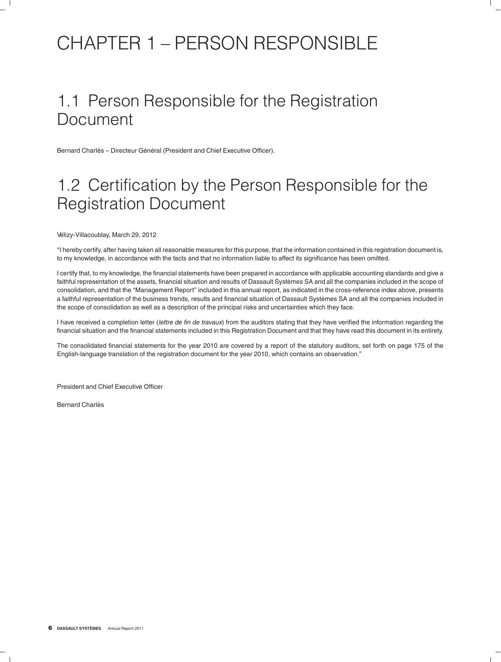# CHAPTER 1 – PERSON RESPONSIBLE

# 1.1 Person Responsible for the Registration Document

Bernard Charlès – Directeur Général (President and Chief Executive Officer).

# 1.2 Certification by the Person Responsible for the Registration Document

Vélizy-Villacoublay, March 29, 2012

''I hereby certify, after having taken all reasonable measures for this purpose, that the information contained in this registration document is, to my knowledge, in accordance with the facts and that no information liable to affect its significance has been omitted.

I certify that, to my knowledge, the financial statements have been prepared in accordance with applicable accounting standards and give a faithful representation of the assets, financial situation and results of Dassault Systèmes SA and all the companies included in the scope of consolidation, and that the ''Management Report'' included in this annual report, as indicated in the cross-reference index above, presents a faithful representation of the business trends, results and financial situation of Dassault Systemes SA and all the companies included in ` the scope of consolidation as well as a description of the principal risks and uncertainties which they face.

I have received a completion letter (*lettre de fin de travaux*) from the auditors stating that they have verified the information regarding the financial situation and the financial statements included in this Registration Document and that they have read this document in its entirety.

The consolidated financial statements for the year 2010 are covered by a report of the statutory auditors, set forth on page 175 of the English-language translation of the registration document for the year 2010, which contains an observation.''

President and Chief Executive Officer

Bernard Charlès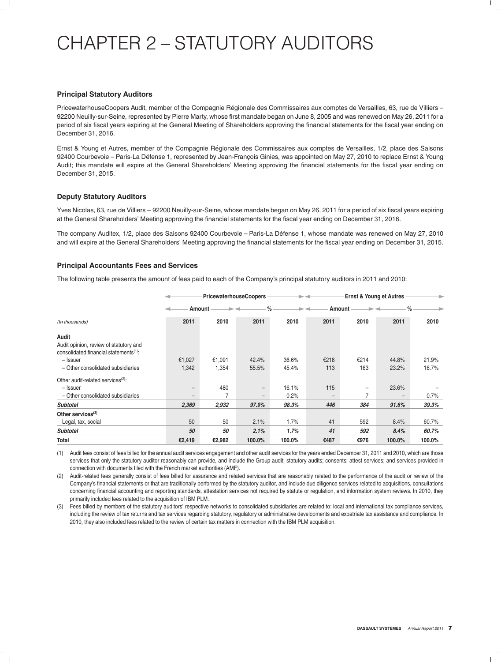# CHAPTER 2 – STATUTORY AUDITORS

#### **Principal Statutory Auditors**

PricewaterhouseCoopers Audit, member of the Compagnie Régionale des Commissaires aux comptes de Versailles, 63, rue de Villiers – 92200 Neuilly-sur-Seine, represented by Pierre Marty, whose first mandate began on June 8, 2005 and was renewed on May 26, 2011 for a period of six fiscal years expiring at the General Meeting of Shareholders approving the financial statements for the fiscal year ending on December 31, 2016.

Ernst & Young et Autres, member of the Compagnie Regionale des Commissaires aux comptes de Versailles, 1/2, place des Saisons ´ 92400 Courbevoie – Paris-La Défense 1, represented by Jean-François Ginies, was appointed on May 27, 2010 to replace Ernst & Young Audit; this mandate will expire at the General Shareholders' Meeting approving the financial statements for the fiscal year ending on December 31, 2015.

#### **Deputy Statutory Auditors**

Yves Nicolas, 63, rue de Villiers – 92200 Neuilly-sur-Seine, whose mandate began on May 26, 2011 for a period of six fiscal years expiring at the General Shareholders' Meeting approving the financial statements for the fiscal year ending on December 31, 2016.

The company Auditex, 1/2, place des Saisons 92400 Courbevoie – Paris-La Défense 1, whose mandate was renewed on May 27, 2010 and will expire at the General Shareholders' Meeting approving the financial statements for the fiscal year ending on December 31, 2015.

#### **Principal Accountants Fees and Services**

The following table presents the amount of fees paid to each of the Company's principal statutory auditors in 2011 and 2010:

|                                                                                                       |                                        | <b>PricewaterhouseCoopers</b> |                | $\rightarrow$  |                        | <b>Ernst &amp; Young et Autres</b> |                | ٠              |
|-------------------------------------------------------------------------------------------------------|----------------------------------------|-------------------------------|----------------|----------------|------------------------|------------------------------------|----------------|----------------|
|                                                                                                       |                                        | Amount                        | $\%$           | -4             |                        | Amount                             |                | $\%$           |
| (In thousands)                                                                                        | 2011                                   | 2010                          | 2011           | 2010           | 2011                   | 2010                               | 2011           | 2010           |
| Audit<br>Audit opinion, review of statutory and<br>consolidated financial statements <sup>(1)</sup> : |                                        |                               |                |                |                        |                                    |                |                |
| - Issuer<br>- Other consolidated subsidiaries                                                         | €1,027<br>1,342                        | €1,091<br>1,354               | 42.4%<br>55.5% | 36.6%<br>45.4% | €218<br>113            | €214<br>163                        | 44.8%<br>23.2% | 21.9%<br>16.7% |
| Other audit-related services <sup>(2)</sup> :<br>- Issuer<br>- Other consolidated subsidiaries        | $\qquad \qquad -$<br>$\qquad \qquad -$ | 480<br>7                      |                | 16.1%<br>0.2%  | 115<br>$\qquad \qquad$ | $\overline{\phantom{m}}$<br>7      | 23.6%          | 0.7%           |
| <b>Subtotal</b>                                                                                       | 2,369                                  | 2,932                         | 97.9%          | 98.3%          | 446                    | 384                                | 91.6%          | 39.3%          |
| Other services $(3)$<br>Legal, tax, social                                                            | 50                                     | 50                            | 2.1%           | 1.7%           | 41                     | 592                                | 8.4%           | 60.7%          |
| <b>Subtotal</b>                                                                                       | 50                                     | 50                            | 2.1%           | 1.7%           | 41                     | 592                                | 8.4%           | 60.7%          |
| Total                                                                                                 | €2,419                                 | €2,982                        | 100.0%         | 100.0%         | €487                   | €976                               | 100.0%         | 100.0%         |

(1) Audit fees consist of fees billed for the annual audit services engagement and other audit services for the years ended December 31, 2011 and 2010, which are those services that only the statutory auditor reasonably can provide, and include the Group audit; statutory audits; consents; attest services; and services provided in connection with documents filed with the French market authorities (AMF).

(2) Audit-related fees generally consist of fees billed for assurance and related services that are reasonably related to the performance of the audit or review of the Company's financial statements or that are traditionally performed by the statutory auditor, and include due diligence services related to acquisitions, consultations concerning financial accounting and reporting standards, attestation services not required by statute or regulation, and information system reviews. In 2010, they primarily included fees related to the acquisition of IBM PLM.

(3) Fees billed by members of the statutory auditors' respective networks to consolidated subsidiaries are related to: local and international tax compliance services, including the review of tax returns and tax services regarding statutory, regulatory or administrative developments and expatriate tax assistance and compliance. In 2010, they also included fees related to the review of certain tax matters in connection with the IBM PLM acquisition.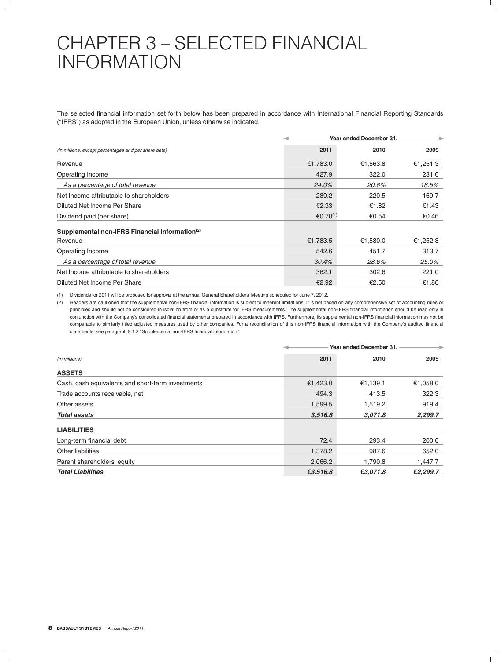# CHAPTER 3 – SELECTED FINANCIAL INFORMATION

The selected financial information set forth below has been prepared in accordance with International Financial Reporting Standards (''IFRS'') as adopted in the European Union, unless otherwise indicated.

|                                                            |                      | Year ended December 31, |          |  |
|------------------------------------------------------------|----------------------|-------------------------|----------|--|
| (in millions, except percentages and per share data)       | 2011                 | 2010                    | 2009     |  |
| Revenue                                                    | €1,783.0             | €1,563.8                | €1,251.3 |  |
| Operating Income                                           | 427.9                | 322.0                   | 231.0    |  |
| As a percentage of total revenue                           | 24.0%                | 20.6%                   | 18.5%    |  |
| Net Income attributable to shareholders                    | 289.2                | 220.5                   | 169.7    |  |
| Diluted Net Income Per Share                               | €2.33                | €1.82                   | €1.43    |  |
| Dividend paid (per share)                                  | €0.70 <sup>(1)</sup> | €0.54                   | €0.46    |  |
| Supplemental non-IFRS Financial Information <sup>(2)</sup> |                      |                         |          |  |
| Revenue                                                    | €1,783.5             | €1.580.0                | €1,252.8 |  |
| Operating Income                                           | 542.6                | 451.7                   | 313.7    |  |
| As a percentage of total revenue                           | 30.4%                | 28.6%                   | 25.0%    |  |
| Net Income attributable to shareholders                    | 362.1                | 302.6                   | 221.0    |  |
| Diluted Net Income Per Share                               | €2.92                | €2.50                   | €1.86    |  |

(1) Dividends for 2011 will be proposed for approval at the annual General Shareholders' Meeting scheduled for June 7, 2012.

(2) Readers are cautioned that the supplemental non-IFRS financial information is subject to inherent limitations. It is not based on any comprehensive set of accounting rules or principles and should not be considered in isolation from or as a substitute for IFRS measurements. The supplemental non-IFRS financial information should be read only in conjunction with the Company's consolidated financial statements prepared in accordance with IFRS. Furthermore, its supplemental non-IFRS financial information may not be comparable to similarly titled adjusted measures used by other companies. For a reconciliation of this non-IFRS financial information with the Company's audited financial statements, see paragraph 9.1.2 ''Supplemental non-IFRS financial information''.

|                                                   |          | Year ended December 31, |          |  |
|---------------------------------------------------|----------|-------------------------|----------|--|
| (in millions)                                     | 2011     | 2010                    | 2009     |  |
| <b>ASSETS</b>                                     |          |                         |          |  |
| Cash, cash equivalents and short-term investments | €1,423.0 | €1,139.1                | €1,058.0 |  |
| Trade accounts receivable, net                    | 494.3    | 413.5                   | 322.3    |  |
| Other assets                                      | 1,599.5  | 1,519.2                 | 919.4    |  |
| <b>Total assets</b>                               | 3,516.8  | 3.071.8                 | 2,299.7  |  |
| <b>LIABILITIES</b>                                |          |                         |          |  |
| Long-term financial debt                          | 72.4     | 293.4                   | 200.0    |  |
| Other liabilities                                 | 1,378.2  | 987.6                   | 652.0    |  |
| Parent shareholders' equity                       | 2,066.2  | 1,790.8                 | 1,447.7  |  |
| <b>Total Liabilities</b>                          | €3,516.8 | €3,071.8                | €2,299.7 |  |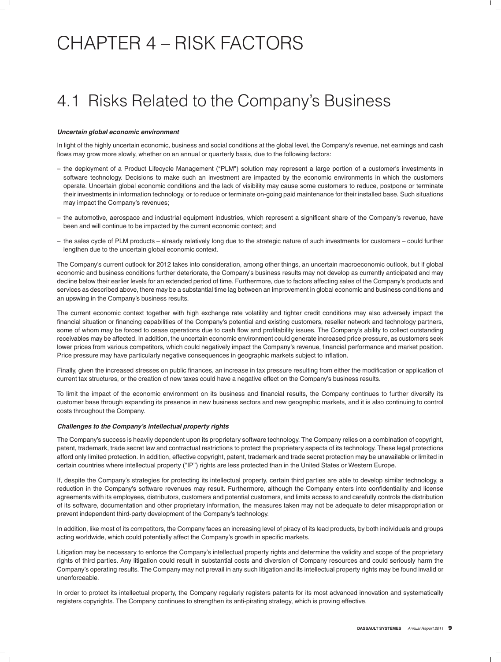# CHAPTER 4 – RISK FACTORS

# 4.1 Risks Related to the Company's Business

#### *Uncertain global economic environment*

In light of the highly uncertain economic, business and social conditions at the global level, the Company's revenue, net earnings and cash flows may grow more slowly, whether on an annual or quarterly basis, due to the following factors:

- the deployment of a Product Lifecycle Management (''PLM'') solution may represent a large portion of a customer's investments in software technology. Decisions to make such an investment are impacted by the economic environments in which the customers operate. Uncertain global economic conditions and the lack of visibility may cause some customers to reduce, postpone or terminate their investments in information technology, or to reduce or terminate on-going paid maintenance for their installed base. Such situations may impact the Company's revenues;
- the automotive, aerospace and industrial equipment industries, which represent a significant share of the Company's revenue, have been and will continue to be impacted by the current economic context; and
- the sales cycle of PLM products already relatively long due to the strategic nature of such investments for customers could further lengthen due to the uncertain global economic context.

The Company's current outlook for 2012 takes into consideration, among other things, an uncertain macroeconomic outlook, but if global economic and business conditions further deteriorate, the Company's business results may not develop as currently anticipated and may decline below their earlier levels for an extended period of time. Furthermore, due to factors affecting sales of the Company's products and services as described above, there may be a substantial time lag between an improvement in global economic and business conditions and an upswing in the Company's business results.

The current economic context together with high exchange rate volatility and tighter credit conditions may also adversely impact the financial situation or financing capabilities of the Company's potential and existing customers, reseller network and technology partners, some of whom may be forced to cease operations due to cash flow and profitability issues. The Company's ability to collect outstanding receivables may be affected. In addition, the uncertain economic environment could generate increased price pressure, as customers seek lower prices from various competitors, which could negatively impact the Company's revenue, financial performance and market position. Price pressure may have particularly negative consequences in geographic markets subject to inflation.

Finally, given the increased stresses on public finances, an increase in tax pressure resulting from either the modification or application of current tax structures, or the creation of new taxes could have a negative effect on the Company's business results.

To limit the impact of the economic environment on its business and financial results, the Company continues to further diversify its customer base through expanding its presence in new business sectors and new geographic markets, and it is also continuing to control costs throughout the Company.

#### *Challenges to the Company's intellectual property rights*

The Company's success is heavily dependent upon its proprietary software technology. The Company relies on a combination of copyright, patent, trademark, trade secret law and contractual restrictions to protect the proprietary aspects of its technology. These legal protections afford only limited protection. In addition, effective copyright, patent, trademark and trade secret protection may be unavailable or limited in certain countries where intellectual property ("IP") rights are less protected than in the United States or Western Europe.

If, despite the Company's strategies for protecting its intellectual property, certain third parties are able to develop similar technology, a reduction in the Company's software revenues may result. Furthermore, although the Company enters into confidentiality and license agreements with its employees, distributors, customers and potential customers, and limits access to and carefully controls the distribution of its software, documentation and other proprietary information, the measures taken may not be adequate to deter misappropriation or prevent independent third-party development of the Company's technology.

In addition, like most of its competitors, the Company faces an increasing level of piracy of its lead products, by both individuals and groups acting worldwide, which could potentially affect the Company's growth in specific markets.

Litigation may be necessary to enforce the Company's intellectual property rights and determine the validity and scope of the proprietary rights of third parties. Any litigation could result in substantial costs and diversion of Company resources and could seriously harm the Company's operating results. The Company may not prevail in any such litigation and its intellectual property rights may be found invalid or unenforceable.

In order to protect its intellectual property, the Company regularly registers patents for its most advanced innovation and systematically registers copyrights. The Company continues to strengthen its anti-pirating strategy, which is proving effective.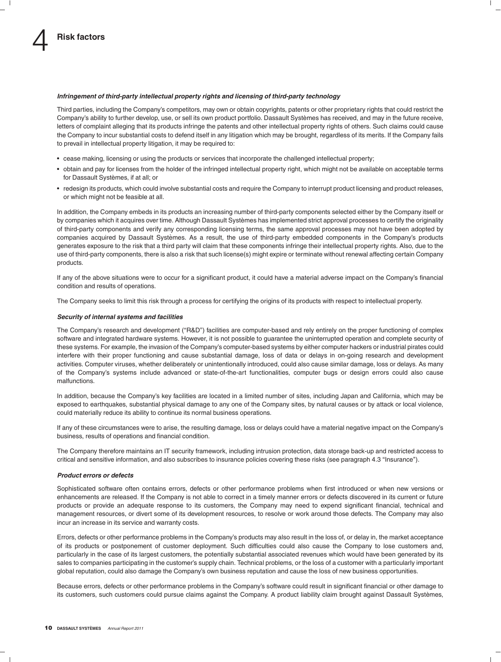#### *Infringement of third-party intellectual property rights and licensing of third-party technology*

Third parties, including the Company's competitors, may own or obtain copyrights, patents or other proprietary rights that could restrict the Company's ability to further develop, use, or sell its own product portfolio. Dassault Systèmes has received, and may in the future receive, letters of complaint alleging that its products infringe the patents and other intellectual property rights of others. Such claims could cause the Company to incur substantial costs to defend itself in any litigation which may be brought, regardless of its merits. If the Company fails to prevail in intellectual property litigation, it may be required to:

- cease making, licensing or using the products or services that incorporate the challenged intellectual property;
- obtain and pay for licenses from the holder of the infringed intellectual property right, which might not be available on acceptable terms for Dassault Systèmes, if at all; or
- redesign its products, which could involve substantial costs and require the Company to interrupt product licensing and product releases, or which might not be feasible at all.

In addition, the Company embeds in its products an increasing number of third-party components selected either by the Company itself or by companies which it acquires over time. Although Dassault Systèmes has implemented strict approval processes to certify the originality of third-party components and verify any corresponding licensing terms, the same approval processes may not have been adopted by companies acquired by Dassault Systèmes. As a result, the use of third-party embedded components in the Company's products generates exposure to the risk that a third party will claim that these components infringe their intellectual property rights. Also, due to the use of third-party components, there is also a risk that such license(s) might expire or terminate without renewal affecting certain Company products.

If any of the above situations were to occur for a significant product, it could have a material adverse impact on the Company's financial condition and results of operations.

The Company seeks to limit this risk through a process for certifying the origins of its products with respect to intellectual property.

#### *Security of internal systems and facilities*

The Company's research and development (''R&D'') facilities are computer-based and rely entirely on the proper functioning of complex software and integrated hardware systems. However, it is not possible to guarantee the uninterrupted operation and complete security of these systems. For example, the invasion of the Company's computer-based systems by either computer hackers or industrial pirates could interfere with their proper functioning and cause substantial damage, loss of data or delays in on-going research and development activities. Computer viruses, whether deliberately or unintentionally introduced, could also cause similar damage, loss or delays. As many of the Company's systems include advanced or state-of-the-art functionalities, computer bugs or design errors could also cause malfunctions.

In addition, because the Company's key facilities are located in a limited number of sites, including Japan and California, which may be exposed to earthquakes, substantial physical damage to any one of the Company sites, by natural causes or by attack or local violence, could materially reduce its ability to continue its normal business operations.

If any of these circumstances were to arise, the resulting damage, loss or delays could have a material negative impact on the Company's business, results of operations and financial condition.

The Company therefore maintains an IT security framework, including intrusion protection, data storage back-up and restricted access to critical and sensitive information, and also subscribes to insurance policies covering these risks (see paragraph 4.3 ''Insurance'').

#### *Product errors or defects*

Sophisticated software often contains errors, defects or other performance problems when first introduced or when new versions or enhancements are released. If the Company is not able to correct in a timely manner errors or defects discovered in its current or future products or provide an adequate response to its customers, the Company may need to expend significant financial, technical and management resources, or divert some of its development resources, to resolve or work around those defects. The Company may also incur an increase in its service and warranty costs.

Errors, defects or other performance problems in the Company's products may also result in the loss of, or delay in, the market acceptance of its products or postponement of customer deployment. Such difficulties could also cause the Company to lose customers and, particularly in the case of its largest customers, the potentially substantial associated revenues which would have been generated by its sales to companies participating in the customer's supply chain. Technical problems, or the loss of a customer with a particularly important global reputation, could also damage the Company's own business reputation and cause the loss of new business opportunities.

Because errors, defects or other performance problems in the Company's software could result in significant financial or other damage to its customers, such customers could pursue claims against the Company. A product liability claim brought against Dassault Systèmes,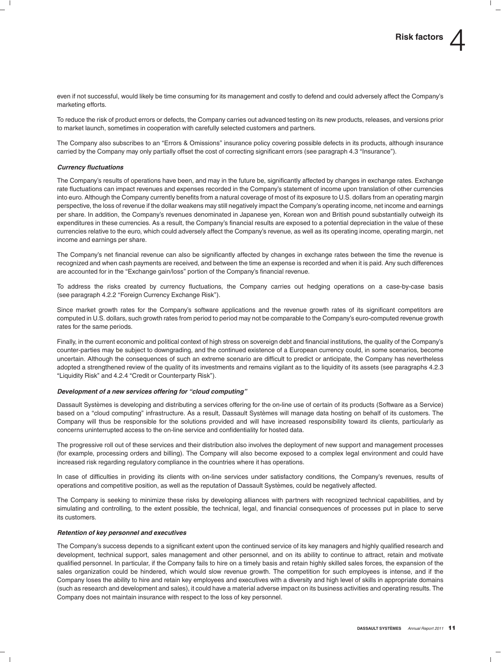even if not successful, would likely be time consuming for its management and costly to defend and could adversely affect the Company's marketing efforts.

To reduce the risk of product errors or defects, the Company carries out advanced testing on its new products, releases, and versions prior to market launch, sometimes in cooperation with carefully selected customers and partners.

The Company also subscribes to an ''Errors & Omissions'' insurance policy covering possible defects in its products, although insurance carried by the Company may only partially offset the cost of correcting significant errors (see paragraph 4.3 "Insurance").

#### *Currency fluctuations*

The Company's results of operations have been, and may in the future be, significantly affected by changes in exchange rates. Exchange rate fluctuations can impact revenues and expenses recorded in the Company's statement of income upon translation of other currencies into euro. Although the Company currently benefits from a natural coverage of most of its exposure to U.S. dollars from an operating margin perspective, the loss of revenue if the dollar weakens may still negatively impact the Company's operating income, net income and earnings per share. In addition, the Company's revenues denominated in Japanese yen, Korean won and British pound substantially outweigh its expenditures in these currencies. As a result, the Company's financial results are exposed to a potential depreciation in the value of these currencies relative to the euro, which could adversely affect the Company's revenue, as well as its operating income, operating margin, net income and earnings per share.

The Company's net financial revenue can also be significantly affected by changes in exchange rates between the time the revenue is recognized and when cash payments are received, and between the time an expense is recorded and when it is paid. Any such differences are accounted for in the "Exchange gain/loss" portion of the Company's financial revenue.

To address the risks created by currency fluctuations, the Company carries out hedging operations on a case-by-case basis (see paragraph 4.2.2 "Foreign Currency Exchange Risk").

Since market growth rates for the Company's software applications and the revenue growth rates of its significant competitors are computed in U.S. dollars, such growth rates from period to period may not be comparable to the Company's euro-computed revenue growth rates for the same periods.

Finally, in the current economic and political context of high stress on sovereign debt and financial institutions, the quality of the Company's counter-parties may be subject to downgrading, and the continued existence of a European currency could, in some scenarios, become uncertain. Although the consequences of such an extreme scenario are difficult to predict or anticipate, the Company has nevertheless adopted a strengthened review of the quality of its investments and remains vigilant as to the liquidity of its assets (see paragraphs 4.2.3 "Liquidity Risk" and 4.2.4 "Credit or Counterparty Risk").

#### *Development of a new services offering for ''cloud computing''*

Dassault Systemes is developing and distributing a services offering for the on-line use of certain of its products (Software as a Service) ` based on a "cloud computing" infrastructure. As a result, Dassault Systèmes will manage data hosting on behalf of its customers. The Company will thus be responsible for the solutions provided and will have increased responsibility toward its clients, particularly as concerns uninterrupted access to the on-line service and confidentiality for hosted data.

The progressive roll out of these services and their distribution also involves the deployment of new support and management processes (for example, processing orders and billing). The Company will also become exposed to a complex legal environment and could have increased risk regarding regulatory compliance in the countries where it has operations.

In case of difficulties in providing its clients with on-line services under satisfactory conditions, the Company's revenues, results of operations and competitive position, as well as the reputation of Dassault Systemes, could be negatively affected. `

The Company is seeking to minimize these risks by developing alliances with partners with recognized technical capabilities, and by simulating and controlling, to the extent possible, the technical, legal, and financial consequences of processes put in place to serve its customers.

#### *Retention of key personnel and executives*

The Company's success depends to a significant extent upon the continued service of its key managers and highly qualified research and development, technical support, sales management and other personnel, and on its ability to continue to attract, retain and motivate qualified personnel. In particular, if the Company fails to hire on a timely basis and retain highly skilled sales forces, the expansion of the sales organization could be hindered, which would slow revenue growth. The competition for such employees is intense, and if the Company loses the ability to hire and retain key employees and executives with a diversity and high level of skills in appropriate domains (such as research and development and sales), it could have a material adverse impact on its business activities and operating results. The Company does not maintain insurance with respect to the loss of key personnel.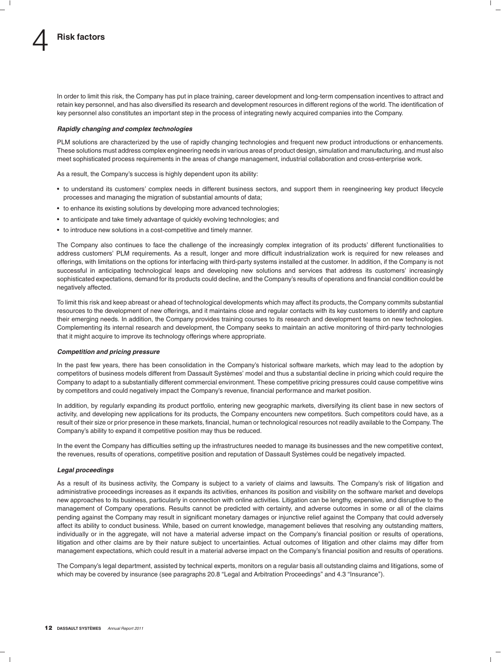In order to limit this risk, the Company has put in place training, career development and long-term compensation incentives to attract and retain key personnel, and has also diversified its research and development resources in different regions of the world. The identification of key personnel also constitutes an important step in the process of integrating newly acquired companies into the Company.

#### *Rapidly changing and complex technologies*

PLM solutions are characterized by the use of rapidly changing technologies and frequent new product introductions or enhancements. These solutions must address complex engineering needs in various areas of product design, simulation and manufacturing, and must also meet sophisticated process requirements in the areas of change management, industrial collaboration and cross-enterprise work.

As a result, the Company's success is highly dependent upon its ability:

- to understand its customers' complex needs in different business sectors, and support them in reengineering key product lifecycle processes and managing the migration of substantial amounts of data;
- to enhance its existing solutions by developing more advanced technologies;
- to anticipate and take timely advantage of quickly evolving technologies; and
- to introduce new solutions in a cost-competitive and timely manner.

The Company also continues to face the challenge of the increasingly complex integration of its products' different functionalities to address customers' PLM requirements. As a result, longer and more difficult industrialization work is required for new releases and offerings, with limitations on the options for interfacing with third-party systems installed at the customer. In addition, if the Company is not successful in anticipating technological leaps and developing new solutions and services that address its customers' increasingly sophisticated expectations, demand for its products could decline, and the Company's results of operations and financial condition could be negatively affected.

To limit this risk and keep abreast or ahead of technological developments which may affect its products, the Company commits substantial resources to the development of new offerings, and it maintains close and regular contacts with its key customers to identify and capture their emerging needs. In addition, the Company provides training courses to its research and development teams on new technologies. Complementing its internal research and development, the Company seeks to maintain an active monitoring of third-party technologies that it might acquire to improve its technology offerings where appropriate.

#### *Competition and pricing pressure*

In the past few years, there has been consolidation in the Company's historical software markets, which may lead to the adoption by competitors of business models different from Dassault Systemes' model and thus a substantial decline in pricing which could require the ` Company to adapt to a substantially different commercial environment. These competitive pricing pressures could cause competitive wins by competitors and could negatively impact the Company's revenue, financial performance and market position.

In addition, by regularly expanding its product portfolio, entering new geographic markets, diversifying its client base in new sectors of activity, and developing new applications for its products, the Company encounters new competitors. Such competitors could have, as a result of their size or prior presence in these markets, financial, human or technological resources not readily available to the Company. The Company's ability to expand it competitive position may thus be reduced.

In the event the Company has difficulties setting up the infrastructures needed to manage its businesses and the new competitive context, the revenues, results of operations, competitive position and reputation of Dassault Systèmes could be negatively impacted.

#### *Legal proceedings*

As a result of its business activity, the Company is subject to a variety of claims and lawsuits. The Company's risk of litigation and administrative proceedings increases as it expands its activities, enhances its position and visibility on the software market and develops new approaches to its business, particularly in connection with online activities. Litigation can be lengthy, expensive, and disruptive to the management of Company operations. Results cannot be predicted with certainty, and adverse outcomes in some or all of the claims pending against the Company may result in significant monetary damages or injunctive relief against the Company that could adversely affect its ability to conduct business. While, based on current knowledge, management believes that resolving any outstanding matters, individually or in the aggregate, will not have a material adverse impact on the Company's financial position or results of operations, litigation and other claims are by their nature subject to uncertainties. Actual outcomes of litigation and other claims may differ from management expectations, which could result in a material adverse impact on the Company's financial position and results of operations.

The Company's legal department, assisted by technical experts, monitors on a regular basis all outstanding claims and litigations, some of which may be covered by insurance (see paragraphs 20.8 "Legal and Arbitration Proceedings" and 4.3 "Insurance").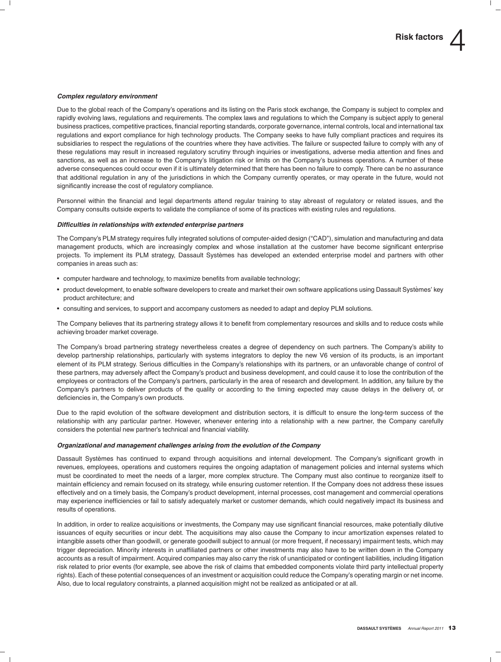#### *Complex regulatory environment*

Due to the global reach of the Company's operations and its listing on the Paris stock exchange, the Company is subject to complex and rapidly evolving laws, regulations and requirements. The complex laws and regulations to which the Company is subject apply to general business practices, competitive practices, financial reporting standards, corporate governance, internal controls, local and international tax regulations and export compliance for high technology products. The Company seeks to have fully compliant practices and requires its subsidiaries to respect the regulations of the countries where they have activities. The failure or suspected failure to comply with any of these regulations may result in increased regulatory scrutiny through inquiries or investigations, adverse media attention and fines and sanctions, as well as an increase to the Company's litigation risk or limits on the Company's business operations. A number of these adverse consequences could occur even if it is ultimately determined that there has been no failure to comply. There can be no assurance that additional regulation in any of the jurisdictions in which the Company currently operates, or may operate in the future, would not significantly increase the cost of regulatory compliance.

Personnel within the financial and legal departments attend regular training to stay abreast of regulatory or related issues, and the Company consults outside experts to validate the compliance of some of its practices with existing rules and regulations.

#### *Difficulties in relationships with extended enterprise partners*

The Company's PLM strategy requires fully integrated solutions of computer-aided design (''CAD''), simulation and manufacturing and data management products, which are increasingly complex and whose installation at the customer have become significant enterprise projects. To implement its PLM strategy, Dassault Systèmes has developed an extended enterprise model and partners with other companies in areas such as:

- computer hardware and technology, to maximize benefits from available technology;
- product development, to enable software developers to create and market their own software applications using Dassault Systemes' key ` product architecture; and
- consulting and services, to support and accompany customers as needed to adapt and deploy PLM solutions.

The Company believes that its partnering strategy allows it to benefit from complementary resources and skills and to reduce costs while achieving broader market coverage.

The Company's broad partnering strategy nevertheless creates a degree of dependency on such partners. The Company's ability to develop partnership relationships, particularly with systems integrators to deploy the new V6 version of its products, is an important element of its PLM strategy. Serious difficulties in the Company's relationships with its partners, or an unfavorable change of control of these partners, may adversely affect the Company's product and business development, and could cause it to lose the contribution of the employees or contractors of the Company's partners, particularly in the area of research and development. In addition, any failure by the Company's partners to deliver products of the quality or according to the timing expected may cause delays in the delivery of, or deficiencies in, the Company's own products.

Due to the rapid evolution of the software development and distribution sectors, it is difficult to ensure the long-term success of the relationship with any particular partner. However, whenever entering into a relationship with a new partner, the Company carefully considers the potential new partner's technical and financial viability.

#### *Organizational and management challenges arising from the evolution of the Company*

Dassault Systèmes has continued to expand through acquisitions and internal development. The Company's significant growth in revenues, employees, operations and customers requires the ongoing adaptation of management policies and internal systems which must be coordinated to meet the needs of a larger, more complex structure. The Company must also continue to reorganize itself to maintain efficiency and remain focused on its strategy, while ensuring customer retention. If the Company does not address these issues effectively and on a timely basis, the Company's product development, internal processes, cost management and commercial operations may experience inefficiencies or fail to satisfy adequately market or customer demands, which could negatively impact its business and results of operations.

In addition, in order to realize acquisitions or investments, the Company may use significant financial resources, make potentially dilutive issuances of equity securities or incur debt. The acquisitions may also cause the Company to incur amortization expenses related to intangible assets other than goodwill, or generate goodwill subject to annual (or more frequent, if necessary) impairment tests, which may trigger depreciation. Minority interests in unaffiliated partners or other investments may also have to be written down in the Company accounts as a result of impairment. Acquired companies may also carry the risk of unanticipated or contingent liabilities, including litigation risk related to prior events (for example, see above the risk of claims that embedded components violate third party intellectual property rights). Each of these potential consequences of an investment or acquisition could reduce the Company's operating margin or net income. Also, due to local regulatory constraints, a planned acquisition might not be realized as anticipated or at all.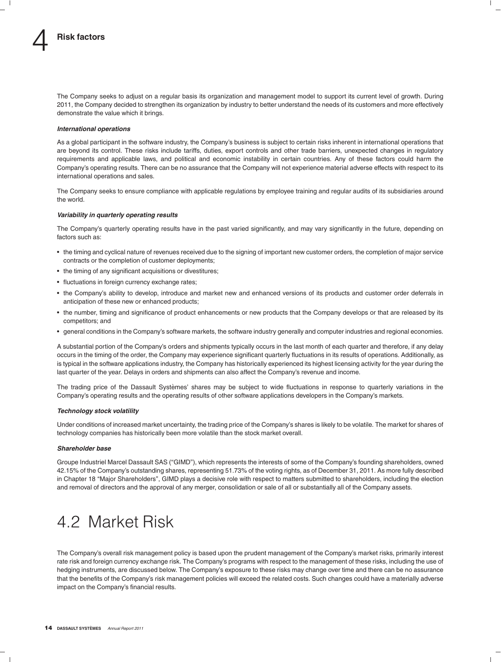The Company seeks to adjust on a regular basis its organization and management model to support its current level of growth. During 2011, the Company decided to strengthen its organization by industry to better understand the needs of its customers and more effectively demonstrate the value which it brings.

#### *International operations*

As a global participant in the software industry, the Company's business is subject to certain risks inherent in international operations that are beyond its control. These risks include tariffs, duties, export controls and other trade barriers, unexpected changes in regulatory requirements and applicable laws, and political and economic instability in certain countries. Any of these factors could harm the Company's operating results. There can be no assurance that the Company will not experience material adverse effects with respect to its international operations and sales.

The Company seeks to ensure compliance with applicable regulations by employee training and regular audits of its subsidiaries around the world.

#### *Variability in quarterly operating results*

The Company's quarterly operating results have in the past varied significantly, and may vary significantly in the future, depending on factors such as:

- the timing and cyclical nature of revenues received due to the signing of important new customer orders, the completion of major service contracts or the completion of customer deployments;
- the timing of any significant acquisitions or divestitures;
- fluctuations in foreign currency exchange rates;
- the Company's ability to develop, introduce and market new and enhanced versions of its products and customer order deferrals in anticipation of these new or enhanced products;
- the number, timing and significance of product enhancements or new products that the Company develops or that are released by its competitors; and
- general conditions in the Company's software markets, the software industry generally and computer industries and regional economies.

A substantial portion of the Company's orders and shipments typically occurs in the last month of each quarter and therefore, if any delay occurs in the timing of the order, the Company may experience significant quarterly fluctuations in its results of operations. Additionally, as is typical in the software applications industry, the Company has historically experienced its highest licensing activity for the year during the last quarter of the year. Delays in orders and shipments can also affect the Company's revenue and income.

The trading price of the Dassault Systèmes' shares may be subject to wide fluctuations in response to quarterly variations in the Company's operating results and the operating results of other software applications developers in the Company's markets.

#### *Technology stock volatility*

Under conditions of increased market uncertainty, the trading price of the Company's shares is likely to be volatile. The market for shares of technology companies has historically been more volatile than the stock market overall.

#### *Shareholder base*

Groupe Industriel Marcel Dassault SAS (''GIMD''), which represents the interests of some of the Company's founding shareholders, owned 42.15% of the Company's outstanding shares, representing 51.73% of the voting rights, as of December 31, 2011. As more fully described in Chapter 18 ''Major Shareholders'', GIMD plays a decisive role with respect to matters submitted to shareholders, including the election and removal of directors and the approval of any merger, consolidation or sale of all or substantially all of the Company assets.

# 4.2 Market Risk

The Company's overall risk management policy is based upon the prudent management of the Company's market risks, primarily interest rate risk and foreign currency exchange risk. The Company's programs with respect to the management of these risks, including the use of hedging instruments, are discussed below. The Company's exposure to these risks may change over time and there can be no assurance that the benefits of the Company's risk management policies will exceed the related costs. Such changes could have a materially adverse impact on the Company's financial results.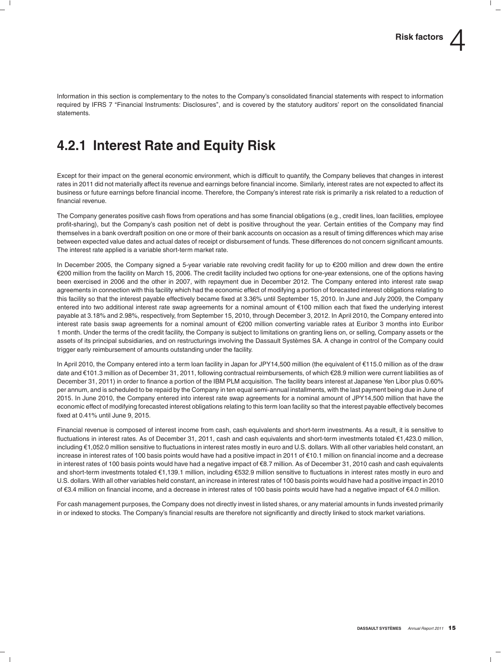Information in this section is complementary to the notes to the Company's consolidated financial statements with respect to information required by IFRS 7 "Financial Instruments: Disclosures", and is covered by the statutory auditors' report on the consolidated financial statements.

### **4.2.1 Interest Rate and Equity Risk**

Except for their impact on the general economic environment, which is difficult to quantify, the Company believes that changes in interest rates in 2011 did not materially affect its revenue and earnings before financial income. Similarly, interest rates are not expected to affect its business or future earnings before financial income. Therefore, the Company's interest rate risk is primarily a risk related to a reduction of financial revenue.

The Company generates positive cash flows from operations and has some financial obligations (e.g., credit lines, loan facilities, employee profit-sharing), but the Company's cash position net of debt is positive throughout the year. Certain entities of the Company may find themselves in a bank overdraft position on one or more of their bank accounts on occasion as a result of timing differences which may arise between expected value dates and actual dates of receipt or disbursement of funds. These differences do not concern significant amounts. The interest rate applied is a variable short-term market rate.

In December 2005, the Company signed a 5-year variable rate revolving credit facility for up to  $\epsilon$ 200 million and drew down the entire e200 million from the facility on March 15, 2006. The credit facility included two options for one-year extensions, one of the options having been exercised in 2006 and the other in 2007, with repayment due in December 2012. The Company entered into interest rate swap agreements in connection with this facility which had the economic effect of modifying a portion of forecasted interest obligations relating to this facility so that the interest payable effectively became fixed at 3.36% until September 15, 2010. In June and July 2009, the Company entered into two additional interest rate swap agreements for a nominal amount of €100 million each that fixed the underlying interest payable at 3.18% and 2.98%, respectively, from September 15, 2010, through December 3, 2012. In April 2010, the Company entered into interest rate basis swap agreements for a nominal amount of e200 million converting variable rates at Euribor 3 months into Euribor 1 month. Under the terms of the credit facility, the Company is subject to limitations on granting liens on, or selling, Company assets or the assets of its principal subsidiaries, and on restructurings involving the Dassault Systèmes SA. A change in control of the Company could trigger early reimbursement of amounts outstanding under the facility.

In April 2010, the Company entered into a term loan facility in Japan for JPY14,500 million (the equivalent of €115.0 million as of the draw date and e101.3 million as of December 31, 2011, following contractual reimbursements, of which e28.9 million were current liabilities as of December 31, 2011) in order to finance a portion of the IBM PLM acquisition. The facility bears interest at Japanese Yen Libor plus 0.60% per annum, and is scheduled to be repaid by the Company in ten equal semi-annual installments, with the last payment being due in June of 2015. In June 2010, the Company entered into interest rate swap agreements for a nominal amount of JPY14,500 million that have the economic effect of modifying forecasted interest obligations relating to this term loan facility so that the interest payable effectively becomes fixed at 0.41% until June 9, 2015.

Financial revenue is composed of interest income from cash, cash equivalents and short-term investments. As a result, it is sensitive to fluctuations in interest rates. As of December 31, 2011, cash and cash equivalents and short-term investments totaled €1,423.0 million, including e1,052.0 million sensitive to fluctuations in interest rates mostly in euro and U.S. dollars. With all other variables held constant, an increase in interest rates of 100 basis points would have had a positive impact in 2011 of e10.1 million on financial income and a decrease in interest rates of 100 basis points would have had a negative impact of e8.7 million. As of December 31, 2010 cash and cash equivalents and short-term investments totaled €1,139.1 million, including €532.9 million sensitive to fluctuations in interest rates mostly in euro and U.S. dollars. With all other variables held constant, an increase in interest rates of 100 basis points would have had a positive impact in 2010 of e3.4 million on financial income, and a decrease in interest rates of 100 basis points would have had a negative impact of e4.0 million.

For cash management purposes, the Company does not directly invest in listed shares, or any material amounts in funds invested primarily in or indexed to stocks. The Company's financial results are therefore not significantly and directly linked to stock market variations.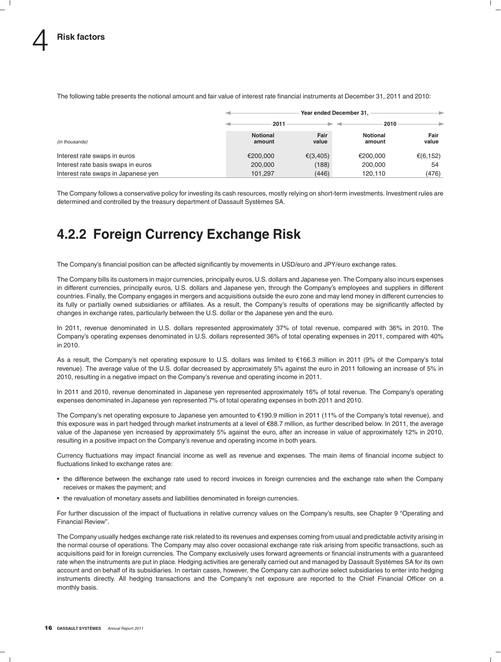|                                     | Year ended December 31.   |               |                           |               |  |  |
|-------------------------------------|---------------------------|---------------|---------------------------|---------------|--|--|
|                                     | 2011                      |               | 2010                      |               |  |  |
| (in thousands)                      | <b>Notional</b><br>amount | Fair<br>value | <b>Notional</b><br>amount | Fair<br>value |  |  |
| Interest rate swaps in euros        | €200,000                  | € $(3,405)$   | €200.000                  | €(6,152)      |  |  |
| Interest rate basis swaps in euros  | 200,000                   | (188)         | 200,000                   | 54            |  |  |
| Interest rate swaps in Japanese yen | 101.297                   | (446)         | 120.110                   | (476)         |  |  |

The following table presents the notional amount and fair value of interest rate financial instruments at December 31, 2011 and 2010:

The Company follows a conservative policy for investing its cash resources, mostly relying on short-term investments. Investment rules are determined and controlled by the treasury department of Dassault Systèmes SA.

# **4.2.2 Foreign Currency Exchange Risk**

The Company's financial position can be affected significantly by movements in USD/euro and JPY/euro exchange rates.

The Company bills its customers in major currencies, principally euros, U.S. dollars and Japanese yen. The Company also incurs expenses in different currencies, principally euros, U.S. dollars and Japanese yen, through the Company's employees and suppliers in different countries. Finally, the Company engages in mergers and acquisitions outside the euro zone and may lend money in different currencies to its fully or partially owned subsidiaries or affiliates. As a result, the Company's results of operations may be significantly affected by changes in exchange rates, particularly between the U.S. dollar or the Japanese yen and the euro.

In 2011, revenue denominated in U.S. dollars represented approximately 37% of total revenue, compared with 36% in 2010. The Company's operating expenses denominated in U.S. dollars represented 36% of total operating expenses in 2011, compared with 40% in 2010.

As a result, the Company's net operating exposure to U.S. dollars was limited to e166.3 million in 2011 (9% of the Company's total revenue). The average value of the U.S. dollar decreased by approximately 5% against the euro in 2011 following an increase of 5% in 2010, resulting in a negative impact on the Company's revenue and operating income in 2011.

In 2011 and 2010, revenue denominated in Japanese yen represented approximately 16% of total revenue. The Company's operating expenses denominated in Japanese yen represented 7% of total operating expenses in both 2011 and 2010.

The Company's net operating exposure to Japanese yen amounted to €190.9 million in 2011 (11% of the Company's total revenue), and this exposure was in part hedged through market instruments at a level of e88.7 million, as further described below. In 2011, the average value of the Japanese yen increased by approximately 5% against the euro, after an increase in value of approximately 12% in 2010, resulting in a positive impact on the Company's revenue and operating income in both years.

Currency fluctuations may impact financial income as well as revenue and expenses. The main items of financial income subject to fluctuations linked to exchange rates are:

- the difference between the exchange rate used to record invoices in foreign currencies and the exchange rate when the Company receives or makes the payment; and
- the revaluation of monetary assets and liabilities denominated in foreign currencies.

For further discussion of the impact of fluctuations in relative currency values on the Company's results, see Chapter 9 ''Operating and Financial Review''.

The Company usually hedges exchange rate risk related to its revenues and expenses coming from usual and predictable activity arising in the normal course of operations. The Company may also cover occasional exchange rate risk arising from specific transactions, such as acquisitions paid for in foreign currencies. The Company exclusively uses forward agreements or financial instruments with a guaranteed rate when the instruments are put in place. Hedging activities are generally carried out and managed by Dassault Systemes SA for its own ` account and on behalf of its subsidiaries. In certain cases, however, the Company can authorize select subsidiaries to enter into hedging instruments directly. All hedging transactions and the Company's net exposure are reported to the Chief Financial Officer on a monthly basis.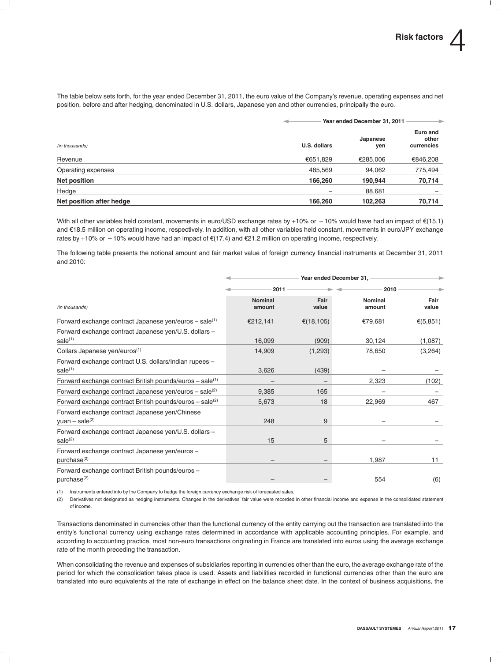The table below sets forth, for the year ended December 31, 2011, the euro value of the Company's revenue, operating expenses and net position, before and after hedging, denominated in U.S. dollars, Japanese yen and other currencies, principally the euro.

|                          |              | Year ended December 31, 2011 |                                 |  |
|--------------------------|--------------|------------------------------|---------------------------------|--|
| (in thousands)           | U.S. dollars | Japanese<br>yen              | Euro and<br>other<br>currencies |  |
| Revenue                  | €651,829     | €285,006                     | €846,208                        |  |
| Operating expenses       | 485,569      | 94,062                       | 775,494                         |  |
| Net position             | 166.260      | 190.944                      | 70,714                          |  |
| Hedge                    | -            | 88,681                       |                                 |  |
| Net position after hedge | 166,260      | 102.263                      | 70,714                          |  |

With all other variables held constant, movements in euro/USD exchange rates by +10% or  $-10%$  would have had an impact of  $\epsilon$ (15.1) and e18.5 million on operating income, respectively. In addition, with all other variables held constant, movements in euro/JPY exchange rates by +10% or -10% would have had an impact of  $\epsilon$ (17.4) and  $\epsilon$ 21.2 million on operating income, respectively.

The following table presents the notional amount and fair market value of foreign currency financial instruments at December 31, 2011 and 2010:

|                                                                               | Year ended December 31,  |               |                   |               |  |  |
|-------------------------------------------------------------------------------|--------------------------|---------------|-------------------|---------------|--|--|
|                                                                               | 2011                     |               | 2010              |               |  |  |
| (in thousands)                                                                | <b>Nominal</b><br>amount | Fair<br>value | Nominal<br>amount | Fair<br>value |  |  |
| Forward exchange contract Japanese yen/euros $-$ sale <sup>(1)</sup>          | €212,141                 | € $(18, 105)$ | €79,681           | € $(5,851)$   |  |  |
| Forward exchange contract Japanese yen/U.S. dollars -<br>sale <sup>(1)</sup>  | 16,099                   | (909)         | 30,124            | (1,087)       |  |  |
| Collars Japanese yen/euros <sup>(1)</sup>                                     | 14,909                   | (1,293)       | 78,650            | (3,264)       |  |  |
| Forward exchange contract U.S. dollars/Indian rupees -<br>sale <sup>(1)</sup> | 3,626                    | (439)         |                   |               |  |  |
| Forward exchange contract British pounds/euros $-$ sale <sup>(1)</sup>        |                          |               | 2,323             | (102)         |  |  |
| Forward exchange contract Japanese yen/euros - sale(2)                        | 9,385                    | 165           |                   |               |  |  |
| Forward exchange contract British pounds/euros $-$ sale <sup>(2)</sup>        | 5,673                    | 18            | 22,969            | 467           |  |  |
| Forward exchange contract Japanese yen/Chinese<br>yuan – sale $(2)$           | 248                      | 9             |                   |               |  |  |
| Forward exchange contract Japanese yen/U.S. dollars -<br>$\text{ sale}^{(2)}$ | 15                       | 5             |                   |               |  |  |
| Forward exchange contract Japanese yen/euros -<br>purchase <sup>(2)</sup>     |                          |               | 1,987             | 11            |  |  |
| Forward exchange contract British pounds/euros -<br>purchase <sup>(2)</sup>   |                          |               | 554               | (6)           |  |  |

(1) Instruments entered into by the Company to hedge the foreign currency exchange risk of forecasted sales.

(2) Derivatives not designated as hedging instruments. Changes in the derivatives' fair value were recorded in other financial income and expense in the consolidated statement of income.

Transactions denominated in currencies other than the functional currency of the entity carrying out the transaction are translated into the entity's functional currency using exchange rates determined in accordance with applicable accounting principles. For example, and according to accounting practice, most non-euro transactions originating in France are translated into euros using the average exchange rate of the month preceding the transaction.

When consolidating the revenue and expenses of subsidiaries reporting in currencies other than the euro, the average exchange rate of the period for which the consolidation takes place is used. Assets and liabilities recorded in functional currencies other than the euro are translated into euro equivalents at the rate of exchange in effect on the balance sheet date. In the context of business acquisitions, the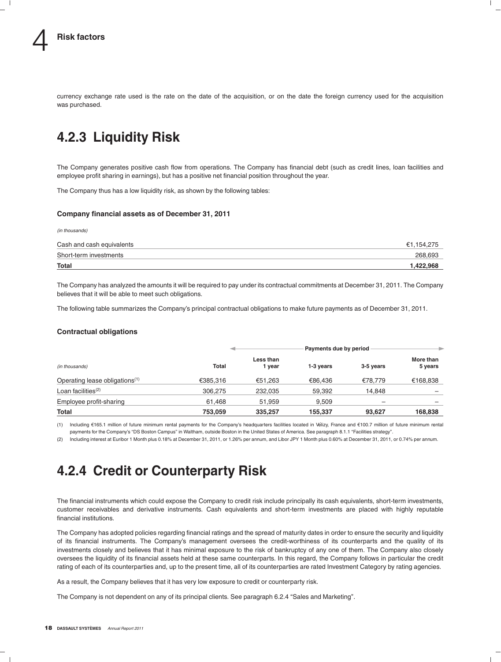currency exchange rate used is the rate on the date of the acquisition, or on the date the foreign currency used for the acquisition was purchased.

### **4.2.3 Liquidity Risk**

The Company generates positive cash flow from operations. The Company has financial debt (such as credit lines, loan facilities and employee profit sharing in earnings), but has a positive net financial position throughout the year.

The Company thus has a low liquidity risk, as shown by the following tables:

#### **Company financial assets as of December 31, 2011**

*(in thousands)*

| Cash and cash equivalents | €1.154.275 |
|---------------------------|------------|
| Short-term investments    | 268,693    |
| <b>Total</b>              | 1,422,968  |

The Company has analyzed the amounts it will be required to pay under its contractual commitments at December 31, 2011. The Company believes that it will be able to meet such obligations.

The following table summarizes the Company's principal contractual obligations to make future payments as of December 31, 2011.

#### **Contractual obligations**

|                                            |              |                     | Payments due by period |           |                      |  |
|--------------------------------------------|--------------|---------------------|------------------------|-----------|----------------------|--|
| (in thousands)                             | <b>Total</b> | Less than<br>1 vear | 1-3 years              | 3-5 years | More than<br>5 years |  |
| Operating lease obligations <sup>(1)</sup> | €385,316     | €51.263             | €86.436                | €78.779   | €168,838             |  |
| Loan facilities $(2)$                      | 306,275      | 232,035             | 59,392                 | 14.848    |                      |  |
| Employee profit-sharing                    | 61,468       | 51.959              | 9.509                  |           |                      |  |
| Total                                      | 753,059      | 335,257             | 155,337                | 93,627    | 168,838              |  |

(1) Including e165.1 million of future minimum rental payments for the Company's headquarters facilities located in Velizy, France and ´ e100.7 million of future minimum rental payments for the Company's "DS Boston Campus" in Waltham, outside Boston in the United States of America. See paragraph 8.1.1 "Facilities strategy".

(2) Including interest at Euribor 1 Month plus 0.18% at December 31, 2011, or 1.26% per annum, and Libor JPY 1 Month plus 0.60% at December 31, 2011, or 0.74% per annum.

### **4.2.4 Credit or Counterparty Risk**

The financial instruments which could expose the Company to credit risk include principally its cash equivalents, short-term investments, customer receivables and derivative instruments. Cash equivalents and short-term investments are placed with highly reputable financial institutions.

The Company has adopted policies regarding financial ratings and the spread of maturity dates in order to ensure the security and liquidity of its financial instruments. The Company's management oversees the credit-worthiness of its counterparts and the quality of its investments closely and believes that it has minimal exposure to the risk of bankruptcy of any one of them. The Company also closely oversees the liquidity of its financial assets held at these same counterparts. In this regard, the Company follows in particular the credit rating of each of its counterparties and, up to the present time, all of its counterparties are rated Investment Category by rating agencies.

As a result, the Company believes that it has very low exposure to credit or counterparty risk.

The Company is not dependent on any of its principal clients. See paragraph 6.2.4 "Sales and Marketing".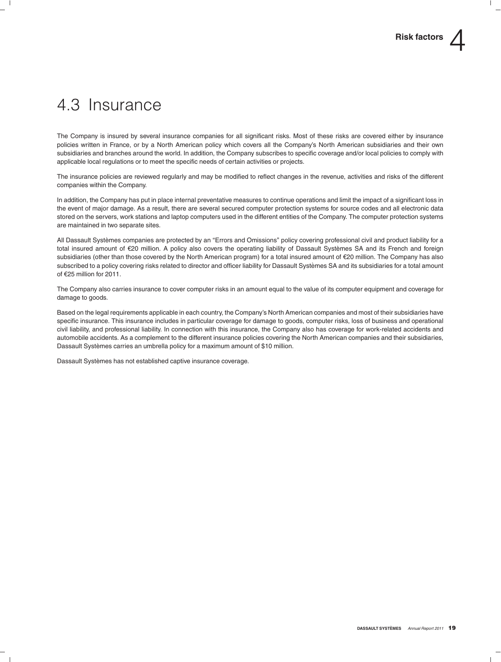# 4.3 Insurance

The Company is insured by several insurance companies for all significant risks. Most of these risks are covered either by insurance policies written in France, or by a North American policy which covers all the Company's North American subsidiaries and their own subsidiaries and branches around the world. In addition, the Company subscribes to specific coverage and/or local policies to comply with applicable local regulations or to meet the specific needs of certain activities or projects.

The insurance policies are reviewed regularly and may be modified to reflect changes in the revenue, activities and risks of the different companies within the Company.

In addition, the Company has put in place internal preventative measures to continue operations and limit the impact of a significant loss in the event of major damage. As a result, there are several secured computer protection systems for source codes and all electronic data stored on the servers, work stations and laptop computers used in the different entities of the Company. The computer protection systems are maintained in two separate sites.

All Dassault Systèmes companies are protected by an "Errors and Omissions" policy covering professional civil and product liability for a total insured amount of €20 million. A policy also covers the operating liability of Dassault Systèmes SA and its French and foreign subsidiaries (other than those covered by the North American program) for a total insured amount of €20 million. The Company has also subscribed to a policy covering risks related to director and officer liability for Dassault Systemes SA and its subsidiaries for a total amount ` of e25 million for 2011.

The Company also carries insurance to cover computer risks in an amount equal to the value of its computer equipment and coverage for damage to goods.

Based on the legal requirements applicable in each country, the Company's North American companies and most of their subsidiaries have specific insurance. This insurance includes in particular coverage for damage to goods, computer risks, loss of business and operational civil liability, and professional liability. In connection with this insurance, the Company also has coverage for work-related accidents and automobile accidents. As a complement to the different insurance policies covering the North American companies and their subsidiaries, Dassault Systèmes carries an umbrella policy for a maximum amount of \$10 million.

Dassault Systèmes has not established captive insurance coverage.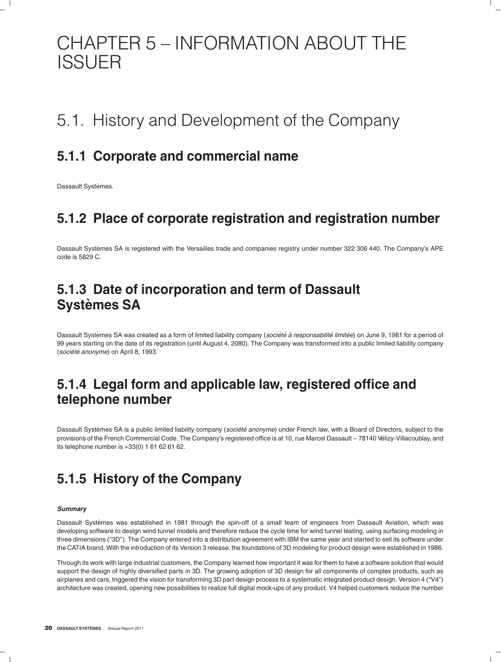# CHAPTER 5 – INFORMATION ABOUT THE ISSUER

# 5.1. History and Development of the Company

### **5.1.1 Corporate and commercial name**

Dassault Systèmes.

### **5.1.2 Place of corporate registration and registration number**

Dassault Systèmes SA is registered with the Versailles trade and companies registry under number 322 306 440. The Company's APE code is 5829 C.

### **5.1.3 Date of incorporation and term of Dassault Systemes SA `**

Dassault Systèmes SA was created as a form of limited liability company (société à responsabilité limitée) on June 9, 1981 for a period of 99 years starting on the date of its registration (until August 4, 2080). The Company was transformed into a public limited liability company (*societ ´ e anonyme ´* ) on April 8, 1993.

### **5.1.4 Legal form and applicable law, registered office and telephone number**

Dassault Systèmes SA is a public limited liability company (société anonyme) under French law, with a Board of Directors, subject to the provisions of the French Commercial Code. The Company's registered office is at 10, rue Marcel Dassault – 78140 Vélizy-Villacoublay, and its telephone number is +33(0) 1 61 62 61 62.

### **5.1.5 History of the Company**

#### *Summary*

Dassault Systemes was established in 1981 through the spin-off of a small team of engineers from Dassault Aviation, which was ` developing software to design wind tunnel models and therefore reduce the cycle time for wind tunnel testing, using surfacing modeling in three dimensions ("3D"). The Company entered into a distribution agreement with IBM the same year and started to sell its software under the CATIA brand. With the introduction of its Version 3 release, the foundations of 3D modeling for product design were established in 1986.

Through its work with large industrial customers, the Company learned how important it was for them to have a software solution that would support the design of highly diversified parts in 3D. The growing adoption of 3D design for all components of complex products, such as airplanes and cars, triggered the vision for transforming 3D part design process to a systematic integrated product design. Version 4 (''V4'') architecture was created, opening new possibilities to realize full digital mock-ups of any product. V4 helped customers reduce the number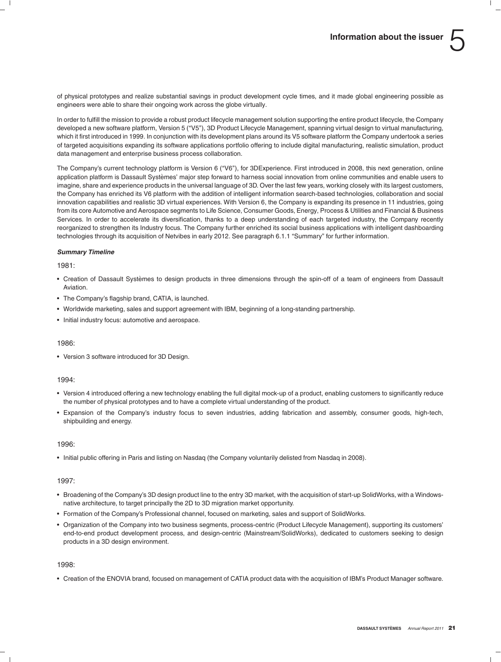of physical prototypes and realize substantial savings in product development cycle times, and it made global engineering possible as engineers were able to share their ongoing work across the globe virtually.

In order to fulfill the mission to provide a robust product lifecycle management solution supporting the entire product lifecycle, the Company developed a new software platform, Version 5 (''V5''), 3D Product Lifecycle Management, spanning virtual design to virtual manufacturing, which it first introduced in 1999. In conjunction with its development plans around its V5 software platform the Company undertook a series of targeted acquisitions expanding its software applications portfolio offering to include digital manufacturing, realistic simulation, product data management and enterprise business process collaboration.

The Company's current technology platform is Version 6 ("V6"), for 3DExperience. First introduced in 2008, this next generation, online application platform is Dassault Systèmes' major step forward to harness social innovation from online communities and enable users to imagine, share and experience products in the universal language of 3D. Over the last few years, working closely with its largest customers, the Company has enriched its V6 platform with the addition of intelligent information search-based technologies, collaboration and social innovation capabilities and realistic 3D virtual experiences. With Version 6, the Company is expanding its presence in 11 industries, going from its core Automotive and Aerospace segments to Life Science, Consumer Goods, Energy, Process & Utilities and Financial & Business Services. In order to accelerate its diversification, thanks to a deep understanding of each targeted industry, the Company recently reorganized to strengthen its Industry focus. The Company further enriched its social business applications with intelligent dashboarding technologies through its acquisition of Netvibes in early 2012. See paragraph 6.1.1 "Summary" for further information.

#### *Summary Timeline*

 $1981$ 

- Creation of Dassault Systèmes to design products in three dimensions through the spin-off of a team of engineers from Dassault Aviation.
- The Company's flagship brand, CATIA, is launched.
- Worldwide marketing, sales and support agreement with IBM, beginning of a long-standing partnership.
- Initial industry focus: automotive and aerospace.

#### 1986:

• Version 3 software introduced for 3D Design.

#### 1994:

- Version 4 introduced offering a new technology enabling the full digital mock-up of a product, enabling customers to significantly reduce the number of physical prototypes and to have a complete virtual understanding of the product.
- Expansion of the Company's industry focus to seven industries, adding fabrication and assembly, consumer goods, high-tech, shipbuilding and energy.

#### 1996:

• Initial public offering in Paris and listing on Nasdaq (the Company voluntarily delisted from Nasdaq in 2008).

#### 1997:

- Broadening of the Company's 3D design product line to the entry 3D market, with the acquisition of start-up SolidWorks, with a Windowsnative architecture, to target principally the 2D to 3D migration market opportunity.
- Formation of the Company's Professional channel, focused on marketing, sales and support of SolidWorks.
- Organization of the Company into two business segments, process-centric (Product Lifecycle Management), supporting its customers' end-to-end product development process, and design-centric (Mainstream/SolidWorks), dedicated to customers seeking to design products in a 3D design environment.

#### 1998:

• Creation of the ENOVIA brand, focused on management of CATIA product data with the acquisition of IBM's Product Manager software.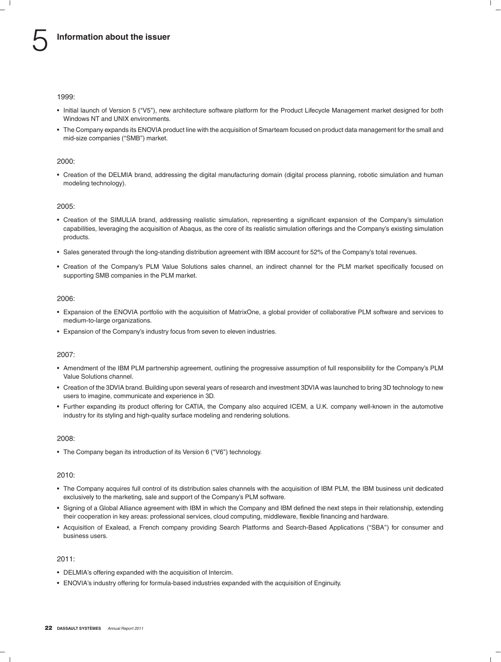1999:

- Initial launch of Version 5 (''V5''), new architecture software platform for the Product Lifecycle Management market designed for both Windows NT and UNIX environments.
- The Company expands its ENOVIA product line with the acquisition of Smarteam focused on product data management for the small and mid-size companies ("SMB") market.

#### 2000:

• Creation of the DELMIA brand, addressing the digital manufacturing domain (digital process planning, robotic simulation and human modeling technology).

#### 2005:

- Creation of the SIMULIA brand, addressing realistic simulation, representing a significant expansion of the Company's simulation capabilities, leveraging the acquisition of Abaqus, as the core of its realistic simulation offerings and the Company's existing simulation products.
- Sales generated through the long-standing distribution agreement with IBM account for 52% of the Company's total revenues.
- Creation of the Company's PLM Value Solutions sales channel, an indirect channel for the PLM market specifically focused on supporting SMB companies in the PLM market.

#### 2006:

- Expansion of the ENOVIA portfolio with the acquisition of MatrixOne, a global provider of collaborative PLM software and services to medium-to-large organizations.
- Expansion of the Company's industry focus from seven to eleven industries.

#### 2007:

- Amendment of the IBM PLM partnership agreement, outlining the progressive assumption of full responsibility for the Company's PLM Value Solutions channel.
- Creation of the 3DVIA brand. Building upon several years of research and investment 3DVIA was launched to bring 3D technology to new users to imagine, communicate and experience in 3D.
- Further expanding its product offering for CATIA, the Company also acquired ICEM, a U.K. company well-known in the automotive industry for its styling and high-quality surface modeling and rendering solutions.

#### 2008:

• The Company began its introduction of its Version 6 ("V6") technology.

#### 2010:

- The Company acquires full control of its distribution sales channels with the acquisition of IBM PLM, the IBM business unit dedicated exclusively to the marketing, sale and support of the Company's PLM software.
- Signing of a Global Alliance agreement with IBM in which the Company and IBM defined the next steps in their relationship, extending their cooperation in key areas: professional services, cloud computing, middleware, flexible financing and hardware.
- Acquisition of Exalead, a French company providing Search Platforms and Search-Based Applications (''SBA'') for consumer and business users.

#### 2011:

- DELMIA's offering expanded with the acquisition of Intercim.
- ENOVIA's industry offering for formula-based industries expanded with the acquisition of Enginuity.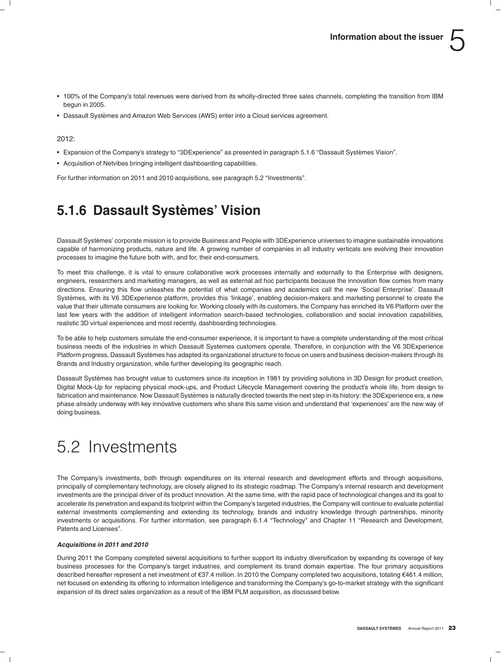- 100% of the Company's total revenues were derived from its wholly-directed three sales channels, completing the transition from IBM begun in 2005.
- Dassault Systemes and Amazon Web Services (AWS) enter into a Cloud services agreement. `

#### 2012:

- Expansion of the Company's strategy to "3DExperience" as presented in paragraph 5.1.6 "Dassault Systèmes Vision".
- Acquisition of Netvibes bringing intelligent dashboarding capabilities.

For further information on 2011 and 2010 acquisitions, see paragraph 5.2 ''Investments''.

### **5.1.6 Dassault Systemes' Vision `**

Dassault Systemes' corporate mission is to provide Business and People with 3DExperience universes to imagine sustainable innovations ` capable of harmonizing products, nature and life. A growing number of companies in all industry verticals are evolving their innovation processes to imagine the future both with, and for, their end-consumers.

To meet this challenge, it is vital to ensure collaborative work processes internally and externally to the Enterprise with designers, engineers, researchers and marketing managers, as well as external ad hoc participants because the innovation flow comes from many directions. Ensuring this flow unleashes the potential of what companies and academics call the new 'Social Enterprise'. Dassault Systèmes, with its V6 3DExperience platform, provides this 'linkage', enabling decision-makers and marketing personnel to create the value that their ultimate consumers are looking for. Working closely with its customers, the Company has enriched its V6 Platform over the last few years with the addition of intelligent information search-based technologies, collaboration and social innovation capabilities, realistic 3D virtual experiences and most recently, dashboarding technologies.

To be able to help customers simulate the end-consumer experience, it is important to have a complete understanding of the most critical business needs of the industries in which Dassault Systemes customers operate. Therefore, in conjunction with the V6 3DExperience Platform progress, Dassault Systèmes has adapted its organizational structure to focus on users and business decision-makers through its Brands and Industry organization, while further developing its geographic reach.

Dassault Systèmes has brought value to customers since its inception in 1981 by providing solutions in 3D Design for product creation, Digital Mock-Up for replacing physical mock-ups, and Product Lifecycle Management covering the product's whole life, from design to fabrication and maintenance. Now Dassault Systèmes is naturally directed towards the next step in its history: the 3DExperience era, a new phase already underway with key innovative customers who share this same vision and understand that 'experiences' are the new way of doing business.

# 5.2 Investments

The Company's investments, both through expenditures on its internal research and development efforts and through acquisitions, principally of complementary technology, are closely aligned to its strategic roadmap. The Company's internal research and development investments are the principal driver of its product innovation. At the same time, with the rapid pace of technological changes and its goal to accelerate its penetration and expand its footprint within the Company's targeted industries, the Company will continue to evaluate potential external investments complementing and extending its technology, brands and industry knowledge through partnerships, minority investments or acquisitions. For further information, see paragraph 6.1.4 "Technology" and Chapter 11 "Research and Development, Patents and Licenses''.

#### *Acquisitions in 2011 and 2010*

During 2011 the Company completed several acquisitions to further support its industry diversification by expanding its coverage of key business processes for the Company's target industries, and complement its brand domain expertise. The four primary acquisitions described hereafter represent a net investment of €37.4 million. In 2010 the Company completed two acquisitions, totaling €461.4 million, net focused on extending its offering to information intelligence and transforming the Company's go-to-market strategy with the significant expansion of its direct sales organization as a result of the IBM PLM acquisition, as discussed below.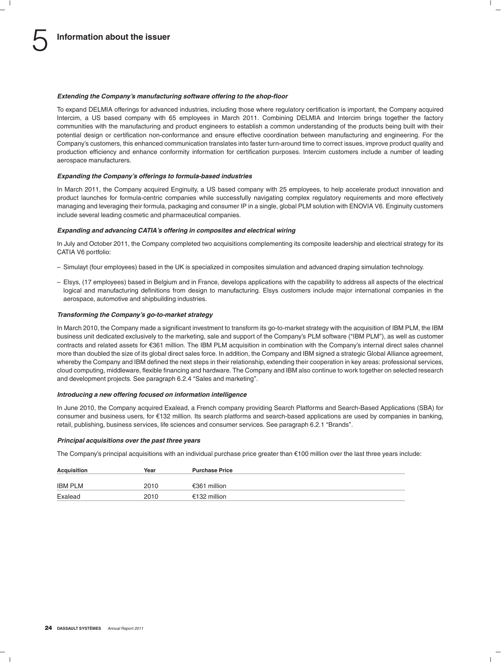#### *Extending the Company's manufacturing software offering to the shop-floor*

To expand DELMIA offerings for advanced industries, including those where regulatory certification is important, the Company acquired Intercim, a US based company with 65 employees in March 2011. Combining DELMIA and Intercim brings together the factory communities with the manufacturing and product engineers to establish a common understanding of the products being built with their potential design or certification non-conformance and ensure effective coordination between manufacturing and engineering. For the Company's customers, this enhanced communication translates into faster turn-around time to correct issues, improve product quality and production efficiency and enhance conformity information for certification purposes. Intercim customers include a number of leading aerospace manufacturers.

#### *Expanding the Company's offerings to formula-based industries*

In March 2011, the Company acquired Enginuity, a US based company with 25 employees, to help accelerate product innovation and product launches for formula-centric companies while successfully navigating complex regulatory requirements and more effectively managing and leveraging their formula, packaging and consumer IP in a single, global PLM solution with ENOVIA V6. Enginuity customers include several leading cosmetic and pharmaceutical companies.

#### *Expanding and advancing CATIA's offering in composites and electrical wiring*

In July and October 2011, the Company completed two acquisitions complementing its composite leadership and electrical strategy for its CATIA V6 portfolio:

- Simulayt (four employees) based in the UK is specialized in composites simulation and advanced draping simulation technology.
- Elsys, (17 employees) based in Belgium and in France, develops applications with the capability to address all aspects of the electrical logical and manufacturing definitions from design to manufacturing. Elsys customers include major international companies in the aerospace, automotive and shipbuilding industries.

#### *Transforming the Company's go-to-market strategy*

In March 2010, the Company made a significant investment to transform its go-to-market strategy with the acquisition of IBM PLM, the IBM business unit dedicated exclusively to the marketing, sale and support of the Company's PLM software (''IBM PLM''), as well as customer contracts and related assets for e361 million. The IBM PLM acquisition in combination with the Company's internal direct sales channel more than doubled the size of its global direct sales force. In addition, the Company and IBM signed a strategic Global Alliance agreement, whereby the Company and IBM defined the next steps in their relationship, extending their cooperation in key areas: professional services, cloud computing, middleware, flexible financing and hardware. The Company and IBM also continue to work together on selected research and development projects. See paragraph 6.2.4 "Sales and marketing".

#### *Introducing a new offering focused on information intelligence*

In June 2010, the Company acquired Exalead, a French company providing Search Platforms and Search-Based Applications (SBA) for consumer and business users, for e132 million. Its search platforms and search-based applications are used by companies in banking, retail, publishing, business services, life sciences and consumer services. See paragraph 6.2.1 ''Brands''.

#### *Principal acquisitions over the past three years*

The Company's principal acquisitions with an individual purchase price greater than  $\epsilon$ 100 million over the last three years include:

| <b>Acquisition</b> | Year | <b>Purchase Price</b> |
|--------------------|------|-----------------------|
| <b>IBM PLM</b>     | 2010 | €361 million          |
| Exalead            | 2010 | €132 million          |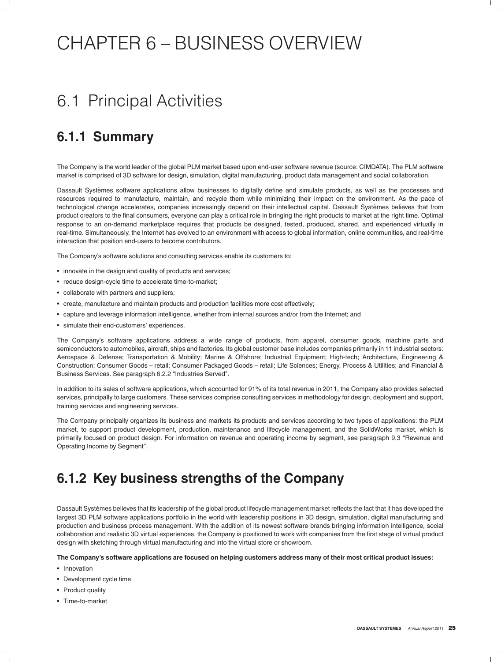# CHAPTER 6 – BUSINESS OVERVIEW

# 6.1 Principal Activities

### **6.1.1 Summary**

The Company is the world leader of the global PLM market based upon end-user software revenue (source: CIMDATA). The PLM software market is comprised of 3D software for design, simulation, digital manufacturing, product data management and social collaboration.

Dassault Systèmes software applications allow businesses to digitally define and simulate products, as well as the processes and resources required to manufacture, maintain, and recycle them while minimizing their impact on the environment. As the pace of technological change accelerates, companies increasingly depend on their intellectual capital. Dassault Systèmes believes that from product creators to the final consumers, everyone can play a critical role in bringing the right products to market at the right time. Optimal response to an on-demand marketplace requires that products be designed, tested, produced, shared, and experienced virtually in real-time. Simultaneously, the Internet has evolved to an environment with access to global information, online communities, and real-time interaction that position end-users to become contributors.

The Company's software solutions and consulting services enable its customers to:

- innovate in the design and quality of products and services;
- reduce design-cycle time to accelerate time-to-market;
- collaborate with partners and suppliers;
- create, manufacture and maintain products and production facilities more cost effectively;
- capture and leverage information intelligence, whether from internal sources and/or from the Internet; and
- simulate their end-customers' experiences.

The Company's software applications address a wide range of products, from apparel, consumer goods, machine parts and semiconductors to automobiles, aircraft, ships and factories. Its global customer base includes companies primarily in 11 industrial sectors: Aerospace & Defense; Transportation & Mobility; Marine & Offshore; Industrial Equipment; High-tech; Architecture, Engineering & Construction; Consumer Goods – retail; Consumer Packaged Goods – retail; Life Sciences; Energy, Process & Utilities; and Financial & Business Services. See paragraph 6.2.2 ''Industries Served''.

In addition to its sales of software applications, which accounted for 91% of its total revenue in 2011, the Company also provides selected services, principally to large customers. These services comprise consulting services in methodology for design, deployment and support, training services and engineering services.

The Company principally organizes its business and markets its products and services according to two types of applications: the PLM market, to support product development, production, maintenance and lifecycle management, and the SolidWorks market, which is primarily focused on product design. For information on revenue and operating income by segment, see paragraph 9.3 "Revenue and Operating Income by Segment''.

### **6.1.2 Key business strengths of the Company**

Dassault Systèmes believes that its leadership of the global product lifecycle management market reflects the fact that it has developed the largest 3D PLM software applications portfolio in the world with leadership positions in 3D design, simulation, digital manufacturing and production and business process management. With the addition of its newest software brands bringing information intelligence, social collaboration and realistic 3D virtual experiences, the Company is positioned to work with companies from the first stage of virtual product design with sketching through virtual manufacturing and into the virtual store or showroom.

#### **The Company's software applications are focused on helping customers address many of their most critical product issues:**

- Innovation
- Development cycle time
- Product quality
- Time-to-market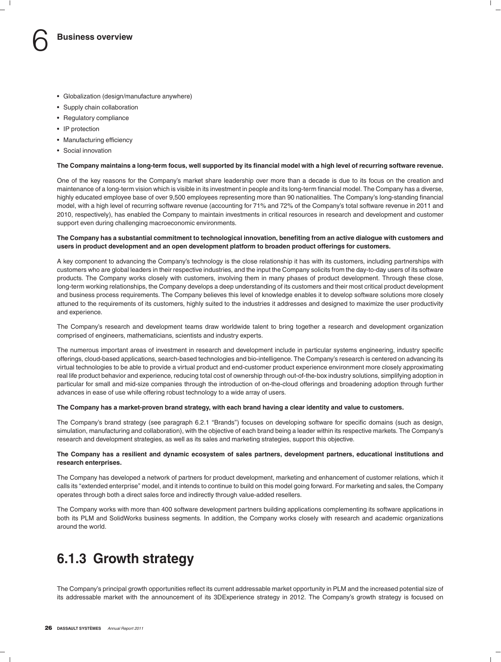- Globalization (design/manufacture anywhere)
- Supply chain collaboration
- Regulatory compliance
- IP protection
- Manufacturing efficiency
- Social innovation

#### **The Company maintains a long-term focus, well supported by its financial model with a high level of recurring software revenue.**

One of the key reasons for the Company's market share leadership over more than a decade is due to its focus on the creation and maintenance of a long-term vision which is visible in its investment in people and its long-term financial model. The Company has a diverse, highly educated employee base of over 9,500 employees representing more than 90 nationalities. The Company's long-standing financial model, with a high level of recurring software revenue (accounting for 71% and 72% of the Company's total software revenue in 2011 and 2010, respectively), has enabled the Company to maintain investments in critical resources in research and development and customer support even during challenging macroeconomic environments.

#### **The Company has a substantial commitment to technological innovation, benefiting from an active dialogue with customers and users in product development and an open development platform to broaden product offerings for customers.**

A key component to advancing the Company's technology is the close relationship it has with its customers, including partnerships with customers who are global leaders in their respective industries, and the input the Company solicits from the day-to-day users of its software products. The Company works closely with customers, involving them in many phases of product development. Through these close, long-term working relationships, the Company develops a deep understanding of its customers and their most critical product development and business process requirements. The Company believes this level of knowledge enables it to develop software solutions more closely attuned to the requirements of its customers, highly suited to the industries it addresses and designed to maximize the user productivity and experience.

The Company's research and development teams draw worldwide talent to bring together a research and development organization comprised of engineers, mathematicians, scientists and industry experts.

The numerous important areas of investment in research and development include in particular systems engineering, industry specific offerings, cloud-based applications, search-based technologies and bio-intelligence. The Company's research is centered on advancing its virtual technologies to be able to provide a virtual product and end-customer product experience environment more closely approximating real life product behavior and experience, reducing total cost of ownership through out-of-the-box industry solutions, simplifying adoption in particular for small and mid-size companies through the introduction of on-the-cloud offerings and broadening adoption through further advances in ease of use while offering robust technology to a wide array of users.

#### **The Company has a market-proven brand strategy, with each brand having a clear identity and value to customers.**

The Company's brand strategy (see paragraph 6.2.1 ''Brands'') focuses on developing software for specific domains (such as design, simulation, manufacturing and collaboration), with the objective of each brand being a leader within its respective markets. The Company's research and development strategies, as well as its sales and marketing strategies, support this objective.

#### **The Company has a resilient and dynamic ecosystem of sales partners, development partners, educational institutions and research enterprises.**

The Company has developed a network of partners for product development, marketing and enhancement of customer relations, which it calls its ''extended enterprise'' model, and it intends to continue to build on this model going forward. For marketing and sales, the Company operates through both a direct sales force and indirectly through value-added resellers.

The Company works with more than 400 software development partners building applications complementing its software applications in both its PLM and SolidWorks business segments. In addition, the Company works closely with research and academic organizations around the world.

### **6.1.3 Growth strategy**

The Company's principal growth opportunities reflect its current addressable market opportunity in PLM and the increased potential size of its addressable market with the announcement of its 3DExperience strategy in 2012. The Company's growth strategy is focused on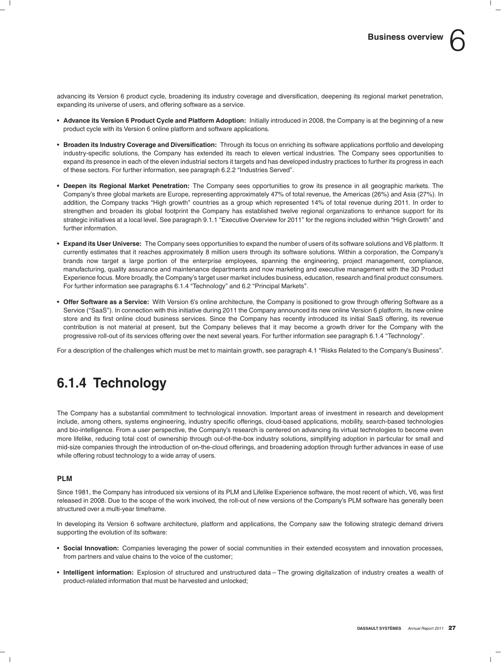advancing its Version 6 product cycle, broadening its industry coverage and diversification, deepening its regional market penetration, expanding its universe of users, and offering software as a service.

- **Advance its Version 6 Product Cycle and Platform Adoption:** Initially introduced in 2008, the Company is at the beginning of a new product cycle with its Version 6 online platform and software applications.
- **Broaden its Industry Coverage and Diversification:** Through its focus on enriching its software applications portfolio and developing industry-specific solutions, the Company has extended its reach to eleven vertical industries. The Company sees opportunities to expand its presence in each of the eleven industrial sectors it targets and has developed industry practices to further its progress in each of these sectors. For further information, see paragraph 6.2.2 ''Industries Served''.
- **Deepen its Regional Market Penetration:** The Company sees opportunities to grow its presence in all geographic markets. The Company's three global markets are Europe, representing approximately 47% of total revenue, the Americas (26%) and Asia (27%). In addition, the Company tracks ''High growth'' countries as a group which represented 14% of total revenue during 2011. In order to strengthen and broaden its global footprint the Company has established twelve regional organizations to enhance support for its strategic initiatives at a local level. See paragraph 9.1.1 "Executive Overview for 2011" for the regions included within "High Growth" and further information.
- **Expand its User Universe:** The Company sees opportunities to expand the number of users of its software solutions and V6 platform. It currently estimates that it reaches approximately 8 million users through its software solutions. Within a corporation, the Company's brands now target a large portion of the enterprise employees, spanning the engineering, project management, compliance, manufacturing, quality assurance and maintenance departments and now marketing and executive management with the 3D Product Experience focus. More broadly, the Company's target user market includes business, education, research and final product consumers. For further information see paragraphs 6.1.4 "Technology" and 6.2 "Principal Markets".
- **Offer Software as a Service:** With Version 6's online architecture, the Company is positioned to grow through offering Software as a Service (''SaaS''). In connection with this initiative during 2011 the Company announced its new online Version 6 platform, its new online store and its first online cloud business services. Since the Company has recently introduced its initial SaaS offering, its revenue contribution is not material at present, but the Company believes that it may become a growth driver for the Company with the progressive roll-out of its services offering over the next several years. For further information see paragraph 6.1.4 "Technology".

For a description of the challenges which must be met to maintain growth, see paragraph 4.1 "Risks Related to the Company's Business".

### **6.1.4 Technology**

The Company has a substantial commitment to technological innovation. Important areas of investment in research and development include, among others, systems engineering, industry specific offerings, cloud-based applications, mobility, search-based technologies and bio-intelligence. From a user perspective, the Company's research is centered on advancing its virtual technologies to become even more lifelike, reducing total cost of ownership through out-of-the-box industry solutions, simplifying adoption in particular for small and mid-size companies through the introduction of on-the-cloud offerings, and broadening adoption through further advances in ease of use while offering robust technology to a wide array of users.

#### **PLM**

Since 1981, the Company has introduced six versions of its PLM and Lifelike Experience software, the most recent of which, V6, was first released in 2008. Due to the scope of the work involved, the roll-out of new versions of the Company's PLM software has generally been structured over a multi-year timeframe.

In developing its Version 6 software architecture, platform and applications, the Company saw the following strategic demand drivers supporting the evolution of its software:

- **Social Innovation:** Companies leveraging the power of social communities in their extended ecosystem and innovation processes, from partners and value chains to the voice of the customer;
- **Intelligent information:** Explosion of structured and unstructured data The growing digitalization of industry creates a wealth of product-related information that must be harvested and unlocked;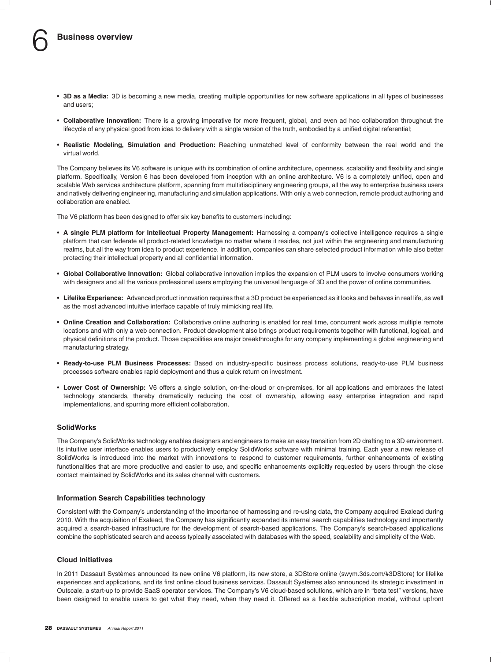- **3D as a Media:** 3D is becoming a new media, creating multiple opportunities for new software applications in all types of businesses and users;
- **Collaborative Innovation:** There is a growing imperative for more frequent, global, and even ad hoc collaboration throughout the lifecycle of any physical good from idea to delivery with a single version of the truth, embodied by a unified digital referential;
- **Realistic Modeling, Simulation and Production:** Reaching unmatched level of conformity between the real world and the virtual world.

The Company believes its V6 software is unique with its combination of online architecture, openness, scalability and flexibility and single platform. Specifically, Version 6 has been developed from inception with an online architecture. V6 is a completely unified, open and scalable Web services architecture platform, spanning from multidisciplinary engineering groups, all the way to enterprise business users and natively delivering engineering, manufacturing and simulation applications. With only a web connection, remote product authoring and collaboration are enabled.

The V6 platform has been designed to offer six key benefits to customers including:

- **A single PLM platform for Intellectual Property Management:** Harnessing a company's collective intelligence requires a single platform that can federate all product-related knowledge no matter where it resides, not just within the engineering and manufacturing realms, but all the way from idea to product experience. In addition, companies can share selected product information while also better protecting their intellectual property and all confidential information.
- **Global Collaborative Innovation:** Global collaborative innovation implies the expansion of PLM users to involve consumers working with designers and all the various professional users employing the universal language of 3D and the power of online communities.
- **Lifelike Experience:** Advanced product innovation requires that a 3D product be experienced as it looks and behaves in real life, as well as the most advanced intuitive interface capable of truly mimicking real life.
- **Online Creation and Collaboration:** Collaborative online authoring is enabled for real time, concurrent work across multiple remote locations and with only a web connection. Product development also brings product requirements together with functional, logical, and physical definitions of the product. Those capabilities are major breakthroughs for any company implementing a global engineering and manufacturing strategy.
- **Ready-to-use PLM Business Processes:** Based on industry-specific business process solutions, ready-to-use PLM business processes software enables rapid deployment and thus a quick return on investment.
- **Lower Cost of Ownership:** V6 offers a single solution, on-the-cloud or on-premises, for all applications and embraces the latest technology standards, thereby dramatically reducing the cost of ownership, allowing easy enterprise integration and rapid implementations, and spurring more efficient collaboration.

#### **SolidWorks**

The Company's SolidWorks technology enables designers and engineers to make an easy transition from 2D drafting to a 3D environment. Its intuitive user interface enables users to productively employ SolidWorks software with minimal training. Each year a new release of SolidWorks is introduced into the market with innovations to respond to customer requirements, further enhancements of existing functionalities that are more productive and easier to use, and specific enhancements explicitly requested by users through the close contact maintained by SolidWorks and its sales channel with customers.

#### **Information Search Capabilities technology**

Consistent with the Company's understanding of the importance of harnessing and re-using data, the Company acquired Exalead during 2010. With the acquisition of Exalead, the Company has significantly expanded its internal search capabilities technology and importantly acquired a search-based infrastructure for the development of search-based applications. The Company's search-based applications combine the sophisticated search and access typically associated with databases with the speed, scalability and simplicity of the Web.

#### **Cloud Initiatives**

In 2011 Dassault Systèmes announced its new online V6 platform, its new store, a 3DStore online (swym.3ds.com/#3DStore) for lifelike experiences and applications, and its first online cloud business services. Dassault Systemes also announced its strategic investment in ` Outscale, a start-up to provide SaaS operator services. The Company's V6 cloud-based solutions, which are in ''beta test'' versions, have been designed to enable users to get what they need, when they need it. Offered as a flexible subscription model, without upfront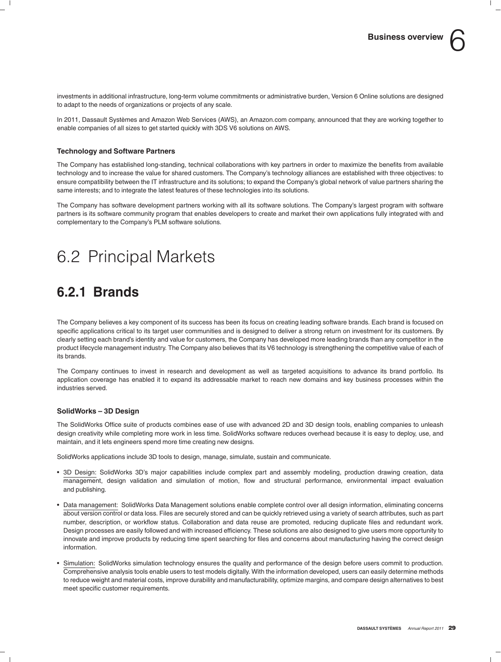investments in additional infrastructure, long-term volume commitments or administrative burden, Version 6 Online solutions are designed to adapt to the needs of organizations or projects of any scale.

In 2011, Dassault Systèmes and Amazon Web Services (AWS), an Amazon.com company, announced that they are working together to enable companies of all sizes to get started quickly with 3DS V6 solutions on AWS.

#### **Technology and Software Partners**

The Company has established long-standing, technical collaborations with key partners in order to maximize the benefits from available technology and to increase the value for shared customers. The Company's technology alliances are established with three objectives: to ensure compatibility between the IT infrastructure and its solutions; to expand the Company's global network of value partners sharing the same interests; and to integrate the latest features of these technologies into its solutions.

The Company has software development partners working with all its software solutions. The Company's largest program with software partners is its software community program that enables developers to create and market their own applications fully integrated with and complementary to the Company's PLM software solutions.

# 6.2 Principal Markets

### **6.2.1 Brands**

The Company believes a key component of its success has been its focus on creating leading software brands. Each brand is focused on specific applications critical to its target user communities and is designed to deliver a strong return on investment for its customers. By clearly setting each brand's identity and value for customers, the Company has developed more leading brands than any competitor in the product lifecycle management industry. The Company also believes that its V6 technology is strengthening the competitive value of each of its brands.

The Company continues to invest in research and development as well as targeted acquisitions to advance its brand portfolio. Its application coverage has enabled it to expand its addressable market to reach new domains and key business processes within the industries served.

#### **SolidWorks – 3D Design**

The SolidWorks Office suite of products combines ease of use with advanced 2D and 3D design tools, enabling companies to unleash design creativity while completing more work in less time. SolidWorks software reduces overhead because it is easy to deploy, use, and maintain, and it lets engineers spend more time creating new designs.

SolidWorks applications include 3D tools to design, manage, simulate, sustain and communicate.

- 3D Design: SolidWorks 3D's major capabilities include complex part and assembly modeling, production drawing creation, data management, design validation and simulation of motion, flow and structural performance, environmental impact evaluation and publishing.
- Data management: SolidWorks Data Management solutions enable complete control over all design information, eliminating concerns about version control or data loss. Files are securely stored and can be quickly retrieved using a variety of search attributes, such as part number, description, or workflow status. Collaboration and data reuse are promoted, reducing duplicate files and redundant work. Design processes are easily followed and with increased efficiency. These solutions are also designed to give users more opportunity to innovate and improve products by reducing time spent searching for files and concerns about manufacturing having the correct design information.
- Simulation: SolidWorks simulation technology ensures the quality and performance of the design before users commit to production. Comprehensive analysis tools enable users to test models digitally. With the information developed, users can easily determine methods to reduce weight and material costs, improve durability and manufacturability, optimize margins, and compare design alternatives to best meet specific customer requirements.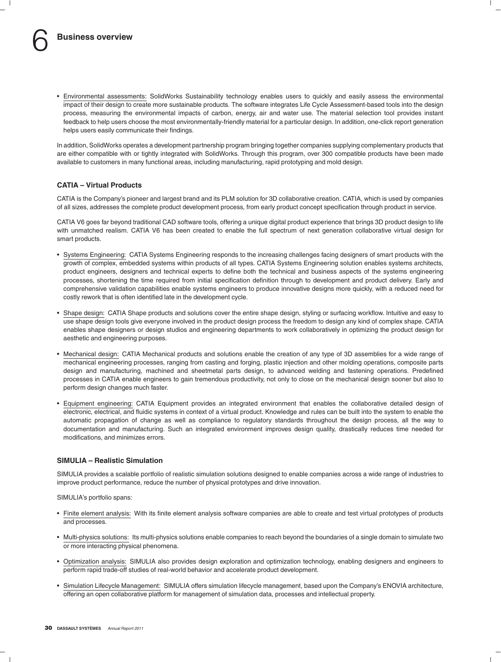• Environmental assessments: SolidWorks Sustainability technology enables users to quickly and easily assess the environmental impact of their design to create more sustainable products. The software integrates Life Cycle Assessment-based tools into the design process, measuring the environmental impacts of carbon, energy, air and water use. The material selection tool provides instant feedback to help users choose the most environmentally-friendly material for a particular design. In addition, one-click report generation helps users easily communicate their findings.

In addition, SolidWorks operates a development partnership program bringing together companies supplying complementary products that are either compatible with or tightly integrated with SolidWorks. Through this program, over 300 compatible products have been made available to customers in many functional areas, including manufacturing, rapid prototyping and mold design.

#### **CATIA – Virtual Products**

CATIA is the Company's pioneer and largest brand and its PLM solution for 3D collaborative creation. CATIA, which is used by companies of all sizes, addresses the complete product development process, from early product concept specification through product in service.

CATIA V6 goes far beyond traditional CAD software tools, offering a unique digital product experience that brings 3D product design to life with unmatched realism. CATIA V6 has been created to enable the full spectrum of next generation collaborative virtual design for smart products.

- Systems Engineering: CATIA Systems Engineering responds to the increasing challenges facing designers of smart products with the growth of complex, embedded systems within products of all types. CATIA Systems Engineering solution enables systems architects, product engineers, designers and technical experts to define both the technical and business aspects of the systems engineering processes, shortening the time required from initial specification definition through to development and product delivery. Early and comprehensive validation capabilities enable systems engineers to produce innovative designs more quickly, with a reduced need for costly rework that is often identified late in the development cycle.
- Shape design: CATIA Shape products and solutions cover the entire shape design, styling or surfacing workflow. Intuitive and easy to use shape design tools give everyone involved in the product design process the freedom to design any kind of complex shape. CATIA enables shape designers or design studios and engineering departments to work collaboratively in optimizing the product design for aesthetic and engineering purposes.
- Mechanical design: CATIA Mechanical products and solutions enable the creation of any type of 3D assemblies for a wide range of mechanical engineering processes, ranging from casting and forging, plastic injection and other molding operations, composite parts design and manufacturing, machined and sheetmetal parts design, to advanced welding and fastening operations. Predefined processes in CATIA enable engineers to gain tremendous productivity, not only to close on the mechanical design sooner but also to perform design changes much faster.
- Equipment engineering: CATIA Equipment provides an integrated environment that enables the collaborative detailed design of electronic, electrical, and fluidic systems in context of a virtual product. Knowledge and rules can be built into the system to enable the automatic propagation of change as well as compliance to regulatory standards throughout the design process, all the way to documentation and manufacturing. Such an integrated environment improves design quality, drastically reduces time needed for modifications, and minimizes errors.

#### **SIMULIA – Realistic Simulation**

SIMULIA provides a scalable portfolio of realistic simulation solutions designed to enable companies across a wide range of industries to improve product performance, reduce the number of physical prototypes and drive innovation.

SIMULIA's portfolio spans:

- Finite element analysis: With its finite element analysis software companies are able to create and test virtual prototypes of products and processes.
- Multi-physics solutions: Its multi-physics solutions enable companies to reach beyond the boundaries of a single domain to simulate two or more interacting physical phenomena.
- Optimization analysis: SIMULIA also provides design exploration and optimization technology, enabling designers and engineers to perform rapid trade-off studies of real-world behavior and accelerate product development.
- Simulation Lifecycle Management: SIMULIA offers simulation lifecycle management, based upon the Company's ENOVIA architecture, offering an open collaborative platform for management of simulation data, processes and intellectual property.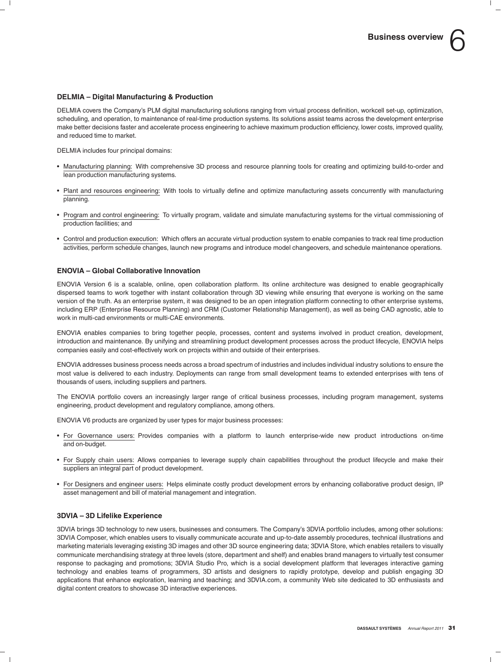#### **DELMIA – Digital Manufacturing & Production**

DELMIA covers the Company's PLM digital manufacturing solutions ranging from virtual process definition, workcell set-up, optimization, scheduling, and operation, to maintenance of real-time production systems. Its solutions assist teams across the development enterprise make better decisions faster and accelerate process engineering to achieve maximum production efficiency, lower costs, improved quality, and reduced time to market.

DELMIA includes four principal domains:

- Manufacturing planning: With comprehensive 3D process and resource planning tools for creating and optimizing build-to-order and lean production manufacturing systems.
- Plant and resources engineering: With tools to virtually define and optimize manufacturing assets concurrently with manufacturing planning.
- Program and control engineering: To virtually program, validate and simulate manufacturing systems for the virtual commissioning of production facilities; and
- Control and production execution: Which offers an accurate virtual production system to enable companies to track real time production activities, perform schedule changes, launch new programs and introduce model changeovers, and schedule maintenance operations.

#### **ENOVIA – Global Collaborative Innovation**

ENOVIA Version 6 is a scalable, online, open collaboration platform. Its online architecture was designed to enable geographically dispersed teams to work together with instant collaboration through 3D viewing while ensuring that everyone is working on the same version of the truth. As an enterprise system, it was designed to be an open integration platform connecting to other enterprise systems, including ERP (Enterprise Resource Planning) and CRM (Customer Relationship Management), as well as being CAD agnostic, able to work in multi-cad environments or multi-CAE environments.

ENOVIA enables companies to bring together people, processes, content and systems involved in product creation, development, introduction and maintenance. By unifying and streamlining product development processes across the product lifecycle, ENOVIA helps companies easily and cost-effectively work on projects within and outside of their enterprises.

ENOVIA addresses business process needs across a broad spectrum of industries and includes individual industry solutions to ensure the most value is delivered to each industry. Deployments can range from small development teams to extended enterprises with tens of thousands of users, including suppliers and partners.

The ENOVIA portfolio covers an increasingly larger range of critical business processes, including program management, systems engineering, product development and regulatory compliance, among others.

ENOVIA V6 products are organized by user types for major business processes:

- For Governance users: Provides companies with a platform to launch enterprise-wide new product introductions on-time and on-budget.
- For Supply chain users: Allows companies to leverage supply chain capabilities throughout the product lifecycle and make their suppliers an integral part of product development.
- For Designers and engineer users: Helps eliminate costly product development errors by enhancing collaborative product design, IP asset management and bill of material management and integration.

#### **3DVIA – 3D Lifelike Experience**

3DVIA brings 3D technology to new users, businesses and consumers. The Company's 3DVIA portfolio includes, among other solutions: 3DVIA Composer, which enables users to visually communicate accurate and up-to-date assembly procedures, technical illustrations and marketing materials leveraging existing 3D images and other 3D source engineering data; 3DVIA Store, which enables retailers to visually communicate merchandising strategy at three levels (store, department and shelf) and enables brand managers to virtually test consumer response to packaging and promotions; 3DVIA Studio Pro, which is a social development platform that leverages interactive gaming technology and enables teams of programmers, 3D artists and designers to rapidly prototype, develop and publish engaging 3D applications that enhance exploration, learning and teaching; and 3DVIA.com, a community Web site dedicated to 3D enthusiasts and digital content creators to showcase 3D interactive experiences.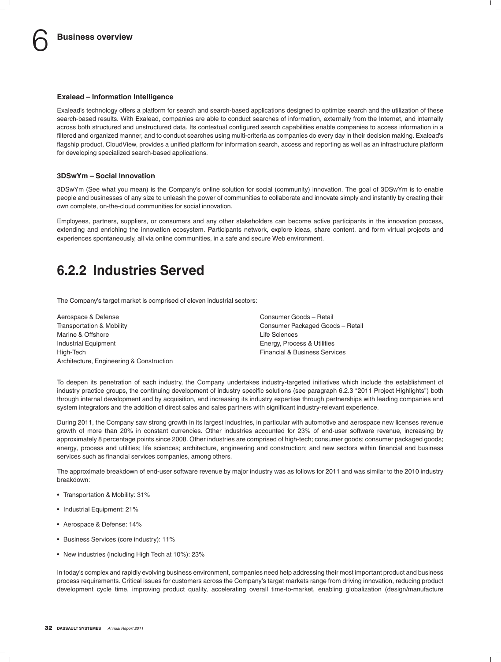#### **Exalead – Information Intelligence**

Exalead's technology offers a platform for search and search-based applications designed to optimize search and the utilization of these search-based results. With Exalead, companies are able to conduct searches of information, externally from the Internet, and internally across both structured and unstructured data. Its contextual configured search capabilities enable companies to access information in a filtered and organized manner, and to conduct searches using multi-criteria as companies do every day in their decision making. Exalead's flagship product, CloudView, provides a unified platform for information search, access and reporting as well as an infrastructure platform for developing specialized search-based applications.

#### **3DSwYm – Social Innovation**

3DSwYm (See what you mean) is the Company's online solution for social (community) innovation. The goal of 3DSwYm is to enable people and businesses of any size to unleash the power of communities to collaborate and innovate simply and instantly by creating their own complete, on-the-cloud communities for social innovation.

Employees, partners, suppliers, or consumers and any other stakeholders can become active participants in the innovation process, extending and enriching the innovation ecosystem. Participants network, explore ideas, share content, and form virtual projects and experiences spontaneously, all via online communities, in a safe and secure Web environment.

### **6.2.2 Industries Served**

The Company's target market is comprised of eleven industrial sectors:

Aerospace & Defense Consumer Goods – Retail Transportation & Mobility Consumer Packaged Goods – Retail Marine & Offshore **Life Sciences** Industrial Equipment Energy, Process & Utilities High-Tech Financial & Business Services Architecture, Engineering & Construction

To deepen its penetration of each industry, the Company undertakes industry-targeted initiatives which include the establishment of industry practice groups, the continuing development of industry specific solutions (see paragraph 6.2.3 "2011 Project Highlights") both through internal development and by acquisition, and increasing its industry expertise through partnerships with leading companies and system integrators and the addition of direct sales and sales partners with significant industry-relevant experience.

During 2011, the Company saw strong growth in its largest industries, in particular with automotive and aerospace new licenses revenue growth of more than 20% in constant currencies. Other industries accounted for 23% of end-user software revenue, increasing by approximately 8 percentage points since 2008. Other industries are comprised of high-tech; consumer goods; consumer packaged goods; energy, process and utilities; life sciences; architecture, engineering and construction; and new sectors within financial and business services such as financial services companies, among others.

The approximate breakdown of end-user software revenue by major industry was as follows for 2011 and was similar to the 2010 industry breakdown:

- Transportation & Mobility: 31%
- Industrial Equipment: 21%
- Aerospace & Defense: 14%
- Business Services (core industry): 11%
- New industries (including High Tech at 10%): 23%

In today's complex and rapidly evolving business environment, companies need help addressing their most important product and business process requirements. Critical issues for customers across the Company's target markets range from driving innovation, reducing product development cycle time, improving product quality, accelerating overall time-to-market, enabling globalization (design/manufacture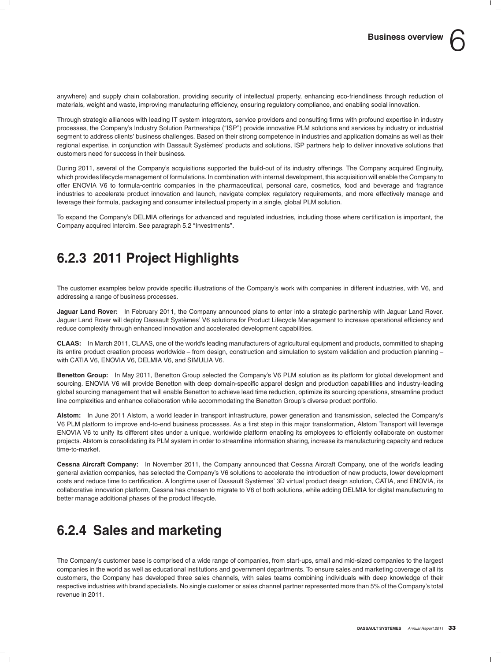anywhere) and supply chain collaboration, providing security of intellectual property, enhancing eco-friendliness through reduction of materials, weight and waste, improving manufacturing efficiency, ensuring regulatory compliance, and enabling social innovation.

Through strategic alliances with leading IT system integrators, service providers and consulting firms with profound expertise in industry processes, the Company's Industry Solution Partnerships ("ISP") provide innovative PLM solutions and services by industry or industrial segment to address clients' business challenges. Based on their strong competence in industries and application domains as well as their regional expertise, in conjunction with Dassault Systèmes' products and solutions, ISP partners help to deliver innovative solutions that customers need for success in their business.

During 2011, several of the Company's acquisitions supported the build-out of its industry offerings. The Company acquired Enginuity, which provides lifecycle management of formulations. In combination with internal development, this acquisition will enable the Company to offer ENOVIA V6 to formula-centric companies in the pharmaceutical, personal care, cosmetics, food and beverage and fragrance industries to accelerate product innovation and launch, navigate complex requilatory requirements, and more effectively manage and leverage their formula, packaging and consumer intellectual property in a single, global PLM solution.

To expand the Company's DELMIA offerings for advanced and regulated industries, including those where certification is important, the Company acquired Intercim. See paragraph 5.2 ''Investments''.

### **6.2.3 2011 Project Highlights**

The customer examples below provide specific illustrations of the Company's work with companies in different industries, with V6, and addressing a range of business processes.

**Jaguar Land Rover:** In February 2011, the Company announced plans to enter into a strategic partnership with Jaguar Land Rover. Jaguar Land Rover will deploy Dassault Systèmes' V6 solutions for Product Lifecycle Management to increase operational efficiency and reduce complexity through enhanced innovation and accelerated development capabilities.

**CLAAS:** In March 2011, CLAAS, one of the world's leading manufacturers of agricultural equipment and products, committed to shaping its entire product creation process worldwide – from design, construction and simulation to system validation and production planning – with CATIA V6, ENOVIA V6, DELMIA V6, and SIMULIA V6.

**Benetton Group:** In May 2011, Benetton Group selected the Company's V6 PLM solution as its platform for global development and sourcing. ENOVIA V6 will provide Benetton with deep domain-specific apparel design and production capabilities and industry-leading global sourcing management that will enable Benetton to achieve lead time reduction, optimize its sourcing operations, streamline product line complexities and enhance collaboration while accommodating the Benetton Group's diverse product portfolio.

**Alstom:** In June 2011 Alstom, a world leader in transport infrastructure, power generation and transmission, selected the Company's V6 PLM platform to improve end-to-end business processes. As a first step in this major transformation, Alstom Transport will leverage ENOVIA V6 to unify its different sites under a unique, worldwide platform enabling its employees to efficiently collaborate on customer projects. Alstom is consolidating its PLM system in order to streamline information sharing, increase its manufacturing capacity and reduce time-to-market.

**Cessna Aircraft Company:** In November 2011, the Company announced that Cessna Aircraft Company, one of the world's leading general aviation companies, has selected the Company's V6 solutions to accelerate the introduction of new products, lower development costs and reduce time to certification. A longtime user of Dassault Systemes' 3D virtual product design solution, CATIA, and ENOVIA, its ` collaborative innovation platform, Cessna has chosen to migrate to V6 of both solutions, while adding DELMIA for digital manufacturing to better manage additional phases of the product lifecycle.

### **6.2.4 Sales and marketing**

The Company's customer base is comprised of a wide range of companies, from start-ups, small and mid-sized companies to the largest companies in the world as well as educational institutions and government departments. To ensure sales and marketing coverage of all its customers, the Company has developed three sales channels, with sales teams combining individuals with deep knowledge of their respective industries with brand specialists. No single customer or sales channel partner represented more than 5% of the Company's total revenue in 2011.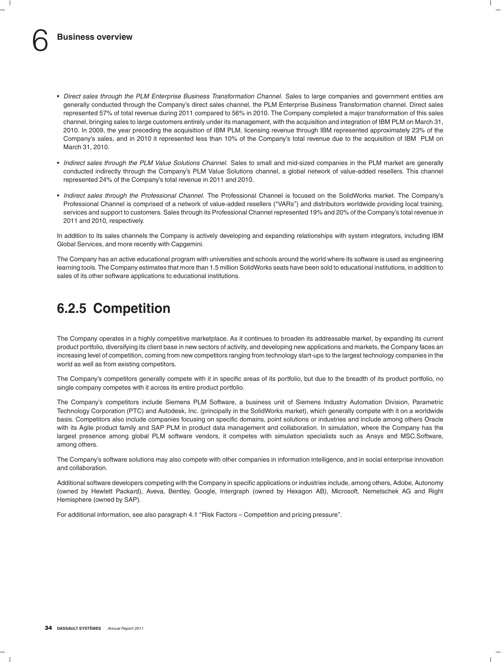- *Direct sales through the PLM Enterprise Business Transformation Channel.* Sales to large companies and government entities are generally conducted through the Company's direct sales channel, the PLM Enterprise Business Transformation channel. Direct sales represented 57% of total revenue during 2011 compared to 56% in 2010. The Company completed a major transformation of this sales channel, bringing sales to large customers entirely under its management, with the acquisition and integration of IBM PLM on March 31, 2010. In 2009, the year preceding the acquisition of IBM PLM, licensing revenue through IBM represented approximately 23% of the Company's sales, and in 2010 it represented less than 10% of the Company's total revenue due to the acquisition of IBM PLM on March 31, 2010.
- *Indirect sales through the PLM Value Solutions Channel.* Sales to small and mid-sized companies in the PLM market are generally conducted indirectly through the Company's PLM Value Solutions channel, a global network of value-added resellers. This channel represented 24% of the Company's total revenue in 2011 and 2010.
- *Indirect sales through the Professional Channel.* The Professional Channel is focused on the SolidWorks market. The Company's Professional Channel is comprised of a network of value-added resellers (''VARs'') and distributors worldwide providing local training, services and support to customers. Sales through its Professional Channel represented 19% and 20% of the Company's total revenue in 2011 and 2010, respectively.

In addition to its sales channels the Company is actively developing and expanding relationships with system integrators, including IBM Global Services, and more recently with Capgemini.

The Company has an active educational program with universities and schools around the world where its software is used as engineering learning tools. The Company estimates that more than 1.5 million SolidWorks seats have been sold to educational institutions, in addition to sales of its other software applications to educational institutions.

### **6.2.5 Competition**

The Company operates in a highly competitive marketplace. As it continues to broaden its addressable market, by expanding its current product portfolio, diversifying its client base in new sectors of activity, and developing new applications and markets, the Company faces an increasing level of competition, coming from new competitors ranging from technology start-ups to the largest technology companies in the world as well as from existing competitors.

The Company's competitors generally compete with it in specific areas of its portfolio, but due to the breadth of its product portfolio, no single company competes with it across its entire product portfolio.

The Company's competitors include Siemens PLM Software, a business unit of Siemens Industry Automation Division, Parametric Technology Corporation (PTC) and Autodesk, Inc. (principally in the SolidWorks market), which generally compete with it on a worldwide basis. Competitors also include companies focusing on specific domains, point solutions or industries and include among others Oracle with its Agile product family and SAP PLM in product data management and collaboration. In simulation, where the Company has the largest presence among global PLM software vendors, it competes with simulation specialists such as Ansys and MSC.Software, among others.

The Company's software solutions may also compete with other companies in information intelligence, and in social enterprise innovation and collaboration.

Additional software developers competing with the Company in specific applications or industries include, among others, Adobe, Autonomy (owned by Hewlett Packard), Aveva, Bentley, Google, Intergraph (owned by Hexagon AB), Microsoft, Nemetschek AG and Right Hemisphere (owned by SAP).

For additional information, see also paragraph 4.1 "Risk Factors - Competition and pricing pressure".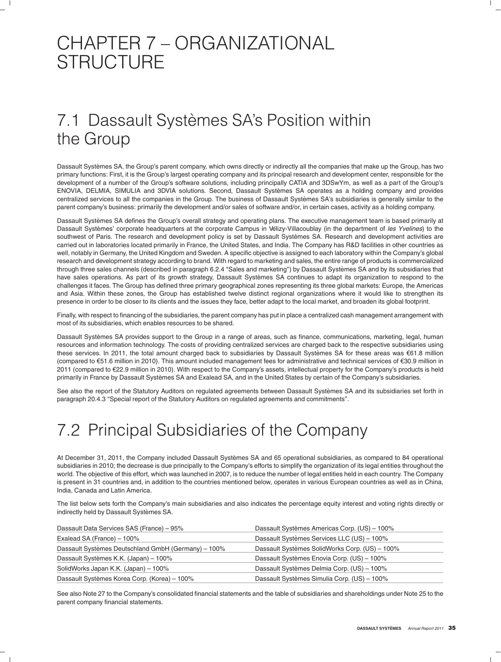# CHAPTER 7 – ORGANIZATIONAL **STRUCTURE**

# 7.1 Dassault Systèmes SA's Position within the Group

Dassault Systemes SA, the Group's parent company, which owns directly or indirectly all the companies that make up the Group, has two ` primary functions: First, it is the Group's largest operating company and its principal research and development center, responsible for the development of a number of the Group's software solutions, including principally CATIA and 3DSwYm, as well as a part of the Group's ENOVIA, DELMIA, SIMULIA and 3DVIA solutions. Second, Dassault Systemes SA operates as a holding company and provides ` centralized services to all the companies in the Group. The business of Dassault Systèmes SA's subsidiaries is generally similar to the parent company's business: primarily the development and/or sales of software and/or, in certain cases, activity as a holding company.

Dassault Systèmes SA defines the Group's overall strategy and operating plans. The executive management team is based primarily at Dassault Systèmes' corporate headquarters at the corporate Campus in Vélizy-Villacoublay (in the department of les Yvelines) to the southwest of Paris. The research and development policy is set by Dassault Systèmes SA. Research and development activities are carried out in laboratories located primarily in France, the United States, and India. The Company has R&D facilities in other countries as well, notably in Germany, the United Kingdom and Sweden. A specific objective is assigned to each laboratory within the Company's global research and development strategy according to brand. With regard to marketing and sales, the entire range of products is commercialized through three sales channels (described in paragraph 6.2.4 "Sales and marketing") by Dassault Systèmes SA and by its subsidiaries that have sales operations. As part of its growth strategy, Dassault Systèmes SA continues to adapt its organization to respond to the challenges it faces. The Group has defined three primary geographical zones representing its three global markets: Europe, the Americas and Asia. Within these zones, the Group has established twelve distinct regional organizations where it would like to strengthen its presence in order to be closer to its clients and the issues they face, better adapt to the local market, and broaden its global footprint.

Finally, with respect to financing of the subsidiaries, the parent company has put in place a centralized cash management arrangement with most of its subsidiaries, which enables resources to be shared.

Dassault Systèmes SA provides support to the Group in a range of areas, such as finance, communications, marketing, legal, human resources and information technology. The costs of providing centralized services are charged back to the respective subsidiaries using these services. In 2011, the total amount charged back to subsidiaries by Dassault Systèmes SA for these areas was  $\epsilon$ 61.8 million (compared to e51.6 million in 2010). This amount included management fees for administrative and technical services of e30.9 million in 2011 (compared to €22.9 million in 2010). With respect to the Company's assets, intellectual property for the Company's products is held primarily in France by Dassault Systèmes SA and Exalead SA, and in the United States by certain of the Company's subsidiaries.

See also the report of the Statutory Auditors on regulated agreements between Dassault Systèmes SA and its subsidiaries set forth in paragraph 20.4.3 "Special report of the Statutory Auditors on regulated agreements and commitments".

# 7.2 Principal Subsidiaries of the Company

At December 31, 2011, the Company included Dassault Systemes SA and 65 operational subsidiaries, as compared to 84 operational ` subsidiaries in 2010; the decrease is due principally to the Company's efforts to simplify the organization of its legal entities throughout the world. The objective of this effort, which was launched in 2007, is to reduce the number of legal entities held in each country. The Company is present in 31 countries and, in addition to the countries mentioned below, operates in various European countries as well as in China, India, Canada and Latin America.

The list below sets forth the Company's main subsidiaries and also indicates the percentage equity interest and voting rights directly or indirectly held by Dassault Systèmes SA.

| Dassault Data Services SAS (France) - 95%           | Dassault Systèmes Americas Corp. (US) - 100%   |
|-----------------------------------------------------|------------------------------------------------|
| Exalead SA (France) - 100%                          | Dassault Systèmes Services LLC (US) - 100%     |
| Dassault Systèmes Deutschland GmbH (Germany) - 100% | Dassault Systèmes SolidWorks Corp. (US) - 100% |
| Dassault Systèmes K.K. (Japan) – 100%               | Dassault Systèmes Enovia Corp. (US) - 100%     |
| SolidWorks Japan K.K. (Japan) - 100%                | Dassault Systèmes Delmia Corp. (US) - 100%     |
| Dassault Systèmes Korea Corp. (Korea) – 100%        | Dassault Systèmes Simulia Corp. (US) - 100%    |

See also Note 27 to the Company's consolidated financial statements and the table of subsidiaries and shareholdings under Note 25 to the parent company financial statements.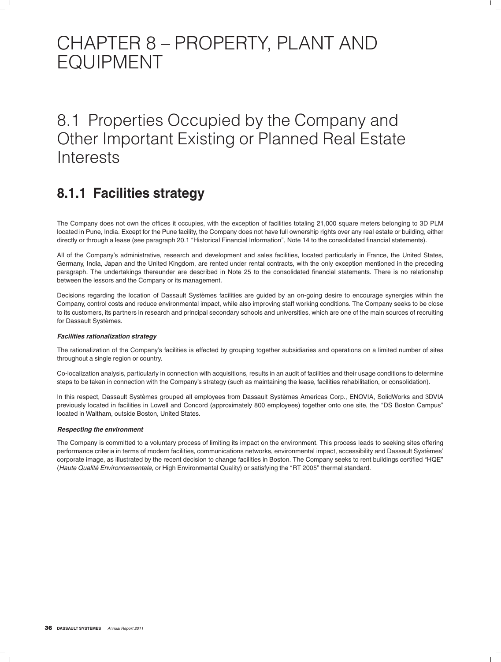# CHAPTER 8 – PROPERTY, PLANT AND EQUIPMENT

# 8.1 Properties Occupied by the Company and Other Important Existing or Planned Real Estate **Interests**

### **8.1.1 Facilities strategy**

The Company does not own the offices it occupies, with the exception of facilities totaling 21,000 square meters belonging to 3D PLM located in Pune, India. Except for the Pune facility, the Company does not have full ownership rights over any real estate or building, either directly or through a lease (see paragraph 20.1 "Historical Financial Information", Note 14 to the consolidated financial statements).

All of the Company's administrative, research and development and sales facilities, located particularly in France, the United States, Germany, India, Japan and the United Kingdom, are rented under rental contracts, with the only exception mentioned in the preceding paragraph. The undertakings thereunder are described in Note 25 to the consolidated financial statements. There is no relationship between the lessors and the Company or its management.

Decisions regarding the location of Dassault Systèmes facilities are guided by an on-going desire to encourage synergies within the Company, control costs and reduce environmental impact, while also improving staff working conditions. The Company seeks to be close to its customers, its partners in research and principal secondary schools and universities, which are one of the main sources of recruiting for Dassault Systèmes.

#### *Facilities rationalization strategy*

The rationalization of the Company's facilities is effected by grouping together subsidiaries and operations on a limited number of sites throughout a single region or country.

Co-localization analysis, particularly in connection with acquisitions, results in an audit of facilities and their usage conditions to determine steps to be taken in connection with the Company's strategy (such as maintaining the lease, facilities rehabilitation, or consolidation).

In this respect, Dassault Systèmes grouped all employees from Dassault Systèmes Americas Corp., ENOVIA, SolidWorks and 3DVIA previously located in facilities in Lowell and Concord (approximately 800 employees) together onto one site, the ''DS Boston Campus'' located in Waltham, outside Boston, United States.

#### *Respecting the environment*

The Company is committed to a voluntary process of limiting its impact on the environment. This process leads to seeking sites offering performance criteria in terms of modern facilities, communications networks, environmental impact, accessibility and Dassault Systemes' ` corporate image, as illustrated by the recent decision to change facilities in Boston. The Company seeks to rent buildings certified ''HQE'' (*Haute Qualité Environnementale*, or High Environmental Quality) or satisfying the "RT 2005" thermal standard.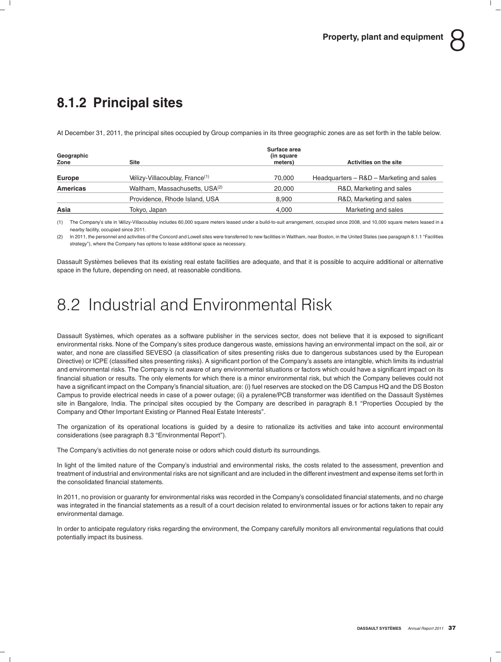# **8.1.2 Principal sites**

At December 31, 2011, the principal sites occupied by Group companies in its three geographic zones are as set forth in the table below.

| Geographic<br>Zone | Site                                       | Surface area<br>(in square)<br>meters) | Activities on the site                   |
|--------------------|--------------------------------------------|----------------------------------------|------------------------------------------|
| Europe             | Vélizy-Villacoublay, France <sup>(1)</sup> | 70.000                                 | Headquarters – R&D – Marketing and sales |
| Americas           | Waltham, Massachusetts, USA <sup>(2)</sup> | 20,000                                 | R&D, Marketing and sales                 |
|                    | Providence, Rhode Island, USA              | 8,900                                  | R&D, Marketing and sales                 |
| Asia               | Tokyo, Japan                               | 4,000                                  | Marketing and sales                      |

(1) The Company's site in Velizy-Villacoublay includes 60,000 square meters leased under a build-to-suit arrangement, occupied since 2008, and 10,000 square meters leased in a nearby facility, occupied since 2011.

(2) In 2011, the personnel and activities of the Concord and Lowell sites were transferred to new facilities in Waltham, near Boston, in the United States (see paragraph 8.1.1 "Facilities strategy''), where the Company has options to lease additional space as necessary.

Dassault Systèmes believes that its existing real estate facilities are adequate, and that it is possible to acquire additional or alternative space in the future, depending on need, at reasonable conditions.

# 8.2 Industrial and Environmental Risk

Dassault Systèmes, which operates as a software publisher in the services sector, does not believe that it is exposed to significant environmental risks. None of the Company's sites produce dangerous waste, emissions having an environmental impact on the soil, air or water, and none are classified SEVESO (a classification of sites presenting risks due to dangerous substances used by the European Directive) or ICPE (classified sites presenting risks). A significant portion of the Company's assets are intangible, which limits its industrial and environmental risks. The Company is not aware of any environmental situations or factors which could have a significant impact on its financial situation or results. The only elements for which there is a minor environmental risk, but which the Company believes could not have a significant impact on the Company's financial situation, are: (i) fuel reserves are stocked on the DS Campus HQ and the DS Boston Campus to provide electrical needs in case of a power outage; (ii) a pyralene/PCB transformer was identified on the Dassault Systemes ` site in Bangalore, India. The principal sites occupied by the Company are described in paragraph 8.1 "Properties Occupied by the Company and Other Important Existing or Planned Real Estate Interests''.

The organization of its operational locations is guided by a desire to rationalize its activities and take into account environmental considerations (see paragraph 8.3 "Environmental Report").

The Company's activities do not generate noise or odors which could disturb its surroundings.

In light of the limited nature of the Company's industrial and environmental risks, the costs related to the assessment, prevention and treatment of industrial and environmental risks are not significant and are included in the different investment and expense items set forth in the consolidated financial statements.

In 2011, no provision or guaranty for environmental risks was recorded in the Company's consolidated financial statements, and no charge was integrated in the financial statements as a result of a court decision related to environmental issues or for actions taken to repair any environmental damage.

In order to anticipate regulatory risks regarding the environment, the Company carefully monitors all environmental regulations that could potentially impact its business.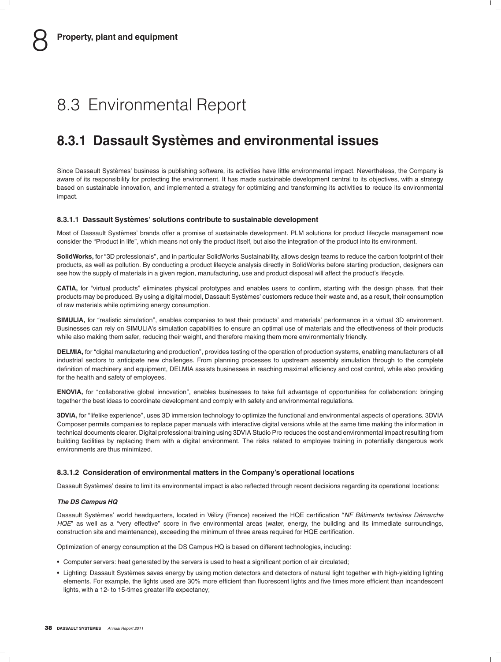# 8.3 Environmental Report

## **8.3.1 Dassault Systemes and environmental issues `**

Since Dassault Systèmes' business is publishing software, its activities have little environmental impact. Nevertheless, the Company is aware of its responsibility for protecting the environment. It has made sustainable development central to its objectives, with a strategy based on sustainable innovation, and implemented a strategy for optimizing and transforming its activities to reduce its environmental impact.

### **8.3.1.1 Dassault Systemes' solutions contribute to sustainable development `**

Most of Dassault Systèmes' brands offer a promise of sustainable development. PLM solutions for product lifecycle management now consider the ''Product in life'', which means not only the product itself, but also the integration of the product into its environment.

**SolidWorks,** for ''3D professionals'', and in particular SolidWorks Sustainability, allows design teams to reduce the carbon footprint of their products, as well as pollution. By conducting a product lifecycle analysis directly in SolidWorks before starting production, designers can see how the supply of materials in a given region, manufacturing, use and product disposal will affect the product's lifecycle.

**CATIA,** for ''virtual products'' eliminates physical prototypes and enables users to confirm, starting with the design phase, that their products may be produced. By using a digital model, Dassault Systèmes' customers reduce their waste and, as a result, their consumption of raw materials while optimizing energy consumption.

SIMULIA, for "realistic simulation", enables companies to test their products' and materials' performance in a virtual 3D environment. Businesses can rely on SIMULIA's simulation capabilities to ensure an optimal use of materials and the effectiveness of their products while also making them safer, reducing their weight, and therefore making them more environmentally friendly.

**DELMIA,** for ''digital manufacturing and production'', provides testing of the operation of production systems, enabling manufacturers of all industrial sectors to anticipate new challenges. From planning processes to upstream assembly simulation through to the complete definition of machinery and equipment, DELMIA assists businesses in reaching maximal efficiency and cost control, while also providing for the health and safety of employees.

**ENOVIA**, for "collaborative global innovation", enables businesses to take full advantage of opportunities for collaboration: bringing together the best ideas to coordinate development and comply with safety and environmental regulations.

**3DVIA,** for ''lifelike experience'', uses 3D immersion technology to optimize the functional and environmental aspects of operations. 3DVIA Composer permits companies to replace paper manuals with interactive digital versions while at the same time making the information in technical documents clearer. Digital professional training using 3DVIA Studio Pro reduces the cost and environmental impact resulting from building facilities by replacing them with a digital environment. The risks related to employee training in potentially dangerous work environments are thus minimized.

### **8.3.1.2 Consideration of environmental matters in the Company's operational locations**

Dassault Systemes' desire to limit its environmental impact is also reflected through recent decisions regarding its operational locations: `

### *The DS Campus HQ*

Dassault Systèmes' world headquarters, located in Vélizy (France) received the HQE certification "NF Bâtiments tertiaires Démarche HQE" as well as a "very effective" score in five environmental areas (water, energy, the building and its immediate surroundings, construction site and maintenance), exceeding the minimum of three areas required for HQE certification.

Optimization of energy consumption at the DS Campus HQ is based on different technologies, including:

- Computer servers: heat generated by the servers is used to heat a significant portion of air circulated;
- Lighting: Dassault Systèmes saves energy by using motion detectors and detectors of natural light together with high-yielding lighting elements. For example, the lights used are 30% more efficient than fluorescent lights and five times more efficient than incandescent lights, with a 12- to 15-times greater life expectancy;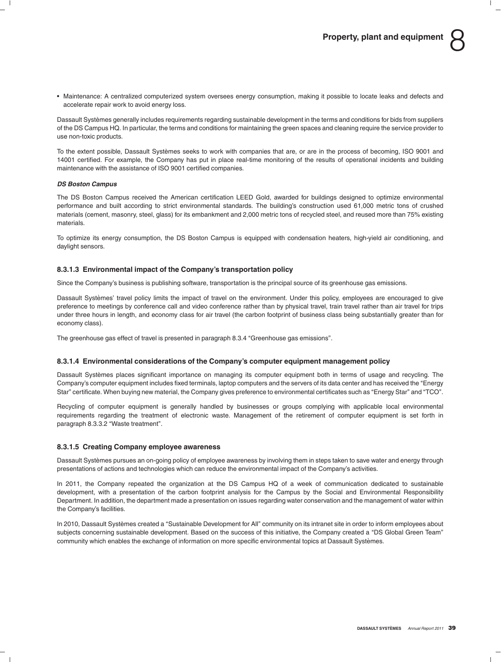• Maintenance: A centralized computerized system oversees energy consumption, making it possible to locate leaks and defects and accelerate repair work to avoid energy loss.

Dassault Systemes generally includes requirements regarding sustainable development in the terms and conditions for bids from suppliers ` of the DS Campus HQ. In particular, the terms and conditions for maintaining the green spaces and cleaning require the service provider to use non-toxic products.

To the extent possible, Dassault Systemes seeks to work with companies that are, or are in the process of becoming, ISO 9001 and ` 14001 certified. For example, the Company has put in place real-time monitoring of the results of operational incidents and building maintenance with the assistance of ISO 9001 certified companies.

### *DS Boston Campus*

The DS Boston Campus received the American certification LEED Gold, awarded for buildings designed to optimize environmental performance and built according to strict environmental standards. The building's construction used 61,000 metric tons of crushed materials (cement, masonry, steel, glass) for its embankment and 2,000 metric tons of recycled steel, and reused more than 75% existing materials.

To optimize its energy consumption, the DS Boston Campus is equipped with condensation heaters, high-yield air conditioning, and daylight sensors.

### **8.3.1.3 Environmental impact of the Company's transportation policy**

Since the Company's business is publishing software, transportation is the principal source of its greenhouse gas emissions.

Dassault Systemes' travel policy limits the impact of travel on the environment. Under this policy, employees are encouraged to give ` preference to meetings by conference call and video conference rather than by physical travel, train travel rather than air travel for trips under three hours in length, and economy class for air travel (the carbon footprint of business class being substantially greater than for economy class).

The greenhouse gas effect of travel is presented in paragraph 8.3.4 ''Greenhouse gas emissions''.

### **8.3.1.4 Environmental considerations of the Company's computer equipment management policy**

Dassault Systèmes places significant importance on managing its computer equipment both in terms of usage and recycling. The Company's computer equipment includes fixed terminals, laptop computers and the servers of its data center and has received the ''Energy Star'' certificate. When buying new material, the Company gives preference to environmental certificates such as ''Energy Star'' and ''TCO''.

Recycling of computer equipment is generally handled by businesses or groups complying with applicable local environmental requirements regarding the treatment of electronic waste. Management of the retirement of computer equipment is set forth in paragraph 8.3.3.2 "Waste treatment".

### **8.3.1.5 Creating Company employee awareness**

Dassault Systemes pursues an on-going policy of employee awareness by involving them in steps taken to save water and energy through ` presentations of actions and technologies which can reduce the environmental impact of the Company's activities.

In 2011, the Company repeated the organization at the DS Campus HQ of a week of communication dedicated to sustainable development, with a presentation of the carbon footprint analysis for the Campus by the Social and Environmental Responsibility Department. In addition, the department made a presentation on issues regarding water conservation and the management of water within the Company's facilities.

In 2010, Dassault Systèmes created a "Sustainable Development for All" community on its intranet site in order to inform employees about subjects concerning sustainable development. Based on the success of this initiative, the Company created a ''DS Global Green Team'' community which enables the exchange of information on more specific environmental topics at Dassault Systemes. `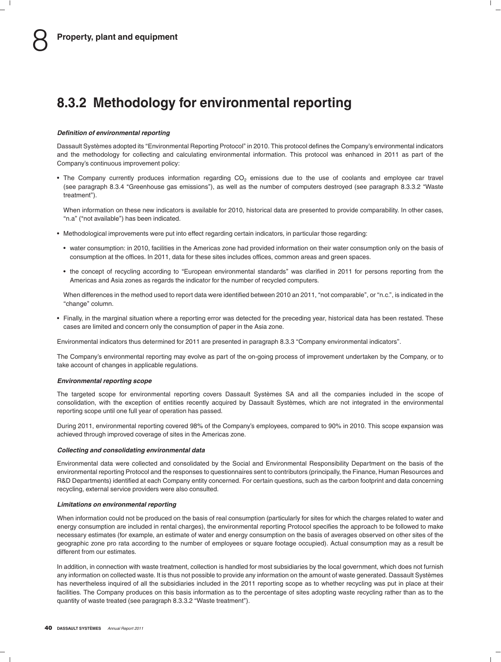## **8.3.2 Methodology for environmental reporting**

#### *Definition of environmental reporting*

Dassault Systemes adopted its ''Environmental Reporting Protocol'' in 2010. This protocol defines the Company's environmental indicators ` and the methodology for collecting and calculating environmental information. This protocol was enhanced in 2011 as part of the Company's continuous improvement policy:

• The Company currently produces information regarding CO<sub>2</sub> emissions due to the use of coolants and employee car travel (see paragraph 8.3.4 ''Greenhouse gas emissions''), as well as the number of computers destroyed (see paragraph 8.3.3.2 ''Waste treatment'').

When information on these new indicators is available for 2010, historical data are presented to provide comparability. In other cases, ''n.a'' (''not available'') has been indicated.

- Methodological improvements were put into effect regarding certain indicators, in particular those regarding:
	- water consumption: in 2010, facilities in the Americas zone had provided information on their water consumption only on the basis of consumption at the offices. In 2011, data for these sites includes offices, common areas and green spaces.
	- the concept of recycling according to ''European environmental standards'' was clarified in 2011 for persons reporting from the Americas and Asia zones as regards the indicator for the number of recycled computers.

When differences in the method used to report data were identified between 2010 an 2011, "not comparable", or "n.c.", is indicated in the "change" column.

• Finally, in the marginal situation where a reporting error was detected for the preceding year, historical data has been restated. These cases are limited and concern only the consumption of paper in the Asia zone.

Environmental indicators thus determined for 2011 are presented in paragraph 8.3.3 ''Company environmental indicators''.

The Company's environmental reporting may evolve as part of the on-going process of improvement undertaken by the Company, or to take account of changes in applicable regulations.

#### *Environmental reporting scope*

The targeted scope for environmental reporting covers Dassault Systèmes SA and all the companies included in the scope of consolidation, with the exception of entities recently acquired by Dassault Systèmes, which are not integrated in the environmental reporting scope until one full year of operation has passed.

During 2011, environmental reporting covered 98% of the Company's employees, compared to 90% in 2010. This scope expansion was achieved through improved coverage of sites in the Americas zone.

#### *Collecting and consolidating environmental data*

Environmental data were collected and consolidated by the Social and Environmental Responsibility Department on the basis of the environmental reporting Protocol and the responses to questionnaires sent to contributors (principally, the Finance, Human Resources and R&D Departments) identified at each Company entity concerned. For certain questions, such as the carbon footprint and data concerning recycling, external service providers were also consulted.

#### *Limitations on environmental reporting*

When information could not be produced on the basis of real consumption (particularly for sites for which the charges related to water and energy consumption are included in rental charges), the environmental reporting Protocol specifies the approach to be followed to make necessary estimates (for example, an estimate of water and energy consumption on the basis of averages observed on other sites of the geographic zone pro rata according to the number of employees or square footage occupied). Actual consumption may as a result be different from our estimates.

In addition, in connection with waste treatment, collection is handled for most subsidiaries by the local government, which does not furnish any information on collected waste. It is thus not possible to provide any information on the amount of waste generated. Dassault Systemes ` has nevertheless inquired of all the subsidiaries included in the 2011 reporting scope as to whether recycling was put in place at their facilities. The Company produces on this basis information as to the percentage of sites adopting waste recycling rather than as to the quantity of waste treated (see paragraph 8.3.3.2 "Waste treatment").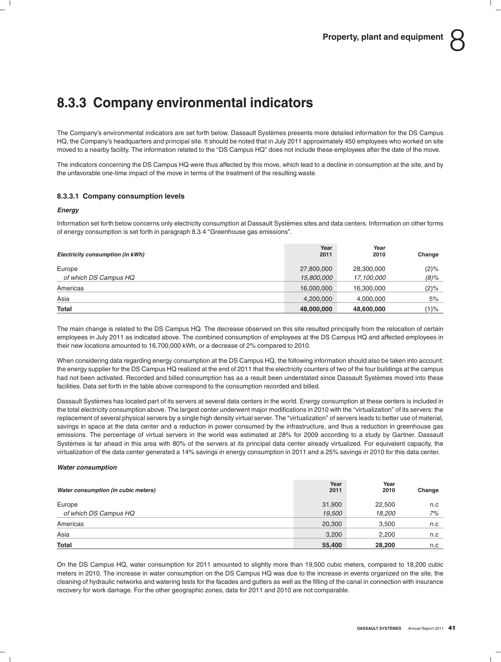# **8.3.3 Company environmental indicators**

The Company's environmental indicators are set forth below. Dassault Systèmes presents more detailed information for the DS Campus HQ, the Company's headquarters and principal site. It should be noted that in July 2011 approximately 450 employees who worked on site moved to a nearby facility. The information related to the "DS Campus HQ" does not include these employees after the date of the move.

The indicators concerning the DS Campus HQ were thus affected by this move, which lead to a decline in consumption at the site, and by the unfavorable one-time impact of the move in terms of the treatment of the resulting waste.

### **8.3.3.1 Company consumption levels**

### *Energy*

Information set forth below concerns only electricity consumption at Dassault Systemes sites and data centers. Information on other forms ` of energy consumption is set forth in paragraph 8.3.4 ''Greenhouse gas emissions''.

| Electricity consumption (in kWh) | Year<br>2011             | Year<br>2010             | Change          |
|----------------------------------|--------------------------|--------------------------|-----------------|
| Europe<br>of which DS Campus HQ  | 27,800,000<br>15,800,000 | 28,300,000<br>17,100,000 | (2)%<br>$(8)\%$ |
| Americas                         | 16,000,000               | 16,300,000               | (2)%            |
| Asia                             | 4,200,000                | 4,000,000                | 5%              |
| Total                            | 48,000,000               | 48,600,000               | $(1)\%$         |

The main change is related to the DS Campus HQ. The decrease observed on this site resulted principally from the relocation of certain employees in July 2011 as indicated above. The combined consumption of employees at the DS Campus HQ and affected employees in their new locations amounted to 16,700,000 kWh, or a decrease of 2% compared to 2010.

When considering data regarding energy consumption at the DS Campus HQ, the following information should also be taken into account: the energy supplier for the DS Campus HQ realized at the end of 2011 that the electricity counters of two of the four buildings at the campus had not been activated. Recorded and billed consumption has as a result been understated since Dassault Systèmes moved into these facilities. Data set forth in the table above correspond to the consumption recorded and billed.

Dassault Systemes has located part of its servers at several data centers in the world. Energy consumption at these centers is included in ` the total electricity consumption above. The largest center underwent major modifications in 2010 with the "virtualization" of its servers: the replacement of several physical servers by a single high density virtual server. The ''virtualization'' of servers leads to better use of material, savings in space at the data center and a reduction in power consumed by the infrastructure, and thus a reduction in greenhouse gas emissions. The percentage of virtual servers in the world was estimated at 28% for 2009 according to a study by Gartner. Dassault Systèmes is far ahead in this area with 80% of the servers at its principal data center already virtualized. For equivalent capacity, the virtualization of the data center generated a 14% savings in energy consumption in 2011 and a 25% savings in 2010 for this data center.

#### *Water consumption*

| Water consumption (in cubic meters) | Year<br>2011 | Year<br>2010 | Change |
|-------------------------------------|--------------|--------------|--------|
| Europe                              | 31,900       | 22,500       | n.c    |
| of which DS Campus HQ               | 19,500       | 18,200       | 7%     |
| Americas                            | 20,300       | 3,500        | n.c    |
| Asia                                | 3,200        | 2,200        | n.c    |
| <b>Total</b>                        | 55,400       | 28,200       | n.c    |

On the DS Campus HQ, water consumption for 2011 amounted to slightly more than 19,500 cubic meters, compared to 18,200 cubic meters in 2010. The increase in water consumption on the DS Campus HQ was due to the increase in events organized on the site, the cleaning of hydraulic networks and watering tests for the facades and gutters as well as the filling of the canal in connection with insurance recovery for work damage. For the other geographic zones, data for 2011 and 2010 are not comparable.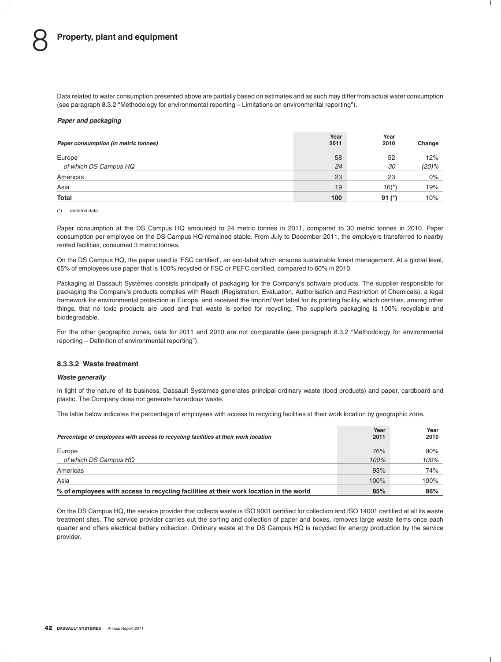Data related to water consumption presented above are partially based on estimates and as such may differ from actual water consumption (see paragraph 8.3.2 ''Methodology for environmental reporting – Limitations on environmental reporting'').

#### *Paper and packaging*

| Paper consumption (in metric tonnes) | Year<br>2011 | Year<br>2010 | Change |
|--------------------------------------|--------------|--------------|--------|
| Europe                               | 58           | 52           | 12%    |
| of which DS Campus HQ                | 24           | 30           | (20)%  |
| Americas                             | 23           | 23           | 0%     |
| Asia                                 | 19           | $16(*)$      | 19%    |
| <b>Total</b>                         | 100          | $91 (*)$     | 10%    |

(\*) restated data

Paper consumption at the DS Campus HQ amounted to 24 metric tonnes in 2011, compared to 30 metric tonnes in 2010. Paper consumption per employee on the DS Campus HQ remained stable. From July to December 2011, the employers transferred to nearby rented facilities, consumed 3 metric tonnes.

On the DS Campus HQ, the paper used is 'FSC certified', an eco-label which ensures sustainable forest management. At a global level, 65% of employees use paper that is 100% recycled or FSC or PEFC certified, compared to 60% in 2010.

Packaging at Dassault Systèmes consists principally of packaging for the Company's software products. The supplier responsible for packaging the Company's products complies with Reach (Registration, Evaluation, Authorisation and Restriction of Chemicals), a legal framework for environmental protection in Europe, and received the Imprim'Vert label for its printing facility, which certifies, among other things, that no toxic products are used and that waste is sorted for recycling. The supplier's packaging is 100% recyclable and biodegradable.

For the other geographic zones, data for 2011 and 2010 are not comparable (see paragraph 8.3.2 ''Methodology for environmental reporting – Definition of environmental reporting'').

#### **8.3.3.2 Waste treatment**

#### *Waste generally*

In light of the nature of its business, Dassault Systèmes generates principal ordinary waste (food products) and paper, cardboard and plastic. The Company does not generate hazardous waste.

The table below indicates the percentage of employees with access to recycling facilities at their work location by geographic zone.

| Percentage of employees with access to recycling facilities at their work location     | Year<br>2011 | Year<br>2010 |
|----------------------------------------------------------------------------------------|--------------|--------------|
| Europe                                                                                 | 76%          | 90%          |
| of which DS Campus HQ                                                                  | 100%         | 100%         |
| Americas                                                                               | 93%          | 74%          |
| Asia                                                                                   | 100%         | 100%         |
| % of employees with access to recycling facilities at their work location in the world | 85%          | 86%          |

On the DS Campus HQ, the service provider that collects waste is ISO 9001 certified for collection and ISO 14001 certified at all its waste treatment sites. The service provider carries out the sorting and collection of paper and boxes, removes large waste items once each quarter and offers electrical battery collection. Ordinary waste at the DS Campus HQ is recycled for energy production by the service provider.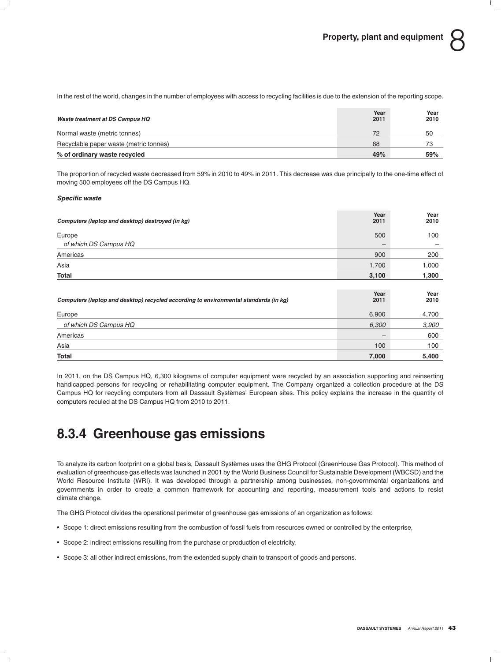In the rest of the world, changes in the number of employees with access to recycling facilities is due to the extension of the reporting scope.

| Waste treatment at DS Campus HQ        | Year<br>2011 | Year<br>2010 |
|----------------------------------------|--------------|--------------|
| Normal waste (metric tonnes)           | 72           | 50           |
| Recyclable paper waste (metric tonnes) | 68           | 73           |
| % of ordinary waste recycled           | 49%          | 59%          |

The proportion of recycled waste decreased from 59% in 2010 to 49% in 2011. This decrease was due principally to the one-time effect of moving 500 employees off the DS Campus HQ.

### *Specific waste*

| Computers (laptop and desktop) destroyed (in kg)                                     | Year<br>2011 | Year<br>2010 |
|--------------------------------------------------------------------------------------|--------------|--------------|
| Europe                                                                               | 500          | 100          |
| of which DS Campus HQ                                                                | –            |              |
| Americas                                                                             | 900          | 200          |
| Asia                                                                                 | 1,700        | 1,000        |
| Total                                                                                | 3,100        | 1,300        |
|                                                                                      |              |              |
| Computers (laptop and desktop) recycled according to environmental standards (in kg) | Year<br>2011 | Year<br>2010 |
| Europe                                                                               | 6,900        | 4,700        |
| of which DS Campus HQ                                                                | 6,300        | 3,900        |
| Americas                                                                             | —            | 600          |
| Asia                                                                                 | 100          | 100          |
| Total                                                                                | 7,000        | 5,400        |

In 2011, on the DS Campus HQ, 6,300 kilograms of computer equipment were recycled by an association supporting and reinserting handicapped persons for recycling or rehabilitating computer equipment. The Company organized a collection procedure at the DS Campus HQ for recycling computers from all Dassault Systèmes' European sites. This policy explains the increase in the quantity of computers reculed at the DS Campus HQ from 2010 to 2011.

## **8.3.4 Greenhouse gas emissions**

To analyze its carbon footprint on a global basis, Dassault Systemes uses the GHG Protocol (GreenHouse Gas Protocol). This method of ` evaluation of greenhouse gas effects was launched in 2001 by the World Business Council for Sustainable Development (WBCSD) and the World Resource Institute (WRI). It was developed through a partnership among businesses, non-governmental organizations and governments in order to create a common framework for accounting and reporting, measurement tools and actions to resist climate change.

The GHG Protocol divides the operational perimeter of greenhouse gas emissions of an organization as follows:

- Scope 1: direct emissions resulting from the combustion of fossil fuels from resources owned or controlled by the enterprise,
- Scope 2: indirect emissions resulting from the purchase or production of electricity,
- Scope 3: all other indirect emissions, from the extended supply chain to transport of goods and persons.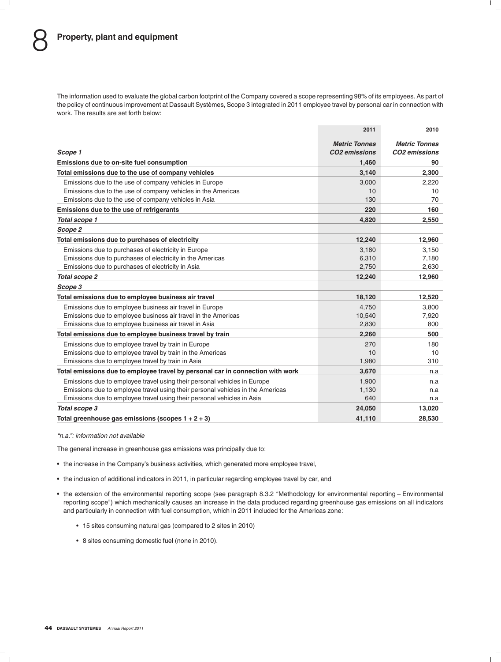The information used to evaluate the global carbon footprint of the Company covered a scope representing 98% of its employees. As part of the policy of continuous improvement at Dassault Systèmes, Scope 3 integrated in 2011 employee travel by personal car in connection with work. The results are set forth below:

|                                                                                | 2011                 | 2010                      |
|--------------------------------------------------------------------------------|----------------------|---------------------------|
|                                                                                | <b>Metric Tonnes</b> | <b>Metric Tonnes</b>      |
| Scope 1                                                                        | <b>CO2</b> emissions | CO <sub>2</sub> emissions |
| Emissions due to on-site fuel consumption                                      | 1.460                | 90                        |
| Total emissions due to the use of company vehicles                             | 3,140                | 2,300                     |
| Emissions due to the use of company vehicles in Europe                         | 3,000                | 2,220                     |
| Emissions due to the use of company vehicles in the Americas                   | 10                   | 10                        |
| Emissions due to the use of company vehicles in Asia                           | 130                  | 70                        |
| Emissions due to the use of refrigerants                                       | 220                  | 160                       |
| Total scope 1                                                                  | 4,820                | 2,550                     |
| Scope 2                                                                        |                      |                           |
| Total emissions due to purchases of electricity                                | 12,240               | 12,960                    |
| Emissions due to purchases of electricity in Europe                            | 3,180                | 3,150                     |
| Emissions due to purchases of electricity in the Americas                      | 6,310                | 7,180                     |
| Emissions due to purchases of electricity in Asia                              | 2,750                | 2,630                     |
| <b>Total scope 2</b>                                                           | 12,240               | 12,960                    |
| Scope 3                                                                        |                      |                           |
| Total emissions due to employee business air travel                            | 18,120               | 12,520                    |
| Emissions due to employee business air travel in Europe                        | 4.750                | 3.800                     |
| Emissions due to employee business air travel in the Americas                  | 10,540               | 7,920                     |
| Emissions due to employee business air travel in Asia                          | 2,830                | 800                       |
| Total emissions due to employee business travel by train                       | 2,260                | 500                       |
| Emissions due to employee travel by train in Europe                            | 270                  | 180                       |
| Emissions due to employee travel by train in the Americas                      | 10                   | 10                        |
| Emissions due to employee travel by train in Asia                              | 1,980                | 310                       |
| Total emissions due to employee travel by personal car in connection with work | 3,670                | n.a                       |
| Emissions due to employee travel using their personal vehicles in Europe       | 1,900                | n.a                       |
| Emissions due to employee travel using their personal vehicles in the Americas | 1,130                | n.a                       |
| Emissions due to employee travel using their personal vehicles in Asia         | 640                  | n.a                       |
| Total scope 3                                                                  | 24,050               | 13,020                    |
| Total greenhouse gas emissions (scopes $1 + 2 + 3$ )                           | 41.110               | 28.530                    |

#### *''n.a.'': information not available*

The general increase in greenhouse gas emissions was principally due to:

- the increase in the Company's business activities, which generated more employee travel,
- the inclusion of additional indicators in 2011, in particular regarding employee travel by car, and
- the extension of the environmental reporting scope (see paragraph 8.3.2 ''Methodology for environmental reporting Environmental reporting scope'') which mechanically causes an increase in the data produced regarding greenhouse gas emissions on all indicators and particularly in connection with fuel consumption, which in 2011 included for the Americas zone:
	- 15 sites consuming natural gas (compared to 2 sites in 2010)
	- 8 sites consuming domestic fuel (none in 2010).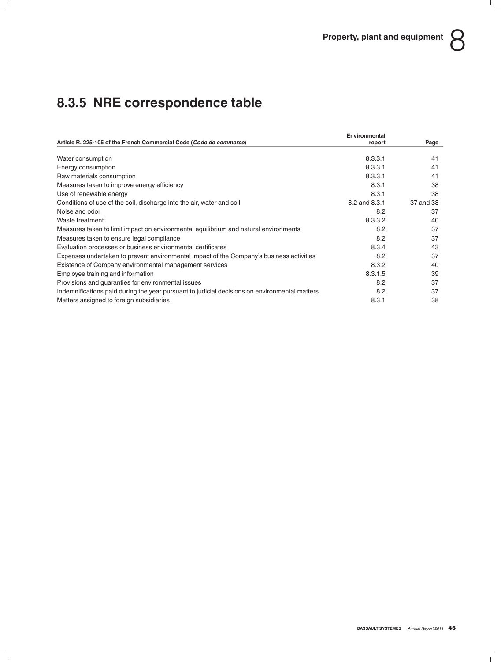# **8.3.5 NRE correspondence table**

|                                                                                               | Environmental |           |
|-----------------------------------------------------------------------------------------------|---------------|-----------|
| Article R. 225-105 of the French Commercial Code (Code de commerce)                           | report        | Page      |
| Water consumption                                                                             | 8.3.3.1       | 41        |
| Energy consumption                                                                            | 8.3.3.1       | 41        |
| Raw materials consumption                                                                     | 8.3.3.1       | 41        |
| Measures taken to improve energy efficiency                                                   | 8.3.1         | 38        |
| Use of renewable energy                                                                       | 8.3.1         | 38        |
| Conditions of use of the soil, discharge into the air, water and soil                         | 8.2 and 8.3.1 | 37 and 38 |
| Noise and odor                                                                                | 8.2           | 37        |
| Waste treatment                                                                               | 8.3.3.2       | 40        |
| Measures taken to limit impact on environmental equilibrium and natural environments          | 8.2           | 37        |
| Measures taken to ensure legal compliance                                                     | 8.2           | 37        |
| Evaluation processes or business environmental certificates                                   | 8.3.4         | 43        |
| Expenses undertaken to prevent environmental impact of the Company's business activities      | 8.2           | 37        |
| Existence of Company environmental management services                                        | 8.3.2         | 40        |
| Employee training and information                                                             | 8.3.1.5       | 39        |
| Provisions and guaranties for environmental issues                                            | 8.2           | 37        |
| Indemnifications paid during the year pursuant to judicial decisions on environmental matters | 8.2           | 37        |
| Matters assigned to foreign subsidiaries                                                      | 8.3.1         | 38        |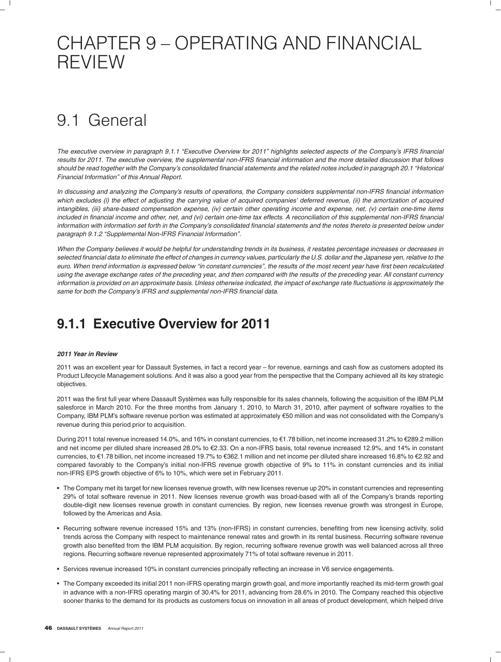# CHAPTER 9 – OPERATING AND FINANCIAL REVIEW

# 9.1 General

*The executive overview in paragraph 9.1.1 ''Executive Overview for 2011'' highlights selected aspects of the Company's IFRS financial results for 2011. The executive overview, the supplemental non-IFRS financial information and the more detailed discussion that follows should be read together with the Company's consolidated financial statements and the related notes included in paragraph 20.1 ''Historical Financial Information'' of this Annual Report.*

*In discussing and analyzing the Company's results of operations, the Company considers supplemental non-IFRS financial information which excludes (i) the effect of adjusting the carrying value of acquired companies' deferred revenue, (ii) the amortization of acquired intangibles, (iii) share-based compensation expense, (iv) certain other operating income and expense, net, (v) certain one-time items included in financial income and other, net, and (vi) certain one-time tax effects. A reconciliation of this supplemental non-IFRS financial information with information set forth in the Company's consolidated financial statements and the notes thereto is presented below under paragraph 9.1.2 ''Supplemental Non-IFRS Financial Information''.*

*When the Company believes it would be helpful for understanding trends in its business, it restates percentage increases or decreases in selected financial data to eliminate the effect of changes in currency values, particularly the U.S. dollar and the Japanese yen, relative to the euro. When trend information is expressed below ''in constant currencies'', the results of the most recent year have first been recalculated using the average exchange rates of the preceding year, and then compared with the results of the preceding year. All constant currency information is provided on an approximate basis. Unless otherwise indicated, the impact of exchange rate fluctuations is approximately the same for both the Company's IFRS and supplemental non-IFRS financial data.*

## **9.1.1 Executive Overview for 2011**

### *2011 Year in Review*

2011 was an excellent year for Dassault Systemes, in fact a record year – for revenue, earnings and cash flow as customers adopted its Product Lifecycle Management solutions. And it was also a good year from the perspective that the Company achieved all its key strategic objectives.

2011 was the first full year where Dassault Systemes was fully responsible for its sales channels, following the acquisition of the IBM PLM ` salesforce in March 2010. For the three months from January 1, 2010, to March 31, 2010, after payment of software royalties to the Company, IBM PLM's software revenue portion was estimated at approximately e50 million and was not consolidated with the Company's revenue during this period prior to acquisition.

During 2011 total revenue increased 14.0%, and 16% in constant currencies, to €1.78 billion, net income increased 31.2% to €289.2 million and net income per diluted share increased 28.0% to €2.33. On a non-IFRS basis, total revenue increased 12.9%, and 14% in constant currencies, to €1.78 billion, net income increased 19.7% to €362.1 million and net income per diluted share increased 16.8% to €2.92 and compared favorably to the Company's initial non-IFRS revenue growth objective of 9% to 11% in constant currencies and its initial non-IFRS EPS growth objective of 6% to 10%, which were set in February 2011.

- The Company met its target for new licenses revenue growth, with new licenses revenue up 20% in constant currencies and representing 29% of total software revenue in 2011. New licenses revenue growth was broad-based with all of the Company's brands reporting double-digit new licenses revenue growth in constant currencies. By region, new licenses revenue growth was strongest in Europe, followed by the Americas and Asia.
- Recurring software revenue increased 15% and 13% (non-IFRS) in constant currencies, benefiting from new licensing activity, solid trends across the Company with respect to maintenance renewal rates and growth in its rental business. Recurring software revenue growth also benefited from the IBM PLM acquisition. By region, recurring software revenue growth was well balanced across all three regions. Recurring software revenue represented approximately 71% of total software revenue in 2011.
- Services revenue increased 10% in constant currencies principally reflecting an increase in V6 service engagements.
- The Company exceeded its initial 2011 non-IFRS operating margin growth goal, and more importantly reached its mid-term growth goal in advance with a non-IFRS operating margin of 30.4% for 2011, advancing from 28.6% in 2010. The Company reached this objective sooner thanks to the demand for its products as customers focus on innovation in all areas of product development, which helped drive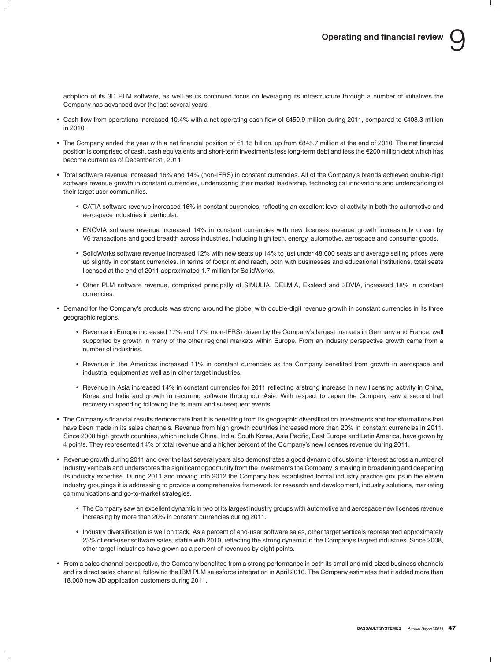adoption of its 3D PLM software, as well as its continued focus on leveraging its infrastructure through a number of initiatives the Company has advanced over the last several years.

- Cash flow from operations increased 10.4% with a net operating cash flow of €450.9 million during 2011, compared to €408.3 million in 2010.
- The Company ended the year with a net financial position of €1.15 billion, up from €845.7 million at the end of 2010. The net financial position is comprised of cash, cash equivalents and short-term investments less long-term debt and less the €200 million debt which has become current as of December 31, 2011.
- Total software revenue increased 16% and 14% (non-IFRS) in constant currencies. All of the Company's brands achieved double-digit software revenue growth in constant currencies, underscoring their market leadership, technological innovations and understanding of their target user communities.
	- CATIA software revenue increased 16% in constant currencies, reflecting an excellent level of activity in both the automotive and aerospace industries in particular.
	- ENOVIA software revenue increased 14% in constant currencies with new licenses revenue growth increasingly driven by V6 transactions and good breadth across industries, including high tech, energy, automotive, aerospace and consumer goods.
	- SolidWorks software revenue increased 12% with new seats up 14% to just under 48,000 seats and average selling prices were up slightly in constant currencies. In terms of footprint and reach, both with businesses and educational institutions, total seats licensed at the end of 2011 approximated 1.7 million for SolidWorks.
	- Other PLM software revenue, comprised principally of SIMULIA, DELMIA, Exalead and 3DVIA, increased 18% in constant currencies.
- Demand for the Company's products was strong around the globe, with double-digit revenue growth in constant currencies in its three geographic regions.
	- Revenue in Europe increased 17% and 17% (non-IFRS) driven by the Company's largest markets in Germany and France, well supported by growth in many of the other regional markets within Europe. From an industry perspective growth came from a number of industries.
	- Revenue in the Americas increased 11% in constant currencies as the Company benefited from growth in aerospace and industrial equipment as well as in other target industries.
	- Revenue in Asia increased 14% in constant currencies for 2011 reflecting a strong increase in new licensing activity in China, Korea and India and growth in recurring software throughout Asia. With respect to Japan the Company saw a second half recovery in spending following the tsunami and subsequent events.
- The Company's financial results demonstrate that it is benefiting from its geographic diversification investments and transformations that have been made in its sales channels. Revenue from high growth countries increased more than 20% in constant currencies in 2011. Since 2008 high growth countries, which include China, India, South Korea, Asia Pacific, East Europe and Latin America, have grown by 4 points. They represented 14% of total revenue and a higher percent of the Company's new licenses revenue during 2011.
- Revenue growth during 2011 and over the last several years also demonstrates a good dynamic of customer interest across a number of industry verticals and underscores the significant opportunity from the investments the Company is making in broadening and deepening its industry expertise. During 2011 and moving into 2012 the Company has established formal industry practice groups in the eleven industry groupings it is addressing to provide a comprehensive framework for research and development, industry solutions, marketing communications and go-to-market strategies.
	- The Company saw an excellent dynamic in two of its largest industry groups with automotive and aerospace new licenses revenue increasing by more than 20% in constant currencies during 2011.
	- Industry diversification is well on track. As a percent of end-user software sales, other target verticals represented approximately 23% of end-user software sales, stable with 2010, reflecting the strong dynamic in the Company's largest industries. Since 2008, other target industries have grown as a percent of revenues by eight points.
- From a sales channel perspective, the Company benefited from a strong performance in both its small and mid-sized business channels and its direct sales channel, following the IBM PLM salesforce integration in April 2010. The Company estimates that it added more than 18,000 new 3D application customers during 2011.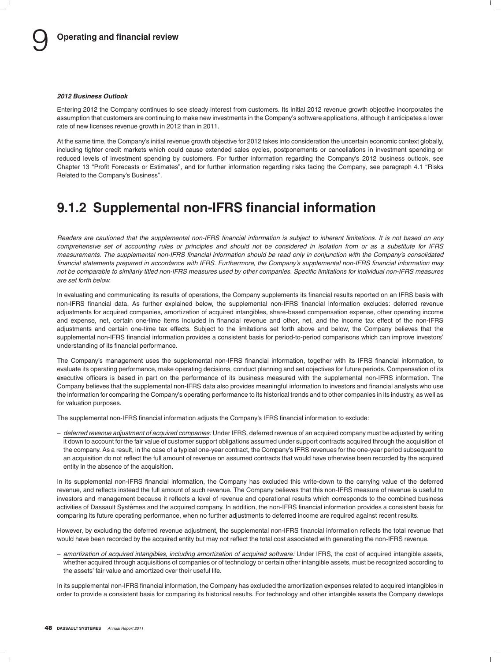#### *2012 Business Outlook*

Entering 2012 the Company continues to see steady interest from customers. Its initial 2012 revenue growth objective incorporates the assumption that customers are continuing to make new investments in the Company's software applications, although it anticipates a lower rate of new licenses revenue growth in 2012 than in 2011.

At the same time, the Company's initial revenue growth objective for 2012 takes into consideration the uncertain economic context globally, including tighter credit markets which could cause extended sales cycles, postponements or cancellations in investment spending or reduced levels of investment spending by customers. For further information regarding the Company's 2012 business outlook, see Chapter 13 "Profit Forecasts or Estimates", and for further information regarding risks facing the Company, see paragraph 4.1 "Risks Related to the Company's Business''.

## **9.1.2 Supplemental non-IFRS financial information**

*Readers are cautioned that the supplemental non-IFRS financial information is subject to inherent limitations. It is not based on any comprehensive set of accounting rules or principles and should not be considered in isolation from or as a substitute for IFRS measurements. The supplemental non-IFRS financial information should be read only in conjunction with the Company's consolidated financial statements prepared in accordance with IFRS. Furthermore, the Company's supplemental non-IFRS financial information may not be comparable to similarly titled non-IFRS measures used by other companies. Specific limitations for individual non-IFRS measures are set forth below.*

In evaluating and communicating its results of operations, the Company supplements its financial results reported on an IFRS basis with non-IFRS financial data. As further explained below, the supplemental non-IFRS financial information excludes: deferred revenue adjustments for acquired companies, amortization of acquired intangibles, share-based compensation expense, other operating income and expense, net, certain one-time items included in financial revenue and other, net, and the income tax effect of the non-IFRS adjustments and certain one-time tax effects. Subject to the limitations set forth above and below, the Company believes that the supplemental non-IFRS financial information provides a consistent basis for period-to-period comparisons which can improve investors' understanding of its financial performance.

The Company's management uses the supplemental non-IFRS financial information, together with its IFRS financial information, to evaluate its operating performance, make operating decisions, conduct planning and set objectives for future periods. Compensation of its executive officers is based in part on the performance of its business measured with the supplemental non-IFRS information. The Company believes that the supplemental non-IFRS data also provides meaningful information to investors and financial analysts who use the information for comparing the Company's operating performance to its historical trends and to other companies in its industry, as well as for valuation purposes.

The supplemental non-IFRS financial information adjusts the Company's IFRS financial information to exclude:

– *deferred revenue adjustment of acquired companies:* Under IFRS, deferred revenue of an acquired company must be adjusted by writing it down to account for the fair value of customer support obligations assumed under support contracts acquired through the acquisition of the company. As a result, in the case of a typical one-year contract, the Company's IFRS revenues for the one-year period subsequent to an acquisition do not reflect the full amount of revenue on assumed contracts that would have otherwise been recorded by the acquired entity in the absence of the acquisition.

In its supplemental non-IFRS financial information, the Company has excluded this write-down to the carrying value of the deferred revenue, and reflects instead the full amount of such revenue. The Company believes that this non-IFRS measure of revenue is useful to investors and management because it reflects a level of revenue and operational results which corresponds to the combined business activities of Dassault Systemes and the acquired company. In addition, the non-IFRS financial information provides a consistent basis for ` comparing its future operating performance, when no further adjustments to deferred income are required against recent results.

However, by excluding the deferred revenue adjustment, the supplemental non-IFRS financial information reflects the total revenue that would have been recorded by the acquired entity but may not reflect the total cost associated with generating the non-IFRS revenue.

– *amortization of acquired intangibles, including amortization of acquired software:* Under IFRS, the cost of acquired intangible assets, whether acquired through acquisitions of companies or of technology or certain other intangible assets, must be recognized according to the assets' fair value and amortized over their useful life.

In its supplemental non-IFRS financial information, the Company has excluded the amortization expenses related to acquired intangibles in order to provide a consistent basis for comparing its historical results. For technology and other intangible assets the Company develops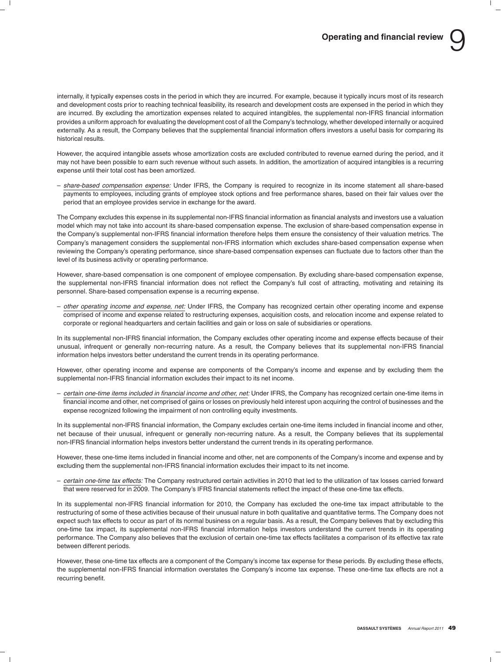internally, it typically expenses costs in the period in which they are incurred. For example, because it typically incurs most of its research and development costs prior to reaching technical feasibility, its research and development costs are expensed in the period in which they are incurred. By excluding the amortization expenses related to acquired intangibles, the supplemental non-IFRS financial information provides a uniform approach for evaluating the development cost of all the Company's technology, whether developed internally or acquired externally. As a result, the Company believes that the supplemental financial information offers investors a useful basis for comparing its historical results.

However, the acquired intangible assets whose amortization costs are excluded contributed to revenue earned during the period, and it may not have been possible to earn such revenue without such assets. In addition, the amortization of acquired intangibles is a recurring expense until their total cost has been amortized.

– *share-based compensation expense:* Under IFRS, the Company is required to recognize in its income statement all share-based payments to employees, including grants of employee stock options and free performance shares, based on their fair values over the period that an employee provides service in exchange for the award.

The Company excludes this expense in its supplemental non-IFRS financial information as financial analysts and investors use a valuation model which may not take into account its share-based compensation expense. The exclusion of share-based compensation expense in the Company's supplemental non-IFRS financial information therefore helps them ensure the consistency of their valuation metrics. The Company's management considers the supplemental non-IFRS information which excludes share-based compensation expense when reviewing the Company's operating performance, since share-based compensation expenses can fluctuate due to factors other than the level of its business activity or operating performance.

However, share-based compensation is one component of employee compensation. By excluding share-based compensation expense, the supplemental non-IFRS financial information does not reflect the Company's full cost of attracting, motivating and retaining its personnel. Share-based compensation expense is a recurring expense.

– *other operating income and expense, net:* Under IFRS, the Company has recognized certain other operating income and expense comprised of income and expense related to restructuring expenses, acquisition costs, and relocation income and expense related to corporate or regional headquarters and certain facilities and gain or loss on sale of subsidiaries or operations.

In its supplemental non-IFRS financial information, the Company excludes other operating income and expense effects because of their unusual, infrequent or generally non-recurring nature. As a result, the Company believes that its supplemental non-IFRS financial information helps investors better understand the current trends in its operating performance.

However, other operating income and expense are components of the Company's income and expense and by excluding them the supplemental non-IFRS financial information excludes their impact to its net income.

– *certain one-time items included in financial income and other, net:* Under IFRS, the Company has recognized certain one-time items in financial income and other, net comprised of gains or losses on previously held interest upon acquiring the control of businesses and the expense recognized following the impairment of non controlling equity investments.

In its supplemental non-IFRS financial information, the Company excludes certain one-time items included in financial income and other, net because of their unusual, infrequent or generally non-recurring nature. As a result, the Company believes that its supplemental non-IFRS financial information helps investors better understand the current trends in its operating performance.

However, these one-time items included in financial income and other, net are components of the Company's income and expense and by excluding them the supplemental non-IFRS financial information excludes their impact to its net income.

– *certain one-time tax effects:* The Company restructured certain activities in 2010 that led to the utilization of tax losses carried forward that were reserved for in 2009. The Company's IFRS financial statements reflect the impact of these one-time tax effects.

In its supplemental non-IFRS financial information for 2010, the Company has excluded the one-time tax impact attributable to the restructuring of some of these activities because of their unusual nature in both qualitative and quantitative terms. The Company does not expect such tax effects to occur as part of its normal business on a regular basis. As a result, the Company believes that by excluding this one-time tax impact, its supplemental non-IFRS financial information helps investors understand the current trends in its operating performance. The Company also believes that the exclusion of certain one-time tax effects facilitates a comparison of its effective tax rate between different periods.

However, these one-time tax effects are a component of the Company's income tax expense for these periods. By excluding these effects, the supplemental non-IFRS financial information overstates the Company's income tax expense. These one-time tax effects are not a recurring benefit.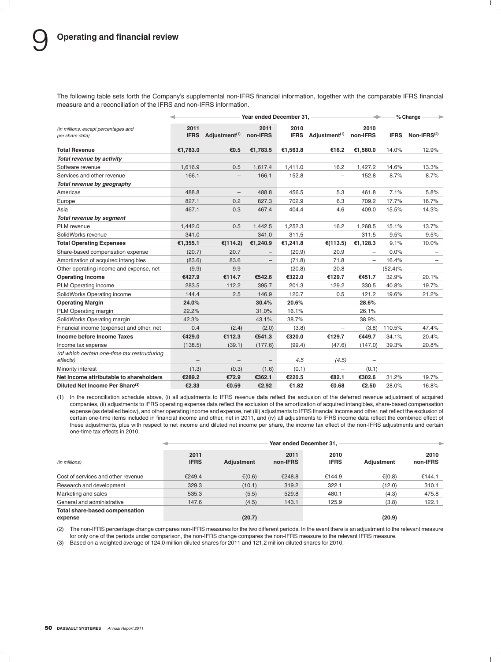The following table sets forth the Company's supplemental non-IFRS financial information, together with the comparable IFRS financial measure and a reconciliation of the IFRS and non-IFRS information.

|                                                          | Year ended December 31, |                           |                   |                     |                           | % Change                 |             |                         |
|----------------------------------------------------------|-------------------------|---------------------------|-------------------|---------------------|---------------------------|--------------------------|-------------|-------------------------|
| (in millions, except percentages and<br>per share data)  | 2011<br><b>IFRS</b>     | Adjustment <sup>(1)</sup> | 2011<br>non-IFRS  | 2010<br><b>IFRS</b> | Adjustment <sup>(1)</sup> | 2010<br>non-IFRS         | <b>IFRS</b> | Non-IFRS <sup>(2)</sup> |
| <b>Total Revenue</b>                                     | €1,783.0                | €0.5                      | €1,783.5          | €1,563.8            | €16.2                     | €1,580.0                 | 14.0%       | 12.9%                   |
| Total revenue by activity                                |                         |                           |                   |                     |                           |                          |             |                         |
| Software revenue                                         | 1,616.9                 | 0.5                       | 1,617.4           | 1,411.0             | 16.2                      | 1,427.2                  | 14.6%       | 13.3%                   |
| Services and other revenue                               | 166.1                   | $\overline{\phantom{0}}$  | 166.1             | 152.8               | $\overline{\phantom{0}}$  | 152.8                    | 8.7%        | 8.7%                    |
| Total revenue by geography                               |                         |                           |                   |                     |                           |                          |             |                         |
| Americas                                                 | 488.8                   | $\overline{\phantom{0}}$  | 488.8             | 456.5               | 5.3                       | 461.8                    | 7.1%        | 5.8%                    |
| Europe                                                   | 827.1                   | 0.2                       | 827.3             | 702.9               | 6.3                       | 709.2                    | 17.7%       | 16.7%                   |
| Asia                                                     | 467.1                   | 0.3                       | 467.4             | 404.4               | 4.6                       | 409.0                    | 15.5%       | 14.3%                   |
| Total revenue by segment                                 |                         |                           |                   |                     |                           |                          |             |                         |
| PLM revenue                                              | 1,442.0                 | 0.5                       | 1,442.5           | 1,252.3             | 16.2                      | 1,268.5                  | 15.1%       | 13.7%                   |
| SolidWorks revenue                                       | 341.0                   | $\overline{\phantom{0}}$  | 341.0             | 311.5               | $\qquad \qquad -$         | 311.5                    | 9.5%        | 9.5%                    |
| <b>Total Operating Expenses</b>                          | €1,355.1                | €(114.2)                  | €1,240.9          | €1,241.8            | €(113.5)                  | €1,128.3                 | 9.1%        | 10.0%                   |
| Share-based compensation expense                         | (20.7)                  | 20.7                      | $\qquad \qquad -$ | (20.9)              | 20.9                      | $\overline{\phantom{0}}$ | 0.0%        |                         |
| Amortization of acquired intangibles                     | (83.6)                  | 83.6                      | -                 | (71.8)              | 71.8                      | ÷                        | 16.4%       | $\qquad \qquad$         |
| Other operating income and expense, net                  | (9.9)                   | 9.9                       | $\qquad \qquad -$ | (20.8)              | 20.8                      | -                        | $(52.4)\%$  |                         |
| <b>Operating Income</b>                                  | €427.9                  | €114.7                    | €542.6            | €322.0              | €129.7                    | €451.7                   | 32.9%       | 20.1%                   |
| PLM Operating income                                     | 283.5                   | 112.2                     | 395.7             | 201.3               | 129.2                     | 330.5                    | 40.8%       | 19.7%                   |
| SolidWorks Operating income                              | 144.4                   | 2.5                       | 146.9             | 120.7               | 0.5                       | 121.2                    | 19.6%       | 21.2%                   |
| <b>Operating Margin</b>                                  | 24.0%                   |                           | 30.4%             | 20.6%               |                           | 28.6%                    |             |                         |
| PLM Operating margin                                     | 22.2%                   |                           | 31.0%             | 16.1%               |                           | 26.1%                    |             |                         |
| SolidWorks Operating margin                              | 42.3%                   |                           | 43.1%             | 38.7%               |                           | 38.9%                    |             |                         |
| Financial income (expense) and other, net                | 0.4                     | (2.4)                     | (2.0)             | (3.8)               | $\overline{\phantom{0}}$  | (3.8)                    | 110.5%      | 47.4%                   |
| Income before Income Taxes                               | €429.0                  | €112.3                    | €541.3            | €320.0              | €129.7                    | €449.7                   | 34.1%       | 20.4%                   |
| Income tax expense                                       | (138.5)                 | (39.1)                    | (177.6)           | (99.4)              | (47.6)                    | (147.0)                  | 39.3%       | 20.8%                   |
| (of which certain one-time tax restructuring<br>effects) |                         | $\overline{\phantom{0}}$  | $\qquad \qquad -$ | 4.5                 | (4.5)                     | $\overline{\phantom{0}}$ |             |                         |
| Minority interest                                        | (1.3)                   | (0.3)                     | (1.6)             | (0.1)               | $\qquad \qquad -$         | (0.1)                    |             |                         |
| Net Income attributable to shareholders                  | €289.2                  | €72.9                     | €362.1            | €220.5              | €82.1                     | €302.6                   | 31.2%       | 19.7%                   |
| Diluted Net Income Per Share <sup>(3)</sup>              | €2.33                   | €0.59                     | €2.92             | €1.82               | €0.68                     | €2.50                    | 28.0%       | 16.8%                   |

(1) In the reconciliation schedule above, (i) all adjustments to IFRS revenue data reflect the exclusion of the deferred revenue adjustment of acquired companies, (ii) adjustments to IFRS operating expense data reflect the exclusion of the amortization of acquired intangibles, share-based compensation expense (as detailed below), and other operating income and expense, net (iii) adjustments to IFRS financial income and other, net reflect the exclusion of certain one-time items included in financial income and other, net in 2011, and (iv) all adjustments to IFRS income data reflect the combined effect of these adjustments, plus with respect to net income and diluted net income per share, the income tax effect of the non-IFRS adjustments and certain one-time tax effects in 2010.

|                                           |                     | Year ended December 31, |                  |                     |            |                  |  |
|-------------------------------------------|---------------------|-------------------------|------------------|---------------------|------------|------------------|--|
| (in millions)                             | 2011<br><b>IFRS</b> | <b>Adjustment</b>       | 2011<br>non-IFRS | 2010<br><b>IFRS</b> | Adjustment | 2010<br>non-IFRS |  |
| Cost of services and other revenue        | €249.4              | $\epsilon(0.6)$         | €248.8           | €144.9              | € $(0.8)$  | €144.1           |  |
| Research and development                  | 329.3               | (10.1)                  | 319.2            | 322.1               | (12.0)     | 310.1            |  |
| Marketing and sales                       | 535.3               | (5.5)                   | 529.8            | 480.1               | (4.3)      | 475.8            |  |
| General and administrative                | 147.6               | (4.5)                   | 143.1            | 125.9               | (3.8)      | 122.1            |  |
| Total share-based compensation<br>expense |                     | (20.7)                  |                  |                     | (20.9)     |                  |  |

(2) The non-IFRS percentage change compares non-IFRS measures for the two different periods. In the event there is an adjustment to the relevant measure for only one of the periods under comparison, the non-IFRS change compares the non-IFRS measure to the relevant IFRS measure.

(3) Based on a weighted average of 124.0 million diluted shares for 2011 and 121.2 million diluted shares for 2010.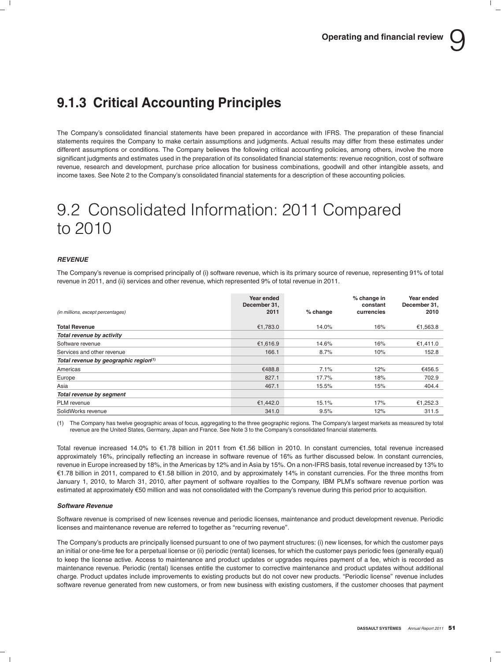# **9.1.3 Critical Accounting Principles**

The Company's consolidated financial statements have been prepared in accordance with IFRS. The preparation of these financial statements requires the Company to make certain assumptions and judgments. Actual results may differ from these estimates under different assumptions or conditions. The Company believes the following critical accounting policies, among others, involve the more significant judgments and estimates used in the preparation of its consolidated financial statements: revenue recognition, cost of software revenue, research and development, purchase price allocation for business combinations, goodwill and other intangible assets, and income taxes. See Note 2 to the Company's consolidated financial statements for a description of these accounting policies.

# 9.2 Consolidated Information: 2011 Compared to 2010

### *REVENUE*

The Company's revenue is comprised principally of (i) software revenue, which is its primary source of revenue, representing 91% of total revenue in 2011, and (ii) services and other revenue, which represented 9% of total revenue in 2011.

| (in millions, except percentages)     | Year ended<br>December 31.<br>2011 | % change | % change in<br>constant<br>currencies | Year ended<br>December 31,<br>2010 |
|---------------------------------------|------------------------------------|----------|---------------------------------------|------------------------------------|
| <b>Total Revenue</b>                  | €1,783.0                           | 14.0%    | 16%                                   | €1,563.8                           |
| Total revenue by activity             |                                    |          |                                       |                                    |
| Software revenue                      | €1,616.9                           | 14.6%    | 16%                                   | €1,411.0                           |
| Services and other revenue            | 166.1                              | 8.7%     | 10%                                   | 152.8                              |
| Total revenue by geographic region(1) |                                    |          |                                       |                                    |
| Americas                              | €488.8                             | 7.1%     | 12%                                   | €456.5                             |
| Europe                                | 827.1                              | 17.7%    | 18%                                   | 702.9                              |
| Asia                                  | 467.1                              | 15.5%    | 15%                                   | 404.4                              |
| Total revenue by segment              |                                    |          |                                       |                                    |
| PLM revenue                           | €1,442.0                           | 15.1%    | 17%                                   | €1,252.3                           |
| SolidWorks revenue                    | 341.0                              | 9.5%     | 12%                                   | 311.5                              |

(1) The Company has twelve geographic areas of focus, aggregating to the three geographic regions. The Company's largest markets as measured by total revenue are the United States, Germany, Japan and France. See Note 3 to the Company's consolidated financial statements.

Total revenue increased 14.0% to  $\epsilon$ 1.78 billion in 2011 from  $\epsilon$ 1.56 billion in 2010. In constant currencies, total revenue increased approximately 16%, principally reflecting an increase in software revenue of 16% as further discussed below. In constant currencies, revenue in Europe increased by 18%, in the Americas by 12% and in Asia by 15%. On a non-IFRS basis, total revenue increased by 13% to e1.78 billion in 2011, compared to e1.58 billion in 2010, and by approximately 14% in constant currencies. For the three months from January 1, 2010, to March 31, 2010, after payment of software royalties to the Company, IBM PLM's software revenue portion was estimated at approximately e50 million and was not consolidated with the Company's revenue during this period prior to acquisition.

#### *Software Revenue*

Software revenue is comprised of new licenses revenue and periodic licenses, maintenance and product development revenue. Periodic licenses and maintenance revenue are referred to together as ''recurring revenue''.

The Company's products are principally licensed pursuant to one of two payment structures: (i) new licenses, for which the customer pays an initial or one-time fee for a perpetual license or (ii) periodic (rental) licenses, for which the customer pays periodic fees (generally equal) to keep the license active. Access to maintenance and product updates or upgrades requires payment of a fee, which is recorded as maintenance revenue. Periodic (rental) licenses entitle the customer to corrective maintenance and product updates without additional charge. Product updates include improvements to existing products but do not cover new products. ''Periodic license'' revenue includes software revenue generated from new customers, or from new business with existing customers, if the customer chooses that payment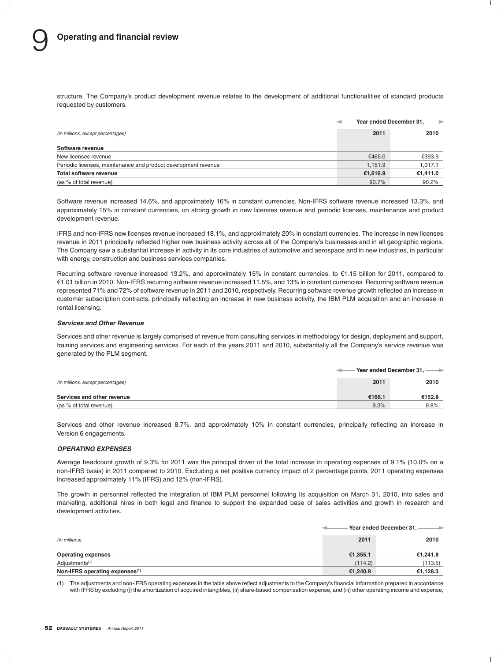structure. The Company's product development revenue relates to the development of additional functionalities of standard products requested by customers.

|                                                                |          | Year ended December 31, -- |
|----------------------------------------------------------------|----------|----------------------------|
| (in millions, except percentages)                              | 2011     | 2010                       |
| Software revenue                                               |          |                            |
| New licenses revenue                                           | €465.0   | €393.9                     |
| Periodic licenses, maintenance and product development revenue | 1,151.9  | 1,017.1                    |
| Total software revenue                                         | €1,616.9 | €1,411.0                   |
| (as % of total revenue)                                        | 90.7%    | 90.2%                      |

Software revenue increased 14.6%, and approximately 16% in constant currencies. Non-IFRS software revenue increased 13.3%, and approximately 15% in constant currencies, on strong growth in new licenses revenue and periodic licenses, maintenance and product development revenue.

IFRS and non-IFRS new licenses revenue increased 18.1%, and approximately 20% in constant currencies. The increase in new licenses revenue in 2011 principally reflected higher new business activity across all of the Company's businesses and in all geographic regions. The Company saw a substantial increase in activity in its core industries of automotive and aerospace and in new industries, in particular with energy, construction and business services companies.

Recurring software revenue increased 13.2%, and approximately 15% in constant currencies, to €1.15 billion for 2011, compared to e1.01 billion in 2010. Non-IFRS recurring software revenue increased 11.5%, and 13% in constant currencies. Recurring software revenue represented 71% and 72% of software revenue in 2011 and 2010, respectively. Recurring software revenue growth reflected an increase in customer subscription contracts, principally reflecting an increase in new business activity, the IBM PLM acquisition and an increase in rental licensing.

### *Services and Other Revenue*

Services and other revenue is largely comprised of revenue from consulting services in methodology for design, deployment and support, training services and engineering services. For each of the years 2011 and 2010, substantially all the Company's service revenue was generated by the PLM segment.

|                                   | - Year ended December 31, — → |        |  |
|-----------------------------------|-------------------------------|--------|--|
| (in millions, except percentages) | 2011                          | 2010   |  |
| Services and other revenue        | €166.1                        | €152.8 |  |
| (as % of total revenue)           | 9.3%                          | 9.8%   |  |

Services and other revenue increased 8.7%, and approximately 10% in constant currencies, principally reflecting an increase in Version 6 engagements.

### *OPERATING EXPENSES*

Average headcount growth of 9.3% for 2011 was the principal driver of the total increase in operating expenses of 9.1% (10.0% on a non-IFRS basis) in 2011 compared to 2010. Excluding a net positive currency impact of 2 percentage points, 2011 operating expenses increased approximately 11% (IFRS) and 12% (non-IFRS).

The growth in personnel reflected the integration of IBM PLM personnel following its acquisition on March 31, 2010, into sales and marketing, additional hires in both legal and finance to support the expanded base of sales activities and growth in research and development activities.

|                                            |          | Year ended December 31,<br>→ |  |  |
|--------------------------------------------|----------|------------------------------|--|--|
| (in millions)                              | 2011     | 2010                         |  |  |
| <b>Operating expenses</b>                  | €1,355.1 | €1,241.8                     |  |  |
| Adjustments <sup>(1)</sup>                 | (114.2)  | (113.5)                      |  |  |
| Non-IFRS operating expenses <sup>(1)</sup> | €1,240.9 | €1,128.3                     |  |  |

(1) The adjustments and non-IFRS operating expenses in the table above reflect adjustments to the Company's financial information prepared in accordance with IFRS by excluding (i) the amortization of acquired intangibles, (ii) share-based compensation expense, and (iii) other operating income and expense,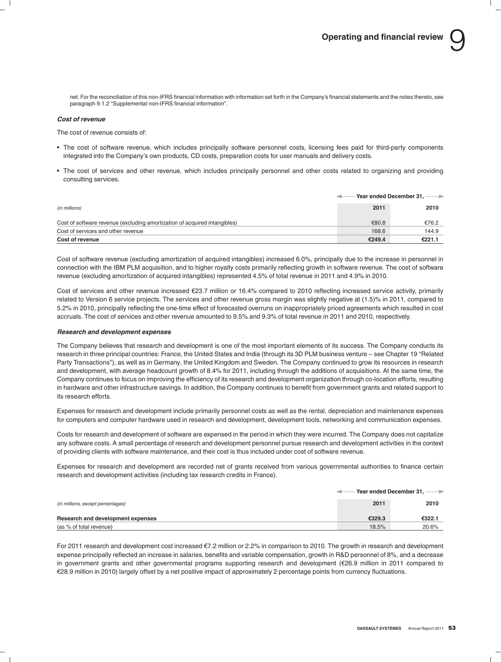net. For the reconciliation of this non-IFRS financial information with information set forth in the Company's financial statements and the notes thereto, see paragraph 9.1.2 "Supplemental non-IFRS financial information".

### *Cost of revenue*

The cost of revenue consists of:

- The cost of software revenue, which includes principally software personnel costs, licensing fees paid for third-party components integrated into the Company's own products, CD costs, preparation costs for user manuals and delivery costs.
- The cost of services and other revenue, which includes principally personnel and other costs related to organizing and providing consulting services.

|                                                                           | Year ended December 31, ---- |        |
|---------------------------------------------------------------------------|------------------------------|--------|
| (in millions)                                                             | 2011                         | 2010   |
| Cost of software revenue (excluding amortization of acquired intangibles) | €80.8                        | €76.2  |
| Cost of services and other revenue                                        | 168.6                        | 144.9  |
| Cost of revenue                                                           | €249.4                       | €221.1 |

Cost of software revenue (excluding amortization of acquired intangibles) increased 6.0%, principally due to the increase in personnel in connection with the IBM PLM acquisition, and to higher royalty costs primarily reflecting growth in software revenue. The cost of software revenue (excluding amortization of acquired intangibles) represented 4.5% of total revenue in 2011 and 4.9% in 2010.

Cost of services and other revenue increased e23.7 million or 16.4% compared to 2010 reflecting increased service activity, primarily related to Version 6 service projects. The services and other revenue gross margin was slightly negative at (1.5)% in 2011, compared to 5.2% in 2010, principally reflecting the one-time effect of forecasted overruns on inappropriately priced agreements which resulted in cost accruals. The cost of services and other revenue amounted to 9.5% and 9.3% of total revenue in 2011 and 2010, respectively.

#### *Research and development expenses*

The Company believes that research and development is one of the most important elements of its success. The Company conducts its research in three principal countries: France, the United States and India (through its 3D PLM business venture – see Chapter 19 ''Related Party Transactions''), as well as in Germany, the United Kingdom and Sweden. The Company continued to grow its resources in research and development, with average headcount growth of 8.4% for 2011, including through the additions of acquisitions. At the same time, the Company continues to focus on improving the efficiency of its research and development organization through co-location efforts, resulting in hardware and other infrastructure savings. In addition, the Company continues to benefit from government grants and related support to its research efforts.

Expenses for research and development include primarily personnel costs as well as the rental, depreciation and maintenance expenses for computers and computer hardware used in research and development, development tools, networking and communication expenses.

Costs for research and development of software are expensed in the period in which they were incurred. The Company does not capitalize any software costs. A small percentage of research and development personnel pursue research and development activities in the context of providing clients with software maintenance, and their cost is thus included under cost of software revenue.

Expenses for research and development are recorded net of grants received from various governmental authorities to finance certain research and development activities (including tax research credits in France).

|                                   | Year ended December 31, $-$<br>$\rightarrow$ |        |  |
|-----------------------------------|----------------------------------------------|--------|--|
| (in millions, except percentages) | 2011                                         | 2010   |  |
| Research and development expenses | €329.3                                       | €322.1 |  |
| (as % of total revenue)           | 18.5%                                        | 20.6%  |  |

For 2011 research and development cost increased €7.2 million or 2.2% in comparison to 2010. The growth in research and development expense principally reflected an increase in salaries, benefits and variable compensation, growth in R&D personnel of 8%, and a decrease in government grants and other governmental programs supporting research and development (e26.9 million in 2011 compared to €28.9 million in 2010) largely offset by a net positive impact of approximately 2 percentage points from currency fluctuations.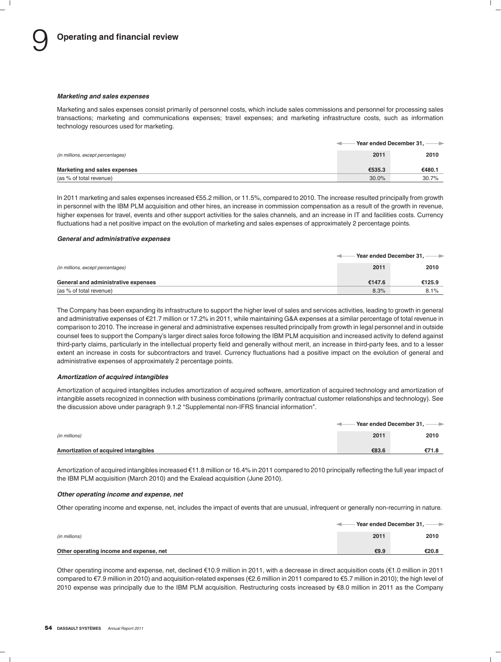#### *Marketing and sales expenses*

Marketing and sales expenses consist primarily of personnel costs, which include sales commissions and personnel for processing sales transactions; marketing and communications expenses; travel expenses; and marketing infrastructure costs, such as information technology resources used for marketing.

|                                   |          | Year ended December 31, $-$<br>$\rightarrow$ |
|-----------------------------------|----------|----------------------------------------------|
| (in millions, except percentages) | 2011     | 2010                                         |
| Marketing and sales expenses      | €535.3   | €480.1                                       |
| (as % of total revenue)           | $30.0\%$ | 30.7%                                        |

In 2011 marketing and sales expenses increased €55.2 million, or 11.5%, compared to 2010. The increase resulted principally from growth in personnel with the IBM PLM acquisition and other hires, an increase in commission compensation as a result of the growth in revenue, higher expenses for travel, events and other support activities for the sales channels, and an increase in IT and facilities costs. Currency fluctuations had a net positive impact on the evolution of marketing and sales expenses of approximately 2 percentage points.

#### *General and administrative expenses*

|                                     | $\cdot$ Year ended December 31, $-$<br>$\rightarrow$ |        |
|-------------------------------------|------------------------------------------------------|--------|
| (in millions, except percentages)   | 2011                                                 | 2010   |
| General and administrative expenses | €147.6                                               | €125.9 |
| (as % of total revenue)             | 8.3%                                                 | 8.1%   |

The Company has been expanding its infrastructure to support the higher level of sales and services activities, leading to growth in general and administrative expenses of €21.7 million or 17.2% in 2011, while maintaining G&A expenses at a similar percentage of total revenue in comparison to 2010. The increase in general and administrative expenses resulted principally from growth in legal personnel and in outside counsel fees to support the Company's larger direct sales force following the IBM PLM acquisition and increased activity to defend against third-party claims, particularly in the intellectual property field and generally without merit, an increase in third-party fees, and to a lesser extent an increase in costs for subcontractors and travel. Currency fluctuations had a positive impact on the evolution of general and administrative expenses of approximately 2 percentage points.

#### *Amortization of acquired intangibles*

Amortization of acquired intangibles includes amortization of acquired software, amortization of acquired technology and amortization of intangible assets recognized in connection with business combinations (primarily contractual customer relationships and technology). See the discussion above under paragraph 9.1.2 "Supplemental non-IFRS financial information".

|                                      | Fear ended December 31, → → |       |  |
|--------------------------------------|-----------------------------|-------|--|
| (in millions)                        | 2011                        | 2010  |  |
| Amortization of acquired intangibles | €83.6                       | €71.8 |  |

Amortization of acquired intangibles increased €11.8 million or 16.4% in 2011 compared to 2010 principally reflecting the full year impact of the IBM PLM acquisition (March 2010) and the Exalead acquisition (June 2010).

### *Other operating income and expense, net*

Other operating income and expense, net, includes the impact of events that are unusual, infrequent or generally non-recurring in nature.

|                                         |      | $-$ Year ended December 31, $\longrightarrow$ |
|-----------------------------------------|------|-----------------------------------------------|
| (in millions)                           | 2011 | 2010                                          |
| Other operating income and expense, net | €9.9 | €20.8                                         |

Other operating income and expense, net, declined €10.9 million in 2011, with a decrease in direct acquisition costs (€1.0 million in 2011 compared to €7.9 million in 2010) and acquisition-related expenses (€2.6 million in 2011 compared to €5.7 million in 2010); the high level of 2010 expense was principally due to the IBM PLM acquisition. Restructuring costs increased by €8.0 million in 2011 as the Company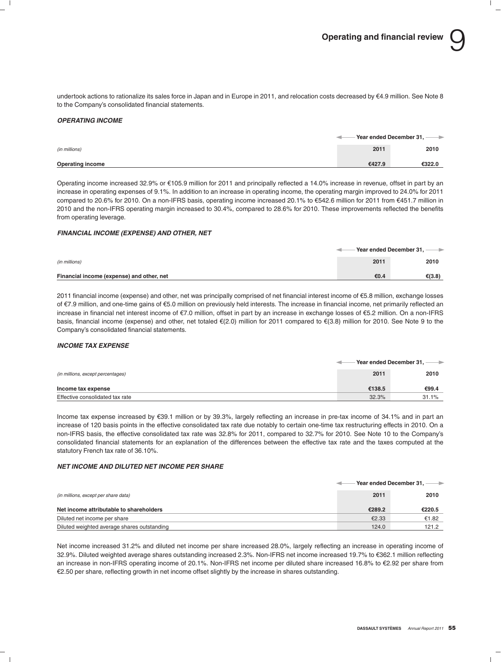undertook actions to rationalize its sales force in Japan and in Europe in 2011, and relocation costs decreased by e4.9 million. See Note 8 to the Company's consolidated financial statements.

#### *OPERATING INCOME*

|                         | ◅      | $-$ Year ended December 31, $\longrightarrow$ |
|-------------------------|--------|-----------------------------------------------|
| (in millions)           | 2011   | 2010                                          |
| <b>Operating income</b> | €427.9 | €322.0                                        |

Operating income increased 32.9% or €105.9 million for 2011 and principally reflected a 14.0% increase in revenue, offset in part by an increase in operating expenses of 9.1%. In addition to an increase in operating income, the operating margin improved to 24.0% for 2011 compared to 20.6% for 2010. On a non-IFRS basis, operating income increased 20.1% to €542.6 million for 2011 from €451.7 million in 2010 and the non-IFRS operating margin increased to 30.4%, compared to 28.6% for 2010. These improvements reflected the benefits from operating leverage.

### *FINANCIAL INCOME (EXPENSE) AND OTHER, NET*

|                                           | $-$ Year ended December 31, $\longrightarrow$ |        |
|-------------------------------------------|-----------------------------------------------|--------|
| (in millions)                             | 2011                                          | 2010   |
| Financial income (expense) and other, net | €0.4                                          | €(3.8) |

2011 financial income (expense) and other, net was principally comprised of net financial interest income of €5.8 million, exchange losses of e7.9 million, and one-time gains of e5.0 million on previously held interests. The increase in financial income, net primarily reflected an increase in financial net interest income of e7.0 million, offset in part by an increase in exchange losses of e5.2 million. On a non-IFRS basis, financial income (expense) and other, net totaled  $E(2.0)$  million for 2011 compared to  $E(3.8)$  million for 2010. See Note 9 to the Company's consolidated financial statements.

### *INCOME TAX EXPENSE*

|                                   | Year ended December 31. $-$<br>$\rightarrow$ |       |
|-----------------------------------|----------------------------------------------|-------|
| (in millions, except percentages) | 2011                                         | 2010  |
| Income tax expense                | €138.5                                       | €99.4 |
| Effective consolidated tax rate   | 32.3%                                        | 31.1% |

Income tax expense increased by e39.1 million or by 39.3%, largely reflecting an increase in pre-tax income of 34.1% and in part an increase of 120 basis points in the effective consolidated tax rate due notably to certain one-time tax restructuring effects in 2010. On a non-IFRS basis, the effective consolidated tax rate was 32.8% for 2011, compared to 32.7% for 2010. See Note 10 to the Company's consolidated financial statements for an explanation of the differences between the effective tax rate and the taxes computed at the statutory French tax rate of 36.10%.

#### *NET INCOME AND DILUTED NET INCOME PER SHARE*

|                                             | Year ended December 31, -- |        |
|---------------------------------------------|----------------------------|--------|
| (in millions, except per share data)        | 2011                       | 2010   |
| Net income attributable to shareholders     | €289.2                     | €220.5 |
| Diluted net income per share                | €2.33                      | €1.82  |
| Diluted weighted average shares outstanding | 124.0                      | 121.2  |

Net income increased 31.2% and diluted net income per share increased 28.0%, largely reflecting an increase in operating income of 32.9%. Diluted weighted average shares outstanding increased 2.3%. Non-IFRS net income increased 19.7% to e362.1 million reflecting an increase in non-IFRS operating income of 20.1%. Non-IFRS net income per diluted share increased 16.8% to €2.92 per share from  $E$ 2.50 per share, reflecting growth in net income offset slightly by the increase in shares outstanding.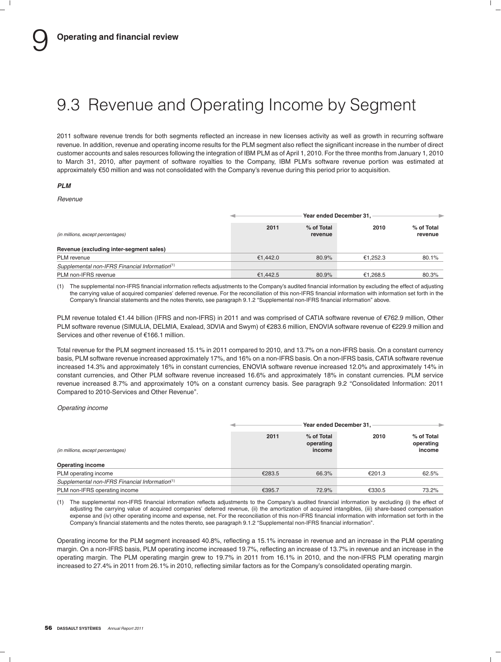# 9.3 Revenue and Operating Income by Segment

2011 software revenue trends for both segments reflected an increase in new licenses activity as well as growth in recurring software revenue. In addition, revenue and operating income results for the PLM segment also reflect the significant increase in the number of direct customer accounts and sales resources following the integration of IBM PLM as of April 1, 2010. For the three months from January 1, 2010 to March 31, 2010, after payment of software royalties to the Company, IBM PLM's software revenue portion was estimated at approximately e50 million and was not consolidated with the Company's revenue during this period prior to acquisition.

### *PLM*

*Revenue*

|                                                            | Year ended December 31. |                       |          |                       |
|------------------------------------------------------------|-------------------------|-----------------------|----------|-----------------------|
| (in millions, except percentages)                          | 2011                    | % of Total<br>revenue | 2010     | % of Total<br>revenue |
| Revenue (excluding inter-segment sales)                    |                         |                       |          |                       |
| PLM revenue                                                | €1.442.0                | 80.9%                 | €1.252.3 | 80.1%                 |
| Supplemental non-IFRS Financial Information <sup>(1)</sup> |                         |                       |          |                       |
| PLM non-IFRS revenue                                       | €1.442.5                | 80.9%                 | €1.268.5 | 80.3%                 |

(1) The supplemental non-IFRS financial information reflects adjustments to the Company's audited financial information by excluding the effect of adjusting the carrying value of acquired companies' deferred revenue. For the reconciliation of this non-IFRS financial information with information set forth in the Company's financial statements and the notes thereto, see paragraph 9.1.2 ''Supplemental non-IFRS financial information'' above.

PLM revenue totaled €1.44 billion (IFRS and non-IFRS) in 2011 and was comprised of CATIA software revenue of €762.9 million, Other PLM software revenue (SIMULIA, DELMIA, Exalead, 3DVIA and Swym) of €283.6 million, ENOVIA software revenue of €229.9 million and Services and other revenue of €166.1 million.

Total revenue for the PLM segment increased 15.1% in 2011 compared to 2010, and 13.7% on a non-IFRS basis. On a constant currency basis, PLM software revenue increased approximately 17%, and 16% on a non-IFRS basis. On a non-IFRS basis, CATIA software revenue increased 14.3% and approximately 16% in constant currencies, ENOVIA software revenue increased 12.0% and approximately 14% in constant currencies, and Other PLM software revenue increased 16.6% and approximately 18% in constant currencies. PLM service revenue increased 8.7% and approximately 10% on a constant currency basis. See paragraph 9.2 ''Consolidated Information: 2011 Compared to 2010-Services and Other Revenue''.

*Operating income*

|                                                            | Year ended December 31. |                                   |        |                                   |
|------------------------------------------------------------|-------------------------|-----------------------------------|--------|-----------------------------------|
| (in millions, except percentages)                          | 2011                    | % of Total<br>operating<br>income | 2010   | % of Total<br>operating<br>income |
| <b>Operating income</b>                                    |                         |                                   |        |                                   |
| PLM operating income                                       | €283.5                  | 66.3%                             | €201.3 | 62.5%                             |
| Supplemental non-IFRS Financial Information <sup>(1)</sup> |                         |                                   |        |                                   |
| PLM non-IFRS operating income                              | €395.7                  | 72.9%                             | €330.5 | 73.2%                             |

(1) The supplemental non-IFRS financial information reflects adjustments to the Company's audited financial information by excluding (i) the effect of adjusting the carrying value of acquired companies' deferred revenue, (ii) the amortization of acquired intangibles, (iii) share-based compensation expense and (iv) other operating income and expense, net. For the reconciliation of this non-IFRS financial information with information set forth in the Company's financial statements and the notes thereto, see paragraph 9.1.2 ''Supplemental non-IFRS financial information''.

Operating income for the PLM segment increased 40.8%, reflecting a 15.1% increase in revenue and an increase in the PLM operating margin. On a non-IFRS basis, PLM operating income increased 19.7%, reflecting an increase of 13.7% in revenue and an increase in the operating margin. The PLM operating margin grew to 19.7% in 2011 from 16.1% in 2010, and the non-IFRS PLM operating margin increased to 27.4% in 2011 from 26.1% in 2010, reflecting similar factors as for the Company's consolidated operating margin.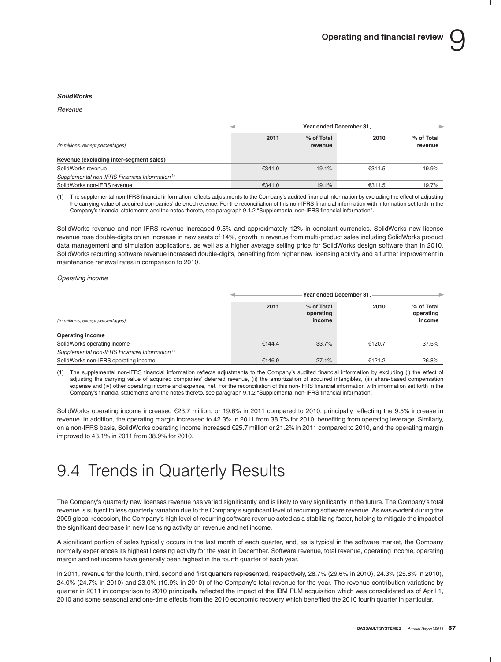#### *SolidWorks*

#### *Revenue*

|                                                | Year ended December 31. |                       |        |                       |
|------------------------------------------------|-------------------------|-----------------------|--------|-----------------------|
| (in millions, except percentages)              | 2011                    | % of Total<br>revenue | 2010   | % of Total<br>revenue |
| Revenue (excluding inter-segment sales)        |                         |                       |        |                       |
| SolidWorks revenue                             | €341.0                  | 19.1%                 | €311.5 | 19.9%                 |
| Supplemental non-IFRS Financial Information(1) |                         |                       |        |                       |
| SolidWorks non-IFRS revenue                    | €341.0                  | 19.1%                 | €311.5 | 19.7%                 |

(1) The supplemental non-IFRS financial information reflects adjustments to the Company's audited financial information by excluding the effect of adjusting the carrying value of acquired companies' deferred revenue. For the reconciliation of this non-IFRS financial information with information set forth in the Company's financial statements and the notes thereto, see paragraph 9.1.2 ''Supplemental non-IFRS financial information''.

SolidWorks revenue and non-IFRS revenue increased 9.5% and approximately 12% in constant currencies. SolidWorks new license revenue rose double-digits on an increase in new seats of 14%, growth in revenue from multi-product sales including SolidWorks product data management and simulation applications, as well as a higher average selling price for SolidWorks design software than in 2010. SolidWorks recurring software revenue increased double-digits, benefiting from higher new licensing activity and a further improvement in maintenance renewal rates in comparison to 2010.

*Operating income*

|                                                              |        | Year ended December 31.           |        |                                   |  |
|--------------------------------------------------------------|--------|-----------------------------------|--------|-----------------------------------|--|
| (in millions, except percentages)<br><b>Operating income</b> | 2011   | % of Total<br>operating<br>income | 2010   | % of Total<br>operating<br>income |  |
| SolidWorks operating income                                  | €144.4 | 33.7%                             | €120.7 | 37.5%                             |  |
| Supplemental non-IFRS Financial Information(1)               |        |                                   |        |                                   |  |
| SolidWorks non-IFRS operating income                         | €146.9 | 27.1%                             | €121.2 | 26.8%                             |  |

(1) The supplemental non-IFRS financial information reflects adjustments to the Company's audited financial information by excluding (i) the effect of adjusting the carrying value of acquired companies' deferred revenue, (ii) the amortization of acquired intangibles, (iii) share-based compensation expense and (iv) other operating income and expense, net. For the reconciliation of this non-IFRS financial information with information set forth in the Company's financial statements and the notes thereto, see paragraph 9.1.2 ''Supplemental non-IFRS financial information.

SolidWorks operating income increased €23.7 million, or 19.6% in 2011 compared to 2010, principally reflecting the 9.5% increase in revenue. In addition, the operating margin increased to 42.3% in 2011 from 38.7% for 2010, benefiting from operating leverage. Similarly, on a non-IFRS basis, SolidWorks operating income increased €25.7 million or 21.2% in 2011 compared to 2010, and the operating margin improved to 43.1% in 2011 from 38.9% for 2010.

# 9.4 Trends in Quarterly Results

The Company's quarterly new licenses revenue has varied significantly and is likely to vary significantly in the future. The Company's total revenue is subject to less quarterly variation due to the Company's significant level of recurring software revenue. As was evident during the 2009 global recession, the Company's high level of recurring software revenue acted as a stabilizing factor, helping to mitigate the impact of the significant decrease in new licensing activity on revenue and net income.

A significant portion of sales typically occurs in the last month of each quarter, and, as is typical in the software market, the Company normally experiences its highest licensing activity for the year in December. Software revenue, total revenue, operating income, operating margin and net income have generally been highest in the fourth quarter of each year.

In 2011, revenue for the fourth, third, second and first quarters represented, respectively, 28.7% (29.6% in 2010), 24.3% (25.8% in 2010), 24.0% (24.7% in 2010) and 23.0% (19.9% in 2010) of the Company's total revenue for the year. The revenue contribution variations by quarter in 2011 in comparison to 2010 principally reflected the impact of the IBM PLM acquisition which was consolidated as of April 1, 2010 and some seasonal and one-time effects from the 2010 economic recovery which benefited the 2010 fourth quarter in particular.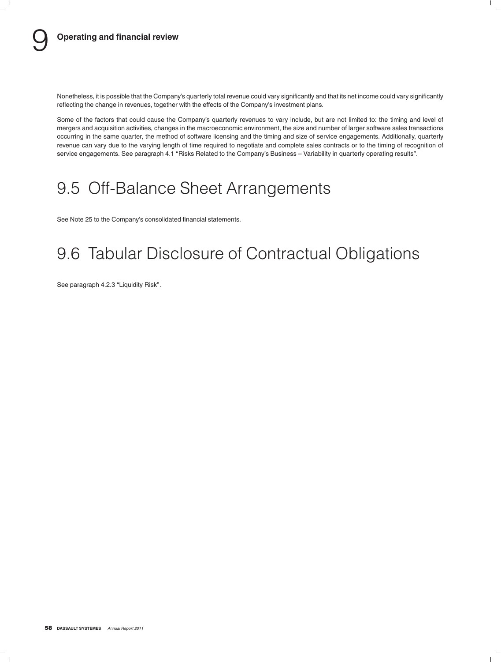Nonetheless, it is possible that the Company's quarterly total revenue could vary significantly and that its net income could vary significantly reflecting the change in revenues, together with the effects of the Company's investment plans.

Some of the factors that could cause the Company's quarterly revenues to vary include, but are not limited to: the timing and level of mergers and acquisition activities, changes in the macroeconomic environment, the size and number of larger software sales transactions occurring in the same quarter, the method of software licensing and the timing and size of service engagements. Additionally, quarterly revenue can vary due to the varying length of time required to negotiate and complete sales contracts or to the timing of recognition of service engagements. See paragraph 4.1 ''Risks Related to the Company's Business – Variability in quarterly operating results''.

# 9.5 Off-Balance Sheet Arrangements

See Note 25 to the Company's consolidated financial statements.

# 9.6 Tabular Disclosure of Contractual Obligations

See paragraph 4.2.3 "Liquidity Risk".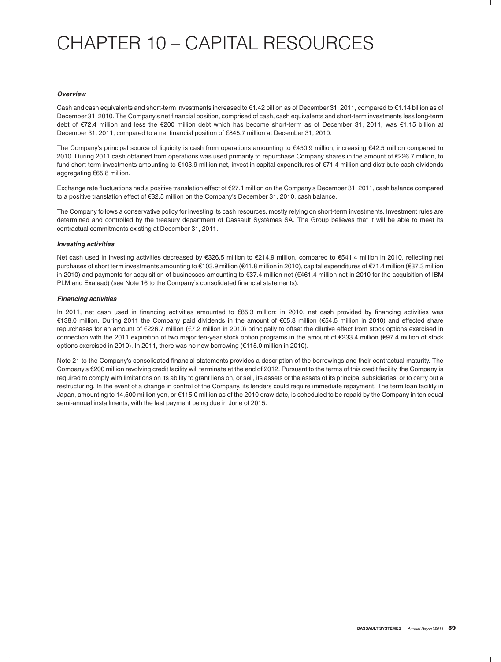# CHAPTER 10 – CAPITAL RESOURCES

#### *Overview*

Cash and cash equivalents and short-term investments increased to  $\epsilon$ 1.42 billion as of December 31, 2011, compared to  $\epsilon$ 1.14 billion as of December 31, 2010. The Company's net financial position, comprised of cash, cash equivalents and short-term investments less long-term debt of €72.4 million and less the €200 million debt which has become short-term as of December 31, 2011, was €1.15 billion at December 31, 2011, compared to a net financial position of e845.7 million at December 31, 2010.

The Company's principal source of liquidity is cash from operations amounting to  $\epsilon$ 450.9 million, increasing  $\epsilon$ 42.5 million compared to 2010. During 2011 cash obtained from operations was used primarily to repurchase Company shares in the amount of e226.7 million, to fund short-term investments amounting to e103.9 million net, invest in capital expenditures of e71.4 million and distribute cash dividends aggregating €65.8 million.

Exchange rate fluctuations had a positive translation effect of e27.1 million on the Company's December 31, 2011, cash balance compared to a positive translation effect of €32.5 million on the Company's December 31, 2010, cash balance.

The Company follows a conservative policy for investing its cash resources, mostly relying on short-term investments. Investment rules are determined and controlled by the treasury department of Dassault Systèmes SA. The Group believes that it will be able to meet its contractual commitments existing at December 31, 2011.

### *Investing activities*

Net cash used in investing activities decreased by €326.5 million to €214.9 million, compared to €541.4 million in 2010, reflecting net purchases of short term investments amounting to €103.9 million (€41.8 million in 2010), capital expenditures of €71.4 million (€37.3 million in 2010) and payments for acquisition of businesses amounting to €37.4 million net (€461.4 million net in 2010 for the acquisition of IBM PLM and Exalead) (see Note 16 to the Company's consolidated financial statements).

### *Financing activities*

In 2011, net cash used in financing activities amounted to €85.3 million; in 2010, net cash provided by financing activities was e138.0 million. During 2011 the Company paid dividends in the amount of e65.8 million (e54.5 million in 2010) and effected share repurchases for an amount of €226.7 million (€7.2 million in 2010) principally to offset the dilutive effect from stock options exercised in connection with the 2011 expiration of two major ten-year stock option programs in the amount of  $\epsilon$ 233.4 million ( $\epsilon$ 97.4 million of stock options exercised in 2010). In 2011, there was no new borrowing  $(£115.0$  million in 2010).

Note 21 to the Company's consolidated financial statements provides a description of the borrowings and their contractual maturity. The Company's e200 million revolving credit facility will terminate at the end of 2012. Pursuant to the terms of this credit facility, the Company is required to comply with limitations on its ability to grant liens on, or sell, its assets or the assets of its principal subsidiaries, or to carry out a restructuring. In the event of a change in control of the Company, its lenders could require immediate repayment. The term loan facility in Japan, amounting to 14,500 million yen, or e115.0 million as of the 2010 draw date, is scheduled to be repaid by the Company in ten equal semi-annual installments, with the last payment being due in June of 2015.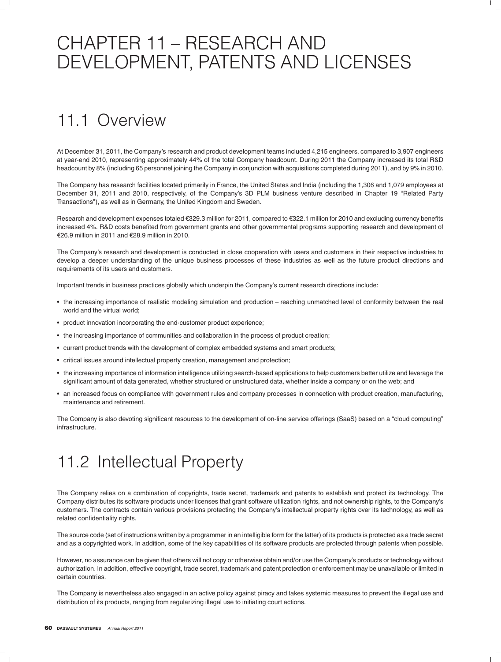# CHAPTER 11 – RESEARCH AND DEVELOPMENT, PATENTS AND LICENSES

# 11.1 Overview

At December 31, 2011, the Company's research and product development teams included 4,215 engineers, compared to 3,907 engineers at year-end 2010, representing approximately 44% of the total Company headcount. During 2011 the Company increased its total R&D headcount by 8% (including 65 personnel joining the Company in conjunction with acquisitions completed during 2011), and by 9% in 2010.

The Company has research facilities located primarily in France, the United States and India (including the 1,306 and 1,079 employees at December 31, 2011 and 2010, respectively, of the Company's 3D PLM business venture described in Chapter 19 ''Related Party Transactions''), as well as in Germany, the United Kingdom and Sweden.

Research and development expenses totaled €329.3 million for 2011, compared to €322.1 million for 2010 and excluding currency benefits increased 4%. R&D costs benefited from government grants and other governmental programs supporting research and development of €26.9 million in 2011 and €28.9 million in 2010.

The Company's research and development is conducted in close cooperation with users and customers in their respective industries to develop a deeper understanding of the unique business processes of these industries as well as the future product directions and requirements of its users and customers.

Important trends in business practices globally which underpin the Company's current research directions include:

- the increasing importance of realistic modeling simulation and production reaching unmatched level of conformity between the real world and the virtual world;
- product innovation incorporating the end-customer product experience;
- the increasing importance of communities and collaboration in the process of product creation;
- current product trends with the development of complex embedded systems and smart products;
- critical issues around intellectual property creation, management and protection;
- the increasing importance of information intelligence utilizing search-based applications to help customers better utilize and leverage the significant amount of data generated, whether structured or unstructured data, whether inside a company or on the web; and
- an increased focus on compliance with government rules and company processes in connection with product creation, manufacturing, maintenance and retirement.

The Company is also devoting significant resources to the development of on-line service offerings (SaaS) based on a ''cloud computing'' infrastructure.

# 11.2 Intellectual Property

The Company relies on a combination of copyrights, trade secret, trademark and patents to establish and protect its technology. The Company distributes its software products under licenses that grant software utilization rights, and not ownership rights, to the Company's customers. The contracts contain various provisions protecting the Company's intellectual property rights over its technology, as well as related confidentiality rights.

The source code (set of instructions written by a programmer in an intelligible form for the latter) of its products is protected as a trade secret and as a copyrighted work. In addition, some of the key capabilities of its software products are protected through patents when possible.

However, no assurance can be given that others will not copy or otherwise obtain and/or use the Company's products or technology without authorization. In addition, effective copyright, trade secret, trademark and patent protection or enforcement may be unavailable or limited in certain countries.

The Company is nevertheless also engaged in an active policy against piracy and takes systemic measures to prevent the illegal use and distribution of its products, ranging from regularizing illegal use to initiating court actions.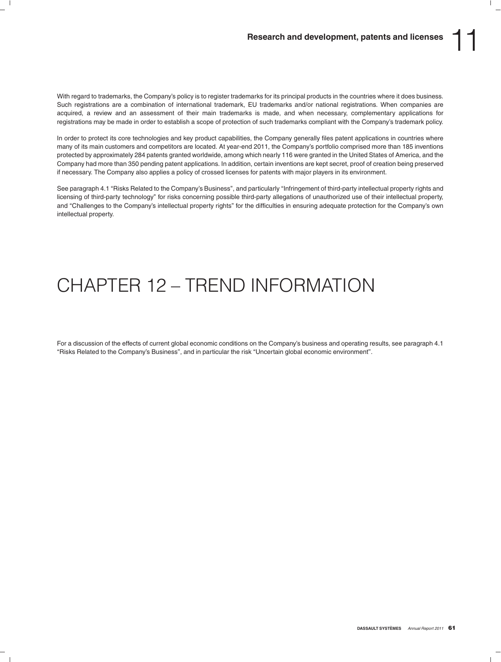With regard to trademarks, the Company's policy is to register trademarks for its principal products in the countries where it does business. Such registrations are a combination of international trademark, EU trademarks and/or national registrations. When companies are acquired, a review and an assessment of their main trademarks is made, and when necessary, complementary applications for registrations may be made in order to establish a scope of protection of such trademarks compliant with the Company's trademark policy.

In order to protect its core technologies and key product capabilities, the Company generally files patent applications in countries where many of its main customers and competitors are located. At year-end 2011, the Company's portfolio comprised more than 185 inventions protected by approximately 284 patents granted worldwide, among which nearly 116 were granted in the United States of America, and the Company had more than 350 pending patent applications. In addition, certain inventions are kept secret, proof of creation being preserved if necessary. The Company also applies a policy of crossed licenses for patents with major players in its environment.

See paragraph 4.1 "Risks Related to the Company's Business", and particularly "Infringement of third-party intellectual property rights and licensing of third-party technology'' for risks concerning possible third-party allegations of unauthorized use of their intellectual property, and ''Challenges to the Company's intellectual property rights'' for the difficulties in ensuring adequate protection for the Company's own intellectual property.

# CHAPTER 12 – TREND INFORMATION

For a discussion of the effects of current global economic conditions on the Company's business and operating results, see paragraph 4.1 ''Risks Related to the Company's Business'', and in particular the risk ''Uncertain global economic environment''.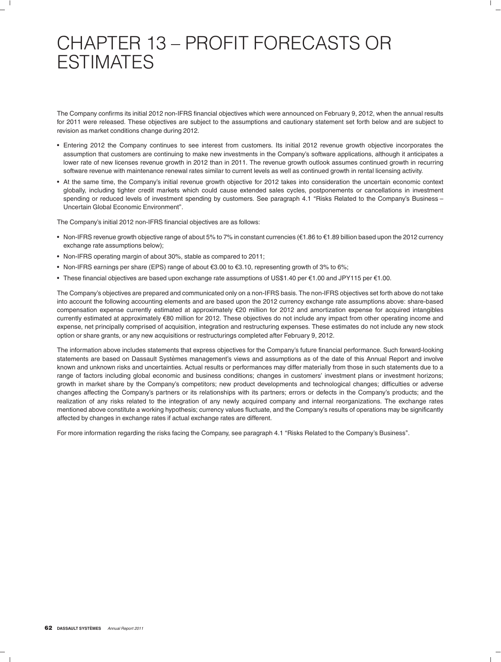# CHAPTER 13 – PROFIT FORECASTS OR **ESTIMATES**

The Company confirms its initial 2012 non-IFRS financial objectives which were announced on February 9, 2012, when the annual results for 2011 were released. These objectives are subject to the assumptions and cautionary statement set forth below and are subject to revision as market conditions change during 2012.

- Entering 2012 the Company continues to see interest from customers. Its initial 2012 revenue growth objective incorporates the assumption that customers are continuing to make new investments in the Company's software applications, although it anticipates a lower rate of new licenses revenue growth in 2012 than in 2011. The revenue growth outlook assumes continued growth in recurring software revenue with maintenance renewal rates similar to current levels as well as continued growth in rental licensing activity.
- At the same time, the Company's initial revenue growth objective for 2012 takes into consideration the uncertain economic context globally, including tighter credit markets which could cause extended sales cycles, postponements or cancellations in investment spending or reduced levels of investment spending by customers. See paragraph 4.1 "Risks Related to the Company's Business – Uncertain Global Economic Environment''.

The Company's initial 2012 non-IFRS financial objectives are as follows:

- Non-IFRS revenue growth objective range of about 5% to 7% in constant currencies ( $\epsilon$ 1.86 to  $\epsilon$ 1.89 billion based upon the 2012 currency exchange rate assumptions below);
- Non-IFRS operating margin of about 30%, stable as compared to 2011;
- Non-IFRS earnings per share (EPS) range of about  $63.00$  to  $63.10$ , representing growth of 3% to 6%;
- These financial objectives are based upon exchange rate assumptions of US\$1.40 per  $\epsilon$ 1.00 and JPY115 per  $\epsilon$ 1.00.

The Company's objectives are prepared and communicated only on a non-IFRS basis. The non-IFRS objectives set forth above do not take into account the following accounting elements and are based upon the 2012 currency exchange rate assumptions above: share-based compensation expense currently estimated at approximately e20 million for 2012 and amortization expense for acquired intangibles currently estimated at approximately e80 million for 2012. These objectives do not include any impact from other operating income and expense, net principally comprised of acquisition, integration and restructuring expenses. These estimates do not include any new stock option or share grants, or any new acquisitions or restructurings completed after February 9, 2012.

The information above includes statements that express objectives for the Company's future financial performance. Such forward-looking statements are based on Dassault Systèmes management's views and assumptions as of the date of this Annual Report and involve known and unknown risks and uncertainties. Actual results or performances may differ materially from those in such statements due to a range of factors including global economic and business conditions; changes in customers' investment plans or investment horizons; growth in market share by the Company's competitors; new product developments and technological changes; difficulties or adverse changes affecting the Company's partners or its relationships with its partners; errors or defects in the Company's products; and the realization of any risks related to the integration of any newly acquired company and internal reorganizations. The exchange rates mentioned above constitute a working hypothesis; currency values fluctuate, and the Company's results of operations may be significantly affected by changes in exchange rates if actual exchange rates are different.

For more information regarding the risks facing the Company, see paragraph 4.1 "Risks Related to the Company's Business".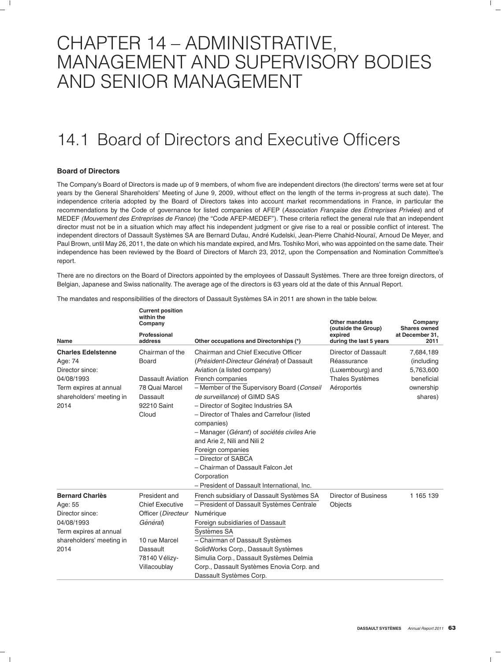# CHAPTER 14 – ADMINISTRATIVE, MANAGEMENT AND SUPERVISORY BODIES AND SENIOR MANAGEMENT

# 14.1 Board of Directors and Executive Officers

## **Board of Directors**

The Company's Board of Directors is made up of 9 members, of whom five are independent directors (the directors' terms were set at four years by the General Shareholders' Meeting of June 9, 2009, without effect on the length of the terms in-progress at such date). The independence criteria adopted by the Board of Directors takes into account market recommendations in France, in particular the recommendations by the Code of governance for listed companies of AFEP (Association Française des Entreprises Privées) and of MEDEF *(Mouvement des Entreprises de France*) (the ''Code AFEP-MEDEF''). These criteria reflect the general rule that an independent director must not be in a situation which may affect his independent judgment or give rise to a real or possible conflict of interest. The independent directors of Dassault Systèmes SA are Bernard Dufau, André Kudelski, Jean-Pierre Chahid-Nouraï, Arnoud De Meyer, and Paul Brown, until May 26, 2011, the date on which his mandate expired, and Mrs. Toshiko Mori, who was appointed on the same date. Their independence has been reviewed by the Board of Directors of March 23, 2012, upon the Compensation and Nomination Committee's report.

There are no directors on the Board of Directors appointed by the employees of Dassault Systèmes. There are three foreign directors, of Belgian, Japanese and Swiss nationality. The average age of the directors is 63 years old at the date of this Annual Report.

| Name                       | <b>Current position</b><br>within the<br>Company<br>Professional<br>address | Other occupations and Directorships (*)                                  | <b>Other mandates</b><br>(outside the Group)<br>expired<br>during the last 5 years | Company<br><b>Shares owned</b><br>at December 31,<br>2011 |
|----------------------------|-----------------------------------------------------------------------------|--------------------------------------------------------------------------|------------------------------------------------------------------------------------|-----------------------------------------------------------|
|                            |                                                                             |                                                                          |                                                                                    |                                                           |
| <b>Charles Edelstenne</b>  | Chairman of the                                                             | Chairman and Chief Executive Officer                                     | Director of Dassault<br>Réassurance                                                | 7,684,189                                                 |
| Age: 74<br>Director since: | Board                                                                       | (Président-Directeur Général) of Dassault<br>Aviation (a listed company) | (Luxembourg) and                                                                   | (including<br>5,763,600                                   |
| 04/08/1993                 | Dassault Aviation                                                           | French companies                                                         | <b>Thales Systèmes</b>                                                             | beneficial                                                |
| Term expires at annual     | 78 Quai Marcel                                                              | - Member of the Supervisory Board (Conseil                               | Aéroportés                                                                         | ownership                                                 |
| shareholders' meeting in   | Dassault                                                                    | de surveillance) of GIMD SAS                                             |                                                                                    | shares)                                                   |
| 2014                       | 92210 Saint                                                                 | - Director of Sogitec Industries SA                                      |                                                                                    |                                                           |
|                            | Cloud                                                                       | - Director of Thales and Carrefour (listed                               |                                                                                    |                                                           |
|                            |                                                                             | companies)                                                               |                                                                                    |                                                           |
|                            |                                                                             | - Manager (Gérant) of sociétés civiles Arie                              |                                                                                    |                                                           |
|                            |                                                                             | and Arie 2, Nili and Nili 2                                              |                                                                                    |                                                           |
|                            |                                                                             | Foreign companies                                                        |                                                                                    |                                                           |
|                            |                                                                             | - Director of SABCA                                                      |                                                                                    |                                                           |
|                            |                                                                             | - Chairman of Dassault Falcon Jet                                        |                                                                                    |                                                           |
|                            |                                                                             | Corporation                                                              |                                                                                    |                                                           |
|                            |                                                                             | - President of Dassault International, Inc.                              |                                                                                    |                                                           |
| <b>Bernard Charlès</b>     | President and                                                               | French subsidiary of Dassault Systèmes SA                                | Director of Business                                                               | 1 165 139                                                 |
| Age: 55                    | <b>Chief Executive</b>                                                      | - President of Dassault Systèmes Centrale                                | Objects                                                                            |                                                           |
| Director since:            | Officer (Directeur                                                          | Numérique                                                                |                                                                                    |                                                           |
| 04/08/1993                 | Général)                                                                    | Foreign subsidiaries of Dassault                                         |                                                                                    |                                                           |
| Term expires at annual     |                                                                             | Systèmes SA                                                              |                                                                                    |                                                           |
| shareholders' meeting in   | 10 rue Marcel                                                               | - Chairman of Dassault Systèmes                                          |                                                                                    |                                                           |
| 2014                       | Dassault                                                                    | SolidWorks Corp., Dassault Systèmes                                      |                                                                                    |                                                           |
|                            | 78140 Vélizy-                                                               | Simulia Corp., Dassault Systèmes Delmia                                  |                                                                                    |                                                           |
|                            | Villacoublay                                                                | Corp., Dassault Systèmes Enovia Corp. and                                |                                                                                    |                                                           |
|                            |                                                                             | Dassault Systèmes Corp.                                                  |                                                                                    |                                                           |

The mandates and responsibilities of the directors of Dassault Systèmes SA in 2011 are shown in the table below.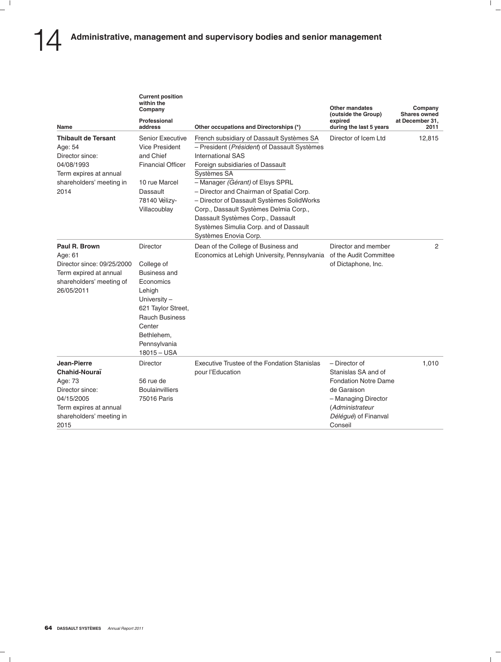| Name                                                                                                                                   | <b>Current position</b><br>within the<br>Company<br>Professional<br>address                                                                                                             | Other occupations and Directorships (*)                                                                                                                                                                                                                                                                                                                                                                                                                  | <b>Other mandates</b><br>(outside the Group)<br>expired<br>during the last 5 years                                                                              | Company<br><b>Shares owned</b><br>at December 31.<br>2011 |
|----------------------------------------------------------------------------------------------------------------------------------------|-----------------------------------------------------------------------------------------------------------------------------------------------------------------------------------------|----------------------------------------------------------------------------------------------------------------------------------------------------------------------------------------------------------------------------------------------------------------------------------------------------------------------------------------------------------------------------------------------------------------------------------------------------------|-----------------------------------------------------------------------------------------------------------------------------------------------------------------|-----------------------------------------------------------|
| <b>Thibault de Tersant</b><br>Age: 54<br>Director since:<br>04/08/1993<br>Term expires at annual<br>shareholders' meeting in<br>2014   | <b>Senior Executive</b><br><b>Vice President</b><br>and Chief<br><b>Financial Officer</b><br>10 rue Marcel<br>Dassault<br>78140 Vélizy-<br>Villacoublay                                 | French subsidiary of Dassault Systèmes SA<br>- President (Président) of Dassault Systèmes<br><b>International SAS</b><br>Foreign subsidiaries of Dassault<br>Systèmes SA<br>- Manager (Gérant) of Elsys SPRL<br>- Director and Chairman of Spatial Corp.<br>- Director of Dassault Systèmes SolidWorks<br>Corp., Dassault Systèmes Delmia Corp.,<br>Dassault Systèmes Corp., Dassault<br>Systèmes Simulia Corp. and of Dassault<br>Systèmes Enovia Corp. | Director of Icem Ltd                                                                                                                                            | 12,815                                                    |
| Paul R. Brown<br>Age: 61<br>Director since: 09/25/2000<br>Term expired at annual<br>shareholders' meeting of<br>26/05/2011             | Director<br>College of<br>Business and<br>Economics<br>Lehigh<br>University $-$<br>621 Taylor Street,<br><b>Rauch Business</b><br>Center<br>Bethlehem,<br>Pennsylvania<br>$18015 - USA$ | Dean of the College of Business and<br>Economics at Lehigh University, Pennsylvania                                                                                                                                                                                                                                                                                                                                                                      | Director and member<br>of the Audit Committee<br>of Dictaphone, Inc.                                                                                            | 2                                                         |
| Jean-Pierre<br>Chahid-Nouraï<br>Age: 73<br>Director since:<br>04/15/2005<br>Term expires at annual<br>shareholders' meeting in<br>2015 | Director<br>56 rue de<br><b>Boulainvilliers</b><br>75016 Paris                                                                                                                          | Executive Trustee of the Fondation Stanislas<br>pour l'Education                                                                                                                                                                                                                                                                                                                                                                                         | - Director of<br>Stanislas SA and of<br><b>Fondation Notre Dame</b><br>de Garaison<br>- Managing Director<br>(Administrateur<br>Délégué) of Finanval<br>Conseil | 1,010                                                     |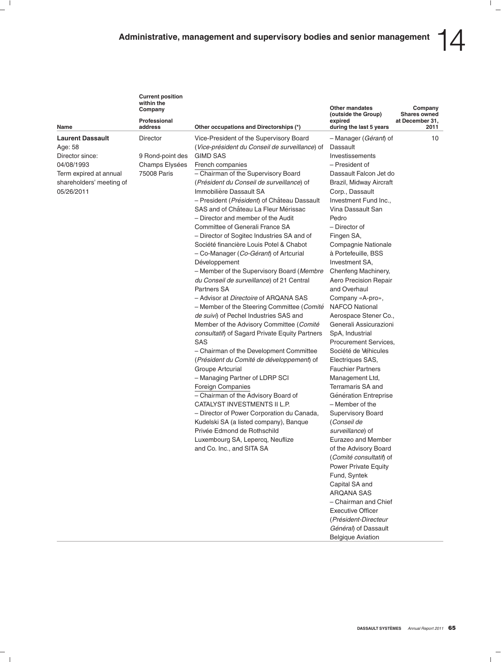| <b>Current position</b><br>within the<br>Company |                                                                                                                                                                                                                                     | Other mandates<br>(outside the Group)                         | Company<br><b>Shares owned</b> |
|--------------------------------------------------|-------------------------------------------------------------------------------------------------------------------------------------------------------------------------------------------------------------------------------------|---------------------------------------------------------------|--------------------------------|
| Professional<br>address                          | Other occupations and Directorships (*)                                                                                                                                                                                             | expired<br>during the last 5 years                            | at December 31.<br>2011        |
| Director                                         | Vice-President of the Supervisory Board<br>$\alpha$ , $\alpha$ , $\alpha$ , $\alpha$ , $\alpha$ , $\alpha$ , $\alpha$ , $\alpha$ , $\alpha$ , $\alpha$ , $\alpha$ , $\alpha$ , $\alpha$ , $\alpha$ , $\alpha$ , $\alpha$ , $\alpha$ | - Manager ( <i>Gérant</i> ) of<br>$\mathbb{R}$ - - - - - - 14 | 10                             |

| Name                                                                                                                                    | Professional<br>address                                       | Other occupations and Directorships (*)                                                                                                                                                                                                                                                                                                                                                                                                                                                                                                                                                                                                                                                                                                                                                                                                                                                                                                                                                                                                                                                                                                                                                                                                                                                                                                                    | expired<br>during the last 5 years                                                                                                                                                                                                                                                                                                                                                                                                                                                                                                                                                                                                                                                                                                                                                                                                                                                                                                                                                                                                          | at December 31,<br>2011 |
|-----------------------------------------------------------------------------------------------------------------------------------------|---------------------------------------------------------------|------------------------------------------------------------------------------------------------------------------------------------------------------------------------------------------------------------------------------------------------------------------------------------------------------------------------------------------------------------------------------------------------------------------------------------------------------------------------------------------------------------------------------------------------------------------------------------------------------------------------------------------------------------------------------------------------------------------------------------------------------------------------------------------------------------------------------------------------------------------------------------------------------------------------------------------------------------------------------------------------------------------------------------------------------------------------------------------------------------------------------------------------------------------------------------------------------------------------------------------------------------------------------------------------------------------------------------------------------------|---------------------------------------------------------------------------------------------------------------------------------------------------------------------------------------------------------------------------------------------------------------------------------------------------------------------------------------------------------------------------------------------------------------------------------------------------------------------------------------------------------------------------------------------------------------------------------------------------------------------------------------------------------------------------------------------------------------------------------------------------------------------------------------------------------------------------------------------------------------------------------------------------------------------------------------------------------------------------------------------------------------------------------------------|-------------------------|
| <b>Laurent Dassault</b><br>Age: 58<br>Director since:<br>04/08/1993<br>Term expired at annual<br>shareholders' meeting of<br>05/26/2011 | Director<br>9 Rond-point des<br>Champs Elysées<br>75008 Paris | Vice-President of the Supervisory Board<br>(Vice-président du Conseil de surveillance) of<br><b>GIMD SAS</b><br>French companies<br>- Chairman of the Supervisory Board<br>(Président du Conseil de surveillance) of<br>Immobilière Dassault SA<br>- President (Président) of Château Dassault<br>SAS and of Château La Fleur Mérissac<br>- Director and member of the Audit<br>Committee of Generali France SA<br>- Director of Sogitec Industries SA and of<br>Société financière Louis Potel & Chabot<br>- Co-Manager (Co-Gérant) of Artcurial<br>Développement<br>- Member of the Supervisory Board (Membre<br>du Conseil de surveillance) of 21 Central<br>Partners SA<br>- Advisor at <i>Directoire</i> of ARQANA SAS<br>- Member of the Steering Committee (Comité<br>de suivi) of Pechel Industries SAS and<br>Member of the Advisory Committee (Comité<br>consultatif) of Sagard Private Equity Partners<br>SAS<br>- Chairman of the Development Committee<br>(Président du Comité de développement) of<br>Groupe Artcurial<br>- Managing Partner of LDRP SCI<br>Foreign Companies<br>- Chairman of the Advisory Board of<br>CATALYST INVESTMENTS II L.P.<br>- Director of Power Corporation du Canada,<br>Kudelski SA (a listed company), Banque<br>Privée Edmond de Rothschild<br>Luxembourg SA, Lepercq, Neuflize<br>and Co. Inc., and SITA SA | - Manager (Gérant) of<br>Dassault<br>Investissements<br>- President of<br>Dassault Falcon Jet do<br>Brazil, Midway Aircraft<br>Corp., Dassault<br>Investment Fund Inc.,<br>Vina Dassault San<br>Pedro<br>- Director of<br>Fingen SA,<br>Compagnie Nationale<br>à Portefeuille, BSS<br>Investment SA,<br>Chenfeng Machinery,<br>Aero Precision Repair<br>and Overhaul<br>Company «A-pro»,<br><b>NAFCO National</b><br>Aerospace Stener Co.,<br>Generali Assicurazioni<br>SpA, Industrial<br>Procurement Services,<br>Société de Véhicules<br>Electriques SAS,<br><b>Fauchier Partners</b><br>Management Ltd,<br>Terramaris SA and<br>Génération Entreprise<br>- Member of the<br><b>Supervisory Board</b><br>(Conseil de<br>surveillance) of<br>Eurazeo and Member<br>of the Advisory Board<br>(Comité consultatif) of<br><b>Power Private Equity</b><br>Fund, Syntek<br>Capital SA and<br><b>ARQANA SAS</b><br>- Chairman and Chief<br><b>Executive Officer</b><br>(Président-Directeur<br>Général) of Dassault<br><b>Belgique Aviation</b> | 10                      |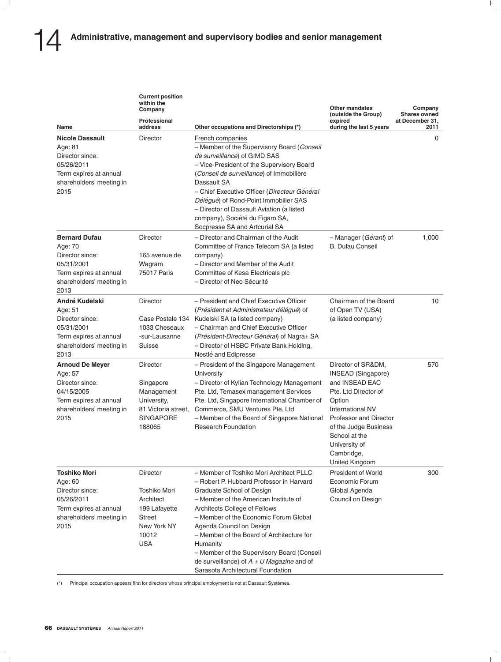|                                                                                                                                  | <b>Current position</b><br>within the<br>Company                                                                     |                                                                                                                                                                                                                                                                                                                                                                                                                                                            | <b>Other mandates</b><br>(outside the Group)                                                                                                                                                                                                        | Company<br><b>Shares owned</b> |
|----------------------------------------------------------------------------------------------------------------------------------|----------------------------------------------------------------------------------------------------------------------|------------------------------------------------------------------------------------------------------------------------------------------------------------------------------------------------------------------------------------------------------------------------------------------------------------------------------------------------------------------------------------------------------------------------------------------------------------|-----------------------------------------------------------------------------------------------------------------------------------------------------------------------------------------------------------------------------------------------------|--------------------------------|
| Name                                                                                                                             | Professional<br>address                                                                                              | Other occupations and Directorships (*)                                                                                                                                                                                                                                                                                                                                                                                                                    | expired<br>during the last 5 years                                                                                                                                                                                                                  | at December 31,<br>2011        |
| <b>Nicole Dassault</b><br>Age: 81<br>Director since:<br>05/26/2011<br>Term expires at annual<br>shareholders' meeting in<br>2015 | Director                                                                                                             | French companies<br>- Member of the Supervisory Board (Conseil<br>de surveillance) of GIMD SAS<br>- Vice-President of the Supervisory Board<br>(Conseil de surveillance) of Immobilière<br>Dassault SA<br>- Chief Executive Officer (Directeur Général<br>Délégué) of Rond-Point Immobilier SAS<br>- Director of Dassault Aviation (a listed<br>company), Société du Figaro SA,<br>Socpresse SA and Artcurial SA                                           |                                                                                                                                                                                                                                                     | 0                              |
| <b>Bernard Dufau</b><br>Age: 70<br>Director since:<br>05/31/2001<br>Term expires at annual<br>shareholders' meeting in<br>2013   | Director<br>165 avenue de<br>Wagram<br>75017 Paris                                                                   | - Director and Chairman of the Audit<br>Committee of France Telecom SA (a listed<br>company)<br>- Director and Member of the Audit<br>Committee of Kesa Electricals plc<br>- Director of Neo Sécurité                                                                                                                                                                                                                                                      | - Manager (Gérant) of<br><b>B. Dufau Conseil</b>                                                                                                                                                                                                    | 1,000                          |
| André Kudelski<br>Age: 51<br>Director since:<br>05/31/2001<br>Term expires at annual<br>shareholders' meeting in<br>2013         | Director<br>Case Postale 134<br>1033 Cheseaux<br>-sur-Lausanne<br>Suisse                                             | - President and Chief Executive Officer<br>(Président et Administrateur délégué) of<br>Kudelski SA (a listed company)<br>- Chairman and Chief Executive Officer<br>(Président-Directeur Général) of Nagra+ SA<br>- Director of HSBC Private Bank Holding,<br>Nestlé and Edipresse                                                                                                                                                                          | Chairman of the Board<br>of Open TV (USA)<br>(a listed company)                                                                                                                                                                                     | 10                             |
| <b>Arnoud De Meyer</b><br>Age: 57<br>Director since:<br>04/15/2005<br>Term expires at annual<br>shareholders' meeting in<br>2015 | Director<br>Singapore<br>Management<br>University,<br>81 Victoria street,<br><b>SINGAPORE</b><br>188065              | - President of the Singapore Management<br>University<br>- Director of Kylian Technology Management<br>Pte. Ltd, Temasex management Services<br>Pte. Ltd, Singapore International Chamber of<br>Commerce, SMU Ventures Pte. Ltd<br>- Member of the Board of Singapore National<br><b>Research Foundation</b>                                                                                                                                               | Director of SR&DM,<br>INSEAD (Singapore)<br>and INSEAD EAC<br>Pte. Ltd Director of<br>Option<br>International NV<br><b>Professor and Director</b><br>of the Judge Business<br>School at the<br>University of<br>Cambridge,<br><b>United Kingdom</b> | 570                            |
| <b>Toshiko Mori</b><br>Age: 60<br>Director since:<br>05/26/2011<br>Term expires at annual<br>shareholders' meeting in<br>2015    | <b>Director</b><br>Toshiko Mori<br>Architect<br>199 Lafayette<br><b>Street</b><br>New York NY<br>10012<br><b>USA</b> | - Member of Toshiko Mori Architect PLLC<br>- Robert P. Hubbard Professor in Harvard<br>Graduate School of Design<br>- Member of the American Institute of<br>Architects College of Fellows<br>- Member of the Economic Forum Global<br>Agenda Council on Design<br>- Member of the Board of Architecture for<br>Humanity<br>- Member of the Supervisory Board (Conseil<br>de surveillance) of $A + U$ Magazine and of<br>Sarasota Architectural Foundation | <b>President of World</b><br>Economic Forum<br>Global Agenda<br>Council on Design                                                                                                                                                                   | 300                            |

(\*) Principal occupation appears first for directors whose principal employment is not at Dassault Systemes. `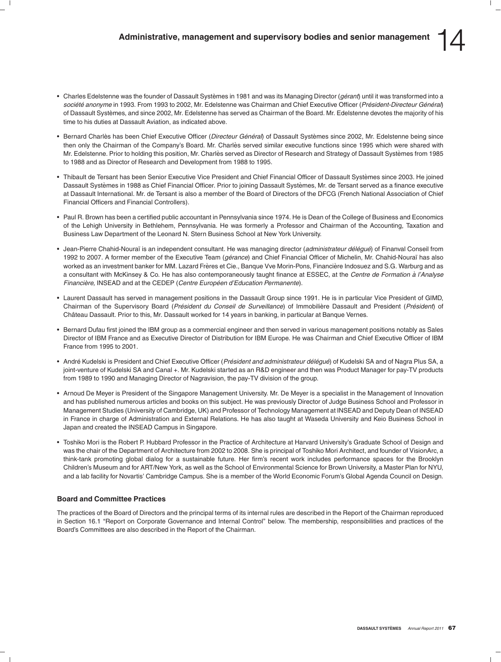- Charles Edelstenne was the founder of Dassault Systèmes in 1981 and was its Managing Director (*gérant*) until it was transformed into a *societ ´ e anonyme ´* in 1993. From 1993 to 2002, Mr. Edelstenne was Chairman and Chief Executive Officer (*President-Directeur G ´ en´ eral ´* ) of Dassault Systemes, and since 2002, Mr. Edelstenne has served as Chairman of the Board. Mr. Edelstenne devotes the majority of his ` time to his duties at Dassault Aviation, as indicated above.
- Bernard Charlès has been Chief Executive Officer (Directeur Général) of Dassault Systèmes since 2002, Mr. Edelstenne being since then only the Chairman of the Company's Board. Mr. Charlès served similar executive functions since 1995 which were shared with Mr. Edelstenne. Prior to holding this position, Mr. Charlès served as Director of Research and Strategy of Dassault Systèmes from 1985 to 1988 and as Director of Research and Development from 1988 to 1995.
- Thibault de Tersant has been Senior Executive Vice President and Chief Financial Officer of Dassault Systèmes since 2003. He joined Dassault Systèmes in 1988 as Chief Financial Officer. Prior to joining Dassault Systèmes, Mr. de Tersant served as a finance executive at Dassault International. Mr. de Tersant is also a member of the Board of Directors of the DFCG (French National Association of Chief Financial Officers and Financial Controllers).
- Paul R. Brown has been a certified public accountant in Pennsylvania since 1974. He is Dean of the College of Business and Economics of the Lehigh University in Bethlehem, Pennsylvania. He was formerly a Professor and Chairman of the Accounting, Taxation and Business Law Department of the Leonard N. Stern Business School at New York University.
- Jean-Pierre Chahid-Noura¨ı is an independent consultant. He was managing director (*administrateur del ´ egu ´ e´*) of Finanval Conseil from 1992 to 2007. A former member of the Executive Team (*gérance*) and Chief Financial Officer of Michelin, Mr. Chahid-Nouraï has also worked as an investment banker for MM. Lazard Frères et Cie., Banque Vve Morin-Pons, Financière Indosuez and S.G. Warburg and as a consultant with McKinsey & Co. He has also contemporaneously taught finance at ESSEC, at the *Centre de Formation a l'Analyse ` Financiere, `* INSEAD and at the CEDEP (*Centre Europeen d'Education Permanente ´* ).
- Laurent Dassault has served in management positions in the Dassault Group since 1991. He is in particular Vice President of GIMD, Chairman of the Supervisory Board (*Président du Conseil de Surveillance*) of Immobilière Dassault and President (*Président*) of Château Dassault. Prior to this, Mr. Dassault worked for 14 years in banking, in particular at Banque Vernes.
- Bernard Dufau first joined the IBM group as a commercial engineer and then served in various management positions notably as Sales Director of IBM France and as Executive Director of Distribution for IBM Europe. He was Chairman and Chief Executive Officer of IBM France from 1995 to 2001.
- Andre Kudelski is President and Chief Executive Officer ( ´ *President and administrateur d ´ el ´ egu ´ e´*) of Kudelski SA and of Nagra Plus SA, a joint-venture of Kudelski SA and Canal +. Mr. Kudelski started as an R&D engineer and then was Product Manager for pay-TV products from 1989 to 1990 and Managing Director of Nagravision, the pay-TV division of the group.
- Arnoud De Meyer is President of the Singapore Management University. Mr. De Meyer is a specialist in the Management of Innovation and has published numerous articles and books on this subject. He was previously Director of Judge Business School and Professor in Management Studies (University of Cambridge, UK) and Professor of Technology Management at INSEAD and Deputy Dean of INSEAD in France in charge of Administration and External Relations. He has also taught at Waseda University and Keio Business School in Japan and created the INSEAD Campus in Singapore.
- Toshiko Mori is the Robert P. Hubbard Professor in the Practice of Architecture at Harvard University's Graduate School of Design and was the chair of the Department of Architecture from 2002 to 2008. She is principal of Toshiko Mori Architect, and founder of VisionArc, a think-tank promoting global dialog for a sustainable future. Her firm's recent work includes performance spaces for the Brooklyn Children's Museum and for ART/New York, as well as the School of Environmental Science for Brown University, a Master Plan for NYU, and a lab facility for Novartis' Cambridge Campus. She is a member of the World Economic Forum's Global Agenda Council on Design.

## **Board and Committee Practices**

The practices of the Board of Directors and the principal terms of its internal rules are described in the Report of the Chairman reproduced in Section 16.1 ''Report on Corporate Governance and Internal Control'' below. The membership, responsibilities and practices of the Board's Committees are also described in the Report of the Chairman.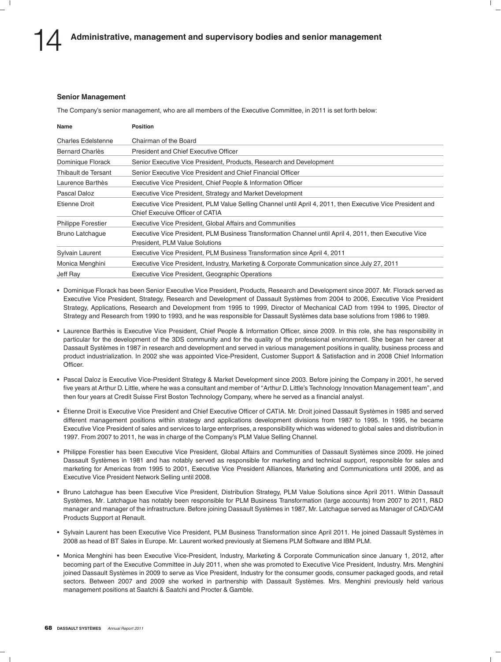### **Senior Management**

The Company's senior management, who are all members of the Executive Committee, in 2011 is set forth below:

| Name                      | <b>Position</b>                                                                                                                               |
|---------------------------|-----------------------------------------------------------------------------------------------------------------------------------------------|
| <b>Charles Edelstenne</b> | Chairman of the Board                                                                                                                         |
| Bernard Charlès           | President and Chief Executive Officer                                                                                                         |
| Dominique Florack         | Senior Executive Vice President, Products, Research and Development                                                                           |
| Thibault de Tersant       | Senior Executive Vice President and Chief Financial Officer                                                                                   |
| Laurence Barthès          | Executive Vice President, Chief People & Information Officer                                                                                  |
| Pascal Daloz              | Executive Vice President, Strategy and Market Development                                                                                     |
| Etienne Droit             | Executive Vice President, PLM Value Selling Channel until April 4, 2011, then Executive Vice President and<br>Chief Execuive Officer of CATIA |
| Philippe Forestier        | Executive Vice President, Global Affairs and Communities                                                                                      |
| Bruno Latchague           | Executive Vice President, PLM Business Transformation Channel until April 4, 2011, then Executive Vice<br>President, PLM Value Solutions      |
| Sylvain Laurent           | Executive Vice President, PLM Business Transformation since April 4, 2011                                                                     |
| Monica Menghini           | Executive Vice President, Industry, Marketing & Corporate Communication since July 27, 2011                                                   |
| Jeff Ray                  | Executive Vice President, Geographic Operations                                                                                               |

• Dominique Florack has been Senior Executive Vice President, Products, Research and Development since 2007. Mr. Florack served as Executive Vice President, Strategy, Research and Development of Dassault Systemes from 2004 to 2006, Executive Vice President ` Strategy, Applications, Research and Development from 1995 to 1999, Director of Mechanical CAD from 1994 to 1995, Director of Strategy and Research from 1990 to 1993, and he was responsible for Dassault Systemes data base solutions from 1986 to 1989. `

- Laurence Barthès is Executive Vice President, Chief People & Information Officer, since 2009. In this role, she has responsibility in particular for the development of the 3DS community and for the quality of the professional environment. She began her career at Dassault Systemes in 1987 in research and development and served in various management positions in quality, business process and ` product industrialization. In 2002 she was appointed Vice-President, Customer Support & Satisfaction and in 2008 Chief Information **Officer**
- Pascal Daloz is Executive Vice-President Strategy & Market Development since 2003. Before joining the Company in 2001, he served five years at Arthur D. Little, where he was a consultant and member of ''Arthur D. Little's Technology Innovation Management team'', and then four years at Credit Suisse First Boston Technology Company, where he served as a financial analyst.
- Étienne Droit is Executive Vice President and Chief Executive Officer of CATIA. Mr. Droit joined Dassault Systèmes in 1985 and served different management positions within strategy and applications development divisions from 1987 to 1995. In 1995, he became Executive Vice President of sales and services to large enterprises, a responsibility which was widened to global sales and distribution in 1997. From 2007 to 2011, he was in charge of the Company's PLM Value Selling Channel.
- Philippe Forestier has been Executive Vice President, Global Affairs and Communities of Dassault Systèmes since 2009. He joined Dassault Systèmes in 1981 and has notably served as responsible for marketing and technical support, responsible for sales and marketing for Americas from 1995 to 2001, Executive Vice President Alliances, Marketing and Communications until 2006, and as Executive Vice President Network Selling until 2008.
- Bruno Latchague has been Executive Vice President, Distribution Strategy, PLM Value Solutions since April 2011. Within Dassault Systemes, Mr. Latchague has notably been responsible for PLM Business Transformation (large accounts) from 2007 to 2011, R&D ` manager and manager of the infrastructure. Before joining Dassault Systemes in 1987, Mr. Latchague served as Manager of CAD/CAM ` Products Support at Renault.
- Sylvain Laurent has been Executive Vice President, PLM Business Transformation since April 2011. He joined Dassault Systemes in ` 2008 as head of BT Sales in Europe. Mr. Laurent worked previously at Siemens PLM Software and IBM PLM.
- Monica Menghini has been Executive Vice-President, Industry, Marketing & Corporate Communication since January 1, 2012, after becoming part of the Executive Committee in July 2011, when she was promoted to Executive Vice President, Industry. Mrs. Menghini joined Dassault Systèmes in 2009 to serve as Vice President, Industry for the consumer goods, consumer packaged goods, and retail sectors. Between 2007 and 2009 she worked in partnership with Dassault Systèmes. Mrs. Menghini previously held various management positions at Saatchi & Saatchi and Procter & Gamble.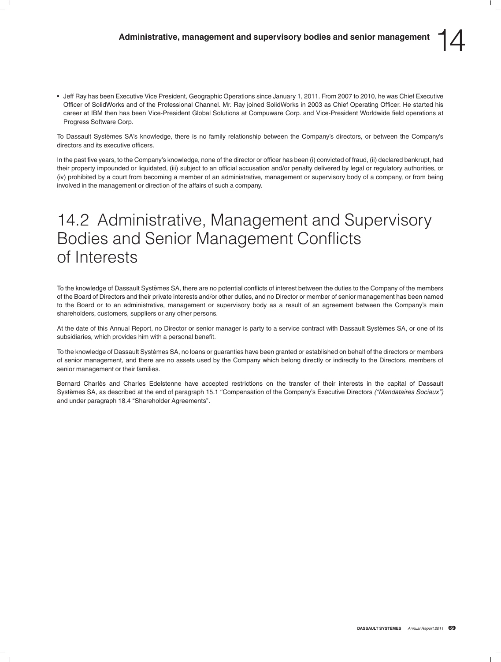• Jeff Ray has been Executive Vice President, Geographic Operations since January 1, 2011. From 2007 to 2010, he was Chief Executive Officer of SolidWorks and of the Professional Channel. Mr. Ray joined SolidWorks in 2003 as Chief Operating Officer. He started his career at IBM then has been Vice-President Global Solutions at Compuware Corp. and Vice-President Worldwide field operations at Progress Software Corp.

To Dassault Systèmes SA's knowledge, there is no family relationship between the Company's directors, or between the Company's directors and its executive officers.

In the past five years, to the Company's knowledge, none of the director or officer has been (i) convicted of fraud, (ii) declared bankrupt, had their property impounded or liquidated, (iii) subject to an official accusation and/or penalty delivered by legal or regulatory authorities, or (iv) prohibited by a court from becoming a member of an administrative, management or supervisory body of a company, or from being involved in the management or direction of the affairs of such a company.

# 14.2 Administrative, Management and Supervisory Bodies and Senior Management Conflicts of Interests

To the knowledge of Dassault Systèmes SA, there are no potential conflicts of interest between the duties to the Company of the members of the Board of Directors and their private interests and/or other duties, and no Director or member of senior management has been named to the Board or to an administrative, management or supervisory body as a result of an agreement between the Company's main shareholders, customers, suppliers or any other persons.

At the date of this Annual Report, no Director or senior manager is party to a service contract with Dassault Systèmes SA, or one of its subsidiaries, which provides him with a personal benefit.

To the knowledge of Dassault Systèmes SA, no loans or guaranties have been granted or established on behalf of the directors or members of senior management, and there are no assets used by the Company which belong directly or indirectly to the Directors, members of senior management or their families.

Bernard Charlès and Charles Edelstenne have accepted restrictions on the transfer of their interests in the capital of Dassault Systemes SA, as described at the end of paragraph 15.1 ''Compensation of the Company's Executive Directors ` *(''Mandataires Sociaux'')* and under paragraph 18.4 ''Shareholder Agreements''.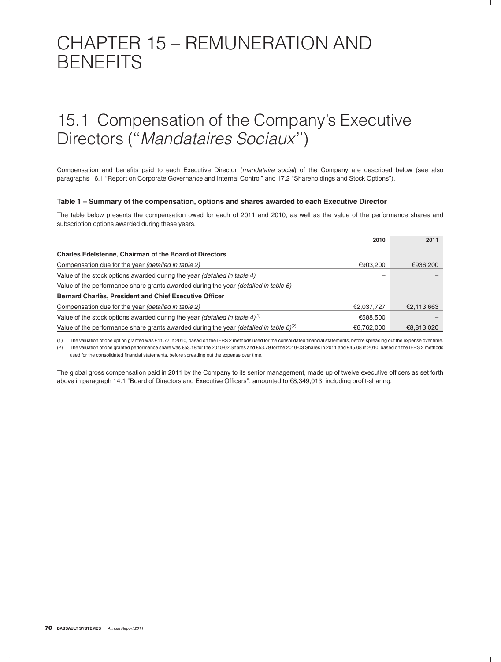# CHAPTER 15 – REMUNERATION AND **BENEFITS**

# 15.1 Compensation of the Company's Executive Directors (''*Mandataires Sociaux*'')

Compensation and benefits paid to each Executive Director (*mandataire social*) of the Company are described below (see also paragraphs 16.1 ''Report on Corporate Governance and Internal Control'' and 17.2 ''Shareholdings and Stock Options'').

### **Table 1 – Summary of the compensation, options and shares awarded to each Executive Director**

The table below presents the compensation owed for each of 2011 and 2010, as well as the value of the performance shares and subscription options awarded during these years.

|                                                                                                          | 2010       | 2011       |
|----------------------------------------------------------------------------------------------------------|------------|------------|
| <b>Charles Edelstenne, Chairman of the Board of Directors</b>                                            |            |            |
| Compensation due for the year (detailed in table 2)                                                      | €903,200   | €936,200   |
| Value of the stock options awarded during the year <i>(detailed in table 4)</i>                          |            |            |
| Value of the performance share grants awarded during the year <i>(detailed in table 6)</i>               | -          |            |
| Bernard Charlès, President and Chief Executive Officer                                                   |            |            |
| Compensation due for the year (detailed in table 2)                                                      | €2,037,727 | €2,113,663 |
| Value of the stock options awarded during the year <i>(detailed in table 4)</i> <sup>(1)</sup>           | €588,500   |            |
| Value of the performance share grants awarded during the year <i>(detailed in table 6)<sup>(2)</sup></i> | €6,762,000 | €8,813,020 |

(1) The valuation of one option granted was  $\epsilon$ 11.77 in 2010, based on the IFRS 2 methods used for the consolidated financial statements, before spreading out the expense over time. (2) The valuation of one granted performance share was e53.18 for the 2010-02 Shares and e53.79 for the 2010-03 Shares in 2011 and e45.08 in 2010, based on the IFRS 2 methods used for the consolidated financial statements, before spreading out the expense over time.

The global gross compensation paid in 2011 by the Company to its senior management, made up of twelve executive officers as set forth above in paragraph 14.1 ''Board of Directors and Executive Officers'', amounted to e8,349,013, including profit-sharing.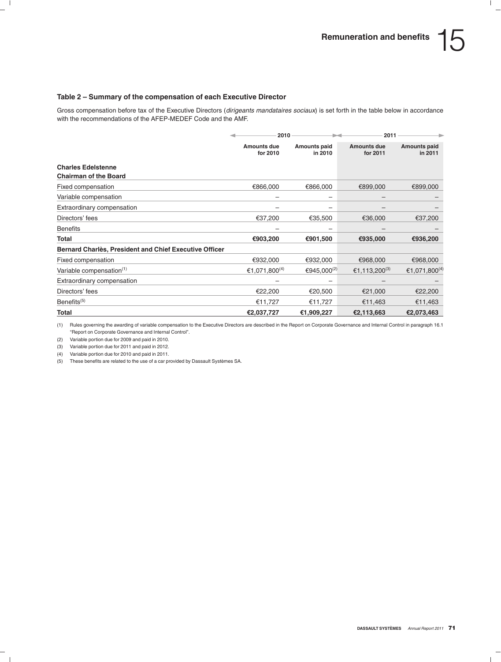## **Table 2 – Summary of the compensation of each Executive Director**

Gross compensation before tax of the Executive Directors (*dirigeants mandataires sociaux*) is set forth in the table below in accordance with the recommendations of the AFEP-MEDEF Code and the AMF.

|                                                               | 2010                      |                                | 2011                           |                                |
|---------------------------------------------------------------|---------------------------|--------------------------------|--------------------------------|--------------------------------|
|                                                               | Amounts due<br>for 2010   | <b>Amounts paid</b><br>in 2010 | <b>Amounts due</b><br>for 2011 | <b>Amounts paid</b><br>in 2011 |
| <b>Charles Edelstenne</b>                                     |                           |                                |                                |                                |
| <b>Chairman of the Board</b>                                  |                           |                                |                                |                                |
| Fixed compensation                                            | €866,000                  | €866,000                       | €899,000                       | €899,000                       |
| Variable compensation                                         | -                         | -                              | -                              |                                |
| Extraordinary compensation                                    |                           |                                |                                |                                |
| Directors' fees                                               | €37,200                   | €35,500                        | €36,000                        | €37,200                        |
| <b>Benefits</b>                                               |                           |                                |                                |                                |
| Total                                                         | €903,200                  | €901,500                       | €935,000                       | €936,200                       |
| <b>Bernard Charlès, President and Chief Executive Officer</b> |                           |                                |                                |                                |
| Fixed compensation                                            | €932,000                  | €932,000                       | €968,000                       | €968,000                       |
| Variable compensation <sup>(1)</sup>                          | €1,071,800 <sup>(4)</sup> | €945,000(2)                    | €1,113,200 <sup>(3)</sup>      | €1,071,800 <sup>(4)</sup>      |
| Extraordinary compensation                                    | -                         |                                |                                |                                |
| Directors' fees                                               | €22,200                   | €20,500                        | €21,000                        | €22,200                        |
| Benefits <sup>(5)</sup>                                       | €11,727                   | €11,727                        | €11,463                        | €11,463                        |
| Total                                                         | €2,037,727                | €1,909,227                     | €2,113,663                     | €2,073,463                     |

(1) Rules governing the awarding of variable compensation to the Executive Directors are described in the Report on Corporate Governance and Internal Control in paragraph 16.1 ''Report on Corporate Governance and Internal Control''.

(2) Variable portion due for 2009 and paid in 2010.

(3) Variable portion due for 2011 and paid in 2012.

(4) Variable portion due for 2010 and paid in 2011.

(5) These benefits are related to the use of a car provided by Dassault Systèmes SA.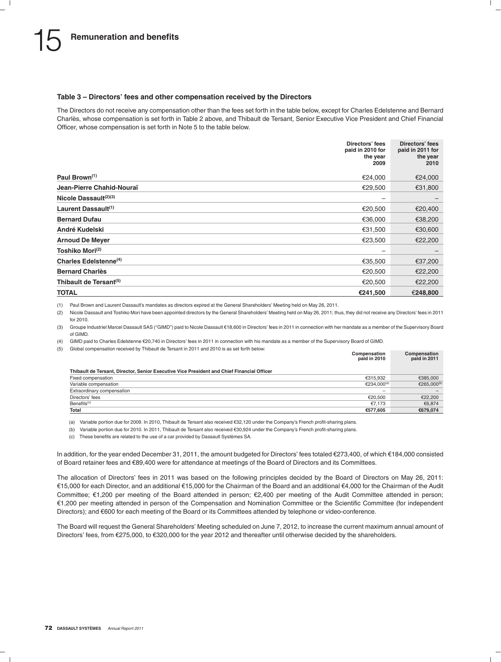### **Table 3 – Directors' fees and other compensation received by the Directors**

The Directors do not receive any compensation other than the fees set forth in the table below, except for Charles Edelstenne and Bernard Charlès, whose compensation is set forth in Table 2 above, and Thibault de Tersant, Senior Executive Vice President and Chief Financial Officer, whose compensation is set forth in Note 5 to the table below.

|                                    | Directors' fees<br>paid in 2010 for<br>the year<br>2009 | Directors' fees<br>paid in 2011 for<br>the year<br>2010 |
|------------------------------------|---------------------------------------------------------|---------------------------------------------------------|
| Paul Brown <sup>(1)</sup>          | €24,000                                                 | €24,000                                                 |
| Jean-Pierre Chahid-Nouraï          | €29,500                                                 | €31,800                                                 |
| Nicole Dassault $(2)(3)$           | -                                                       |                                                         |
| Laurent Dassault <sup>(1)</sup>    | €20,500                                                 | €20,400                                                 |
| <b>Bernard Dufau</b>               | €36,000                                                 | €38,200                                                 |
| André Kudelski                     | €31,500                                                 | €30,600                                                 |
| <b>Arnoud De Meyer</b>             | €23,500                                                 | €22,200                                                 |
| Toshiko Mori <sup>(2)</sup>        | -                                                       | -                                                       |
| Charles Edelstenne <sup>(4)</sup>  | €35,500                                                 | €37,200                                                 |
| <b>Bernard Charlès</b>             | €20,500                                                 | €22,200                                                 |
| Thibault de Tersant <sup>(5)</sup> | €20,500                                                 | €22,200                                                 |
| <b>TOTAL</b>                       | €241.500                                                | €248.800                                                |

(1) Paul Brown and Laurent Dassault's mandates as directors expired at the General Shareholders' Meeting held on May 26, 2011.

(2) Nicole Dassault and Toshiko Mori have been appointed directors by the General Shareholders' Meeting held on May 26, 2011; thus, they did not receive any Directors' fees in 2011 for 2010.

(3) Groupe Industriel Marcel Dassault SAS (''GIMD'') paid to Nicole Dassault e18,600 in Directors' fees in 2011 in connection with her mandate as a member of the Supervisory Board of GIMD.

(4) GIMD paid to Charles Edelstenne e20,740 in Directors' fees in 2011 in connection with his mandate as a member of the Supervisory Board of GIMD.

(5) Global compensation received by Thibault de Tersant in 2011 and 2010 is as set forth below:

|                                                                                            | Compensation<br>paid in 2010 | Compensation<br>paid in 2011 |
|--------------------------------------------------------------------------------------------|------------------------------|------------------------------|
| Thibault de Tersant, Director, Senior Executive Vice President and Chief Financial Officer |                              |                              |
| Fixed compensation                                                                         | €315.932                     | €385,000                     |
| Variable compensation                                                                      | €234.000 <sup>(a)</sup>      | €265,000 <sup>(b)</sup>      |
| Extraordinary compensation                                                                 |                              |                              |
| Directors' fees                                                                            | €20.500                      | €22,200                      |
| Benefits <sup>(c)</sup>                                                                    | €7.173                       | €6.874                       |
| Total                                                                                      | €577.605                     | €679.074                     |

(a) Variable portion due for 2009. In 2010, Thibault de Tersant also received e32,120 under the Company's French profit-sharing plans.

(b) Variable portion due for 2010. In 2011, Thibault de Tersant also received e30,924 under the Company's French profit-sharing plans.

(c) These benefits are related to the use of a car provided by Dassault Systèmes SA.

In addition, for the year ended December 31, 2011, the amount budgeted for Directors' fees totaled €273,400, of which €184,000 consisted of Board retainer fees and e89,400 were for attendance at meetings of the Board of Directors and its Committees.

The allocation of Directors' fees in 2011 was based on the following principles decided by the Board of Directors on May 26, 2011: e15,000 for each Director, and an additional e15,000 for the Chairman of the Board and an additional e4,000 for the Chairman of the Audit Committee; e1,200 per meeting of the Board attended in person; e2,400 per meeting of the Audit Committee attended in person; e1,200 per meeting attended in person of the Compensation and Nomination Committee or the Scientific Committee (for independent Directors); and  $\epsilon$ 600 for each meeting of the Board or its Committees attended by telephone or video-conference.

The Board will request the General Shareholders' Meeting scheduled on June 7, 2012, to increase the current maximum annual amount of Directors' fees, from  $\epsilon$ 275,000, to  $\epsilon$ 320,000 for the year 2012 and thereafter until otherwise decided by the shareholders.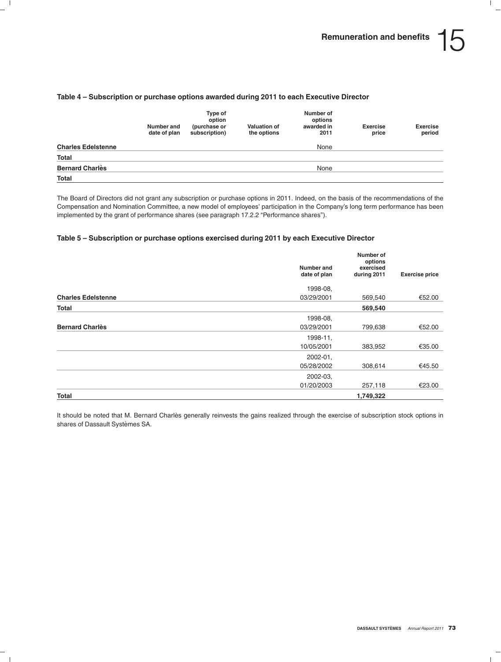#### **Table 4 – Subscription or purchase options awarded during 2011 to each Executive Director**

|                           | Number and<br>date of plan | Type of<br>option<br>(purchase or<br>subscription) | <b>Valuation of</b><br>the options | Number of<br>options<br>awarded in<br>2011 | <b>Exercise</b><br>price | <b>Exercise</b><br>period |
|---------------------------|----------------------------|----------------------------------------------------|------------------------------------|--------------------------------------------|--------------------------|---------------------------|
| <b>Charles Edelstenne</b> |                            |                                                    |                                    | None                                       |                          |                           |
| <b>Total</b>              |                            |                                                    |                                    |                                            |                          |                           |
| <b>Bernard Charlès</b>    |                            |                                                    |                                    | None                                       |                          |                           |
| Total                     |                            |                                                    |                                    |                                            |                          |                           |

The Board of Directors did not grant any subscription or purchase options in 2011. Indeed, on the basis of the recommendations of the Compensation and Nomination Committee, a new model of employees' participation in the Company's long term performance has been implemented by the grant of performance shares (see paragraph 17.2.2 "Performance shares").

#### **Table 5 – Subscription or purchase options exercised during 2011 by each Executive Director**

|                           | Number and   | Number of<br>options<br>exercised |                       |  |
|---------------------------|--------------|-----------------------------------|-----------------------|--|
|                           | date of plan | during 2011                       | <b>Exercise price</b> |  |
|                           | 1998-08.     |                                   |                       |  |
| <b>Charles Edelstenne</b> | 03/29/2001   | 569,540                           | €52.00                |  |
| Total                     |              | 569,540                           |                       |  |
|                           | 1998-08.     |                                   |                       |  |
| <b>Bernard Charlès</b>    | 03/29/2001   | 799,638                           | €52.00                |  |
|                           | 1998-11,     |                                   |                       |  |
|                           | 10/05/2001   | 383,952                           | €35.00                |  |
|                           | 2002-01,     |                                   |                       |  |
|                           | 05/28/2002   | 308,614                           | €45.50                |  |
|                           | 2002-03,     |                                   |                       |  |
|                           | 01/20/2003   | 257,118                           | €23.00                |  |
| <b>Total</b>              |              | 1,749,322                         |                       |  |

It should be noted that M. Bernard Charlès generally reinvests the gains realized through the exercise of subscription stock options in shares of Dassault Systèmes SA.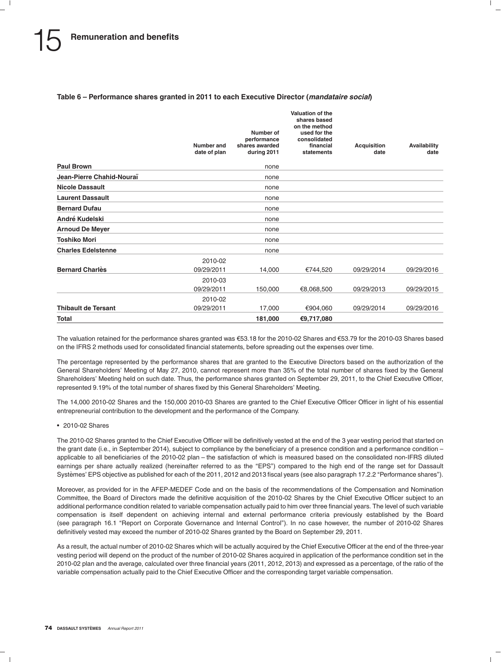#### **Table 6 – Performance shares granted in 2011 to each Executive Director (***mandataire social***)**

|                            | Number and<br>date of plan | Number of<br>performance<br>shares awarded<br>during 2011 | Valuation of the<br>shares based<br>on the method<br>used for the<br>consolidated<br>financial<br>statements | <b>Acquisition</b><br>date | Availability<br>date |
|----------------------------|----------------------------|-----------------------------------------------------------|--------------------------------------------------------------------------------------------------------------|----------------------------|----------------------|
| <b>Paul Brown</b>          |                            | none                                                      |                                                                                                              |                            |                      |
| Jean-Pierre Chahid-Nouraï  |                            | none                                                      |                                                                                                              |                            |                      |
| <b>Nicole Dassault</b>     |                            | none                                                      |                                                                                                              |                            |                      |
| <b>Laurent Dassault</b>    |                            | none                                                      |                                                                                                              |                            |                      |
| <b>Bernard Dufau</b>       |                            | none                                                      |                                                                                                              |                            |                      |
| André Kudelski             |                            | none                                                      |                                                                                                              |                            |                      |
| <b>Arnoud De Meyer</b>     |                            | none                                                      |                                                                                                              |                            |                      |
| <b>Toshiko Mori</b>        |                            | none                                                      |                                                                                                              |                            |                      |
| <b>Charles Edelstenne</b>  |                            | none                                                      |                                                                                                              |                            |                      |
| <b>Bernard Charlès</b>     | 2010-02<br>09/29/2011      | 14,000                                                    | €744,520                                                                                                     | 09/29/2014                 | 09/29/2016           |
|                            | 2010-03<br>09/29/2011      | 150,000                                                   | €8,068,500                                                                                                   | 09/29/2013                 | 09/29/2015           |
| <b>Thibault de Tersant</b> | 2010-02<br>09/29/2011      | 17,000                                                    | €904,060                                                                                                     | 09/29/2014                 | 09/29/2016           |
| <b>Total</b>               |                            | 181,000                                                   | €9,717,080                                                                                                   |                            |                      |

The valuation retained for the performance shares granted was €53.18 for the 2010-02 Shares and €53.79 for the 2010-03 Shares based on the IFRS 2 methods used for consolidated financial statements, before spreading out the expenses over time.

The percentage represented by the performance shares that are granted to the Executive Directors based on the authorization of the General Shareholders' Meeting of May 27, 2010, cannot represent more than 35% of the total number of shares fixed by the General Shareholders' Meeting held on such date. Thus, the performance shares granted on September 29, 2011, to the Chief Executive Officer, represented 9.19% of the total number of shares fixed by this General Shareholders' Meeting.

The 14,000 2010-02 Shares and the 150,000 2010-03 Shares are granted to the Chief Executive Officer Officer in light of his essential entrepreneurial contribution to the development and the performance of the Company.

• 2010-02 Shares

The 2010-02 Shares granted to the Chief Executive Officer will be definitively vested at the end of the 3 year vesting period that started on the grant date (i.e., in September 2014), subject to compliance by the beneficiary of a presence condition and a performance condition – applicable to all beneficiaries of the 2010-02 plan – the satisfaction of which is measured based on the consolidated non-IFRS diluted earnings per share actually realized (hereinafter referred to as the "EPS") compared to the high end of the range set for Dassault Systèmes' EPS objective as published for each of the 2011, 2012 and 2013 fiscal years (see also paragraph 17.2.2 "Performance shares").

Moreover, as provided for in the AFEP-MEDEF Code and on the basis of the recommendations of the Compensation and Nomination Committee, the Board of Directors made the definitive acquisition of the 2010-02 Shares by the Chief Executive Officer subject to an additional performance condition related to variable compensation actually paid to him over three financial years. The level of such variable compensation is itself dependent on achieving internal and external performance criteria previously established by the Board (see paragraph 16.1 ''Report on Corporate Governance and Internal Control''). In no case however, the number of 2010-02 Shares definitively vested may exceed the number of 2010-02 Shares granted by the Board on September 29, 2011.

As a result, the actual number of 2010-02 Shares which will be actually acquired by the Chief Executive Officer at the end of the three-year vesting period will depend on the product of the number of 2010-02 Shares acquired in application of the performance condition set in the 2010-02 plan and the average, calculated over three financial years (2011, 2012, 2013) and expressed as a percentage, of the ratio of the variable compensation actually paid to the Chief Executive Officer and the corresponding target variable compensation.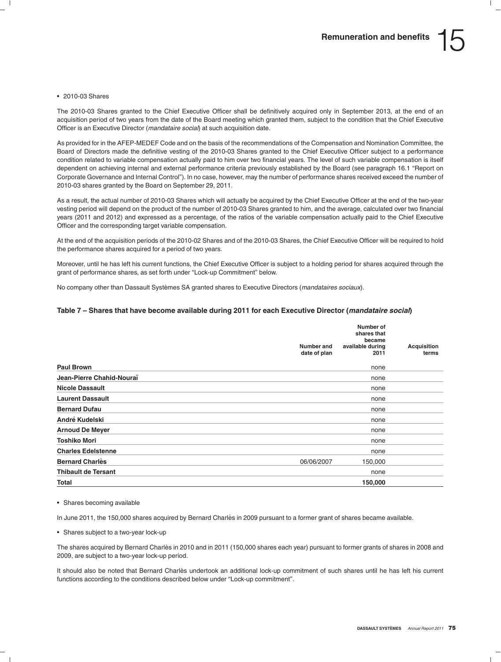#### • 2010-03 Shares

The 2010-03 Shares granted to the Chief Executive Officer shall be definitively acquired only in September 2013, at the end of an acquisition period of two years from the date of the Board meeting which granted them, subject to the condition that the Chief Executive Officer is an Executive Director (*mandataire social*) at such acquisition date.

As provided for in the AFEP-MEDEF Code and on the basis of the recommendations of the Compensation and Nomination Committee, the Board of Directors made the definitive vesting of the 2010-03 Shares granted to the Chief Executive Officer subject to a performance condition related to variable compensation actually paid to him over two financial years. The level of such variable compensation is itself dependent on achieving internal and external performance criteria previously established by the Board (see paragraph 16.1 "Report on Corporate Governance and Internal Control''). In no case, however, may the number of performance shares received exceed the number of 2010-03 shares granted by the Board on September 29, 2011.

As a result, the actual number of 2010-03 Shares which will actually be acquired by the Chief Executive Officer at the end of the two-year vesting period will depend on the product of the number of 2010-03 Shares granted to him, and the average, calculated over two financial years (2011 and 2012) and expressed as a percentage, of the ratios of the variable compensation actually paid to the Chief Executive Officer and the corresponding target variable compensation.

At the end of the acquisition periods of the 2010-02 Shares and of the 2010-03 Shares, the Chief Executive Officer will be required to hold the performance shares acquired for a period of two years.

Moreover, until he has left his current functions, the Chief Executive Officer is subject to a holding period for shares acquired through the grant of performance shares, as set forth under "Lock-up Commitment" below.

No company other than Dassault Systèmes SA granted shares to Executive Directors (*mandataires sociaux*).

#### **Table 7 – Shares that have become available during 2011 for each Executive Director (***mandataire social***)**

|                            |                            | Number of<br>shares that           |                             |
|----------------------------|----------------------------|------------------------------------|-----------------------------|
|                            | Number and<br>date of plan | became<br>available during<br>2011 | <b>Acquisition</b><br>terms |
| <b>Paul Brown</b>          |                            | none                               |                             |
| Jean-Pierre Chahid-Nouraï  |                            | none                               |                             |
| <b>Nicole Dassault</b>     |                            | none                               |                             |
| <b>Laurent Dassault</b>    |                            | none                               |                             |
| <b>Bernard Dufau</b>       |                            | none                               |                             |
| André Kudelski             |                            | none                               |                             |
| <b>Arnoud De Meyer</b>     |                            | none                               |                             |
| <b>Toshiko Mori</b>        |                            | none                               |                             |
| <b>Charles Edelstenne</b>  |                            | none                               |                             |
| <b>Bernard Charlès</b>     | 06/06/2007                 | 150,000                            |                             |
| <b>Thibault de Tersant</b> |                            | none                               |                             |
| <b>Total</b>               |                            | 150,000                            |                             |

• Shares becoming available

In June 2011, the 150,000 shares acquired by Bernard Charlès in 2009 pursuant to a former grant of shares became available.

• Shares subject to a two-year lock-up

The shares acquired by Bernard Charlès in 2010 and in 2011 (150,000 shares each year) pursuant to former grants of shares in 2008 and 2009, are subject to a two-year lock-up period.

It should also be noted that Bernard Charlès undertook an additional lock-up commitment of such shares until he has left his current functions according to the conditions described below under ''Lock-up commitment''.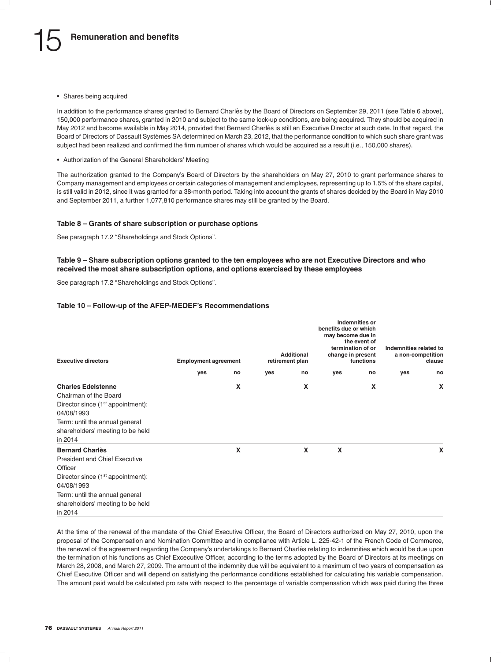• Shares being acquired

In addition to the performance shares granted to Bernard Charlès by the Board of Directors on September 29, 2011 (see Table 6 above), 150,000 performance shares, granted in 2010 and subject to the same lock-up conditions, are being acquired. They should be acquired in May 2012 and become available in May 2014, provided that Bernard Charlès is still an Executive Director at such date. In that regard, the Board of Directors of Dassault Systemes SA determined on March 23, 2012, that the performance condition to which such share grant was ` subject had been realized and confirmed the firm number of shares which would be acquired as a result (i.e., 150,000 shares).

• Authorization of the General Shareholders' Meeting

The authorization granted to the Company's Board of Directors by the shareholders on May 27, 2010 to grant performance shares to Company management and employees or certain categories of management and employees, representing up to 1.5% of the share capital, is still valid in 2012, since it was granted for a 38-month period. Taking into account the grants of shares decided by the Board in May 2010 and September 2011, a further 1,077,810 performance shares may still be granted by the Board.

#### **Table 8 – Grants of share subscription or purchase options**

See paragraph 17.2 "Shareholdings and Stock Options".

#### **Table 9 – Share subscription options granted to the ten employees who are not Executive Directors and who received the most share subscription options, and options exercised by these employees**

See paragraph 17.2 "Shareholdings and Stock Options".

#### **Table 10 – Follow-up of the AFEP-MEDEF's Recommendations**

| <b>Executive directors</b>                                                                                                                                                                                      | <b>Employment agreement</b> |    |     | <b>Additional</b><br>retirement plan | benefits due or which<br>may become due in<br>termination of or<br>change in present | <b>Indemnities or</b><br>the event of<br>functions | Indemnities related to<br>a non-competition | clause |
|-----------------------------------------------------------------------------------------------------------------------------------------------------------------------------------------------------------------|-----------------------------|----|-----|--------------------------------------|--------------------------------------------------------------------------------------|----------------------------------------------------|---------------------------------------------|--------|
|                                                                                                                                                                                                                 | yes                         | no | yes | no                                   | yes                                                                                  | no                                                 | yes                                         | no     |
| <b>Charles Edelstenne</b><br>Chairman of the Board<br>Director since $(1st$ appointment):<br>04/08/1993<br>Term: until the annual general<br>shareholders' meeting to be held<br>in 2014                        |                             | X  |     | X                                    |                                                                                      | X                                                  |                                             | X      |
| <b>Bernard Charlès</b><br><b>President and Chief Executive</b><br>Officer<br>Director since $(1st$ appointment):<br>04/08/1993<br>Term: until the annual general<br>shareholders' meeting to be held<br>in 2014 |                             | X  |     | X                                    | X                                                                                    |                                                    |                                             | X      |

At the time of the renewal of the mandate of the Chief Executive Officer, the Board of Directors authorized on May 27, 2010, upon the proposal of the Compensation and Nomination Committee and in compliance with Article L. 225-42-1 of the French Code of Commerce, the renewal of the agreement regarding the Company's undertakings to Bernard Charles relating to indemnities which would be due upon ` the termination of his functions as Chief Excecutive Officer, according to the terms adopted by the Board of Directors at its meetings on March 28, 2008, and March 27, 2009. The amount of the indemnity due will be equivalent to a maximum of two years of compensation as Chief Executive Officer and will depend on satisfying the performance conditions established for calculating his variable compensation. The amount paid would be calculated pro rata with respect to the percentage of variable compensation which was paid during the three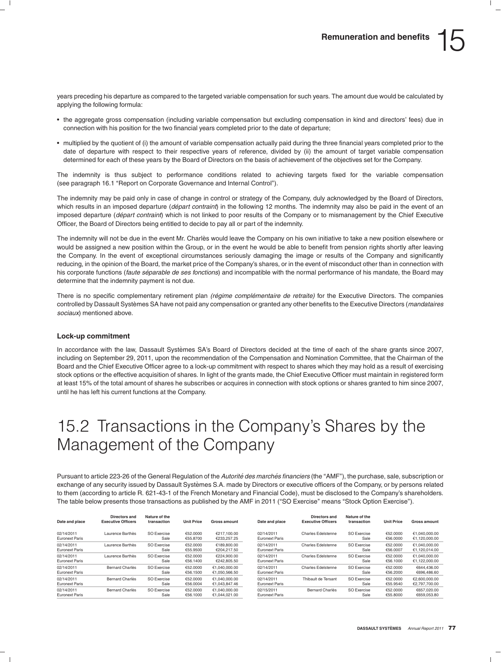years preceding his departure as compared to the targeted variable compensation for such years. The amount due would be calculated by applying the following formula:

- the aggregate gross compensation (including variable compensation but excluding compensation in kind and directors' fees) due in connection with his position for the two financial years completed prior to the date of departure;
- multiplied by the quotient of (i) the amount of variable compensation actually paid during the three financial years completed prior to the date of departure with respect to their respective years of reference, divided by (ii) the amount of target variable compensation determined for each of these years by the Board of Directors on the basis of achievement of the objectives set for the Company.

The indemnity is thus subject to performance conditions related to achieving targets fixed for the variable compensation (see paragraph 16.1 ''Report on Corporate Governance and Internal Control'').

The indemnity may be paid only in case of change in control or strategy of the Company, duly acknowledged by the Board of Directors, which results in an imposed departure (*départ contraint*) in the following 12 months. The indemnity may also be paid in the event of an imposed departure (*départ contraint*) which is not linked to poor results of the Company or to mismanagement by the Chief Executive Officer, the Board of Directors being entitled to decide to pay all or part of the indemnity.

The indemnity will not be due in the event Mr. Charlès would leave the Company on his own initiative to take a new position elsewhere or would be assigned a new position within the Group, or in the event he would be able to benefit from pension rights shortly after leaving the Company. In the event of exceptional circumstances seriously damaging the image or results of the Company and significantly reducing, in the opinion of the Board, the market price of the Company's shares, or in the event of misconduct other than in connection with his corporate functions (*faute separable de ses fonctions ´* ) and incompatible with the normal performance of his mandate, the Board may determine that the indemnity payment is not due.

There is no specific complementary retirement plan *(régime complémentaire de retraite)* for the Executive Directors. The companies controlled by Dassault Systèmes SA have not paid any compensation or granted any other benefits to the Executive Directors (*mandataires sociaux*) mentioned above.

#### **Lock-up commitment**

In accordance with the law, Dassault Systèmes SA's Board of Directors decided at the time of each of the share grants since 2007, including on September 29, 2011, upon the recommendation of the Compensation and Nomination Committee, that the Chairman of the Board and the Chief Executive Officer agree to a lock-up commitment with respect to shares which they may hold as a result of exercising stock options or the effective acquisition of shares. In light of the grants made, the Chief Executive Officer must maintain in registered form at least 15% of the total amount of shares he subscribes or acquires in connection with stock options or shares granted to him since 2007, until he has left his current functions at the Company.

# 15.2 Transactions in the Company's Shares by the Management of the Company

Pursuant to article 223-26 of the General Regulation of the *Autorite des march ´ es financiers ´* (the ''AMF''), the purchase, sale, subscription or exchange of any security issued by Dassault Systèmes S.A. made by Directors or executive officers of the Company, or by persons related to them (according to article R. 621-43-1 of the French Monetary and Financial Code), must be disclosed to the Company's shareholders. The table below presents those transactions as published by the AMF in 2011 ("SO Exercise" means "Stock Option Exercise").

| Date and place                      | Directors and<br><b>Executive Officers</b> | Nature of the<br>transaction | <b>Unit Price</b>    | Gross amount                   | Date and place                      | Directors and<br><b>Executive Officers</b> | Nature of the<br>transaction | <b>Unit Price</b>    | Gross amount                   |
|-------------------------------------|--------------------------------------------|------------------------------|----------------------|--------------------------------|-------------------------------------|--------------------------------------------|------------------------------|----------------------|--------------------------------|
| 02/14/2011<br><b>Euronext Paris</b> | Laurence Barthès                           | <b>SO Exercise</b><br>Sale   | €52,0000<br>€55,8700 | €217.100.00<br>€233.257.25     | 02/14/2011<br><b>Euronext Paris</b> | <b>Charles Edelstenne</b>                  | SO Exercise<br>Sale          | €52,0000<br>€56,0000 | €1.040.000.00<br>€1.120.000.00 |
| 02/14/2011<br><b>Euronext Paris</b> | Laurence Barthès                           | <b>SO Exercise</b><br>Sale   | €52,0000<br>€55,9500 | €189,800,00<br>€204.217.50     | 02/14/2011<br><b>Euronext Paris</b> | <b>Charles Edelstenne</b>                  | SO Exercise<br>Sale          | €52,0000<br>€56,0007 | €1.040.000.00<br>€1.120.014.00 |
| 02/14/2011<br><b>Euronext Paris</b> | Laurence Barthès                           | <b>SO Exercise</b><br>Sale   | €52,0000<br>€56,1400 | €224.900.00<br>€242.805.50     | 02/14/2011<br><b>Euronext Paris</b> | <b>Charles Edelstenne</b>                  | SO Exercise<br>Sale          | €52,0000<br>€56.1000 | €1.040.000.00<br>€1,122,000.00 |
| 02/14/2011<br><b>Euronext Paris</b> | <b>Bernard Charlès</b>                     | <b>SO Exercise</b><br>Sale   | €52,0000<br>€56.1500 | €1.040.000.00<br>€1.050.566.50 | 02/14/2011<br><b>Euronext Paris</b> | <b>Charles Edelstenne</b>                  | SO Exercise<br>Sale          | €52,0000<br>€56,2000 | €644,436.00<br>€696,486.60     |
| 02/14/2011<br><b>Euronext Paris</b> | <b>Bernard Charlès</b>                     | <b>SO Exercise</b><br>Sale   | €52,0000<br>€56,0004 | €1.040.000.00<br>€1.043.847.46 | 02/14/2011<br><b>Euronext Paris</b> | Thibault de Tersant                        | SO Exercise<br>Sale          | €52,0000<br>€55.9540 | €2.600.000.00<br>€2,797,700.00 |
| 02/14/2011<br><b>Euronext Paris</b> | <b>Bernard Charlès</b>                     | <b>SO Exercise</b><br>Sale   | €52,0000<br>€56,1000 | €1,040,000.00<br>€1.044.021.00 | 02/15/2011<br><b>Euronext Paris</b> | <b>Bernard Charlès</b>                     | <b>SO Exercise</b><br>Sale   | €52,0000<br>€55,8000 | €657.020.00<br>€659.053.80     |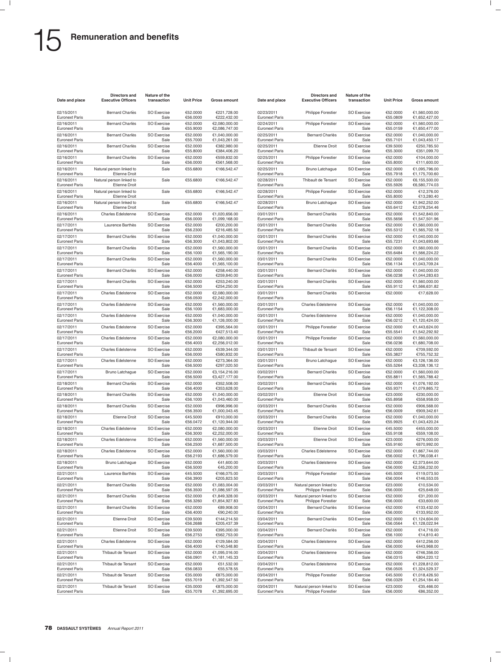| Date and place                      | Directors and<br><b>Executive Officers</b>       | Nature of the<br>transaction | <b>Unit Price</b>    | <b>Gross amount</b>            | Date and place                      | Directors and<br><b>Executive Officers</b>     | Nature of the<br>transaction | <b>Unit Price</b>    | <b>Gross amount</b>            |
|-------------------------------------|--------------------------------------------------|------------------------------|----------------------|--------------------------------|-------------------------------------|------------------------------------------------|------------------------------|----------------------|--------------------------------|
| 02/15/2011<br>Euronext Paris        | <b>Bernard Charlès</b>                           | <b>SO Exercise</b><br>Sale   | €52.0000<br>€56.0000 | €221,728.00<br>€222,432.00     | 02/23/2011<br><b>Euronext Paris</b> | <b>Philippe Forestier</b>                      | SO Exercise<br>Sale          | €52.0000<br>€55.0809 | €1,560,000.00<br>€1,652,427.00 |
| 02/16/2011<br><b>Euronext Paris</b> | Bernard Charlès                                  | <b>SO Exercise</b><br>Sale   | €52.0000<br>€55.9000 | €2,080,000.00<br>€2,086,747.00 | 02/24/2011<br><b>Euronext Paris</b> | Philippe Forestier                             | <b>SO Exercise</b><br>Sale   | €52.0000<br>€55.0159 | €1,560,000.00<br>€1,650,477.00 |
| 02/16/2011<br><b>Euronext Paris</b> | <b>Bernard Charlès</b>                           | <b>SO Exercise</b><br>Sale   | €52.0000<br>€55.7000 | €1,040,000.00<br>€1,043,261.00 | 02/25/2011<br><b>Euronext Paris</b> | <b>Bernard Charlès</b>                         | SO Exercise<br>Sale          | €52.0000<br>€55.7101 | €1,040,000.00<br>€1,043,450.17 |
| 02/16/2011                          | <b>Bernard Charlès</b>                           | <b>SO Exercise</b>           | €52.0000             | €382,980.00                    | 02/25/2011                          | Etienne Droit                                  | SO Exercise                  | €39.5000             | €250,785.50                    |
| Euronext Paris<br>02/16/2011        | Bernard Charlès                                  | Sale<br><b>SO Exercise</b>   | €55.8000<br>€52.0000 | €384,406.20<br>€559,832.00     | <b>Euronext Paris</b><br>02/25/2011 | Philippe Forestier                             | Sale<br><b>SO Exercise</b>   | €55.3000<br>€52.0000 | €351,099.70<br>€104,000.00     |
| <b>Euronext Paris</b><br>02/16/2011 | Natural person linked to                         | Sale<br>Sale                 | €56.0000<br>€55.6800 | €561,568.00<br>€166,542.47     | <b>Euronext Paris</b><br>02/25/2011 | <b>Bruno Latchague</b>                         | Sale<br><b>SO Exercise</b>   | €55.8000<br>€52.0000 | €111,600.00<br>€1,095,796.00   |
| <b>Euronext Paris</b><br>02/16/2011 | <b>Etienne Droit</b><br>Natural person linked to | Sale                         | €55.6800             | €166,542.47                    | <b>Euronext Paris</b><br>02/28/2011 | Thibault de Tersant                            | Sale<br>SO Exercise          | €55.7918<br>€52.0000 | €1,175,700.60<br>€6,155,500.00 |
| Euronext Paris<br>02/16/2011        | <b>Etienne Droit</b>                             |                              |                      |                                | <b>Euronext Paris</b>               |                                                | Sale                         | €55.5926             | €6,580,774.03                  |
| <b>Euronext Paris</b>               | Natural person linked to<br><b>Etienne Droit</b> | Sale                         | €55.6800             | €166,542.47                    | 02/28/2011<br><b>Euronext Paris</b> | Philippe Forestier                             | <b>SO Exercise</b><br>Sale   | €52.0000<br>€55.8000 | €12,376.00<br>€13,280.40       |
| 02/16/2011<br><b>Euronext Paris</b> | Natural person linked to<br><b>Etienne Droit</b> | Sale                         | €55.6800             | €166,542.47                    | 02/28/2011<br><b>Euronext Paris</b> | <b>Bruno Latchague</b>                         | SO Exercise<br>Sale          | €52.0000<br>€55.6412 | €1,942,252.00<br>€2,078,254.46 |
| 02/16/2011<br>Euronext Paris        | <b>Charles Edelstenne</b>                        | <b>SO Exercise</b><br>Sale   | €52.0000<br>€56.0000 | €1,020,656.00<br>€1,099,168.00 | 03/01/2011<br><b>Euronext Paris</b> | <b>Bernard Charlès</b>                         | SO Exercise<br>Sale          | €52.0000<br>€55.5656 | €1,542,840.00<br>€1,547,501.96 |
| 02/17/2011<br><b>Euronext Paris</b> | Laurence Barthès                                 | <b>SO Exercise</b><br>Sale   | €52.0000<br>€56.2300 | €200,200.00<br>€216,485.50     | 03/01/2011<br><b>Euronext Paris</b> | <b>Bernard Charlès</b>                         | <b>SO Exercise</b><br>Sale   | €52.0000<br>€55.5312 | €1,560,000.00<br>€1,565,702.18 |
| 02/17/2011<br><b>Euronext Paris</b> | <b>Bernard Charlès</b>                           | <b>SO Exercise</b><br>Sale   | €52.0000<br>€56.3000 | €1,040,000.00<br>€1,043,802.00 | 03/01/2011<br><b>Euronext Paris</b> | <b>Bernard Charlès</b>                         | <b>SO Exercise</b><br>Sale   | €52.0000<br>€55.7231 | €1,040,000.00<br>€1,043,693.66 |
| 02/17/2011                          | <b>Bernard Charlès</b>                           | <b>SO Exercise</b>           | €52.0000             | €1,560,000.00                  | 03/01/2011                          | <b>Bernard Charlès</b>                         | SO Exercise                  | €52.0000             | €1,560,000.00                  |
| <b>Euronext Paris</b><br>02/17/2011 | Bernard Charlès                                  | Sale<br><b>SO Exercise</b>   | €56.1000<br>€52.0000 | €1,565,190.00<br>€1,560,000.00 | <b>Euronext Paris</b><br>03/01/2011 | Bernard Charlès                                | Sale<br><b>SO Exercise</b>   | €55.6484<br>€52.0000 | €1,566,224.22<br>€1,040,000.00 |
| <b>Euronext Paris</b><br>02/17/2011 | <b>Bernard Charlès</b>                           | Sale<br><b>SO Exercise</b>   | €56.4000<br>€52.0000 | €1,565,100.00<br>€258,440.00   | <b>Euronext Paris</b><br>03/01/2011 | <b>Bernard Charlès</b>                         | Sale<br>SO Exercise          | €56.1134<br>€52.0000 | €1,043,709.24<br>€1,040,000.00 |
| <b>Euronext Paris</b><br>02/17/2011 | <b>Bernard Charlès</b>                           | Sale<br><b>SO Exercise</b>   | €56.0000<br>€52.0000 | €259,840.00<br>€253,240.00     | <b>Euronext Paris</b><br>03/01/2011 | <b>Bernard Charlès</b>                         | Sale<br>SO Exercise          | €56.0238<br>€52.0000 | €1,044,283.63<br>€1,560,000.00 |
| <b>Euronext Paris</b>               |                                                  | Sale                         | €56.5000             | €254,250.00                    | <b>Euronext Paris</b>               |                                                | Sale                         | €55.9112             | €1,566,631.82                  |
| 02/17/2011<br><b>Euronext Paris</b> | <b>Charles Edelstenne</b>                        | <b>SO Exercise</b><br>Sale   | €52.0000<br>€56.0500 | €2,080,000.00<br>€2,242,000.00 | 03/01/2011<br><b>Euronext Paris</b> | <b>Bernard Charlès</b>                         | <b>SO Exercise</b>           | €52.0000             | €17,628.00                     |
| 02/17/2011<br><b>Euronext Paris</b> | <b>Charles Edelstenne</b>                        | <b>SO Exercise</b><br>Sale   | €52.0000<br>€56.1000 | €1.560.000.00<br>€1,683,000.00 | 03/01/2011<br><b>Euronext Paris</b> | <b>Charles Edelstenne</b>                      | <b>SO Exercise</b><br>Sale   | €52.0000<br>€56.1154 | €1.040.000.00<br>€1,122,308.00 |
| 02/17/2011<br>Euronext Paris        | <b>Charles Edelstenne</b>                        | <b>SO Exercise</b><br>Sale   | €52.0000<br>€56.3000 | €1,040,000.00<br>€1,126,000.00 | 03/01/2011<br><b>Euronext Paris</b> | <b>Charles Edelstenne</b>                      | SO Exercise<br>Sale          | €52.0000<br>€56.0212 | €1,040,000.00<br>€1,120,424.00 |
| 02/17/2011<br><b>Euronext Paris</b> | <b>Charles Edelstenne</b>                        | <b>SO Exercise</b><br>Sale   | €52.0000<br>€56.2000 | €395,564.00<br>€427,513.40     | 03/01/2011<br><b>Euronext Paris</b> | Philippe Forestier                             | <b>SO Exercise</b><br>Sale   | €52.0000<br>€55.5541 | €1,443,624.00<br>€1,542,292.92 |
| 02/17/2011<br><b>Euronext Paris</b> | <b>Charles Edelstenne</b>                        | <b>SO Exercise</b><br>Sale   | €52.0000<br>€56.4003 | €2,080,000.00<br>€2,256,012.00 | 03/01/2011<br><b>Euronext Paris</b> | Philippe Forestier                             | SO Exercise<br>Sale          | €52.0000<br>€56.0236 | €1,560,000.00<br>€1,680,708.00 |
| 02/17/2011                          | <b>Charles Edelstenne</b>                        | <b>SO Exercise</b>           | €52.0000             | €539,344.00                    | 03/01/2011                          | Thibault de Tersant                            | SO Exercise                  | €52.0000             | €709,592.00                    |
| Euronext Paris<br>02/17/2011        | <b>Charles Edelstenne</b>                        | Sale<br><b>SO Exercise</b>   | €56.0000<br>€52.0000 | €580,832.00<br>€273,364.00     | <b>Euronext Paris</b><br>03/01/2011 | Bruno Latchague                                | Sale<br>SO Exercise          | €55.3827<br>€52.0000 | €755,752.32<br>€3,126,136.00   |
| <b>Euronext Paris</b><br>02/17/2011 | Bruno Latchague                                  | Sale<br><b>SO Exercise</b>   | €56.5000<br>€52.0000 | €297,020.50<br>€3,154,216.00   | <b>Euronext Paris</b><br>03/02/2011 | <b>Bernard Charlès</b>                         | Sale<br><b>SO Exercise</b>   | €55.5264<br>€52.0000 | €3,338,136.12<br>€1,560,000.00 |
| <b>Euronext Paris</b><br>02/18/2011 | <b>Bernard Charlès</b>                           | Sale<br><b>SO Exercise</b>   | €56.5000<br>€52.0000 | €3,427,177.00<br>€352,508.00   | <b>Euronext Paris</b><br>03/02/2011 | <b>Bernard Charlès</b>                         | Sale<br>SO Exercise          | €55.8811<br>€52.0000 | €1,565,788.42<br>€1,076,192.00 |
| Euronext Paris                      |                                                  | Sale                         | €56.4000             | €353,628.00                    | <b>Euronext Paris</b>               |                                                | Sale                         | €55.9371             | €1,079,865.72                  |
| 02/18/2011<br><b>Euronext Paris</b> | Bernard Charlès                                  | <b>SO Exercise</b><br>Sale   | €52.0000<br>€56.1000 | €1,040,000.00<br>€1,043,460.00 | 03/02/2011<br><b>Euronext Paris</b> | <b>Etienne Droit</b>                           | <b>SO Exercise</b><br>Sale   | €23.0000<br>€55.8958 | €230,000.00<br>€558,958.00     |
| 02/18/2011<br><b>Euronext Paris</b> | <b>Bernard Charlès</b>                           | <b>SO Exercise</b><br>Sale   | €52.0000<br>€56.3500 | €996,996.00<br>€1,000,043.45   | 03/03/2011<br><b>Euronext Paris</b> | <b>Bernard Charlès</b>                         | SO Exercise<br>Sale          | €52.0000<br>€56.0009 | €906.568.00<br>€909,342.61     |
| 02/18/2011<br>Euronext Paris        | <b>Etienne Droit</b>                             | <b>SO Exercise</b><br>Sale   | €45.5000<br>€56.0472 | €910,000.00<br>€1,120,944.00   | 03/03/2011<br><b>Euronext Paris</b> | <b>Bernard Charlès</b>                         | SO Exercise<br>Sale          | €52.0000<br>€55.9925 | €1,040,000.00<br>€1,043,420.24 |
| 02/18/2011<br><b>Euronext Paris</b> | <b>Charles Edelstenne</b>                        | <b>SO Exercise</b><br>Sale   | €52.0000<br>€56.3000 | €2,080,000.00<br>€2,252,000.00 | 03/03/2011<br><b>Euronext Paris</b> | <b>Etienne Droit</b>                           | SO Exercise<br>Sale          | €45.5000<br>€55.9108 | €455,000.00<br>€559,108.00     |
| 02/18/2011<br><b>Euronext Paris</b> | <b>Charles Edelstenne</b>                        | <b>SO Exercise</b><br>Sale   | €52.0000<br>€56.2500 | €1,560,000.00<br>€1,687,500.00 | 03/03/2011<br><b>Euronext Paris</b> | <b>Etienne Droit</b>                           | SO Exercise<br>Sale          | €23.0000<br>€55.9160 | €276,000.00<br>€670,992.00     |
| 02/18/2011                          | <b>Charles Edelstenne</b>                        | SO Exercise                  | €52.0000             | €1,560,000.00                  | 03/03/2011                          | <b>Charles Edelstenne</b>                      | SO Exercise                  | €52.0000             | €1,667,744.00                  |
| Euronext Paris<br>02/18/2011        | Bruno Latchaque                                  | Sale<br>SO Exercise          | €56.2193<br>€52.0000 | €1,686,579.00<br>€41,600.00    | <b>Euronext Paris</b><br>03/03/2011 | <b>Charles Edelstenne</b>                      | Sale<br><b>SO Exercise</b>   | €56.0002<br>€52.0000 | €1,796,038.41<br>€2,373,644.00 |
| <b>Euronext Paris</b><br>02/21/2011 | Laurence Barthès                                 | Sale<br><b>SO Exercise</b>   | €56.5000<br>€45.5000 | €45,200.00<br>€166,075.00      | <b>Euronext Paris</b><br>03/03/2011 | <b>Philippe Forestier</b>                      | Sale<br><b>SO Exercise</b>   | €56.0000<br>€45.5000 | €2,556,232.00<br>€119,073.50   |
| <b>Euronext Paris</b><br>02/21/2011 | <b>Bernard Charlès</b>                           | Sale<br><b>SO Exercise</b>   | €56.3900<br>€52.0000 | €205,823.50<br>€1,083,004.00   | <b>Euronext Paris</b><br>03/03/2011 | Natural person linked to                       | Sale<br>SO Exercise          | €56.0004<br>€23.0000 | €146,553.05<br>€10,534.00      |
| Euronext Paris<br>02/21/2011        | Bernard Charlès                                  | Sale<br><b>SO Exercise</b>   | €56.3500<br>€52.0000 | €1,086,597.05<br>€1,849,328.00 | <b>Euronext Paris</b><br>03/03/2011 | Philippe Forestier<br>Natural person linked to | Sale<br>SO Exercise          | €56.0000<br>€52.0000 | €25,648.00<br>€31,200.00       |
| <b>Euronext Paris</b>               |                                                  | Sale                         | €56.3260             | €1,854,927.83                  | <b>Euronext Paris</b>               | Philippe Forestier                             | Sale                         | €56.0000             | €33,600.00                     |
| 02/21/2011<br><b>Euronext Paris</b> | <b>Bernard Charlès</b>                           | <b>SO Exercise</b><br>Sale   | €52.0000<br>€56.4000 | €89,908.00<br>€90,240.00       | 03/04/2011<br><b>Euronext Paris</b> | <b>Bernard Charlès</b>                         | <b>SO Exercise</b><br>Sale   | €52.0000<br>€56.0000 | €133,432.00<br>€133,952.00     |
| 02/21/2011<br>Euronext Paris        | <b>Etienne Droit</b>                             | <b>SO Exercise</b><br>Sale   | €39.5000<br>€56.2688 | €144,214.50<br>€205,437.39     | 03/04/2011<br><b>Euronext Paris</b> | <b>Bernard Charlès</b>                         | SO Exercise<br>Sale          | €52.0000<br>€56.0564 | €1,124,604.00<br>€1,128,022.94 |
| 02/21/2011<br><b>Euronext Paris</b> | <b>Etienne Droit</b>                             | <b>SO Exercise</b><br>Sale   | €39.5000<br>€56.2753 | €395,000.00<br>€562,753.00     | 03/04/2011<br><b>Euronext Paris</b> | Bernard Charlès                                | SO Exercise<br>Sale          | €52.0000<br>€56.1000 | €14,716.00<br>€14,810.40       |
| 02/21/2011<br><b>Euronext Paris</b> | <b>Charles Edelstenne</b>                        | <b>SO Exercise</b><br>Sale   | €52.0000<br>€56.4000 | €129.584.00<br>€140,548.80     | 03/04/2011<br><b>Euronext Paris</b> | <b>Charles Edelstenne</b>                      | SO Exercise<br>Sale          | €52.0000<br>€56.0000 | €412,256.00<br>€443,968.00     |
| 02/21/2011                          | Thibault de Tersant                              | <b>SO Exercise</b>           | €52.0000<br>€56.0901 | €1,095,016.00                  | 03/04/2011                          | <b>Charles Edelstenne</b>                      | SO Exercise                  | €52.0000             | €746,356.00<br>€804,220.12     |
| Euronext Paris<br>02/21/2011        | Thibault de Tersant                              | Sale<br><b>SO Exercise</b>   | €52.0000             | €1,181,145.33<br>€51,532.00    | <b>Euronext Paris</b><br>03/04/2011 | <b>Charles Edelstenne</b>                      | Sale<br>SO Exercise          | €56.0315<br>€52.0000 | €1,228,812.00                  |
| <b>Euronext Paris</b><br>02/21/2011 | Thibault de Tersant                              | Sale<br><b>SO Exercise</b>   | €56.0833<br>€35.0000 | €55,578.55<br>€875,000.00      | <b>Euronext Paris</b><br>03/04/2011 | Philippe Forestier                             | Sale<br>SO Exercise          | €56.0505<br>€45.5000 | €1,324,529.37<br>€1,018,426.50 |
| <b>Euronext Paris</b><br>02/21/2011 | Thibault de Tersant                              | Sale<br><b>SO Exercise</b>   | €55.7019<br>€35.0000 | €1,392,547.50<br>€875,000.00   | <b>Euronext Paris</b><br>03/04/2011 | Natural person linked to                       | Sale<br>SO Exercise          | €56.0329<br>€23.0000 | €1,254,184.40<br>€35,466.00    |
| Euronext Paris                      |                                                  | Sale                         | €55.7078             | €1,392,695.00                  | <b>Euronext Paris</b>               | Philippe Forestier                             | Sale                         | €56.0000             | €86,352.00                     |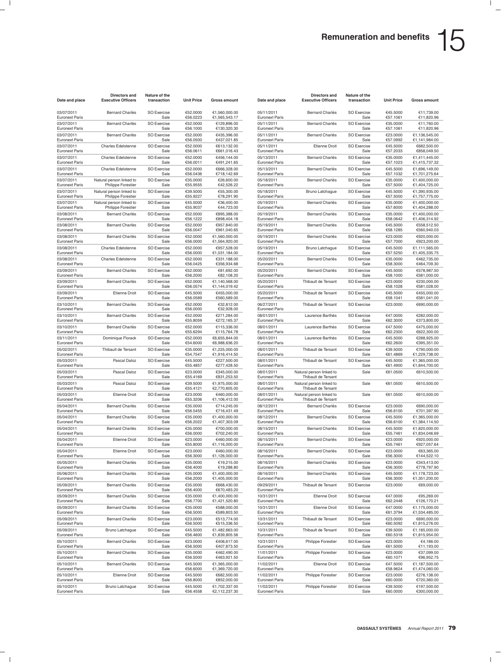| Date and place                      | Directors and<br><b>Executive Officers</b>     | Nature of the<br>transaction | <b>Unit Price</b>    | Gross amount                   | Date and place                      | Directors and<br><b>Executive Officers</b>      | Nature of the<br>transaction | <b>Unit Price</b>    | Gross amount                   |
|-------------------------------------|------------------------------------------------|------------------------------|----------------------|--------------------------------|-------------------------------------|-------------------------------------------------|------------------------------|----------------------|--------------------------------|
| 03/07/2011<br><b>Euronext Paris</b> | Bernard Charlès                                | <b>SO Exercise</b><br>Sale   | €52.0000<br>€56.0223 | €1,560,000.00<br>€1,565,543.17 | 05/11/2011<br><b>Euronext Paris</b> | Bernard Charlès                                 | <b>SO Exercise</b><br>Sale   | €45.5000<br>€57.1061 | €11,739.00<br>€11,820.96       |
| 03/07/2011<br><b>Euronext Paris</b> | <b>Bernard Charlès</b>                         | <b>SO Exercise</b><br>Sale   | €52.0000<br>€56.1000 | €129,896.00<br>€130,320.30     | 05/11/2011<br><b>Euronext Paris</b> | <b>Bernard Charlès</b>                          | <b>SO Exercise</b><br>Sale   | €35.0000<br>€57.1061 | €11.760.00<br>€11,820.96       |
| 03/07/2011<br><b>Euronext Paris</b> | <b>Bernard Charlès</b>                         | <b>SO Exercise</b><br>Sale   | €52.0000<br>€56.0500 | €435.396.00<br>€437,021.85     | 05/11/2011<br><b>Euronext Paris</b> | <b>Bernard Charlès</b>                          | SO Exercise<br>Sale          | €23.0000<br>€57.0992 | €1,136,545.00<br>€1,141,984.00 |
| 03/07/2011<br><b>Euronext Paris</b> | Charles Edelstenne                             | SO Exercise<br>Sale          | €52.0000<br>€56.0611 | €613,132.00<br>€661,016.43     | 05/11/2011<br><b>Euronext Paris</b> | <b>Etienne Droit</b>                            | <b>SO Exercise</b><br>Sale   | €45.5000<br>€57.2033 | €682,500.00<br>€858,049.50     |
| 03/07/2011                          | <b>Charles Edelstenne</b>                      | <b>SO Exercise</b>           | €52.0000             | €456,144.00                    | 05/13/2011                          | <b>Bernard Charlès</b>                          | <b>SO Exercise</b>           | €35.0000             | €1,411,445.00                  |
| <b>Euronext Paris</b><br>03/07/2011 | Charles Edelstenne                             | Sale<br><b>SO Exercise</b>   | €56.0011<br>€52.0000 | €491,241.65<br>€666,328.00     | <b>Euronext Paris</b><br>05/13/2011 | <b>Bernard Charlès</b>                          | Sale<br>SO Exercise          | €57.1023<br>€45.5000 | €1,415,737.32<br>€1,696,149.00 |
| <b>Euronext Paris</b><br>03/07/2011 | Natural person linked to                       | Sale<br>SO Exercise          | €56.0436<br>€35.0000 | €718,142.69<br>€26,600.00      | <b>Euronext Paris</b><br>05/18/2011 | Bernard Charlès                                 | Sale<br><b>SO Exercise</b>   | €57.1032<br>€35.0000 | €1,701,275.64<br>€1,400,000.00 |
| <b>Euronext Paris</b><br>03/07/2011 | Philippe Forestier<br>Natural person linked to | Sale<br><b>SO Exercise</b>   | €55.9555<br>€39.5000 | €42,526.22<br>€55,300.00       | <b>Euronext Paris</b><br>05/18/2011 | Bruno Latchague                                 | Sale<br><b>SO Exercise</b>   | €57.5000<br>€45.5000 | €1,404,725.00<br>€1,390,935.00 |
| <b>Euronext Paris</b>               | Philippe Forestier                             | Sale                         | €55.9227             | €78,291.90                     | <b>Euronext Paris</b>               |                                                 | Sale                         | €57.5000             | €1,757,775.00                  |
| 03/07/2011<br><b>Euronext Paris</b> | Natural person linked to<br>Philippe Forestier | <b>SO Exercise</b><br>Sale   | €45.5000<br>€55.9037 | €36,400.00<br>€44,723.00       | 05/19/2011<br><b>Euronext Paris</b> | Bernard Charlès                                 | SO Exercise<br>Sale          | €35.0000<br>€57.6000 | €1,400,000.00<br>€1,404,288.00 |
| 03/08/2011<br><b>Euronext Paris</b> | Bernard Charlès                                | SO Exercise<br>Sale          | €52.0000<br>€56.1222 | €895,388.00<br>€898,404.18     | 05/19/2011<br><b>Euronext Paris</b> | Bernard Charlès                                 | <b>SO Exercise</b><br>Sale   | €35.0000<br>€58.0642 | €1,400,000.00<br>€1,406,314.92 |
| 03/08/2011<br><b>Euronext Paris</b> | <b>Bernard Charlès</b>                         | <b>SO Exercise</b><br>Sale   | €52.0000<br>€56.0047 | €957,840.00<br>€961,040.65     | 05/19/2011<br><b>Euronext Paris</b> | <b>Bernard Charlès</b>                          | <b>SO Exercise</b><br>Sale   | €45.5000<br>€58.1285 | €558,512.50<br>€560,940.03     |
| 03/08/2011<br><b>Euronext Paris</b> | <b>Bernard Charlès</b>                         | <b>SO Exercise</b><br>Sale   | €52.0000<br>€56.0000 | €1,560,000.00<br>€1,564,920.00 | 05/19/2011<br><b>Euronext Paris</b> | <b>Bernard Charlès</b>                          | SO Exercise<br>Sale          | €23.0000<br>€57.7000 | €920,000.00<br>€923,200.00     |
| 03/08/2011<br><b>Euronext Paris</b> | Charles Edelstenne                             | SO Exercise<br>Sale          | €52.0000<br>€56.0000 | €957,528.00<br>€1,031,184.00   | 05/19/2011<br><b>Euronext Paris</b> | Bruno Latchague                                 | SO Exercise<br>Sale          | €45.5000<br>€57.5250 | €1,111,565.00<br>€1,405,335.75 |
| 03/08/2011                          | <b>Charles Edelstenne</b>                      | <b>SO Exercise</b>           | €52.0000             | €331,188.00                    | 05/20/2011                          | <b>Bernard Charlès</b>                          | <b>SO Exercise</b>           | €35.0000             | €462,735.00                    |
| <b>Euronext Paris</b><br>03/09/2011 | <b>Bernard Charlès</b>                         | Sale<br><b>SO Exercise</b>   | €56.0425<br>€52.0000 | €356,934.68<br>€81,692.00      | <b>Euronext Paris</b><br>05/20/2011 | <b>Bernard Charlès</b>                          | Sale<br>SO Exercise          | €58.3000<br>€45.5000 | €464,709.30<br>€578,987.50     |
| <b>Euronext Paris</b><br>03/09/2011 | Bernard Charlès                                | Sale<br>SO Exercise          | €56.2000<br>€52.0000 | €82,108.20<br>€1,140,568.00    | <b>Euronext Paris</b><br>05/20/2011 | Thibault de Tersant                             | Sale<br><b>SO Exercise</b>   | €58.1000<br>€23.0000 | €581,000.00<br>€230,000.00     |
| <b>Euronext Paris</b><br>03/09/2011 | <b>Etienne Droit</b>                           | Sale<br><b>SO Exercise</b>   | €56.0574<br>€45.5000 | €1,144,019.42<br>€455.000.00   | <b>Euronext Paris</b><br>05/20/2011 | Thibault de Tersant                             | Sale<br><b>SO Exercise</b>   | €58.1028<br>€45.5000 | €581,028.00<br>€455,000.00     |
| <b>Euronext Paris</b>               |                                                | Sale                         | €56.0589             | €560,589.00                    | <b>Euronext Paris</b>               |                                                 | Sale                         | €58.1041             | €581,041.00                    |
| 03/10/2011<br><b>Euronext Paris</b> | <b>Bernard Charlès</b>                         | <b>SO Exercise</b><br>Sale   | €52.0000<br>€56.0000 | €32,812.00<br>€32,928.00       | 06/27/2011<br><b>Euronext Paris</b> | Thibault de Tersant                             | SO Exercise                  | €23.0000             | €690,000.00                    |
| 03/10/2011<br><b>Euronext Paris</b> | <b>Bernard Charlès</b>                         | <b>SO Exercise</b><br>Sale   | €52.0000<br>€55.8059 | €271,284.00<br>€272,165.37     | 08/01/2011<br><b>Euronext Paris</b> | Laurence Barthès                                | <b>SO Exercise</b><br>Sale   | €47.0000<br>€62.3000 | €282,000.00<br>€373,800.00     |
| 03/10/2011<br><b>Euronext Paris</b> | Bernard Charlès                                | <b>SO Exercise</b><br>Sale   | €52.0000<br>€55.6294 | €115,336.00<br>€115,764.78     | 08/01/2011<br><b>Euronext Paris</b> | Laurence Barthès                                | <b>SO Exercise</b><br>Sale   | €47.5000<br>€62.2300 | €475.000.00<br>€622,300.00     |
| 03/11/2011<br><b>Euronext Paris</b> | Dominique Florack                              | <b>SO Exercise</b><br>Sale   | €52.0000<br>€54.6000 | €6,655,844.00<br>€6,988,636.20 | 08/01/2011<br><b>Euronext Paris</b> | Laurence Barthès                                | SO Exercise<br>Sale          | €45.5000<br>€62.2600 | €288,925.00<br>€395,351.00     |
| 05/02/2011<br>Euronext Paris        | Thibault de Tersant                            | SO Exercise<br>Sale          | €35.0000<br>€54.7547 | €1,225,000.00<br>€1,916,414.50 | 08/01/2011<br><b>Euronext Paris</b> | Thibault de Tersant                             | <b>SO Exercise</b><br>Sale   | €39.5000<br>€61.4869 | €790,000.00<br>€1,229,738.00   |
| 05/03/2011<br><b>Euronext Paris</b> | Pascal Daloz                                   | <b>SO Exercise</b><br>Sale   | €45.5000<br>€55.4857 | €227,500.00<br>€277,428.50     | 08/01/2011<br><b>Euronext Paris</b> | Thibault de Tersant                             | <b>SO Exercise</b><br>Sale   | €45.5000<br>€61.4900 | €1,365,000.00<br>€1,844,700.00 |
| 05/03/2011<br><b>Euronext Paris</b> | Pascal Daloz                                   | <b>SO Exercise</b><br>Sale   | €23.0000<br>€55.4169 | €345,000.00<br>€831,253.50     | 08/01/2011<br><b>Euronext Paris</b> | Natural person linked to<br>Thibault de Tersant | Sale                         | €61.0500             | €610,500.00                    |
| 05/03/2011                          | Pascal Daloz                                   | SO Exercise                  | €39.5000             | €1,975,000.00                  | 08/01/2011                          | Natural person linked to                        | Sale                         | €61.0500             | €610,500.00                    |
| <b>Euronext Paris</b><br>05/03/2011 | <b>Etienne Droit</b>                           | Sale<br><b>SO Exercise</b>   | €55.4121<br>€23.0000 | €2,770,605.00<br>€460,000.00   | <b>Euronext Paris</b><br>08/01/2011 | Thibault de Tersant<br>Natural person linked to | Sale                         | €61.0500             | €610,500.00                    |
| <b>Euronext Paris</b><br>05/04/2011 | <b>Bernard Charlès</b>                         | Sale<br><b>SO Exercise</b>   | €55.3206<br>€35.0000 | €1,106,412.00<br>€714,245.00   | <b>Euronext Paris</b><br>08/12/2011 | Thibault de Tersant<br><b>Bernard Charlès</b>   | SO Exercise                  | €23.0000             | €690,000.00                    |
| <b>Euronext Paris</b><br>05/04/2011 | Bernard Charlès                                | Sale<br>SO Exercise          | €56.5455<br>€35.0000 | €716,431.49<br>€1,400,000.00   | <b>Euronext Paris</b><br>08/12/2011 | <b>Bernard Charlès</b>                          | Sale<br><b>SO Exercise</b>   | €56.6100<br>€45.5000 | €701,397.90<br>€1,365,000.00   |
| <b>Euronext Paris</b>               |                                                | Sale                         | €56.2022             | €1,407,303.09                  | <b>Euronext Paris</b>               |                                                 | Sale                         | €56.6100             | €1,384,114.50                  |
| 05/04/2011<br><b>Euronext Paris</b> | <b>Bernard Charlès</b>                         | <b>SO Exercise</b><br>Sale   | €35.0000<br>€56.0000 | €700.000.00<br>€702,240.00     | 08/15/2011<br><b>Euronext Paris</b> | <b>Bernard Charlès</b>                          | <b>SO Exercise</b><br>Sale   | €45.5000<br>€55.7461 | €1,820,000.00<br>€1,834,046.69 |
| 05/04/2011<br><b>Euronext Paris</b> | <b>Etienne Droit</b>                           | <b>SO Exercise</b><br>Sale   | €23.0000<br>€55.8000 | €460,000.00<br>€1,116,000.00   | 08/15/2011<br><b>Euronext Paris</b> | <b>Bernard Charlès</b>                          | SO Exercise<br>Sale          | €23.0000<br>€55.7461 | €920,000.00<br>€927,057.64     |
| 05/04/2011<br>Euronext Paris        | <b>Etienne Droit</b>                           | <b>SO Exercise</b><br>Sale   | €23.0000<br>€56.3000 | €460,000.00<br>€1,126,000.00   | 08/16/2011<br>Euronext Paris        | <b>Bernard Charlès</b>                          | <b>SO Exercise</b><br>Sale   | €23.0000<br>€56.3000 | €63,365.00<br>€144,522.10      |
| 05/05/2011<br><b>Euronext Paris</b> | Bernard Charlès                                | <b>SO Exercise</b><br>Sale   | €35.0000<br>€56.4000 | €19,215.00<br>€19,288.80       | 08/16/2011<br><b>Euronext Paris</b> | Bernard Charlès                                 | <b>SO Exercise</b><br>Sale   | €23.0000<br>€56.3000 | €343,413.00<br>€778,797.90     |
| 05/06/2011<br><b>Euronext Paris</b> | Bernard Charlès                                | SO Exercise<br>Sale          | €35.0000<br>€56.2000 | €1,400,000.00<br>€1,405,000.00 | 08/16/2011<br><b>Euronext Paris</b> | <b>Bernard Charlès</b>                          | SO Exercise<br>Sale          | €45.5000<br>€56.3000 | €1,178,723.00<br>€1,351,200.00 |
| 05/09/2011<br><b>Euronext Paris</b> | <b>Bernard Charlès</b>                         | <b>SO Exercise</b><br>Sale   | €35.0000<br>€56.4000 | €668,430.00<br>€670,483.20     | 09/29/2011<br><b>Euronext Paris</b> | Thibault de Tersant                             | <b>SO Exercise</b>           | €23.0000             | €69,000.00                     |
| 05/09/2011<br><b>Euronext Paris</b> | Bernard Charlès                                | <b>SO Exercise</b><br>Sale   | €35.0000<br>€56.7700 | €1,400,000.00<br>€1,421,520.80 | 10/31/2011<br><b>Euronext Paris</b> | <b>Etienne Droit</b>                            | <b>SO Exercise</b><br>Sale   | €47.0000<br>€62.2448 | €95,269.00<br>€126,170.21      |
| 05/09/2011<br><b>Euronext Paris</b> | Bernard Charlès                                | SO Exercise<br>Sale          | €35.0000<br>€56.5000 | €588,000.00<br>€589,803.50     | 10/31/2011<br><b>Euronext Paris</b> | Etienne Droit                                   | SO Exercise<br>Sale          | €47.0000<br>€61.3794 | €1,175,000.00<br>€1,534,485.00 |
| 05/09/2011<br>Euronext Paris        | Bernard Charlès                                | SO Exercise<br>Sale          | €23.0000<br>€56.5000 | €513,774.00<br>€515,336.50     | 10/31/2011<br><b>Euronext Paris</b> | Thibault de Tersant                             | <b>SO Exercise</b><br>Sale   | €23.0000<br>€60.5092 | €690,000.00<br>€1,815,276.00   |
| 05/09/2011                          | Bruno Latchague                                | <b>SO Exercise</b>           | €45.5000             | €1,482,663.00                  | 10/31/2011                          | Thibault de Tersant                             | <b>SO Exercise</b>           | €39.5000             | €1,185,000.00                  |
| <b>Euronext Paris</b><br>05/10/2011 | <b>Bernard Charlès</b>                         | Sale<br>SO Exercise          | €56.4600<br>€23.0000 | €1,839,805.56<br>€406,617.00   | <b>Euronext Paris</b><br>10/31/2011 | Philippe Forestier                              | Sale<br>SO Exercise          | €60.5318<br>€23.0000 | €1,815,954.00<br>€4,186.00     |
| <b>Euronext Paris</b><br>05/10/2011 | Bernard Charlès                                | Sale<br>SO Exercise          | €56.5000<br>€35.0000 | €407,873.50<br>€462,490.00     | <b>Euronext Paris</b><br>11/01/2011 | <b>Philippe Forestier</b>                       | Sale<br><b>SO Exercise</b>   | €61.5000<br>€23.0000 | €11,193.00<br>€37,099.00       |
| <b>Euronext Paris</b><br>05/10/2011 | <b>Bernard Charlès</b>                         | Sale<br><b>SO Exercise</b>   | €56.5000<br>€45.5000 | €463,921.50<br>€1,365,000.00   | <b>Euronext Paris</b><br>11/02/2011 | Etienne Droit                                   | Sale<br><b>SO Exercise</b>   | €60.1071<br>€47.5000 | €96,952.75<br>€1,187,500.00    |
| <b>Euronext Paris</b><br>05/10/2011 | <b>Etienne Droit</b>                           | Sale<br>SO Exercise          | €56.6000<br>€45.5000 | €1,369,720.00<br>€682,500.00   | <b>Euronext Paris</b><br>11/02/2011 | Philippe Forestier                              | Sale<br>SO Exercise          | €58.9624<br>€23.0000 | €1,474,060.00<br>€276,138.00   |
| <b>Euronext Paris</b>               |                                                | Sale                         | €56.8000             | €852,000.00                    | <b>Euronext Paris</b>               |                                                 | Sale                         | €60.0000             | €720,360.00                    |
| 05/10/2011<br><b>Euronext Paris</b> | Bruno Latchague                                | SO Exercise<br>Sale          | €45.5000<br>€56.4558 | €1,702,337.00<br>€2,112,237.30 | 11/02/2011<br><b>Euronext Paris</b> | Philippe Forestier                              | <b>SO Exercise</b><br>Sale   | €39.5000<br>€60.0000 | €197,500.00<br>€300,000.00     |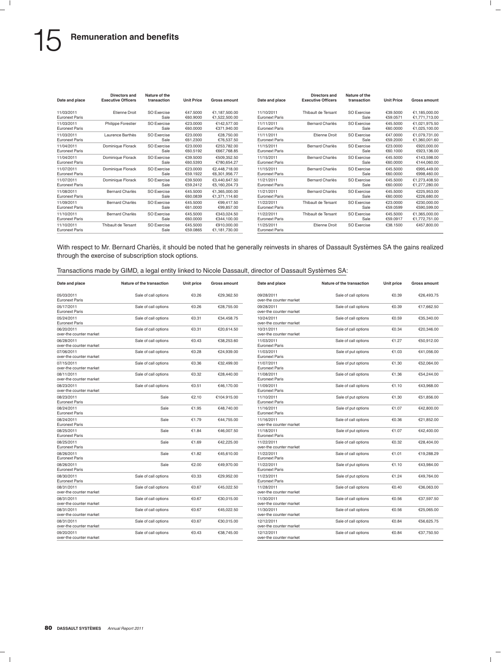| Date and place                      | Directors and<br><b>Executive Officers</b> | Nature of the<br>transaction | <b>Unit Price</b>    | <b>Gross amount</b>            | Date and place                      | Directors and<br><b>Executive Officers</b> | Nature of the<br>transaction | <b>Unit Price</b>    | Gross amount                   |
|-------------------------------------|--------------------------------------------|------------------------------|----------------------|--------------------------------|-------------------------------------|--------------------------------------------|------------------------------|----------------------|--------------------------------|
| 11/03/2011<br><b>Euronext Paris</b> | <b>Etienne Droit</b>                       | SO Exercise<br>Sale          | €47,5000<br>€60,9000 | €1,187,500.00<br>€1.522.500.00 | 11/10/2011<br><b>Euronext Paris</b> | Thibault de Tersant                        | SO Exercise<br>Sale          | €39,5000<br>€59.0571 | €1,185,000.00<br>€1.771.713.00 |
| 11/03/2011<br><b>Euronext Paris</b> | <b>Philippe Forestier</b>                  | SO Exercise<br>Sale          | €23,0000<br>€60,0000 | €142.577.00<br>€371.940.00     | 11/11/2011<br><b>Euronext Paris</b> | <b>Bernard Charlès</b>                     | <b>SO Exercise</b><br>Sale   | €45,5000<br>€60,0000 | €1,021,975.50<br>€1,025,100.00 |
| 11/03/2011<br><b>Euronext Paris</b> | Laurence Barthès                           | SO Exercise<br>Sale          | €23,0000<br>€61.2300 | €28.750.00<br>€76.537.50       | 11/11/2011<br><b>Euronext Paris</b> | <b>Etienne Droit</b>                       | <b>SO Exercise</b><br>Sale   | €47.0000<br>€59,2000 | €1.079.731.00<br>€1.360.001.60 |
| 11/04/2011<br><b>Euronext Paris</b> | Dominique Florack                          | SO Exercise<br>Sale          | €23,0000<br>€60,5192 | €253.782.00<br>€667.768.85     | 11/15/2011<br><b>Euronext Paris</b> | <b>Bernard Charlès</b>                     | <b>SO Exercise</b><br>Sale   | €23,0000<br>€60.1000 | €920,000,00<br>€923.136.00     |
| 11/04/2011<br><b>Euronext Paris</b> | Dominique Florack                          | SO Exercise<br>Sale          | €39,5000<br>€60.5393 | €509.352.50<br>€780.654.27     | 11/15/2011<br><b>Euronext Paris</b> | <b>Bernard Charlès</b>                     | <b>SO Exercise</b><br>Sale   | €45,5000<br>€60,0000 | €143.598.00<br>€144.060.00     |
| 11/07/2011<br><b>Euronext Paris</b> | Dominique Florack                          | SO Exercise<br>Sale          | €23,0000<br>€59.1922 | €2.448.718.00<br>€6.301.956.77 | 11/15/2011<br><b>Euronext Paris</b> | <b>Bernard Charlès</b>                     | <b>SO Exercise</b><br>Sale   | €45,5000<br>€60,0000 | €995.449.00<br>€998,460.00     |
| 11/07/2011<br><b>Euronext Paris</b> | Dominique Florack                          | SO Exercise<br>Sale          | €39,5000<br>€59.2412 | €3.440.647.50<br>€5,160,204.73 | 11/21/2011<br><b>Euronext Paris</b> | <b>Bernard Charlès</b>                     | <b>SO Exercise</b><br>Sale   | €45,5000<br>€60,0000 | €1.273.408.50<br>€1,277,280.00 |
| 11/08/2011<br><b>Euronext Paris</b> | <b>Bernard Charlès</b>                     | SO Exercise<br>Sale          | €45,5000<br>€60.0839 | €1.365.000.00<br>€1.371.114.60 | 11/21/2011<br><b>Euronext Paris</b> | <b>Bernard Charlès</b>                     | <b>SO Exercise</b><br>Sale   | €45,5000<br>€60.0000 | €225.953.00<br>€226,680.00     |
| 11/09/2011<br><b>Euronext Paris</b> | <b>Bernard Charlès</b>                     | <b>SO Exercise</b><br>Sale   | €45,5000<br>€61.0000 | €99.417.50<br>€99.857.00       | 11/22/2011<br><b>Euronext Paris</b> | Thibault de Tersant                        | <b>SO Exercise</b><br>Sale   | €23,0000<br>€59.0599 | €230,000,00<br>€590.599.00     |
| 11/10/2011<br><b>Euronext Paris</b> | Bernard Charlès                            | SO Exercise<br>Sale          | €45,5000<br>€60,0000 | €343.024.50<br>€344.100.00     | 11/22/2011<br><b>Euronext Paris</b> | Thibault de Tersant                        | <b>SO Exercise</b><br>Sale   | €45,5000<br>€59.0917 | €1.365.000.00<br>€1.772.751.00 |
| 11/10/2011<br><b>Euronext Paris</b> | Thibault de Tersant                        | SO Exercise<br>Sale          | €45,5000<br>€59.0865 | €910.000.00<br>€1.181.730.00   | 11/25/2011<br><b>Euronext Paris</b> | <b>Etienne Droit</b>                       | <b>SO Exercise</b>           | €38.1500             | €457,800.00                    |

With respect to Mr. Bernard Charlès, it should be noted that he generally reinvests in shares of Dassault Systèmes SA the gains realized through the exercise of subscription stock options.

|  |  |  |  |  | Transactions made by GIMD, a legal entity linked to Nicole Dassault, director of Dassault Systèmes SA: |
|--|--|--|--|--|--------------------------------------------------------------------------------------------------------|
|--|--|--|--|--|--------------------------------------------------------------------------------------------------------|

| Date and place                        | Nature of the transaction | Unit price | <b>Gross amount</b> | Date and place                        | Nature of the transaction | Unit price | Gross amount |
|---------------------------------------|---------------------------|------------|---------------------|---------------------------------------|---------------------------|------------|--------------|
| 05/03/2011<br><b>Euronext Paris</b>   | Sale of call options      | €0.26      | €29,362.50          | 09/28/2011<br>over-the counter market | Sale of call options      | €0.39      | €26,493.75   |
| 05/17/2011<br><b>Euronext Paris</b>   | Sale of call options      | €0.26      | €28,755.00          | 09/28/2011<br>over-the counter market | Sale of call options      | €0.39      | €17,662.50   |
| 05/24/2011<br><b>Euronext Paris</b>   | Sale of call options      | €0.31      | €34,458.75          | 10/24/2011<br>over-the counter market | Sale of call options      | €0.59      | €35,340.00   |
| 06/20/2011<br>over-the counter market | Sale of call options      | €0.31      | €20,614.50          | 10/31/2011<br>over-the counter market | Sale of call options      | €0.34      | €20,346.00   |
| 06/28/2011<br>over-the counter market | Sale of call options      | €0.43      | €38,253.60          | 11/03/2011<br><b>Euronext Paris</b>   | Sale of call options      | €1.27      | €50,912.00   |
| 07/06/2011<br>over-the counter market | Sale of call options      | €0.28      | €24,939.00          | 11/03/2011<br><b>Euronext Paris</b>   | Sale of put options       | €1.03      | €41,056.00   |
| 07/15/2011<br>over-the counter market | Sale of call options      | €0.36      | €32,499.00          | 11/07/2011<br><b>Euronext Paris</b>   | Sale of put options       | €1.30      | €52,064.00   |
| 08/11/2011<br>over-the counter market | Sale of call options      | €0.32      | €28,440.00          | 11/08/2011<br><b>Euronext Paris</b>   | Sale of call options      | €1.36      | €54,244.00   |
| 08/23/2011<br>over-the counter market | Sale of call options      | €0.51      | €46,170.00          | 11/09/2011<br><b>Euronext Paris</b>   | Sale of call options      | €1.10      | €43,968.00   |
| 08/23/2011<br><b>Euronext Paris</b>   | Sale                      | €2.10      | €104.915.00         | 11/10/2011<br><b>Euronext Paris</b>   | Sale of put options       | €1.30      | €51,856.00   |
| 08/24/2011<br><b>Euronext Paris</b>   | Sale                      | €1.95      | €48.740.00          | 11/16/2011<br><b>Euronext Paris</b>   | Sale of put options       | €1.07      | €42,800.00   |
| 08/24/2011<br><b>Euronext Paris</b>   | Sale                      | €1.79      | €44,755.00          | 11/16/2011<br>over-the counter market | Sale of call options      | €0.36      | €21,852.00   |
| 08/25/2011<br><b>Euronext Paris</b>   | Sale                      | €1.84      | €46,007.50          | 11/18/2011<br><b>Euronext Paris</b>   | Sale of put options       | €1.07      | €42,400.00   |
| 08/25/2011<br><b>Euronext Paris</b>   | Sale                      | €1.69      | €42.225.00          | 11/22/2011<br>over-the counter market | Sale of call options      | €0.32      | €28.404.00   |
| 08/26/2011<br><b>Euronext Paris</b>   | Sale                      | €1.82      | €45,610.00          | 11/22/2011<br><b>Euronext Paris</b>   | Sale of call options      | €1.01      | €19,288.29   |
| 08/26/2011<br><b>Euronext Paris</b>   | Sale                      | €2.00      | €49,970.00          | 11/22/2011<br><b>Euronext Paris</b>   | Sale of put options       | €1.10      | €43,984.00   |
| 08/30/2011<br><b>Euronext Paris</b>   | Sale of call options      | €0.33      | €29,952.00          | 11/23/2011<br><b>Euronext Paris</b>   | Sale of put options       | €1.24      | €49,764.00   |
| 08/31/2011<br>over-the counter market | Sale of call options      | €0.67      | €45,022.50          | 11/28/2011<br>over-the counter market | Sale of call options      | €0.40      | €36,063.00   |
| 08/31/2011<br>over-the counter market | Sale of call options      | €0.67      | €30,015.00          | 11/30/2011<br>over-the counter market | Sale of call options      | €0.56      | €37,597.50   |
| 08/31/2011<br>over-the counter market | Sale of call options      | €0.67      | €45,022.50          | 11/30/2011<br>over-the counter market | Sale of call options      | €0.56      | €25.065.00   |
| 08/31/2011<br>over-the counter market | Sale of call options      | €0.67      | €30,015.00          | 12/12/2011<br>over-the counter market | Sale of call options      | €0.84      | €56,625.75   |
| 09/20/2011<br>over-the counter market | Sale of call options      | €0.43      | €38,745.00          | 12/12/2011<br>over-the counter market | Sale of call options      | €0.84      | €37,750.50   |
|                                       |                           |            |                     |                                       |                           |            |              |

| Date and place                        | Nature of the transaction | Unit price | <b>Gross amount</b> |
|---------------------------------------|---------------------------|------------|---------------------|
| 09/28/2011<br>over-the counter market | Sale of call options      | €0.39      | €26,493.75          |
| 09/28/2011<br>over-the counter market | Sale of call options      | €0.39      | €17,662.50          |
| 10/24/2011<br>over-the counter market | Sale of call options      | €0.59      | €35,340.00          |
| 10/31/2011<br>over-the counter market | Sale of call options      | €0.34      | €20,346.00          |
| 11/03/2011<br><b>Euronext Paris</b>   | Sale of call options      | €1.27      | €50,912.00          |
| 11/03/2011<br><b>Euronext Paris</b>   | Sale of put options       | €1.03      | €41,056.00          |
| 11/07/2011<br><b>Euronext Paris</b>   | Sale of put options       | €1.30      | €52,064.00          |
| 11/08/2011<br>Euronext Paris          | Sale of call options      | €1.36      | €54,244.00          |
| 11/09/2011<br>Euronext Paris          | Sale of call options      | €1.10      | €43,968.00          |
| 11/10/2011<br><b>Euronext Paris</b>   | Sale of put options       | €1.30      | €51,856.00          |
| 11/16/2011<br><b>Euronext Paris</b>   | Sale of put options       | €1.07      | €42,800.00          |
| 11/16/2011<br>over-the counter market | Sale of call options      | €0.36      | €21,852.00          |
| 11/18/2011<br><b>Euronext Paris</b>   | Sale of put options       | €1.07      | €42,400.00          |
| 11/22/2011<br>over-the counter market | Sale of call options      | €0.32      | €28,404.00          |
| 11/22/2011<br><b>Euronext Paris</b>   | Sale of call options      | €1.01      | €19,288.29          |
| 11/22/2011<br>Euronext Paris          | Sale of put options       | €1.10      | €43,984.00          |
| 11/23/2011<br><b>Euronext Paris</b>   | Sale of put options       | €1.24      | €49,764.00          |
| 11/28/2011<br>over-the counter market | Sale of call options      | €0.40      | €36,063.00          |
| 11/30/2011<br>over-the counter market | Sale of call options      | €0.56      | €37,597.50          |
| 11/30/2011<br>over-the counter market | Sale of call options      | €0.56      | €25,065.00          |
| 12/12/2011<br>over-the counter market | Sale of call options      | €0.84      | €56,625.75          |
| 12/12/2011<br>over-the counter market | Sale of call options      | €0.84      | €37,750.50          |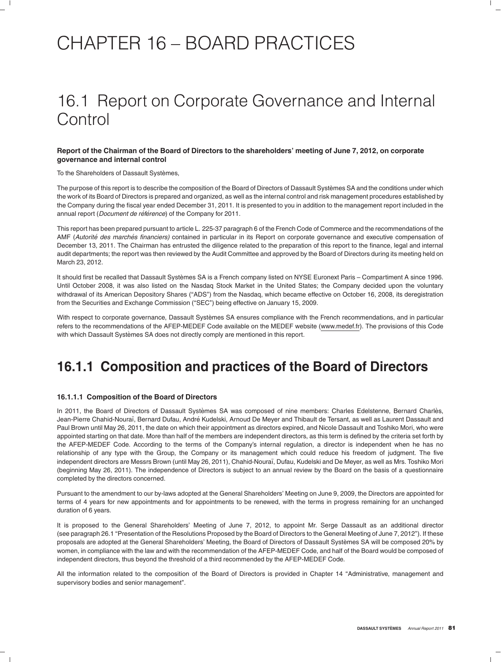# CHAPTER 16 – BOARD PRACTICES

# 16.1 Report on Corporate Governance and Internal Control

#### **Report of the Chairman of the Board of Directors to the shareholders' meeting of June 7, 2012, on corporate governance and internal control**

To the Shareholders of Dassault Systèmes,

The purpose of this report is to describe the composition of the Board of Directors of Dassault Systèmes SA and the conditions under which the work of its Board of Directors is prepared and organized, as well as the internal control and risk management procedures established by the Company during the fiscal year ended December 31, 2011. It is presented to you in addition to the management report included in the annual report (*Document de référence*) of the Company for 2011.

This report has been prepared pursuant to article L. 225-37 paragraph 6 of the French Code of Commerce and the recommendations of the AMF (*Autorite des march ´ es financiers) ´* contained in particular in its Report on corporate governance and executive compensation of December 13, 2011. The Chairman has entrusted the diligence related to the preparation of this report to the finance, legal and internal audit departments; the report was then reviewed by the Audit Committee and approved by the Board of Directors during its meeting held on March 23, 2012.

It should first be recalled that Dassault Systèmes SA is a French company listed on NYSE Euronext Paris – Compartiment A since 1996. Until October 2008, it was also listed on the Nasdaq Stock Market in the United States; the Company decided upon the voluntary withdrawal of its American Depository Shares ("ADS") from the Nasdaq, which became effective on October 16, 2008, its deregistration from the Securities and Exchange Commission ("SEC") being effective on January 15, 2009.

With respect to corporate governance, Dassault Systèmes SA ensures compliance with the French recommendations, and in particular refers to the recommendations of the AFEP-MEDEF Code available on the MEDEF website (www.medef.fr). The provisions of this Code with which Dassault Systèmes SA does not directly comply are mentioned in this report.

### **16.1.1 Composition and practices of the Board of Directors**

#### **16.1.1.1 Composition of the Board of Directors**

In 2011, the Board of Directors of Dassault Systèmes SA was composed of nine members: Charles Edelstenne, Bernard Charlès, Jean-Pierre Chahid-Nouraï, Bernard Dufau, André Kudelski, Arnoud De Meyer and Thibault de Tersant, as well as Laurent Dassault and Paul Brown until May 26, 2011, the date on which their appointment as directors expired, and Nicole Dassault and Toshiko Mori, who were appointed starting on that date. More than half of the members are independent directors, as this term is defined by the criteria set forth by the AFEP-MEDEF Code. According to the terms of the Company's internal regulation, a director is independent when he has no relationship of any type with the Group, the Company or its management which could reduce his freedom of judgment. The five independent directors are Messrs Brown (until May 26, 2011), Chahid-Nouraï, Dufau, Kudelski and De Meyer, as well as Mrs. Toshiko Mori (beginning May 26, 2011). The independence of Directors is subject to an annual review by the Board on the basis of a questionnaire completed by the directors concerned.

Pursuant to the amendment to our by-laws adopted at the General Shareholders' Meeting on June 9, 2009, the Directors are appointed for terms of 4 years for new appointments and for appointments to be renewed, with the terms in progress remaining for an unchanged duration of 6 years.

It is proposed to the General Shareholders' Meeting of June 7, 2012, to appoint Mr. Serge Dassault as an additional director (see paragraph 26.1 ''Presentation of the Resolutions Proposed by the Board of Directors to the General Meeting of June 7, 2012''). If these proposals are adopted at the General Shareholders' Meeting, the Board of Directors of Dassault Systemes SA will be composed 20% by ` women, in compliance with the law and with the recommendation of the AFEP-MEDEF Code, and half of the Board would be composed of independent directors, thus beyond the threshold of a third recommended by the AFEP-MEDEF Code.

All the information related to the composition of the Board of Directors is provided in Chapter 14 "Administrative, management and supervisory bodies and senior management''.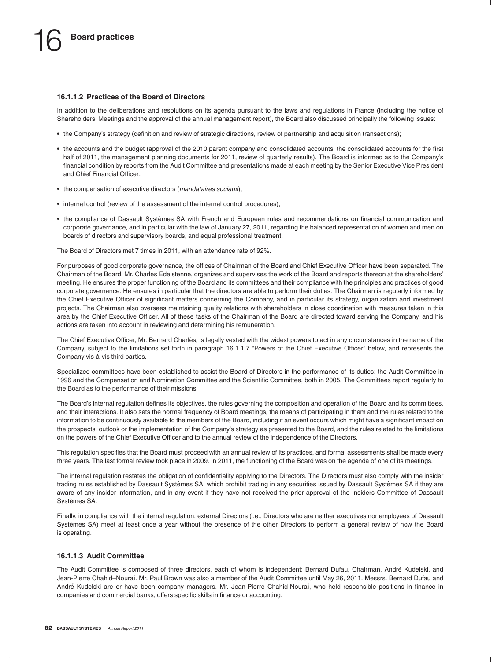#### **16.1.1.2 Practices of the Board of Directors**

In addition to the deliberations and resolutions on its agenda pursuant to the laws and regulations in France (including the notice of Shareholders' Meetings and the approval of the annual management report), the Board also discussed principally the following issues:

- the Company's strategy (definition and review of strategic directions, review of partnership and acquisition transactions);
- the accounts and the budget (approval of the 2010 parent company and consolidated accounts, the consolidated accounts for the first half of 2011, the management planning documents for 2011, review of quarterly results). The Board is informed as to the Company's financial condition by reports from the Audit Committee and presentations made at each meeting by the Senior Executive Vice President and Chief Financial Officer;
- the compensation of executive directors (*mandataires sociaux*);
- internal control (review of the assessment of the internal control procedures);
- the compliance of Dassault Systèmes SA with French and European rules and recommendations on financial communication and corporate governance, and in particular with the law of January 27, 2011, regarding the balanced representation of women and men on boards of directors and supervisory boards, and equal professional treatment.

The Board of Directors met 7 times in 2011, with an attendance rate of 92%.

For purposes of good corporate governance, the offices of Chairman of the Board and Chief Executive Officer have been separated. The Chairman of the Board, Mr. Charles Edelstenne, organizes and supervises the work of the Board and reports thereon at the shareholders' meeting. He ensures the proper functioning of the Board and its committees and their compliance with the principles and practices of good corporate governance. He ensures in particular that the directors are able to perform their duties. The Chairman is regularly informed by the Chief Executive Officer of significant matters concerning the Company, and in particular its strategy, organization and investment projects. The Chairman also oversees maintaining quality relations with shareholders in close coordination with measures taken in this area by the Chief Executive Officer. All of these tasks of the Chairman of the Board are directed toward serving the Company, and his actions are taken into account in reviewing and determining his remuneration.

The Chief Executive Officer, Mr. Bernard Charlès, is legally vested with the widest powers to act in any circumstances in the name of the Company, subject to the limitations set forth in paragraph 16.1.1.7 "Powers of the Chief Executive Officer" below, and represents the Company vis-à-vis third parties.

Specialized committees have been established to assist the Board of Directors in the performance of its duties: the Audit Committee in 1996 and the Compensation and Nomination Committee and the Scientific Committee, both in 2005. The Committees report regularly to the Board as to the performance of their missions.

The Board's internal regulation defines its objectives, the rules governing the composition and operation of the Board and its committees, and their interactions. It also sets the normal frequency of Board meetings, the means of participating in them and the rules related to the information to be continuously available to the members of the Board, including if an event occurs which might have a significant impact on the prospects, outlook or the implementation of the Company's strategy as presented to the Board, and the rules related to the limitations on the powers of the Chief Executive Officer and to the annual review of the independence of the Directors.

This regulation specifies that the Board must proceed with an annual review of its practices, and formal assessments shall be made every three years. The last formal review took place in 2009. In 2011, the functioning of the Board was on the agenda of one of its meetings.

The internal regulation restates the obligation of confidentiality applying to the Directors. The Directors must also comply with the insider trading rules established by Dassault Systèmes SA, which prohibit trading in any securities issued by Dassault Systèmes SA if they are aware of any insider information, and in any event if they have not received the prior approval of the Insiders Committee of Dassault Systèmes SA.

Finally, in compliance with the internal regulation, external Directors (i.e., Directors who are neither executives nor employees of Dassault Systemes SA) meet at least once a year without the presence of the other Directors to perform a general review of how the Board ` is operating.

#### **16.1.1.3 Audit Committee**

The Audit Committee is composed of three directors, each of whom is independent: Bernard Dufau, Chairman, Andre Kudelski, and ´ Jean-Pierre Chahid–Nouraï. Mr. Paul Brown was also a member of the Audit Committee until May 26, 2011. Messrs. Bernard Dufau and André Kudelski are or have been company managers. Mr. Jean-Pierre Chahid-Nouraï, who held responsible positions in finance in companies and commercial banks, offers specific skills in finance or accounting.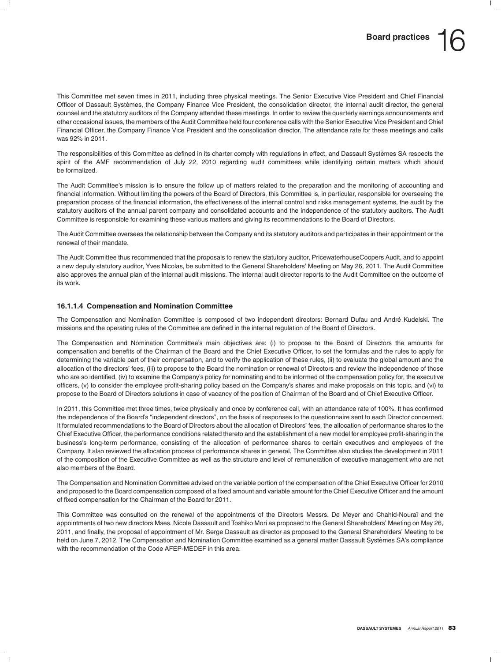This Committee met seven times in 2011, including three physical meetings. The Senior Executive Vice President and Chief Financial Officer of Dassault Systemes, the Company Finance Vice President, the consolidation director, the internal audit director, the general ` counsel and the statutory auditors of the Company attended these meetings. In order to review the quarterly earnings announcements and other occasional issues, the members of the Audit Committee held four conference calls with the Senior Executive Vice President and Chief Financial Officer, the Company Finance Vice President and the consolidation director. The attendance rate for these meetings and calls was 92% in 2011.

The responsibilities of this Committee as defined in its charter comply with regulations in effect, and Dassault Systèmes SA respects the spirit of the AMF recommendation of July 22, 2010 regarding audit committees while identifying certain matters which should be formalized.

The Audit Committee's mission is to ensure the follow up of matters related to the preparation and the monitoring of accounting and financial information. Without limiting the powers of the Board of Directors, this Committee is, in particular, responsible for overseeing the preparation process of the financial information, the effectiveness of the internal control and risks management systems, the audit by the statutory auditors of the annual parent company and consolidated accounts and the independence of the statutory auditors. The Audit Committee is responsible for examining these various matters and giving its recommendations to the Board of Directors.

The Audit Committee oversees the relationship between the Company and its statutory auditors and participates in their appointment or the renewal of their mandate.

The Audit Committee thus recommended that the proposals to renew the statutory auditor, PricewaterhouseCoopers Audit, and to appoint a new deputy statutory auditor, Yves Nicolas, be submitted to the General Shareholders' Meeting on May 26, 2011. The Audit Committee also approves the annual plan of the internal audit missions. The internal audit director reports to the Audit Committee on the outcome of its work.

#### **16.1.1.4 Compensation and Nomination Committee**

The Compensation and Nomination Committee is composed of two independent directors: Bernard Dufau and Andre Kudelski. The ´ missions and the operating rules of the Committee are defined in the internal regulation of the Board of Directors.

The Compensation and Nomination Committee's main objectives are: (i) to propose to the Board of Directors the amounts for compensation and benefits of the Chairman of the Board and the Chief Executive Officer, to set the formulas and the rules to apply for determining the variable part of their compensation, and to verify the application of these rules, (ii) to evaluate the global amount and the allocation of the directors' fees, (iii) to propose to the Board the nomination or renewal of Directors and review the independence of those who are so identified, (iv) to examine the Company's policy for nominating and to be informed of the compensation policy for, the executive officers, (v) to consider the employee profit-sharing policy based on the Company's shares and make proposals on this topic, and (vi) to propose to the Board of Directors solutions in case of vacancy of the position of Chairman of the Board and of Chief Executive Officer.

In 2011, this Committee met three times, twice physically and once by conference call, with an attendance rate of 100%. It has confirmed the independence of the Board's ''independent directors'', on the basis of responses to the questionnaire sent to each Director concerned. It formulated recommendations to the Board of Directors about the allocation of Directors' fees, the allocation of performance shares to the Chief Executive Officer, the performance conditions related thereto and the establishment of a new model for employee profit-sharing in the business's long-term performance, consisting of the allocation of performance shares to certain executives and employees of the Company. It also reviewed the allocation process of performance shares in general. The Committee also studies the development in 2011 of the composition of the Executive Committee as well as the structure and level of remuneration of executive management who are not also members of the Board.

The Compensation and Nomination Committee advised on the variable portion of the compensation of the Chief Executive Officer for 2010 and proposed to the Board compensation composed of a fixed amount and variable amount for the Chief Executive Officer and the amount of fixed compensation for the Chairman of the Board for 2011.

This Committee was consulted on the renewal of the appointments of the Directors Messrs. De Meyer and Chahid-Nouraï and the appointments of two new directors Mses. Nicole Dassault and Toshiko Mori as proposed to the General Shareholders' Meeting on May 26, 2011, and finally, the proposal of appointment of Mr. Serge Dassault as director as proposed to the General Shareholders' Meeting to be held on June 7, 2012. The Compensation and Nomination Committee examined as a general matter Dassault Systèmes SA's compliance with the recommendation of the Code AFEP-MEDEF in this area.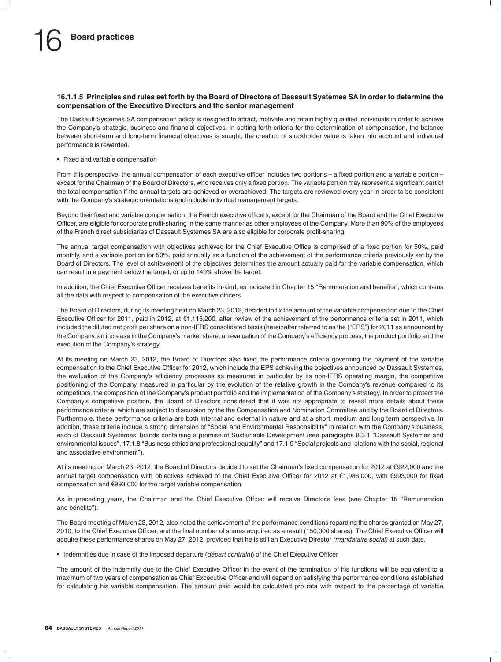#### **16.1.1.5 Principles and rules set forth by the Board of Directors of Dassault Systemes SA in order to determine the ` compensation of the Executive Directors and the senior management**

The Dassault Systèmes SA compensation policy is designed to attract, motivate and retain highly qualified individuals in order to achieve the Company's strategic, business and financial objectives. In setting forth criteria for the determination of compensation, the balance between short-term and long-term financial objectives is sought, the creation of stockholder value is taken into account and individual performance is rewarded.

• Fixed and variable compensation

From this perspective, the annual compensation of each executive officer includes two portions – a fixed portion and a variable portion – except for the Chairman of the Board of Directors, who receives only a fixed portion. The variable portion may represent a significant part of the total compensation if the annual targets are achieved or overachieved. The targets are reviewed every year in order to be consistent with the Company's strategic orientations and include individual management targets.

Beyond their fixed and variable compensation, the French executive officers, except for the Chairman of the Board and the Chief Executive Officer, are eligible for corporate profit-sharing in the same manner as other employees of the Company. More than 90% of the employees of the French direct subsidiaries of Dassault Systemes SA are also eligible for corporate profit-sharing. `

The annual target compensation with objectives achieved for the Chief Executive Office is comprised of a fixed portion for 50%, paid monthly, and a variable portion for 50%, paid annually as a function of the achievement of the performance criteria previously set by the Board of Directors. The level of achievement of the objectives determines the amount actually paid for the variable compensation, which can result in a payment below the target, or up to 140% above the target.

In addition, the Chief Executive Officer receives benefits in-kind, as indicated in Chapter 15 ''Remuneration and benefits'', which contains all the data with respect to compensation of the executive officers.

The Board of Directors, during its meeting held on March 23, 2012, decided to fix the amount of the variable compensation due to the Chief Executive Officer for 2011, paid in 2012, at e1,113,200, after review of the achievement of the performance criteria set in 2011, which included the diluted net profit per share on a non-IFRS consolidated basis (hereinafter referred to as the ("EPS") for 2011 as announced by the Company, an increase in the Company's market share, an evaluation of the Company's efficiency process, the product portfolio and the execution of the Company's strategy.

At its meeting on March 23, 2012, the Board of Directors also fixed the performance criteria governing the payment of the variable compensation to the Chief Executive Officer for 2012, which include the EPS achieving the objectives announced by Dassault Systemes, ` the evaluation of the Company's efficiency processes as measured in particular by its non-IFRS operating margin, the competitive positioning of the Company measured in particular by the evolution of the relative growth in the Company's revenue compared to its competitors, the composition of the Company's product portfolio and the implementation of the Company's strategy. In order to protect the Company's competitive position, the Board of Directors considered that it was not appropriate to reveal more details about these performance criteria, which are subject to discussion by the the Compensation and Nomination Committee and by the Board of Directors. Furthermore, these performance criteria are both internal and external in nature and at a short, medium and long term perspective. In addition, these criteria include a strong dimension of ''Social and Environmental Responsibility'' in relation with the Company's business, each of Dassault Systèmes' brands containing a promise of Sustainable Development (see paragraphs 8.3.1 "Dassault Systèmes and environmental issues", 17.1.8 "Business ethics and professional equality" and 17.1.9 "Social projects and relations with the social, regional and associative environment'').

At its meeting on March 23, 2012, the Board of Directors decided to set the Chairman's fixed compensation for 2012 at €922,000 and the annual target compensation with objectives achieved of the Chief Executive Officer for 2012 at €1,986,000, with €993,000 for fixed compensation and e993,000 for the target variable compensation.

As in preceding years, the Chairman and the Chief Executive Officer will receive Director's fees (see Chapter 15 ''Remuneration and benefits'').

The Board meeting of March 23, 2012, also noted the achievement of the performance conditions regarding the shares granted on May 27, 2010, to the Chief Executive Officer, and the final number of shares acquired as a result (150,000 shares). The Chief Executive Officer will acquire these performance shares on May 27, 2012, provided that he is still an Executive Director *(mandataire social)* at such date.

• Indemnities due in case of the imposed departure (*départ contraint*) of the Chief Executive Officer

The amount of the indemnity due to the Chief Executive Officer in the event of the termination of his functions will be equivalent to a maximum of two years of compensation as Chief Excecutive Officer and will depend on satisfying the performance conditions established for calculating his variable compensation. The amount paid would be calculated pro rata with respect to the percentage of variable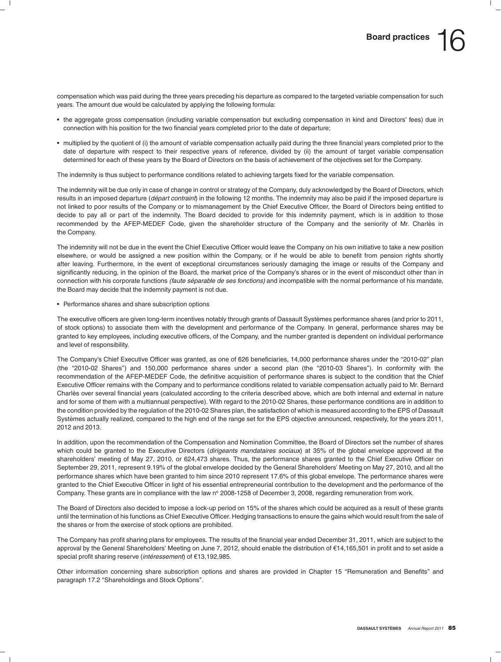compensation which was paid during the three years preceding his departure as compared to the targeted variable compensation for such years. The amount due would be calculated by applying the following formula:

- the aggregate gross compensation (including variable compensation but excluding compensation in kind and Directors' fees) due in connection with his position for the two financial years completed prior to the date of departure;
- multiplied by the quotient of (i) the amount of variable compensation actually paid during the three financial years completed prior to the date of departure with respect to their respective years of reference, divided by (ii) the amount of target variable compensation determined for each of these years by the Board of Directors on the basis of achievement of the objectives set for the Company.

The indemnity is thus subject to performance conditions related to achieving targets fixed for the variable compensation.

The indemnity will be due only in case of change in control or strategy of the Company, duly acknowledged by the Board of Directors, which results in an imposed departure (*départ contraint*) in the following 12 months. The indemnity may also be paid if the imposed departure is not linked to poor results of the Company or to mismanagement by the Chief Executive Officer, the Board of Directors being entitled to decide to pay all or part of the indemnity. The Board decided to provide for this indemnity payment, which is in addition to those recommended by the AFEP-MEDEF Code, given the shareholder structure of the Company and the seniority of Mr. Charlès in the Company.

The indemnity will not be due in the event the Chief Executive Officer would leave the Company on his own initiative to take a new position elsewhere, or would be assigned a new position within the Company, or if he would be able to benefit from pension rights shortly after leaving. Furthermore, in the event of exceptional circumstances seriously damaging the image or results of the Company and significantly reducing, in the opinion of the Board, the market price of the Company's shares or in the event of misconduct other than in connection with his corporate functions *(faute separable de ses fonctions) ´* and incompatible with the normal performance of his mandate, the Board may decide that the indemnity payment is not due.

• Performance shares and share subscription options

The executive officers are given long-term incentives notably through grants of Dassault Systèmes performance shares (and prior to 2011, of stock options) to associate them with the development and performance of the Company. In general, performance shares may be granted to key employees, including executive officers, of the Company, and the number granted is dependent on individual performance and level of responsibility.

The Company's Chief Executive Officer was granted, as one of 626 beneficiaries, 14,000 performance shares under the ''2010-02'' plan (the ''2010-02 Shares'') and 150,000 performance shares under a second plan (the ''2010-03 Shares''). In conformity with the recommendation of the AFEP-MEDEF Code, the definitive acquisition of performance shares is subject to the condition that the Chief Executive Officer remains with the Company and to performance conditions related to variable compensation actually paid to Mr. Bernard Charlès over several financial years (calculated according to the criteria described above, which are both internal and external in nature and for some of them with a multiannual perspective). With regard to the 2010-02 Shares, these performance conditions are in addition to the condition provided by the regulation of the 2010-02 Shares plan, the satisfaction of which is measured according to the EPS of Dassault Systèmes actually realized, compared to the high end of the range set for the EPS objective announced, respectively, for the years 2011, 2012 and 2013.

In addition, upon the recommendation of the Compensation and Nomination Committee, the Board of Directors set the number of shares which could be granted to the Executive Directors (*dirigeants mandataires sociaux*) at 35% of the global envelope approved at the shareholders' meeting of May 27, 2010, or 624,473 shares. Thus, the performance shares granted to the Chief Executive Officer on September 29, 2011, represent 9.19% of the global envelope decided by the General Shareholders' Meeting on May 27, 2010, and all the performance shares which have been granted to him since 2010 represent 17.6% of this global envelope. The performance shares were granted to the Chief Executive Officer in light of his essential entrepreneurial contribution to the development and the performance of the Company. These grants are in compliance with the law nº 2008-1258 of December 3, 2008, regarding remuneration from work.

The Board of Directors also decided to impose a lock-up period on 15% of the shares which could be acquired as a result of these grants until the termination of his functions as Chief Executive Officer. Hedging transactions to ensure the gains which would result from the sale of the shares or from the exercise of stock options are prohibited.

The Company has profit sharing plans for employees. The results of the financial year ended December 31, 2011, which are subject to the approval by the General Shareholders' Meeting on June 7, 2012, should enable the distribution of €14,165,501 in profit and to set aside a special profit sharing reserve (intéressement) of €13,192,985.

Other information concerning share subscription options and shares are provided in Chapter 15 ''Remuneration and Benefits'' and paragraph 17.2 "Shareholdings and Stock Options".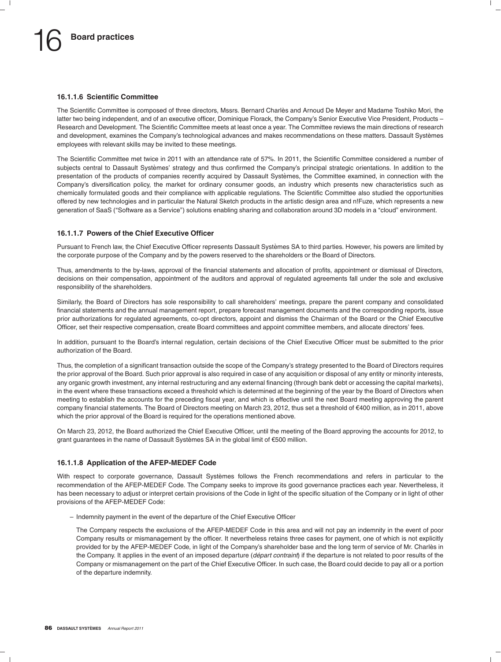#### **16.1.1.6 Scientific Committee**

The Scientific Committee is composed of three directors, Mssrs. Bernard Charles and Arnoud De Meyer and Madame Toshiko Mori, the ` latter two being independent, and of an executive officer, Dominique Florack, the Company's Senior Executive Vice President, Products – Research and Development. The Scientific Committee meets at least once a year. The Committee reviews the main directions of research and development, examines the Company's technological advances and makes recommendations on these matters. Dassault Systèmes employees with relevant skills may be invited to these meetings.

The Scientific Committee met twice in 2011 with an attendance rate of 57%. In 2011, the Scientific Committee considered a number of subjects central to Dassault Systèmes' strategy and thus confirmed the Company's principal strategic orientations. In addition to the presentation of the products of companies recently acquired by Dassault Systèmes, the Committee examined, in connection with the Company's diversification policy, the market for ordinary consumer goods, an industry which presents new characteristics such as chemically formulated goods and their compliance with applicable regulations. The Scientific Committee also studied the opportunities offered by new technologies and in particular the Natural Sketch products in the artistic design area and n!Fuze, which represents a new generation of SaaS (''Software as a Service'') solutions enabling sharing and collaboration around 3D models in a ''cloud'' environment.

#### **16.1.1.7 Powers of the Chief Executive Officer**

Pursuant to French law, the Chief Executive Officer represents Dassault Systèmes SA to third parties. However, his powers are limited by the corporate purpose of the Company and by the powers reserved to the shareholders or the Board of Directors.

Thus, amendments to the by-laws, approval of the financial statements and allocation of profits, appointment or dismissal of Directors, decisions on their compensation, appointment of the auditors and approval of regulated agreements fall under the sole and exclusive responsibility of the shareholders.

Similarly, the Board of Directors has sole responsibility to call shareholders' meetings, prepare the parent company and consolidated financial statements and the annual management report, prepare forecast management documents and the corresponding reports, issue prior authorizations for regulated agreements, co-opt directors, appoint and dismiss the Chairman of the Board or the Chief Executive Officer, set their respective compensation, create Board committees and appoint committee members, and allocate directors' fees.

In addition, pursuant to the Board's internal regulation, certain decisions of the Chief Executive Officer must be submitted to the prior authorization of the Board.

Thus, the completion of a significant transaction outside the scope of the Company's strategy presented to the Board of Directors requires the prior approval of the Board. Such prior approval is also required in case of any acquisition or disposal of any entity or minority interests, any organic growth investment, any internal restructuring and any external financing (through bank debt or accessing the capital markets), in the event where these transactions exceed a threshold which is determined at the beginning of the year by the Board of Directors when meeting to establish the accounts for the preceding fiscal year, and which is effective until the next Board meeting approving the parent company financial statements. The Board of Directors meeting on March 23, 2012, thus set a threshold of €400 million, as in 2011, above which the prior approval of the Board is required for the operations mentioned above.

On March 23, 2012, the Board authorized the Chief Executive Officer, until the meeting of the Board approving the accounts for 2012, to grant guarantees in the name of Dassault Systèmes SA in the global limit of  $\epsilon$ 500 million.

#### **16.1.1.8 Application of the AFEP-MEDEF Code**

With respect to corporate governance, Dassault Systèmes follows the French recommendations and refers in particular to the recommendation of the AFEP-MEDEF Code. The Company seeks to improve its good governance practices each year. Nevertheless, it has been necessary to adjust or interpret certain provisions of the Code in light of the specific situation of the Company or in light of other provisions of the AFEP-MEDEF Code:

– Indemnity payment in the event of the departure of the Chief Executive Officer

The Company respects the exclusions of the AFEP-MEDEF Code in this area and will not pay an indemnity in the event of poor Company results or mismanagement by the officer. It nevertheless retains three cases for payment, one of which is not explicitly provided for by the AFEP-MEDEF Code, in light of the Company's shareholder base and the long term of service of Mr. Charles in ` the Company. It applies in the event of an imposed departure (*départ contraint*) if the departure is not related to poor results of the Company or mismanagement on the part of the Chief Executive Officer. In such case, the Board could decide to pay all or a portion of the departure indemnity.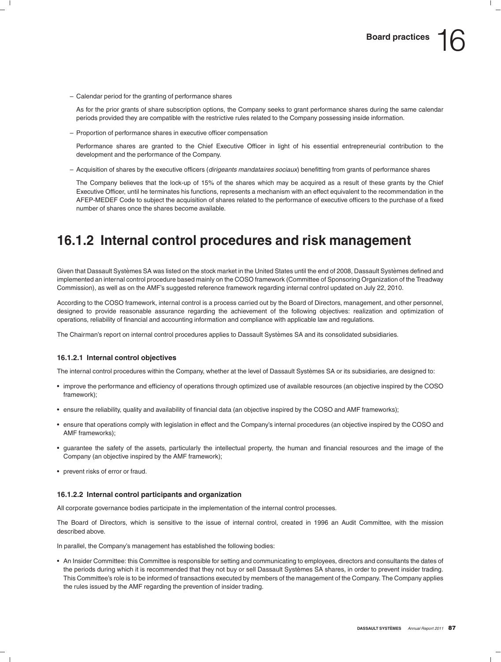– Calendar period for the granting of performance shares

As for the prior grants of share subscription options, the Company seeks to grant performance shares during the same calendar periods provided they are compatible with the restrictive rules related to the Company possessing inside information.

– Proportion of performance shares in executive officer compensation

Performance shares are granted to the Chief Executive Officer in light of his essential entrepreneurial contribution to the development and the performance of the Company.

– Acquisition of shares by the executive officers (*dirigeants mandataires sociaux*) benefitting from grants of performance shares

The Company believes that the lock-up of 15% of the shares which may be acquired as a result of these grants by the Chief Executive Officer, until he terminates his functions, represents a mechanism with an effect equivalent to the recommendation in the AFEP-MEDEF Code to subject the acquisition of shares related to the performance of executive officers to the purchase of a fixed number of shares once the shares become available.

### **16.1.2 Internal control procedures and risk management**

Given that Dassault Systèmes SA was listed on the stock market in the United States until the end of 2008, Dassault Systèmes defined and implemented an internal control procedure based mainly on the COSO framework (Committee of Sponsoring Organization of the Treadway Commission), as well as on the AMF's suggested reference framework regarding internal control updated on July 22, 2010.

According to the COSO framework, internal control is a process carried out by the Board of Directors, management, and other personnel, designed to provide reasonable assurance regarding the achievement of the following objectives: realization and optimization of operations, reliability of financial and accounting information and compliance with applicable law and regulations.

The Chairman's report on internal control procedures applies to Dassault Systèmes SA and its consolidated subsidiaries.

#### **16.1.2.1 Internal control objectives**

The internal control procedures within the Company, whether at the level of Dassault Systemes SA or its subsidiaries, are designed to: `

- improve the performance and efficiency of operations through optimized use of available resources (an objective inspired by the COSO framework);
- ensure the reliability, quality and availability of financial data (an objective inspired by the COSO and AMF frameworks);
- ensure that operations comply with legislation in effect and the Company's internal procedures (an objective inspired by the COSO and AMF frameworks);
- guarantee the safety of the assets, particularly the intellectual property, the human and financial resources and the image of the Company (an objective inspired by the AMF framework);
- prevent risks of error or fraud.

#### **16.1.2.2 Internal control participants and organization**

All corporate governance bodies participate in the implementation of the internal control processes.

The Board of Directors, which is sensitive to the issue of internal control, created in 1996 an Audit Committee, with the mission described above.

In parallel, the Company's management has established the following bodies:

• An Insider Committee: this Committee is responsible for setting and communicating to employees, directors and consultants the dates of the periods during which it is recommended that they not buy or sell Dassault Systèmes SA shares, in order to prevent insider trading. This Committee's role is to be informed of transactions executed by members of the management of the Company. The Company applies the rules issued by the AMF regarding the prevention of insider trading.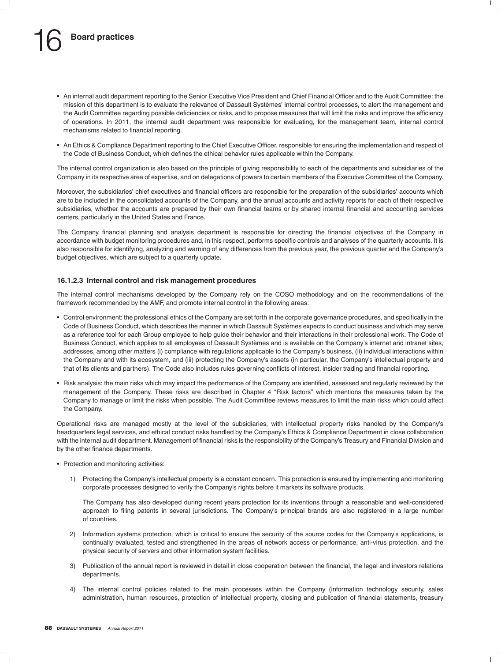- An internal audit department reporting to the Senior Executive Vice President and Chief Financial Officer and to the Audit Committee: the mission of this department is to evaluate the relevance of Dassault Systèmes' internal control processes, to alert the management and the Audit Committee regarding possible deficiencies or risks, and to propose measures that will limit the risks and improve the efficiency of operations. In 2011, the internal audit department was responsible for evaluating, for the management team, internal control mechanisms related to financial reporting.
- An Ethics & Compliance Department reporting to the Chief Executive Officer, responsible for ensuring the implementation and respect of the Code of Business Conduct, which defines the ethical behavior rules applicable within the Company.

The internal control organization is also based on the principle of giving responsibility to each of the departments and subsidiaries of the Company in its respective area of expertise, and on delegations of powers to certain members of the Executive Committee of the Company.

Moreover, the subsidiaries' chief executives and financial officers are responsible for the preparation of the subsidiaries' accounts which are to be included in the consolidated accounts of the Company, and the annual accounts and activity reports for each of their respective subsidiaries, whether the accounts are prepared by their own financial teams or by shared internal financial and accounting services centers, particularly in the United States and France.

The Company financial planning and analysis department is responsible for directing the financial objectives of the Company in accordance with budget monitoring procedures and, in this respect, performs specific controls and analyses of the quarterly accounts. It is also responsible for identifying, analyzing and warning of any differences from the previous year, the previous quarter and the Company's budget objectives, which are subject to a quarterly update.

#### **16.1.2.3 Internal control and risk management procedures**

The internal control mechanisms developed by the Company rely on the COSO methodology and on the recommendations of the framework recommended by the AMF, and promote internal control in the following areas:

- Control environment: the professional ethics of the Company are set forth in the corporate governance procedures, and specifically in the Code of Business Conduct, which describes the manner in which Dassault Systemes expects to conduct business and which may serve ` as a reference tool for each Group employee to help guide their behavior and their interactions in their professional work. The Code of Business Conduct, which applies to all employees of Dassault Systemes and is available on the Company's internet and intranet sites, ` addresses, among other matters (i) compliance with regulations applicable to the Company's business, (ii) individual interactions within the Company and with its ecosystem, and (iii) protecting the Company's assets (in particular, the Company's intellectual property and that of its clients and partners). The Code also includes rules governing conflicts of interest, insider trading and financial reporting.
- Risk analysis: the main risks which may impact the performance of the Company are identified, assessed and regularly reviewed by the management of the Company. These risks are described in Chapter 4 ''Risk factors'' which mentions the measures taken by the Company to manage or limit the risks when possible. The Audit Committee reviews measures to limit the main risks which could affect the Company.

Operational risks are managed mostly at the level of the subsidiaries, with intellectual property risks handled by the Company's headquarters legal services, and ethical conduct risks handled by the Company's Ethics & Compliance Department in close collaboration with the internal audit department. Management of financial risks is the responsibility of the Company's Treasury and Financial Division and by the other finance departments.

- Protection and monitoring activities:
	- 1) Protecting the Company's intellectual property is a constant concern. This protection is ensured by implementing and monitoring corporate processes designed to verify the Company's rights before it markets its software products.

The Company has also developed during recent years protection for its inventions through a reasonable and well-considered approach to filing patents in several jurisdictions. The Company's principal brands are also registered in a large number of countries.

- 2) Information systems protection, which is critical to ensure the security of the source codes for the Company's applications, is continually evaluated, tested and strengthened in the areas of network access or performance, anti-virus protection, and the physical security of servers and other information system facilities.
- 3) Publication of the annual report is reviewed in detail in close cooperation between the financial, the legal and investors relations departments.
- 4) The internal control policies related to the main processes within the Company (information technology security, sales administration, human resources, protection of intellectual property, closing and publication of financial statements, treasury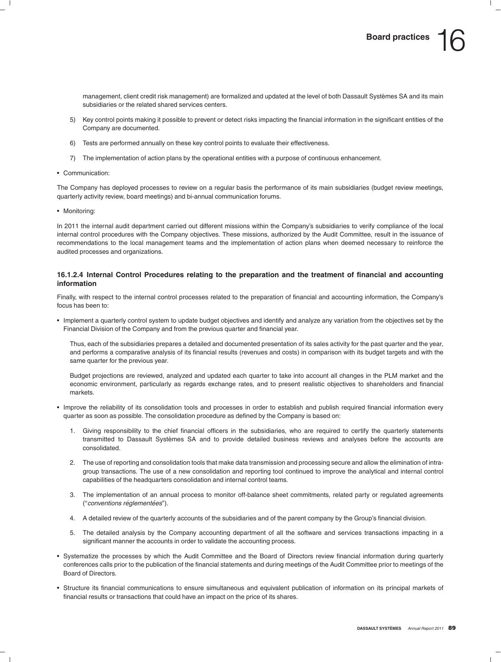management, client credit risk management) are formalized and updated at the level of both Dassault Systèmes SA and its main subsidiaries or the related shared services centers.

- 5) Key control points making it possible to prevent or detect risks impacting the financial information in the significant entities of the Company are documented.
- 6) Tests are performed annually on these key control points to evaluate their effectiveness.
- 7) The implementation of action plans by the operational entities with a purpose of continuous enhancement.
- Communication:

The Company has deployed processes to review on a regular basis the performance of its main subsidiaries (budget review meetings, quarterly activity review, board meetings) and bi-annual communication forums.

• Monitoring:

In 2011 the internal audit department carried out different missions within the Company's subsidiaries to verify compliance of the local internal control procedures with the Company objectives. These missions, authorized by the Audit Committee, result in the issuance of recommendations to the local management teams and the implementation of action plans when deemed necessary to reinforce the audited processes and organizations.

#### **16.1.2.4 Internal Control Procedures relating to the preparation and the treatment of financial and accounting information**

Finally, with respect to the internal control processes related to the preparation of financial and accounting information, the Company's focus has been to:

• Implement a quarterly control system to update budget objectives and identify and analyze any variation from the objectives set by the Financial Division of the Company and from the previous quarter and financial year.

Thus, each of the subsidiaries prepares a detailed and documented presentation of its sales activity for the past quarter and the year, and performs a comparative analysis of its financial results (revenues and costs) in comparison with its budget targets and with the same quarter for the previous year.

Budget projections are reviewed, analyzed and updated each quarter to take into account all changes in the PLM market and the economic environment, particularly as regards exchange rates, and to present realistic objectives to shareholders and financial markets.

- Improve the reliability of its consolidation tools and processes in order to establish and publish required financial information every quarter as soon as possible. The consolidation procedure as defined by the Company is based on:
	- 1. Giving responsibility to the chief financial officers in the subsidiaries, who are required to certify the quarterly statements transmitted to Dassault Systemes SA and to provide detailed business reviews and analyses before the accounts are ` consolidated.
	- 2. The use of reporting and consolidation tools that make data transmission and processing secure and allow the elimination of intragroup transactions. The use of a new consolidation and reporting tool continued to improve the analytical and internal control capabilities of the headquarters consolidation and internal control teams.
	- 3. The implementation of an annual process to monitor off-balance sheet commitments, related party or regulated agreements (''*conventions reglement ´ ees ´* '').
	- 4. A detailed review of the quarterly accounts of the subsidiaries and of the parent company by the Group's financial division.
	- 5. The detailed analysis by the Company accounting department of all the software and services transactions impacting in a significant manner the accounts in order to validate the accounting process.
- Systematize the processes by which the Audit Committee and the Board of Directors review financial information during quarterly conferences calls prior to the publication of the financial statements and during meetings of the Audit Committee prior to meetings of the Board of Directors.
- Structure its financial communications to ensure simultaneous and equivalent publication of information on its principal markets of financial results or transactions that could have an impact on the price of its shares.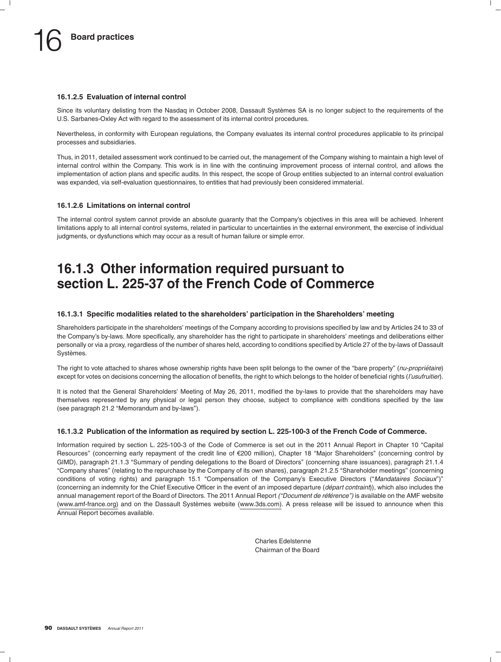#### **16.1.2.5 Evaluation of internal control**

Since its voluntary delisting from the Nasdag in October 2008. Dassault Systèmes SA is no longer subject to the requirements of the U.S. Sarbanes-Oxley Act with regard to the assessment of its internal control procedures.

Nevertheless, in conformity with European regulations, the Company evaluates its internal control procedures applicable to its principal processes and subsidiaries.

Thus, in 2011, detailed assessment work continued to be carried out, the management of the Company wishing to maintain a high level of internal control within the Company. This work is in line with the continuing improvement process of internal control, and allows the implementation of action plans and specific audits. In this respect, the scope of Group entities subjected to an internal control evaluation was expanded, via self-evaluation questionnaires, to entities that had previously been considered immaterial.

#### **16.1.2.6 Limitations on internal control**

The internal control system cannot provide an absolute guaranty that the Company's objectives in this area will be achieved. Inherent limitations apply to all internal control systems, related in particular to uncertainties in the external environment, the exercise of individual judgments, or dysfunctions which may occur as a result of human failure or simple error.

### **16.1.3 Other information required pursuant to section L. 225-37 of the French Code of Commerce**

#### **16.1.3.1 Specific modalities related to the shareholders' participation in the Shareholders' meeting**

Shareholders participate in the shareholders' meetings of the Company according to provisions specified by law and by Articles 24 to 33 of the Company's by-laws. More specifically, any shareholder has the right to participate in shareholders' meetings and deliberations either personally or via a proxy, regardless of the number of shares held, according to conditions specified by Article 27 of the by-laws of Dassault Systèmes.

The right to vote attached to shares whose ownership rights have been split belongs to the owner of the "bare property" (*nu-propriétaire*) except for votes on decisions concerning the allocation of benefits, the right to which belongs to the holder of beneficial rights (*l'usufruitier*).

It is noted that the General Shareholders' Meeting of May 26, 2011, modified the by-laws to provide that the shareholders may have themselves represented by any physical or legal person they choose, subject to compliance with conditions specified by the law (see paragraph 21.2 ''Memorandum and by-laws'').

#### **16.1.3.2 Publication of the information as required by section L. 225-100-3 of the French Code of Commerce.**

Information required by section L. 225-100-3 of the Code of Commerce is set out in the 2011 Annual Report in Chapter 10 ''Capital Resources" (concerning early repayment of the credit line of €200 million), Chapter 18 "Major Shareholders" (concerning control by GIMD), paragraph 21.1.3 ''Summary of pending delegations to the Board of Directors'' (concerning share issuances), paragraph 21.1.4 ''Company shares'' (relating to the repurchase by the Company of its own shares), paragraph 21.2.5 ''Shareholder meetings'' (concerning conditions of voting rights) and paragraph 15.1 ''Compensation of the Company's Executive Directors (''*Mandataires Sociaux*'')'' (concerning an indemnity for the Chief Executive Officer in the event of an imposed departure (*départ contraint*)), which also includes the annual management report of the Board of Directors. The 2011 Annual Report *("Document de référence")* is available on the AMF website (www.amf-france.org) and on the Dassault Systèmes website (www.3ds.com). A press release will be issued to announce when this Annual Report becomes available.

> Charles Edelstenne Chairman of the Board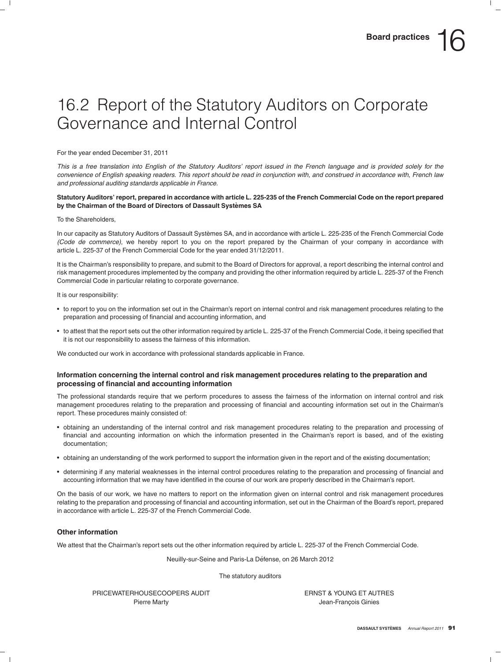# 16.2 Report of the Statutory Auditors on Corporate Governance and Internal Control

For the year ended December 31, 2011

*This is a free translation into English of the Statutory Auditors' report issued in the French language and is provided solely for the convenience of English speaking readers. This report should be read in conjunction with, and construed in accordance with, French law and professional auditing standards applicable in France.*

#### **Statutory Auditors' report, prepared in accordance with article L. 225-235 of the French Commercial Code on the report prepared by the Chairman of the Board of Directors of Dassault Systemes SA `**

#### To the Shareholders,

In our capacity as Statutory Auditors of Dassault Systèmes SA, and in accordance with article L. 225-235 of the French Commercial Code *(Code de commerce)*, we hereby report to you on the report prepared by the Chairman of your company in accordance with article L. 225-37 of the French Commercial Code for the year ended 31/12/2011.

It is the Chairman's responsibility to prepare, and submit to the Board of Directors for approval, a report describing the internal control and risk management procedures implemented by the company and providing the other information required by article L. 225-37 of the French Commercial Code in particular relating to corporate governance.

It is our responsibility:

- to report to you on the information set out in the Chairman's report on internal control and risk management procedures relating to the preparation and processing of financial and accounting information, and
- to attest that the report sets out the other information required by article L. 225-37 of the French Commercial Code, it being specified that it is not our responsibility to assess the fairness of this information.

We conducted our work in accordance with professional standards applicable in France.

#### **Information concerning the internal control and risk management procedures relating to the preparation and processing of financial and accounting information**

The professional standards require that we perform procedures to assess the fairness of the information on internal control and risk management procedures relating to the preparation and processing of financial and accounting information set out in the Chairman's report. These procedures mainly consisted of:

- obtaining an understanding of the internal control and risk management procedures relating to the preparation and processing of financial and accounting information on which the information presented in the Chairman's report is based, and of the existing documentation;
- obtaining an understanding of the work performed to support the information given in the report and of the existing documentation;
- determining if any material weaknesses in the internal control procedures relating to the preparation and processing of financial and accounting information that we may have identified in the course of our work are properly described in the Chairman's report.

On the basis of our work, we have no matters to report on the information given on internal control and risk management procedures relating to the preparation and processing of financial and accounting information, set out in the Chairman of the Board's report, prepared in accordance with article L. 225-37 of the French Commercial Code.

#### **Other information**

We attest that the Chairman's report sets out the other information required by article L. 225-37 of the French Commercial Code.

Neuilly-sur-Seine and Paris-La Défense, on 26 March 2012

The statutory auditors

PRICEWATERHOUSECOOPERS AUDIT THE RELATION OF THE RESERVED TO THE RESERVED TO THE RELATIONS TO THE PRICE OF THE RELATIONS OF THE RELATIONS OF THE RELATIONS OF THE RELATIONS OF THE RELATIONS OF THE RELATIONS OF THE RELATIONS Pierre Marty **Marty Pierre Marty Jean-François Ginies**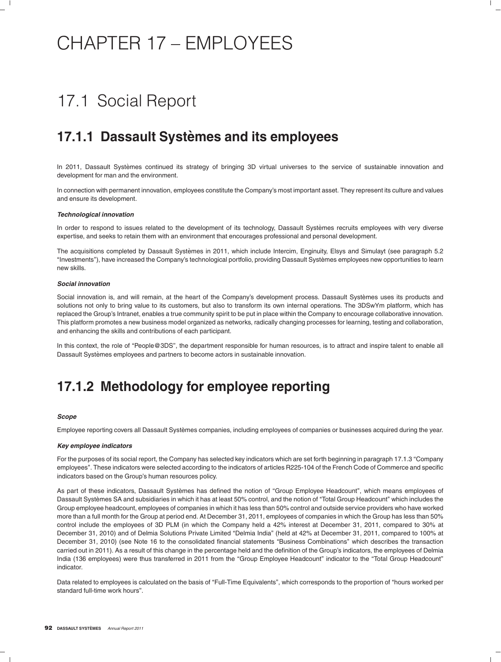# CHAPTER 17 – EMPLOYEES

# 17.1 Social Report

### **17.1.1 Dassault Systemes and its employees `**

In 2011, Dassault Systèmes continued its strategy of bringing 3D virtual universes to the service of sustainable innovation and development for man and the environment.

In connection with permanent innovation, employees constitute the Company's most important asset. They represent its culture and values and ensure its development.

#### *Technological innovation*

In order to respond to issues related to the development of its technology, Dassault Systèmes recruits employees with very diverse expertise, and seeks to retain them with an environment that encourages professional and personal development.

The acquisitions completed by Dassault Systèmes in 2011, which include Intercim, Enginuity, Elsys and Simulayt (see paragraph 5.2 ''Investments''), have increased the Company's technological portfolio, providing Dassault Systemes employees new opportunities to learn ` new skills.

#### *Social innovation*

Social innovation is, and will remain, at the heart of the Company's development process. Dassault Systèmes uses its products and solutions not only to bring value to its customers, but also to transform its own internal operations. The 3DSwYm platform, which has replaced the Group's Intranet, enables a true community spirit to be put in place within the Company to encourage collaborative innovation. This platform promotes a new business model organized as networks, radically changing processes for learning, testing and collaboration, and enhancing the skills and contributions of each participant.

In this context, the role of "People@3DS", the department responsible for human resources, is to attract and inspire talent to enable all Dassault Systèmes employees and partners to become actors in sustainable innovation.

### **17.1.2 Methodology for employee reporting**

#### *Scope*

Employee reporting covers all Dassault Systèmes companies, including employees of companies or businesses acquired during the year.

#### *Key employee indicators*

For the purposes of its social report, the Company has selected key indicators which are set forth beginning in paragraph 17.1.3 "Company employees''. These indicators were selected according to the indicators of articles R225-104 of the French Code of Commerce and specific indicators based on the Group's human resources policy.

As part of these indicators, Dassault Systèmes has defined the notion of "Group Employee Headcount", which means employees of Dassault Systèmes SA and subsidiaries in which it has at least 50% control, and the notion of "Total Group Headcount" which includes the Group employee headcount, employees of companies in which it has less than 50% control and outside service providers who have worked more than a full month for the Group at period end. At December 31, 2011, employees of companies in which the Group has less than 50% control include the employees of 3D PLM (in which the Company held a 42% interest at December 31, 2011, compared to 30% at December 31, 2010) and of Delmia Solutions Private Limited ''Delmia India'' (held at 42% at December 31, 2011, compared to 100% at December 31, 2010) (see Note 16 to the consolidated financial statements "Business Combinations" which describes the transaction carried out in 2011). As a result of this change in the percentage held and the definition of the Group's indicators, the employees of Delmia India (136 employees) were thus transferred in 2011 from the "Group Employee Headcount" indicator to the "Total Group Headcount" indicator.

Data related to employees is calculated on the basis of "Full-Time Equivalents", which corresponds to the proportion of "hours worked per standard full-time work hours''.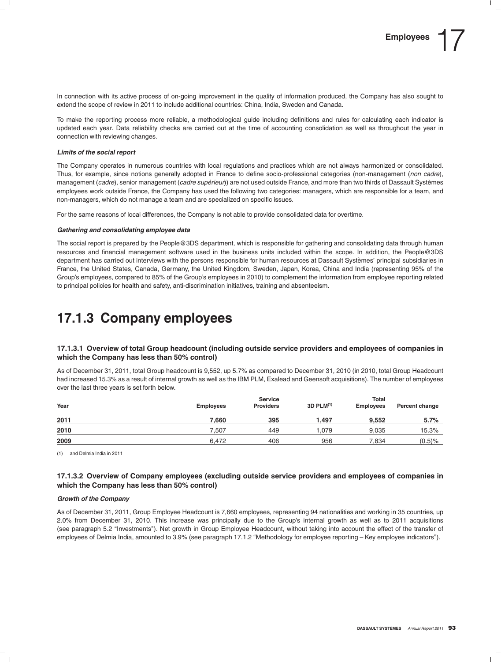In connection with its active process of on-going improvement in the quality of information produced, the Company has also sought to extend the scope of review in 2011 to include additional countries: China, India, Sweden and Canada.

To make the reporting process more reliable, a methodological guide including definitions and rules for calculating each indicator is updated each year. Data reliability checks are carried out at the time of accounting consolidation as well as throughout the year in connection with reviewing changes.

#### *Limits of the social report*

The Company operates in numerous countries with local regulations and practices which are not always harmonized or consolidated. Thus, for example, since notions generally adopted in France to define socio-professional categories (non-management (*non cadre*), management (*cadre*), senior management (*cadre supérieur*)) are not used outside France, and more than two thirds of Dassault Systèmes employees work outside France, the Company has used the following two categories: managers, which are responsible for a team, and non-managers, which do not manage a team and are specialized on specific issues.

For the same reasons of local differences, the Company is not able to provide consolidated data for overtime.

#### *Gathering and consolidating employee data*

The social report is prepared by the People@3DS department, which is responsible for gathering and consolidating data through human resources and financial management software used in the business units included within the scope. In addition, the People@3DS department has carried out interviews with the persons responsible for human resources at Dassault Systemes' principal subsidiaries in ` France, the United States, Canada, Germany, the United Kingdom, Sweden, Japan, Korea, China and India (representing 95% of the Group's employees, compared to 85% of the Group's employees in 2010) to complement the information from employee reporting related to principal policies for health and safety, anti-discrimination initiatives, training and absenteeism.

### **17.1.3 Company employees**

#### **17.1.3.1 Overview of total Group headcount (including outside service providers and employees of companies in which the Company has less than 50% control)**

As of December 31, 2011, total Group headcount is 9,552, up 5.7% as compared to December 31, 2010 (in 2010, total Group Headcount had increased 15.3% as a result of internal growth as well as the IBM PLM, Exalead and Geensoft acquisitions). The number of employees over the last three years is set forth below.

|      |                  | <b>Service</b>   | <b>Total</b>          |           |                |  |  |  |
|------|------------------|------------------|-----------------------|-----------|----------------|--|--|--|
| Year | <b>Employees</b> | <b>Providers</b> | 3D PLM <sup>(1)</sup> | Employees | Percent change |  |  |  |
| 2011 | 7.660            | 395              | 1.497                 | 9.552     | 5.7%           |  |  |  |
| 2010 | 7.507            | 449              | 1.079                 | 9.035     | 15.3%          |  |  |  |
| 2009 | 6.472            | 406              | 956                   | 7,834     | $(0.5)$ %      |  |  |  |

(1) and Delmia India in 2011

#### **17.1.3.2 Overview of Company employees (excluding outside service providers and employees of companies in which the Company has less than 50% control)**

#### *Growth of the Company*

As of December 31, 2011, Group Employee Headcount is 7,660 employees, representing 94 nationalities and working in 35 countries, up 2.0% from December 31, 2010. This increase was principally due to the Group's internal growth as well as to 2011 acquisitions (see paragraph 5.2 ''Investments''). Net growth in Group Employee Headcount, without taking into account the effect of the transfer of employees of Delmia India, amounted to 3.9% (see paragraph 17.1.2 "Methodology for employee reporting – Key employee indicators").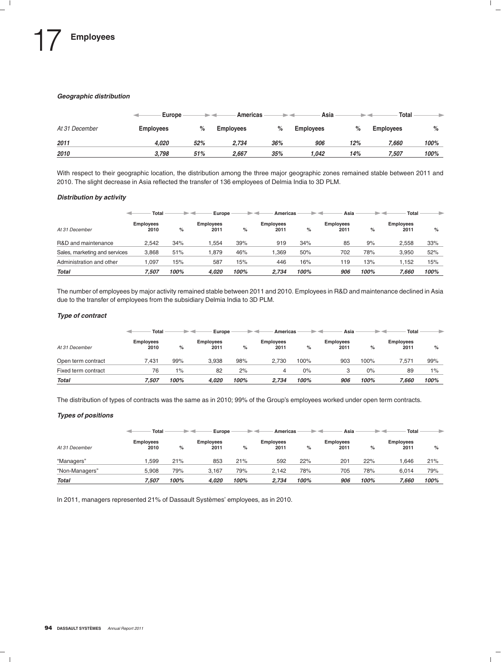#### *Geographic distribution*

|                | Europe           |     | Americas         |      | Asia             |      | <b>Total</b>     |      |
|----------------|------------------|-----|------------------|------|------------------|------|------------------|------|
| At 31 December | <b>Employees</b> | %   | <b>Employees</b> | $\%$ | <b>Employees</b> | $\%$ | <b>Employees</b> | $\%$ |
| 2011           | 4.020            | 52% | 2.734            | 36%  | 906              | 12%  | 7.660            | 100% |
| 2010           | 3.798            | 51% | 2.667            | 35%  | 1.042            | 14%  | 7.507            | 100% |

With respect to their geographic location, the distribution among the three major geographic zones remained stable between 2011 and 2010. The slight decrease in Asia reflected the transfer of 136 employees of Delmia India to 3D PLM.

#### *Distribution by activity*

|                               | Total                    |      | Europe                   |      | Americas                 |      | Asia                     |      | Total                    |      |
|-------------------------------|--------------------------|------|--------------------------|------|--------------------------|------|--------------------------|------|--------------------------|------|
| At 31 December                | <b>Employees</b><br>2010 | $\%$ | <b>Employees</b><br>2011 | %    | <b>Employees</b><br>2011 | %    | <b>Employees</b><br>2011 | %    | <b>Employees</b><br>2011 | $\%$ |
| R&D and maintenance           | 2.542                    | 34%  | .554                     | 39%  | 919                      | 34%  | 85                       | 9%   | 2.558                    | 33%  |
| Sales, marketing and services | 3.868                    | 51%  | .879                     | 46%  | .369                     | 50%  | 702                      | 78%  | 3.950                    | 52%  |
| Administration and other      | .097                     | 15%  | 587                      | 15%  | 446                      | 16%  | 119                      | 13%  | 1.152                    | 15%  |
| <b>Total</b>                  | 7.507                    | 100% | 4.020                    | 100% | 2.734                    | 100% | 906                      | 100% | 7.660                    | 100% |

The number of employees by major activity remained stable between 2011 and 2010. Employees in R&D and maintenance declined in Asia due to the transfer of employees from the subsidiary Delmia India to 3D PLM.

#### *Type of contract*

|                     | <b>Total</b>             |      | Europe                   |      | Americas                 |      | Asia                     |      | Total                    | ٠    |
|---------------------|--------------------------|------|--------------------------|------|--------------------------|------|--------------------------|------|--------------------------|------|
| At 31 December      | <b>Employees</b><br>2010 | $\%$ | <b>Employees</b><br>2011 | %    | <b>Employees</b><br>2011 | $\%$ | <b>Employees</b><br>2011 | %    | <b>Employees</b><br>2011 | %    |
| Open term contract  | 7.431                    | 99%  | 3.938                    | 98%  | 2.730                    | 100% | 903                      | 100% | 7.571                    | 99%  |
| Fixed term contract | 76                       | 1%   | 82                       | 2%   | 4                        | 0%   |                          | 0%   | 89                       | 1%   |
| <b>Total</b>        | 7.507                    | 100% | 4.020                    | 100% | 2.734                    | 100% | 906                      | 100% | 7.660                    | 100% |

The distribution of types of contracts was the same as in 2010; 99% of the Group's employees worked under open term contracts.

#### *Types of positions*

|                | Total                    |      | Europe                   |      | Americas                 |      | Asia                     |      | Total                    |      |
|----------------|--------------------------|------|--------------------------|------|--------------------------|------|--------------------------|------|--------------------------|------|
| At 31 December | <b>Employees</b><br>2010 | %    | <b>Employees</b><br>2011 | %    | <b>Employees</b><br>2011 | $\%$ | <b>Employees</b><br>2011 | %    | <b>Employees</b><br>2011 | %    |
| "Managers"     | .599                     | 21%  | 853                      | 21%  | 592                      | 22%  | 201                      | 22%  | .646                     | 21%  |
| "Non-Managers" | 5.908                    | 79%  | 3.167                    | 79%  | 2.142                    | 78%  | 705                      | 78%  | 6.014                    | 79%  |
| <b>Total</b>   | 7.507                    | 100% | 4.020                    | 100% | 2.734                    | 100% | 906                      | 100% | 7.660                    | 100% |

In 2011, managers represented 21% of Dassault Systèmes' employees, as in 2010.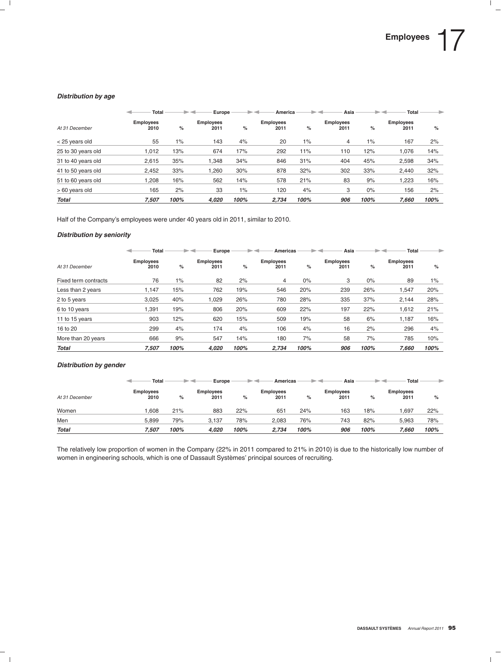#### *Distribution by age*

|                    | Total                    |      | Europe                   |       | America                  |      | Asia                     |       | Total                    |      |
|--------------------|--------------------------|------|--------------------------|-------|--------------------------|------|--------------------------|-------|--------------------------|------|
| At 31 December     | <b>Employees</b><br>2010 | %    | <b>Employees</b><br>2011 | %     | <b>Employees</b><br>2011 | %    | <b>Employees</b><br>2011 | %     | <b>Employees</b><br>2011 | %    |
| < 25 years old     | 55                       | 1%   | 143                      | 4%    | 20                       | 1%   | 4                        | 1%    | 167                      | 2%   |
| 25 to 30 years old | 1.012                    | 13%  | 674                      | 17%   | 292                      | 11%  | 110                      | 12%   | 1.076                    | 14%  |
| 31 to 40 years old | 2.615                    | 35%  | .348                     | 34%   | 846                      | 31%  | 404                      | 45%   | 2,598                    | 34%  |
| 41 to 50 years old | 2.452                    | 33%  | .260                     | 30%   | 878                      | 32%  | 302                      | 33%   | 2.440                    | 32%  |
| 51 to 60 years old | .208                     | 16%  | 562                      | 14%   | 578                      | 21%  | 83                       | 9%    | 1,223                    | 16%  |
| > 60 years old     | 165                      | 2%   | 33                       | $1\%$ | 120                      | 4%   | 3                        | $0\%$ | 156                      | 2%   |
| <b>Total</b>       | 7.507                    | 100% | 4.020                    | 100%  | 2.734                    | 100% | 906                      | 100%  | 7.660                    | 100% |

Half of the Company's employees were under 40 years old in 2011, similar to 2010.

#### *Distribution by seniority*

|                      | Total                    |       | Europe                   |      | <b>Americas</b>          |       | Asia                     |       | <b>Total</b>             |       |
|----------------------|--------------------------|-------|--------------------------|------|--------------------------|-------|--------------------------|-------|--------------------------|-------|
| At 31 December       | <b>Employees</b><br>2010 | %     | <b>Employees</b><br>2011 | $\%$ | <b>Employees</b><br>2011 | %     | <b>Employees</b><br>2011 | $\%$  | <b>Employees</b><br>2011 | %     |
| Fixed term contracts | 76                       | $1\%$ | 82                       | 2%   | 4                        | $0\%$ | З                        | $0\%$ | 89                       | $1\%$ |
| Less than 2 years    | 1.147                    | 15%   | 762                      | 19%  | 546                      | 20%   | 239                      | 26%   | 1,547                    | 20%   |
| 2 to 5 years         | 3.025                    | 40%   | 1,029                    | 26%  | 780                      | 28%   | 335                      | 37%   | 2,144                    | 28%   |
| 6 to 10 years        | 1.391                    | 19%   | 806                      | 20%  | 609                      | 22%   | 197                      | 22%   | 1,612                    | 21%   |
| 11 to 15 years       | 903                      | 12%   | 620                      | 15%  | 509                      | 19%   | 58                       | 6%    | 1.187                    | 16%   |
| 16 to 20             | 299                      | 4%    | 174                      | 4%   | 106                      | 4%    | 16                       | 2%    | 296                      | 4%    |
| More than 20 years   | 666                      | 9%    | 547                      | 14%  | 180                      | 7%    | 58                       | 7%    | 785                      | 10%   |
| <b>Total</b>         | 7.507                    | 100%  | 4.020                    | 100% | 2,734                    | 100%  | 906                      | 100%  | 7.660                    | 100%  |

#### *Distribution by gender*

|                | Total                    |      | Europe                   |      | Americas                 |      | Asia              |      | Total                    | ⋗    |
|----------------|--------------------------|------|--------------------------|------|--------------------------|------|-------------------|------|--------------------------|------|
| At 31 December | <b>Employees</b><br>2010 | %    | <b>Employees</b><br>2011 | %    | <b>Employees</b><br>2011 | %    | Employees<br>2011 | %    | <b>Employees</b><br>2011 | $\%$ |
| Women          | .608                     | 21%  | 883                      | 22%  | 651                      | 24%  | 163               | 18%  | .697                     | 22%  |
| Men            | 5.899                    | 79%  | 3.137                    | 78%  | 2,083                    | 76%  | 743               | 82%  | 5.963                    | 78%  |
| <b>Total</b>   | 7.507                    | 100% | 4,020                    | 100% | 2.734                    | 100% | 906               | 100% | 7.660                    | 100% |

The relatively low proportion of women in the Company (22% in 2011 compared to 21% in 2010) is due to the historically low number of women in engineering schools, which is one of Dassault Systèmes' principal sources of recruiting.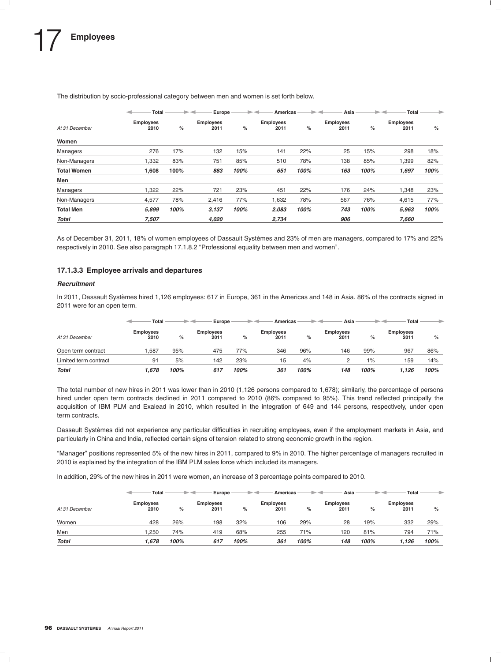|                    | Total                    |      | Europe                   |      | <b>Americas</b>          |      | Asia                     |      | Total                    | ۰    |
|--------------------|--------------------------|------|--------------------------|------|--------------------------|------|--------------------------|------|--------------------------|------|
| At 31 December     | <b>Employees</b><br>2010 | %    | <b>Employees</b><br>2011 | $\%$ | <b>Employees</b><br>2011 | %    | <b>Employees</b><br>2011 | %    | <b>Employees</b><br>2011 | %    |
| Women              |                          |      |                          |      |                          |      |                          |      |                          |      |
| Managers           | 276                      | 17%  | 132                      | 15%  | 141                      | 22%  | 25                       | 15%  | 298                      | 18%  |
| Non-Managers       | 1,332                    | 83%  | 751                      | 85%  | 510                      | 78%  | 138                      | 85%  | 1,399                    | 82%  |
| <b>Total Women</b> | 1,608                    | 100% | 883                      | 100% | 651                      | 100% | 163                      | 100% | 1,697                    | 100% |
| Men                |                          |      |                          |      |                          |      |                          |      |                          |      |
| Managers           | 1,322                    | 22%  | 721                      | 23%  | 451                      | 22%  | 176                      | 24%  | 1,348                    | 23%  |
| Non-Managers       | 4,577                    | 78%  | 2,416                    | 77%  | 1,632                    | 78%  | 567                      | 76%  | 4,615                    | 77%  |
| <b>Total Men</b>   | 5,899                    | 100% | 3,137                    | 100% | 2,083                    | 100% | 743                      | 100% | 5,963                    | 100% |
| <b>Total</b>       | 7.507                    |      | 4.020                    |      | 2,734                    |      | 906                      |      | 7.660                    |      |

The distribution by socio-professional category between men and women is set forth below.

As of December 31, 2011, 18% of women employees of Dassault Systèmes and 23% of men are managers, compared to 17% and 22% respectively in 2010. See also paragraph 17.1.8.2 "Professional equality between men and women".

#### **17.1.3.3 Employee arrivals and departures**

#### *Recruitment*

In 2011, Dassault Systèmes hired 1,126 employees: 617 in Europe, 361 in the Americas and 148 in Asia. 86% of the contracts signed in 2011 were for an open term.

|                       | <b>Total</b>             |      | Europe                   |      | Americas          |      | Asia                     |      | Total                    | ⋟    |
|-----------------------|--------------------------|------|--------------------------|------|-------------------|------|--------------------------|------|--------------------------|------|
| At 31 December        | <b>Employees</b><br>2010 | %    | <b>Employees</b><br>2011 | %    | Employees<br>2011 | %    | <b>Employees</b><br>2011 | %    | <b>Employees</b><br>2011 | %    |
| Open term contract    | .587                     | 95%  | 475                      | 77%  | 346               | 96%  | 146                      | 99%  | 967                      | 86%  |
| Limited term contract | 91                       | 5%   | 142                      | 23%  | 15                | 4%   |                          | 1%   | 159                      | 14%  |
| <b>Total</b>          | 1.678                    | 100% | 617                      | 100% | 361               | 100% | 148                      | 100% | 1.126                    | 100% |

The total number of new hires in 2011 was lower than in 2010 (1,126 persons compared to 1,678); similarly, the percentage of persons hired under open term contracts declined in 2011 compared to 2010 (86% compared to 95%). This trend reflected principally the acquisition of IBM PLM and Exalead in 2010, which resulted in the integration of 649 and 144 persons, respectively, under open term contracts.

Dassault Systemes did not experience any particular difficulties in recruiting employees, even if the employment markets in Asia, and ` particularly in China and India, reflected certain signs of tension related to strong economic growth in the region.

''Manager'' positions represented 5% of the new hires in 2011, compared to 9% in 2010. The higher percentage of managers recruited in 2010 is explained by the integration of the IBM PLM sales force which included its managers.

In addition, 29% of the new hires in 2011 were women, an increase of 3 percentage points compared to 2010.

|                | Total                    |      | Europe                   |      | Americas                 |      | Asia              |      | Total                    |      |
|----------------|--------------------------|------|--------------------------|------|--------------------------|------|-------------------|------|--------------------------|------|
| At 31 December | <b>Employees</b><br>2010 | $\%$ | <b>Employees</b><br>2011 | %    | <b>Employees</b><br>2011 | %    | Employees<br>2011 | %    | <b>Employees</b><br>2011 | %    |
| Women          | 428                      | 26%  | 198                      | 32%  | 106                      | 29%  | 28                | 19%  | 332                      | 29%  |
| Men            | .250                     | 74%  | 419                      | 68%  | 255                      | 71%  | 120               | 81%  | 794                      | 71%  |
| <b>Total</b>   | .678                     | 100% | 617                      | 100% | 361                      | 100% | 148               | 100% | 1.126                    | 100% |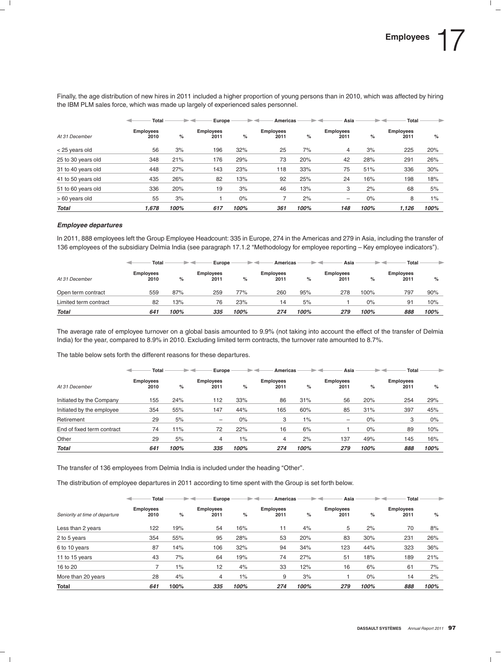Finally, the age distribution of new hires in 2011 included a higher proportion of young persons than in 2010, which was affected by hiring the IBM PLM sales force, which was made up largely of experienced sales personnel.

|                    | Total                    |      | Europe                   |       | <b>Americas</b>          |      | Asia                     |       | Total                    |       |
|--------------------|--------------------------|------|--------------------------|-------|--------------------------|------|--------------------------|-------|--------------------------|-------|
| At 31 December     | <b>Employees</b><br>2010 | %    | <b>Employees</b><br>2011 | %     | <b>Employees</b><br>2011 | %    | <b>Employees</b><br>2011 | %     | <b>Employees</b><br>2011 | %     |
| < 25 years old     | 56                       | 3%   | 196                      | 32%   | 25                       | 7%   | 4                        | 3%    | 225                      | 20%   |
| 25 to 30 years old | 348                      | 21%  | 176                      | 29%   | 73                       | 20%  | 42                       | 28%   | 291                      | 26%   |
| 31 to 40 years old | 448                      | 27%  | 143                      | 23%   | 118                      | 33%  | 75                       | 51%   | 336                      | 30%   |
| 41 to 50 years old | 435                      | 26%  | 82                       | 13%   | 92                       | 25%  | 24                       | 16%   | 198                      | 18%   |
| 51 to 60 years old | 336                      | 20%  | 19                       | 3%    | 46                       | 13%  | 3                        | 2%    | 68                       | 5%    |
| > 60 years old     | 55                       | 3%   |                          | $0\%$ |                          | 2%   | -                        | $0\%$ | 8                        | $1\%$ |
| <b>Total</b>       | 1.678                    | 100% | 617                      | 100%  | 361                      | 100% | 148                      | 100%  | 1.126                    | 100%  |

#### *Employee departures*

In 2011, 888 employees left the Group Employee Headcount: 335 in Europe, 274 in the Americas and 279 in Asia, including the transfer of 136 employees of the subsidiary Delmia India (see paragraph 17.1.2 ''Methodology for employee reporting – Key employee indicators'').

|                       | Total                    |      | Europe                   |      | Americas          |      | Asia                     |       | Total                    |      |
|-----------------------|--------------------------|------|--------------------------|------|-------------------|------|--------------------------|-------|--------------------------|------|
| At 31 December        | <b>Employees</b><br>2010 | %    | <b>Employees</b><br>2011 | %    | Employees<br>2011 | %    | <b>Employees</b><br>2011 | %     | <b>Employees</b><br>2011 | $\%$ |
| Open term contract    | 559                      | 87%  | 259                      | 77%  | 260               | 95%  | 278                      | 100%  | 797                      | 90%  |
| Limited term contract | 82                       | 13%  | 76                       | 23%  | 14                | 5%   |                          | $0\%$ | 91                       | 10%  |
| <b>Total</b>          | 641                      | 100% | 335                      | 100% | 274               | 100% | 279                      | 100%  | 888                      | 100% |

The average rate of employee turnover on a global basis amounted to 9.9% (not taking into account the effect of the transfer of Delmia India) for the year, compared to 8.9% in 2010. Excluding limited term contracts, the turnover rate amounted to 8.7%.

The table below sets forth the different reasons for these departures.

|                            | <b>Total</b>             |      | Europe                   |       | <b>Americas</b>          |       | Asia                     |       | Total                    |       |
|----------------------------|--------------------------|------|--------------------------|-------|--------------------------|-------|--------------------------|-------|--------------------------|-------|
| At 31 December             | <b>Employees</b><br>2010 | %    | <b>Employees</b><br>2011 | %     | <b>Employees</b><br>2011 | %     | <b>Employees</b><br>2011 | %     | <b>Employees</b><br>2011 | %     |
| Initiated by the Company   | 155                      | 24%  | 112                      | 33%   | 86                       | 31%   | 56                       | 20%   | 254                      | 29%   |
| Initiated by the employee  | 354                      | 55%  | 147                      | 44%   | 165                      | 60%   | 85                       | 31%   | 397                      | 45%   |
| Retirement                 | 29                       | 5%   | $\qquad \qquad -$        | $0\%$ | 3                        | $1\%$ | -                        | $0\%$ | 3                        | $0\%$ |
| End of fixed term contract | 74                       | 11%  | 72                       | 22%   | 16                       | 6%    |                          | $0\%$ | 89                       | 10%   |
| Other                      | 29                       | 5%   | 4                        | 1%    | 4                        | 2%    | 137                      | 49%   | 145                      | 16%   |
| <b>Total</b>               | 641                      | 100% | 335                      | 100%  | 274                      | 100%  | 279                      | 100%  | 888                      | 100%  |

The transfer of 136 employees from Delmia India is included under the heading "Other".

The distribution of employee departures in 2011 according to time spent with the Group is set forth below.

|                                | Total                    |       | Europe                   |      | <b>Americas</b>          |      | Asia                     |       | Total                    |      |
|--------------------------------|--------------------------|-------|--------------------------|------|--------------------------|------|--------------------------|-------|--------------------------|------|
| Seniority at time of departure | <b>Employees</b><br>2010 | %     | <b>Employees</b><br>2011 | %    | <b>Employees</b><br>2011 | %    | <b>Employees</b><br>2011 | %     | <b>Employees</b><br>2011 | $\%$ |
| Less than 2 years              | 122                      | 19%   | 54                       | 16%  | 11                       | 4%   | 5                        | 2%    | 70                       | 8%   |
| 2 to 5 years                   | 354                      | 55%   | 95                       | 28%  | 53                       | 20%  | 83                       | 30%   | 231                      | 26%  |
| 6 to 10 years                  | 87                       | 14%   | 106                      | 32%  | 94                       | 34%  | 123                      | 44%   | 323                      | 36%  |
| 11 to 15 years                 | 43                       | 7%    | 64                       | 19%  | 74                       | 27%  | 51                       | 18%   | 189                      | 21%  |
| 16 to 20                       |                          | $1\%$ | 12                       | 4%   | 33                       | 12%  | 16                       | 6%    | 61                       | 7%   |
| More than 20 years             | 28                       | 4%    | 4                        | 1%   | 9                        | 3%   |                          | $0\%$ | 14                       | 2%   |
| Total                          | 641                      | 100%  | 335                      | 100% | 274                      | 100% | 279                      | 100%  | 888                      | 100% |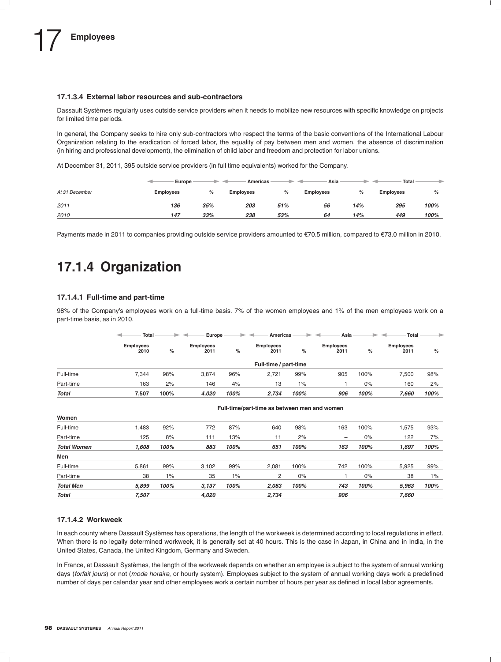#### **17.1.3.4 External labor resources and sub-contractors**

Dassault Systèmes regularly uses outside service providers when it needs to mobilize new resources with specific knowledge on projects for limited time periods.

In general, the Company seeks to hire only sub-contractors who respect the terms of the basic conventions of the International Labour Organization relating to the eradication of forced labor, the equality of pay between men and women, the absence of discrimination (in hiring and professional development), the elimination of child labor and freedom and protection for labor unions.

At December 31, 2011, 395 outside service providers (in full time equivalents) worked for the Company.

|                | Europe    |      | Americas  |     | Asia             |     | Total            |      |
|----------------|-----------|------|-----------|-----|------------------|-----|------------------|------|
| At 31 December | Employees | $\%$ | Employees | %   | <b>Employees</b> | %   | <b>Employees</b> | $\%$ |
| 2011           | 136       | 35%  | 203       | 51% | 56               | 14% | 395              | 100% |
| 2010           | 147       | 33%  | 238       | 53% | 64               | 14% | 449              | 100% |

Payments made in 2011 to companies providing outside service providers amounted to €70.5 million, compared to €73.0 million in 2010.

### **17.1.4 Organization**

#### **17.1.4.1 Full-time and part-time**

98% of the Company's employees work on a full-time basis. 7% of the women employees and 1% of the men employees work on a part-time basis, as in 2010.

|              | Total                    |      | Europe                   |      | Americas                 |       | Asia                     |       | Total                    | $\Rightarrow$ |
|--------------|--------------------------|------|--------------------------|------|--------------------------|-------|--------------------------|-------|--------------------------|---------------|
|              | <b>Employees</b><br>2010 | %    | <b>Employees</b><br>2011 | %    | <b>Employees</b><br>2011 | %     | <b>Employees</b><br>2011 | %     | <b>Employees</b><br>2011 | %             |
|              |                          |      |                          |      | Full-time / part-time    |       |                          |       |                          |               |
| Full-time    | 7.344                    | 98%  | 3.874                    | 96%  | 2,721                    | 99%   | 905                      | 100%  | 7,500                    | 98%           |
| Part-time    | 163                      | 2%   | 146                      | 4%   | 13                       | $1\%$ |                          | $0\%$ | 160                      | 2%            |
| <b>Total</b> | 7,507                    | 100% | 4.020                    | 100% | 2,734                    | 100%  | 906                      | 100%  | 7,660                    | 100%          |

|                    | Full-time/part-time as between men and women |       |       |      |       |       |                          |      |       |      |
|--------------------|----------------------------------------------|-------|-------|------|-------|-------|--------------------------|------|-------|------|
| Women              |                                              |       |       |      |       |       |                          |      |       |      |
| Full-time          | 1.483                                        | 92%   | 772   | 87%  | 640   | 98%   | 163                      | 100% | 1.575 | 93%  |
| Part-time          | 125                                          | 8%    | 111   | 13%  | 11    | 2%    | $\overline{\phantom{m}}$ | 0%   | 122   | 7%   |
| <b>Total Women</b> | 1.608                                        | 100%  | 883   | 100% | 651   | 100%  | 163                      | 100% | 1.697 | 100% |
| Men                |                                              |       |       |      |       |       |                          |      |       |      |
| Full-time          | 5.861                                        | 99%   | 3.102 | 99%  | 2.081 | 100%  | 742                      | 100% | 5.925 | 99%  |
| Part-time          | 38                                           | $1\%$ | 35    | 1%   | 2     | $0\%$ |                          | 0%   | 38    | 1%   |
| <b>Total Men</b>   | 5.899                                        | 100%  | 3,137 | 100% | 2,083 | 100%  | 743                      | 100% | 5,963 | 100% |
| Total              | 7.507                                        |       | 4.020 |      | 2.734 |       | 906                      |      | 7.660 |      |

#### **17.1.4.2 Workweek**

In each county where Dassault Systèmes has operations, the length of the workweek is determined according to local regulations in effect. When there is no legally determined workweek, it is generally set at 40 hours. This is the case in Japan, in China and in India, in the United States, Canada, the United Kingdom, Germany and Sweden.

In France, at Dassault Systèmes, the length of the workweek depends on whether an employee is subject to the system of annual working days (*forfait jours*) or not (*mode horaire*, or hourly system). Employees subject to the system of annual working days work a predefined number of days per calendar year and other employees work a certain number of hours per year as defined in local labor agreements.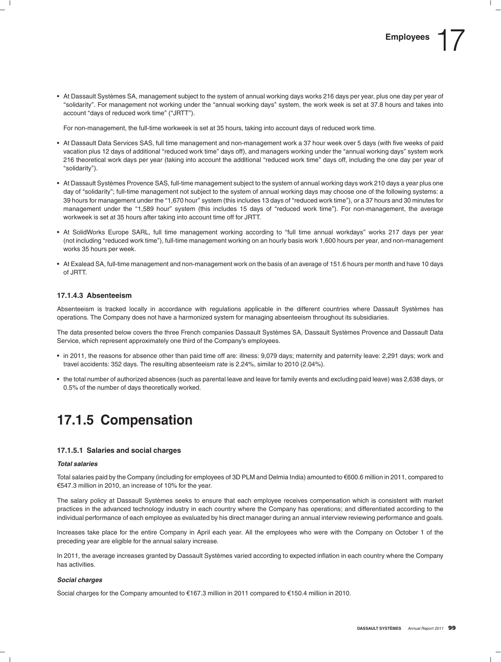• At Dassault Systèmes SA, management subject to the system of annual working days works 216 days per year, plus one day per year of ''solidarity''. For management not working under the ''annual working days'' system, the work week is set at 37.8 hours and takes into account "days of reduced work time" ("JRTT").

For non-management, the full-time workweek is set at 35 hours, taking into account days of reduced work time.

- At Dassault Data Services SAS, full time management and non-management work a 37 hour week over 5 days (with five weeks of paid vacation plus 12 days of additional ''reduced work time'' days off), and managers working under the ''annual working days'' system work 216 theoretical work days per year (taking into account the additional ''reduced work time'' days off, including the one day per year of ''solidarity'').
- At Dassault Systèmes Provence SAS, full-time management subject to the system of annual working days work 210 days a year plus one day of ''solidarity''; full-time management not subject to the system of annual working days may choose one of the following systems: a 39 hours for management under the ''1,670 hour'' system (this includes 13 days of ''reduced work time''), or a 37 hours and 30 minutes for management under the ''1,589 hour'' system (this includes 15 days of ''reduced work time''). For non-management, the average workweek is set at 35 hours after taking into account time off for JRTT.
- At SolidWorks Europe SARL, full time management working according to ''full time annual workdays'' works 217 days per year (not including ''reduced work time''), full-time management working on an hourly basis work 1,600 hours per year, and non-management works 35 hours per week.
- At Exalead SA, full-time management and non-management work on the basis of an average of 151.6 hours per month and have 10 days of JRTT.

#### **17.1.4.3 Absenteeism**

Absenteeism is tracked locally in accordance with regulations applicable in the different countries where Dassault Systèmes has operations. The Company does not have a harmonized system for managing absenteeism throughout its subsidiaries.

The data presented below covers the three French companies Dassault Systèmes SA, Dassault Systèmes Provence and Dassault Data Service, which represent approximately one third of the Company's employees.

- in 2011, the reasons for absence other than paid time off are: illness: 9,079 days; maternity and paternity leave: 2,291 days; work and travel accidents: 352 days. The resulting absenteeism rate is 2.24%, similar to 2010 (2.04%).
- the total number of authorized absences (such as parental leave and leave for family events and excluding paid leave) was 2,638 days, or 0.5% of the number of days theoretically worked.

### **17.1.5 Compensation**

#### **17.1.5.1 Salaries and social charges**

#### *Total salaries*

Total salaries paid by the Company (including for employees of 3D PLM and Delmia India) amounted to €600.6 million in 2011, compared to e547.3 million in 2010, an increase of 10% for the year.

The salary policy at Dassault Systèmes seeks to ensure that each employee receives compensation which is consistent with market practices in the advanced technology industry in each country where the Company has operations; and differentiated according to the individual performance of each employee as evaluated by his direct manager during an annual interview reviewing performance and goals.

Increases take place for the entire Company in April each year. All the employees who were with the Company on October 1 of the preceding year are eligible for the annual salary increase.

In 2011, the average increases granted by Dassault Systèmes varied according to expected inflation in each country where the Company has activities.

#### *Social charges*

Social charges for the Company amounted to €167.3 million in 2011 compared to €150.4 million in 2010.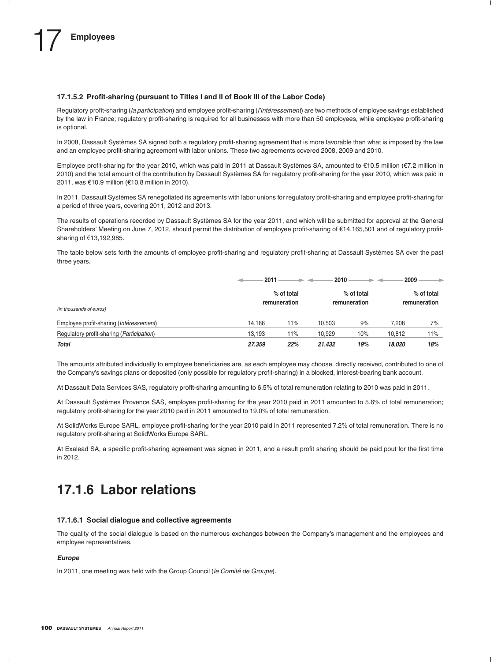#### **17.1.5.2 Profit-sharing (pursuant to Titles I and II of Book III of the Labor Code)**

Regulatory profit-sharing (*la participation*) and employee profit-sharing (*l'intéressement*) are two methods of employee sayings established by the law in France; regulatory profit-sharing is required for all businesses with more than 50 employees, while employee profit-sharing is optional.

In 2008, Dassault Systèmes SA signed both a regulatory profit-sharing agreement that is more favorable than what is imposed by the law and an employee profit-sharing agreement with labor unions. These two agreements covered 2008, 2009 and 2010.

Employee profit-sharing for the year 2010, which was paid in 2011 at Dassault Systèmes SA, amounted to  $\epsilon$ 10.5 million ( $\epsilon$ 7.2 million in 2010) and the total amount of the contribution by Dassault Systemes SA for regulatory profit-sharing for the year 2010, which was paid in ` 2011, was €10.9 million (€10.8 million in 2010).

In 2011, Dassault Systemes SA renegotiated its agreements with labor unions for regulatory profit-sharing and employee profit-sharing for ` a period of three years, covering 2011, 2012 and 2013.

The results of operations recorded by Dassault Systèmes SA for the year 2011, and which will be submitted for approval at the General Shareholders' Meeting on June 7, 2012, should permit the distribution of employee profit-sharing of €14,165,501 and of regulatory profitsharing of €13,192,985.

The table below sets forth the amounts of employee profit-sharing and regulatory profit-sharing at Dassault Systemes SA over the past ` three years.

|                                                    | 2011   |                            | 2010   |                            | 2009   | ۰                          |
|----------------------------------------------------|--------|----------------------------|--------|----------------------------|--------|----------------------------|
| (in thousands of euros)                            |        | % of total<br>remuneration |        | % of total<br>remuneration |        | % of total<br>remuneration |
| Employee profit-sharing (Intéressement)            | 14.166 | 11%                        | 10.503 | 9%                         | 7.208  | 7%                         |
| Regulatory profit-sharing ( <i>Participation</i> ) | 13,193 | 11%                        | 10,929 | 10%                        | 10,812 | 11%                        |
| <b>Total</b>                                       | 27,359 | 22%                        | 21.432 | 19%                        | 18.020 | 18%                        |

The amounts attributed individually to employee beneficiaries are, as each employee may choose, directly received, contributed to one of the Company's savings plans or deposited (only possible for regulatory profit-sharing) in a blocked, interest-bearing bank account.

At Dassault Data Services SAS, regulatory profit-sharing amounting to 6.5% of total remuneration relating to 2010 was paid in 2011.

At Dassault Systemes Provence SAS, employee profit-sharing for the year 2010 paid in 2011 amounted to 5.6% of total remuneration; ` regulatory profit-sharing for the year 2010 paid in 2011 amounted to 19.0% of total remuneration.

At SolidWorks Europe SARL, employee profit-sharing for the year 2010 paid in 2011 represented 7.2% of total remuneration. There is no regulatory profit-sharing at SolidWorks Europe SARL.

At Exalead SA, a specific profit-sharing agreement was signed in 2011, and a result profit sharing should be paid pout for the first time in 2012.

### **17.1.6 Labor relations**

#### **17.1.6.1 Social dialogue and collective agreements**

The quality of the social dialogue is based on the numerous exchanges between the Company's management and the employees and employee representatives.

#### *Europe*

In 2011, one meeting was held with the Group Council (*le Comité de Groupe*).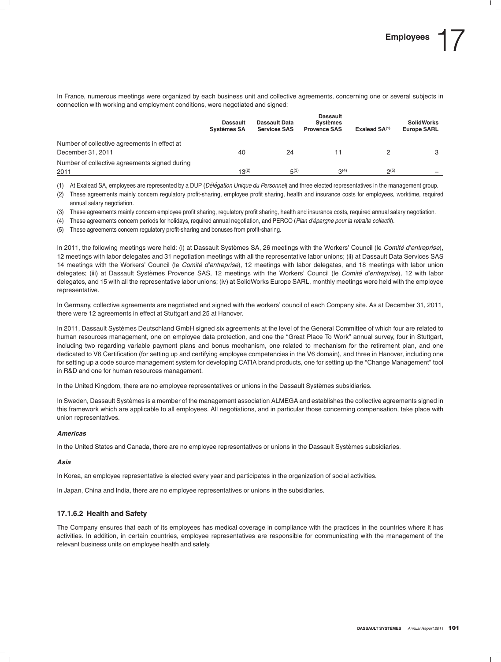In France, numerous meetings were organized by each business unit and collective agreements, concerning one or several subjects in connection with working and employment conditions, were negotiated and signed:

|                                               | <b>Dassault</b><br><b>Systèmes SA</b> | Dassault Data<br><b>Services SAS</b> | <b>Dassault</b><br><b>Systèmes</b><br><b>Provence SAS</b> | Exalead $SA(1)$ | <b>SolidWorks</b><br><b>Europe SARL</b> |
|-----------------------------------------------|---------------------------------------|--------------------------------------|-----------------------------------------------------------|-----------------|-----------------------------------------|
| Number of collective agreements in effect at  |                                       |                                      |                                                           |                 |                                         |
| December 31, 2011                             | 40                                    | 24                                   | 11                                                        |                 |                                         |
| Number of collective agreements signed during |                                       |                                      |                                                           |                 |                                         |
| 2011                                          | $13^{(2)}$                            | $5^{(3)}$                            | $3^{(4)}$                                                 | $2^{(5)}$       | -                                       |

(1) At Exalead SA, employees are represented by a DUP (*Del ´ egation Unique du Personnel ´* ) and three elected representatives in the management group.

(2) These agreements mainly concern regulatory profit-sharing, employee profit sharing, health and insurance costs for employees, worktime, required annual salary negotiation.

(3) These agreements mainly concern employee profit sharing, regulatory profit sharing, health and insurance costs, required annual salary negotiation.

(4) These agreements concern periods for holidays, required annual negotiation, and PERCO (*Plan d'epargne pour la retraite collectif ´* ).

(5) These agreements concern regulatory profit-sharing and bonuses from profit-sharing.

In 2011, the following meetings were held: (i) at Dassault Systèmes SA, 26 meetings with the Workers' Council (le Comité d'entreprise), 12 meetings with labor delegates and 31 negotiation meetings with all the representative labor unions; (ii) at Dassault Data Services SAS 14 meetings with the Workers' Council (le *Comité d'entreprise*), 12 meetings with labor delegates, and 18 meetings with labor union delegates; (iii) at Dassault Systèmes Provence SAS, 12 meetings with the Workers' Council (le *Comité d'entreprise*), 12 with labor delegates, and 15 with all the representative labor unions; (iv) at SolidWorks Europe SARL, monthly meetings were held with the employee representative.

In Germany, collective agreements are negotiated and signed with the workers' council of each Company site. As at December 31, 2011, there were 12 agreements in effect at Stuttgart and 25 at Hanover.

In 2011, Dassault Systèmes Deutschland GmbH signed six agreements at the level of the General Committee of which four are related to human resources management, one on employee data protection, and one the "Great Place To Work" annual survey, four in Stuttgart, including two regarding variable payment plans and bonus mechanism, one related to mechanism for the retirement plan, and one dedicated to V6 Certification (for setting up and certifying employee competencies in the V6 domain), and three in Hanover, including one for setting up a code source management system for developing CATIA brand products, one for setting up the ''Change Management'' tool in R&D and one for human resources management.

In the United Kingdom, there are no employee representatives or unions in the Dassault Systèmes subsidiaries.

In Sweden, Dassault Systèmes is a member of the management association ALMEGA and establishes the collective agreements signed in this framework which are applicable to all employees. All negotiations, and in particular those concerning compensation, take place with union representatives.

#### *Americas*

In the United States and Canada, there are no employee representatives or unions in the Dassault Systèmes subsidiaries.

#### *Asia*

In Korea, an employee representative is elected every year and participates in the organization of social activities.

In Japan, China and India, there are no employee representatives or unions in the subsidiaries.

#### **17.1.6.2 Health and Safety**

The Company ensures that each of its employees has medical coverage in compliance with the practices in the countries where it has activities. In addition, in certain countries, employee representatives are responsible for communicating with the management of the relevant business units on employee health and safety.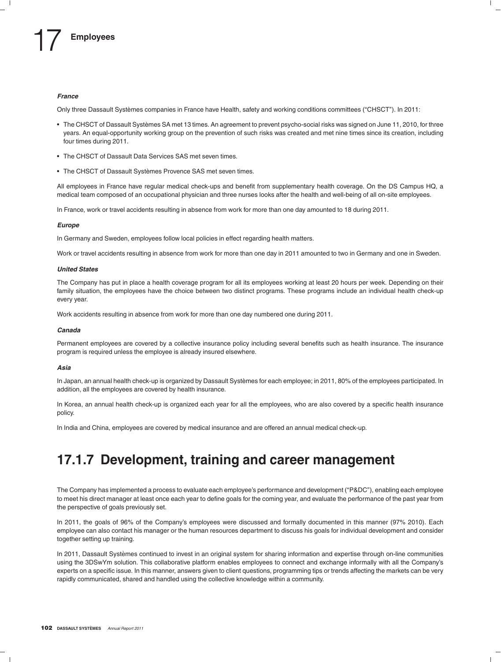#### *France*

Only three Dassault Systèmes companies in France have Health, safety and working conditions committees ("CHSCT"). In 2011:

- The CHSCT of Dassault Systèmes SA met 13 times. An agreement to prevent psycho-social risks was signed on June 11, 2010, for three years. An equal-opportunity working group on the prevention of such risks was created and met nine times since its creation, including four times during 2011.
- The CHSCT of Dassault Data Services SAS met seven times.
- The CHSCT of Dassault Systèmes Provence SAS met seven times.

All employees in France have regular medical check-ups and benefit from supplementary health coverage. On the DS Campus HQ, a medical team composed of an occupational physician and three nurses looks after the health and well-being of all on-site employees.

In France, work or travel accidents resulting in absence from work for more than one day amounted to 18 during 2011.

#### *Europe*

In Germany and Sweden, employees follow local policies in effect regarding health matters.

Work or travel accidents resulting in absence from work for more than one day in 2011 amounted to two in Germany and one in Sweden.

#### *United States*

The Company has put in place a health coverage program for all its employees working at least 20 hours per week. Depending on their family situation, the employees have the choice between two distinct programs. These programs include an individual health check-up every year.

Work accidents resulting in absence from work for more than one day numbered one during 2011.

#### *Canada*

Permanent employees are covered by a collective insurance policy including several benefits such as health insurance. The insurance program is required unless the employee is already insured elsewhere.

#### *Asia*

In Japan, an annual health check-up is organized by Dassault Systemes for each employee; in 2011, 80% of the employees participated. In ` addition, all the employees are covered by health insurance.

In Korea, an annual health check-up is organized each year for all the employees, who are also covered by a specific health insurance policy.

In India and China, employees are covered by medical insurance and are offered an annual medical check-up.

### **17.1.7 Development, training and career management**

The Company has implemented a process to evaluate each employee's performance and development (''P&DC''), enabling each employee to meet his direct manager at least once each year to define goals for the coming year, and evaluate the performance of the past year from the perspective of goals previously set.

In 2011, the goals of 96% of the Company's employees were discussed and formally documented in this manner (97% 2010). Each employee can also contact his manager or the human resources department to discuss his goals for individual development and consider together setting up training.

In 2011, Dassault Systèmes continued to invest in an original system for sharing information and expertise through on-line communities using the 3DSwYm solution. This collaborative platform enables employees to connect and exchange informally with all the Company's experts on a specific issue. In this manner, answers given to client questions, programming tips or trends affecting the markets can be very rapidly communicated, shared and handled using the collective knowledge within a community.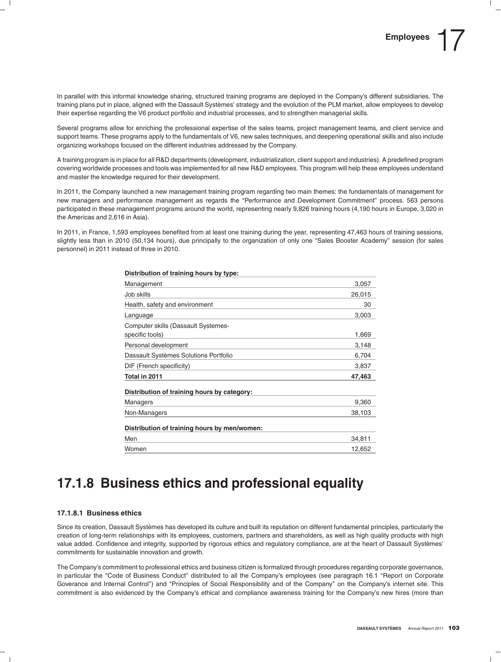In parallel with this informal knowledge sharing, structured training programs are deployed in the Company's different subsidiaries. The training plans put in place, aligned with the Dassault Systèmes' strategy and the evolution of the PLM market, allow employees to develop their expertise regarding the V6 product portfolio and industrial processes, and to strengthen managerial skills.

Several programs allow for enriching the professional expertise of the sales teams, project management teams, and client service and support teams. These programs apply to the fundamentals of V6, new sales techniques, and deepening operational skills and also include organizing workshops focused on the different industries addressed by the Company.

A training program is in place for all R&D departments (development, industrialization, client support and industries). A predefined program covering worldwide processes and tools was implemented for all new R&D employees. This program will help these employees understand and master the knowledge required for their development.

In 2011, the Company launched a new management training program regarding two main themes: the fundamentals of management for new managers and performance management as regards the ''Performance and Development Commitment'' process. 563 persons participated in these management programs around the world, representing nearly 9,826 training hours (4,190 hours in Europe, 3,020 in the Americas and 2,616 in Asia).

In 2011, in France, 1,593 employees benefited from at least one training during the year, representing 47,463 hours of training sessions, slightly less than in 2010 (50,134 hours), due principally to the organization of only one "Sales Booster Academy" session (for sales personnel) in 2011 instead of three in 2010.

| <b>DISLINGTION OF GRIFTING HOURS BY LYDE.</b> |        |
|-----------------------------------------------|--------|
| Management                                    | 3,057  |
| Job skills                                    | 26,015 |
| Health, safety and environment                | 30     |
| Language                                      | 3,003  |
| Computer skills (Dassault Systemes-           |        |
| specific tools)                               | 1,669  |
| Personal development                          | 3,148  |
| Dassault Systèmes Solutions Portfolio         | 6,704  |
| DIF (French specificity)                      | 3,837  |
| Total in 2011                                 | 47,463 |
| Distribution of training hours by category:   |        |
| Managers                                      | 9,360  |
| Non-Managers                                  | 38,103 |
| Distribution of training hours by men/women:  |        |
| Men                                           | 34,811 |
| Women                                         | 12,652 |

### **Distribution of training hours by type:**

### **17.1.8 Business ethics and professional equality**

#### **17.1.8.1 Business ethics**

Since its creation, Dassault Systèmes has developed its culture and built its reputation on different fundamental principles, particularly the creation of long-term relationships with its employees, customers, partners and shareholders, as well as high quality products with high value added. Confidence and integrity, supported by rigorous ethics and regulatory compliance, are at the heart of Dassault Systemes' ` commitments for sustainable innovation and growth.

The Company's commitment to professional ethics and business citizen is formalized through procedures regarding corporate governance, in particular the "Code of Business Conduct" distributed to all the Company's employees (see paragraph 16.1 "Report on Corporate Goverance and Internal Control") and "Principles of Social Responsibility and of the Company" on the Company's internet site. This commitment is also evidenced by the Company's ethical and compliance awareness training for the Company's new hires (more than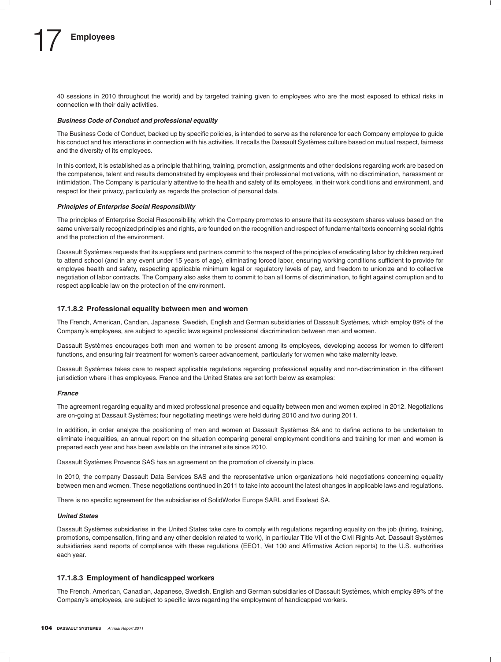40 sessions in 2010 throughout the world) and by targeted training given to employees who are the most exposed to ethical risks in connection with their daily activities.

#### *Business Code of Conduct and professional equality*

The Business Code of Conduct, backed up by specific policies, is intended to serve as the reference for each Company employee to guide his conduct and his interactions in connection with his activities. It recalls the Dassault Systèmes culture based on mutual respect, fairness and the diversity of its employees.

In this context, it is established as a principle that hiring, training, promotion, assignments and other decisions regarding work are based on the competence, talent and results demonstrated by employees and their professional motivations, with no discrimination, harassment or intimidation. The Company is particularly attentive to the health and safety of its employees, in their work conditions and environment, and respect for their privacy, particularly as regards the protection of personal data.

#### *Principles of Enterprise Social Responsibility*

The principles of Enterprise Social Responsibility, which the Company promotes to ensure that its ecosystem shares values based on the same universally recognized principles and rights, are founded on the recognition and respect of fundamental texts concerning social rights and the protection of the environment.

Dassault Systemes requests that its suppliers and partners commit to the respect of the principles of eradicating labor by children required ` to attend school (and in any event under 15 years of age), eliminating forced labor, ensuring working conditions sufficient to provide for employee health and safety, respecting applicable minimum legal or regulatory levels of pay, and freedom to unionize and to collective negotiation of labor contracts. The Company also asks them to commit to ban all forms of discrimination, to fight against corruption and to respect applicable law on the protection of the environment.

#### **17.1.8.2 Professional equality between men and women**

The French, American, Candian, Japanese, Swedish, English and German subsidiaries of Dassault Systèmes, which employ 89% of the Company's employees, are subject to specific laws against professional discrimination between men and women.

Dassault Systèmes encourages both men and women to be present among its employees, developing access for women to different functions, and ensuring fair treatment for women's career advancement, particularly for women who take maternity leave.

Dassault Systèmes takes care to respect applicable regulations regarding professional equality and non-discrimination in the different jurisdiction where it has employees. France and the United States are set forth below as examples:

#### *France*

The agreement regarding equality and mixed professional presence and equality between men and women expired in 2012. Negotiations are on-going at Dassault Systèmes; four negotiating meetings were held during 2010 and two during 2011.

In addition, in order analyze the positioning of men and women at Dassault Systèmes SA and to define actions to be undertaken to eliminate inequalities, an annual report on the situation comparing general employment conditions and training for men and women is prepared each year and has been available on the intranet site since 2010.

Dassault Systèmes Provence SAS has an agreement on the promotion of diversity in place.

In 2010, the company Dassault Data Services SAS and the representative union organizations held negotiations concerning equality between men and women. These negotiations continued in 2011 to take into account the latest changes in applicable laws and regulations.

There is no specific agreement for the subsidiaries of SolidWorks Europe SARL and Exalead SA.

#### *United States*

Dassault Systèmes subsidiaries in the United States take care to comply with regulations regarding equality on the job (hiring, training, promotions, compensation, firing and any other decision related to work), in particular Title VII of the Civil Rights Act. Dassault Systemes ` subsidiaries send reports of compliance with these regulations (EEO1, Vet 100 and Affirmative Action reports) to the U.S. authorities each year.

#### **17.1.8.3 Employment of handicapped workers**

The French, American, Canadian, Japanese, Swedish, English and German subsidiaries of Dassault Systèmes, which employ 89% of the Company's employees, are subject to specific laws regarding the employment of handicapped workers.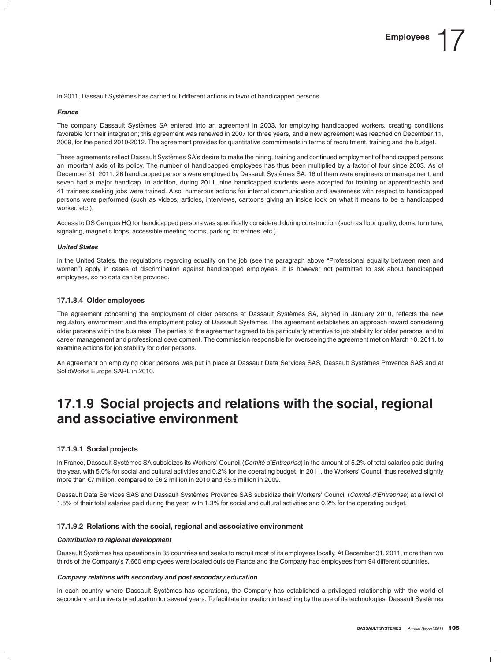In 2011, Dassault Systèmes has carried out different actions in favor of handicapped persons.

#### *France*

The company Dassault Systèmes SA entered into an agreement in 2003, for employing handicapped workers, creating conditions favorable for their integration; this agreement was renewed in 2007 for three years, and a new agreement was reached on December 11, 2009, for the period 2010-2012. The agreement provides for quantitative commitments in terms of recruitment, training and the budget.

These agreements reflect Dassault Systèmes SA's desire to make the hiring, training and continued employment of handicapped persons an important axis of its policy. The number of handicapped employees has thus been multiplied by a factor of four since 2003. As of December 31, 2011, 26 handicapped persons were employed by Dassault Systemes SA; 16 of them were engineers or management, and ` seven had a major handicap. In addition, during 2011, nine handicapped students were accepted for training or apprenticeship and 41 trainees seeking jobs were trained. Also, numerous actions for internal communication and awareness with respect to handicapped persons were performed (such as videos, articles, interviews, cartoons giving an inside look on what it means to be a handicapped worker, etc.).

Access to DS Campus HQ for handicapped persons was specifically considered during construction (such as floor quality, doors, furniture, signaling, magnetic loops, accessible meeting rooms, parking lot entries, etc.).

#### *United States*

In the United States, the regulations regarding equality on the job (see the paragraph above "Professional equality between men and women'') apply in cases of discrimination against handicapped employees. It is however not permitted to ask about handicapped employees, so no data can be provided.

#### **17.1.8.4 Older employees**

The agreement concerning the employment of older persons at Dassault Systèmes SA, signed in January 2010, reflects the new regulatory environment and the employment policy of Dassault Systèmes. The agreement establishes an approach toward considering older persons within the business. The parties to the agreement agreed to be particularly attentive to job stability for older persons, and to career management and professional development. The commission responsible for overseeing the agreement met on March 10, 2011, to examine actions for job stability for older persons.

An agreement on employing older persons was put in place at Dassault Data Services SAS, Dassault Systemes Provence SAS and at ` SolidWorks Europe SARL in 2010.

### **17.1.9 Social projects and relations with the social, regional and associative environment**

#### **17.1.9.1 Social projects**

In France, Dassault Systèmes SA subsidizes its Workers' Council (Comité d'Entreprise) in the amount of 5.2% of total salaries paid during the year, with 5.0% for social and cultural activities and 0.2% for the operating budget. In 2011, the Workers' Council thus received slightly more than  $\epsilon$ 7 million, compared to  $\epsilon$ 6.2 million in 2010 and  $\epsilon$ 5.5 million in 2009.

Dassault Data Services SAS and Dassault Systèmes Provence SAS subsidize their Workers' Council (Comité d'Entreprise) at a level of 1.5% of their total salaries paid during the year, with 1.3% for social and cultural activities and 0.2% for the operating budget.

#### **17.1.9.2 Relations with the social, regional and associative environment**

#### *Contribution to regional development*

Dassault Systemes has operations in 35 countries and seeks to recruit most of its employees locally. At December 31, 2011, more than two ` thirds of the Company's 7,660 employees were located outside France and the Company had employees from 94 different countries.

#### *Company relations with secondary and post secondary education*

In each country where Dassault Systèmes has operations, the Company has established a privileged relationship with the world of secondary and university education for several years. To facilitate innovation in teaching by the use of its technologies, Dassault Systèmes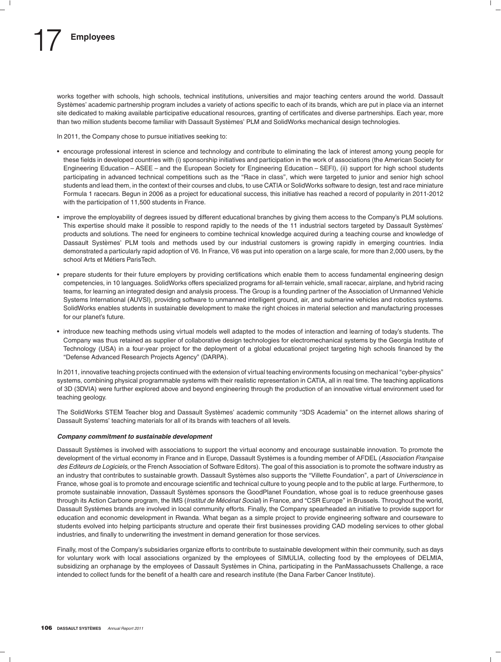# **Employees**

works together with schools, high schools, technical institutions, universities and major teaching centers around the world. Dassault Systèmes' academic partnership program includes a variety of actions specific to each of its brands, which are put in place via an internet site dedicated to making available participative educational resources, granting of certificates and diverse partnerships. Each year, more than two million students become familiar with Dassault Systemes' PLM and SolidWorks mechanical design technologies. `

In 2011, the Company chose to pursue initiatives seeking to:

- encourage professional interest in science and technology and contribute to eliminating the lack of interest among young people for these fields in developed countries with (i) sponsorship initiatives and participation in the work of associations (the American Society for Engineering Education – ASEE – and the European Society for Engineering Education – SEFI), (ii) support for high school students participating in advanced technical competitions such as the "Race in class", which were targeted to junior and senior high school students and lead them, in the context of their courses and clubs, to use CATIA or SolidWorks software to design, test and race miniature Formula 1 racecars. Begun in 2006 as a project for educational success, this initiative has reached a record of popularity in 2011-2012 with the participation of 11,500 students in France.
- improve the employability of degrees issued by different educational branches by giving them access to the Company's PLM solutions. This expertise should make it possible to respond rapidly to the needs of the 11 industrial sectors targeted by Dassault Systemes' ` products and solutions. The need for engineers to combine technical knowledge acquired during a teaching course and knowledge of Dassault Systèmes' PLM tools and methods used by our industrial customers is growing rapidly in emerging countries. India demonstrated a particularly rapid adoption of V6. In France, V6 was put into operation on a large scale, for more than 2,000 users, by the school Arts et Métiers ParisTech.
- prepare students for their future employers by providing certifications which enable them to access fundamental engineering design competencies, in 10 languages. SolidWorks offers specialized programs for all-terrain vehicle, small racecar, airplane, and hybrid racing teams, for learning an integrated design and analysis process. The Group is a founding partner of the Association of Unmanned Vehicle Systems International (AUVSI), providing software to unmanned intelligent ground, air, and submarine vehicles and robotics systems. SolidWorks enables students in sustainable development to make the right choices in material selection and manufacturing processes for our planet's future.
- introduce new teaching methods using virtual models well adapted to the modes of interaction and learning of today's students. The Company was thus retained as supplier of collaborative design technologies for electromechanical systems by the Georgia Institute of Technology (USA) in a four-year project for the deployment of a global educational project targeting high schools financed by the ''Defense Advanced Research Projects Agency'' (DARPA).

In 2011, innovative teaching projects continued with the extension of virtual teaching environments focusing on mechanical ''cyber-physics'' systems, combining physical programmable systems with their realistic representation in CATIA, all in real time. The teaching applications of 3D (3DVIA) were further explored above and beyond engineering through the production of an innovative virtual environment used for teaching geology.

The SolidWorks STEM Teacher blog and Dassault Systèmes' academic community "3DS Academia" on the internet allows sharing of Dassault Systems' teaching materials for all of its brands with teachers of all levels.

#### *Company commitment to sustainable development*

Dassault Systèmes is involved with associations to support the virtual economy and encourage sustainable innovation. To promote the development of the virtual economy in France and in Europe, Dassault Systèmes is a founding member of AFDEL (Association Française *des Editeurs de Logiciels*, or the French Association of Software Editors). The goal of this association is to promote the software industry as an industry that contributes to sustainable growth. Dassault Systèmes also supports the "Villette Foundation", a part of *Universcience* in France, whose goal is to promote and encourage scientific and technical culture to young people and to the public at large. Furthermore, to promote sustainable innovation, Dassault Systèmes sponsors the GoodPlanet Foundation, whose goal is to reduce greenhouse gases through its Action Carbone program, the IMS (*Institut de Mécénat Social*) in France, and "CSR Europe" in Brussels. Throughout the world, Dassault Systemes brands are involved in local community efforts. Finally, the Company spearheaded an initiative to provide support for ` education and economic development in Rwanda. What began as a simple project to provide engineering software and courseware to students evolved into helping participants structure and operate their first businesses providing CAD modeling services to other global industries, and finally to underwriting the investment in demand generation for those services.

Finally, most of the Company's subsidiaries organize efforts to contribute to sustainable development within their community, such as days for voluntary work with local associations organized by the employees of SIMULIA, collecting food by the employees of DELMIA, subsidizing an orphanage by the employees of Dassault Systèmes in China, participating in the PanMassachussets Challenge, a race intended to collect funds for the benefit of a health care and research institute (the Dana Farber Cancer Institute).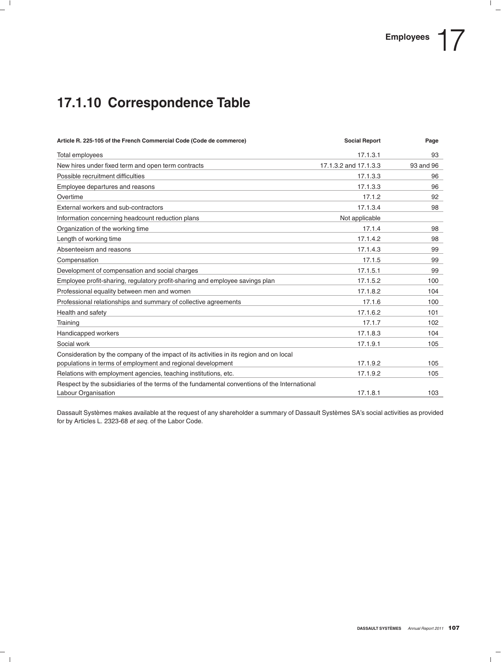# **17.1.10 Correspondence Table**

| Article R. 225-105 of the French Commercial Code (Code de commerce)                                                 | <b>Social Report</b>  | Page      |
|---------------------------------------------------------------------------------------------------------------------|-----------------------|-----------|
| Total employees                                                                                                     | 17.1.3.1              | 93        |
| New hires under fixed term and open term contracts                                                                  | 17.1.3.2 and 17.1.3.3 | 93 and 96 |
| Possible recruitment difficulties                                                                                   | 17.1.3.3              | 96        |
| Employee departures and reasons                                                                                     | 17.1.3.3              | 96        |
| Overtime                                                                                                            | 17.1.2                | 92        |
| External workers and sub-contractors                                                                                | 17.1.3.4              | 98        |
| Information concerning headcount reduction plans                                                                    | Not applicable        |           |
| Organization of the working time                                                                                    | 17.1.4                | 98        |
| Length of working time                                                                                              | 17.1.4.2              | 98        |
| Absenteeism and reasons                                                                                             | 17.1.4.3              | 99        |
| Compensation                                                                                                        | 17.1.5                | 99        |
| Development of compensation and social charges                                                                      | 17.1.5.1              | 99        |
| Employee profit-sharing, regulatory profit-sharing and employee savings plan                                        | 17.1.5.2              | 100       |
| Professional equality between men and women                                                                         | 17.1.8.2              | 104       |
| Professional relationships and summary of collective agreements                                                     | 17.1.6                | 100       |
| Health and safety                                                                                                   | 17.1.6.2              | 101       |
| Training                                                                                                            | 17.1.7                | 102       |
| Handicapped workers                                                                                                 | 17.1.8.3              | 104       |
| Social work                                                                                                         | 17.1.9.1              | 105       |
| Consideration by the company of the impact of its activities in its region and on local                             |                       |           |
| populations in terms of employment and regional development                                                         | 17.1.9.2              | 105       |
| Relations with employment agencies, teaching institutions, etc.                                                     | 17.1.9.2              | 105       |
| Respect by the subsidiaries of the terms of the fundamental conventions of the International<br>Labour Organisation | 17.1.8.1              | 103       |

Dassault Systèmes makes available at the request of any shareholder a summary of Dassault Systèmes SA's social activities as provided for by Articles L. 2323-68 *et seq.* of the Labor Code.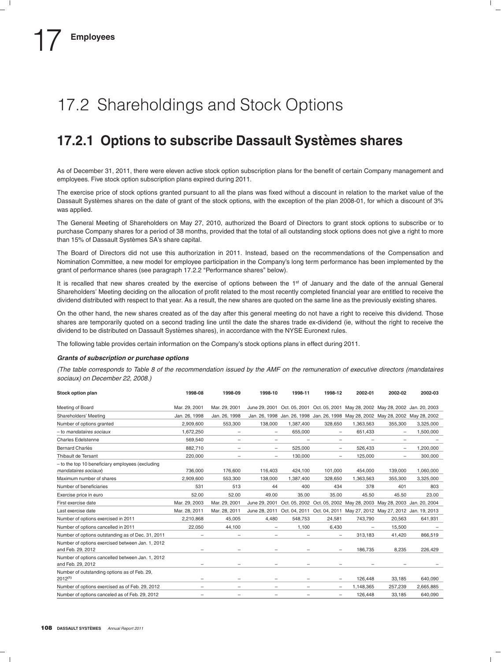# 17.2 Shareholdings and Stock Options

### **17.2.1 Options to subscribe Dassault Systemes shares `**

As of December 31, 2011, there were eleven active stock option subscription plans for the benefit of certain Company management and employees. Five stock option subscription plans expired during 2011.

The exercise price of stock options granted pursuant to all the plans was fixed without a discount in relation to the market value of the Dassault Systèmes shares on the date of grant of the stock options, with the exception of the plan 2008-01, for which a discount of 3% was applied.

The General Meeting of Shareholders on May 27, 2010, authorized the Board of Directors to grant stock options to subscribe or to purchase Company shares for a period of 38 months, provided that the total of all outstanding stock options does not give a right to more than 15% of Dassault Systèmes SA's share capital.

The Board of Directors did not use this authorization in 2011. Instead, based on the recommendations of the Compensation and Nomination Committee, a new model for employee participation in the Company's long term performance has been implemented by the grant of performance shares (see paragraph 17.2.2 "Performance shares" below).

It is recalled that new shares created by the exercise of options between the 1<sup>st</sup> of January and the date of the annual General Shareholders' Meeting deciding on the allocation of profit related to the most recently completed financial year are entitled to receive the dividend distributed with respect to that year. As a result, the new shares are quoted on the same line as the previously existing shares.

On the other hand, the new shares created as of the day after this general meeting do not have a right to receive this dividend. Those shares are temporarily quoted on a second trading line until the date the shares trade ex-dividend (ie, without the right to receive the dividend to be distributed on Dassault Systèmes shares), in accordance with the NYSE Euronext rules.

The following table provides certain information on the Company's stock options plans in effect during 2011.

#### *Grants of subscription or purchase options*

*(The table corresponds to Table 8 of the recommendation issued by the AMF on the remuneration of executive directors (mandataires sociaux) on December 22, 2008.)*

| Stock option plan                                                        | 1998-08           | 1998-09                  | 1998-10                  | 1998-11   | 1998-12           | 2002-01           | 2002-02                                                                           | 2002-03   |
|--------------------------------------------------------------------------|-------------------|--------------------------|--------------------------|-----------|-------------------|-------------------|-----------------------------------------------------------------------------------|-----------|
| Meeting of Board                                                         | Mar. 29, 2001     | Mar. 29, 2001            |                          |           |                   |                   | June 29, 2001 Oct. 05, 2001 Oct. 05, 2001 May 28, 2002 May 28, 2002 Jan. 20, 2003 |           |
| Shareholders' Meeting                                                    | Jan. 26, 1998     | Jan. 26, 1998            |                          |           |                   |                   | Jan. 26, 1998 Jan. 26, 1998 Jan. 26, 1998 May 28, 2002 May 28, 2002 May 28, 2002  |           |
| Number of options granted                                                | 2,909,600         | 553,300                  | 138,000                  | 1,387,400 | 328,650           | 1,363,563         | 355,300                                                                           | 3,325,000 |
| - to mandataires sociaux                                                 | 1.672.250         |                          | $\qquad \qquad -$        | 655,000   |                   | 651,433           | $\qquad \qquad -$                                                                 | 1,500,000 |
| <b>Charles Edelstenne</b>                                                | 569.540           | $\overline{\phantom{0}}$ | $\qquad \qquad -$        | -         | -                 | $\qquad \qquad -$ | $\qquad \qquad -$                                                                 |           |
| <b>Bernard Charlès</b>                                                   | 882.710           | $\equiv$                 | $\equiv$                 | 525.000   | $\equiv$          | 526.433           |                                                                                   | 1,200,000 |
| Thibault de Tersant                                                      | 220,000           |                          | $\qquad \qquad -$        | 130,000   | -                 | 125,000           | $\overline{\phantom{0}}$                                                          | 300,000   |
| - to the top 10 beneficiary employees (excluding<br>mandataires sociaux) | 736.000           | 176,600                  | 116,403                  | 424,100   | 101.000           | 454.000           | 139,000                                                                           | 1,060,000 |
| Maximum number of shares                                                 | 2.909.600         | 553,300                  | 138,000                  | 1,387,400 | 328,650           | 1.363.563         | 355,300                                                                           | 3,325,000 |
| Number of beneficiaries                                                  | 531               | 513                      | 44                       | 400       | 434               | 378               | 401                                                                               | 803       |
| Exercise price in euro                                                   | 52.00             | 52.00                    | 49.00                    | 35.00     | 35.00             | 45.50             | 45.50                                                                             | 23.00     |
| First exercise date                                                      | Mar. 29, 2003     | Mar. 29, 2001            |                          |           |                   |                   | June 29, 2001 Oct. 05, 2002 Oct. 05, 2002 May 28, 2003 May 28, 2003 Jan. 20, 2004 |           |
| Last exercise date                                                       | Mar. 28, 2011     | Mar. 28, 2011            |                          |           |                   |                   | June 28, 2011 Oct. 04, 2011 Oct. 04, 2011 May 27, 2012 May 27, 2012 Jan. 19, 2013 |           |
| Number of options exercised in 2011                                      | 2,210,868         | 45,005                   | 4.480                    | 548.753   | 24,581            | 743.790           | 20,563                                                                            | 641,931   |
| Number of options cancelled in 2011                                      | 22,050            | 44,100                   | $\qquad \qquad -$        | 1,100     | 6.430             | $\qquad \qquad -$ | 15,500                                                                            |           |
| Number of options outstanding as of Dec. 31, 2011                        | $\qquad \qquad -$ | -                        | $\qquad \qquad -$        | -         | -                 | 313.183           | 41.420                                                                            | 866,519   |
| Number of options exercised between Jan. 1, 2012<br>and Feb. 29, 2012    |                   |                          |                          |           |                   | 186,735           | 8,235                                                                             | 226,429   |
| Number of options cancelled between Jan. 1, 2012<br>and Feb. 29, 2012    |                   |                          |                          |           |                   |                   |                                                                                   |           |
| Number of outstanding options as of Feb. 29,<br>$2012^{(1)}$             |                   |                          |                          |           |                   | 126,448           | 33,185                                                                            | 640,090   |
| Number of options exercised as of Feb. 29, 2012                          | $\qquad \qquad =$ | $\overline{\phantom{0}}$ | $\overline{\phantom{m}}$ |           |                   | 1,148,365         | 257,239                                                                           | 2,665,885 |
| Number of options canceled as of Feb. 29, 2012                           |                   |                          | $\qquad \qquad -$        | -         | $\qquad \qquad -$ | 126,448           | 33,185                                                                            | 640,090   |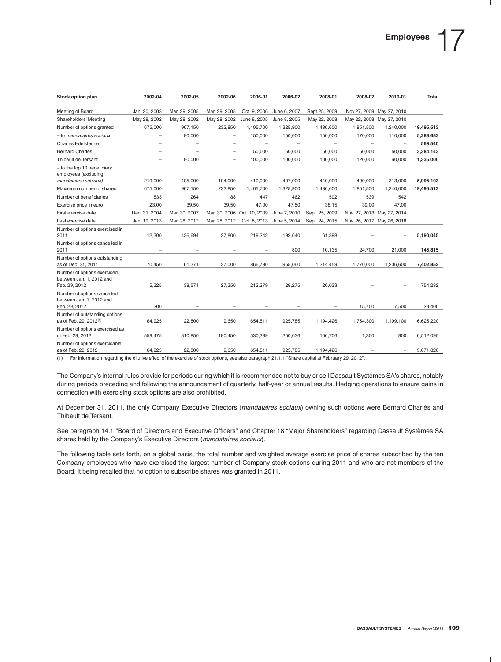| Stock option plan                                                             | 2002-04                  | 2002-05                  | 2002-06                     | 2006-01                  | 2006-02      | 2008-01        | 2008-02                  | 2010-01                        | <b>Total</b> |
|-------------------------------------------------------------------------------|--------------------------|--------------------------|-----------------------------|--------------------------|--------------|----------------|--------------------------|--------------------------------|--------------|
| Meeting of Board                                                              | Jan. 20, 2003            | Mar. 29, 2005            | Mar. 29, 2005               | Oct. 9, 2006             | June 6, 2007 | Sept.25, 2009  |                          | Nov.27, 2009 May 27, 2010      |              |
| Shareholders' Meeting                                                         | May 28, 2002             | May 28, 2002             | May 28, 2002                | June 8, 2005             | June 8, 2005 | May 22, 2008   |                          | May 22, 2008 May 27, 2010      |              |
| Number of options granted                                                     | 675,000                  | 967,150                  | 232,850                     | 1,405,700                | 1,325,900    | 1,436,600      | 1,851,500                | 1,240,000                      | 19,495,513   |
| - to mandataires sociaux                                                      |                          | 80,000                   | $\qquad \qquad -$           | 150,000                  | 150,000      | 150,000        | 170,000                  | 110,000                        | 5,288,683    |
| <b>Charles Edelstenne</b>                                                     | $\equiv$                 | $\overline{\phantom{m}}$ | $\overline{\phantom{0}}$    | $\overline{\phantom{m}}$ | $\equiv$     |                | $\overline{\phantom{0}}$ | $\overline{\phantom{m}}$       | 569,540      |
| <b>Bernard Charlès</b>                                                        | $\overline{\phantom{0}}$ |                          | $\overline{\phantom{0}}$    | 50.000                   | 50.000       | 50,000         | 50.000                   | 50,000                         | 3,384,143    |
| Thibault de Tersant                                                           | $\overline{\phantom{0}}$ | 80,000                   | $\equiv$                    | 100,000                  | 100,000      | 100,000        | 120,000                  | 60,000                         | 1,335,000    |
| $-$ to the top 10 beneficiary<br>employees (excluding<br>mandataires sociaux) | 219,000                  | 405,000                  | 104,000                     | 410,000                  | 407,000      | 440.000        | 490,000                  | 313,000                        | 5,995,103    |
| Maximum number of shares                                                      | 675,000                  | 967,150                  | 232,850                     | 1,405,700                | 1,325,900    | 1,436,600      | 1,851,500                | 1,240,000                      | 19,495,513   |
| Number of beneficiaries                                                       | 533                      | 264                      | 88                          | 447                      | 462          | 502            | 539                      | 542                            |              |
| Exercise price in euro                                                        | 23.00                    | 39.50                    | 39.50                       | 47.00                    | 47.50        | 38.15          | 39.00                    | 47.00                          |              |
| First exercise date                                                           | Dec. 31, 2004            | Mar. 30, 2007            | Mar. 30, 2006 Oct. 10, 2009 |                          | June 7, 2010 | Sept. 25, 2009 |                          | Nov. 27, 2013 May 27, 2014     |              |
| Last exercise date                                                            | Jan. 19, 2013            | Mar. 28, 2012            | Mar. 28, 2012               | Oct. 8, 2013             | June 5, 2014 | Sept. 24, 2015 |                          | Nov. 26, 2017 May 26, 2018     |              |
| Number of options exercised in<br>2011                                        | 12,300                   | 436.694                  | 27.800                      | 219,242                  | 192.640      | 61.398         |                          |                                | 5,190,045    |
| Number of options cancelled in<br>2011                                        |                          |                          |                             |                          | 800          | 10,135         | 24,700                   | 21,000                         | 145,815      |
| Number of options outstanding<br>as of Dec. 31, 2011                          | 70,450                   | 61,371                   | 37,000                      | 866,790                  | 955,060      | 1,214 459      | 1,770,000                | 1.206.600                      | 7,402,852    |
| Number of options exercised<br>between Jan. 1, 2012 and<br>Feb. 29, 2012      | 5.325                    | 38,571                   | 27,350                      | 212,279                  | 29.275       | 20,033         |                          |                                | 754,232      |
| Number of options cancelled<br>between Jan. 1, 2012 and<br>Feb. 29, 2012      | 200                      |                          |                             |                          |              |                | 15,700                   | 7,500                          | 23,400       |
| Number of outstanding options<br>as of Feb. 29, 2012 <sup>(1)</sup>           | 64,925                   | 22,800                   | 9,650                       | 654,511                  | 925,785      | 1,194,426      | 1,754,300                | 1,199,100                      | 6,625,220    |
| Number of options exercised as<br>of Feb. 29, 2012                            | 559,475                  | 810,850                  | 180,450                     | 530,289                  | 250,636      | 106,706        | 1,300                    | 900                            | 6,512,095    |
| Number of options exercisable<br>as of Feb. 29, 2012                          | 64,925                   | 22,800                   | 9,650                       | 654,511                  | 925,785      | 1,194,426      | $\overline{\phantom{m}}$ | $\qquad \qquad \longleftarrow$ | 3,671,820    |

(1) For information regarding the dilutive effect of the exercise of stock options, see also paragraph 21.1.1 ''Share capital at February 29, 2012''.

The Company's internal rules provide for periods during which it is recommended not to buy or sell Dassault Systemes SA's shares, notably ` during periods preceding and following the announcement of quarterly, half-year or annual results. Hedging operations to ensure gains in connection with exercising stock options are also prohibited.

At December 31, 2011, the only Company Executive Directors (*mandataires sociaux*) owning such options were Bernard Charles and ` Thibault de Tersant.

See paragraph 14.1 "Board of Directors and Executive Officers" and Chapter 18 "Major Shareholders" regarding Dassault Systèmes SA shares held by the Company's Executive Directors (*mandataires sociaux*).

The following table sets forth, on a global basis, the total number and weighted average exercise price of shares subscribed by the ten Company employees who have exercised the largest number of Company stock options during 2011 and who are not members of the Board, it being recalled that no option to subscribe shares was granted in 2011.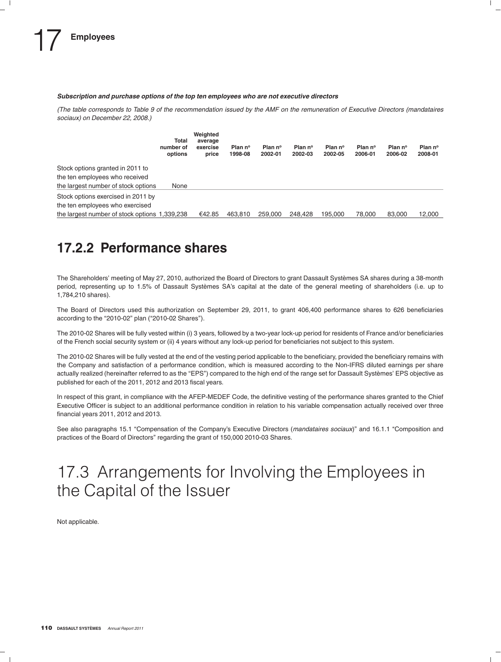#### *Subscription and purchase options of the top ten employees who are not executive directors*

*(The table corresponds to Table 9 of the recommendation issued by the AMF on the remuneration of Executive Directors (mandataires sociaux) on December 22, 2008.)*

|                                               | Total<br>number of<br>options | Weighted<br>average<br>exercise<br>price | Plan nº<br>1998-08 | Plan nº<br>2002-01 | Plan nº<br>2002-03 | Plan nº<br>2002-05 | Plan nº<br>2006-01 | Plan nº<br>2006-02 | Plan nº<br>2008-01 |
|-----------------------------------------------|-------------------------------|------------------------------------------|--------------------|--------------------|--------------------|--------------------|--------------------|--------------------|--------------------|
| Stock options granted in 2011 to              |                               |                                          |                    |                    |                    |                    |                    |                    |                    |
| the ten employees who received                |                               |                                          |                    |                    |                    |                    |                    |                    |                    |
| the largest number of stock options           | None                          |                                          |                    |                    |                    |                    |                    |                    |                    |
| Stock options exercised in 2011 by            |                               |                                          |                    |                    |                    |                    |                    |                    |                    |
| the ten employees who exercised               |                               |                                          |                    |                    |                    |                    |                    |                    |                    |
| the largest number of stock options 1,339,238 |                               | €42.85                                   | 463.810            | 259,000            | 248.428            | 195.000            | 78,000             | 83,000             | 12,000             |

### **17.2.2 Performance shares**

The Shareholders' meeting of May 27, 2010, authorized the Board of Directors to grant Dassault Systemes SA shares during a 38-month ` period, representing up to 1.5% of Dassault Systèmes SA's capital at the date of the general meeting of shareholders (i.e. up to 1,784,210 shares).

The Board of Directors used this authorization on September 29, 2011, to grant 406,400 performance shares to 626 beneficiaries according to the "2010-02" plan ("2010-02 Shares").

The 2010-02 Shares will be fully vested within (i) 3 years, followed by a two-year lock-up period for residents of France and/or beneficiaries of the French social security system or (ii) 4 years without any lock-up period for beneficiaries not subject to this system.

The 2010-02 Shares will be fully vested at the end of the vesting period applicable to the beneficiary, provided the beneficiary remains with the Company and satisfaction of a performance condition, which is measured according to the Non-IFRS diluted earnings per share actually realized (hereinafter referred to as the "EPS") compared to the high end of the range set for Dassault Systèmes' EPS objective as published for each of the 2011, 2012 and 2013 fiscal years.

In respect of this grant, in compliance with the AFEP-MEDEF Code, the definitive vesting of the performance shares granted to the Chief Executive Officer is subject to an additional performance condition in relation to his variable compensation actually received over three financial years 2011, 2012 and 2013.

See also paragraphs 15.1 ''Compensation of the Company's Executive Directors (*mandataires sociaux*)'' and 16.1.1 ''Composition and practices of the Board of Directors'' regarding the grant of 150,000 2010-03 Shares.

# 17.3 Arrangements for Involving the Employees in the Capital of the Issuer

Not applicable.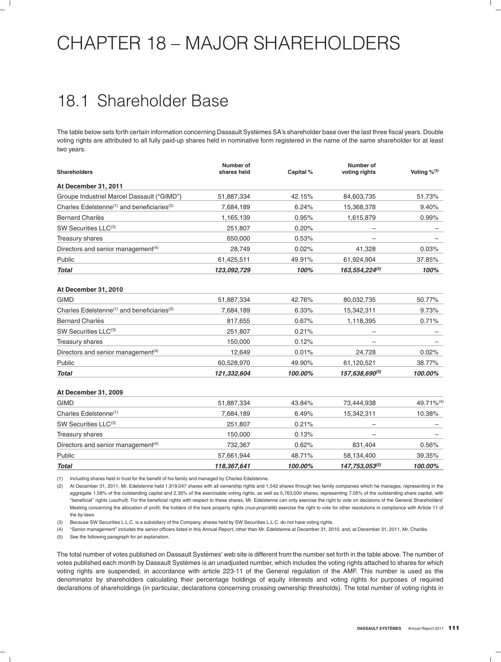# CHAPTER 18 – MAJOR SHAREHOLDERS

# 18.1 Shareholder Base

The table below sets forth certain information concerning Dassault Systemes SA's shareholder base over the last three fiscal years. Double ` voting rights are attributed to all fully paid-up shares held in nominative form registered in the name of the same shareholder for at least two years.

| <b>Shareholders</b>                                                | Number of<br>shares held | Capital % | Number of<br>voting rights       | Voting %(5)           |
|--------------------------------------------------------------------|--------------------------|-----------|----------------------------------|-----------------------|
| At December 31, 2011                                               |                          |           |                                  |                       |
| Groupe Industriel Marcel Dassault ("GIMD")                         | 51,887,334               | 42.15%    | 84,603,735                       | 51.73%                |
| Charles Edelstenne <sup>(1)</sup> and beneficiaries <sup>(2)</sup> | 7,684,189                | 6.24%     | 15,368,378                       | 9.40%                 |
| <b>Bernard Charlès</b>                                             | 1,165,139                | 0.95%     | 1,615,879                        | 0.99%                 |
| SW Securities LLC(3)                                               | 251,807                  | 0.20%     |                                  |                       |
| Treasury shares                                                    | 650,000                  | 0.53%     |                                  |                       |
| Directors and senior management <sup>(4)</sup>                     | 28,749                   | 0.02%     | 41,328                           | 0.03%                 |
| Public                                                             | 61,425,511               | 49.91%    | 61,924,904                       | 37.85%                |
| <b>Total</b>                                                       | 123,092,729              | 100%      | 163,554,224 <sup>(5)</sup>       | 100%                  |
| At December 31, 2010                                               |                          |           |                                  |                       |
| <b>GIMD</b>                                                        | 51,887,334               | 42.76%    | 80,032,735                       | 50.77%                |
| Charles Edelstenne <sup>(1)</sup> and beneficiaries <sup>(2)</sup> | 7,684,189                | 6.33%     | 15,342,311                       | 9.73%                 |
| <b>Bernard Charlès</b>                                             | 817,655                  | 0.67%     | 1,118,395                        | 0.71%                 |
| SW Securities LLC(3)                                               | 251,807                  | 0.21%     |                                  |                       |
| Treasury shares                                                    | 150,000                  | 0.12%     |                                  |                       |
| Directors and senior management <sup>(4)</sup>                     | 12,649                   | 0.01%     | 24,728                           | 0.02%                 |
| Public                                                             | 60,528,970               | 49.90%    | 61,120,521                       | 38.77%                |
| <b>Total</b>                                                       | 121,332,604              | 100.00%   | <b>157,638,690<sup>(5)</sup></b> | 100.00%               |
| At December 31, 2009                                               |                          |           |                                  |                       |
| <b>GIMD</b>                                                        | 51,887,334               | 43.84%    | 73,444,938                       | 49.71% <sup>(4)</sup> |
| Charles Edelstenne <sup>(1)</sup>                                  | 7,684,189                | 6.49%     | 15,342,311                       | 10.38%                |
| SW Securities LLC(3)                                               | 251,807                  | 0.21%     |                                  |                       |
| Treasury shares                                                    | 150,000                  | 0.13%     |                                  |                       |
| Directors and senior management <sup>(4)</sup>                     | 732,367                  | 0.62%     | 831,404                          | 0.56%                 |
| Public                                                             | 57,661,944               | 48.71%    | 58,134,400                       | 39.35%                |
| <b>Total</b>                                                       | 118,367,641              | 100.00%   | 147,753,053 <sup>(5)</sup>       | 100.00%               |

(1) Including shares held in trust for the benefit of his family and managed by Charles Edelstenne.

(2) At December 31, 2011, Mr. Edelstenne held 1,919,047 shares with all ownership rights and 1,542 shares through two family companies which he manages, representing in the aggregate 1.58% of the outstanding capital and 2.35% of the exercisable voting rights, as well as 5,763,000 shares, representing 7.05% of the outstanding share capital, with ''beneficial'' rights (*usufruit*). For the beneficial rights with respect to these shares, Mr. Edelstenne can only exercise the right to vote on decisions of the General Shareholders' Meeting concerning the allocation of profit; the holders of the bare property rights (nue-propriété) exercise the right to vote for other resolutions in compliance with Article 11 of the by-laws.

(3) Because SW Securities L.L.C. is a subsidiary of the Company, shares held by SW Securities L.L.C. do not have voting rights.

(4) ''Senior management'' includes the senior officers listed in this Annual Report, other than Mr. Edelstenne at December 31, 2010, and, at December 31, 2011, Mr. Charles. `

(5) See the following paragraph for an explanation.

The total number of votes published on Dassault Systèmes' web site is different from the number set forth in the table above. The number of votes published each month by Dassault Systèmes is an unadjusted number, which includes the voting rights attached to shares for which voting rights are suspended, in accordance with article 223-11 of the General regulation of the AMF. This number is used as the denominator by shareholders calculating their percentage holdings of equity interests and voting rights for purposes of required declarations of shareholdings (in particular, declarations concerning crossing ownership thresholds). The total number of voting rights in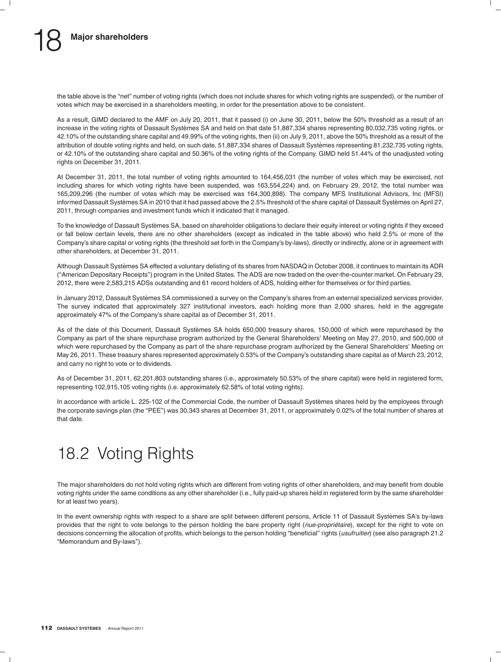the table above is the ''net'' number of voting rights (which does not include shares for which voting rights are suspended), or the number of votes which may be exercised in a shareholders meeting, in order for the presentation above to be consistent.

As a result, GIMD declared to the AMF on July 20, 2011, that it passed (i) on June 30, 2011, below the 50% threshold as a result of an increase in the voting rights of Dassault Systèmes SA and held on that date 51,887,334 shares representing 80,032,735 voting rights, or 42.10% of the outstanding share capital and 49.99% of the voting rights, then (ii) on July 9, 2011, above the 50% threshold as a result of the attribution of double voting rights and held, on such date, 51,887,334 shares of Dassault Systèmes representing 81,232,735 voting rights, or 42.10% of the outstanding share capital and 50.36% of the voting rights of the Company. GIMD held 51.44% of the unadjusted voting rights on December 31, 2011.

At December 31, 2011, the total number of voting rights amounted to 164,456,031 (the number of votes which may be exercised, not including shares for which voting rights have been suspended, was 163,554,224) and, on February 29, 2012, the total number was 165,209,296 (the number of votes which may be exercised was 164,300,898). The company MFS Institutional Advisors, Inc (MFSI) informed Dassault Systèmes SA in 2010 that it had passed above the 2.5% threshold of the share capital of Dassault Systèmes on April 27, 2011, through companies and investment funds which it indicated that it managed.

To the knowledge of Dassault Systèmes SA, based on shareholder obligations to declare their equity interest or voting rights if they exceed or fall below certain levels, there are no other shareholders (except as indicated in the table above) who held 2.5% or more of the Company's share capital or voting rights (the threshold set forth in the Company's by-laws), directly or indirectly, alone or in agreement with other shareholders, at December 31, 2011.

Although Dassault Systemes SA effected a voluntary delisting of its shares from NASDAQ in October 2008, it continues to maintain its ADR ` (''American Depositary Receipts'') program in the United States. The ADS are now traded on the over-the-counter market. On February 29, 2012, there were 2,583,215 ADSs outstanding and 61 record holders of ADS, holding either for themselves or for third parties.

In January 2012, Dassault Systèmes SA commissioned a survey on the Company's shares from an external specialized services provider. The survey indicated that approximately 327 institutional investors, each holding more than 2,000 shares, held in the aggregate approximately 47% of the Company's share capital as of December 31, 2011.

As of the date of this Document, Dassault Systèmes SA holds 650,000 treasury shares, 150,000 of which were repurchased by the Company as part of the share repurchase program authorized by the General Shareholders' Meeting on May 27, 2010, and 500,000 of which were repurchased by the Company as part of the share repurchase program authorized by the General Shareholders' Meeting on May 26, 2011. These treasury shares represented approximately 0.53% of the Company's outstanding share capital as of March 23, 2012, and carry no right to vote or to dividends.

As of December 31, 2011, 62,201,803 outstanding shares (i.e., approximately 50.53% of the share capital) were held in registered form, representing 102,915,105 voting rights (i.e. approximately 62.58% of total voting rights).

In accordance with article L. 225-102 of the Commercial Code, the number of Dassault Systèmes shares held by the employees through the corporate savings plan (the "PEE") was 30,343 shares at December 31, 2011, or approximately 0.02% of the total number of shares at that date.

# 18.2 Voting Rights

The major shareholders do not hold voting rights which are different from voting rights of other shareholders, and may benefit from double voting rights under the same conditions as any other shareholder (i.e., fully paid-up shares held in registered form by the same shareholder for at least two years).

In the event ownership rights with respect to a share are split between different persons, Article 11 of Dassault Systemes SA's by-laws ` provides that the right to vote belongs to the person holding the bare property right (nue-propriétaire), except for the right to vote on decisions concerning the allocation of profits, which belongs to the person holding "beneficial" rights (*usufruitier*) (see also paragraph 21.2 ''Memorandum and By-laws'').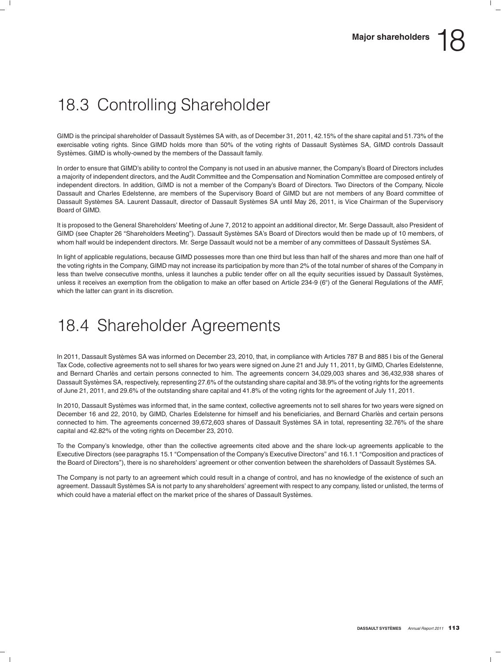# 18.3 Controlling Shareholder

GIMD is the principal shareholder of Dassault Systèmes SA with, as of December 31, 2011, 42.15% of the share capital and 51.73% of the exercisable voting rights. Since GIMD holds more than 50% of the voting rights of Dassault Systèmes SA, GIMD controls Dassault Systèmes. GIMD is wholly-owned by the members of the Dassault family.

In order to ensure that GIMD's ability to control the Company is not used in an abusive manner, the Company's Board of Directors includes a majority of independent directors, and the Audit Committee and the Compensation and Nomination Committee are composed entirely of independent directors. In addition, GIMD is not a member of the Company's Board of Directors. Two Directors of the Company, Nicole Dassault and Charles Edelstenne, are members of the Supervisory Board of GIMD but are not members of any Board committee of Dassault Systèmes SA. Laurent Dassault, director of Dassault Systèmes SA until May 26, 2011, is Vice Chairman of the Supervisory Board of GIMD.

It is proposed to the General Shareholders' Meeting of June 7, 2012 to appoint an additional director, Mr. Serge Dassault, also President of GIMD (see Chapter 26 "Shareholders Meeting"). Dassault Systèmes SA's Board of Directors would then be made up of 10 members, of whom half would be independent directors. Mr. Serge Dassault would not be a member of any committees of Dassault Systèmes SA.

In light of applicable regulations, because GIMD possesses more than one third but less than half of the shares and more than one half of the voting rights in the Company, GIMD may not increase its participation by more than 2% of the total number of shares of the Company in less than twelve consecutive months, unless it launches a public tender offer on all the equity securities issued by Dassault Systèmes, unless it receives an exemption from the obligation to make an offer based on Article 234-9 (6°) of the General Regulations of the AMF, which the latter can grant in its discretion.

# 18.4 Shareholder Agreements

In 2011, Dassault Systèmes SA was informed on December 23, 2010, that, in compliance with Articles 787 B and 885 I bis of the General Tax Code, collective agreements not to sell shares for two years were signed on June 21 and July 11, 2011, by GIMD, Charles Edelstenne, and Bernard Charles and certain persons connected to him. The agreements concern 34,029,003 shares and 36,432,938 shares of ` Dassault Systemes SA, respectively, representing 27.6% of the outstanding share capital and 38.9% of the voting rights for the agreements ` of June 21, 2011, and 29.6% of the outstanding share capital and 41.8% of the voting rights for the agreement of July 11, 2011.

In 2010, Dassault Systèmes was informed that, in the same context, collective agreements not to sell shares for two years were signed on December 16 and 22, 2010, by GIMD, Charles Edelstenne for himself and his beneficiaries, and Bernard Charlès and certain persons connected to him. The agreements concerned 39,672,603 shares of Dassault Systemes SA in total, representing 32.76% of the share ` capital and 42.82% of the voting rights on December 23, 2010.

To the Company's knowledge, other than the collective agreements cited above and the share lock-up agreements applicable to the Executive Directors (see paragraphs 15.1 ''Compensation of the Company's Executive Directors'' and 16.1.1 ''Composition and practices of the Board of Directors"), there is no shareholders' agreement or other convention between the shareholders of Dassault Systèmes SA.

The Company is not party to an agreement which could result in a change of control, and has no knowledge of the existence of such an agreement. Dassault Systèmes SA is not party to any shareholders' agreement with respect to any company, listed or unlisted, the terms of which could have a material effect on the market price of the shares of Dassault Systèmes.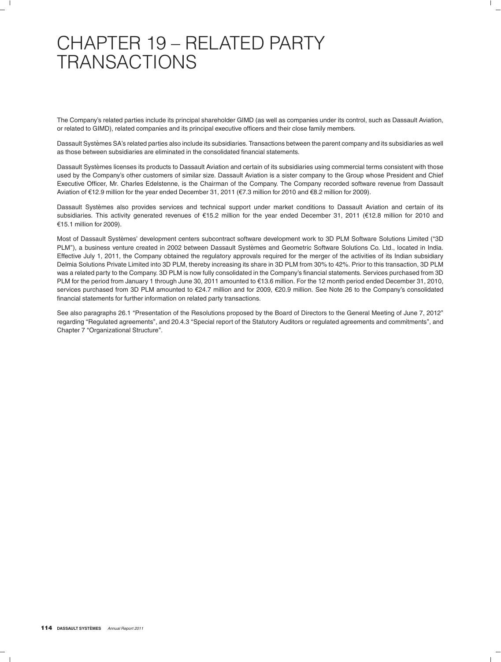# CHAPTER 19 – RELATED PARTY **TRANSACTIONS**

The Company's related parties include its principal shareholder GIMD (as well as companies under its control, such as Dassault Aviation, or related to GIMD), related companies and its principal executive officers and their close family members.

Dassault Systemes SA's related parties also include its subsidiaries. Transactions between the parent company and its subsidiaries as well ` as those between subsidiaries are eliminated in the consolidated financial statements.

Dassault Systemes licenses its products to Dassault Aviation and certain of its subsidiaries using commercial terms consistent with those ` used by the Company's other customers of similar size. Dassault Aviation is a sister company to the Group whose President and Chief Executive Officer, Mr. Charles Edelstenne, is the Chairman of the Company. The Company recorded software revenue from Dassault Aviation of €12.9 million for the year ended December 31, 2011 (€7.3 million for 2010 and €8.2 million for 2009).

Dassault Systèmes also provides services and technical support under market conditions to Dassault Aviation and certain of its subsidiaries. This activity generated revenues of €15.2 million for the year ended December 31, 2011 (€12.8 million for 2010 and  $£15.1$  million for 2009).

Most of Dassault Systemes' development centers subcontract software development work to 3D PLM Software Solutions Limited (''3D ` PLM"), a business venture created in 2002 between Dassault Systèmes and Geometric Software Solutions Co. Ltd., located in India. Effective July 1, 2011, the Company obtained the regulatory approvals required for the merger of the activities of its Indian subsidiary Delmia Solutions Private Limited into 3D PLM, thereby increasing its share in 3D PLM from 30% to 42%. Prior to this transaction, 3D PLM was a related party to the Company. 3D PLM is now fully consolidated in the Company's financial statements. Services purchased from 3D PLM for the period from January 1 through June 30, 2011 amounted to €13.6 million. For the 12 month period ended December 31, 2010, services purchased from 3D PLM amounted to €24.7 million and for 2009, €20.9 million. See Note 26 to the Company's consolidated financial statements for further information on related party transactions.

See also paragraphs 26.1 "Presentation of the Resolutions proposed by the Board of Directors to the General Meeting of June 7, 2012" regarding "Regulated agreements", and 20.4.3 "Special report of the Statutory Auditors or regulated agreements and commitments", and Chapter 7 "Organizational Structure".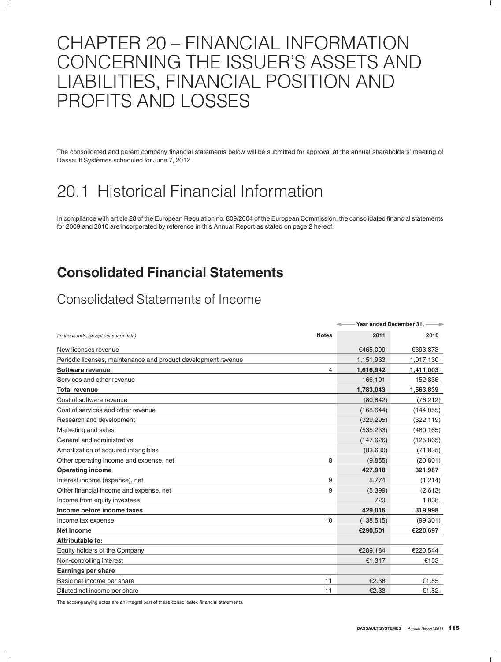# CHAPTER 20 – FINANCIAL INFORMATION CONCERNING THE ISSUER'S ASSETS AND LIABILITIES, FINANCIAL POSITION AND PROFITS AND LOSSES

The consolidated and parent company financial statements below will be submitted for approval at the annual shareholders' meeting of Dassault Systèmes scheduled for June 7, 2012.

# 20.1 Historical Financial Information

In compliance with article 28 of the European Regulation no. 809/2004 of the European Commission, the consolidated financial statements for 2009 and 2010 are incorporated by reference in this Annual Report as stated on page 2 hereof.

### **Consolidated Financial Statements**

### Consolidated Statements of Income

|                                                                |              | Year ended December 31, ---- |            |  |  |
|----------------------------------------------------------------|--------------|------------------------------|------------|--|--|
| (in thousands, except per share data)                          | <b>Notes</b> | 2011                         | 2010       |  |  |
| New licenses revenue                                           |              | €465,009                     | €393,873   |  |  |
| Periodic licenses, maintenance and product development revenue |              | 1,151,933                    | 1,017,130  |  |  |
| Software revenue                                               | 4            | 1,616,942                    | 1,411,003  |  |  |
| Services and other revenue                                     |              | 166,101                      | 152,836    |  |  |
| <b>Total revenue</b>                                           |              | 1,783,043                    | 1,563,839  |  |  |
| Cost of software revenue                                       |              | (80, 842)                    | (76, 212)  |  |  |
| Cost of services and other revenue                             |              | (168, 644)                   | (144, 855) |  |  |
| Research and development                                       |              | (329, 295)                   | (322, 119) |  |  |
| Marketing and sales                                            |              | (535, 233)                   | (480, 165) |  |  |
| General and administrative                                     |              | (147, 626)                   | (125,865)  |  |  |
| Amortization of acquired intangibles                           |              | (83,630)                     | (71, 835)  |  |  |
| Other operating income and expense, net                        | 8            | (9,855)                      | (20, 801)  |  |  |
| <b>Operating income</b>                                        |              | 427,918                      | 321,987    |  |  |
| Interest income (expense), net                                 | 9            | 5.774                        | (1,214)    |  |  |
| Other financial income and expense, net                        | 9            | (5,399)                      | (2,613)    |  |  |
| Income from equity investees                                   |              | 723                          | 1,838      |  |  |
| Income before income taxes                                     |              | 429,016                      | 319,998    |  |  |
| Income tax expense                                             | 10           | (138, 515)                   | (99, 301)  |  |  |
| Net income                                                     |              | €290,501                     | €220,697   |  |  |
| Attributable to:                                               |              |                              |            |  |  |
| Equity holders of the Company                                  |              | €289,184                     | €220,544   |  |  |
| Non-controlling interest                                       |              | €1,317                       | €153       |  |  |
| <b>Earnings per share</b>                                      |              |                              |            |  |  |
| Basic net income per share                                     | 11           | €2.38                        | €1.85      |  |  |
| Diluted net income per share                                   | 11           | €2.33                        | €1.82      |  |  |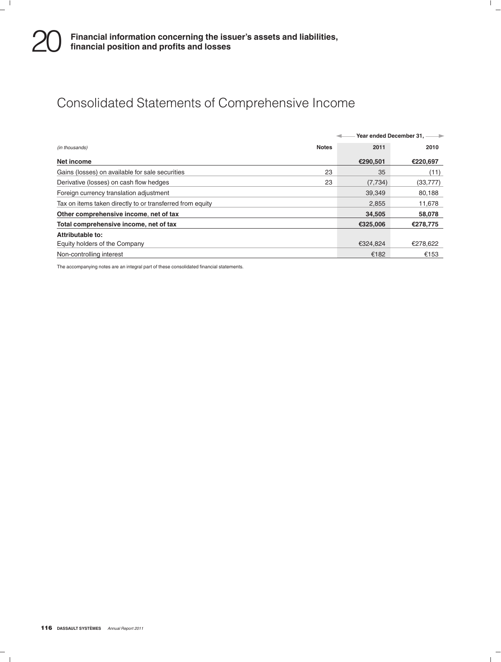### Consolidated Statements of Comprehensive Income

|                                                           |              | Year ended December 31, ---- |           |  |
|-----------------------------------------------------------|--------------|------------------------------|-----------|--|
| (in thousands)                                            | <b>Notes</b> | 2011                         | 2010      |  |
| Net income                                                |              | €290,501                     | €220,697  |  |
| Gains (losses) on available for sale securities           | 23           | 35                           | (11)      |  |
| Derivative (losses) on cash flow hedges                   | 23           | (7, 734)                     | (33, 777) |  |
| Foreign currency translation adjustment                   |              | 39.349                       | 80,188    |  |
| Tax on items taken directly to or transferred from equity |              | 2.855                        | 11,678    |  |
| Other comprehensive income, net of tax                    |              | 34,505                       | 58,078    |  |
| Total comprehensive income, net of tax                    |              | €325,006                     | €278,775  |  |
| Attributable to:                                          |              |                              |           |  |
| Equity holders of the Company                             |              | €324.824                     | €278.622  |  |
| Non-controlling interest                                  |              | €182                         | €153      |  |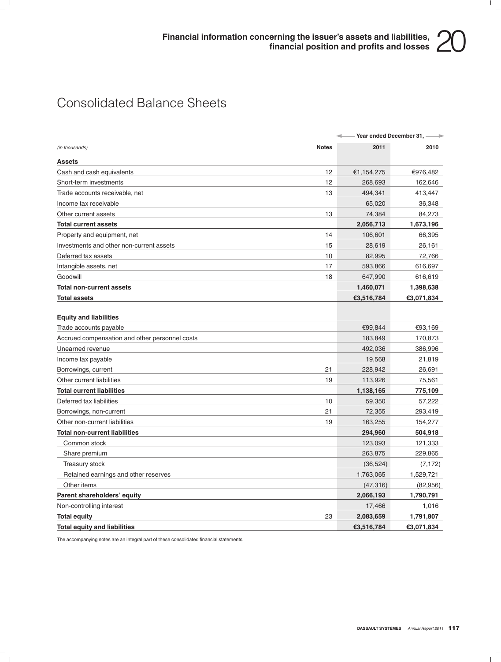### Consolidated Balance Sheets

|                                                |              | Year ended December 31, ---- |            |  |
|------------------------------------------------|--------------|------------------------------|------------|--|
| (in thousands)                                 | <b>Notes</b> | 2011                         | 2010       |  |
| <b>Assets</b>                                  |              |                              |            |  |
| Cash and cash equivalents                      | 12           | €1,154,275                   | €976,482   |  |
| Short-term investments                         | 12           | 268,693                      | 162,646    |  |
| Trade accounts receivable, net                 | 13           | 494,341                      | 413,447    |  |
| Income tax receivable                          |              | 65,020                       | 36,348     |  |
| Other current assets                           | 13           | 74,384                       | 84,273     |  |
| <b>Total current assets</b>                    |              | 2,056,713                    | 1,673,196  |  |
| Property and equipment, net                    | 14           | 106,601                      | 66,395     |  |
| Investments and other non-current assets       | 15           | 28,619                       | 26,161     |  |
| Deferred tax assets                            | 10           | 82,995                       | 72,766     |  |
| Intangible assets, net                         | 17           | 593,866                      | 616,697    |  |
| Goodwill                                       | 18           | 647,990                      | 616,619    |  |
| <b>Total non-current assets</b>                |              | 1,460,071                    | 1,398,638  |  |
| <b>Total assets</b>                            |              | €3,516,784                   | €3,071,834 |  |
|                                                |              |                              |            |  |
| <b>Equity and liabilities</b>                  |              |                              |            |  |
| Trade accounts payable                         |              | €99,844                      | €93,169    |  |
| Accrued compensation and other personnel costs |              | 183,849                      | 170,873    |  |
| Unearned revenue                               |              | 492,036                      | 386,996    |  |
| Income tax payable                             |              | 19,568                       | 21,819     |  |
| Borrowings, current                            | 21           | 228,942                      | 26,691     |  |
| Other current liabilities                      | 19           | 113,926                      | 75,561     |  |
| <b>Total current liabilities</b>               |              | 1,138,165                    | 775,109    |  |
| Deferred tax liabilities                       | 10           | 59,350                       | 57,222     |  |
| Borrowings, non-current                        | 21           | 72,355                       | 293,419    |  |
| Other non-current liabilities                  | 19           | 163,255                      | 154,277    |  |
| <b>Total non-current liabilities</b>           |              | 294,960                      | 504,918    |  |
| Common stock                                   |              | 123,093                      | 121,333    |  |
| Share premium                                  |              | 263,875                      | 229,865    |  |
| Treasury stock                                 |              | (36, 524)                    | (7, 172)   |  |
| Retained earnings and other reserves           |              | 1,763,065                    | 1,529,721  |  |
| Other items                                    |              | (47, 316)                    | (82,956)   |  |
| Parent shareholders' equity                    |              | 2,066,193                    | 1,790,791  |  |
| Non-controlling interest                       |              | 17,466                       | 1,016      |  |
| <b>Total equity</b>                            | 23           | 2,083,659                    | 1,791,807  |  |
| <b>Total equity and liabilities</b>            |              | €3,516,784                   | €3,071,834 |  |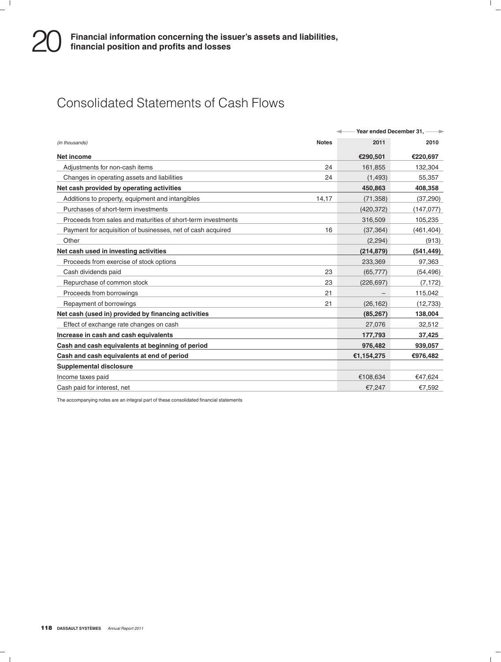### Consolidated Statements of Cash Flows

|                                                              |              |            | Year ended December 31, ---- |
|--------------------------------------------------------------|--------------|------------|------------------------------|
| (in thousands)                                               | <b>Notes</b> | 2011       | 2010                         |
| Net income                                                   |              | €290,501   | €220,697                     |
| Adjustments for non-cash items                               | 24           | 161,855    | 132,304                      |
| Changes in operating assets and liabilities                  | 24           | (1, 493)   | 55,357                       |
| Net cash provided by operating activities                    |              | 450,863    | 408,358                      |
| Additions to property, equipment and intangibles             | 14,17        | (71, 358)  | (37, 290)                    |
| Purchases of short-term investments                          |              | (420,372)  | (147, 077)                   |
| Proceeds from sales and maturities of short-term investments |              | 316,509    | 105,235                      |
| Payment for acquisition of businesses, net of cash acquired  | 16           | (37, 364)  | (461, 404)                   |
| Other                                                        |              | (2, 294)   | (913)                        |
| Net cash used in investing activities                        |              | (214, 879) | (541, 449)                   |
| Proceeds from exercise of stock options                      |              | 233,369    | 97,363                       |
| Cash dividends paid                                          | 23           | (65, 777)  | (54, 496)                    |
| Repurchase of common stock                                   | 23           | (226, 697) | (7, 172)                     |
| Proceeds from borrowings                                     | 21           |            | 115,042                      |
| Repayment of borrowings                                      | 21           | (26, 162)  | (12, 733)                    |
| Net cash (used in) provided by financing activities          |              | (85, 267)  | 138,004                      |
| Effect of exchange rate changes on cash                      |              | 27,076     | 32,512                       |
| Increase in cash and cash equivalents                        |              | 177,793    | 37,425                       |
| Cash and cash equivalents at beginning of period             |              | 976,482    | 939,057                      |
| Cash and cash equivalents at end of period                   |              | €1,154,275 | €976,482                     |
| <b>Supplemental disclosure</b>                               |              |            |                              |
| Income taxes paid                                            |              | €108,634   | €47,624                      |
| Cash paid for interest, net                                  |              | €7,247     | €7,592                       |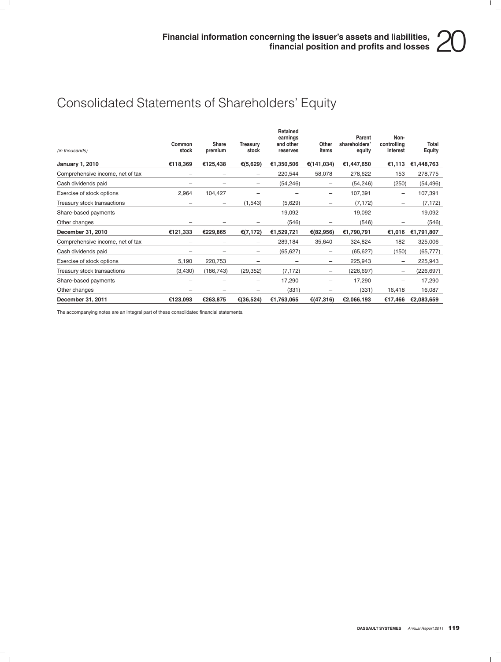### Consolidated Statements of Shareholders' Equity

| (in thousands)                   | Common<br>stock | Share<br>premium | <b>Treasurv</b><br>stock | Retained<br>earnings<br>and other<br>reserves | Other<br>items | Parent<br>shareholders'<br>equity | Non-<br>controlling<br>interest | Total<br><b>Equity</b> |
|----------------------------------|-----------------|------------------|--------------------------|-----------------------------------------------|----------------|-----------------------------------|---------------------------------|------------------------|
| <b>January 1, 2010</b>           | €118,369        | €125,438         | €(5,629)                 | €1,350,506                                    | €(141,034)     | €1,447,650                        | €1,113                          | €1,448,763             |
| Comprehensive income, net of tax |                 |                  |                          | 220,544                                       | 58,078         | 278,622                           | 153                             | 278,775                |
| Cash dividends paid              |                 |                  |                          | (54, 246)                                     | -              | (54, 246)                         | (250)                           | (54, 496)              |
| Exercise of stock options        | 2,964           | 104,427          |                          |                                               | -              | 107,391                           |                                 | 107,391                |
| Treasury stock transactions      |                 | -                | (1, 543)                 | (5,629)                                       |                | (7, 172)                          |                                 | (7, 172)               |
| Share-based payments             |                 |                  |                          | 19,092                                        |                | 19,092                            |                                 | 19,092                 |
| Other changes                    |                 |                  |                          | (546)                                         |                | (546)                             |                                 | (546)                  |
| December 31, 2010                | €121,333        | €229,865         | € $(7, 172)$             | €1,529,721                                    | €(82,956)      | €1,790,791                        | €1,016                          | €1,791,807             |
| Comprehensive income, net of tax |                 |                  |                          | 289,184                                       | 35,640         | 324,824                           | 182                             | 325,006                |
| Cash dividends paid              |                 |                  |                          | (65, 627)                                     | -              | (65, 627)                         | (150)                           | (65, 777)              |
| Exercise of stock options        | 5,190           | 220,753          |                          |                                               | -              | 225,943                           |                                 | 225,943                |
| Treasury stock transactions      | (3,430)         | (186, 743)       | (29, 352)                | (7, 172)                                      | -              | (226, 697)                        | -                               | (226, 697)             |
| Share-based payments             | -               | -                | -                        | 17,290                                        | -              | 17,290                            | -                               | 17,290                 |
| Other changes                    | -               | -                |                          | (331)                                         | -              | (331)                             | 16,418                          | 16,087                 |
| December 31, 2011                | €123,093        | €263,875         | €(36,524)                | €1,763,065                                    | €(47,316)      | €2,066,193                        | €17,466                         | €2,083,659             |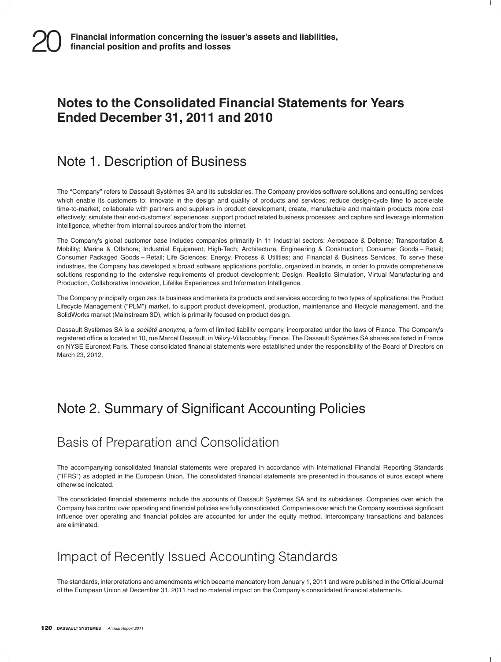### **Notes to the Consolidated Financial Statements for Years Ended December 31, 2011 and 2010**

### Note 1. Description of Business

The "Company" refers to Dassault Systèmes SA and its subsidiaries. The Company provides software solutions and consulting services which enable its customers to: innovate in the design and quality of products and services; reduce design-cycle time to accelerate time-to-market; collaborate with partners and suppliers in product development; create, manufacture and maintain products more cost effectively; simulate their end-customers' experiences; support product related business processes; and capture and leverage information intelligence, whether from internal sources and/or from the internet.

The Company's global customer base includes companies primarily in 11 industrial sectors: Aerospace & Defense; Transportation & Mobility; Marine & Offshore; Industrial Equipment; High-Tech; Architecture, Engineering & Construction; Consumer Goods – Retail; Consumer Packaged Goods – Retail; Life Sciences; Energy, Process & Utilities; and Financial & Business Services. To serve these industries, the Company has developed a broad software applications portfolio, organized in brands, in order to provide comprehensive solutions responding to the extensive requirements of product development: Design, Realistic Simulation, Virtual Manufacturing and Production, Collaborative Innovation, Lifelike Experiences and Information Intelligence.

The Company principally organizes its business and markets its products and services according to two types of applications: the Product Lifecycle Management ("PLM") market, to support product development, production, maintenance and lifecycle management, and the SolidWorks market (Mainstream 3D), which is primarily focused on product design.

Dassault Systèmes SA is a *société anonyme*, a form of limited liability company, incorporated under the laws of France. The Company's registered office is located at 10, rue Marcel Dassault, in Vélizy-Villacoublay, France. The Dassault Systèmes SA shares are listed in France on NYSE Euronext Paris. These consolidated financial statements were established under the responsibility of the Board of Directors on March 23, 2012.

### Note 2. Summary of Significant Accounting Policies

### Basis of Preparation and Consolidation

The accompanying consolidated financial statements were prepared in accordance with International Financial Reporting Standards (''IFRS'') as adopted in the European Union. The consolidated financial statements are presented in thousands of euros except where otherwise indicated.

The consolidated financial statements include the accounts of Dassault Systèmes SA and its subsidiaries. Companies over which the Company has control over operating and financial policies are fully consolidated. Companies over which the Company exercises significant influence over operating and financial policies are accounted for under the equity method. Intercompany transactions and balances are eliminated.

### Impact of Recently Issued Accounting Standards

The standards, interpretations and amendments which became mandatory from January 1, 2011 and were published in the Official Journal of the European Union at December 31, 2011 had no material impact on the Company's consolidated financial statements.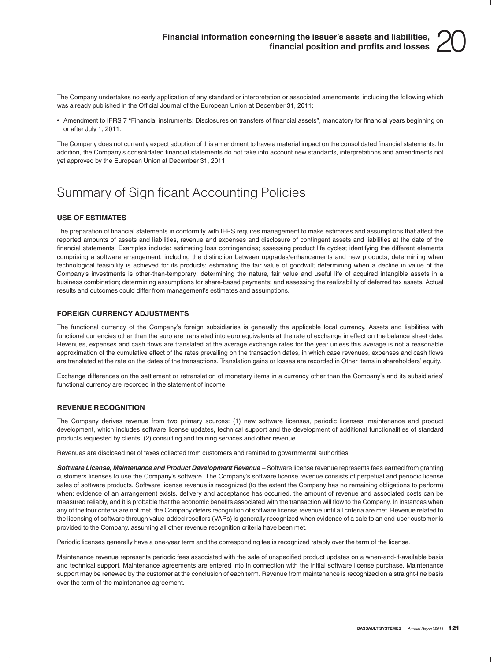The Company undertakes no early application of any standard or interpretation or associated amendments, including the following which was already published in the Official Journal of the European Union at December 31, 2011:

• Amendment to IFRS 7 ''Financial instruments: Disclosures on transfers of financial assets'', mandatory for financial years beginning on or after July 1, 2011.

The Company does not currently expect adoption of this amendment to have a material impact on the consolidated financial statements. In addition, the Company's consolidated financial statements do not take into account new standards, interpretations and amendments not yet approved by the European Union at December 31, 2011.

### Summary of Significant Accounting Policies

### **USE OF ESTIMATES**

The preparation of financial statements in conformity with IFRS requires management to make estimates and assumptions that affect the reported amounts of assets and liabilities, revenue and expenses and disclosure of contingent assets and liabilities at the date of the financial statements. Examples include: estimating loss contingencies; assessing product life cycles; identifying the different elements comprising a software arrangement, including the distinction between upgrades/enhancements and new products; determining when technological feasibility is achieved for its products; estimating the fair value of goodwill; determining when a decline in value of the Company's investments is other-than-temporary; determining the nature, fair value and useful life of acquired intangible assets in a business combination; determining assumptions for share-based payments; and assessing the realizability of deferred tax assets. Actual results and outcomes could differ from management's estimates and assumptions.

#### **FOREIGN CURRENCY ADJUSTMENTS**

The functional currency of the Company's foreign subsidiaries is generally the applicable local currency. Assets and liabilities with functional currencies other than the euro are translated into euro equivalents at the rate of exchange in effect on the balance sheet date. Revenues, expenses and cash flows are translated at the average exchange rates for the year unless this average is not a reasonable approximation of the cumulative effect of the rates prevailing on the transaction dates, in which case revenues, expenses and cash flows are translated at the rate on the dates of the transactions. Translation gains or losses are recorded in Other items in shareholders' equity.

Exchange differences on the settlement or retranslation of monetary items in a currency other than the Company's and its subsidiaries' functional currency are recorded in the statement of income.

### **REVENUE RECOGNITION**

The Company derives revenue from two primary sources: (1) new software licenses, periodic licenses, maintenance and product development, which includes software license updates, technical support and the development of additional functionalities of standard products requested by clients; (2) consulting and training services and other revenue.

Revenues are disclosed net of taxes collected from customers and remitted to governmental authorities.

*Software License, Maintenance and Product Development Revenue –* Software license revenue represents fees earned from granting customers licenses to use the Company's software. The Company's software license revenue consists of perpetual and periodic license sales of software products. Software license revenue is recognized (to the extent the Company has no remaining obligations to perform) when: evidence of an arrangement exists, delivery and acceptance has occurred, the amount of revenue and associated costs can be measured reliably, and it is probable that the economic benefits associated with the transaction will flow to the Company. In instances when any of the four criteria are not met, the Company defers recognition of software license revenue until all criteria are met. Revenue related to the licensing of software through value-added resellers (VARs) is generally recognized when evidence of a sale to an end-user customer is provided to the Company, assuming all other revenue recognition criteria have been met.

Periodic licenses generally have a one-year term and the corresponding fee is recognized ratably over the term of the license.

Maintenance revenue represents periodic fees associated with the sale of unspecified product updates on a when-and-if-available basis and technical support. Maintenance agreements are entered into in connection with the initial software license purchase. Maintenance support may be renewed by the customer at the conclusion of each term. Revenue from maintenance is recognized on a straight-line basis over the term of the maintenance agreement.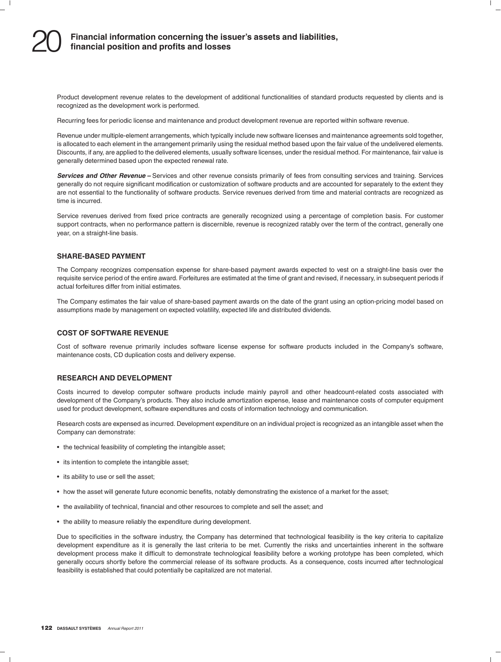Product development revenue relates to the development of additional functionalities of standard products requested by clients and is recognized as the development work is performed.

Recurring fees for periodic license and maintenance and product development revenue are reported within software revenue.

Revenue under multiple-element arrangements, which typically include new software licenses and maintenance agreements sold together, is allocated to each element in the arrangement primarily using the residual method based upon the fair value of the undelivered elements. Discounts, if any, are applied to the delivered elements, usually software licenses, under the residual method. For maintenance, fair value is generally determined based upon the expected renewal rate.

*Services and Other Revenue –* Services and other revenue consists primarily of fees from consulting services and training. Services generally do not require significant modification or customization of software products and are accounted for separately to the extent they are not essential to the functionality of software products. Service revenues derived from time and material contracts are recognized as time is incurred.

Service revenues derived from fixed price contracts are generally recognized using a percentage of completion basis. For customer support contracts, when no performance pattern is discernible, revenue is recognized ratably over the term of the contract, generally one year, on a straight-line basis.

### **SHARE-BASED PAYMENT**

The Company recognizes compensation expense for share-based payment awards expected to vest on a straight-line basis over the requisite service period of the entire award. Forfeitures are estimated at the time of grant and revised, if necessary, in subsequent periods if actual forfeitures differ from initial estimates.

The Company estimates the fair value of share-based payment awards on the date of the grant using an option-pricing model based on assumptions made by management on expected volatility, expected life and distributed dividends.

#### **COST OF SOFTWARE REVENUE**

Cost of software revenue primarily includes software license expense for software products included in the Company's software, maintenance costs, CD duplication costs and delivery expense.

#### **RESEARCH AND DEVELOPMENT**

Costs incurred to develop computer software products include mainly payroll and other headcount-related costs associated with development of the Company's products. They also include amortization expense, lease and maintenance costs of computer equipment used for product development, software expenditures and costs of information technology and communication.

Research costs are expensed as incurred. Development expenditure on an individual project is recognized as an intangible asset when the Company can demonstrate:

- the technical feasibility of completing the intangible asset;
- its intention to complete the intangible asset;
- its ability to use or sell the asset;
- how the asset will generate future economic benefits, notably demonstrating the existence of a market for the asset;
- the availability of technical, financial and other resources to complete and sell the asset; and
- the ability to measure reliably the expenditure during development.

Due to specificities in the software industry, the Company has determined that technological feasibility is the key criteria to capitalize development expenditure as it is generally the last criteria to be met. Currently the risks and uncertainties inherent in the software development process make it difficult to demonstrate technological feasibility before a working prototype has been completed, which generally occurs shortly before the commercial release of its software products. As a consequence, costs incurred after technological feasibility is established that could potentially be capitalized are not material.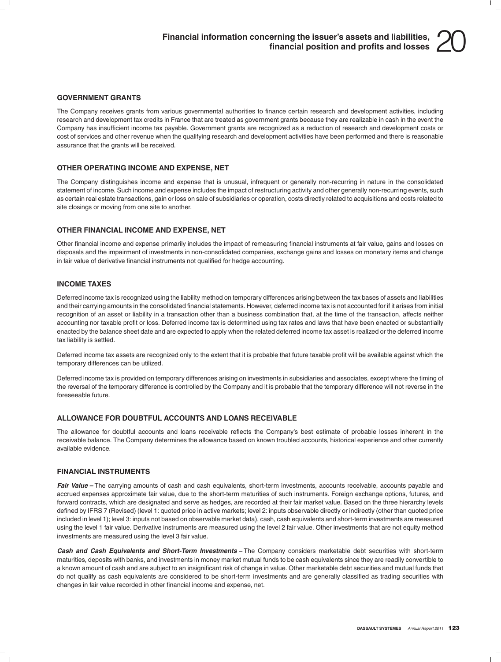#### **GOVERNMENT GRANTS**

The Company receives grants from various governmental authorities to finance certain research and development activities, including research and development tax credits in France that are treated as government grants because they are realizable in cash in the event the Company has insufficient income tax payable. Government grants are recognized as a reduction of research and development costs or cost of services and other revenue when the qualifying research and development activities have been performed and there is reasonable assurance that the grants will be received.

#### **OTHER OPERATING INCOME AND EXPENSE, NET**

The Company distinguishes income and expense that is unusual, infrequent or generally non-recurring in nature in the consolidated statement of income. Such income and expense includes the impact of restructuring activity and other generally non-recurring events, such as certain real estate transactions, gain or loss on sale of subsidiaries or operation, costs directly related to acquisitions and costs related to site closings or moving from one site to another.

#### **OTHER FINANCIAL INCOME AND EXPENSE, NET**

Other financial income and expense primarily includes the impact of remeasuring financial instruments at fair value, gains and losses on disposals and the impairment of investments in non-consolidated companies, exchange gains and losses on monetary items and change in fair value of derivative financial instruments not qualified for hedge accounting.

#### **INCOME TAXES**

Deferred income tax is recognized using the liability method on temporary differences arising between the tax bases of assets and liabilities and their carrying amounts in the consolidated financial statements. However, deferred income tax is not accounted for if it arises from initial recognition of an asset or liability in a transaction other than a business combination that, at the time of the transaction, affects neither accounting nor taxable profit or loss. Deferred income tax is determined using tax rates and laws that have been enacted or substantially enacted by the balance sheet date and are expected to apply when the related deferred income tax asset is realized or the deferred income tax liability is settled.

Deferred income tax assets are recognized only to the extent that it is probable that future taxable profit will be available against which the temporary differences can be utilized.

Deferred income tax is provided on temporary differences arising on investments in subsidiaries and associates, except where the timing of the reversal of the temporary difference is controlled by the Company and it is probable that the temporary difference will not reverse in the foreseeable future.

#### **ALLOWANCE FOR DOUBTFUL ACCOUNTS AND LOANS RECEIVABLE**

The allowance for doubtful accounts and loans receivable reflects the Company's best estimate of probable losses inherent in the receivable balance. The Company determines the allowance based on known troubled accounts, historical experience and other currently available evidence.

#### **FINANCIAL INSTRUMENTS**

Fair Value – The carrying amounts of cash and cash equivalents, short-term investments, accounts receivable, accounts payable and accrued expenses approximate fair value, due to the short-term maturities of such instruments. Foreign exchange options, futures, and forward contracts, which are designated and serve as hedges, are recorded at their fair market value. Based on the three hierarchy levels defined by IFRS 7 (Revised) (level 1: quoted price in active markets; level 2: inputs observable directly or indirectly (other than quoted price included in level 1); level 3: inputs not based on observable market data), cash, cash equivalents and short-term investments are measured using the level 1 fair value. Derivative instruments are measured using the level 2 fair value. Other investments that are not equity method investments are measured using the level 3 fair value.

*Cash and Cash Equivalents and Short-Term Investments –* The Company considers marketable debt securities with short-term maturities, deposits with banks, and investments in money market mutual funds to be cash equivalents since they are readily convertible to a known amount of cash and are subject to an insignificant risk of change in value. Other marketable debt securities and mutual funds that do not qualify as cash equivalents are considered to be short-term investments and are generally classified as trading securities with changes in fair value recorded in other financial income and expense, net.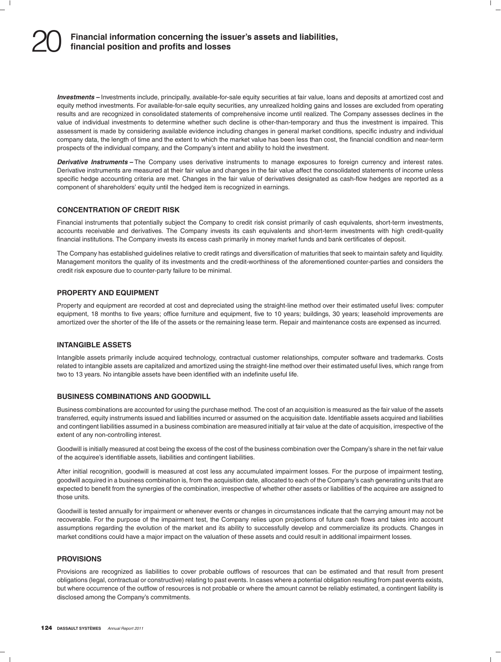**Investments** – Investments include, principally, available-for-sale equity securities at fair value, loans and deposits at amortized cost and equity method investments. For available-for-sale equity securities, any unrealized holding gains and losses are excluded from operating results and are recognized in consolidated statements of comprehensive income until realized. The Company assesses declines in the value of individual investments to determine whether such decline is other-than-temporary and thus the investment is impaired. This assessment is made by considering available evidence including changes in general market conditions, specific industry and individual company data, the length of time and the extent to which the market value has been less than cost, the financial condition and near-term prospects of the individual company, and the Company's intent and ability to hold the investment.

*Derivative Instruments –* The Company uses derivative instruments to manage exposures to foreign currency and interest rates. Derivative instruments are measured at their fair value and changes in the fair value affect the consolidated statements of income unless specific hedge accounting criteria are met. Changes in the fair value of derivatives designated as cash-flow hedges are reported as a component of shareholders' equity until the hedged item is recognized in earnings.

### **CONCENTRATION OF CREDIT RISK**

Financial instruments that potentially subject the Company to credit risk consist primarily of cash equivalents, short-term investments, accounts receivable and derivatives. The Company invests its cash equivalents and short-term investments with high credit-quality financial institutions. The Company invests its excess cash primarily in money market funds and bank certificates of deposit.

The Company has established guidelines relative to credit ratings and diversification of maturities that seek to maintain safety and liquidity. Management monitors the quality of its investments and the credit-worthiness of the aforementioned counter-parties and considers the credit risk exposure due to counter-party failure to be minimal.

### **PROPERTY AND EQUIPMENT**

Property and equipment are recorded at cost and depreciated using the straight-line method over their estimated useful lives: computer equipment, 18 months to five years; office furniture and equipment, five to 10 years; buildings, 30 years; leasehold improvements are amortized over the shorter of the life of the assets or the remaining lease term. Repair and maintenance costs are expensed as incurred.

### **INTANGIBLE ASSETS**

Intangible assets primarily include acquired technology, contractual customer relationships, computer software and trademarks. Costs related to intangible assets are capitalized and amortized using the straight-line method over their estimated useful lives, which range from two to 13 years. No intangible assets have been identified with an indefinite useful life.

### **BUSINESS COMBINATIONS AND GOODWILL**

Business combinations are accounted for using the purchase method. The cost of an acquisition is measured as the fair value of the assets transferred, equity instruments issued and liabilities incurred or assumed on the acquisition date. Identifiable assets acquired and liabilities and contingent liabilities assumed in a business combination are measured initially at fair value at the date of acquisition, irrespective of the extent of any non-controlling interest.

Goodwill is initially measured at cost being the excess of the cost of the business combination over the Company's share in the net fair value of the acquiree's identifiable assets, liabilities and contingent liabilities.

After initial recognition, goodwill is measured at cost less any accumulated impairment losses. For the purpose of impairment testing, goodwill acquired in a business combination is, from the acquisition date, allocated to each of the Company's cash generating units that are expected to benefit from the synergies of the combination, irrespective of whether other assets or liabilities of the acquiree are assigned to those units.

Goodwill is tested annually for impairment or whenever events or changes in circumstances indicate that the carrying amount may not be recoverable. For the purpose of the impairment test, the Company relies upon projections of future cash flows and takes into account assumptions regarding the evolution of the market and its ability to successfully develop and commercialize its products. Changes in market conditions could have a major impact on the valuation of these assets and could result in additional impairment losses.

#### **PROVISIONS**

Provisions are recognized as liabilities to cover probable outflows of resources that can be estimated and that result from present obligations (legal, contractual or constructive) relating to past events. In cases where a potential obligation resulting from past events exists, but where occurrence of the outflow of resources is not probable or where the amount cannot be reliably estimated, a contingent liability is disclosed among the Company's commitments.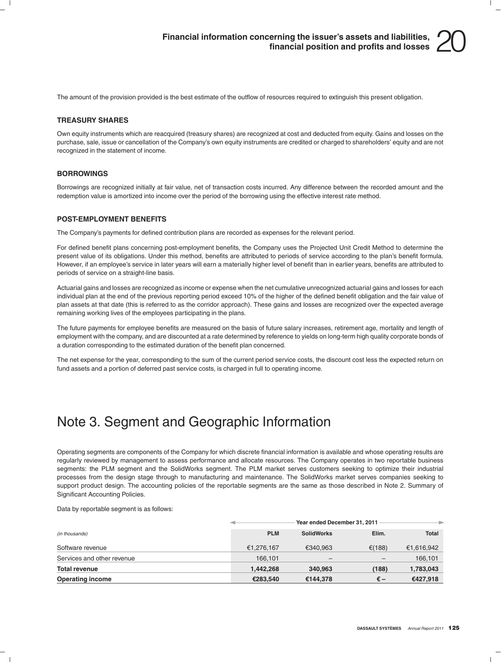

The amount of the provision provided is the best estimate of the outflow of resources required to extinguish this present obligation.

#### **TREASURY SHARES**

Own equity instruments which are reacquired (treasury shares) are recognized at cost and deducted from equity. Gains and losses on the purchase, sale, issue or cancellation of the Company's own equity instruments are credited or charged to shareholders' equity and are not recognized in the statement of income.

#### **BORROWINGS**

Borrowings are recognized initially at fair value, net of transaction costs incurred. Any difference between the recorded amount and the redemption value is amortized into income over the period of the borrowing using the effective interest rate method.

#### **POST-EMPLOYMENT BENEFITS**

The Company's payments for defined contribution plans are recorded as expenses for the relevant period.

For defined benefit plans concerning post-employment benefits, the Company uses the Projected Unit Credit Method to determine the present value of its obligations. Under this method, benefits are attributed to periods of service according to the plan's benefit formula. However, if an employee's service in later years will earn a materially higher level of benefit than in earlier years, benefits are attributed to periods of service on a straight-line basis.

Actuarial gains and losses are recognized as income or expense when the net cumulative unrecognized actuarial gains and losses for each individual plan at the end of the previous reporting period exceed 10% of the higher of the defined benefit obligation and the fair value of plan assets at that date (this is referred to as the corridor approach). These gains and losses are recognized over the expected average remaining working lives of the employees participating in the plans.

The future payments for employee benefits are measured on the basis of future salary increases, retirement age, mortality and length of employment with the company, and are discounted at a rate determined by reference to yields on long-term high quality corporate bonds of a duration corresponding to the estimated duration of the benefit plan concerned.

The net expense for the year, corresponding to the sum of the current period service costs, the discount cost less the expected return on fund assets and a portion of deferred past service costs, is charged in full to operating income.

### Note 3. Segment and Geographic Information

Operating segments are components of the Company for which discrete financial information is available and whose operating results are regularly reviewed by management to assess performance and allocate resources. The Company operates in two reportable business segments: the PLM segment and the SolidWorks segment. The PLM market serves customers seeking to optimize their industrial processes from the design stage through to manufacturing and maintenance. The SolidWorks market serves companies seeking to support product design. The accounting policies of the reportable segments are the same as those described in Note 2. Summary of Significant Accounting Policies.

Data by reportable segment is as follows:

|                            | Year ended December 31, 2011 |                                      |        |              |  |  |
|----------------------------|------------------------------|--------------------------------------|--------|--------------|--|--|
| (in thousands)             | <b>PLM</b>                   | <b>SolidWorks</b>                    | Elim.  | <b>Total</b> |  |  |
| Software revenue           | €1,276,167                   | €340.963                             | €(188) | €1,616,942   |  |  |
| Services and other revenue | 166.101                      | $\qquad \qquad \  \, -\qquad \qquad$ |        | 166,101      |  |  |
| <b>Total revenue</b>       | 1.442.268                    | 340,963                              | (188)  | 1,783,043    |  |  |
| <b>Operating income</b>    | €283.540                     | €144,378                             | € –    | €427,918     |  |  |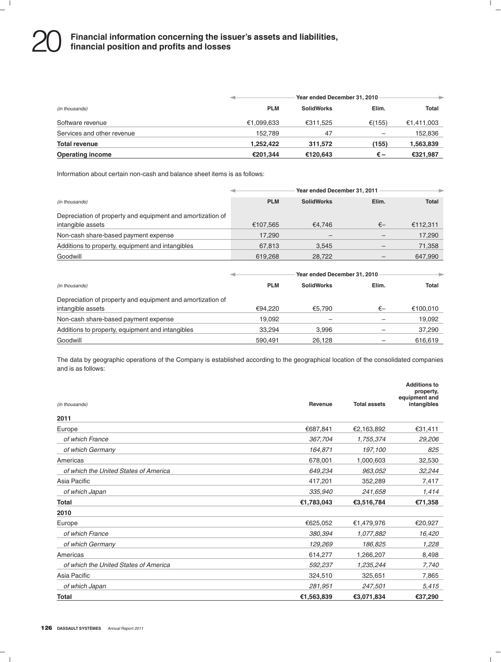# **Financial information concerning the issuer's assets and liabilities,** 20 **financial position and profits and losses**

|                            |            | Year ended December 31, 2010 |        |              |  |  |  |
|----------------------------|------------|------------------------------|--------|--------------|--|--|--|
| (in thousands)             | <b>PLM</b> | <b>SolidWorks</b>            | Elim.  | <b>Total</b> |  |  |  |
| Software revenue           | €1,099,633 | €311.525                     | €(155) | €1,411,003   |  |  |  |
| Services and other revenue | 152.789    | 47                           |        | 152,836      |  |  |  |
| <b>Total revenue</b>       | 1.252.422  | 311.572                      | (155)  | 1,563,839    |  |  |  |
| <b>Operating income</b>    | €201,344   | €120,643                     | €–     | €321,987     |  |  |  |

Information about certain non-cash and balance sheet items is as follows:

|                                                            | Year ended December 31, 2011 |                              |       |          |  |  |
|------------------------------------------------------------|------------------------------|------------------------------|-------|----------|--|--|
| (in thousands)                                             | <b>PLM</b>                   | <b>SolidWorks</b>            | Elim. | Total    |  |  |
| Depreciation of property and equipment and amortization of |                              |                              |       |          |  |  |
| intangible assets                                          | €107,565                     | €4.746                       | €—    | €112,311 |  |  |
| Non-cash share-based payment expense                       | 17.290                       |                              |       | 17,290   |  |  |
| Additions to property, equipment and intangibles           | 67.813                       | 3.545                        |       | 71,358   |  |  |
| Goodwill                                                   | 619.268                      | 28.722                       |       | 647.990  |  |  |
|                                                            |                              | Year ended December 31, 2010 |       |          |  |  |
| (in thousands)                                             | <b>PLM</b>                   | <b>SolidWorks</b>            | Elim. | Total    |  |  |
| Depreciation of property and equipment and amortization of |                              |                              |       |          |  |  |
| intangible assets                                          | €94.220                      | €5.790                       | €—    | €100.010 |  |  |
| Non-cash share-based payment expense                       | 19.092                       |                              |       | 19.092   |  |  |

| Additions to property, equipment and intangibles | <u>3.294</u> | 996.ر  | $\overline{\phantom{0}}$ | 37,290 |
|--------------------------------------------------|--------------|--------|--------------------------|--------|
| Goodwill                                         | 590.491      | 26.128 | $\overline{\phantom{0}}$ |        |
|                                                  |              |        |                          |        |

The data by geographic operations of the Company is established according to the geographical location of the consolidated companies and is as follows:

| (in thousands)                        | Revenue    | <b>Total assets</b> | <b>Additions to</b><br>property,<br>equipment and<br>intangibles |
|---------------------------------------|------------|---------------------|------------------------------------------------------------------|
| 2011                                  |            |                     |                                                                  |
| Europe                                | €687,841   | €2,163,892          | €31,411                                                          |
| of which France                       | 367,704    | 1,755,374           | 29,206                                                           |
| of which Germany                      | 164,871    | 197,100             | 825                                                              |
| Americas                              | 678,001    | 1,000,603           | 32,530                                                           |
| of which the United States of America | 649,234    | 963,052             | 32,244                                                           |
| Asia Pacific                          | 417,201    | 352,289             | 7,417                                                            |
| of which Japan                        | 335,940    | 241,658             | 1,414                                                            |
| Total                                 | €1,783,043 | €3,516,784          | €71,358                                                          |
| 2010                                  |            |                     |                                                                  |
| Europe                                | €625,052   | €1,479,976          | €20,927                                                          |
| of which France                       | 380,394    | 1,077,882           | 16,420                                                           |
| of which Germany                      | 129,269    | 186,825             | 1,228                                                            |
| Americas                              | 614,277    | 1,266,207           | 8,498                                                            |
| of which the United States of America | 592,237    | 1,235,244           | 7,740                                                            |
| Asia Pacific                          | 324,510    | 325,651             | 7,865                                                            |
| of which Japan                        | 281,951    | 247,501             | 5,415                                                            |
| Total                                 | €1,563,839 | €3,071,834          | €37,290                                                          |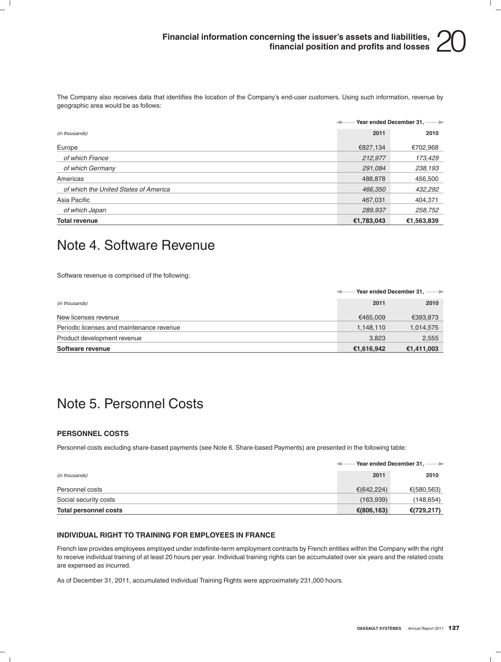The Company also receives data that identifies the location of the Company's end-user customers. Using such information, revenue by geographic area would be as follows:

|                                       |            | Year ended December 31, ---- |
|---------------------------------------|------------|------------------------------|
| (in thousands)                        | 2011       | 2010                         |
| Europe                                | €827,134   | €702,968                     |
| of which France                       | 212,977    | 173,429                      |
| of which Germany                      | 291,084    | 238,193                      |
| Americas                              | 488,878    | 456,500                      |
| of which the United States of America | 466,350    | 432,292                      |
| Asia Pacific                          | 467,031    | 404,371                      |
| of which Japan                        | 289,937    | 258,752                      |
| <b>Total revenue</b>                  | €1,783,043 | €1,563,839                   |

### Note 4. Software Revenue

Software revenue is comprised of the following:

|                                           | Vear ended December 31, --- |            |
|-------------------------------------------|-----------------------------|------------|
| (in thousands)                            | 2011                        | 2010       |
| New licenses revenue                      | €465.009                    | €393,873   |
| Periodic licenses and maintenance revenue | 1,148,110                   | 1,014,575  |
| Product development revenue               | 3.823                       | 2,555      |
| Software revenue                          | €1,616,942                  | €1,411,003 |

### Note 5. Personnel Costs

### **PERSONNEL COSTS**

Personnel costs excluding share-based payments (see Note 6. Share-based Payments) are presented in the following table:

|                       |            | Year ended December 31, -<br>$\rightarrow$ |  |
|-----------------------|------------|--------------------------------------------|--|
| (in thousands)        | 2011       | 2010                                       |  |
| Personnel costs       | €(642,224) | €(580,563)                                 |  |
| Social security costs | (163,939)  | (148,654)                                  |  |
| Total personnel costs | €(806,163) | €(729,217)                                 |  |

#### **INDIVIDUAL RIGHT TO TRAINING FOR EMPLOYEES IN FRANCE**

French law provides employees employed under indefinite-term employment contracts by French entities within the Company with the right to receive individual training of at least 20 hours per year. Individual training rights can be accumulated over six years and the related costs are expensed as incurred.

As of December 31, 2011, accumulated Individual Training Rights were approximately 231,000 hours.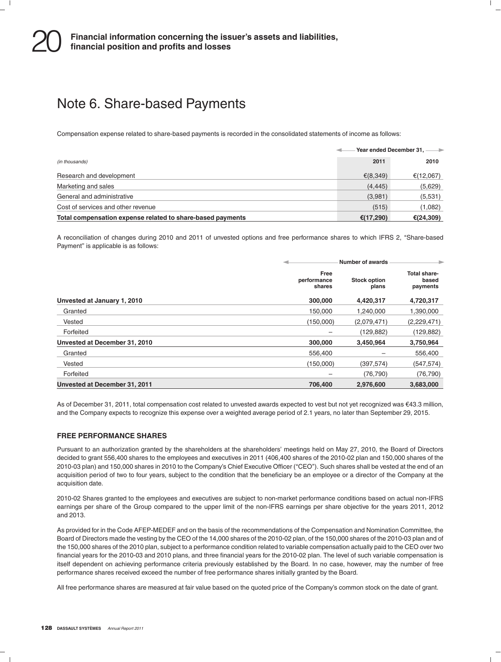### Note 6. Share-based Payments

Compensation expense related to share-based payments is recorded in the consolidated statements of income as follows:

|                                                            | Year ended December 31, -- |               |
|------------------------------------------------------------|----------------------------|---------------|
| (in thousands)                                             | 2011                       | 2010          |
| Research and development                                   | € $(8,349)$                | €(12,067)     |
| Marketing and sales                                        | (4, 445)                   | (5,629)       |
| General and administrative                                 | (3,981)                    | (5,531)       |
| Cost of services and other revenue                         | (515)                      | (1,082)       |
| Total compensation expense related to share-based payments | €(17,290)                  | € $(24, 309)$ |

A reconciliation of changes during 2010 and 2011 of unvested options and free performance shares to which IFRS 2, ''Share-based Payment" is applicable is as follows:

|                               | Number of awards              |                              |                                   |
|-------------------------------|-------------------------------|------------------------------|-----------------------------------|
|                               | Free<br>performance<br>shares | <b>Stock option</b><br>plans | Total share-<br>based<br>payments |
| Unvested at January 1, 2010   | 300,000                       | 4,420,317                    | 4,720,317                         |
| Granted                       | 150.000                       | 1,240,000                    | 1,390,000                         |
| Vested                        | (150,000)                     | (2,079,471)                  | (2,229,471)                       |
| Forfeited                     | -                             | (129, 882)                   | (129,882)                         |
| Unvested at December 31, 2010 | 300,000                       | 3,450,964                    | 3,750,964                         |
| Granted                       | 556.400                       |                              | 556,400                           |
| Vested                        | (150,000)                     | (397, 574)                   | (547, 574)                        |
| Forfeited                     | -                             | (76, 790)                    | (76, 790)                         |
| Unvested at December 31, 2011 | 706,400                       | 2,976,600                    | 3,683,000                         |

As of December 31, 2011, total compensation cost related to unvested awards expected to vest but not yet recognized was €43.3 million, and the Company expects to recognize this expense over a weighted average period of 2.1 years, no later than September 29, 2015.

### **FREE PERFORMANCE SHARES**

Pursuant to an authorization granted by the shareholders at the shareholders' meetings held on May 27, 2010, the Board of Directors decided to grant 556,400 shares to the employees and executives in 2011 (406,400 shares of the 2010-02 plan and 150,000 shares of the 2010-03 plan) and 150,000 shares in 2010 to the Company's Chief Executive Officer (''CEO''). Such shares shall be vested at the end of an acquisition period of two to four years, subject to the condition that the beneficiary be an employee or a director of the Company at the acquisition date.

2010-02 Shares granted to the employees and executives are subject to non-market performance conditions based on actual non-IFRS earnings per share of the Group compared to the upper limit of the non-IFRS earnings per share objective for the years 2011, 2012 and 2013.

As provided for in the Code AFEP-MEDEF and on the basis of the recommendations of the Compensation and Nomination Committee, the Board of Directors made the vesting by the CEO of the 14,000 shares of the 2010-02 plan, of the 150,000 shares of the 2010-03 plan and of the 150,000 shares of the 2010 plan, subject to a performance condition related to variable compensation actually paid to the CEO over two financial years for the 2010-03 and 2010 plans, and three financial years for the 2010-02 plan. The level of such variable compensation is itself dependent on achieving performance criteria previously established by the Board. In no case, however, may the number of free performance shares received exceed the number of free performance shares initially granted by the Board.

All free performance shares are measured at fair value based on the quoted price of the Company's common stock on the date of grant.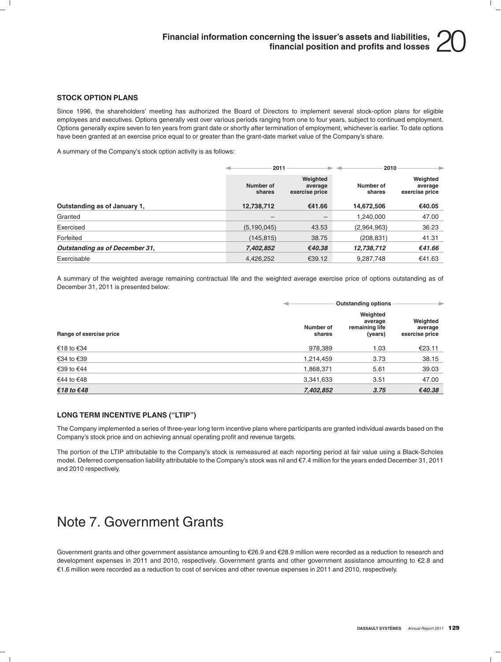#### **STOCK OPTION PLANS**

Since 1996, the shareholders' meeting has authorized the Board of Directors to implement several stock-option plans for eligible employees and executives. Options generally vest over various periods ranging from one to four years, subject to continued employment. Options generally expire seven to ten years from grant date or shortly after termination of employment, whichever is earlier. To date options have been granted at an exercise price equal to or greater than the grant-date market value of the Company's share.

A summary of the Company's stock option activity is as follows:

|                                |                     | 2011                                  |                     | 2010                                  |
|--------------------------------|---------------------|---------------------------------------|---------------------|---------------------------------------|
|                                | Number of<br>shares | Weighted<br>average<br>exercise price | Number of<br>shares | Weighted<br>average<br>exercise price |
| Outstanding as of January 1.   | 12,738,712          | €41.66                                | 14,672,506          | €40.05                                |
| Granted                        | $\qquad \qquad -$   | $\overline{\phantom{m}}$              | 1,240,000           | 47.00                                 |
| Exercised                      | (5, 190, 045)       | 43.53                                 | (2,964,963)         | 36.23                                 |
| Forfeited                      | (145, 815)          | 38.75                                 | (208, 831)          | 41.31                                 |
| Outstanding as of December 31, | 7,402,852           | €40.38                                | 12,738,712          | €41.66                                |
| Exercisable                    | 4.426.252           | €39.12                                | 9.287.748           | €41.63                                |

A summary of the weighted average remaining contractual life and the weighted average exercise price of options outstanding as of December 31, 2011 is presented below:

|                         |                     | <b>Outstanding options</b>                       |                                       |  |
|-------------------------|---------------------|--------------------------------------------------|---------------------------------------|--|
| Range of exercise price | Number of<br>shares | Weighted<br>average<br>remaining life<br>(years) | Weighted<br>average<br>exercise price |  |
| €18 to €34              | 978,389             | 1.03                                             | €23.11                                |  |
| €34 to €39              | 1,214,459           | 3.73                                             | 38.15                                 |  |
| €39 to €44              | 1,868,371           | 5.61                                             | 39.03                                 |  |
| €44 to €48              | 3,341,633           | 3.51                                             | 47.00                                 |  |
| €18 to €48              | 7,402,852           | 3.75                                             | €40.38                                |  |

#### **LONG TERM INCENTIVE PLANS (''LTIP'')**

The Company implemented a series of three-year long term incentive plans where participants are granted individual awards based on the Company's stock price and on achieving annual operating profit and revenue targets.

The portion of the LTIP attributable to the Company's stock is remeasured at each reporting period at fair value using a Black-Scholes model. Deferred compensation liability attributable to the Company's stock was nil and  $\epsilon$ 7.4 million for the years ended December 31, 2011 and 2010 respectively.

### Note 7. Government Grants

Government grants and other government assistance amounting to €26.9 and €28.9 million were recorded as a reduction to research and development expenses in 2011 and 2010, respectively. Government grants and other government assistance amounting to €2.8 and e1.6 million were recorded as a reduction to cost of services and other revenue expenses in 2011 and 2010, respectively.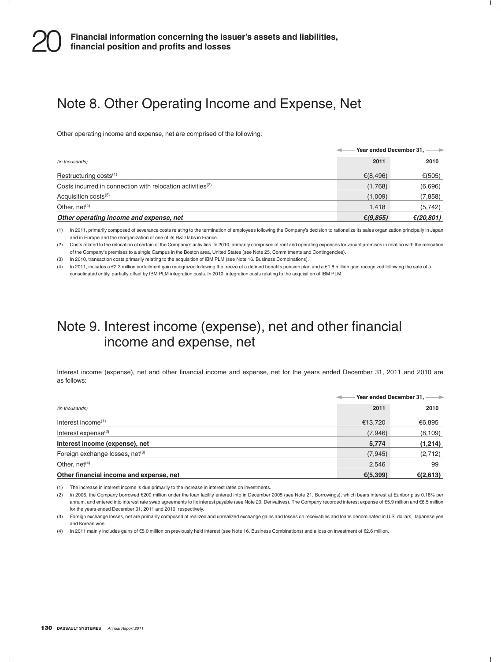### Note 8. Other Operating Income and Expense, Net

Other operating income and expense, net are comprised of the following:

|                                                                        | Year ended December 31, -- |           |
|------------------------------------------------------------------------|----------------------------|-----------|
| (in thousands)                                                         | 2011                       | 2010      |
| Restructuring costs $(1)$                                              | € $(8, 496)$               | €(505)    |
| Costs incurred in connection with relocation activities <sup>(2)</sup> | (1,768)                    | (6,696)   |
| Acquisition costs <sup>(3)</sup>                                       | (1,009)                    | (7,858)   |
| Other, $net(4)$                                                        | 1,418                      | (5,742)   |
| Other operating income and expense, net                                | € $(9,855)$                | €(20,801) |

(1) In 2011, primarily composed of severance costs relating to the termination of employees following the Company's decision to rationalize its sales organization principally in Japan and in Europe and the reorganization of one of its R&D labs in France.

(2) Costs related to the relocation of certain of the Company's activities. In 2010, primarily comprised of rent and operating expenses for vacant premises in relation with the relocation of the Company's premises to a single Campus in the Boston area, United States (see Note 25. Commitments and Contingencies).

(3) In 2010, transaction costs primarily relating to the acquisition of IBM PLM (see Note 16. Business Combinations).

(4) In 2011, includes a €2.3 million curtailment gain recognized following the freeze of a defined benefits pension plan and a €1.8 million gain recognized following the sale of a consolidated entity, partially offset by IBM PLM integration costs. In 2010, integration costs relating to the acquisition of IBM PLM.

### Note 9. Interest income (expense), net and other financial income and expense, net

Interest income (expense), net and other financial income and expense, net for the years ended December 31, 2011 and 2010 are as follows:

|                                             | Year ended December 31, -- |             |
|---------------------------------------------|----------------------------|-------------|
| (in thousands)                              | 2011                       | 2010        |
| Interest income $(1)$                       | €13,720                    | €6,895      |
| Interest expense $(2)$                      | (7,946)                    | (8, 109)    |
| Interest income (expense), net              | 5,774                      | (1,214)     |
| Foreign exchange losses, net <sup>(3)</sup> | (7, 945)                   | (2,712)     |
| Other, $net(4)$                             | 2,546                      | 99          |
| Other financial income and expense, net     | € $(5, 399)$               | € $(2,613)$ |

(1) The increase in interest income is due primarily to the increase in interest rates on investments.

(2) In 2006, the Company borrowed e200 million under the loan facility entered into in December 2005 (see Note 21. Borrowings), which bears interest at Euribor plus 0.18% per annum, and entered into interest rate swap agreements to fix interest payable (see Note 20. Derivatives). The Company recorded interest expense of €5.9 million and €6.5 million for the years ended December 31, 2011 and 2010, respectively.

(3) Foreign exchange losses, net are primarily composed of realized and unrealized exchange gains and losses on receivables and loans denominated in U.S. dollars, Japanese yen and Korean won.

(4) In 2011 mainly includes gains of €5.0 million on previously held interest (see Note 16. Business Combinations) and a loss on investment of €2.6 million.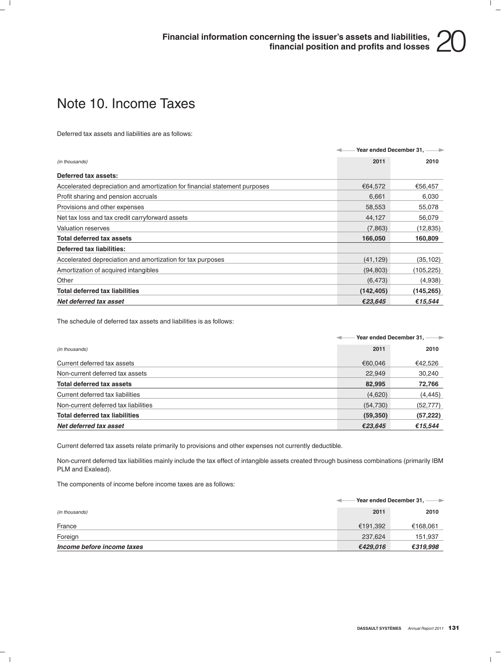### Note 10. Income Taxes

Deferred tax assets and liabilities are as follows:

|                                                                            |            | Year ended December 31, -- |
|----------------------------------------------------------------------------|------------|----------------------------|
| (in thousands)                                                             | 2011       | 2010                       |
| Deferred tax assets:                                                       |            |                            |
| Accelerated depreciation and amortization for financial statement purposes | €64,572    | €56,457                    |
| Profit sharing and pension accruals                                        | 6,661      | 6,030                      |
| Provisions and other expenses                                              | 58,553     | 55,078                     |
| Net tax loss and tax credit carryforward assets                            | 44,127     | 56,079                     |
| Valuation reserves                                                         | (7,863)    | (12, 835)                  |
| <b>Total deferred tax assets</b>                                           | 166,050    | 160,809                    |
| Deferred tax liabilities:                                                  |            |                            |
| Accelerated depreciation and amortization for tax purposes                 | (41, 129)  | (35,102)                   |
| Amortization of acquired intangibles                                       | (94, 803)  | (105,225)                  |
| Other                                                                      | (6, 473)   | (4,938)                    |
| <b>Total deferred tax liabilities</b>                                      | (142, 405) | (145,265)                  |
| Net deferred tax asset                                                     | €23,645    | €15,544                    |

The schedule of deferred tax assets and liabilities is as follows:

|                                       |           | Year ended December 31, ---- |
|---------------------------------------|-----------|------------------------------|
| (in thousands)                        | 2011      | 2010                         |
| Current deferred tax assets           | €60.046   | €42,526                      |
| Non-current deferred tax assets       | 22,949    | 30,240                       |
| <b>Total deferred tax assets</b>      | 82,995    | 72,766                       |
| Current deferred tax liabilities      | (4,620)   | (4, 445)                     |
| Non-current deferred tax liabilities  | (54, 730) | (52, 777)                    |
| <b>Total deferred tax liabilities</b> | (59, 350) | (57, 222)                    |
| Net deferred tax asset                | €23,645   | €15,544                      |

Current deferred tax assets relate primarily to provisions and other expenses not currently deductible.

Non-current deferred tax liabilities mainly include the tax effect of intangible assets created through business combinations (primarily IBM PLM and Exalead).

The components of income before income taxes are as follows:

|                            |          | Year ended December 31. $-$<br>$\rightarrow$ |  |  |
|----------------------------|----------|----------------------------------------------|--|--|
| (in thousands)             | 2011     | 2010                                         |  |  |
| France                     | €191.392 | €168,061                                     |  |  |
| Foreign                    | 237,624  | 151,937                                      |  |  |
| Income before income taxes | €429,016 | €319,998                                     |  |  |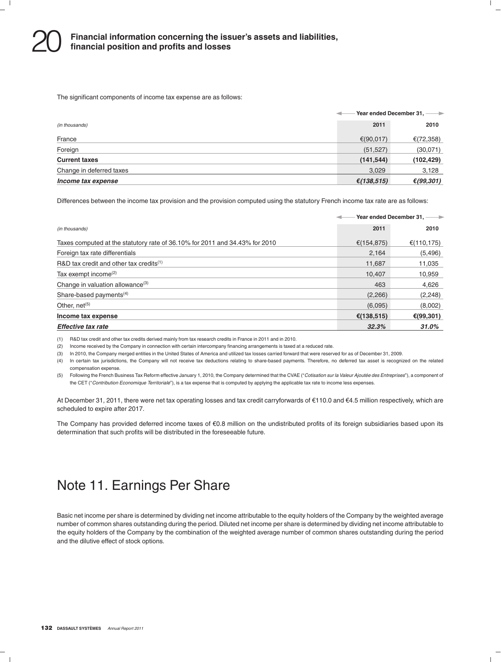The significant components of income tax expense are as follows:

|                          | Year ended December 31, -<br>$\rightarrow$ |            |
|--------------------------|--------------------------------------------|------------|
| (in thousands)           | 2011                                       | 2010       |
| France                   | €(90,017)                                  | €(72,358)  |
| Foreign                  | (51, 527)                                  | (30,071)   |
| <b>Current taxes</b>     | (141, 544)                                 | (102, 429) |
| Change in deferred taxes | 3,029                                      | 3,128      |
| Income tax expense       | €(138,515)                                 | €(99,301)  |

Differences between the income tax provision and the provision computed using the statutory French income tax rate are as follows:

|                                                                             |            | Year ended December 31, ---- |
|-----------------------------------------------------------------------------|------------|------------------------------|
| (in thousands)                                                              | 2011       | 2010                         |
| Taxes computed at the statutory rate of 36.10% for 2011 and 34.43% for 2010 | €(154,875) | €(110,175)                   |
| Foreign tax rate differentials                                              | 2,164      | (5, 496)                     |
| R&D tax credit and other tax credits $(1)$                                  | 11,687     | 11,035                       |
| Tax exempt income <sup>(2)</sup>                                            | 10,407     | 10,959                       |
| Change in valuation allowance <sup>(3)</sup>                                | 463        | 4,626                        |
| Share-based payments $(4)$                                                  | (2,266)    | (2, 248)                     |
| Other, $net^{(5)}$                                                          | (6,095)    | (8,002)                      |
| Income tax expense                                                          | €(138,515) | €(99,301)                    |
| Effective tax rate                                                          | 32.3%      | 31.0%                        |

(1) R&D tax credit and other tax credits derived mainly from tax research credits in France in 2011 and in 2010.

(2) Income received by the Company in connection with certain intercompany financing arrangements is taxed at a reduced rate.

(3) In 2010, the Company merged entities in the United States of America and utilized tax losses carried forward that were reserved for as of December 31, 2009.

(4) In certain tax jurisdictions, the Company will not receive tax deductions relating to share-based payments. Therefore, no deferred tax asset is recognized on the related compensation expense.

(5) Following the French Business Tax Reform effective January 1, 2010, the Company determined that the CVAE (''*Cotisation sur la Valeur Ajoutee des Entreprises ´* ''), a component of the CET (''*Contribution Economique Territoriale*''), is a tax expense that is computed by applying the applicable tax rate to income less expenses.

At December 31, 2011, there were net tax operating losses and tax credit carryforwards of €110.0 and €4.5 million respectively, which are scheduled to expire after 2017.

The Company has provided deferred income taxes of  $€0.8$  million on the undistributed profits of its foreign subsidiaries based upon its determination that such profits will be distributed in the foreseeable future.

### Note 11. Earnings Per Share

Basic net income per share is determined by dividing net income attributable to the equity holders of the Company by the weighted average number of common shares outstanding during the period. Diluted net income per share is determined by dividing net income attributable to the equity holders of the Company by the combination of the weighted average number of common shares outstanding during the period and the dilutive effect of stock options.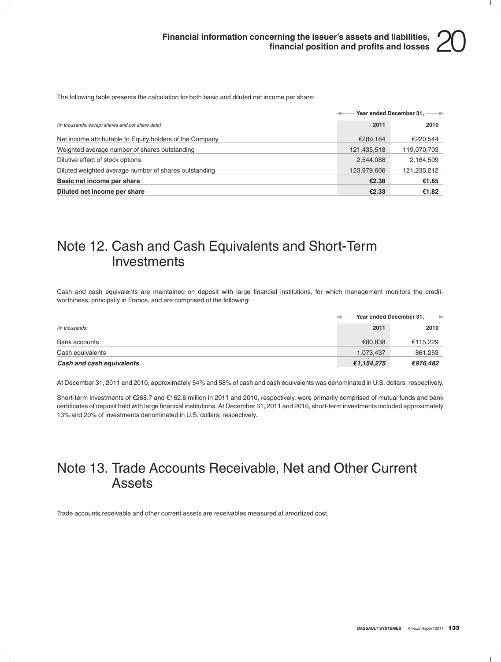The following table presents the calculation for both basic and diluted net income per share:

|                                                          |             | Year ended December 31, ---- |
|----------------------------------------------------------|-------------|------------------------------|
| (in thousands, except shares and per share data)         | 2011        | 2010                         |
| Net income attributable to Equity holders of the Company | €289.184    | €220.544                     |
| Weighted average number of shares outstanding            | 121,435,518 | 119,070,703                  |
| Dilutive effect of stock options                         | 2,544,088   | 2,164,509                    |
| Diluted weighted average number of shares outstanding    | 123,979,606 | 121,235,212                  |
| Basic net income per share                               | €2.38       | €1.85                        |
| Diluted net income per share                             | €2.33       | €1.82                        |

### Note 12. Cash and Cash Equivalents and Short-Term **Investments**

Cash and cash equivalents are maintained on deposit with large financial institutions, for which management monitors the creditworthiness, principally in France, and are comprised of the following:

|                           |            | Year ended December 31, -<br>$\rightarrow$ |
|---------------------------|------------|--------------------------------------------|
| (in thousands)            | 2011       | 2010                                       |
| Bank accounts             | €80.838    | €115,229                                   |
| Cash equivalents          | 1,073,437  | 861,253                                    |
| Cash and cash equivalents | €1,154,275 | €976,482                                   |

At December 31, 2011 and 2010, approximately 54% and 58% of cash and cash equivalents was denominated in U.S. dollars, respectively.

Short-term investments of €268.7 and €162.6 million in 2011 and 2010, respectively, were primarily comprised of mutual funds and bank certificates of deposit held with large financial institutions. At December 31, 2011 and 2010, short-term investments included approximately 13% and 20% of investments denominated in U.S. dollars, respectively.

### Note 13. Trade Accounts Receivable, Net and Other Current Assets

Trade accounts receivable and other current assets are receivables measured at amortized cost.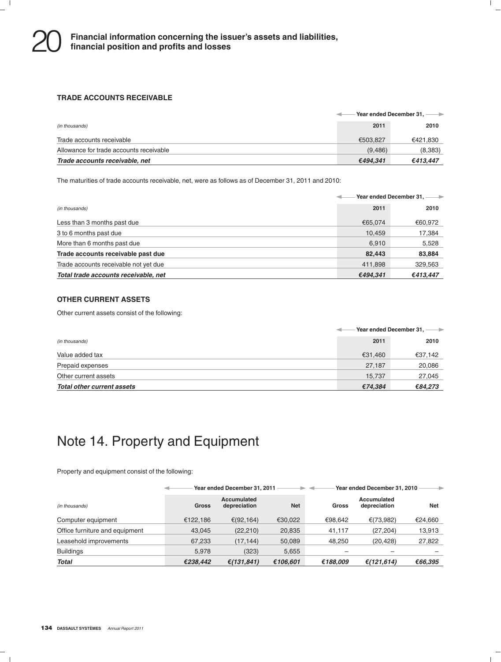#### **TRADE ACCOUNTS RECEIVABLE**

|                                         | Year ended December 31, -- |          |  |
|-----------------------------------------|----------------------------|----------|--|
| (in thousands)                          | 2011                       | 2010     |  |
| Trade accounts receivable               | €503.827                   | €421,830 |  |
| Allowance for trade accounts receivable | (9.486)                    | (8,383)  |  |
| Trade accounts receivable, net          | €494.341                   | €413.447 |  |

The maturities of trade accounts receivable, net, were as follows as of December 31, 2011 and 2010:

|                                       | Year ended December 31, ---- |          |  |
|---------------------------------------|------------------------------|----------|--|
| (in thousands)                        | 2011                         | 2010     |  |
| Less than 3 months past due           | €65.074                      | €60,972  |  |
| 3 to 6 months past due                | 10,459                       | 17,384   |  |
| More than 6 months past due           | 6.910                        | 5,528    |  |
| Trade accounts receivable past due    | 82.443                       | 83,884   |  |
| Trade accounts receivable not yet due | 411,898                      | 329,563  |  |
| Total trade accounts receivable, net  | €494,341                     | €413,447 |  |

### **OTHER CURRENT ASSETS**

Other current assets consist of the following:

|                            | Year ended December 31, -<br>$\rightarrow$ |         |  |
|----------------------------|--------------------------------------------|---------|--|
| (in thousands)             | 2011                                       | 2010    |  |
| Value added tax            | €31.460                                    | €37,142 |  |
| Prepaid expenses           | 27,187                                     | 20,086  |  |
| Other current assets       | 15.737                                     | 27,045  |  |
| Total other current assets | €74.384                                    | €84,273 |  |

### Note 14. Property and Equipment

Property and equipment consist of the following:

|                                |              | Year ended December 31, 2011 |            |          | Year ended December 31, 2010 |            |
|--------------------------------|--------------|------------------------------|------------|----------|------------------------------|------------|
| (in thousands)                 | <b>Gross</b> | Accumulated<br>depreciation  | <b>Net</b> | Gross    | Accumulated<br>depreciation  | <b>Net</b> |
| Computer equipment             | €122.186     | €(92,164)                    | €30,022    | €98.642  | €(73,982)                    | €24,660    |
| Office furniture and equipment | 43.045       | (22, 210)                    | 20,835     | 41.117   | (27, 204)                    | 13,913     |
| Leasehold improvements         | 67,233       | (17.144)                     | 50,089     | 48.250   | (20, 428)                    | 27,822     |
| <b>Buildings</b>               | 5,978        | (323)                        | 5,655      |          |                              |            |
| <b>Total</b>                   | €238.442     | € $(131, 841)$               | €106,601   | €188.009 | €(121,614)                   | €66,395    |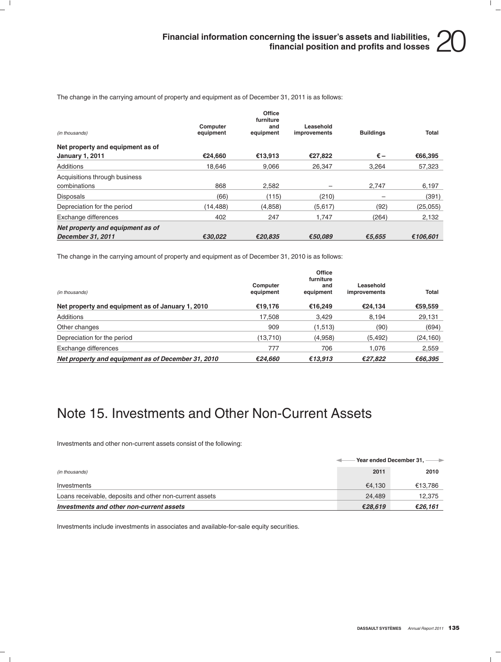The change in the carrying amount of property and equipment as of December 31, 2011 is as follows:

| (in thousands)                   | Computer<br>equipment | Office<br>furniture<br>and<br>equipment | Leasehold<br>improvements | <b>Buildings</b>         | Total    |
|----------------------------------|-----------------------|-----------------------------------------|---------------------------|--------------------------|----------|
| Net property and equipment as of |                       |                                         |                           |                          |          |
| <b>January 1, 2011</b>           | €24.660               | €13.913                                 | €27.822                   | $\epsilon$ –             | €66,395  |
| Additions                        | 18.646                | 9.066                                   | 26.347                    | 3.264                    | 57,323   |
| Acquisitions through business    |                       |                                         |                           |                          |          |
| combinations                     | 868                   | 2.582                                   | -                         | 2.747                    | 6,197    |
| <b>Disposals</b>                 | (66)                  | (115)                                   | (210)                     | $\overline{\phantom{0}}$ | (391)    |
| Depreciation for the period      | (14, 488)             | (4, 858)                                | (5,617)                   | (92)                     | (25,055) |
| Exchange differences             | 402                   | 247                                     | 1,747                     | (264)                    | 2,132    |
| Net property and equipment as of |                       |                                         |                           |                          |          |
| December 31, 2011                | €30.022               | €20.835                                 | €50.089                   | €5.655                   | €106.601 |

The change in the carrying amount of property and equipment as of December 31, 2010 is as follows:

| (in thousands)                                     | Computer<br>equipment | Office<br>furniture<br>and<br>equipment | Leasehold<br>improvements | Total     |
|----------------------------------------------------|-----------------------|-----------------------------------------|---------------------------|-----------|
| Net property and equipment as of January 1, 2010   | €19.176               | €16.249                                 | €24.134                   | €59,559   |
| Additions                                          | 17,508                | 3.429                                   | 8,194                     | 29,131    |
| Other changes                                      | 909                   | (1,513)                                 | (90)                      | (694)     |
| Depreciation for the period                        | (13,710)              | (4,958)                                 | (5, 492)                  | (24, 160) |
| Exchange differences                               | 777                   | 706                                     | 1.076                     | 2,559     |
| Net property and equipment as of December 31, 2010 | €24,660               | €13,913                                 | €27,822                   | €66,395   |

### Note 15. Investments and Other Non-Current Assets

Investments and other non-current assets consist of the following:

|                                                         | Year ended December 31, -- |         |
|---------------------------------------------------------|----------------------------|---------|
| (in thousands)                                          | 2011                       | 2010    |
| Investments                                             | €4.130                     | €13,786 |
| Loans receivable, deposits and other non-current assets | 24.489                     | 12.375  |
| Investments and other non-current assets                | €28.619                    | €26.161 |

Investments include investments in associates and available-for-sale equity securities.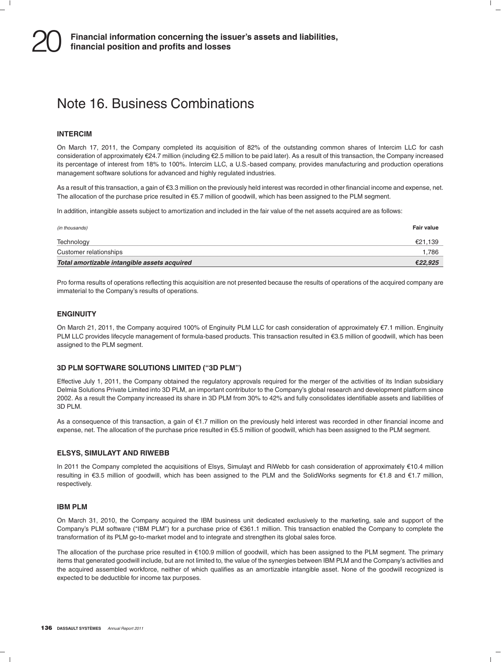### Note 16. Business Combinations

### **INTERCIM**

On March 17, 2011, the Company completed its acquisition of 82% of the outstanding common shares of Intercim LLC for cash consideration of approximately e24.7 million (including e2.5 million to be paid later). As a result of this transaction, the Company increased its percentage of interest from 18% to 100%. Intercim LLC, a U.S.-based company, provides manufacturing and production operations management software solutions for advanced and highly regulated industries.

As a result of this transaction, a gain of €3.3 million on the previously held interest was recorded in other financial income and expense, net. The allocation of the purchase price resulted in  $€5.7$  million of goodwill, which has been assigned to the PLM segment.

In addition, intangible assets subject to amortization and included in the fair value of the net assets acquired are as follows:

| (in thousands)                               | Fair value |
|----------------------------------------------|------------|
| Technology                                   | €21.139    |
| Customer relationships                       | 1.786      |
| Total amortizable intangible assets acquired | €22,925    |

Pro forma results of operations reflecting this acquisition are not presented because the results of operations of the acquired company are immaterial to the Company's results of operations.

### **ENGINUITY**

On March 21, 2011, the Company acquired 100% of Enginuity PLM LLC for cash consideration of approximately €7.1 million. Enginuity PLM LLC provides lifecycle management of formula-based products. This transaction resulted in €3.5 million of goodwill, which has been assigned to the PLM segment.

#### **3D PLM SOFTWARE SOLUTIONS LIMITED (''3D PLM'')**

Effective July 1, 2011, the Company obtained the regulatory approvals required for the merger of the activities of its Indian subsidiary Delmia Solutions Private Limited into 3D PLM, an important contributor to the Company's global research and development platform since 2002. As a result the Company increased its share in 3D PLM from 30% to 42% and fully consolidates identifiable assets and liabilities of 3D PLM.

As a consequence of this transaction, a gain of  $E1.7$  million on the previously held interest was recorded in other financial income and expense, net. The allocation of the purchase price resulted in e5.5 million of goodwill, which has been assigned to the PLM segment.

#### **ELSYS, SIMULAYT AND RIWEBB**

In 2011 the Company completed the acquisitions of Elsys, Simulayt and RiWebb for cash consideration of approximately €10.4 million resulting in €3.5 million of goodwill, which has been assigned to the PLM and the SolidWorks segments for €1.8 and €1.7 million, respectively.

#### **IBM PLM**

On March 31, 2010, the Company acquired the IBM business unit dedicated exclusively to the marketing, sale and support of the Company's PLM software (''IBM PLM'') for a purchase price of e361.1 million. This transaction enabled the Company to complete the transformation of its PLM go-to-market model and to integrate and strengthen its global sales force.

The allocation of the purchase price resulted in  $\epsilon$ 100.9 million of goodwill, which has been assigned to the PLM segment. The primary items that generated goodwill include, but are not limited to, the value of the synergies between IBM PLM and the Company's activities and the acquired assembled workforce, neither of which qualifies as an amortizable intangible asset. None of the goodwill recognized is expected to be deductible for income tax purposes.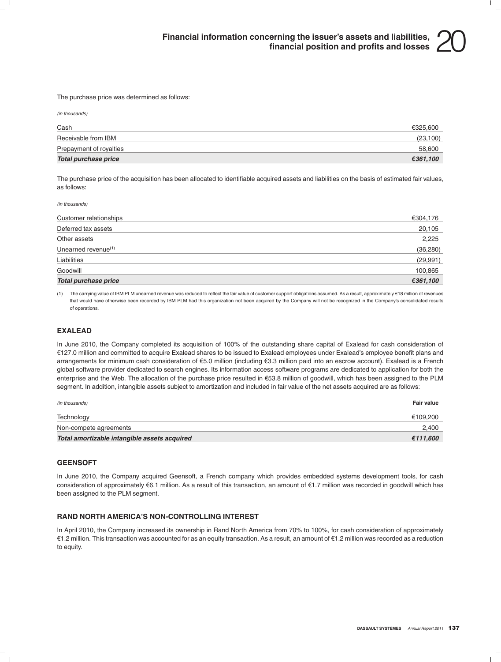The purchase price was determined as follows:

*(in thousands)*

| Cash                    | €325.600  |
|-------------------------|-----------|
| Receivable from IBM     | (23, 100) |
| Prepayment of royalties | 58.600    |
| Total purchase price    | €361,100  |

The purchase price of the acquisition has been allocated to identifiable acquired assets and liabilities on the basis of estimated fair values, as follows:

*(in thousands)*

| Customer relationships      | €304,176  |
|-----------------------------|-----------|
| Deferred tax assets         | 20,105    |
| Other assets                | 2,225     |
| Unearned revenue $(1)$      | (36, 280) |
| Liabilities                 | (29, 991) |
| Goodwill                    | 100,865   |
| <b>Total purchase price</b> | €361,100  |

(1) The carrying value of IBM PLM unearned revenue was reduced to reflect the fair value of customer support obligations assumed. As a result, approximately e18 million of revenues that would have otherwise been recorded by IBM PLM had this organization not been acquired by the Company will not be recognized in the Company's consolidated results of operations.

#### **EXALEAD**

In June 2010, the Company completed its acquisition of 100% of the outstanding share capital of Exalead for cash consideration of e127.0 million and committed to acquire Exalead shares to be issued to Exalead employees under Exalead's employee benefit plans and arrangements for minimum cash consideration of e5.0 million (including e3.3 million paid into an escrow account). Exalead is a French global software provider dedicated to search engines. Its information access software programs are dedicated to application for both the enterprise and the Web. The allocation of the purchase price resulted in €53.8 million of goodwill, which has been assigned to the PLM segment. In addition, intangible assets subject to amortization and included in fair value of the net assets acquired are as follows:

| (in thousands)                               | <b>Fair value</b> |
|----------------------------------------------|-------------------|
| Technology                                   | €109,200          |
| Non-compete agreements                       | 2.400             |
| Total amortizable intangible assets acquired | €111,600          |

### **GEENSOFT**

In June 2010, the Company acquired Geensoft, a French company which provides embedded systems development tools, for cash consideration of approximately €6.1 million. As a result of this transaction, an amount of €1.7 million was recorded in goodwill which has been assigned to the PLM segment.

### **RAND NORTH AMERICA'S NON-CONTROLLING INTEREST**

In April 2010, the Company increased its ownership in Rand North America from 70% to 100%, for cash consideration of approximately €1.2 million. This transaction was accounted for as an equity transaction. As a result, an amount of €1.2 million was recorded as a reduction to equity.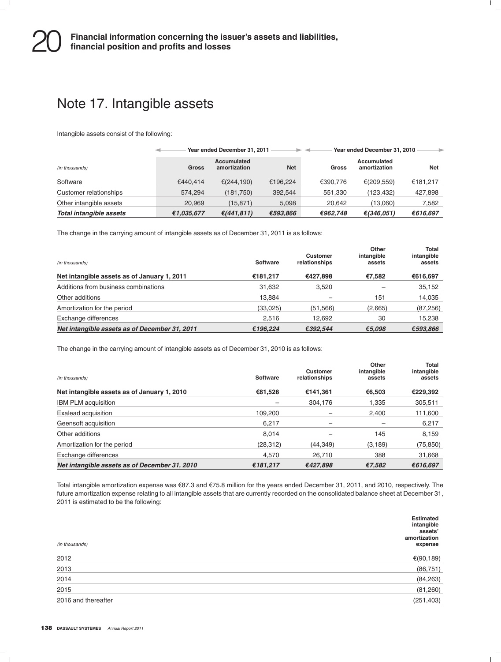### Note 17. Intangible assets

Intangible assets consist of the following:

|                         |            | Year ended December 31, 2011       |            | - 4          | Year ended December 31, 2010 | $\rightarrow$ |
|-------------------------|------------|------------------------------------|------------|--------------|------------------------------|---------------|
| (in thousands)          | Gross      | <b>Accumulated</b><br>amortization | <b>Net</b> | <b>Gross</b> | Accumulated<br>amortization  | <b>Net</b>    |
| Software                | €440.414   | € $(244, 190)$                     | €196.224   | €390.776     | € $(209, 559)$               | €181,217      |
| Customer relationships  | 574.294    | (181, 750)                         | 392,544    | 551,330      | (123, 432)                   | 427,898       |
| Other intangible assets | 20.969     | (15, 871)                          | 5.098      | 20.642       | (13.060)                     | 7,582         |
| Total intangible assets | €1,035,677 | € $(441, 811)$                     | €593,866   | €962,748     | €(346,051)                   | €616,697      |

The change in the carrying amount of intangible assets as of December 31, 2011 is as follows:

| (in thousands)                                | Software | Customer<br>relationships | Other<br>intangible<br>assets | <b>Total</b><br>intangible<br>assets |
|-----------------------------------------------|----------|---------------------------|-------------------------------|--------------------------------------|
| Net intangible assets as of January 1, 2011   | €181,217 | €427.898                  | €7.582                        | €616,697                             |
| Additions from business combinations          | 31,632   | 3,520                     |                               | 35,152                               |
| Other additions                               | 13.884   |                           | 151                           | 14,035                               |
| Amortization for the period                   | (33,025) | (51, 566)                 | (2,665)                       | (87, 256)                            |
| Exchange differences                          | 2.516    | 12.692                    | 30                            | 15,238                               |
| Net intangible assets as of December 31, 2011 | €196,224 | €392.544                  | €5,098                        | €593,866                             |

The change in the carrying amount of intangible assets as of December 31, 2010 is as follows:

| (in thousands)                                | Software  | <b>Customer</b><br>relationships | Other<br>intangible<br>assets | Total<br>intangible<br>assets |
|-----------------------------------------------|-----------|----------------------------------|-------------------------------|-------------------------------|
| Net intangible assets as of January 1, 2010   | €81,528   | €141,361                         | €6.503                        | €229,392                      |
| <b>IBM PLM acquisition</b>                    | -         | 304.176                          | 1.335                         | 305,511                       |
| Exalead acquisition                           | 109.200   |                                  | 2.400                         | 111,600                       |
| Geensoft acquisition                          | 6.217     |                                  |                               | 6,217                         |
| Other additions                               | 8.014     |                                  | 145                           | 8,159                         |
| Amortization for the period                   | (28, 312) | (44, 349)                        | (3, 189)                      | (75, 850)                     |
| Exchange differences                          | 4.570     | 26.710                           | 388                           | 31,668                        |
| Net intangible assets as of December 31, 2010 | €181,217  | €427.898                         | €7,582                        | €616.697                      |

Total intangible amortization expense was €87.3 and €75.8 million for the years ended December 31, 2011, and 2010, respectively. The future amortization expense relating to all intangible assets that are currently recorded on the consolidated balance sheet at December 31, 2011 is estimated to be the following:

| (in thousands)      | <b>Estimated</b><br>intangible<br>assets'<br>amortization<br>expense |
|---------------------|----------------------------------------------------------------------|
| 2012                | €(90,189)                                                            |
| 2013                | (86, 751)                                                            |
| 2014                | (84, 263)                                                            |
| 2015                | (81,260)                                                             |
| 2016 and thereafter | (251, 403)                                                           |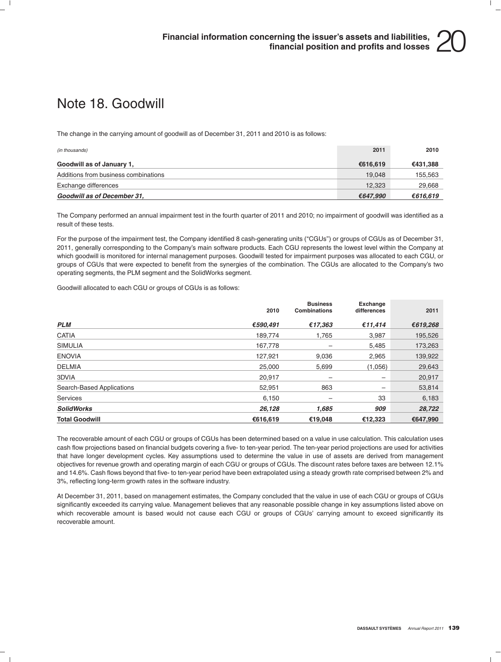### Note 18. Goodwill

The change in the carrying amount of goodwill as of December 31, 2011 and 2010 is as follows:

| (in thousands)                       | 2011     | 2010     |
|--------------------------------------|----------|----------|
| Goodwill as of January 1,            | €616.619 | €431,388 |
| Additions from business combinations | 19.048   | 155,563  |
| Exchange differences                 | 12.323   | 29,668   |
| Goodwill as of December 31,          | €647.990 | €616.619 |

The Company performed an annual impairment test in the fourth quarter of 2011 and 2010; no impairment of goodwill was identified as a result of these tests.

For the purpose of the impairment test, the Company identified 8 cash-generating units (''CGUs'') or groups of CGUs as of December 31, 2011, generally corresponding to the Company's main software products. Each CGU represents the lowest level within the Company at which goodwill is monitored for internal management purposes. Goodwill tested for impairment purposes was allocated to each CGU, or groups of CGUs that were expected to benefit from the synergies of the combination. The CGUs are allocated to the Company's two operating segments, the PLM segment and the SolidWorks segment.

Goodwill allocated to each CGU or groups of CGUs is as follows:

|                           | 2010     | <b>Business</b><br><b>Combinations</b> | Exchange<br>differences | 2011     |
|---------------------------|----------|----------------------------------------|-------------------------|----------|
| <b>PLM</b>                | €590.491 | €17.363                                | €11.414                 | €619,268 |
| <b>CATIA</b>              | 189.774  | 1.765                                  | 3,987                   | 195,526  |
| <b>SIMULIA</b>            | 167,778  |                                        | 5,485                   | 173,263  |
| <b>ENOVIA</b>             | 127.921  | 9,036                                  | 2,965                   | 139,922  |
| <b>DELMIA</b>             | 25,000   | 5,699                                  | (1,056)                 | 29,643   |
| 3DVIA                     | 20.917   | -                                      | —                       | 20,917   |
| Search-Based Applications | 52,951   | 863                                    | —                       | 53,814   |
| <b>Services</b>           | 6.150    | -                                      | 33                      | 6,183    |
| <b>SolidWorks</b>         | 26,128   | 1,685                                  | 909                     | 28,722   |
| <b>Total Goodwill</b>     | €616,619 | €19.048                                | €12.323                 | €647.990 |

The recoverable amount of each CGU or groups of CGUs has been determined based on a value in use calculation. This calculation uses cash flow projections based on financial budgets covering a five- to ten-year period. The ten-year period projections are used for activities that have longer development cycles. Key assumptions used to determine the value in use of assets are derived from management objectives for revenue growth and operating margin of each CGU or groups of CGUs. The discount rates before taxes are between 12.1% and 14.6%. Cash flows beyond that five- to ten-year period have been extrapolated using a steady growth rate comprised between 2% and 3%, reflecting long-term growth rates in the software industry.

At December 31, 2011, based on management estimates, the Company concluded that the value in use of each CGU or groups of CGUs significantly exceeded its carrying value. Management believes that any reasonable possible change in key assumptions listed above on which recoverable amount is based would not cause each CGU or groups of CGUs' carrying amount to exceed significantly its recoverable amount.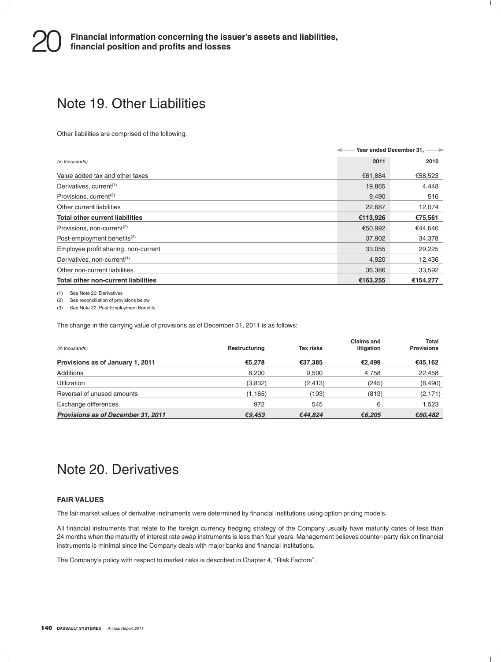### Note 19. Other Liabilities

Other liabilities are comprised of the following:

|                                            | Year ended December 31, ---- |          |  |
|--------------------------------------------|------------------------------|----------|--|
| (in thousands)                             | 2011                         | 2010     |  |
| Value added tax and other taxes            | €61.884                      | €58,523  |  |
| Derivatives, current <sup>(1)</sup>        | 19,865                       | 4,448    |  |
| Provisions, current <sup>(2)</sup>         | 9,490                        | 516      |  |
| Other current liabilities                  | 22,687                       | 12,074   |  |
| <b>Total other current liabilities</b>     | €113,926                     | €75,561  |  |
| Provisions, non-current <sup>(2)</sup>     | €50,992                      | €44,646  |  |
| Post-employment benefits <sup>(3)</sup>    | 37,902                       | 34,378   |  |
| Employee profit sharing, non-current       | 33,055                       | 29,225   |  |
| Derivatives, non-current <sup>(1)</sup>    | 4,920                        | 12,436   |  |
| Other non-current liabilities              | 36,386                       | 33,592   |  |
| <b>Total other non-current liabilities</b> | €163,255                     | €154.277 |  |

(1) See Note 20. Derivatives

(2) See reconciliation of provisions below

(3) See Note 22. Post-Employment Benefits

The change in the carrying value of provisions as of December 31, 2011 is as follows:

| (in thousands)                     | Restructuring | <b>Tax risks</b> | Claims and<br>litigation | <b>Total</b><br><b>Provisions</b> |
|------------------------------------|---------------|------------------|--------------------------|-----------------------------------|
| Provisions as of January 1, 2011   | €5.278        | €37.385          | €2.499                   | €45.162                           |
| Additions                          | 8.200         | 9.500            | 4.758                    | 22,458                            |
| Utilization                        | (3,832)       | (2, 413)         | (245)                    | (6,490)                           |
| Reversal of unused amounts         | (1, 165)      | (193)            | (813)                    | (2, 171)                          |
| Exchange differences               | 972           | 545              | 6                        | 1.523                             |
| Provisions as of December 31, 2011 | €9.453        | €44.824          | €6.205                   | €60,482                           |

### Note 20. Derivatives

### **FAIR VALUES**

The fair market values of derivative instruments were determined by financial institutions using option pricing models.

All financial instruments that relate to the foreign currency hedging strategy of the Company usually have maturity dates of less than 24 months when the maturity of interest rate swap instruments is less than four years. Management believes counter-party risk on financial instruments is minimal since the Company deals with major banks and financial institutions.

The Company's policy with respect to market risks is described in Chapter 4, "Risk Factors".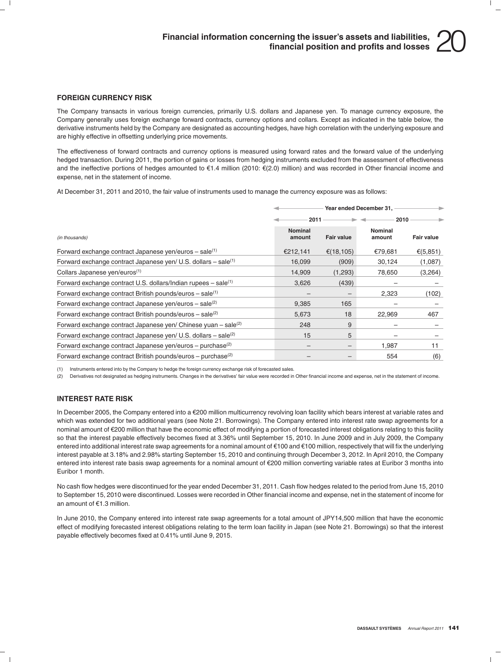

#### **FOREIGN CURRENCY RISK**

The Company transacts in various foreign currencies, primarily U.S. dollars and Japanese yen. To manage currency exposure, the Company generally uses foreign exchange forward contracts, currency options and collars. Except as indicated in the table below, the derivative instruments held by the Company are designated as accounting hedges, have high correlation with the underlying exposure and are highly effective in offsetting underlying price movements.

The effectiveness of forward contracts and currency options is measured using forward rates and the forward value of the underlying hedged transaction. During 2011, the portion of gains or losses from hedging instruments excluded from the assessment of effectiveness and the ineffective portions of hedges amounted to  $\epsilon$ 1.4 million (2010:  $\epsilon$ (2.0) million) and was recorded in Other financial income and expense, net in the statement of income.

At December 31, 2011 and 2010, the fair value of instruments used to manage the currency exposure was as follows:

|                                                                              | Year ended December 31,  |                          |                   |            |
|------------------------------------------------------------------------------|--------------------------|--------------------------|-------------------|------------|
|                                                                              | 2011                     |                          | 2010              |            |
| (in thousands)                                                               | <b>Nominal</b><br>amount | <b>Fair value</b>        | Nominal<br>amount | Fair value |
| Forward exchange contract Japanese yen/euros – sale $(1)$                    | €212,141                 | € $(18, 105)$            | €79,681           | €(5,851)   |
| Forward exchange contract Japanese yen/ U.S. dollars $-$ sale <sup>(1)</sup> | 16,099                   | (909)                    | 30,124            | (1,087)    |
| Collars Japanese yen/euros <sup>(1)</sup>                                    | 14,909                   | (1,293)                  | 78,650            | (3,264)    |
| Forward exchange contract U.S. dollars/Indian rupees - sale <sup>(1)</sup>   | 3,626                    | (439)                    |                   |            |
| Forward exchange contract British pounds/euros $-$ sale <sup>(1)</sup>       |                          | $\overline{\phantom{0}}$ | 2,323             | (102)      |
| Forward exchange contract Japanese yen/euros – sale <sup>(2)</sup>           | 9,385                    | 165                      |                   |            |
| Forward exchange contract British pounds/euros $-$ sale <sup>(2)</sup>       | 5,673                    | 18                       | 22.969            | 467        |
| Forward exchange contract Japanese yen/ Chinese yuan – sale <sup>(2)</sup>   | 248                      | 9                        |                   |            |
| Forward exchange contract Japanese yen/ U.S. dollars – sale <sup>(2)</sup>   | 15                       | 5                        |                   |            |
| Forward exchange contract Japanese yen/euros - purchase <sup>(2)</sup>       |                          | $\overline{\phantom{0}}$ | 1,987             | 11         |
| Forward exchange contract British pounds/euros – purchase <sup>(2)</sup>     |                          | -                        | 554               | (6)        |

(1) Instruments entered into by the Company to hedge the foreign currency exchange risk of forecasted sales.

(2) Derivatives not designated as hedging instruments. Changes in the derivatives' fair value were recorded in Other financial income and expense, net in the statement of income.

### **INTEREST RATE RISK**

In December 2005, the Company entered into a €200 million multicurrency revolving loan facility which bears interest at variable rates and which was extended for two additional years (see Note 21. Borrowings). The Company entered into interest rate swap agreements for a nominal amount of €200 million that have the economic effect of modifying a portion of forecasted interest obligations relating to this facility so that the interest payable effectively becomes fixed at 3.36% until September 15, 2010. In June 2009 and in July 2009, the Company entered into additional interest rate swap agreements for a nominal amount of €100 and €100 million, respectively that will fix the underlying interest payable at 3.18% and 2.98% starting September 15, 2010 and continuing through December 3, 2012. In April 2010, the Company entered into interest rate basis swap agreements for a nominal amount of e200 million converting variable rates at Euribor 3 months into Euribor 1 month.

No cash flow hedges were discontinued for the year ended December 31, 2011. Cash flow hedges related to the period from June 15, 2010 to September 15, 2010 were discontinued. Losses were recorded in Other financial income and expense, net in the statement of income for an amount of e1.3 million.

In June 2010, the Company entered into interest rate swap agreements for a total amount of JPY14,500 million that have the economic effect of modifying forecasted interest obligations relating to the term loan facility in Japan (see Note 21. Borrowings) so that the interest payable effectively becomes fixed at 0.41% until June 9, 2015.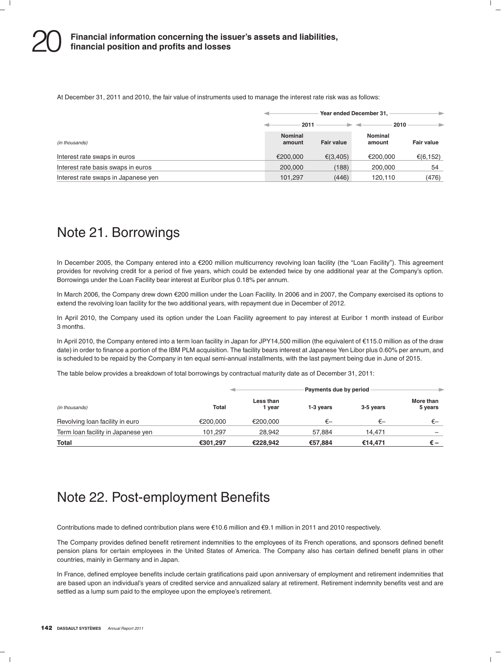At December 31, 2011 and 2010, the fair value of instruments used to manage the interest rate risk was as follows:

|                                     | Year ended December 31,<br>۰ |                   |                   |                   |
|-------------------------------------|------------------------------|-------------------|-------------------|-------------------|
|                                     | 2011                         |                   | 2010              |                   |
| (in thousands)                      | <b>Nominal</b><br>amount     | <b>Fair value</b> | Nominal<br>amount | <b>Fair value</b> |
| Interest rate swaps in euros        | €200,000                     | € $(3,405)$       | €200.000          | €(6,152)          |
| Interest rate basis swaps in euros  | 200,000                      | (188)             | 200,000           | 54                |
| Interest rate swaps in Japanese yen | 101.297                      | (446)             | 120,110           | (476)             |

### Note 21. Borrowings

In December 2005, the Company entered into a €200 million multicurrency revolving loan facility (the "Loan Facility"). This agreement provides for revolving credit for a period of five years, which could be extended twice by one additional year at the Company's option. Borrowings under the Loan Facility bear interest at Euribor plus 0.18% per annum.

In March 2006, the Company drew down e200 million under the Loan Facility. In 2006 and in 2007, the Company exercised its options to extend the revolving loan facility for the two additional years, with repayment due in December of 2012.

In April 2010, the Company used its option under the Loan Facility agreement to pay interest at Euribor 1 month instead of Euribor 3 months.

In April 2010, the Company entered into a term loan facility in Japan for JPY14,500 million (the equivalent of €115.0 million as of the draw date) in order to finance a portion of the IBM PLM acquisition. The facility bears interest at Japanese Yen Libor plus 0.60% per annum, and is scheduled to be repaid by the Company in ten equal semi-annual installments, with the last payment being due in June of 2015.

The table below provides a breakdown of total borrowings by contractual maturity date as of December 31, 2011:

|                                    | Payments due by period |                   |           |           |                      |
|------------------------------------|------------------------|-------------------|-----------|-----------|----------------------|
| (in thousands)                     | <b>Total</b>           | Less than<br>vear | 1-3 years | 3-5 years | More than<br>5 years |
| Revolving loan facility in euro    | €200,000               | €200,000          | €–        | €–        | €—                   |
| Term loan facility in Japanese yen | 101.297                | 28.942            | 57.884    | 14.471    | -                    |
| Total                              | €301,297               | €228.942          | €57.884   | €14.471   | € –                  |

### Note 22. Post-employment Benefits

Contributions made to defined contribution plans were  $€10.6$  million and  $€9.1$  million in 2011 and 2010 respectively.

The Company provides defined benefit retirement indemnities to the employees of its French operations, and sponsors defined benefit pension plans for certain employees in the United States of America. The Company also has certain defined benefit plans in other countries, mainly in Germany and in Japan.

In France, defined employee benefits include certain gratifications paid upon anniversary of employment and retirement indemnities that are based upon an individual's years of credited service and annualized salary at retirement. Retirement indemnity benefits vest and are settled as a lump sum paid to the employee upon the employee's retirement.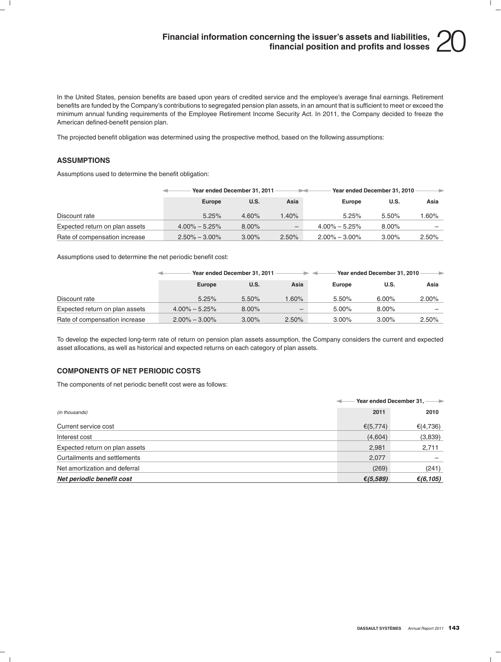# **Financial information concerning the issuer's assets and liabilities, financial position and profits and losses** 20

In the United States, pension benefits are based upon years of credited service and the employee's average final earnings. Retirement benefits are funded by the Company's contributions to segregated pension plan assets, in an amount that is sufficient to meet or exceed the minimum annual funding requirements of the Employee Retirement Income Security Act. In 2011, the Company decided to freeze the American defined-benefit pension plan.

The projected benefit obligation was determined using the prospective method, based on the following assumptions:

### **ASSUMPTIONS**

Assumptions used to determine the benefit obligation:

|                                | Year ended December 31, 2011 |       | . .                      | Year ended December 31, 2010 |          | →        |
|--------------------------------|------------------------------|-------|--------------------------|------------------------------|----------|----------|
|                                | Europe                       | U.S.  | Asia                     | Europe                       | U.S.     | Asia     |
| Discount rate                  | 5.25%                        | 4.60% | 1.40%                    | 5.25%                        | 5.50%    | 1.60%    |
| Expected return on plan assets | $4.00\% - 5.25\%$            | 8.00% | $\overline{\phantom{m}}$ | $4.00\% - 5.25\%$            | 8.00%    |          |
| Rate of compensation increase  | $2.50\% - 3.00\%$            | 3.00% | 2.50%                    | $2.00\% - 3.00\%$            | $3.00\%$ | $2.50\%$ |

Assumptions used to determine the net periodic benefit cost:

|                                | Year ended December 31, 2011 |          |          | Year ended December 31, 2010 |          |          |
|--------------------------------|------------------------------|----------|----------|------------------------------|----------|----------|
|                                | Europe                       | U.S.     | Asia     | <b>Europe</b>                | U.S.     | Asia     |
| Discount rate                  | 5.25%                        | 5.50%    | $1.60\%$ | 5.50%                        | $6.00\%$ | $2.00\%$ |
| Expected return on plan assets | $4.00\% - 5.25\%$            | $8.00\%$ | -        | $5.00\%$                     | 8.00%    |          |
| Rate of compensation increase  | $2.00\% - 3.00\%$            | 3.00%    | 2.50%    | $3.00\%$                     | $3.00\%$ | 2.50%    |

To develop the expected long-term rate of return on pension plan assets assumption, the Company considers the current and expected asset allocations, as well as historical and expected returns on each category of plan assets.

### **COMPONENTS OF NET PERIODIC COSTS**

The components of net periodic benefit cost were as follows:

|                                | Year ended December 31, -- |          |  |
|--------------------------------|----------------------------|----------|--|
| (in thousands)                 | 2011                       | 2010     |  |
| Current service cost           | € $(5,774)$                | €(4,736) |  |
| Interest cost                  | (4,604)                    | (3,839)  |  |
| Expected return on plan assets | 2,981                      | 2,711    |  |
| Curtailments and settlements   | 2,077                      |          |  |
| Net amortization and deferral  | (269)                      | (241)    |  |
| Net periodic benefit cost      | € $(5,589)$                | €(6,105) |  |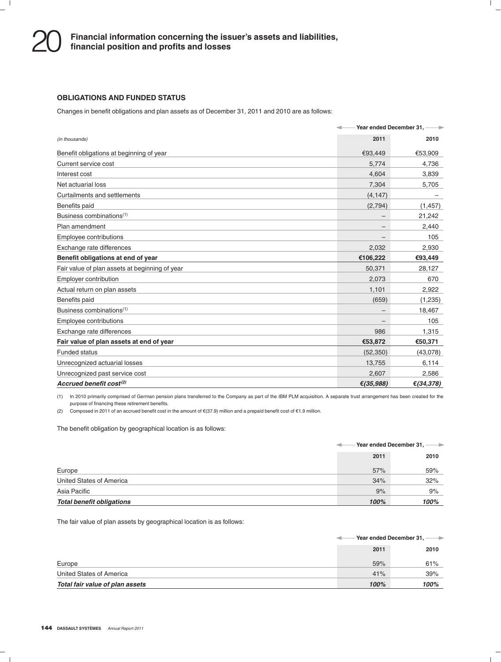### **OBLIGATIONS AND FUNDED STATUS**

Changes in benefit obligations and plan assets as of December 31, 2011 and 2010 are as follows:

|                                                |              | Year ended December 31, --- |
|------------------------------------------------|--------------|-----------------------------|
| (in thousands)                                 | 2011         | 2010                        |
| Benefit obligations at beginning of year       | €93,449      | €53,909                     |
| Current service cost                           | 5,774        | 4,736                       |
| Interest cost                                  | 4.604        | 3,839                       |
| Net actuarial loss                             | 7,304        | 5,705                       |
| Curtailments and settlements                   | (4, 147)     |                             |
| Benefits paid                                  | (2,794)      | (1, 457)                    |
| Business combinations <sup>(1)</sup>           |              | 21,242                      |
| Plan amendment                                 |              | 2,440                       |
| Employee contributions                         |              | 105                         |
| Exchange rate differences                      | 2,032        | 2,930                       |
| Benefit obligations at end of year             | €106,222     | €93,449                     |
| Fair value of plan assets at beginning of year | 50,371       | 28,127                      |
| Employer contribution                          | 2,073        | 670                         |
| Actual return on plan assets                   | 1,101        | 2,922                       |
| Benefits paid                                  | (659)        | (1, 235)                    |
| Business combinations <sup>(1)</sup>           |              | 18,467                      |
| Employee contributions                         |              | 105                         |
| Exchange rate differences                      | 986          | 1,315                       |
| Fair value of plan assets at end of year       | €53,872      | €50,371                     |
| <b>Funded status</b>                           | (52, 350)    | (43,078)                    |
| Unrecognized actuarial losses                  | 13,755       | 6,114                       |
| Unrecognized past service cost                 | 2,607        | 2,586                       |
| Accrued benefit cost $(2)$                     | € $(35,988)$ | € $(34, 378)$               |

(1) In 2010 primarily comprised of German pension plans transferred to the Company as part of the IBM PLM acquisition. A separate trust arrangement has been created for the purpose of financing these retirement benefits.

(2) Composed in 2011 of an accrued benefit cost in the amount of  $\epsilon$ (37.9) million and a prepaid benefit cost of  $\epsilon$ 1.9 million.

The benefit obligation by geographical location is as follows:

|                                  | Year ended December 31, ---- |      |  |
|----------------------------------|------------------------------|------|--|
|                                  | 2011                         | 2010 |  |
| Europe                           | 57%                          | 59%  |  |
| United States of America         | 34%                          | 32%  |  |
| Asia Pacific                     | 9%                           | 9%   |  |
| <b>Total benefit obligations</b> | 100%                         | 100% |  |

The fair value of plan assets by geographical location is as follows:

|                                 |      | Year ended December 31. -<br>$\rightarrow$ |
|---------------------------------|------|--------------------------------------------|
|                                 | 2011 | 2010                                       |
| Europe                          | 59%  | 61%                                        |
| United States of America        | 41%  | 39%                                        |
| Total fair value of plan assets | 100% | 100%                                       |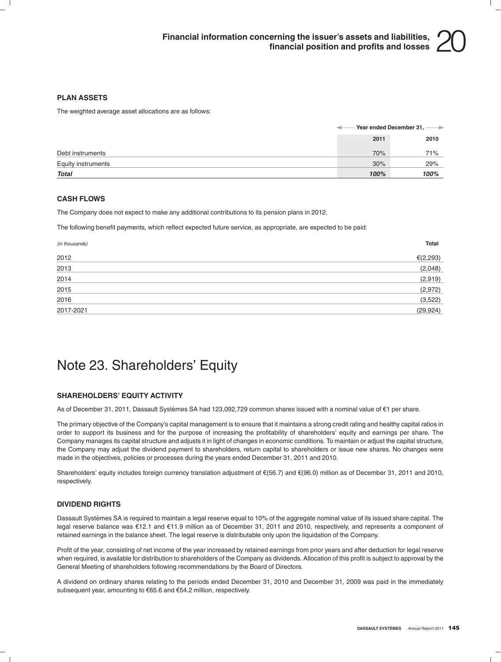### **PLAN ASSETS**

The weighted average asset allocations are as follows:

|                    |      | Year ended December 31, ---- |
|--------------------|------|------------------------------|
|                    | 2011 | 2010                         |
| Debt instruments   | 70%  | 71%                          |
| Equity instruments | 30%  | 29%                          |
| Total              | 100% | 100%                         |

#### **CASH FLOWS**

The Company does not expect to make any additional contributions to its pension plans in 2012.

The following benefit payments, which reflect expected future service, as appropriate, are expected to be paid:

| (in thousands) | <b>Total</b> |
|----------------|--------------|
| 2012           | € $(2, 293)$ |
| 2013           | (2,048)      |
| 2014           | (2,919)      |
| 2015           | (2,972)      |
| 2016           | (3,522)      |
| 2017-2021      | (29, 924)    |

### Note 23. Shareholders' Equity

### **SHAREHOLDERS' EQUITY ACTIVITY**

As of December 31, 2011, Dassault Systèmes SA had 123,092,729 common shares issued with a nominal value of €1 per share.

The primary objective of the Company's capital management is to ensure that it maintains a strong credit rating and healthy capital ratios in order to support its business and for the purpose of increasing the profitability of shareholders' equity and earnings per share. The Company manages its capital structure and adjusts it in light of changes in economic conditions. To maintain or adjust the capital structure, the Company may adjust the dividend payment to shareholders, return capital to shareholders or issue new shares. No changes were made in the objectives, policies or processes during the years ended December 31, 2011 and 2010.

Shareholders' equity includes foreign currency translation adjustment of  $\epsilon$ (56.7) and  $\epsilon$ (96.0) million as of December 31, 2011 and 2010, respectively.

#### **DIVIDEND RIGHTS**

Dassault Systèmes SA is required to maintain a legal reserve equal to 10% of the aggregate nominal value of its issued share capital. The legal reserve balance was e12.1 and e11.9 million as of December 31, 2011 and 2010, respectively, and represents a component of retained earnings in the balance sheet. The legal reserve is distributable only upon the liquidation of the Company.

Profit of the year, consisting of net income of the year increased by retained earnings from prior years and after deduction for legal reserve when required, is available for distribution to shareholders of the Company as dividends. Allocation of this profit is subject to approval by the General Meeting of shareholders following recommendations by the Board of Directors.

A dividend on ordinary shares relating to the periods ended December 31, 2010 and December 31, 2009 was paid in the immediately subsequent year, amounting to €65.6 and €54.2 million, respectively.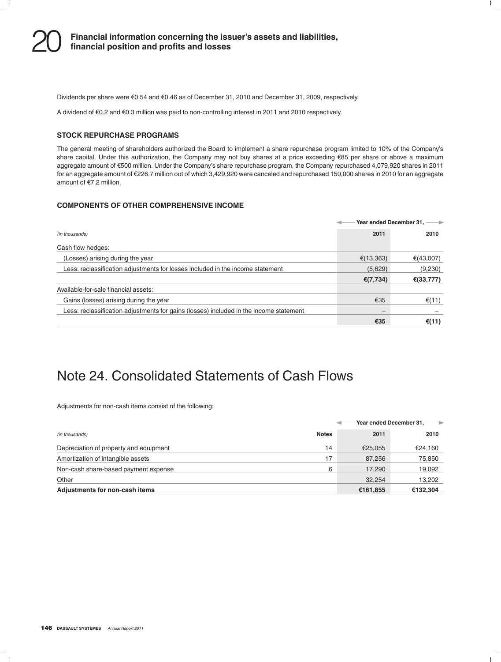Dividends per share were  $\epsilon$ 0.54 and  $\epsilon$ 0.46 as of December 31, 2010 and December 31, 2009, respectively.

A dividend of e0.2 and e0.3 million was paid to non-controlling interest in 2011 and 2010 respectively.

### **STOCK REPURCHASE PROGRAMS**

The general meeting of shareholders authorized the Board to implement a share repurchase program limited to 10% of the Company's share capital. Under this authorization, the Company may not buy shares at a price exceeding €85 per share or above a maximum aggregate amount of e500 million. Under the Company's share repurchase program, the Company repurchased 4,079,920 shares in 2011 for an aggregate amount of e226.7 million out of which 3,429,920 were canceled and repurchased 150,000 shares in 2010 for an aggregate amount of  $E$ 7.2 million.

### **COMPONENTS OF OTHER COMPREHENSIVE INCOME**

|                                                                                        |              | Year ended December 31. |
|----------------------------------------------------------------------------------------|--------------|-------------------------|
| (in thousands)                                                                         | 2011         | 2010                    |
| Cash flow hedges:                                                                      |              |                         |
| (Losses) arising during the year                                                       | € $(13,363)$ | €(43,007)               |
| Less: reclassification adjustments for losses included in the income statement         | (5,629)      | (9,230)                 |
|                                                                                        | € $(7,734)$  | € $(33, 777)$           |
| Available-for-sale financial assets:                                                   |              |                         |
| Gains (losses) arising during the year                                                 | €35          | €(11)                   |
| Less: reclassification adjustments for gains (losses) included in the income statement |              |                         |
|                                                                                        | €35          | €(11)                   |

### Note 24. Consolidated Statements of Cash Flows

Adjustments for non-cash items consist of the following:

|                                        |              | Year ended December 31, -<br>$\rightarrow$ |          |  |
|----------------------------------------|--------------|--------------------------------------------|----------|--|
| (in thousands)                         | <b>Notes</b> | 2011                                       | 2010     |  |
| Depreciation of property and equipment | 14           | €25.055                                    | €24,160  |  |
| Amortization of intangible assets      | 17           | 87,256                                     | 75,850   |  |
| Non-cash share-based payment expense   | 6            | 17,290                                     | 19,092   |  |
| Other                                  |              | 32.254                                     | 13,202   |  |
| Adjustments for non-cash items         |              | €161,855                                   | €132,304 |  |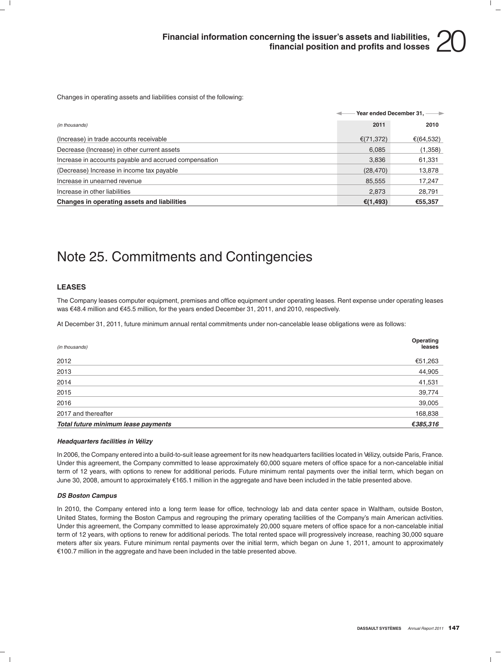Changes in operating assets and liabilities consist of the following:

|                                                       |           | Year ended December 31, ---- |
|-------------------------------------------------------|-----------|------------------------------|
| (in thousands)                                        | 2011      | 2010                         |
| (Increase) in trade accounts receivable               | €(71,372) | €(64,532)                    |
| Decrease (Increase) in other current assets           | 6,085     | (1,358)                      |
| Increase in accounts payable and accrued compensation | 3,836     | 61,331                       |
| (Decrease) Increase in income tax payable             | (28, 470) | 13,878                       |
| Increase in unearned revenue                          | 85,555    | 17.247                       |
| Increase in other liabilities                         | 2,873     | 28,791                       |
| Changes in operating assets and liabilities           | €(1,493)  | €55,357                      |

### Note 25. Commitments and Contingencies

### **LEASES**

The Company leases computer equipment, premises and office equipment under operating leases. Rent expense under operating leases was €48.4 million and €45.5 million, for the years ended December 31, 2011, and 2010, respectively.

At December 31, 2011, future minimum annual rental commitments under non-cancelable lease obligations were as follows:

| (in thousands)                      | Operating<br>leases |
|-------------------------------------|---------------------|
| 2012                                | €51,263             |
| 2013                                | 44,905              |
| 2014                                | 41,531              |
| 2015                                | 39,774              |
| 2016                                | 39,005              |
| 2017 and thereafter                 | 168,838             |
| Total future minimum lease payments | €385,316            |

#### *Headquarters facilities in Velizy ´*

In 2006, the Company entered into a build-to-suit lease agreement for its new headquarters facilities located in Velizy, outside Paris, France. ´ Under this agreement, the Company committed to lease approximately 60,000 square meters of office space for a non-cancelable initial term of 12 years, with options to renew for additional periods. Future minimum rental payments over the initial term, which began on June 30, 2008, amount to approximately e165.1 million in the aggregate and have been included in the table presented above.

#### *DS Boston Campus*

In 2010, the Company entered into a long term lease for office, technology lab and data center space in Waltham, outside Boston, United States, forming the Boston Campus and regrouping the primary operating facilities of the Company's main American activities. Under this agreement, the Company committed to lease approximately 20,000 square meters of office space for a non-cancelable initial term of 12 years, with options to renew for additional periods. The total rented space will progressively increase, reaching 30,000 square meters after six years. Future minimum rental payments over the initial term, which began on June 1, 2011, amount to approximately €100.7 million in the aggregate and have been included in the table presented above.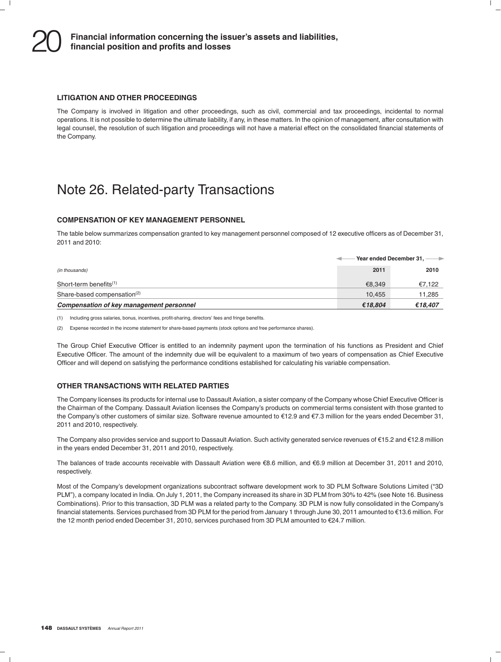#### **LITIGATION AND OTHER PROCEEDINGS**

The Company is involved in litigation and other proceedings, such as civil, commercial and tax proceedings, incidental to normal operations. It is not possible to determine the ultimate liability, if any, in these matters. In the opinion of management, after consultation with legal counsel, the resolution of such litigation and proceedings will not have a material effect on the consolidated financial statements of the Company.

### Note 26. Related-party Transactions

#### **COMPENSATION OF KEY MANAGEMENT PERSONNEL**

The table below summarizes compensation granted to key management personnel composed of 12 executive officers as of December 31, 2011 and 2010:

|                                          | Year ended December 31, -<br>$\rightarrow$ |         |  |
|------------------------------------------|--------------------------------------------|---------|--|
| (in thousands)                           | 2011                                       | 2010    |  |
| Short-term benefits $(1)$                | €8.349                                     | €7,122  |  |
| Share-based compensation <sup>(2)</sup>  | 10.455                                     | 11,285  |  |
| Compensation of key management personnel | €18.804                                    | €18,407 |  |

(1) Including gross salaries, bonus, incentives, profit-sharing, directors' fees and fringe benefits.

(2) Expense recorded in the income statement for share-based payments (stock options and free performance shares).

The Group Chief Executive Officer is entitled to an indemnity payment upon the termination of his functions as President and Chief Executive Officer. The amount of the indemnity due will be equivalent to a maximum of two years of compensation as Chief Executive Officer and will depend on satisfying the performance conditions established for calculating his variable compensation.

#### **OTHER TRANSACTIONS WITH RELATED PARTIES**

The Company licenses its products for internal use to Dassault Aviation, a sister company of the Company whose Chief Executive Officer is the Chairman of the Company. Dassault Aviation licenses the Company's products on commercial terms consistent with those granted to the Company's other customers of similar size. Software revenue amounted to  $E$ 12.9 and  $E$ 7.3 million for the years ended December 31, 2011 and 2010, respectively.

The Company also provides service and support to Dassault Aviation. Such activity generated service revenues of  $\epsilon$ 15.2 and  $\epsilon$ 12.8 million in the years ended December 31, 2011 and 2010, respectively.

The balances of trade accounts receivable with Dassault Aviation were  $\epsilon$ 8.6 million, and  $\epsilon$ 6.9 million at December 31, 2011 and 2010, respectively.

Most of the Company's development organizations subcontract software development work to 3D PLM Software Solutions Limited (''3D PLM''), a company located in India. On July 1, 2011, the Company increased its share in 3D PLM from 30% to 42% (see Note 16. Business Combinations). Prior to this transaction, 3D PLM was a related party to the Company. 3D PLM is now fully consolidated in the Company's financial statements. Services purchased from 3D PLM for the period from January 1 through June 30, 2011 amounted to e13.6 million. For the 12 month period ended December 31, 2010, services purchased from 3D PLM amounted to €24.7 million.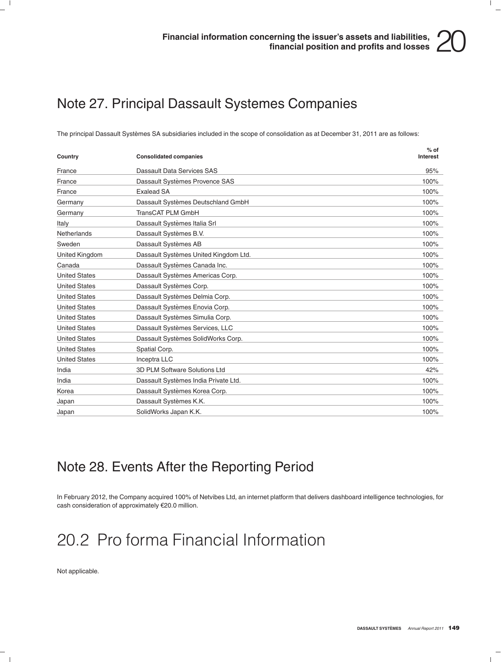## Note 27. Principal Dassault Systemes Companies

The principal Dassault Systèmes SA subsidiaries included in the scope of consolidation as at December 31, 2011 are as follows:

| Country              | <b>Consolidated companies</b>         | $%$ of<br>Interest |
|----------------------|---------------------------------------|--------------------|
| France               | Dassault Data Services SAS            | 95%                |
| France               | Dassault Systèmes Provence SAS        | 100%               |
| France               | <b>Exalead SA</b>                     | 100%               |
| Germany              | Dassault Systèmes Deutschland GmbH    | 100%               |
| Germany              | <b>TransCAT PLM GmbH</b>              | 100%               |
| Italy                | Dassault Systèmes Italia Srl          | 100%               |
| Netherlands          | Dassault Systèmes B.V.                | 100%               |
| Sweden               | Dassault Systèmes AB                  | 100%               |
| United Kingdom       | Dassault Systèmes United Kingdom Ltd. | 100%               |
| Canada               | Dassault Systèmes Canada Inc.         | 100%               |
| <b>United States</b> | Dassault Systèmes Americas Corp.      | 100%               |
| <b>United States</b> | Dassault Systèmes Corp.               | 100%               |
| <b>United States</b> | Dassault Systèmes Delmia Corp.        | 100%               |
| <b>United States</b> | Dassault Systèmes Enovia Corp.        | 100%               |
| <b>United States</b> | Dassault Systèmes Simulia Corp.       | 100%               |
| <b>United States</b> | Dassault Systèmes Services, LLC       | 100%               |
| <b>United States</b> | Dassault Systèmes SolidWorks Corp.    | 100%               |
| <b>United States</b> | Spatial Corp.                         | 100%               |
| <b>United States</b> | Inceptra LLC                          | 100%               |
| India                | 3D PLM Software Solutions Ltd         | 42%                |
| India                | Dassault Systèmes India Private Ltd.  | 100%               |
| Korea                | Dassault Systèmes Korea Corp.         | 100%               |
| Japan                | Dassault Systèmes K.K.                | 100%               |
| Japan                | SolidWorks Japan K.K.                 | 100%               |

### Note 28. Events After the Reporting Period

In February 2012, the Company acquired 100% of Netvibes Ltd, an internet platform that delivers dashboard intelligence technologies, for cash consideration of approximately  $€20.0$  million.

# 20.2 Pro forma Financial Information

Not applicable.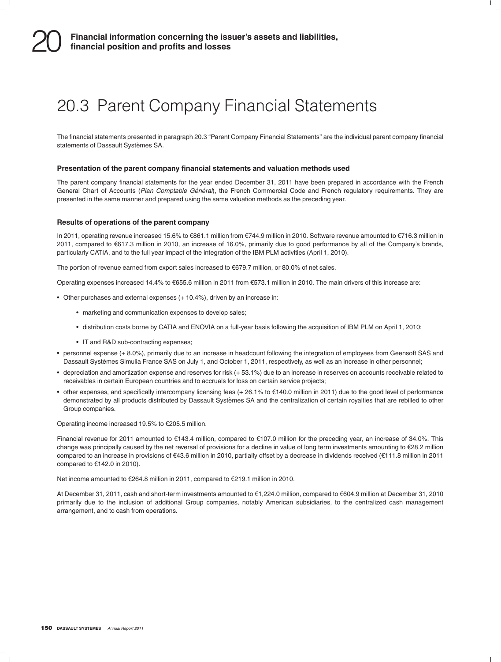# 20.3 Parent Company Financial Statements

The financial statements presented in paragraph 20.3 "Parent Company Financial Statements" are the individual parent company financial statements of Dassault Systèmes SA.

#### **Presentation of the parent company financial statements and valuation methods used**

The parent company financial statements for the year ended December 31, 2011 have been prepared in accordance with the French General Chart of Accounts (Plan Comptable Général), the French Commercial Code and French regulatory requirements. They are presented in the same manner and prepared using the same valuation methods as the preceding year.

#### **Results of operations of the parent company**

In 2011, operating revenue increased 15.6% to €861.1 million from €744.9 million in 2010. Software revenue amounted to €716.3 million in 2011, compared to e617.3 million in 2010, an increase of 16.0%, primarily due to good performance by all of the Company's brands, particularly CATIA, and to the full year impact of the integration of the IBM PLM activities (April 1, 2010).

The portion of revenue earned from export sales increased to  $\epsilon$ 679.7 million, or 80.0% of net sales.

Operating expenses increased 14.4% to €655.6 million in 2011 from €573.1 million in 2010. The main drivers of this increase are:

- Other purchases and external expenses (+ 10.4%), driven by an increase in:
	- marketing and communication expenses to develop sales;
	- distribution costs borne by CATIA and ENOVIA on a full-year basis following the acquisition of IBM PLM on April 1, 2010;
	- IT and R&D sub-contracting expenses;
- personnel expense (+ 8.0%), primarily due to an increase in headcount following the integration of employees from Geensoft SAS and Dassault Systèmes Simulia France SAS on July 1, and October 1, 2011, respectively, as well as an increase in other personnel;
- depreciation and amortization expense and reserves for risk (+ 53.1%) due to an increase in reserves on accounts receivable related to receivables in certain European countries and to accruals for loss on certain service projects;
- $\bullet$  other expenses, and specifically intercompany licensing fees (+26.1% to  $\epsilon$ 140.0 million in 2011) due to the good level of performance demonstrated by all products distributed by Dassault Systemes SA and the centralization of certain royalties that are rebilled to other ` Group companies.

Operating income increased 19.5% to €205.5 million.

Financial revenue for 2011 amounted to €143.4 million, compared to €107.0 million for the preceding year, an increase of 34.0%. This change was principally caused by the net reversal of provisions for a decline in value of long term investments amounting to  $\epsilon$ 28.2 million compared to an increase in provisions of e43.6 million in 2010, partially offset by a decrease in dividends received (e111.8 million in 2011 compared to  $€142.0$  in 2010).

Net income amounted to €264.8 million in 2011, compared to €219.1 million in 2010.

At December 31, 2011, cash and short-term investments amounted to €1,224.0 million, compared to €604.9 million at December 31, 2010 primarily due to the inclusion of additional Group companies, notably American subsidiaries, to the centralized cash management arrangement, and to cash from operations.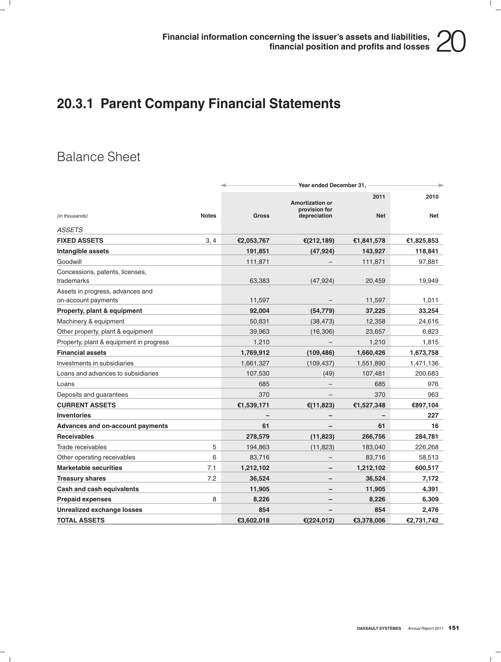## **20.3.1 Parent Company Financial Statements**

### Balance Sheet

|                                                    |              | Year ended December 31, |                                                         |                    |             |
|----------------------------------------------------|--------------|-------------------------|---------------------------------------------------------|--------------------|-------------|
| (in thousands)                                     | <b>Notes</b> | Gross                   | <b>Amortization or</b><br>provision for<br>depreciation | 2011<br><b>Net</b> | 2010<br>Net |
|                                                    |              |                         |                                                         |                    |             |
| <b>ASSETS</b>                                      |              |                         |                                                         |                    |             |
| <b>FIXED ASSETS</b>                                | 3, 4         | €2,053,767              | € $(212, 189)$                                          | €1,841,578         | €1,825,853  |
| Intangible assets                                  |              | 191,851                 | (47, 924)                                               | 143,927            | 118,841     |
| Goodwill                                           |              | 111,871                 |                                                         | 111,871            | 97,881      |
| Concessions, patents, licenses,                    |              |                         |                                                         |                    |             |
| trademarks                                         |              | 63,383                  | (47, 924)                                               | 20,459             | 19,949      |
| Assets in progress, advances and                   |              | 11,597                  |                                                         | 11,597             | 1,011       |
| on-account payments<br>Property, plant & equipment |              | 92,004                  | (54, 779)                                               | 37,225             | 33,254      |
| Machinery & equipment                              |              | 50,831                  | (38, 473)                                               | 12,358             | 24,616      |
| Other property, plant & equipment                  |              | 39,963                  | (16, 306)                                               | 23,657             | 6,823       |
|                                                    |              | 1,210                   |                                                         | 1,210              |             |
| Property, plant & equipment in progress            |              |                         |                                                         |                    | 1,815       |
| <b>Financial assets</b>                            |              | 1,769,912               | (109, 486)                                              | 1,660,426          | 1,673,758   |
| Investments in subsidiaries                        |              | 1,661,327               | (109, 437)                                              | 1,551,890          | 1,471,136   |
| Loans and advances to subsidiaries                 |              | 107,530                 | (49)                                                    | 107,481            | 200,683     |
| Loans                                              |              | 685                     |                                                         | 685                | 976         |
| Deposits and guarantees                            |              | 370                     |                                                         | 370                | 963         |
| <b>CURRENT ASSETS</b>                              |              | €1,539,171              | €(11,823)                                               | €1,527,348         | €897,104    |
| <b>Inventories</b>                                 |              |                         |                                                         |                    | 227         |
| Advances and on-account payments                   |              | 61                      |                                                         | 61                 | 16          |
| <b>Receivables</b>                                 |              | 278,579                 | (11, 823)                                               | 266,756            | 284,781     |
| Trade receivables                                  | 5            | 194,863                 | (11, 823)                                               | 183,040            | 226,268     |
| Other operating receivables                        | 6            | 83,716                  |                                                         | 83,716             | 58,513      |
| <b>Marketable securities</b>                       | 7.1          | 1,212,102               |                                                         | 1,212,102          | 600,517     |
| <b>Treasury shares</b>                             | 7.2          | 36,524                  |                                                         | 36,524             | 7,172       |
| Cash and cash equivalents                          |              | 11,905                  |                                                         | 11,905             | 4,391       |
| <b>Prepaid expenses</b>                            | 8            | 8,226                   |                                                         | 8,226              | 6,309       |
| <b>Unrealized exchange losses</b>                  |              | 854                     |                                                         | 854                | 2,476       |
| <b>TOTAL ASSETS</b>                                |              | €3,602,018              | €(224,012)                                              | €3,378,006         | €2,731,742  |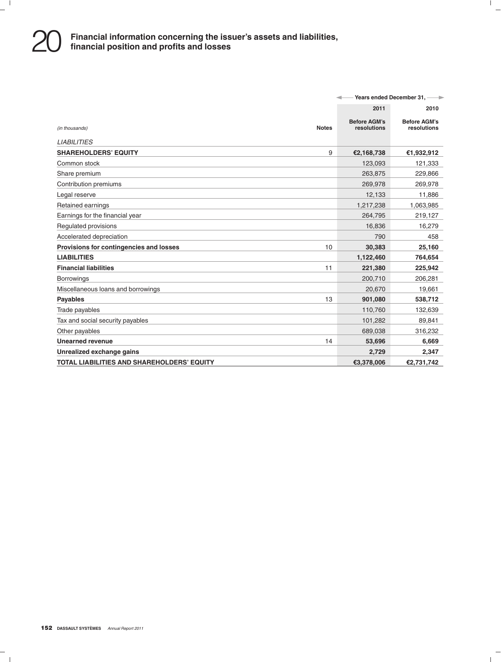|                                                   | Years ended December 31, --- |                                    |                                    |
|---------------------------------------------------|------------------------------|------------------------------------|------------------------------------|
|                                                   |                              | 2011                               | 2010                               |
| (in thousands)                                    | <b>Notes</b>                 | <b>Before AGM's</b><br>resolutions | <b>Before AGM's</b><br>resolutions |
| <b>LIABILITIES</b>                                |                              |                                    |                                    |
| <b>SHAREHOLDERS' EQUITY</b>                       | 9                            | €2,168,738                         | €1,932,912                         |
| Common stock                                      |                              | 123,093                            | 121,333                            |
| Share premium                                     |                              | 263,875                            | 229,866                            |
| Contribution premiums                             |                              | 269,978                            | 269,978                            |
| Legal reserve                                     |                              | 12,133                             | 11,886                             |
| Retained earnings                                 |                              | 1,217,238                          | 1,063,985                          |
| Earnings for the financial year                   |                              | 264.795                            | 219,127                            |
| Regulated provisions                              |                              | 16,836                             | 16,279                             |
| Accelerated depreciation                          |                              | 790                                | 458                                |
| Provisions for contingencies and losses           | 10                           | 30,383                             | 25,160                             |
| <b>LIABILITIES</b>                                |                              | 1,122,460                          | 764,654                            |
| <b>Financial liabilities</b>                      | 11                           | 221,380                            | 225,942                            |
| <b>Borrowings</b>                                 |                              | 200,710                            | 206,281                            |
| Miscellaneous loans and borrowings                |                              | 20,670                             | 19,661                             |
| <b>Payables</b>                                   | 13                           | 901,080                            | 538,712                            |
| Trade payables                                    |                              | 110,760                            | 132,639                            |
| Tax and social security payables                  |                              | 101,282                            | 89,841                             |
| Other payables                                    |                              | 689,038                            | 316,232                            |
| <b>Unearned revenue</b>                           | 14                           | 53,696                             | 6,669                              |
| Unrealized exchange gains                         |                              | 2,729                              | 2,347                              |
| <b>TOTAL LIABILITIES AND SHAREHOLDERS' EQUITY</b> |                              | €3.378.006                         | €2.731.742                         |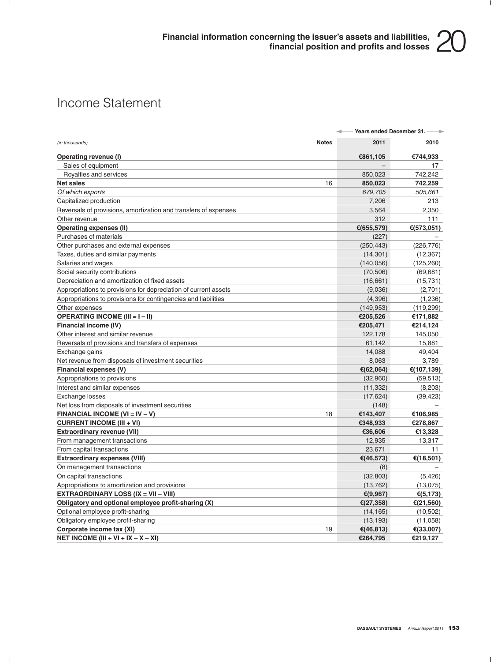### Income Statement

|                                                                 |              | Years ended December 31,<br>÷ | $\rightarrow$ |
|-----------------------------------------------------------------|--------------|-------------------------------|---------------|
| (in thousands)                                                  | <b>Notes</b> | 2011                          | 2010          |
| Operating revenue (I)                                           |              | €861,105                      | €744,933      |
| Sales of equipment                                              |              |                               | 17            |
| Royalties and services                                          |              | 850,023                       | 742,242       |
| <b>Net sales</b>                                                | 16           | 850,023                       | 742,259       |
| Of which exports                                                |              | 679,705                       | 505,661       |
| Capitalized production                                          |              | 7,206                         | 213           |
| Reversals of provisions, amortization and transfers of expenses |              | 3,564                         | 2,350         |
| Other revenue                                                   |              | 312                           | 111           |
| <b>Operating expenses (II)</b>                                  |              | €(655,579)                    | €(573,051)    |
| Purchases of materials                                          |              | (227)                         |               |
| Other purchases and external expenses                           |              | (250, 443)                    | (226, 776)    |
| Taxes, duties and similar payments                              |              | (14, 301)                     | (12, 367)     |
| Salaries and wages                                              |              | (140, 056)                    | (125, 260)    |
| Social security contributions                                   |              | (70, 506)                     | (69, 681)     |
| Depreciation and amortization of fixed assets                   |              | (16, 661)                     | (15, 731)     |
| Appropriations to provisions for depreciation of current assets |              | (9,036)                       | (2,701)       |
| Appropriations to provisions for contingencies and liabilities  |              | (4,396)                       | (1,236)       |
| Other expenses                                                  |              | (149, 953)                    | (119, 299)    |
| <b>OPERATING INCOME (III = I - II)</b>                          |              | €205,526                      | €171,882      |
| Financial income (IV)                                           |              | €205,471                      | €214,124      |
| Other interest and similar revenue                              |              | 122,178                       | 145,050       |
| Reversals of provisions and transfers of expenses               |              | 61,142                        | 15,881        |
| Exchange gains                                                  |              | 14,088                        | 49,404        |
| Net revenue from disposals of investment securities             |              | 8,063                         | 3,789         |
| Financial expenses (V)                                          |              | €(62,064)                     | €(107,139)    |
| Appropriations to provisions                                    |              | (32,960)                      | (59, 513)     |
| Interest and similar expenses                                   |              | (11, 332)                     | (8, 203)      |
| Exchange losses                                                 |              | (17, 624)                     | (39, 423)     |
| Net loss from disposals of investment securities                |              | (148)                         |               |
| FINANCIAL INCOME (VI = $IV - V$ )                               | 18           | €143,407                      | €106,985      |
| <b>CURRENT INCOME (III + VI)</b>                                |              | €348,933                      | €278,867      |
| <b>Extraordinary revenue (VII)</b>                              |              | €36,606                       | €13,328       |
| From management transactions                                    |              | 12,935                        | 13,317        |
| From capital transactions                                       |              | 23,671                        | 11            |
| <b>Extraordinary expenses (VIII)</b>                            |              | €(46,573)                     | €(18,501)     |
| On management transactions                                      |              | (8)                           |               |
| On capital transactions                                         |              | (32, 803)                     | (5, 426)      |
| Appropriations to amortization and provisions                   |              | (13, 762)                     | (13,075)      |
| <b>EXTRAORDINARY LOSS (IX = VII - VIII)</b>                     |              | €(9,967)                      | € $(5, 173)$  |
| Obligatory and optional employee profit-sharing (X)             |              | € $(27, 358)$                 | € $(21,560)$  |
| Optional employee profit-sharing                                |              | (14, 165)                     | (10, 502)     |
| Obligatory employee profit-sharing                              |              | (13, 193)                     | (11,058)      |
| Corporate income tax (XI)                                       | 19           | €(46,813)                     | €(33,007)     |
| NET INCOME (III + VI + IX $-$ X $-$ XI)                         |              | €264,795                      | €219,127      |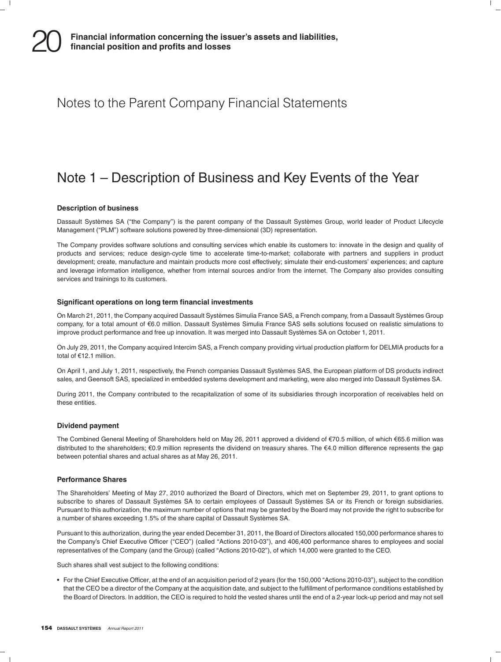### Notes to the Parent Company Financial Statements

### Note 1 – Description of Business and Key Events of the Year

#### **Description of business**

Dassault Systèmes SA ("the Company") is the parent company of the Dassault Systèmes Group, world leader of Product Lifecycle Management (''PLM'') software solutions powered by three-dimensional (3D) representation.

The Company provides software solutions and consulting services which enable its customers to: innovate in the design and quality of products and services; reduce design-cycle time to accelerate time-to-market; collaborate with partners and suppliers in product development; create, manufacture and maintain products more cost effectively; simulate their end-customers' experiences; and capture and leverage information intelligence, whether from internal sources and/or from the internet. The Company also provides consulting services and trainings to its customers.

#### **Significant operations on long term financial investments**

On March 21, 2011, the Company acquired Dassault Systèmes Simulia France SAS, a French company, from a Dassault Systèmes Group company, for a total amount of €6.0 million. Dassault Systèmes Simulia France SAS sells solutions focused on realistic simulations to improve product performance and free up innovation. It was merged into Dassault Systèmes SA on October 1, 2011.

On July 29, 2011, the Company acquired Intercim SAS, a French company providing virtual production platform for DELMIA products for a total of €12.1 million.

On April 1, and July 1, 2011, respectively, the French companies Dassault Systemes SAS, the European platform of DS products indirect ` sales, and Geensoft SAS, specialized in embedded systems development and marketing, were also merged into Dassault Systèmes SA.

During 2011, the Company contributed to the recapitalization of some of its subsidiaries through incorporation of receivables held on these entities.

#### **Dividend payment**

The Combined General Meeting of Shareholders held on May 26, 2011 approved a dividend of €70.5 million, of which €65.6 million was distributed to the shareholders; €0.9 million represents the dividend on treasury shares. The €4.0 million difference represents the gap between potential shares and actual shares as at May 26, 2011.

#### **Performance Shares**

The Shareholders' Meeting of May 27, 2010 authorized the Board of Directors, which met on September 29, 2011, to grant options to subscribe to shares of Dassault Systèmes SA to certain employees of Dassault Systèmes SA or its French or foreign subsidiaries. Pursuant to this authorization, the maximum number of options that may be granted by the Board may not provide the right to subscribe for a number of shares exceeding 1.5% of the share capital of Dassault Systèmes SA.

Pursuant to this authorization, during the year ended December 31, 2011, the Board of Directors allocated 150,000 performance shares to the Company's Chief Executive Officer ("CEO") (called "Actions 2010-03"), and 406,400 performance shares to employees and social representatives of the Company (and the Group) (called "Actions 2010-02"), of which 14,000 were granted to the CEO.

Such shares shall vest subject to the following conditions:

• For the Chief Executive Officer, at the end of an acquisition period of 2 years (for the 150,000 "Actions 2010-03"), subject to the condition that the CEO be a director of the Company at the acquisition date, and subject to the fulfillment of performance conditions established by the Board of Directors. In addition, the CEO is required to hold the vested shares until the end of a 2-year lock-up period and may not sell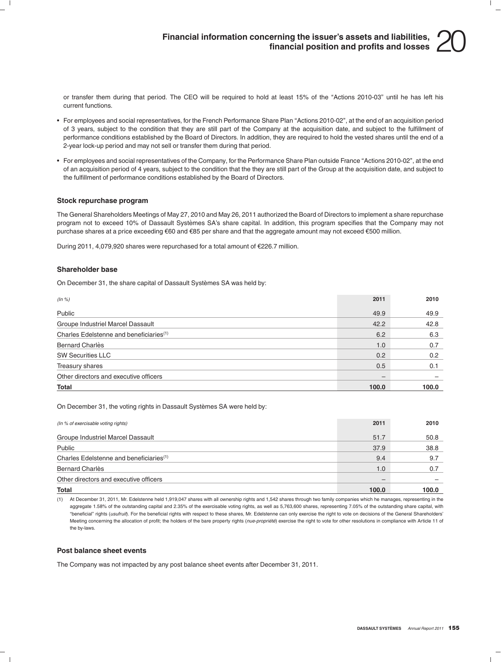or transfer them during that period. The CEO will be required to hold at least 15% of the ''Actions 2010-03'' until he has left his current functions.

- For employees and social representatives, for the French Performance Share Plan "Actions 2010-02", at the end of an acquisition period of 3 years, subject to the condition that they are still part of the Company at the acquisition date, and subject to the fulfillment of performance conditions established by the Board of Directors. In addition, they are required to hold the vested shares until the end of a 2-year lock-up period and may not sell or transfer them during that period.
- For employees and social representatives of the Company, for the Performance Share Plan outside France "Actions 2010-02", at the end of an acquisition period of 4 years, subject to the condition that the they are still part of the Group at the acquisition date, and subject to the fulfillment of performance conditions established by the Board of Directors.

#### **Stock repurchase program**

The General Shareholders Meetings of May 27, 2010 and May 26, 2011 authorized the Board of Directors to implement a share repurchase program not to exceed 10% of Dassault Systèmes SA's share capital. In addition, this program specifies that the Company may not purchase shares at a price exceeding €60 and €85 per share and that the aggregate amount may not exceed €500 million.

During 2011, 4,079,920 shares were repurchased for a total amount of €226.7 million.

#### **Shareholder base**

On December 31, the share capital of Dassault Systèmes SA was held by:

| (ln %)                                              | 2011  | 2010  |
|-----------------------------------------------------|-------|-------|
| Public                                              | 49.9  | 49.9  |
| Groupe Industriel Marcel Dassault                   | 42.2  | 42.8  |
| Charles Edelstenne and beneficiaries <sup>(1)</sup> | 6.2   | 6.3   |
| <b>Bernard Charlès</b>                              | 1.0   | 0.7   |
| <b>SW Securities LLC</b>                            | 0.2   | 0.2   |
| Treasury shares                                     | 0.5   | 0.1   |
| Other directors and executive officers              | —     |       |
| Total                                               | 100.0 | 100.0 |

On December 31, the voting rights in Dassault Systèmes SA were held by:

| (In % of exercisable voting rights)                 | 2011  | 2010  |
|-----------------------------------------------------|-------|-------|
| Groupe Industriel Marcel Dassault                   | 51.7  | 50.8  |
| Public                                              | 37.9  | 38.8  |
| Charles Edelstenne and beneficiaries <sup>(1)</sup> | 9.4   | 9.7   |
| Bernard Charlès                                     | 1.0   | 0.7   |
| Other directors and executive officers              |       |       |
| Total                                               | 100.0 | 100.0 |

(1) At December 31, 2011, Mr. Edelstenne held 1,919,047 shares with all ownership rights and 1,542 shares through two family companies which he manages, representing in the aggregate 1.58% of the outstanding capital and 2.35% of the exercisable voting rights, as well as 5,763,600 shares, representing 7.05% of the outstanding share capital, with ''beneficial'' rights (*usufruit*). For the beneficial rights with respect to these shares, Mr. Edelstenne can only exercise the right to vote on decisions of the General Shareholders' Meeting concerning the allocation of profit; the holders of the bare property rights (nue-propriété) exercise the right to vote for other resolutions in compliance with Article 11 of the by-laws.

#### **Post balance sheet events**

The Company was not impacted by any post balance sheet events after December 31, 2011.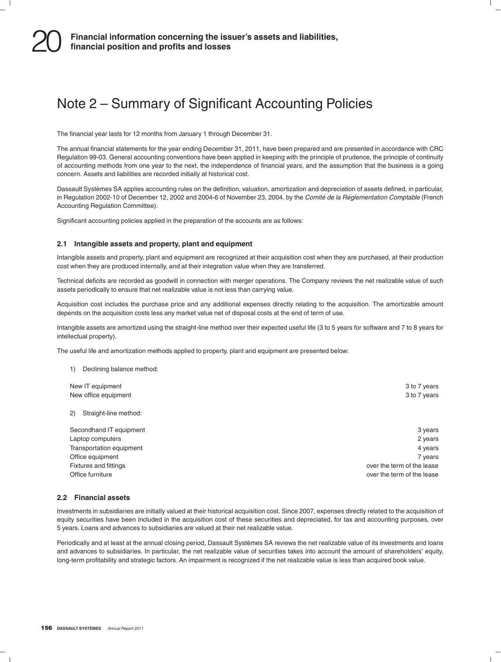### Note 2 – Summary of Significant Accounting Policies

The financial year lasts for 12 months from January 1 through December 31.

The annual financial statements for the year ending December 31, 2011, have been prepared and are presented in accordance with CRC Regulation 99-03. General accounting conventions have been applied in keeping with the principle of prudence, the principle of continuity of accounting methods from one year to the next, the independence of financial years, and the assumption that the business is a going concern. Assets and liabilities are recorded initially at historical cost.

Dassault Systemes SA applies accounting rules on the definition, valuation, amortization and depreciation of assets defined, in particular, ` in Regulation 2002-10 of December 12, 2002 and 2004-6 of November 23, 2004, by the *Comite de la R ´ eglementation Comptable ´* (French Accounting Regulation Committee).

Significant accounting policies applied in the preparation of the accounts are as follows:

#### **2.1 Intangible assets and property, plant and equipment**

Intangible assets and property, plant and equipment are recognized at their acquisition cost when they are purchased, at their production cost when they are produced internally, and at their integration value when they are transferred.

Technical deficits are recorded as goodwill in connection with merger operations. The Company reviews the net realizable value of such assets periodically to ensure that net realizable value is not less than carrying value.

Acquisition cost includes the purchase price and any additional expenses directly relating to the acquisition. The amortizable amount depends on the acquisition costs less any market value net of disposal costs at the end of term of use.

Intangible assets are amortized using the straight-line method over their expected useful life (3 to 5 years for software and 7 to 8 years for intellectual property).

The useful life and amortization methods applied to property, plant and equipment are presented below:

| 1) Declining balance method: |                            |
|------------------------------|----------------------------|
| New IT equipment             | 3 to 7 years               |
| New office equipment         | 3 to 7 years               |
| Straight-line method:<br>2)  |                            |
| Secondhand IT equipment      | 3 years                    |
| Laptop computers             | 2 years                    |
| Transportation equipment     | 4 years                    |
| Office equipment             | 7 years                    |
| <b>Fixtures and fittings</b> | over the term of the lease |
| Office furniture             | over the term of the lease |

### **2.2 Financial assets**

Investments in subsidiaries are initially valued at their historical acquisition cost. Since 2007, expenses directly related to the acquisition of equity securities have been included in the acquisition cost of these securities and depreciated, for tax and accounting purposes, over 5 years. Loans and advances to subsidiaries are valued at their net realizable value.

Periodically and at least at the annual closing period, Dassault Systèmes SA reviews the net realizable value of its investments and loans and advances to subsidiaries. In particular, the net realizable value of securities takes into account the amount of shareholders' equity, long-term profitability and strategic factors. An impairment is recognized if the net realizable value is less than acquired book value.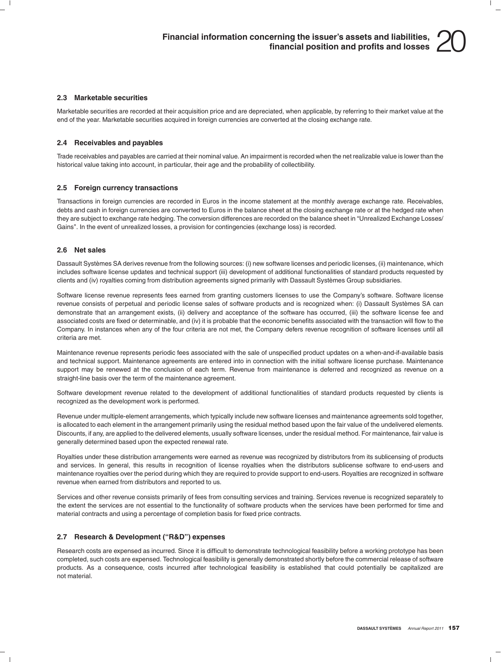#### **2.3 Marketable securities**

Marketable securities are recorded at their acquisition price and are depreciated, when applicable, by referring to their market value at the end of the year. Marketable securities acquired in foreign currencies are converted at the closing exchange rate.

#### **2.4 Receivables and payables**

Trade receivables and payables are carried at their nominal value. An impairment is recorded when the net realizable value is lower than the historical value taking into account, in particular, their age and the probability of collectibility.

#### **2.5 Foreign currency transactions**

Transactions in foreign currencies are recorded in Euros in the income statement at the monthly average exchange rate. Receivables, debts and cash in foreign currencies are converted to Euros in the balance sheet at the closing exchange rate or at the hedged rate when they are subject to exchange rate hedging. The conversion differences are recorded on the balance sheet in ''Unrealized Exchange Losses/ Gains''. In the event of unrealized losses, a provision for contingencies (exchange loss) is recorded.

#### **2.6 Net sales**

Dassault Systèmes SA derives revenue from the following sources: (i) new software licenses and periodic licenses, (ii) maintenance, which includes software license updates and technical support (iii) development of additional functionalities of standard products requested by clients and (iv) royalties coming from distribution agreements signed primarily with Dassault Systemes Group subsidiaries. `

Software license revenue represents fees earned from granting customers licenses to use the Company's software. Software license revenue consists of perpetual and periodic license sales of software products and is recognized when: (i) Dassault Systèmes SA can demonstrate that an arrangement exists, (ii) delivery and acceptance of the software has occurred, (iii) the software license fee and associated costs are fixed or determinable, and (iv) it is probable that the economic benefits associated with the transaction will flow to the Company. In instances when any of the four criteria are not met, the Company defers revenue recognition of software licenses until all criteria are met.

Maintenance revenue represents periodic fees associated with the sale of unspecified product updates on a when-and-if-available basis and technical support. Maintenance agreements are entered into in connection with the initial software license purchase. Maintenance support may be renewed at the conclusion of each term. Revenue from maintenance is deferred and recognized as revenue on a straight-line basis over the term of the maintenance agreement.

Software development revenue related to the development of additional functionalities of standard products requested by clients is recognized as the development work is performed.

Revenue under multiple-element arrangements, which typically include new software licenses and maintenance agreements sold together, is allocated to each element in the arrangement primarily using the residual method based upon the fair value of the undelivered elements. Discounts, if any, are applied to the delivered elements, usually software licenses, under the residual method. For maintenance, fair value is generally determined based upon the expected renewal rate.

Royalties under these distribution arrangements were earned as revenue was recognized by distributors from its sublicensing of products and services. In general, this results in recognition of license royalties when the distributors sublicense software to end-users and maintenance royalties over the period during which they are required to provide support to end-users. Royalties are recognized in software revenue when earned from distributors and reported to us.

Services and other revenue consists primarily of fees from consulting services and training. Services revenue is recognized separately to the extent the services are not essential to the functionality of software products when the services have been performed for time and material contracts and using a percentage of completion basis for fixed price contracts.

#### **2.7 Research & Development (''R&D'') expenses**

Research costs are expensed as incurred. Since it is difficult to demonstrate technological feasibility before a working prototype has been completed, such costs are expensed. Technological feasibility is generally demonstrated shortly before the commercial release of software products. As a consequence, costs incurred after technological feasibility is established that could potentially be capitalized are not material.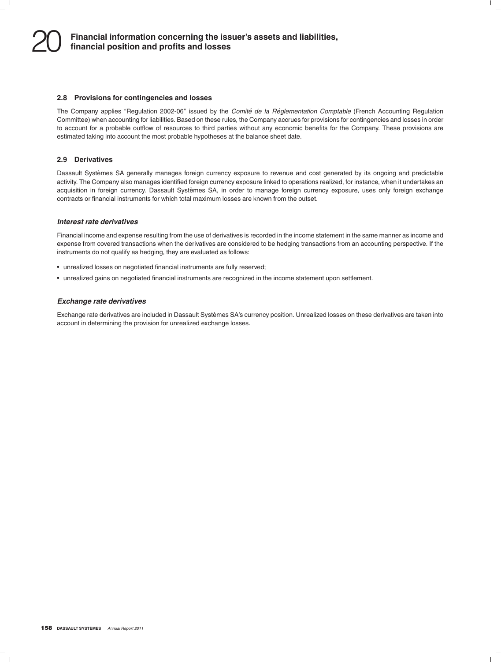#### **2.8 Provisions for contingencies and losses**

The Company applies "Regulation 2002-06" issued by the *Comité de la Réglementation Comptable* (French Accounting Regulation Committee) when accounting for liabilities. Based on these rules, the Company accrues for provisions for contingencies and losses in order to account for a probable outflow of resources to third parties without any economic benefits for the Company. These provisions are estimated taking into account the most probable hypotheses at the balance sheet date.

#### **2.9 Derivatives**

Dassault Systèmes SA generally manages foreign currency exposure to revenue and cost generated by its ongoing and predictable activity. The Company also manages identified foreign currency exposure linked to operations realized, for instance, when it undertakes an acquisition in foreign currency. Dassault Systèmes SA, in order to manage foreign currency exposure, uses only foreign exchange contracts or financial instruments for which total maximum losses are known from the outset.

#### *Interest rate derivatives*

Financial income and expense resulting from the use of derivatives is recorded in the income statement in the same manner as income and expense from covered transactions when the derivatives are considered to be hedging transactions from an accounting perspective. If the instruments do not qualify as hedging, they are evaluated as follows:

- unrealized losses on negotiated financial instruments are fully reserved;
- unrealized gains on negotiated financial instruments are recognized in the income statement upon settlement.

#### *Exchange rate derivatives*

Exchange rate derivatives are included in Dassault Systèmes SA's currency position. Unrealized losses on these derivatives are taken into account in determining the provision for unrealized exchange losses.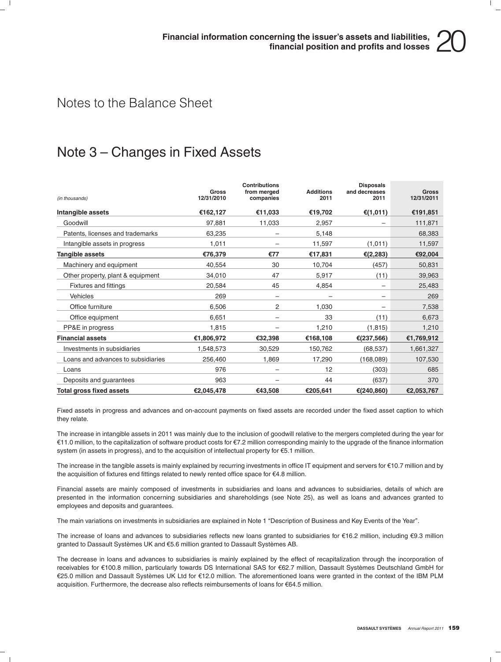### Notes to the Balance Sheet

### Note 3 – Changes in Fixed Assets

| (in thousands)                     | Gross<br>12/31/2010 | <b>Contributions</b><br>from merged<br>companies | <b>Additions</b><br>2011 | <b>Disposals</b><br>and decreases<br>2011 | <b>Gross</b><br>12/31/2011 |
|------------------------------------|---------------------|--------------------------------------------------|--------------------------|-------------------------------------------|----------------------------|
| Intangible assets                  | €162,127            | €11,033                                          | €19,702                  | € $(1,011)$                               | €191,851                   |
| Goodwill                           | 97,881              | 11,033                                           | 2,957                    |                                           | 111,871                    |
| Patents, licenses and trademarks   | 63,235              |                                                  | 5,148                    |                                           | 68,383                     |
| Intangible assets in progress      | 1,011               |                                                  | 11,597                   | (1,011)                                   | 11,597                     |
| Tangible assets                    | €76,379             | €77                                              | €17,831                  | € $(2, 283)$                              | €92,004                    |
| Machinery and equipment            | 40,554              | 30                                               | 10,704                   | (457)                                     | 50,831                     |
| Other property, plant & equipment  | 34,010              | 47                                               | 5,917                    | (11)                                      | 39,963                     |
| <b>Fixtures and fittings</b>       | 20,584              | 45<br>4,854                                      |                          | 25,483                                    |                            |
| <b>Vehicles</b>                    | 269                 | -                                                |                          | -                                         | 269                        |
| Office furniture                   | 6,506               | 2                                                | 1,030                    |                                           | 7,538                      |
| Office equipment                   | 6,651               |                                                  | 33                       | (11)                                      | 6,673                      |
| PP&E in progress                   | 1,815               |                                                  | 1,210                    | (1, 815)                                  | 1,210                      |
| <b>Financial assets</b>            | €1,806,972          | €32,398                                          | €168,108                 | € $(237,566)$                             | €1,769,912                 |
| Investments in subsidiaries        | 1,548,573           | 30,529                                           | 150,762                  | (68, 537)                                 | 1,661,327                  |
| Loans and advances to subsidiaries | 256,460             | 1,869                                            | 17,290                   | (168,089)                                 | 107,530                    |
| Loans                              | 976                 |                                                  | 12                       | (303)                                     | 685                        |
| Deposits and guarantees            | 963                 |                                                  | 44                       | (637)                                     | 370                        |
| <b>Total gross fixed assets</b>    | €2,045,478          | €43,508                                          | €205,641                 | € $(240, 860)$                            | €2,053,767                 |

Fixed assets in progress and advances and on-account payments on fixed assets are recorded under the fixed asset caption to which they relate.

The increase in intangible assets in 2011 was mainly due to the inclusion of goodwill relative to the mergers completed during the year for e11.0 million, to the capitalization of software product costs for e7.2 million corresponding mainly to the upgrade of the finance information system (in assets in progress), and to the acquisition of intellectual property for €5.1 million.

The increase in the tangible assets is mainly explained by recurring investments in office IT equipment and servers for  $\epsilon$ 10.7 million and by the acquisition of fixtures end fittings related to newly rented office space for  $\epsilon$ 4.8 million.

Financial assets are mainly composed of investments in subsidiaries and loans and advances to subsidiaries, details of which are presented in the information concerning subsidiaries and shareholdings (see Note 25), as well as loans and advances granted to employees and deposits and guarantees.

The main variations on investments in subsidiaries are explained in Note 1 ''Description of Business and Key Events of the Year''.

The increase of loans and advances to subsidiaries reflects new loans granted to subsidiaries for €16.2 million, including €9.3 million granted to Dassault Systèmes UK and €5.6 million granted to Dassault Systèmes AB.

The decrease in loans and advances to subsidiaries is mainly explained by the effect of recapitalization through the incorporation of receivables for €100.8 million, particularly towards DS International SAS for €62.7 million, Dassault Systèmes Deutschland GmbH for €25.0 million and Dassault Systèmes UK Ltd for €12.0 million. The aforementioned loans were granted in the context of the IBM PLM acquisition. Furthermore, the decrease also reflects reimbursements of loans for €64.5 million.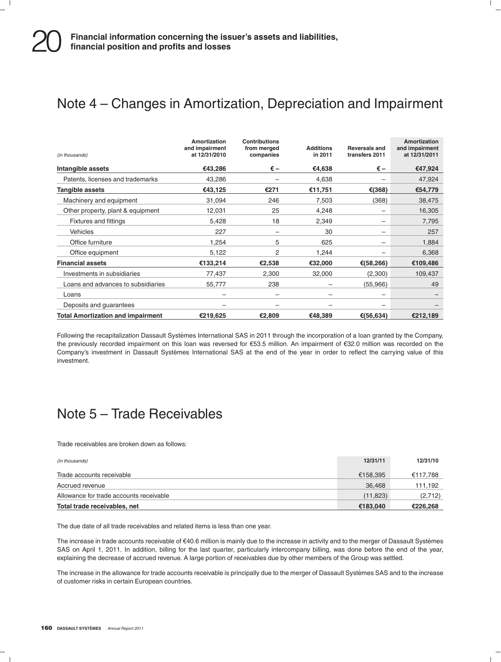### Note 4 – Changes in Amortization, Depreciation and Impairment

| (in thousands)                           | Amortization<br>and impairment<br>at 12/31/2010 | <b>Contributions</b><br>from merged<br>companies | <b>Additions</b><br>in 2011 | <b>Reversals and</b><br>transfers 2011 | Amortization<br>and impairment<br>at 12/31/2011 |
|------------------------------------------|-------------------------------------------------|--------------------------------------------------|-----------------------------|----------------------------------------|-------------------------------------------------|
| Intangible assets                        | €43,286                                         | $\epsilon$ –                                     | €4,638                      | $\epsilon$ –                           | €47,924                                         |
| Patents, licenses and trademarks         | 43,286                                          |                                                  | 4,638                       |                                        | 47,924                                          |
| <b>Tangible assets</b>                   | €43,125                                         | €271                                             | €11,751                     | €(368)                                 | €54,779                                         |
| Machinery and equipment                  | 31,094                                          | 246                                              | 7,503                       | (368)                                  | 38,475                                          |
| Other property, plant & equipment        | 12,031                                          | 25                                               | 4,248                       | $\overline{\phantom{0}}$               | 16,305                                          |
| <b>Fixtures and fittings</b>             | 5,428                                           | 18                                               | 2,349                       | -                                      | 7,795                                           |
| <b>Vehicles</b>                          | 227                                             |                                                  | 30                          | -                                      | 257                                             |
| Office furniture                         | 1,254                                           | 5                                                | 625                         | -                                      | 1,884                                           |
| Office equipment                         | 5,122                                           | 2                                                | 1,244                       |                                        | 6,368                                           |
| <b>Financial assets</b>                  | €133,214                                        | €2,538                                           | €32,000                     | €(58,266)                              | €109,486                                        |
| Investments in subsidiaries              | 77,437                                          | 2,300                                            | 32,000                      | (2,300)                                | 109,437                                         |
| Loans and advances to subsidiaries       | 55,777                                          | 238                                              |                             | (55,966)                               | 49                                              |
| Loans                                    | $\overline{\phantom{0}}$                        |                                                  |                             | $\overline{\phantom{0}}$               |                                                 |
| Deposits and guarantees                  |                                                 |                                                  |                             |                                        |                                                 |
| <b>Total Amortization and impairment</b> | €219,625                                        | €2,809                                           | €48,389                     | €(56,634)                              | €212,189                                        |

Following the recapitalization Dassault Systèmes International SAS in 2011 through the incorporation of a loan granted by the Company, the previously recorded impairment on this loan was reversed for e53.5 million. An impairment of e32.0 million was recorded on the Company's investment in Dassault Systemes International SAS at the end of the year in order to reflect the carrying value of this ` investment.

### Note 5 – Trade Receivables

Trade receivables are broken down as follows:

| Total trade receivables, net            | €183,040  | €226.268 |
|-----------------------------------------|-----------|----------|
| Allowance for trade accounts receivable | (11, 823) | (2,712)  |
| Accrued revenue                         | 36.468    | 111,192  |
| Trade accounts receivable               | €158,395  | €117,788 |
| (In thousands)                          | 12/31/11  | 12/31/10 |

The due date of all trade receivables and related items is less than one year.

The increase in trade accounts receivable of  $€40.6$  million is mainly due to the increase in activity and to the merger of Dassault Systèmes SAS on April 1, 2011. In addition, billing for the last quarter, particularly intercompany billing, was done before the end of the year, explaining the decrease of accrued revenue. A large portion of receivables due by other members of the Group was settled.

The increase in the allowance for trade accounts receivable is principally due to the merger of Dassault Systèmes SAS and to the increase of customer risks in certain European countries.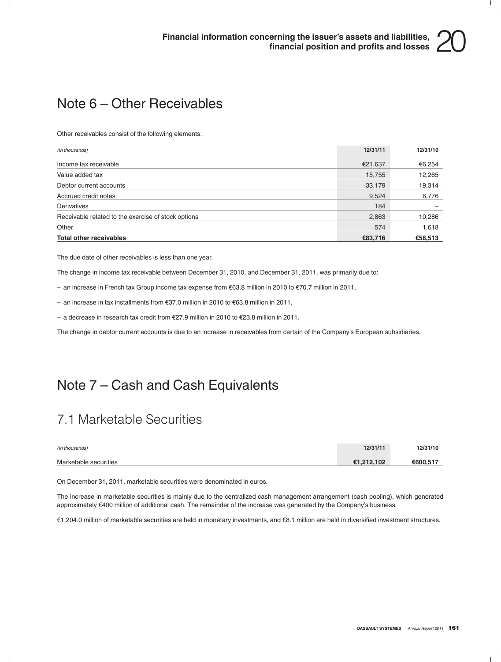### Note 6 – Other Receivables

Other receivables consist of the following elements:

| (In thousands)                                      | 12/31/11 | 12/31/10 |
|-----------------------------------------------------|----------|----------|
| Income tax receivable                               | €21,637  | €6,254   |
| Value added tax                                     | 15,755   | 12,265   |
| Debtor current accounts                             | 33,179   | 19,314   |
| Accrued credit notes                                | 9,524    | 8,776    |
| Derivatives                                         | 184      |          |
| Receivable related to the exercise of stock options | 2,863    | 10,286   |
| Other                                               | 574      | 1,618    |
| <b>Total other receivables</b>                      | €83.716  | €58,513  |

The due date of other receivables is less than one year.

The change in income tax receivable between December 31, 2010, and December 31, 2011, was primarily due to:

– an increase in French tax Group income tax expense from  $\epsilon$ 63.8 million in 2010 to  $\epsilon$ 70.7 million in 2011,

– an increase in tax installments from  $\epsilon$ 37.0 million in 2010 to  $\epsilon$ 63.8 million in 2011,

– a decrease in research tax credit from  $E27.9$  million in 2010 to  $E23.8$  million in 2011.

The change in debtor current accounts is due to an increase in receivables from certain of the Company's European subsidiaries.

### Note 7 – Cash and Cash Equivalents

### 7.1 Marketable Securities

| (In thousands)        | 12/31/11   | 12/31/10 |
|-----------------------|------------|----------|
| Marketable securities | €1.212.102 | €600.517 |

On December 31, 2011, marketable securities were denominated in euros.

The increase in marketable securities is mainly due to the centralized cash management arrangement (cash pooling), which generated approximately e400 million of additional cash. The remainder of the increase was generated by the Company's business.

e1,204.0 million of marketable securities are held in monetary investments, and e8.1 million are held in diversified investment structures.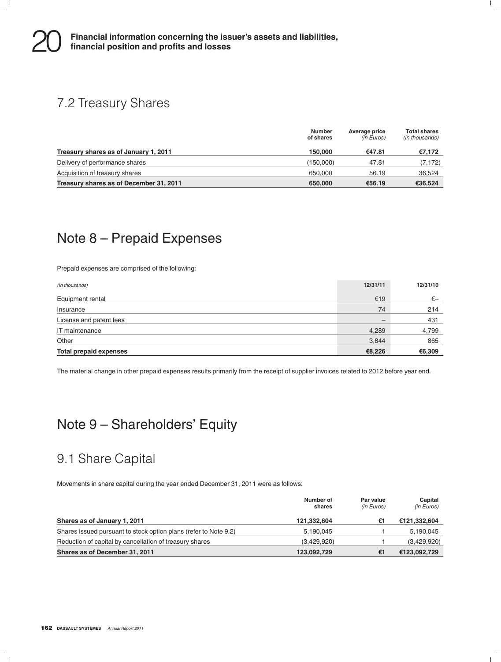### 7.2 Treasury Shares

|                                         | <b>Number</b><br>of shares | Average price<br>(in Euros) | <b>Total shares</b><br>(in thousands) |
|-----------------------------------------|----------------------------|-----------------------------|---------------------------------------|
| Treasury shares as of January 1, 2011   | 150,000                    | €47.81                      | €7,172                                |
| Delivery of performance shares          | (150.000)                  | 47.81                       | (7, 172)                              |
| Acquisition of treasury shares          | 650,000                    | 56.19                       | 36,524                                |
| Treasury shares as of December 31, 2011 | 650,000                    | €56.19                      | €36,524                               |

### Note 8 – Prepaid Expenses

Prepaid expenses are comprised of the following:

| (In thousands)                | 12/31/11 | 12/31/10 |
|-------------------------------|----------|----------|
| Equipment rental              | €19      | €–       |
| Insurance                     | 74       | 214      |
| License and patent fees       |          | 431      |
| IT maintenance                | 4,289    | 4,799    |
| Other                         | 3,844    | 865      |
| <b>Total prepaid expenses</b> | €8,226   | €6,309   |

The material change in other prepaid expenses results primarily from the receipt of supplier invoices related to 2012 before year end.

## Note 9 – Shareholders' Equity

### 9.1 Share Capital

Movements in share capital during the year ended December 31, 2011 were as follows:

|                                                                  | Number of<br>shares | Par value<br>(in Euros) | Capital<br>(in Euros) |
|------------------------------------------------------------------|---------------------|-------------------------|-----------------------|
| Shares as of January 1, 2011                                     | 121,332,604         | €1                      | €121,332,604          |
| Shares issued pursuant to stock option plans (refer to Note 9.2) | 5,190,045           |                         | 5,190,045             |
| Reduction of capital by cancellation of treasury shares          | (3,429,920)         |                         | (3,429,920)           |
| Shares as of December 31, 2011                                   | 123,092,729         | €1                      | €123,092,729          |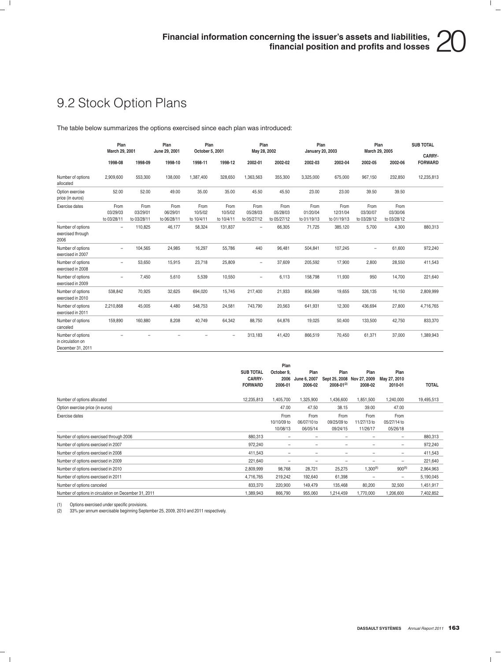## 9.2 Stock Option Plans

The table below summarizes the options exercised since each plan was introduced:

|                                                             | Plan<br>March 29, 2001          |                                 | Plan<br>June 29, 2001           |                               | Plan<br>October 5, 2001       |                                 | Plan<br>Plan<br>Plan<br>March 29, 2005<br>May 28, 2002<br><b>January 20, 2003</b> |                                 |                                 |                                 |                                 | <b>SUB TOTAL</b><br>CARRY- |
|-------------------------------------------------------------|---------------------------------|---------------------------------|---------------------------------|-------------------------------|-------------------------------|---------------------------------|-----------------------------------------------------------------------------------|---------------------------------|---------------------------------|---------------------------------|---------------------------------|----------------------------|
|                                                             | 1998-08                         | 1998-09                         | 1998-10                         | 1998-11                       | 1998-12                       | 2002-01                         | 2002-02                                                                           | 2002-03                         | 2002-04                         | 2002-05                         | 2002-06                         | <b>FORWARD</b>             |
| Number of options<br>allocated                              | 2,909,600                       | 553,300                         | 138,000                         | 1,387,400                     | 328,650                       | 1,363,563                       | 355,300                                                                           | 3,325,000                       | 675,000                         | 967,150                         | 232,850                         | 12,235,813                 |
| Option exercise<br>price (in euros)                         | 52.00                           | 52.00                           | 49.00                           | 35.00                         | 35.00                         | 45.50                           | 45.50                                                                             | 23.00                           | 23.00                           | 39.50                           | 39.50                           |                            |
| Exercise dates                                              | From<br>03/29/03<br>to 03/28/11 | From<br>03/29/01<br>to 03/28/11 | From<br>06/29/01<br>to 06/28/11 | From<br>10/5/02<br>to 10/4/11 | From<br>10/5/02<br>to 10/4/11 | From<br>05/28/03<br>to 05/27/12 | From<br>05/28/03<br>to 05/27/12                                                   | From<br>01/20/04<br>to 01/19/13 | From<br>12/31/04<br>to 01/19/13 | From<br>03/30/07<br>to 03/28/12 | From<br>03/30/06<br>to 03/28/12 |                            |
| Number of options<br>exercised through<br>2006              | $\overline{\phantom{m}}$        | 110,825                         | 46,177                          | 58,324                        | 131,837                       | $\overline{\phantom{0}}$        | 66,305                                                                            | 71,725                          | 385,120                         | 5,700                           | 4,300                           | 880,313                    |
| Number of options<br>exercised in 2007                      | $\overline{\phantom{m}}$        | 104,565                         | 24,985                          | 16,297                        | 55,786                        | 440                             | 96.481                                                                            | 504,841                         | 107,245                         | $\equiv$                        | 61,600                          | 972,240                    |
| Number of options<br>exercised in 2008                      | $\overline{\phantom{a}}$        | 53,650                          | 15,915                          | 23,718                        | 25,809                        | $\overline{\phantom{0}}$        | 37,609                                                                            | 205,592                         | 17,900                          | 2,800                           | 28,550                          | 411,543                    |
| Number of options<br>exercised in 2009                      | $\overline{\phantom{a}}$        | 7,450                           | 5,610                           | 5,539                         | 10,550                        | $\overline{\phantom{0}}$        | 6,113                                                                             | 158,798                         | 11,930                          | 950                             | 14,700                          | 221,640                    |
| Number of options<br>exercised in 2010                      | 538,842                         | 70,925                          | 32,625                          | 694,020                       | 15,745                        | 217,400                         | 21,933                                                                            | 856,569                         | 19,655                          | 326,135                         | 16,150                          | 2,809,999                  |
| Number of options<br>exercised in 2011                      | 2,210,868                       | 45,005                          | 4,480                           | 548,753                       | 24,581                        | 743,790                         | 20,563                                                                            | 641,931                         | 12,300                          | 436,694                         | 27,800                          | 4,716,765                  |
| Number of options<br>canceled                               | 159,890                         | 160,880                         | 8,208                           | 40,749                        | 64,342                        | 88,750                          | 64,876                                                                            | 19,025                          | 50,400                          | 133,500                         | 42,750                          | 833,370                    |
| Number of options<br>in circulation on<br>December 31, 2011 |                                 |                                 | -                               | $\overline{\phantom{0}}$      | $\overline{\phantom{a}}$      | 313,183                         | 41,420                                                                            | 866,519                         | 70,450                          | 61,371                          | 37,000                          | 1,389,943                  |

|                                                       | <b>SUB TOTAL</b><br>CARRY-<br><b>FORWARD</b> | Plan<br>October 9,<br>2006<br>2006-01 | Plan<br>June 6, 2007<br>2006-02 | Plan<br>Sept 25, 2008 Nov 27, 2009<br>2008-01(2) | Plan<br>2008-02                 | Plan<br>May 27, 2010<br>2010-01 | <b>TOTAL</b> |
|-------------------------------------------------------|----------------------------------------------|---------------------------------------|---------------------------------|--------------------------------------------------|---------------------------------|---------------------------------|--------------|
| Number of options allocated                           | 12,235,813                                   | 1,405,700                             | 1,325,900                       | 1,436,600                                        | 1,851,500                       | 1,240,000                       | 19,495,513   |
| Option exercise price (in euros)                      |                                              | 47.00                                 | 47.50                           | 38.15                                            | 39.00                           | 47.00                           |              |
| Exercise dates                                        |                                              | From<br>10/10/09 to<br>10/08/13       | From<br>06/07/10 to<br>06/05/14 | From<br>09/25/09 to<br>09/24/15                  | From<br>11/27/13 to<br>11/26/17 | From<br>05/27/14 to<br>05/26/18 |              |
| Number of options exercised through 2006              | 880,313                                      | $\qquad \qquad -$                     | -                               | -                                                | -                               | $\qquad \qquad -$               | 880,313      |
| Number of options exercised in 2007                   | 972,240                                      | $\qquad \qquad -$                     | -                               | -                                                | -                               | $\qquad \qquad -$               | 972,240      |
| Number of options exercised in 2008                   | 411,543                                      | $\qquad \qquad -$                     | $\overline{\phantom{0}}$        | -                                                | -                               | $\qquad \qquad -$               | 411,543      |
| Number of options exercised in 2009                   | 221,640                                      | $\qquad \qquad -$                     | $\overline{\phantom{0}}$        | -                                                | -                               | $\qquad \qquad -$               | 221,640      |
| Number of options exercised in 2010                   | 2,809,999                                    | 98,768                                | 28,721                          | 25,275                                           | $1,300^{(1)}$                   | $900^{(1)}$                     | 2,964,963    |
| Number of options exercised in 2011                   | 4,716,765                                    | 219,242                               | 192,640                         | 61,398                                           | -                               | $\qquad \qquad -$               | 5,190,045    |
| Number of options canceled                            | 833,370                                      | 220,900                               | 149,479                         | 135,468                                          | 80,200                          | 32,500                          | 1,451,917    |
| Number of options in circulation on December 31, 2011 | 1,389,943                                    | 866,790                               | 955,060                         | 1,214,459                                        | 1,770,000                       | 1,206,600                       | 7,402,852    |

(1) Options exercised under specific provisions.<br>(2) 33% per annum exercisable beginning Septe (2) 33% per annum exercisable beginning September 25, 2009, 2010 and 2011 respectively.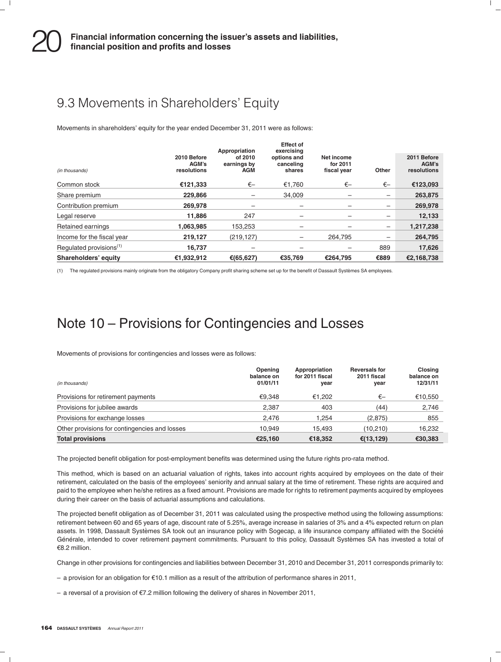### 9.3 Movements in Shareholders' Equity

Movements in shareholders' equity for the year ended December 31, 2011 were as follows:

|                                     | 2010 Before          | Appropriation<br>of 2010  | <b>Effect of</b><br>exercising<br>options and | Net income              |                          | 2011 Before          |
|-------------------------------------|----------------------|---------------------------|-----------------------------------------------|-------------------------|--------------------------|----------------------|
| (in thousands)                      | AGM's<br>resolutions | earnings by<br><b>AGM</b> | canceling<br>shares                           | for 2011<br>fiscal year | Other                    | AGM's<br>resolutions |
| Common stock                        | €121,333             | €–                        | €1.760                                        | €—                      | €–                       | €123,093             |
| Share premium                       | 229.866              |                           | 34.009                                        |                         | $\overline{\phantom{m}}$ | 263,875              |
| Contribution premium                | 269.978              |                           |                                               |                         | -                        | 269,978              |
| Legal reserve                       | 11.886               | 247                       | -                                             |                         | -                        | 12,133               |
| Retained earnings                   | 1,063,985            | 153.253                   |                                               |                         | $\qquad \qquad -$        | 1,217,238            |
| Income for the fiscal year          | 219,127              | (219, 127)                | -                                             | 264.795                 | $\qquad \qquad -$        | 264,795              |
| Regulated provisions <sup>(1)</sup> | 16.737               |                           |                                               |                         | 889                      | 17,626               |
| Shareholders' equity                | €1,932,912           | €(65,627)                 | €35.769                                       | €264.795                | €889                     | €2,168,738           |

(1) The regulated provisions mainly originate from the obligatory Company profit sharing scheme set up for the benefit of Dassault Systemes SA employees. `

### Note 10 – Provisions for Contingencies and Losses

Movements of provisions for contingencies and losses were as follows:

| (in thousands)                                | Opening<br>balance on<br>01/01/11 | Appropriation<br>for 2011 fiscal<br>year | <b>Reversals for</b><br>2011 fiscal<br>year | <b>Closing</b><br>balance on<br>12/31/11 |
|-----------------------------------------------|-----------------------------------|------------------------------------------|---------------------------------------------|------------------------------------------|
| Provisions for retirement payments            | €9.348                            | €1.202                                   | €—                                          | €10,550                                  |
| Provisions for jubilee awards                 | 2.387                             | 403                                      | (44)                                        | 2,746                                    |
| Provisions for exchange losses                | 2.476                             | 1.254                                    | (2,875)                                     | 855                                      |
| Other provisions for contingencies and losses | 10.949                            | 15.493                                   | (10, 210)                                   | 16,232                                   |
| <b>Total provisions</b>                       | €25.160                           | €18.352                                  | €(13,129)                                   | €30,383                                  |

The projected benefit obligation for post-employment benefits was determined using the future rights pro-rata method.

This method, which is based on an actuarial valuation of rights, takes into account rights acquired by employees on the date of their retirement, calculated on the basis of the employees' seniority and annual salary at the time of retirement. These rights are acquired and paid to the employee when he/she retires as a fixed amount. Provisions are made for rights to retirement payments acquired by employees during their career on the basis of actuarial assumptions and calculations.

The projected benefit obligation as of December 31, 2011 was calculated using the prospective method using the following assumptions: retirement between 60 and 65 years of age, discount rate of 5.25%, average increase in salaries of 3% and a 4% expected return on plan assets. In 1998, Dassault Systèmes SA took out an insurance policy with Sogecap, a life insurance company affiliated with the Société Générale, intended to cover retirement payment commitments. Pursuant to this policy, Dassault Systèmes SA has invested a total of €8.2 million.

Change in other provisions for contingencies and liabilities between December 31, 2010 and December 31, 2011 corresponds primarily to:

– a provision for an obligation for  $\epsilon$ 10.1 million as a result of the attribution of performance shares in 2011,

– a reversal of a provision of  $\epsilon$ 7.2 million following the delivery of shares in November 2011,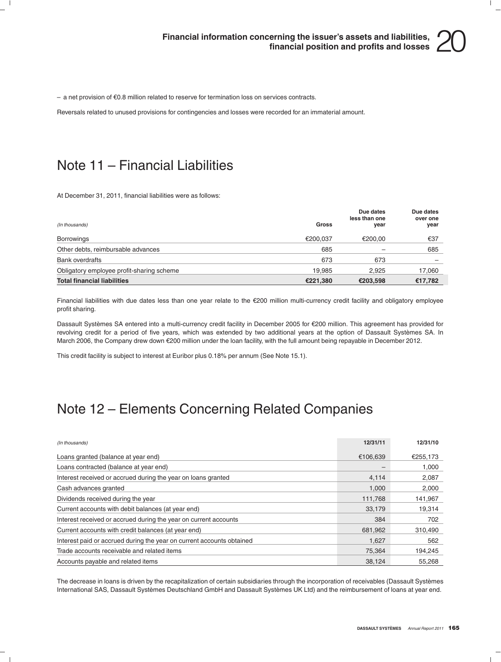$-$  a net provision of  $\epsilon$ 0.8 million related to reserve for termination loss on services contracts.

Reversals related to unused provisions for contingencies and losses were recorded for an immaterial amount.

### Note 11 – Financial Liabilities

At December 31, 2011, financial liabilities were as follows:

| (In thousands)                            | <b>Gross</b> | Due dates<br>less than one<br>year | Due dates<br>over one<br>year |
|-------------------------------------------|--------------|------------------------------------|-------------------------------|
| <b>Borrowings</b>                         | €200.037     | €200.00                            | €37                           |
| Other debts, reimbursable advances        | 685          |                                    | 685                           |
| <b>Bank overdrafts</b>                    | 673          | 673                                |                               |
| Obligatory employee profit-sharing scheme | 19.985       | 2.925                              | 17,060                        |
| <b>Total financial liabilities</b>        | €221,380     | €203.598                           | €17,782                       |

Financial liabilities with due dates less than one year relate to the €200 million multi-currency credit facility and obligatory employee profit sharing.

Dassault Systèmes SA entered into a multi-currency credit facility in December 2005 for €200 million. This agreement has provided for revolving credit for a period of five years, which was extended by two additional years at the option of Dassault Systemes SA. In ` March 2006, the Company drew down €200 million under the loan facility, with the full amount being repayable in December 2012.

This credit facility is subject to interest at Euribor plus 0.18% per annum (See Note 15.1).

### Note 12 – Elements Concerning Related Companies

| (In thousands)                                                        | 12/31/11 | 12/31/10 |
|-----------------------------------------------------------------------|----------|----------|
| Loans granted (balance at year end)                                   | €106,639 | €255,173 |
| Loans contracted (balance at year end)                                |          | 1,000    |
| Interest received or accrued during the year on loans granted         | 4,114    | 2,087    |
| Cash advances granted                                                 | 1,000    | 2,000    |
| Dividends received during the year                                    | 111,768  | 141,967  |
| Current accounts with debit balances (at year end)                    | 33,179   | 19.314   |
| Interest received or accrued during the year on current accounts      | 384      | 702      |
| Current accounts with credit balances (at year end)                   | 681,962  | 310,490  |
| Interest paid or accrued during the year on current accounts obtained | 1,627    | 562      |
| Trade accounts receivable and related items                           | 75,364   | 194,245  |
| Accounts payable and related items                                    | 38.124   | 55.268   |

The decrease in loans is driven by the recapitalization of certain subsidiaries through the incorporation of receivables (Dassault Systèmes International SAS, Dassault Systèmes Deutschland GmbH and Dassault Systèmes UK Ltd) and the reimbursement of loans at year end.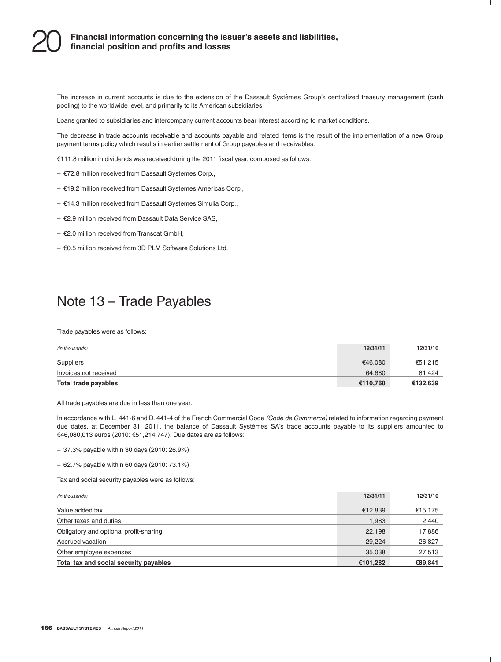# **Financial information concerning the issuer's assets and liabilities,** 20 **financial position and profits and losses**

The increase in current accounts is due to the extension of the Dassault Systèmes Group's centralized treasury management (cash pooling) to the worldwide level, and primarily to its American subsidiaries.

Loans granted to subsidiaries and intercompany current accounts bear interest according to market conditions.

The decrease in trade accounts receivable and accounts payable and related items is the result of the implementation of a new Group payment terms policy which results in earlier settlement of Group payables and receivables.

 $E111.8$  million in dividends was received during the 2011 fiscal year, composed as follows:

- $E$ 72.8 million received from Dassault Systèmes Corp.,
- $E$ 19.2 million received from Dassault Systèmes Americas Corp.,
- $E$ 14.3 million received from Dassault Systèmes Simulia Corp.,
- $E$ 2.9 million received from Dassault Data Service SAS,
- $E$ 2.0 million received from Transcat GmbH,
- $\epsilon$ 0.5 million received from 3D PLM Software Solutions Ltd.

### Note 13 – Trade Payables

Trade payables were as follows:

| (in thousands)        | 12/31/11 | 12/31/10 |
|-----------------------|----------|----------|
| Suppliers             | €46.080  | €51.215  |
| Invoices not received | 64.680   | 81.424   |
| Total trade payables  | €110.760 | €132,639 |

All trade payables are due in less than one year.

In accordance with L. 441-6 and D. 441-4 of the French Commercial Code *(Code de Commerce)* related to information regarding payment due dates, at December 31, 2011, the balance of Dassault Systèmes SA's trade accounts payable to its suppliers amounted to €46,080,013 euros (2010: €51,214,747). Due dates are as follows:

– 37.3% payable within 30 days (2010: 26.9%)

– 62.7% payable within 60 days (2010: 73.1%)

Tax and social security payables were as follows:

| Total tax and social security payables | €101,282 | €89,841  |
|----------------------------------------|----------|----------|
| Other employee expenses                | 35,038   | 27,513   |
| Accrued vacation                       | 29,224   | 26,827   |
| Obligatory and optional profit-sharing | 22.198   | 17,886   |
| Other taxes and duties                 | 1,983    | 2,440    |
| Value added tax                        | €12,839  | €15,175  |
| (in thousands)                         | 12/31/11 | 12/31/10 |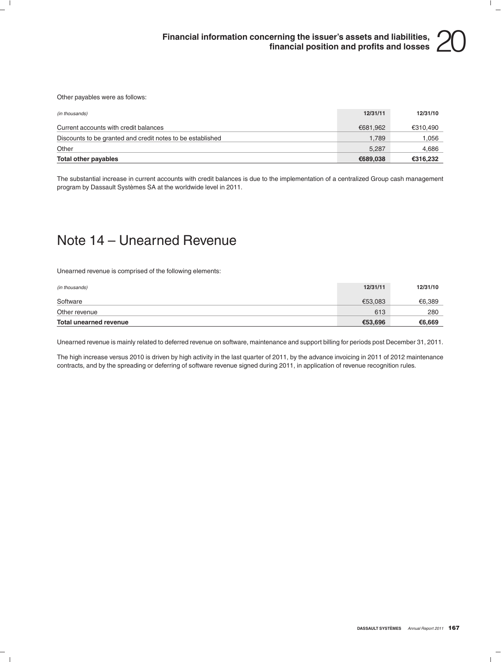Other payables were as follows:

| Total other payables                                       | €689.038 | €316,232 |
|------------------------------------------------------------|----------|----------|
| Other                                                      | 5.287    | 4.686    |
| Discounts to be granted and credit notes to be established | 1.789    | 1.056    |
| Current accounts with credit balances                      | €681.962 | €310,490 |
| (in thousands)                                             | 12/31/11 | 12/31/10 |

The substantial increase in current accounts with credit balances is due to the implementation of a centralized Group cash management program by Dassault Systèmes SA at the worldwide level in 2011.

### Note 14 – Unearned Revenue

Unearned revenue is comprised of the following elements:

| <b>Total unearned revenue</b> | €53,696  | €6,669   |
|-------------------------------|----------|----------|
| Other revenue                 | 613      | 280      |
| Software                      | €53.083  | €6.389   |
| (in thousands)                | 12/31/11 | 12/31/10 |

Unearned revenue is mainly related to deferred revenue on software, maintenance and support billing for periods post December 31, 2011.

The high increase versus 2010 is driven by high activity in the last quarter of 2011, by the advance invoicing in 2011 of 2012 maintenance contracts, and by the spreading or deferring of software revenue signed during 2011, in application of revenue recognition rules.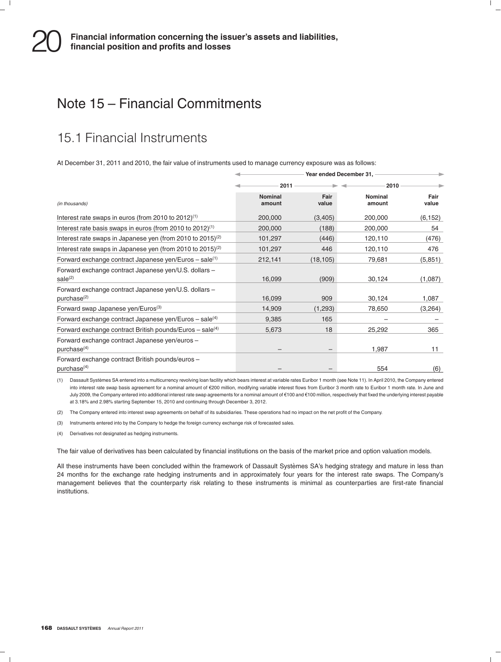### Note 15 – Financial Commitments

### 15.1 Financial Instruments

At December 31, 2011 and 2010, the fair value of instruments used to manage currency exposure was as follows:

|                                                                                  | Year ended December 31,  |               |                   |               |
|----------------------------------------------------------------------------------|--------------------------|---------------|-------------------|---------------|
|                                                                                  | 2011                     |               |                   |               |
| (in thousands)                                                                   | <b>Nominal</b><br>amount | Fair<br>value | Nominal<br>amount | Fair<br>value |
| Interest rate swaps in euros (from 2010 to 2012) <sup>(1)</sup>                  | 200,000                  | (3,405)       | 200,000           | (6, 152)      |
| Interest rate basis swaps in euros (from 2010 to $2012$ ) <sup>(1)</sup>         | 200,000                  | (188)         | 200,000           | 54            |
| Interest rate swaps in Japanese yen (from 2010 to 2015) <sup>(2)</sup>           | 101,297                  | (446)         | 120,110           | (476)         |
| Interest rate swaps in Japanese yen (from 2010 to 2015) <sup>(2)</sup>           | 101,297                  | 446           | 120,110           | 476           |
| Forward exchange contract Japanese yen/Euros $-$ sale <sup>(1)</sup>             | 212,141                  | (18, 105)     | 79,681            | (5, 851)      |
| Forward exchange contract Japanese yen/U.S. dollars -<br>$\text{ sale}^{(2)}$    | 16,099                   | (909)         | 30,124            | (1,087)       |
| Forward exchange contract Japanese yen/U.S. dollars -<br>purchase <sup>(2)</sup> | 16,099                   | 909           | 30,124            | 1,087         |
| Forward swap Japanese yen/Euros <sup>(3)</sup>                                   | 14,909                   | (1,293)       | 78,650            | (3,264)       |
| Forward exchange contract Japanese yen/Euros – sale $(4)$                        | 9,385                    | 165           |                   |               |
| Forward exchange contract British pounds/Euros $-$ sale <sup>(4)</sup>           | 5,673                    | 18            | 25,292            | 365           |
| Forward exchange contract Japanese yen/euros -<br>purchase <sup>(4)</sup>        |                          |               | 1,987             | 11            |
| Forward exchange contract British pounds/euros -<br>purebase <sup>(4)</sup>      |                          |               | 554               | (6)           |

(1) Dassault Systèmes SA entered into a multicurrency revolving Ioan facility which bears interest at variable rates Euribor 1 month (see Note 11). In April 2010, the Company entered into interest rate swap basis agreement for a nominal amount of €200 million, modifying variable interest flows from Euribor 3 month rate to Euribor 1 month rate. In June and July 2009, the Company entered into additional interest rate swap agreements for a nominal amount of €100 and €100 million, respectively that fixed the underlying interest payable at 3.18% and 2.98% starting September 15, 2010 and continuing through December 3, 2012.

(2) The Company entered into interest swap agreements on behalf of its subsidiaries. These operations had no impact on the net profit of the Company.

(3) Instruments entered into by the Company to hedge the foreign currency exchange risk of forecasted sales.

(4) Derivatives not designated as hedging instruments.

The fair value of derivatives has been calculated by financial institutions on the basis of the market price and option valuation models.

All these instruments have been concluded within the framework of Dassault Systèmes SA's hedging strategy and mature in less than 24 months for the exchange rate hedging instruments and in approximately four years for the interest rate swaps. The Company's management believes that the counterparty risk relating to these instruments is minimal as counterparties are first-rate financial institutions.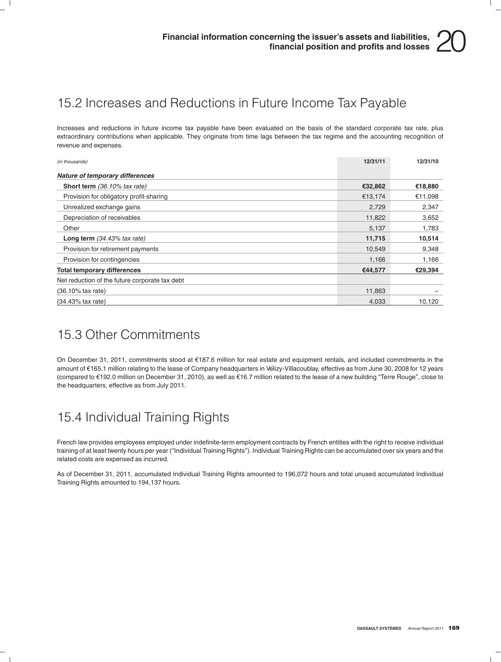### 15.2 Increases and Reductions in Future Income Tax Payable

Increases and reductions in future income tax payable have been evaluated on the basis of the standard corporate tax rate, plus extraordinary contributions when applicable. They originate from time lags between the tax regime and the accounting recognition of revenue and expenses.

| (in thousands)                                 | 12/31/11 | 12/31/10 |
|------------------------------------------------|----------|----------|
| Nature of temporary differences                |          |          |
| <b>Short term</b> (36.10% tax rate)            | €32,862  | €18,880  |
| Provision for obligatory profit-sharing        | €13,174  | €11,098  |
| Unrealized exchange gains                      | 2,729    | 2,347    |
| Depreciation of receivables                    | 11,822   | 3,652    |
| Other                                          | 5,137    | 1,783    |
| Long term $(34.43\%$ tax rate)                 | 11,715   | 10,514   |
| Provision for retirement payments              | 10,549   | 9,348    |
| Provision for contingencies                    | 1,166    | 1,166    |
| <b>Total temporary differences</b>             | €44,577  | €29,394  |
| Net reduction of the future corporate tax debt |          |          |
| $(36.10\%$ tax rate)                           | 11,863   |          |
| $(34.43\%$ tax rate)                           | 4,033    | 10,120   |

### 15.3 Other Commitments

On December 31, 2011, commitments stood at e187.6 million for real estate and equipment rentals, and included commitments in the amount of €165.1 million relating to the lease of Company headquarters in Vélizy-Villacoublay, effective as from June 30, 2008 for 12 years (compared to €192.0 million on December 31, 2010), as well as €16.7 million related to the lease of a new building "Terre Rouge", close to the headquarters, effective as from July 2011.

### 15.4 Individual Training Rights

French law provides employees employed under indefinite-term employment contracts by French entities with the right to receive individual training of at least twenty hours per year (''Individual Training Rights''). Individual Training Rights can be accumulated over six years and the related costs are expensed as incurred.

As of December 31, 2011, accumulated Individual Training Rights amounted to 196,072 hours and total unused accumulated Individual Training Rights amounted to 194,137 hours.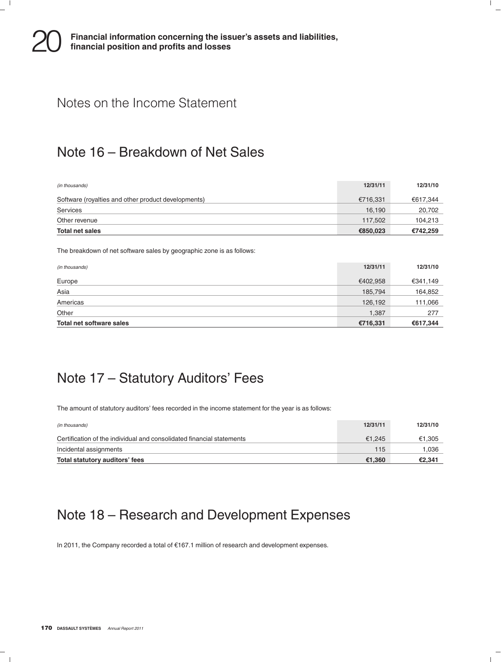### Notes on the Income Statement

### Note 16 – Breakdown of Net Sales

| (in thousands)                                      | 12/31/11 | 12/31/10 |
|-----------------------------------------------------|----------|----------|
| Software (royalties and other product developments) | €716.331 | €617,344 |
| Services                                            | 16.190   | 20,702   |
| Other revenue                                       | 117.502  | 104.213  |
| Total net sales                                     | €850,023 | €742,259 |

The breakdown of net software sales by geographic zone is as follows:

| (in thousands)           | 12/31/11 | 12/31/10 |
|--------------------------|----------|----------|
| Europe                   | €402,958 | €341,149 |
| Asia                     | 185,794  | 164,852  |
| Americas                 | 126,192  | 111,066  |
| Other                    | 1,387    | 277      |
| Total net software sales | €716,331 | €617,344 |

### Note 17 – Statutory Auditors' Fees

The amount of statutory auditors' fees recorded in the income statement for the year is as follows:

| (in thousands)                                                        | 12/31/11 | 12/31/10 |
|-----------------------------------------------------------------------|----------|----------|
| Certification of the individual and consolidated financial statements | €1.245   | €1.305   |
| Incidental assignments                                                | 115      | 1.036    |
| Total statutory auditors' fees                                        | €1.360   | €2.341   |

### Note 18 – Research and Development Expenses

In 2011, the Company recorded a total of e167.1 million of research and development expenses.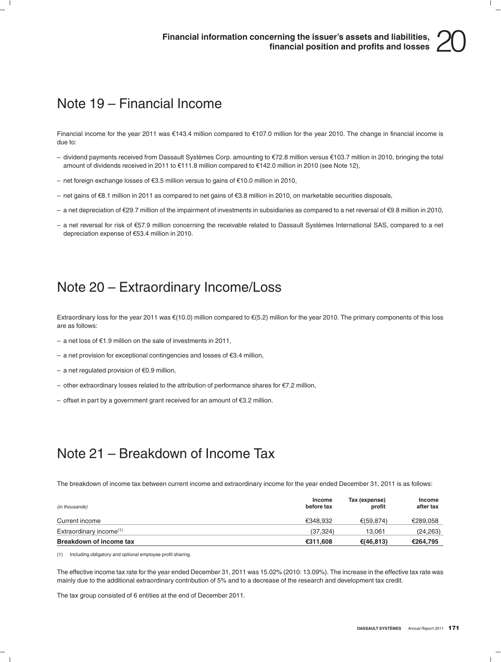### Note 19 – Financial Income

Financial income for the year 2011 was €143.4 million compared to €107.0 million for the year 2010. The change in financial income is due to:

- dividend payments received from Dassault Systèmes Corp. amounting to  $\epsilon$ 72.8 million versus  $\epsilon$ 103.7 million in 2010, bringing the total amount of dividends received in 2011 to €111.8 million compared to €142.0 million in 2010 (see Note 12),
- net foreign exchange losses of  $\epsilon$ 3.5 million versus to gains of  $\epsilon$ 10.0 million in 2010,
- net gains of  $€8.1$  million in 2011 as compared to net gains of  $€3.8$  million in 2010, on marketable securities disposals,
- a net depreciation of  $\epsilon$ 29.7 million of the impairment of investments in subsidiaries as compared to a net reversal of  $\epsilon$ 9.8 million in 2010,
- $-$  a net reversal for risk of €57.9 million concerning the receivable related to Dassault Systèmes International SAS, compared to a net depreciation expense of €53.4 million in 2010.

### Note 20 – Extraordinary Income/Loss

Extraordinary loss for the year 2011 was  $\epsilon$ (10.0) million compared to  $\epsilon$ (5.2) million for the year 2010. The primary components of this loss are as follows:

- a net loss of  $\epsilon$ 1.9 million on the sale of investments in 2011,
- a net provision for exceptional contingencies and losses of  $E3.4$  million,
- a net regulated provision of  $€0.9$  million,
- other extraordinary losses related to the attribution of performance shares for  $\epsilon$ 7.2 million,
- offset in part by a government grant received for an amount of  $E$ 3.2 million.

### Note 21 – Breakdown of Income Tax

The breakdown of income tax between current income and extraordinary income for the year ended December 31, 2011 is as follows:

| (in thousands)                      | Income<br>before tax | Tax (expense)<br>profit | Income<br>after tax |
|-------------------------------------|----------------------|-------------------------|---------------------|
| Current income                      | €348.932             | €(59.874)               | €289.058            |
| Extraordinary income <sup>(1)</sup> | (37.324)             | 13.061                  | (24, 263)           |
| <b>Breakdown of income tax</b>      | €311.608             | €(46.813)               | €264.795            |

(1) Including obligatory and optional employee profit sharing.

The effective income tax rate for the year ended December 31, 2011 was 15.02% (2010: 13.09%). The increase in the effective tax rate was mainly due to the additional extraordinary contribution of 5% and to a decrease of the research and development tax credit.

The tax group consisted of 6 entities at the end of December 2011.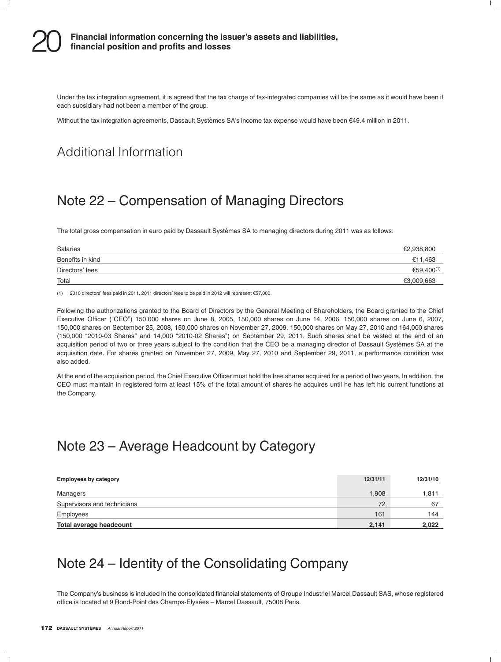Under the tax integration agreement, it is agreed that the tax charge of tax-integrated companies will be the same as it would have been if each subsidiary had not been a member of the group.

Without the tax integration agreements, Dassault Systèmes SA's income tax expense would have been  $\epsilon$ 49.4 million in 2011.

### Additional Information

### Note 22 – Compensation of Managing Directors

The total gross compensation in euro paid by Dassault Systèmes SA to managing directors during 2011 was as follows:

| Salaries         | €2,938,800             |
|------------------|------------------------|
| Benefits in kind | €11,463                |
| Directors' fees  | €59.400 <sup>(1)</sup> |
| Total            | €3,009,663             |

(1) 2010 directors' fees paid in 2011. 2011 directors' fees to be paid in 2012 will represent e57,000.

Following the authorizations granted to the Board of Directors by the General Meeting of Shareholders, the Board granted to the Chief Executive Officer ("CEO") 150,000 shares on June 8, 2005, 150,000 shares on June 14, 2006, 150,000 shares on June 6, 2007, 150,000 shares on September 25, 2008, 150,000 shares on November 27, 2009, 150,000 shares on May 27, 2010 and 164,000 shares (150,000 ''2010-03 Shares'' and 14,000 ''2010-02 Shares'') on September 29, 2011. Such shares shall be vested at the end of an acquisition period of two or three years subject to the condition that the CEO be a managing director of Dassault Systèmes SA at the acquisition date. For shares granted on November 27, 2009, May 27, 2010 and September 29, 2011, a performance condition was also added.

At the end of the acquisition period, the Chief Executive Officer must hold the free shares acquired for a period of two years. In addition, the CEO must maintain in registered form at least 15% of the total amount of shares he acquires until he has left his current functions at the Company.

### Note 23 – Average Headcount by Category

| <b>Employees by category</b> | 12/31/11 | 12/31/10 |
|------------------------------|----------|----------|
| Managers                     | 1,908    | 1,811    |
| Supervisors and technicians  | 72       | 67       |
| Employees                    | 161      | 144      |
| Total average headcount      | 2.141    | 2,022    |

### Note 24 – Identity of the Consolidating Company

The Company's business is included in the consolidated financial statements of Groupe Industriel Marcel Dassault SAS, whose registered office is located at 9 Rond-Point des Champs-Elysées - Marcel Dassault, 75008 Paris.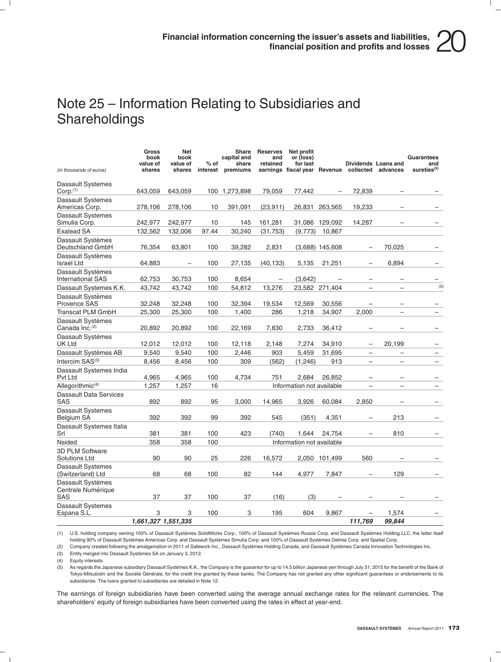### Note 25 – Information Relating to Subsidiaries and **Shareholdings**

| (in thousands of euros)                         | <b>Gross</b><br>book<br>value of<br>shares | <b>Net</b><br>book<br>value of<br>shares | % of<br>interest | Share<br>capital and<br>share<br>premiums | <b>Reserves</b><br>and<br>retained | Net profit<br>or (loss)<br>for last<br>earnings fiscal year Revenue collected advances |                   |                          | Dividends Loans and      | <b>Guarantees</b><br>and<br>sureties <sup>(5)</sup> |
|-------------------------------------------------|--------------------------------------------|------------------------------------------|------------------|-------------------------------------------|------------------------------------|----------------------------------------------------------------------------------------|-------------------|--------------------------|--------------------------|-----------------------------------------------------|
| Dassault Systemes<br>Corp. <sup>(1)</sup>       | 643.059                                    | 643.059                                  |                  | 100 1,273,898                             | 79.059                             | 77.442                                                                                 |                   | 72.839                   |                          |                                                     |
| Dassault Systemes<br>Americas Corp.             | 278,106                                    | 278,106                                  | 10               | 391,091                                   | (23, 911)                          | 26,831                                                                                 | 263,565           | 19,233                   |                          |                                                     |
| <b>Dassault Systemes</b><br>Simulia Corp.       | 242,977                                    | 242,977                                  | 10               | 145                                       | 161,281                            | 31,086                                                                                 | 129,092           | 14,287                   |                          |                                                     |
| <b>Exalead SA</b>                               | 132,562                                    | 132,006                                  | 97.44            | 30,240                                    | (31,753)                           | (9,773)                                                                                | 10,867            |                          |                          |                                                     |
| Dassault Systèmes<br>Deutschland GmbH           | 76,354                                     | 63,801                                   | 100              | 39,282                                    | 2,831                              |                                                                                        | $(3,688)$ 145,608 |                          | 70,025                   |                                                     |
| Dassault Systèmes<br><b>Israel Ltd</b>          | 64,883                                     |                                          | 100              | 27,135                                    | (40, 133)                          | 5,135                                                                                  | 21,251            |                          | 6,894                    |                                                     |
| Dassault Systèmes<br><b>International SAS</b>   | 62,753                                     | 30,753                                   | 100              | 8,654                                     |                                    | (3,642)                                                                                |                   |                          |                          |                                                     |
| Dassault Systemes K.K.                          | 43,742                                     | 43,742                                   | 100              | 54,812                                    | 13,276                             |                                                                                        | 23,582 271,404    | $\overline{\phantom{0}}$ | ÷                        | (5)                                                 |
| Dassault Systèmes<br><b>Provence SAS</b>        | 32,248                                     | 32,248                                   | 100              | 32,394                                    | 19,534                             | 12,569                                                                                 | 30,556            |                          |                          |                                                     |
| <b>Transcat PLM GmbH</b>                        | 25,300                                     | 25,300                                   | 100              | 1,400                                     | 286                                | 1,218                                                                                  | 34,907            | 2.000                    | $\equiv$                 |                                                     |
| Dassault Systèmes<br>Canada Inc. <sup>(2)</sup> | 20,892                                     | 20,892                                   | 100              | 22,169                                    | 7,830                              | 2,733                                                                                  | 36,412            |                          |                          |                                                     |
| Dassault Systémes<br>UK Ltd                     | 12,012                                     | 12,012                                   | 100              | 12,118                                    | 2,148                              | 7,274                                                                                  | 34,910            | $\overline{\phantom{0}}$ | 20,199                   |                                                     |
| Dassault Systèmes AB                            | 9,540                                      | 9,540                                    | 100              | 2,446                                     | 903                                | 5,459                                                                                  | 31,695            | $\overline{\phantom{0}}$ | $\overline{\phantom{0}}$ | $\overline{\phantom{0}}$                            |
| Intercim SAS <sup>(3)</sup>                     | 8,456                                      | 8,456                                    | 100              | 309                                       | (562)                              | (1,246)                                                                                | 913               | $\overline{\phantom{0}}$ | ÷                        |                                                     |
| Dassault Systemes India<br>Pvt Ltd              | 4,965                                      | 4,965                                    | 100              | 4,734                                     | 751                                | 2.684                                                                                  | 26.852            |                          |                          |                                                     |
| Allegorithmic $(4)$                             | 1,257                                      | 1,257                                    | 16               |                                           |                                    | Information not available                                                              |                   |                          |                          |                                                     |
| <b>Dassault Data Services</b><br><b>SAS</b>     | 892                                        | 892                                      | 95               | 3.000                                     | 14.965                             | 3,926                                                                                  | 60,084            | 2.850                    |                          |                                                     |
| Dassault Systemes<br><b>Belgium SA</b>          | 392                                        | 392                                      | 99               | 392                                       | 545                                | (351)                                                                                  | 4,351             |                          | 213                      |                                                     |
| Dassault Systemes Italia<br>Srl                 | 381                                        | 381                                      | 100              | 423                                       | (740)                              | 1.644                                                                                  | 24.754            |                          | 810                      |                                                     |
| <b>Nsided</b>                                   | 358                                        | 358                                      | 100              |                                           |                                    | Information not available                                                              |                   |                          |                          |                                                     |
| <b>3D PLM Software</b><br>Solutions Ltd         | 90                                         | 90                                       | 25               | 226                                       | 16,572                             |                                                                                        | 2,050 101,499     | 560                      |                          |                                                     |
| <b>Dassault Systemes</b><br>(Switzerland) Ltd   | 68                                         | 68                                       | 100              | 82                                        | 144                                | 4,977                                                                                  | 7,847             | -                        | 129                      |                                                     |
| Dassault Systèmes<br>Centrale Numérique<br>SAS  | 37                                         | 37                                       | 100              | 37                                        | (16)                               | (3)                                                                                    |                   |                          |                          |                                                     |
| Dassault Systemes<br>Espana S.L.                | 3                                          | 3                                        | 100              | 3                                         | 195                                | 604                                                                                    | 9,867             | ÷                        | 1,574                    |                                                     |
|                                                 | 1,661,327 1,551,335                        |                                          |                  |                                           |                                    |                                                                                        |                   | 111,769                  | 99,844                   |                                                     |

(1) U.S. holding company owning 100% of Dassault Systèmes SolidWorks Corp., 100% of Dassault Systèmes Russia Corp. and Dassault Systèmes Holding LLC, the latter itself holding 90% of Dassault Systèmes Americas Corp. and Dassault Systèmes Simulia Corp. and 100% of Dassault Systèmes Delmia Corp. and Spatial Corp.

(2) Company created following the amalgamation in 2011 of Safework Inc., Dassault Systèmes Holding Canada, and Dassault Systèmes Canada Innovation Technologies Inc.

(3) Entity merged into Dassault Systèmes SA on January 3, 2012.

(4) Equity interests<br>(5) As regards the

As regards the Japanese subsidiary Dassault Systèmes K.K., the Company is the guarantor for up to 14.5 billion Japanese yen through July 31, 2015 for the benefit of the Bank of Tokyo-Mitsubishi and the Société Générale, for the credit line granted by these banks. The Company has not granted any other significant guarantees or endorsements to its subsidiaries. The loans granted to subsidiaries are detailed in Note 12.

The earnings of foreign subsidiaries have been converted using the average annual exchange rates for the relevant currencies. The shareholders' equity of foreign subsidiaries have been converted using the rates in effect at year-end.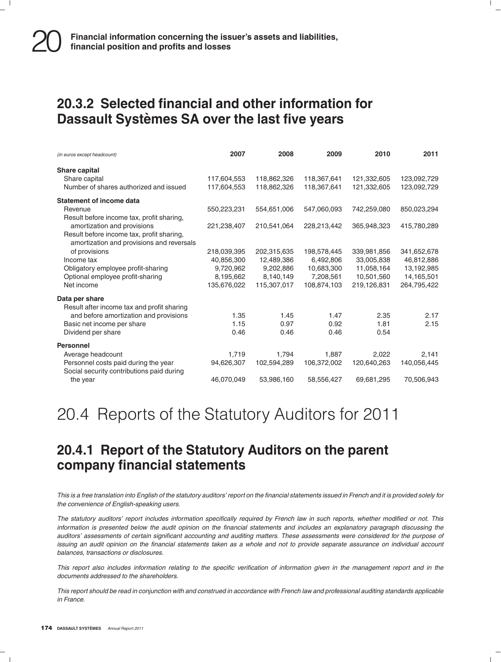### **20.3.2 Selected financial and other information for Dassault Systemes SA over the last five years `**

| (in euros except headcount)                                                          | 2007                      | 2008                      | 2009                     | 2010                      | 2011                      |
|--------------------------------------------------------------------------------------|---------------------------|---------------------------|--------------------------|---------------------------|---------------------------|
| <b>Share capital</b>                                                                 |                           |                           |                          |                           |                           |
| Share capital                                                                        | 117,604,553               | 118,862,326               | 118,367,641              | 121,332,605               | 123,092,729               |
| Number of shares authorized and issued                                               | 117,604,553               | 118,862,326               | 118,367,641              | 121,332,605               | 123,092,729               |
| <b>Statement of income data</b>                                                      |                           |                           |                          |                           |                           |
| Revenue                                                                              | 550,223,231               | 554,651,006               | 547,060,093              | 742,259,080               | 850,023,294               |
| Result before income tax, profit sharing,                                            |                           |                           |                          |                           |                           |
| amortization and provisions                                                          | 221,238,407               | 210,541,064               | 228,213,442              | 365,948,323               | 415,780,289               |
| Result before income tax, profit sharing,                                            |                           |                           |                          |                           |                           |
| amortization and provisions and reversals                                            |                           |                           |                          |                           |                           |
| of provisions<br>Income tax                                                          | 218,039,395<br>40,856,300 | 202,315,635<br>12,489,386 | 198,578,445<br>6,492,806 | 339,981,856<br>33,005,838 | 341,652,678<br>46,812,886 |
| Obligatory employee profit-sharing                                                   | 9,720,962                 | 9,202,886                 | 10,683,300               | 11,058,164                | 13,192,985                |
| Optional employee profit-sharing                                                     | 8,195,662                 | 8,140,149                 | 7,208,561                | 10,501,560                | 14,165,501                |
| Net income                                                                           | 135,676,022               | 115,307,017               | 108,874,103              | 219,126,831               | 264,795,422               |
|                                                                                      |                           |                           |                          |                           |                           |
| Data per share                                                                       |                           |                           |                          |                           |                           |
| Result after income tax and profit sharing<br>and before amortization and provisions | 1.35                      | 1.45                      | 1.47                     | 2.35                      | 2.17                      |
| Basic net income per share                                                           | 1.15                      | 0.97                      | 0.92                     | 1.81                      | 2.15                      |
| Dividend per share                                                                   | 0.46                      | 0.46                      | 0.46                     | 0.54                      |                           |
|                                                                                      |                           |                           |                          |                           |                           |
| <b>Personnel</b>                                                                     |                           |                           |                          |                           |                           |
| Average headcount                                                                    | 1,719                     | 1,794                     | 1,887                    | 2,022                     | 2,141                     |
| Personnel costs paid during the year                                                 | 94,626,307                | 102.594.289               | 106,372,002              | 120,640,263               | 140,056,445               |
| Social security contributions paid during<br>the year                                | 46,070,049                | 53,986,160                | 58,556,427               | 69,681,295                | 70,506,943                |
|                                                                                      |                           |                           |                          |                           |                           |

20.4 Reports of the Statutory Auditors for 2011

### **20.4.1 Report of the Statutory Auditors on the parent company financial statements**

*This is a free translation into English of the statutory auditors' report on the financial statements issued in French and it is provided solely for the convenience of English-speaking users.*

*The statutory auditors' report includes information specifically required by French law in such reports, whether modified or not. This information is presented below the audit opinion on the financial statements and includes an explanatory paragraph discussing the auditors' assessments of certain significant accounting and auditing matters. These assessments were considered for the purpose of issuing an audit opinion on the financial statements taken as a whole and not to provide separate assurance on individual account balances, transactions or disclosures.*

*This report also includes information relating to the specific verification of information given in the management report and in the documents addressed to the shareholders.*

*This report should be read in conjunction with and construed in accordance with French law and professional auditing standards applicable in France.*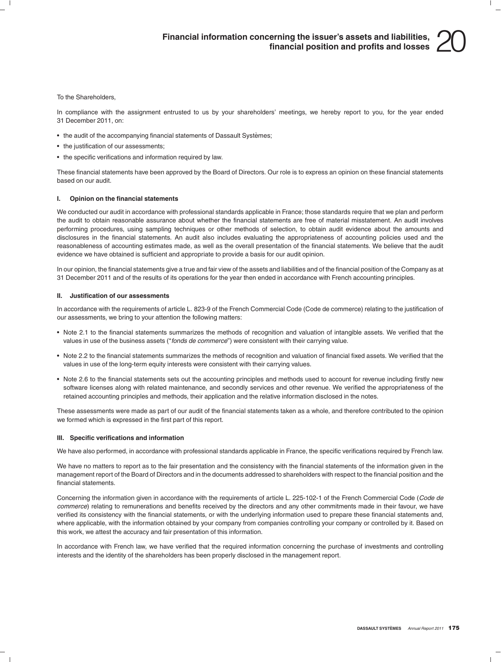To the Shareholders,

In compliance with the assignment entrusted to us by your shareholders' meetings, we hereby report to you, for the year ended 31 December 2011, on:

- the audit of the accompanying financial statements of Dassault Systèmes;
- the justification of our assessments;
- the specific verifications and information required by law.

These financial statements have been approved by the Board of Directors. Our role is to express an opinion on these financial statements based on our audit.

#### **I. Opinion on the financial statements**

We conducted our audit in accordance with professional standards applicable in France; those standards require that we plan and perform the audit to obtain reasonable assurance about whether the financial statements are free of material misstatement. An audit involves performing procedures, using sampling techniques or other methods of selection, to obtain audit evidence about the amounts and disclosures in the financial statements. An audit also includes evaluating the appropriateness of accounting policies used and the reasonableness of accounting estimates made, as well as the overall presentation of the financial statements. We believe that the audit evidence we have obtained is sufficient and appropriate to provide a basis for our audit opinion.

In our opinion, the financial statements give a true and fair view of the assets and liabilities and of the financial position of the Company as at 31 December 2011 and of the results of its operations for the year then ended in accordance with French accounting principles.

#### **II. Justification of our assessments**

In accordance with the requirements of article L. 823-9 of the French Commercial Code (Code de commerce) relating to the justification of our assessments, we bring to your attention the following matters:

- Note 2.1 to the financial statements summarizes the methods of recognition and valuation of intangible assets. We verified that the values in use of the business assets (''*fonds de commerce*'') were consistent with their carrying value.
- Note 2.2 to the financial statements summarizes the methods of recognition and valuation of financial fixed assets. We verified that the values in use of the long-term equity interests were consistent with their carrying values.
- Note 2.6 to the financial statements sets out the accounting principles and methods used to account for revenue including firstly new software licenses along with related maintenance, and secondly services and other revenue. We verified the appropriateness of the retained accounting principles and methods, their application and the relative information disclosed in the notes.

These assessments were made as part of our audit of the financial statements taken as a whole, and therefore contributed to the opinion we formed which is expressed in the first part of this report.

#### **III. Specific verifications and information**

We have also performed, in accordance with professional standards applicable in France, the specific verifications required by French law.

We have no matters to report as to the fair presentation and the consistency with the financial statements of the information given in the management report of the Board of Directors and in the documents addressed to shareholders with respect to the financial position and the financial statements.

Concerning the information given in accordance with the requirements of article L. 225-102-1 of the French Commercial Code (*Code de commerce*) relating to remunerations and benefits received by the directors and any other commitments made in their favour, we have verified its consistency with the financial statements, or with the underlying information used to prepare these financial statements and, where applicable, with the information obtained by your company from companies controlling your company or controlled by it. Based on this work, we attest the accuracy and fair presentation of this information.

In accordance with French law, we have verified that the required information concerning the purchase of investments and controlling interests and the identity of the shareholders has been properly disclosed in the management report.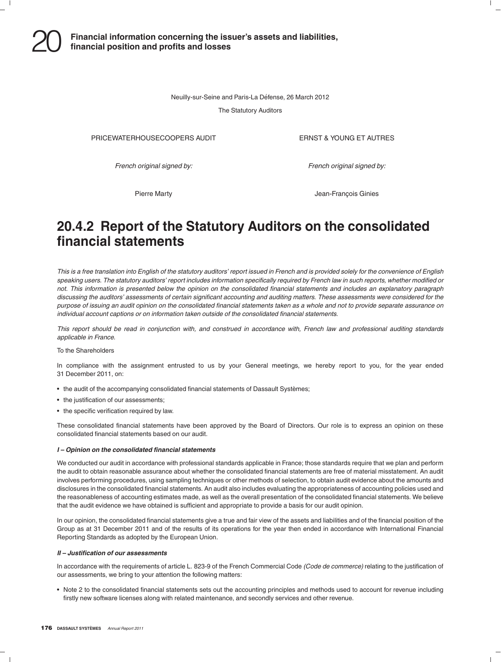Neuilly-sur-Seine and Paris-La Défense, 26 March 2012

The Statutory Auditors

PRICEWATERHOUSECOOPERS AUDIT THE RELATION OF THE RESERVED TO THE PRICEWATER HOURS IN THE PRICE OF THE PRICE OF THE PRICE OF THE PRICE OF THE PRICE OF THE PRICE OF THE PRICE OF THE PRICE OF THE PRICE OF THE PRICE OF THE PRI

*French original signed by: French original signed by:*

Pierre Marty **Communist Communist Communist Communist Communist Communist Communist Communist Communist Communist Communist Communist Communist Communist Communist Communist Communist Communist Communist Communist Communis** 

### **20.4.2 Report of the Statutory Auditors on the consolidated financial statements**

*This is a free translation into English of the statutory auditors' report issued in French and is provided solely for the convenience of English speaking users. The statutory auditors' report includes information specifically required by French law in such reports, whether modified or not. This information is presented below the opinion on the consolidated financial statements and includes an explanatory paragraph discussing the auditors' assessments of certain significant accounting and auditing matters. These assessments were considered for the purpose of issuing an audit opinion on the consolidated financial statements taken as a whole and not to provide separate assurance on individual account captions or on information taken outside of the consolidated financial statements.*

*This report should be read in conjunction with, and construed in accordance with, French law and professional auditing standards applicable in France.*

#### To the Shareholders

In compliance with the assignment entrusted to us by your General meetings, we hereby report to you, for the year ended 31 December 2011, on:

- the audit of the accompanying consolidated financial statements of Dassault Systèmes;
- the justification of our assessments;
- the specific verification required by law.

These consolidated financial statements have been approved by the Board of Directors. Our role is to express an opinion on these consolidated financial statements based on our audit.

#### *I – Opinion on the consolidated financial statements*

We conducted our audit in accordance with professional standards applicable in France; those standards require that we plan and perform the audit to obtain reasonable assurance about whether the consolidated financial statements are free of material misstatement. An audit involves performing procedures, using sampling techniques or other methods of selection, to obtain audit evidence about the amounts and disclosures in the consolidated financial statements. An audit also includes evaluating the appropriateness of accounting policies used and the reasonableness of accounting estimates made, as well as the overall presentation of the consolidated financial statements. We believe that the audit evidence we have obtained is sufficient and appropriate to provide a basis for our audit opinion.

In our opinion, the consolidated financial statements give a true and fair view of the assets and liabilities and of the financial position of the Group as at 31 December 2011 and of the results of its operations for the year then ended in accordance with International Financial Reporting Standards as adopted by the European Union.

#### *II – Justification of our assessments*

In accordance with the requirements of article L. 823-9 of the French Commercial Code *(Code de commerce)* relating to the justification of our assessments, we bring to your attention the following matters:

• Note 2 to the consolidated financial statements sets out the accounting principles and methods used to account for revenue including firstly new software licenses along with related maintenance, and secondly services and other revenue.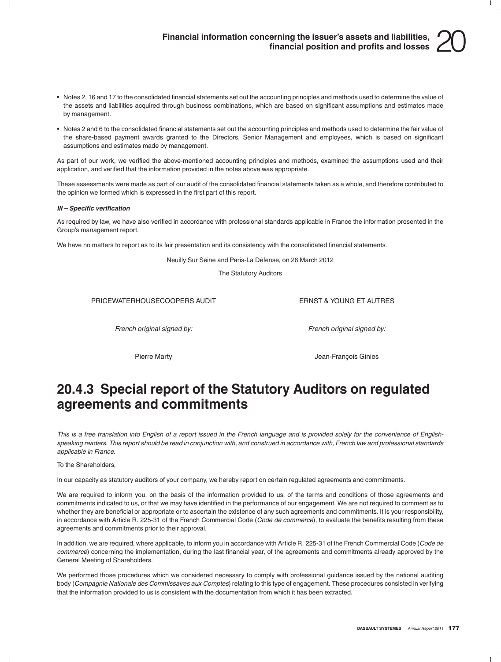- Notes 2, 16 and 17 to the consolidated financial statements set out the accounting principles and methods used to determine the value of the assets and liabilities acquired through business combinations, which are based on significant assumptions and estimates made by management.
- Notes 2 and 6 to the consolidated financial statements set out the accounting principles and methods used to determine the fair value of the share-based payment awards granted to the Directors, Senior Management and employees, which is based on significant assumptions and estimates made by management.

As part of our work, we verified the above-mentioned accounting principles and methods, examined the assumptions used and their application, and verified that the information provided in the notes above was appropriate.

These assessments were made as part of our audit of the consolidated financial statements taken as a whole, and therefore contributed to the opinion we formed which is expressed in the first part of this report.

#### *III – Specific verification*

As required by law, we have also verified in accordance with professional standards applicable in France the information presented in the Group's management report.

We have no matters to report as to its fair presentation and its consistency with the consolidated financial statements.

Neuilly Sur Seine and Paris-La Défense, on 26 March 2012

The Statutory Auditors

PRICEWATERHOUSECOOPERS AUDIT THE RESERVED THAT THE RESERVED TO THE PRICEWATER AUTRES

*French original signed by: French original signed by:*

Pierre Marty **Article 2018 Jean-François Ginies** 

### **20.4.3 Special report of the Statutory Auditors on regulated agreements and commitments**

*This is a free translation into English of a report issued in the French language and is provided solely for the convenience of Englishspeaking readers. This report should be read in conjunction with, and construed in accordance with, French law and professional standards applicable in France.*

To the Shareholders,

In our capacity as statutory auditors of your company, we hereby report on certain regulated agreements and commitments.

We are required to inform you, on the basis of the information provided to us, of the terms and conditions of those agreements and commitments indicated to us, or that we may have identified in the performance of our engagement. We are not required to comment as to whether they are beneficial or appropriate or to ascertain the existence of any such agreements and commitments. It is your responsibility, in accordance with Article R. 225-31 of the French Commercial Code (*Code de commerce*), to evaluate the benefits resulting from these agreements and commitments prior to their approval.

In addition, we are required, where applicable, to inform you in accordance with Article R. 225-31 of the French Commercial Code (*Code de commerce*) concerning the implementation, during the last financial year, of the agreements and commitments already approved by the General Meeting of Shareholders.

We performed those procedures which we considered necessary to comply with professional guidance issued by the national auditing body (*Compagnie Nationale des Commissaires aux Comptes*) relating to this type of engagement. These procedures consisted in verifying that the information provided to us is consistent with the documentation from which it has been extracted.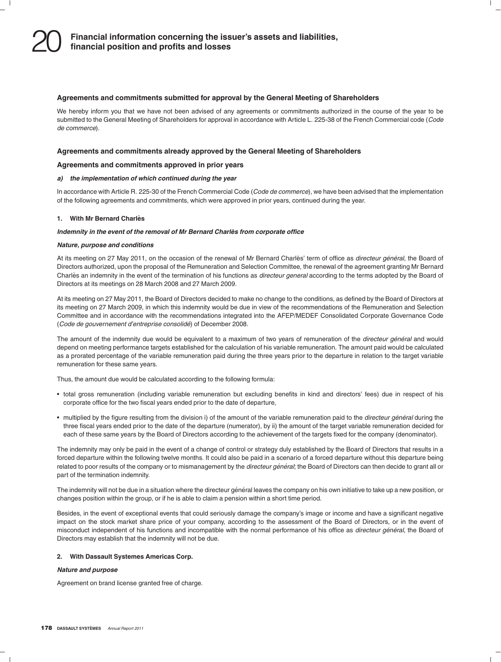#### **Agreements and commitments submitted for approval by the General Meeting of Shareholders**

We hereby inform you that we have not been advised of any agreements or commitments authorized in the course of the year to be submitted to the General Meeting of Shareholders for approval in accordance with Article L. 225-38 of the French Commercial code (*Code de commerce*).

#### **Agreements and commitments already approved by the General Meeting of Shareholders**

#### **Agreements and commitments approved in prior years**

#### *a) the implementation of which continued during the year*

In accordance with Article R. 225-30 of the French Commercial Code (*Code de commerce*), we have been advised that the implementation of the following agreements and commitments, which were approved in prior years, continued during the year.

#### **1. With Mr Bernard Charles`**

#### *Indemnity in the event of the removal of Mr Bernard Charles from corporate office `*

#### *Nature, purpose and conditions*

At its meeting on 27 May 2011, on the occasion of the renewal of Mr Bernard Charlès' term of office as *directeur général*, the Board of Directors authorized, upon the proposal of the Remuneration and Selection Committee, the renewal of the agreement granting Mr Bernard Charlès an indemnity in the event of the termination of his functions as *directeur general* according to the terms adopted by the Board of Directors at its meetings on 28 March 2008 and 27 March 2009.

At its meeting on 27 May 2011, the Board of Directors decided to make no change to the conditions, as defined by the Board of Directors at its meeting on 27 March 2009, in which this indemnity would be due in view of the recommendations of the Remuneration and Selection Committee and in accordance with the recommendations integrated into the AFEP/MEDEF Consolidated Corporate Governance Code (*Code de gouvernement d'entreprise consolide´*) of December 2008.

The amount of the indemnity due would be equivalent to a maximum of two years of remuneration of the *directeur général* and would depend on meeting performance targets established for the calculation of his variable remuneration. The amount paid would be calculated as a prorated percentage of the variable remuneration paid during the three years prior to the departure in relation to the target variable remuneration for these same years.

Thus, the amount due would be calculated according to the following formula:

- total gross remuneration (including variable remuneration but excluding benefits in kind and directors' fees) due in respect of his corporate office for the two fiscal years ended prior to the date of departure,
- multiplied by the figure resulting from the division i) of the amount of the variable remuneration paid to the *directeur général* during the three fiscal years ended prior to the date of the departure (numerator), by ii) the amount of the target variable remuneration decided for each of these same years by the Board of Directors according to the achievement of the targets fixed for the company (denominator).

The indemnity may only be paid in the event of a change of control or strategy duly established by the Board of Directors that results in a forced departure within the following twelve months. It could also be paid in a scenario of a forced departure without this departure being related to poor results of the company or to mismanagement by the *directeur général*; the Board of Directors can then decide to grant all or part of the termination indemnity.

The indemnity will not be due in a situation where the directeur général leaves the company on his own initiative to take up a new position, or changes position within the group, or if he is able to claim a pension within a short time period.

Besides, in the event of exceptional events that could seriously damage the company's image or income and have a significant negative impact on the stock market share price of your company, according to the assessment of the Board of Directors, or in the event of misconduct independent of his functions and incompatible with the normal performance of his office as *directeur général*, the Board of Directors may establish that the indemnity will not be due.

### **2. With Dassault Systemes Americas Corp.**

#### *Nature and purpose*

Agreement on brand license granted free of charge.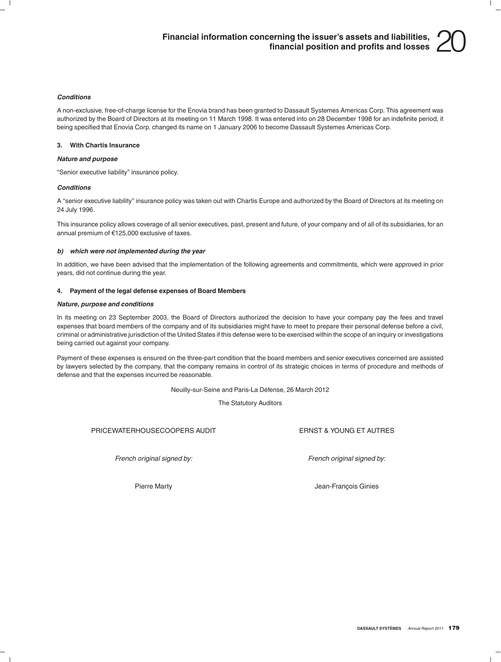#### *Conditions*

A non-exclusive, free-of-charge license for the Enovia brand has been granted to Dassault Systemes Americas Corp. This agreement was authorized by the Board of Directors at its meeting on 11 March 1998. It was entered into on 28 December 1998 for an indefinite period, it being specified that Enovia Corp. changed its name on 1 January 2006 to become Dassault Systemes Americas Corp.

#### **3. With Chartis Insurance**

#### *Nature and purpose*

''Senior executive liability'' insurance policy.

#### *Conditions*

A ''senior executive liability'' insurance policy was taken out with Chartis Europe and authorized by the Board of Directors at its meeting on 24 July 1996.

This insurance policy allows coverage of all senior executives, past, present and future, of your company and of all of its subsidiaries, for an annual premium of €125,000 exclusive of taxes.

#### *b) which were not implemented during the year*

In addition, we have been advised that the implementation of the following agreements and commitments, which were approved in prior years, did not continue during the year.

#### **4. Payment of the legal defense expenses of Board Members**

#### *Nature, purpose and conditions*

In its meeting on 23 September 2003, the Board of Directors authorized the decision to have your company pay the fees and travel expenses that board members of the company and of its subsidiaries might have to meet to prepare their personal defense before a civil, criminal or administrative jurisdiction of the United States if this defense were to be exercised within the scope of an inquiry or investigations being carried out against your company.

Payment of these expenses is ensured on the three-part condition that the board members and senior executives concerned are assisted by lawyers selected by the company, that the company remains in control of its strategic choices in terms of procedure and methods of defense and that the expenses incurred be reasonable.

Neuilly-sur-Seine and Paris-La Défense, 26 March 2012

The Statutory Auditors

PRICEWATERHOUSECOOPERS AUDIT THE RESERVED THAT THE RESERVED TO THE PRICEWATER HOURS IN THE RESERVED TO THE RES

*French original signed by: French original signed by:*

Pierre Marty **According to According the Contract Contract According Team-François Ginies**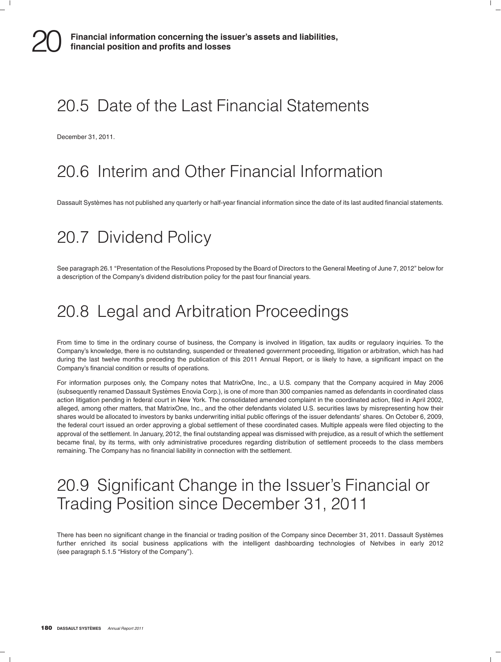# 20.5 Date of the Last Financial Statements

December 31, 2011.

# 20.6 Interim and Other Financial Information

Dassault Systèmes has not published any quarterly or half-year financial information since the date of its last audited financial statements.

# 20.7 Dividend Policy

See paragraph 26.1 "Presentation of the Resolutions Proposed by the Board of Directors to the General Meeting of June 7, 2012" below for a description of the Company's dividend distribution policy for the past four financial years.

# 20.8 Legal and Arbitration Proceedings

From time to time in the ordinary course of business, the Company is involved in litigation, tax audits or regulaory inquiries. To the Company's knowledge, there is no outstanding, suspended or threatened government proceeding, litigation or arbitration, which has had during the last twelve months preceding the publication of this 2011 Annual Report, or is likely to have, a significant impact on the Company's financial condition or results of operations.

For information purposes only, the Company notes that MatrixOne, Inc., a U.S. company that the Company acquired in May 2006 (subsequently renamed Dassault Systemes Enovia Corp.), is one of more than 300 companies named as defendants in coordinated class ` action litigation pending in federal court in New York. The consolidated amended complaint in the coordinated action, filed in April 2002, alleged, among other matters, that MatrixOne, Inc., and the other defendants violated U.S. securities laws by misrepresenting how their shares would be allocated to investors by banks underwriting initial public offerings of the issuer defendants' shares. On October 6, 2009, the federal court issued an order approving a global settlement of these coordinated cases. Multiple appeals were filed objecting to the approval of the settlement. In January, 2012, the final outstanding appeal was dismissed with prejudice, as a result of which the settlement became final, by its terms, with only administrative procedures regarding distribution of settlement proceeds to the class members remaining. The Company has no financial liability in connection with the settlement.

# 20.9 Significant Change in the Issuer's Financial or Trading Position since December 31, 2011

There has been no significant change in the financial or trading position of the Company since December 31, 2011. Dassault Systèmes further enriched its social business applications with the intelligent dashboarding technologies of Netvibes in early 2012 (see paragraph 5.1.5 "History of the Company").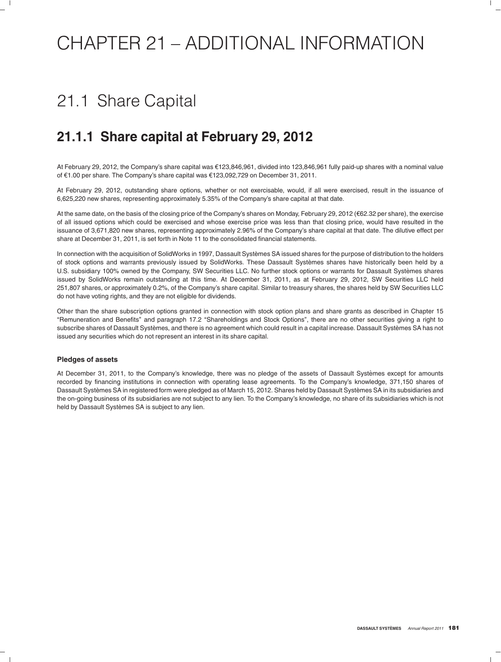# CHAPTER 21 – ADDITIONAL INFORMATION

# 21.1 Share Capital

## **21.1.1 Share capital at February 29, 2012**

At February 29, 2012, the Company's share capital was €123,846,961, divided into 123,846,961 fully paid-up shares with a nominal value of e1.00 per share. The Company's share capital was e123,092,729 on December 31, 2011.

At February 29, 2012, outstanding share options, whether or not exercisable, would, if all were exercised, result in the issuance of 6,625,220 new shares, representing approximately 5.35% of the Company's share capital at that date.

At the same date, on the basis of the closing price of the Company's shares on Monday, February 29, 2012 (€62.32 per share), the exercise of all issued options which could be exercised and whose exercise price was less than that closing price, would have resulted in the issuance of 3,671,820 new shares, representing approximately 2.96% of the Company's share capital at that date. The dilutive effect per share at December 31, 2011, is set forth in Note 11 to the consolidated financial statements.

In connection with the acquisition of SolidWorks in 1997, Dassault Systèmes SA issued shares for the purpose of distribution to the holders of stock options and warrants previously issued by SolidWorks. These Dassault Systemes shares have historically been held by a ` U.S. subsidiary 100% owned by the Company, SW Securities LLC. No further stock options or warrants for Dassault Systemes shares ` issued by SolidWorks remain outstanding at this time. At December 31, 2011, as at February 29, 2012, SW Securities LLC held 251,807 shares, or approximately 0.2%, of the Company's share capital. Similar to treasury shares, the shares held by SW Securities LLC do not have voting rights, and they are not eligible for dividends.

Other than the share subscription options granted in connection with stock option plans and share grants as described in Chapter 15 ''Remuneration and Benefits'' and paragraph 17.2 ''Shareholdings and Stock Options'', there are no other securities giving a right to subscribe shares of Dassault Systèmes, and there is no agreement which could result in a capital increase. Dassault Systèmes SA has not issued any securities which do not represent an interest in its share capital.

### **Pledges of assets**

At December 31, 2011, to the Company's knowledge, there was no pledge of the assets of Dassault Systemes except for amounts ` recorded by financing institutions in connection with operating lease agreements. To the Company's knowledge, 371,150 shares of Dassault Systèmes SA in registered form were pledged as of March 15, 2012. Shares held by Dassault Systèmes SA in its subsidiaries and the on-going business of its subsidiaries are not subject to any lien. To the Company's knowledge, no share of its subsidiaries which is not held by Dassault Systèmes SA is subject to any lien.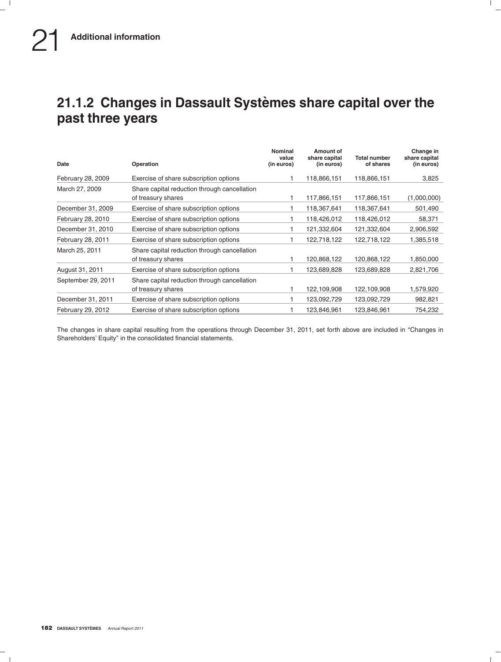## **21.1.2 Changes in Dassault Systemes share capital over the ` past three years**

| Date               | <b>Operation</b>                                                   | Nominal<br>value<br>(in euros) | Amount of<br>share capital<br>(in euros) | <b>Total number</b><br>of shares | Change in<br>share capital<br>(in euros) |
|--------------------|--------------------------------------------------------------------|--------------------------------|------------------------------------------|----------------------------------|------------------------------------------|
| February 28, 2009  | Exercise of share subscription options                             |                                | 118,866,151                              | 118,866,151                      | 3,825                                    |
| March 27, 2009     | Share capital reduction through cancellation<br>of treasury shares |                                | 117,866,151                              | 117,866,151                      | (1,000,000)                              |
| December 31, 2009  | Exercise of share subscription options                             |                                | 118,367,641                              | 118,367,641                      | 501,490                                  |
| February 28, 2010  | Exercise of share subscription options                             |                                | 118,426,012                              | 118,426,012                      | 58,371                                   |
| December 31, 2010  | Exercise of share subscription options                             |                                | 121,332,604                              | 121,332,604                      | 2,906,592                                |
| February 28, 2011  | Exercise of share subscription options                             |                                | 122,718,122                              | 122,718,122                      | 1,385,518                                |
| March 25, 2011     | Share capital reduction through cancellation<br>of treasury shares |                                | 120,868,122                              | 120,868,122                      | 1,850,000                                |
| August 31, 2011    | Exercise of share subscription options                             |                                | 123,689,828                              | 123,689,828                      | 2,821,706                                |
| September 29, 2011 | Share capital reduction through cancellation<br>of treasury shares |                                | 122,109,908                              | 122,109,908                      | 1,579,920                                |
| December 31, 2011  | Exercise of share subscription options                             |                                | 123,092,729                              | 123,092,729                      | 982,821                                  |
| February 29, 2012  | Exercise of share subscription options                             |                                | 123,846,961                              | 123,846,961                      | 754,232                                  |

The changes in share capital resulting from the operations through December 31, 2011, set forth above are included in ''Changes in Shareholders' Equity'' in the consolidated financial statements.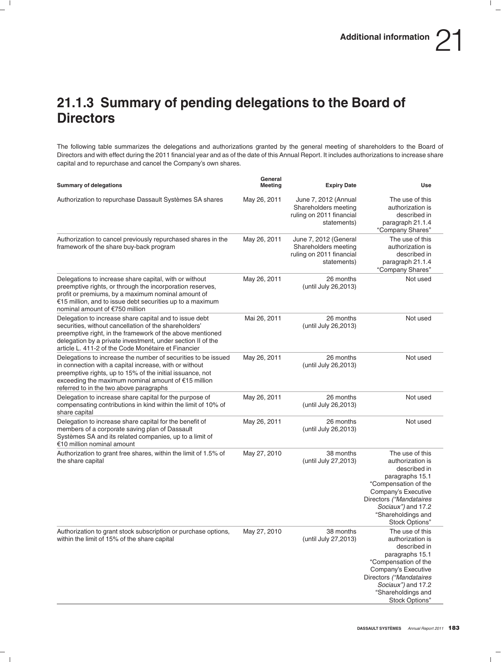## **21.1.3 Summary of pending delegations to the Board of Directors**

The following table summarizes the delegations and authorizations granted by the general meeting of shareholders to the Board of Directors and with effect during the 2011 financial year and as of the date of this Annual Report. It includes authorizations to increase share capital and to repurchase and cancel the Company's own shares.

| <b>Summary of delegations</b>                                                                                                                                                                                                                                                                      | General<br>Meeting | <b>Expiry Date</b>                                                                       | <b>Use</b>                                                                                                                                                                                                     |
|----------------------------------------------------------------------------------------------------------------------------------------------------------------------------------------------------------------------------------------------------------------------------------------------------|--------------------|------------------------------------------------------------------------------------------|----------------------------------------------------------------------------------------------------------------------------------------------------------------------------------------------------------------|
| Authorization to repurchase Dassault Systèmes SA shares                                                                                                                                                                                                                                            | May 26, 2011       | June 7, 2012 (Annual<br>Shareholders meeting<br>ruling on 2011 financial<br>statements)  | The use of this<br>authorization is<br>described in<br>paragraph 21.1.4<br>"Company Shares"                                                                                                                    |
| Authorization to cancel previously repurchased shares in the<br>framework of the share buy-back program                                                                                                                                                                                            | May 26, 2011       | June 7, 2012 (General<br>Shareholders meeting<br>ruling on 2011 financial<br>statements) | The use of this<br>authorization is<br>described in<br>paragraph 21.1.4<br>"Company Shares"                                                                                                                    |
| Delegations to increase share capital, with or without<br>preemptive rights, or through the incorporation reserves,<br>profit or premiums, by a maximum nominal amount of<br>€15 million, and to issue debt securities up to a maximum<br>nominal amount of €750 million                           | May 26, 2011       | 26 months<br>(until July 26, 2013)                                                       | Not used                                                                                                                                                                                                       |
| Delegation to increase share capital and to issue debt<br>securities, without cancellation of the shareholders'<br>preemptive right, in the framework of the above mentioned<br>delegation by a private investment, under section II of the<br>article L. 411-2 of the Code Monétaire et Financier | Mai 26, 2011       | 26 months<br>(until July 26, 2013)                                                       | Not used                                                                                                                                                                                                       |
| Delegations to increase the number of securities to be issued<br>in connection with a capital increase, with or without<br>preemptive rights, up to 15% of the initial issuance, not<br>exceeding the maximum nominal amount of $E$ 15 million<br>referred to in the two above paragraphs          | May 26, 2011       | 26 months<br>(until July 26, 2013)                                                       | Not used                                                                                                                                                                                                       |
| Delegation to increase share capital for the purpose of<br>compensating contributions in kind within the limit of 10% of<br>share capital                                                                                                                                                          | May 26, 2011       | 26 months<br>(until July 26, 2013)                                                       | Not used                                                                                                                                                                                                       |
| Delegation to increase share capital for the benefit of<br>members of a corporate saving plan of Dassault<br>Systèmes SA and its related companies, up to a limit of<br>€10 million nominal amount                                                                                                 | May 26, 2011       | 26 months<br>(until July 26, 2013)                                                       | Not used                                                                                                                                                                                                       |
| Authorization to grant free shares, within the limit of 1.5% of<br>the share capital                                                                                                                                                                                                               | May 27, 2010       | 38 months<br>(until July 27,2013)                                                        | The use of this<br>authorization is<br>described in<br>paragraphs 15.1<br>"Compensation of the<br>Company's Executive<br>Directors ("Mandataires<br>Sociaux") and 17.2<br>"Shareholdings and<br>Stock Options" |
| Authorization to grant stock subscription or purchase options,<br>within the limit of 15% of the share capital                                                                                                                                                                                     | May 27, 2010       | 38 months<br>(until July 27,2013)                                                        | The use of this<br>authorization is<br>described in<br>paragraphs 15.1<br>"Compensation of the<br>Company's Executive<br>Directors ("Mandataires<br>Sociaux") and 17.2<br>"Shareholdings and<br>Stock Options" |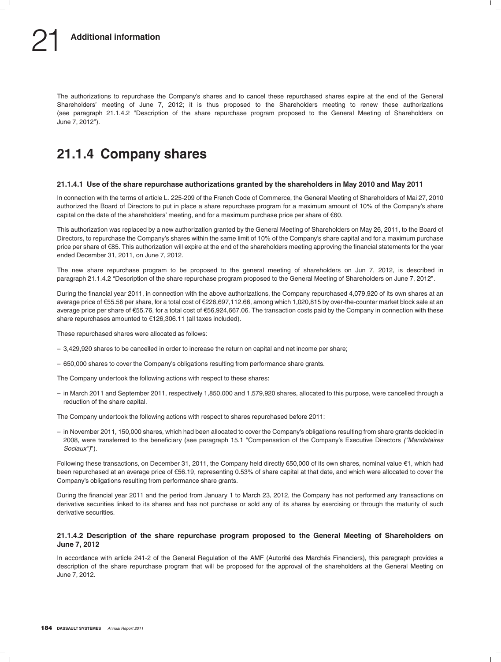The authorizations to repurchase the Company's shares and to cancel these repurchased shares expire at the end of the General Shareholders' meeting of June 7, 2012; it is thus proposed to the Shareholders meeting to renew these authorizations (see paragraph 21.1.4.2 ''Description of the share repurchase program proposed to the General Meeting of Shareholders on June 7, 2012'').

## **21.1.4 Company shares**

### **21.1.4.1 Use of the share repurchase authorizations granted by the shareholders in May 2010 and May 2011**

In connection with the terms of article L. 225-209 of the French Code of Commerce, the General Meeting of Shareholders of Mai 27, 2010 authorized the Board of Directors to put in place a share repurchase program for a maximum amount of 10% of the Company's share capital on the date of the shareholders' meeting, and for a maximum purchase price per share of  $\epsilon$ 60.

This authorization was replaced by a new authorization granted by the General Meeting of Shareholders on May 26, 2011, to the Board of Directors, to repurchase the Company's shares within the same limit of 10% of the Company's share capital and for a maximum purchase price per share of €85. This authorization will expire at the end of the shareholders meeting approving the financial statements for the year ended December 31, 2011, on June 7, 2012.

The new share repurchase program to be proposed to the general meeting of shareholders on Jun 7, 2012, is described in paragraph 21.1.4.2 "Description of the share repurchase program proposed to the General Meeting of Shareholders on June 7, 2012".

During the financial year 2011, in connection with the above authorizations, the Company repurchased 4,079,920 of its own shares at an average price of €55.56 per share, for a total cost of €226,697,112.66, among which 1,020,815 by over-the-counter market block sale at an average price per share of €55.76, for a total cost of €56,924,667.06. The transaction costs paid by the Company in connection with these share repurchases amounted to €126,306.11 (all taxes included).

These repurchased shares were allocated as follows:

- 3,429,920 shares to be cancelled in order to increase the return on capital and net income per share;
- 650,000 shares to cover the Company's obligations resulting from performance share grants.

The Company undertook the following actions with respect to these shares:

– in March 2011 and September 2011, respectively 1,850,000 and 1,579,920 shares, allocated to this purpose, were cancelled through a reduction of the share capital.

The Company undertook the following actions with respect to shares repurchased before 2011:

– in November 2011, 150,000 shares, which had been allocated to cover the Company's obligations resulting from share grants decided in 2008, were transferred to the beneficiary (see paragraph 15.1 ''Compensation of the Company's Executive Directors *(''Mandataires Sociaux'')*'').

Following these transactions, on December 31, 2011, the Company held directly 650,000 of its own shares, nominal value €1, which had been repurchased at an average price of e56.19, representing 0.53% of share capital at that date, and which were allocated to cover the Company's obligations resulting from performance share grants.

During the financial year 2011 and the period from January 1 to March 23, 2012, the Company has not performed any transactions on derivative securities linked to its shares and has not purchase or sold any of its shares by exercising or through the maturity of such derivative securities.

### **21.1.4.2 Description of the share repurchase program proposed to the General Meeting of Shareholders on June 7, 2012**

In accordance with article 241-2 of the General Regulation of the AMF (Autorité des Marchés Financiers), this paragraph provides a description of the share repurchase program that will be proposed for the approval of the shareholders at the General Meeting on June 7, 2012.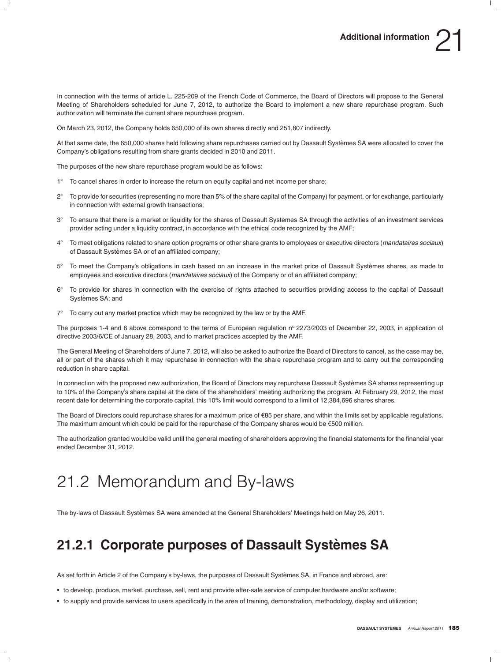In connection with the terms of article L. 225-209 of the French Code of Commerce, the Board of Directors will propose to the General Meeting of Shareholders scheduled for June 7, 2012, to authorize the Board to implement a new share repurchase program. Such authorization will terminate the current share repurchase program.

On March 23, 2012, the Company holds 650,000 of its own shares directly and 251,807 indirectly.

At that same date, the 650,000 shares held following share repurchases carried out by Dassault Systemes SA were allocated to cover the ` Company's obligations resulting from share grants decided in 2010 and 2011.

The purposes of the new share repurchase program would be as follows:

- $1^{\circ}$ To cancel shares in order to increase the return on equity capital and net income per share;
- $2^{\circ}$  To provide for securities (representing no more than 5% of the share capital of the Company) for payment, or for exchange, particularly in connection with external growth transactions;
- 3- To ensure that there is a market or liquidity for the shares of Dassault Systemes SA through the activities of an investment services ` provider acting under a liquidity contract, in accordance with the ethical code recognized by the AMF;
- $4^\circ$  To meet obligations related to share option programs or other share grants to employees or executive directors (*mandataires sociaux*) of Dassault Systèmes SA or of an affiliated company;
- $5^{\circ}$  To meet the Company's obligations in cash based on an increase in the market price of Dassault Systemes shares, as made to ` employees and executive directors (*mandataires sociaux*) of the Company or of an affiliated company;
- $6^{\circ}$  To provide for shares in connection with the exercise of rights attached to securities providing access to the capital of Dassault Systèmes SA; and
- $7^\circ$  To carry out any market practice which may be recognized by the law or by the AMF.

The purposes 1-4 and 6 above correspond to the terms of European regulation nº 2273/2003 of December 22, 2003, in application of directive 2003/6/CE of January 28, 2003, and to market practices accepted by the AMF.

The General Meeting of Shareholders of June 7, 2012, will also be asked to authorize the Board of Directors to cancel, as the case may be, all or part of the shares which it may repurchase in connection with the share repurchase program and to carry out the corresponding reduction in share capital.

In connection with the proposed new authorization, the Board of Directors may repurchase Dassault Systèmes SA shares representing up to 10% of the Company's share capital at the date of the shareholders' meeting authorizing the program. At February 29, 2012, the most recent date for determining the corporate capital, this 10% limit would correspond to a limit of 12,384,696 shares shares.

The Board of Directors could repurchase shares for a maximum price of €85 per share, and within the limits set by applicable regulations. The maximum amount which could be paid for the repurchase of the Company shares would be  $€500$  million.

The authorization granted would be valid until the general meeting of shareholders approving the financial statements for the financial year ended December 31, 2012.

# 21.2 Memorandum and By-laws

The by-laws of Dassault Systèmes SA were amended at the General Shareholders' Meetings held on May 26, 2011.

## **21.2.1 Corporate purposes of Dassault Systemes SA `**

As set forth in Article 2 of the Company's by-laws, the purposes of Dassault Systèmes SA, in France and abroad, are:

- to develop, produce, market, purchase, sell, rent and provide after-sale service of computer hardware and/or software;
- to supply and provide services to users specifically in the area of training, demonstration, methodology, display and utilization;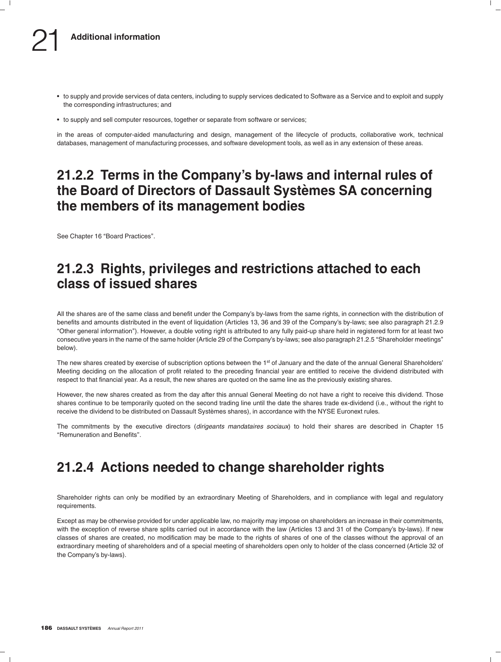- to supply and provide services of data centers, including to supply services dedicated to Software as a Service and to exploit and supply the corresponding infrastructures; and
- to supply and sell computer resources, together or separate from software or services;

in the areas of computer-aided manufacturing and design, management of the lifecycle of products, collaborative work, technical databases, management of manufacturing processes, and software development tools, as well as in any extension of these areas.

### **21.2.2 Terms in the Company's by-laws and internal rules of the Board of Directors of Dassault Systemes SA concerning ` the members of its management bodies**

See Chapter 16 "Board Practices".

### **21.2.3 Rights, privileges and restrictions attached to each class of issued shares**

All the shares are of the same class and benefit under the Company's by-laws from the same rights, in connection with the distribution of benefits and amounts distributed in the event of liquidation (Articles 13, 36 and 39 of the Company's by-laws; see also paragraph 21.2.9 ''Other general information''). However, a double voting right is attributed to any fully paid-up share held in registered form for at least two consecutive years in the name of the same holder (Article 29 of the Company's by-laws; see also paragraph 21.2.5 "Shareholder meetings" below).

The new shares created by exercise of subscription options between the 1<sup>st</sup> of January and the date of the annual General Shareholders' Meeting deciding on the allocation of profit related to the preceding financial year are entitled to receive the dividend distributed with respect to that financial year. As a result, the new shares are quoted on the same line as the previously existing shares.

However, the new shares created as from the day after this annual General Meeting do not have a right to receive this dividend. Those shares continue to be temporarily quoted on the second trading line until the date the shares trade ex-dividend (i.e., without the right to receive the dividend to be distributed on Dassault Systèmes shares), in accordance with the NYSE Euronext rules.

The commitments by the executive directors (*dirigeants mandataires sociaux*) to hold their shares are described in Chapter 15 ''Remuneration and Benefits''.

## **21.2.4 Actions needed to change shareholder rights**

Shareholder rights can only be modified by an extraordinary Meeting of Shareholders, and in compliance with legal and regulatory requirements.

Except as may be otherwise provided for under applicable law, no majority may impose on shareholders an increase in their commitments, with the exception of reverse share splits carried out in accordance with the law (Articles 13 and 31 of the Company's by-laws). If new classes of shares are created, no modification may be made to the rights of shares of one of the classes without the approval of an extraordinary meeting of shareholders and of a special meeting of shareholders open only to holder of the class concerned (Article 32 of the Company's by-laws).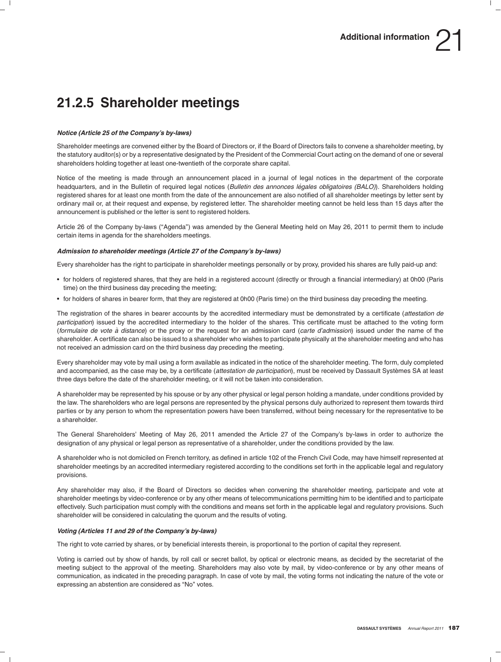## **21.2.5 Shareholder meetings**

### *Notice (Article 25 of the Company's by-laws)*

Shareholder meetings are convened either by the Board of Directors or, if the Board of Directors fails to convene a shareholder meeting, by the statutory auditor(s) or by a representative designated by the President of the Commercial Court acting on the demand of one or several shareholders holding together at least one-twentieth of the corporate share capital.

Notice of the meeting is made through an announcement placed in a journal of legal notices in the department of the corporate headquarters, and in the Bulletin of required legal notices (Bulletin des annonces légales obligatoires (BALO)). Shareholders holding registered shares for at least one month from the date of the announcement are also notified of all shareholder meetings by letter sent by ordinary mail or, at their request and expense, by registered letter. The shareholder meeting cannot be held less than 15 days after the announcement is published or the letter is sent to registered holders.

Article 26 of the Company by-laws (''Agenda'') was amended by the General Meeting held on May 26, 2011 to permit them to include certain items in agenda for the shareholders meetings.

### *Admission to shareholder meetings (Article 27 of the Company's by-laws)*

Every shareholder has the right to participate in shareholder meetings personally or by proxy, provided his shares are fully paid-up and:

- for holders of registered shares, that they are held in a registered account (directly or through a financial intermediary) at 0h00 (Paris time) on the third business day preceding the meeting;
- for holders of shares in bearer form, that they are registered at 0h00 (Paris time) on the third business day preceding the meeting.

The registration of the shares in bearer accounts by the accredited intermediary must be demonstrated by a certificate (*attestation de participation*) issued by the accredited intermediary to the holder of the shares. This certificate must be attached to the voting form (*formulaire de vote a distance `* ) or the proxy or the request for an admission card (*carte d'admission*) issued under the name of the shareholder. A certificate can also be issued to a shareholder who wishes to participate physically at the shareholder meeting and who has not received an admission card on the third business day preceding the meeting.

Every shareholder may vote by mail using a form available as indicated in the notice of the shareholder meeting. The form, duly completed and accompanied, as the case may be, by a certificate (*attestation de participation*), must be received by Dassault Systemes SA at least ` three days before the date of the shareholder meeting, or it will not be taken into consideration.

A shareholder may be represented by his spouse or by any other physical or legal person holding a mandate, under conditions provided by the law. The shareholders who are legal persons are represented by the physical persons duly authorized to represent them towards third parties or by any person to whom the representation powers have been transferred, without being necessary for the representative to be a shareholder.

The General Shareholders' Meeting of May 26, 2011 amended the Article 27 of the Company's by-laws in order to authorize the designation of any physical or legal person as representative of a shareholder, under the conditions provided by the law.

A shareholder who is not domiciled on French territory, as defined in article 102 of the French Civil Code, may have himself represented at shareholder meetings by an accredited intermediary registered according to the conditions set forth in the applicable legal and regulatory provisions.

Any shareholder may also, if the Board of Directors so decides when convening the shareholder meeting, participate and vote at shareholder meetings by video-conference or by any other means of telecommunications permitting him to be identified and to participate effectively. Such participation must comply with the conditions and means set forth in the applicable legal and regulatory provisions. Such shareholder will be considered in calculating the quorum and the results of voting.

### *Voting (Articles 11 and 29 of the Company's by-laws)*

The right to vote carried by shares, or by beneficial interests therein, is proportional to the portion of capital they represent.

Voting is carried out by show of hands, by roll call or secret ballot, by optical or electronic means, as decided by the secretariat of the meeting subject to the approval of the meeting. Shareholders may also vote by mail, by video-conference or by any other means of communication, as indicated in the preceding paragraph. In case of vote by mail, the voting forms not indicating the nature of the vote or expressing an abstention are considered as "No" votes.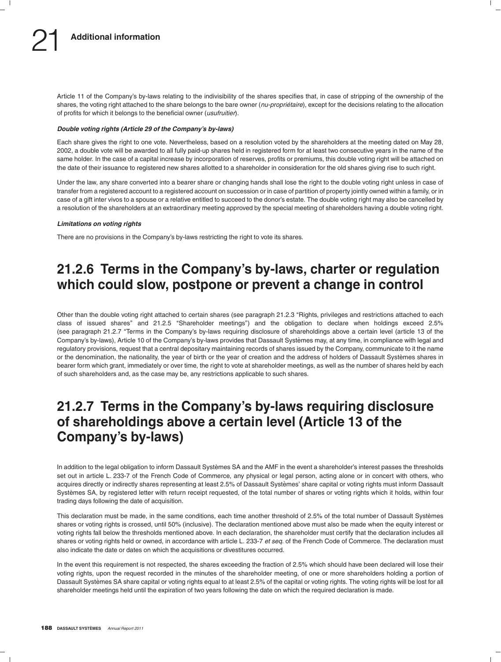Article 11 of the Company's by-laws relating to the indivisibility of the shares specifies that, in case of stripping of the ownership of the shares, the voting right attached to the share belongs to the bare owner (*nu-propriétaire*), except for the decisions relating to the allocation of profits for which it belongs to the beneficial owner (*usufruitier*).

### *Double voting rights (Article 29 of the Company's by-laws)*

Each share gives the right to one vote. Nevertheless, based on a resolution voted by the shareholders at the meeting dated on May 28, 2002, a double vote will be awarded to all fully paid-up shares held in registered form for at least two consecutive years in the name of the same holder. In the case of a capital increase by incorporation of reserves, profits or premiums, this double voting right will be attached on the date of their issuance to registered new shares allotted to a shareholder in consideration for the old shares giving rise to such right.

Under the law, any share converted into a bearer share or changing hands shall lose the right to the double voting right unless in case of transfer from a registered account to a registered account on succession or in case of partition of property jointly owned within a family, or in case of a gift inter vivos to a spouse or a relative entitled to succeed to the donor's estate. The double voting right may also be cancelled by a resolution of the shareholders at an extraordinary meeting approved by the special meeting of shareholders having a double voting right.

### *Limitations on voting rights*

There are no provisions in the Company's by-laws restricting the right to vote its shares.

## **21.2.6 Terms in the Company's by-laws, charter or regulation which could slow, postpone or prevent a change in control**

Other than the double voting right attached to certain shares (see paragraph 21.2.3 ''Rights, privileges and restrictions attached to each class of issued shares'' and 21.2.5 ''Shareholder meetings'') and the obligation to declare when holdings exceed 2.5% (see paragraph 21.2.7 ''Terms in the Company's by-laws requiring disclosure of shareholdings above a certain level (article 13 of the Company's by-laws), Article 10 of the Company's by-laws provides that Dassault Systèmes may, at any time, in compliance with legal and regulatory provisions, request that a central depositary maintaining records of shares issued by the Company, communicate to it the name or the denomination, the nationality, the year of birth or the year of creation and the address of holders of Dassault Systemes shares in ` bearer form which grant, immediately or over time, the right to vote at shareholder meetings, as well as the number of shares held by each of such shareholders and, as the case may be, any restrictions applicable to such shares.

## **21.2.7 Terms in the Company's by-laws requiring disclosure of shareholdings above a certain level (Article 13 of the Company's by-laws)**

In addition to the legal obligation to inform Dassault Systèmes SA and the AMF in the event a shareholder's interest passes the thresholds set out in article L. 233-7 of the French Code of Commerce, any physical or legal person, acting alone or in concert with others, who acquires directly or indirectly shares representing at least 2.5% of Dassault Systèmes' share capital or voting rights must inform Dassault Systèmes SA, by registered letter with return receipt requested, of the total number of shares or voting rights which it holds, within four trading days following the date of acquisition.

This declaration must be made, in the same conditions, each time another threshold of 2.5% of the total number of Dassault Systèmes shares or voting rights is crossed, until 50% (inclusive). The declaration mentioned above must also be made when the equity interest or voting rights fall below the thresholds mentioned above. In each declaration, the shareholder must certify that the declaration includes all shares or voting rights held or owned, in accordance with article L. 233-7 *et seq.* of the French Code of Commerce. The declaration must also indicate the date or dates on which the acquisitions or divestitures occurred.

In the event this requirement is not respected, the shares exceeding the fraction of 2.5% which should have been declared will lose their voting rights, upon the request recorded in the minutes of the shareholder meeting, of one or more shareholders holding a portion of Dassault Systèmes SA share capital or voting rights equal to at least 2.5% of the capital or voting rights. The voting rights will be lost for all shareholder meetings held until the expiration of two years following the date on which the required declaration is made.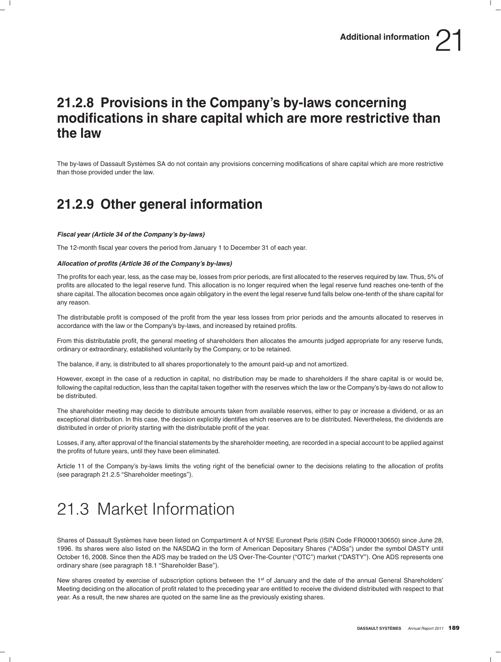## **21.2.8 Provisions in the Company's by-laws concerning modifications in share capital which are more restrictive than the law**

The by-laws of Dassault Systèmes SA do not contain any provisions concerning modifications of share capital which are more restrictive than those provided under the law.

## **21.2.9 Other general information**

### *Fiscal year (Article 34 of the Company's by-laws)*

The 12-month fiscal year covers the period from January 1 to December 31 of each year.

### *Allocation of profits (Article 36 of the Company's by-laws)*

The profits for each year, less, as the case may be, losses from prior periods, are first allocated to the reserves required by law. Thus, 5% of profits are allocated to the legal reserve fund. This allocation is no longer required when the legal reserve fund reaches one-tenth of the share capital. The allocation becomes once again obligatory in the event the legal reserve fund falls below one-tenth of the share capital for any reason.

The distributable profit is composed of the profit from the year less losses from prior periods and the amounts allocated to reserves in accordance with the law or the Company's by-laws, and increased by retained profits.

From this distributable profit, the general meeting of shareholders then allocates the amounts judged appropriate for any reserve funds, ordinary or extraordinary, established voluntarily by the Company, or to be retained.

The balance, if any, is distributed to all shares proportionately to the amount paid-up and not amortized.

However, except in the case of a reduction in capital, no distribution may be made to shareholders if the share capital is or would be, following the capital reduction, less than the capital taken together with the reserves which the law or the Company's by-laws do not allow to be distributed.

The shareholder meeting may decide to distribute amounts taken from available reserves, either to pay or increase a dividend, or as an exceptional distribution. In this case, the decision explicitly identifies which reserves are to be distributed. Nevertheless, the dividends are distributed in order of priority starting with the distributable profit of the year.

Losses, if any, after approval of the financial statements by the shareholder meeting, are recorded in a special account to be applied against the profits of future years, until they have been eliminated.

Article 11 of the Company's by-laws limits the voting right of the beneficial owner to the decisions relating to the allocation of profits (see paragraph 21.2.5 "Shareholder meetings").

## 21.3 Market Information

Shares of Dassault Systemes have been listed on Compartiment A of NYSE Euronext Paris (ISIN Code FR0000130650) since June 28, ` 1996. Its shares were also listed on the NASDAQ in the form of American Depositary Shares (''ADSs'') under the symbol DASTY until October 16, 2008. Since then the ADS may be traded on the US Over-The-Counter ("OTC") market ("DASTY"). One ADS represents one ordinary share (see paragraph 18.1 ''Shareholder Base'').

New shares created by exercise of subscription options between the 1<sup>st</sup> of January and the date of the annual General Shareholders' Meeting deciding on the allocation of profit related to the preceding year are entitled to receive the dividend distributed with respect to that year. As a result, the new shares are quoted on the same line as the previously existing shares.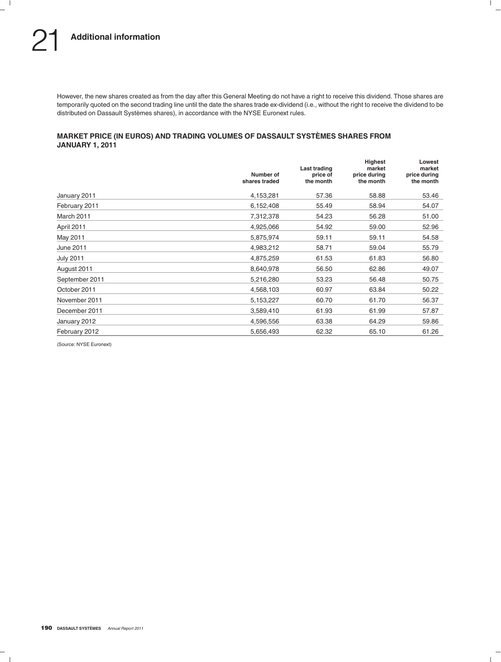However, the new shares created as from the day after this General Meeting do not have a right to receive this dividend. Those shares are temporarily quoted on the second trading line until the date the shares trade ex-dividend (i.e., without the right to receive the dividend to be distributed on Dassault Systèmes shares), in accordance with the NYSE Euronext rules.

### **MARKET PRICE (IN EUROS) AND TRADING VOLUMES OF DASSAULT SYSTEMES SHARES FROM ` JANUARY 1, 2011**

|                  | Number of<br>shares traded | Last trading<br>price of<br>the month | Highest<br>market<br>price during<br>the month | Lowest<br>market<br>price during<br>the month |
|------------------|----------------------------|---------------------------------------|------------------------------------------------|-----------------------------------------------|
| January 2011     | 4,153,281                  | 57.36                                 | 58.88                                          | 53.46                                         |
| February 2011    | 6,152,408                  | 55.49                                 | 58.94                                          | 54.07                                         |
| March 2011       | 7,312,378                  | 54.23                                 | 56.28                                          | 51.00                                         |
| April 2011       | 4,925,066                  | 54.92                                 | 59.00                                          | 52.96                                         |
| May 2011         | 5,875,974                  | 59.11                                 | 59.11                                          | 54.58                                         |
| June 2011        | 4,983,212                  | 58.71                                 | 59.04                                          | 55.79                                         |
| <b>July 2011</b> | 4,875,259                  | 61.53                                 | 61.83                                          | 56.80                                         |
| August 2011      | 8,640,978                  | 56.50                                 | 62.86                                          | 49.07                                         |
| September 2011   | 5,216,280                  | 53.23                                 | 56.48                                          | 50.75                                         |
| October 2011     | 4,568,103                  | 60.97                                 | 63.84                                          | 50.22                                         |
| November 2011    | 5,153,227                  | 60.70                                 | 61.70                                          | 56.37                                         |
| December 2011    | 3,589,410                  | 61.93                                 | 61.99                                          | 57.87                                         |
| January 2012     | 4,596,556                  | 63.38                                 | 64.29                                          | 59.86                                         |
| February 2012    | 5,656,493                  | 62.32                                 | 65.10                                          | 61.26                                         |

(Source: NYSE Euronext)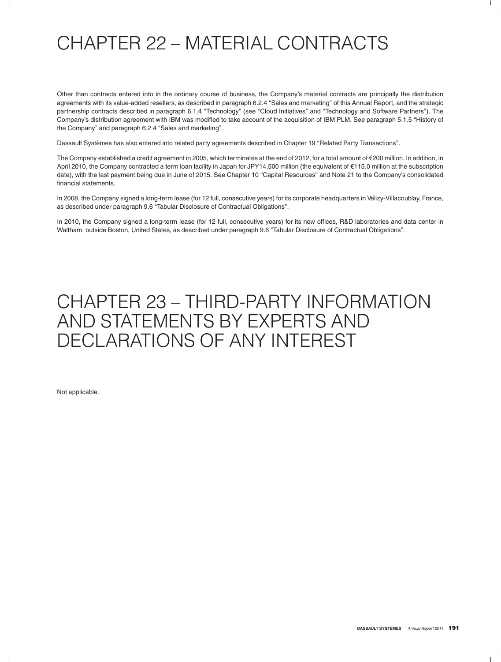# CHAPTER 22 – MATERIAL CONTRACTS

Other than contracts entered into in the ordinary course of business, the Company's material contracts are principally the distribution agreements with its value-added resellers, as described in paragraph 6.2.4 ''Sales and marketing'' of this Annual Report, and the strategic partnership contracts described in paragraph 6.1.4 "Technology" (see "Cloud Initiatives" and "Technology and Software Partners"). The Company's distribution agreement with IBM was modified to take account of the acquisition of IBM PLM. See paragraph 5.1.5 "History of the Company" and paragraph 6.2.4 "Sales and marketing".

Dassault Systèmes has also entered into related party agreements described in Chapter 19 "Related Party Transactions".

The Company established a credit agreement in 2005, which terminates at the end of 2012, for a total amount of €200 million. In addition, in April 2010, the Company contracted a term loan facility in Japan for JPY14,500 million (the equivalent of €115.0 million at the subscription date), with the last payment being due in June of 2015. See Chapter 10 ''Capital Resources'' and Note 21 to the Company's consolidated financial statements.

In 2008, the Company signed a long-term lease (for 12 full, consecutive years) for its corporate headquarters in Velizy-Villacoublay, France, ´ as described under paragraph 9.6 ''Tabular Disclosure of Contractual Obligations''.

In 2010, the Company signed a long-term lease (for 12 full, consecutive years) for its new offices, R&D laboratories and data center in Waltham, outside Boston, United States, as described under paragraph 9.6 "Tabular Disclosure of Contractual Obligations".

# CHAPTER 23 – THIRD-PARTY INFORMATION AND STATEMENTS BY EXPERTS AND DECLARATIONS OF ANY INTEREST

Not applicable.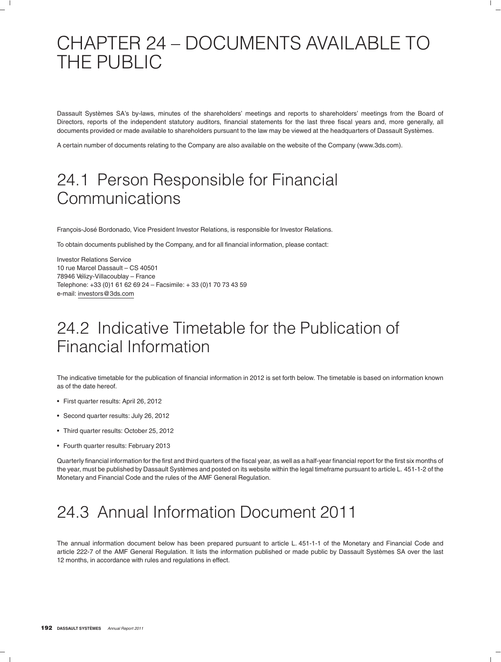# CHAPTER 24 – DOCUMENTS AVAILABLE TO THE PUBLIC

Dassault Systèmes SA's by-laws, minutes of the shareholders' meetings and reports to shareholders' meetings from the Board of Directors, reports of the independent statutory auditors, financial statements for the last three fiscal years and, more generally, all documents provided or made available to shareholders pursuant to the law may be viewed at the headquarters of Dassault Systèmes.

A certain number of documents relating to the Company are also available on the website of the Company (www.3ds.com).

# 24.1 Person Responsible for Financial Communications

François-José Bordonado, Vice President Investor Relations, is responsible for Investor Relations.

To obtain documents published by the Company, and for all financial information, please contact:

Investor Relations Service 10 rue Marcel Dassault – CS 40501 78946 Vélizy-Villacoublay - France Telephone: +33 (0)1 61 62 69 24 – Facsimile: + 33 (0)1 70 73 43 59 e-mail: investors@3ds.com

# 24.2 Indicative Timetable for the Publication of Financial Information

The indicative timetable for the publication of financial information in 2012 is set forth below. The timetable is based on information known as of the date hereof.

- First quarter results: April 26, 2012
- Second quarter results: July 26, 2012
- Third quarter results: October 25, 2012
- Fourth quarter results: February 2013

Quarterly financial information for the first and third quarters of the fiscal year, as well as a half-year financial report for the first six months of the year, must be published by Dassault Systèmes and posted on its website within the legal timeframe pursuant to article L. 451-1-2 of the Monetary and Financial Code and the rules of the AMF General Regulation.

# 24.3 Annual Information Document 2011

The annual information document below has been prepared pursuant to article L. 451-1-1 of the Monetary and Financial Code and article 222-7 of the AMF General Regulation. It lists the information published or made public by Dassault Systèmes SA over the last 12 months, in accordance with rules and regulations in effect.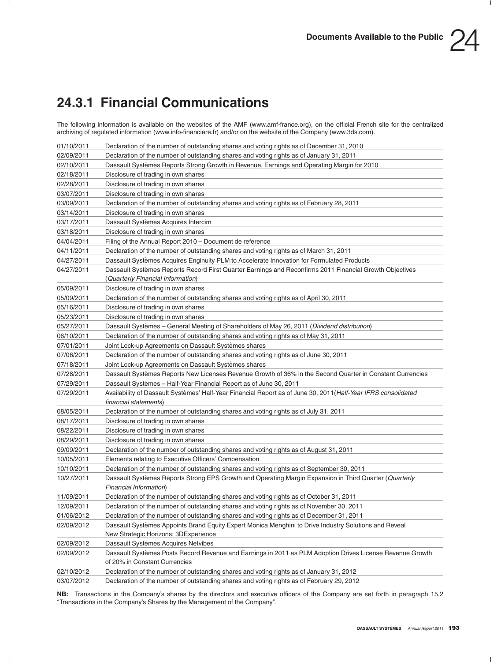## **24.3.1 Financial Communications**

The following information is available on the websites of the AMF (www.amf-france.org), on the official French site for the centralized archiving of regulated information (www.info-financiere.fr) and/or on the website of the Company (www.3ds.com).

| 01/10/2011 | Declaration of the number of outstanding shares and voting rights as of December 31, 2010                                               |
|------------|-----------------------------------------------------------------------------------------------------------------------------------------|
| 02/09/2011 | Declaration of the number of outstanding shares and voting rights as of January 31, 2011                                                |
| 02/10/2011 | Dassault Systèmes Reports Strong Growth in Revenue, Earnings and Operating Margin for 2010                                              |
| 02/18/2011 | Disclosure of trading in own shares                                                                                                     |
| 02/28/2011 | Disclosure of trading in own shares                                                                                                     |
| 03/07/2011 | Disclosure of trading in own shares                                                                                                     |
| 03/09/2011 | Declaration of the number of outstanding shares and voting rights as of February 28, 2011                                               |
| 03/14/2011 | Disclosure of trading in own shares                                                                                                     |
| 03/17/2011 | Dassault Systèmes Acquires Intercim                                                                                                     |
| 03/18/2011 | Disclosure of trading in own shares                                                                                                     |
| 04/04/2011 | Filing of the Annual Report 2010 - Document de reference                                                                                |
| 04/11/2011 | Declaration of the number of outstanding shares and voting rights as of March 31, 2011                                                  |
| 04/27/2011 | Dassault Systèmes Acquires Enginuity PLM to Accelerate Innovation for Formulated Products                                               |
| 04/27/2011 | Dassault Systèmes Reports Record First Quarter Earnings and Reconfirms 2011 Financial Growth Objectives                                 |
|            | (Quarterly Financial Information)                                                                                                       |
| 05/09/2011 | Disclosure of trading in own shares                                                                                                     |
| 05/09/2011 | Declaration of the number of outstanding shares and voting rights as of April 30, 2011                                                  |
| 05/16/2011 | Disclosure of trading in own shares                                                                                                     |
| 05/23/2011 | Disclosure of trading in own shares                                                                                                     |
| 05/27/2011 | Dassault Systèmes - General Meeting of Shareholders of May 26, 2011 (Dividend distribution)                                             |
| 06/10/2011 | Declaration of the number of outstanding shares and voting rights as of May 31, 2011                                                    |
| 07/01/2011 | Joint Lock-up Agreements on Dassault Systèmes shares                                                                                    |
| 07/06/2011 | Declaration of the number of outstanding shares and voting rights as of June 30, 2011                                                   |
| 07/18/2011 | Joint Lock-up Agreements on Dassault Systèmes shares                                                                                    |
| 07/28/2011 | Dassault Systèmes Reports New Licenses Revenue Growth of 36% in the Second Quarter in Constant Currencies                               |
| 07/29/2011 | Dassault Systèmes - Half-Year Financial Report as of June 30, 2011                                                                      |
| 07/29/2011 | Availability of Dassault Systèmes' Half-Year Financial Report as of June 30, 2011 (Half-Year IFRS consolidated                          |
|            | financial statements)                                                                                                                   |
| 08/05/2011 | Declaration of the number of outstanding shares and voting rights as of July 31, 2011                                                   |
| 08/17/2011 | Disclosure of trading in own shares                                                                                                     |
| 08/22/2011 | Disclosure of trading in own shares                                                                                                     |
| 08/29/2011 | Disclosure of trading in own shares                                                                                                     |
| 09/09/2011 | Declaration of the number of outstanding shares and voting rights as of August 31, 2011                                                 |
| 10/05/2011 | Elements relating to Executive Officers' Compensation                                                                                   |
| 10/10/2011 | Declaration of the number of outstanding shares and voting rights as of September 30, 2011                                              |
| 10/27/2011 | Dassault Systèmes Reports Strong EPS Growth and Operating Margin Expansion in Third Quarter (Quarterly<br><b>Financial Information)</b> |
| 11/09/2011 | Declaration of the number of outstanding shares and voting rights as of October 31, 2011                                                |
| 12/09/2011 | Declaration of the number of outstanding shares and voting rights as of November 30, 2011                                               |
| 01/06/2012 | Declaration of the number of outstanding shares and voting rights as of December 31, 2011                                               |
| 02/09/2012 | Dassault Systèmes Appoints Brand Equity Expert Monica Menghini to Drive Industry Solutions and Reveal                                   |
|            | New Strategic Horizons: 3DExperience                                                                                                    |
| 02/09/2012 | Dassault Systèmes Acquires Netvibes                                                                                                     |
| 02/09/2012 | Dassault Systèmes Posts Record Revenue and Earnings in 2011 as PLM Adoption Drives License Revenue Growth                               |
|            | of 20% in Constant Currencies                                                                                                           |
| 02/10/2012 | Declaration of the number of outstanding shares and voting rights as of January 31, 2012                                                |
| 03/07/2012 | Declaration of the number of outstanding shares and voting rights as of February 29, 2012                                               |

**NB:** Transactions in the Company's shares by the directors and executive officers of the Company are set forth in paragraph 15.2 ''Transactions in the Company's Shares by the Management of the Company''.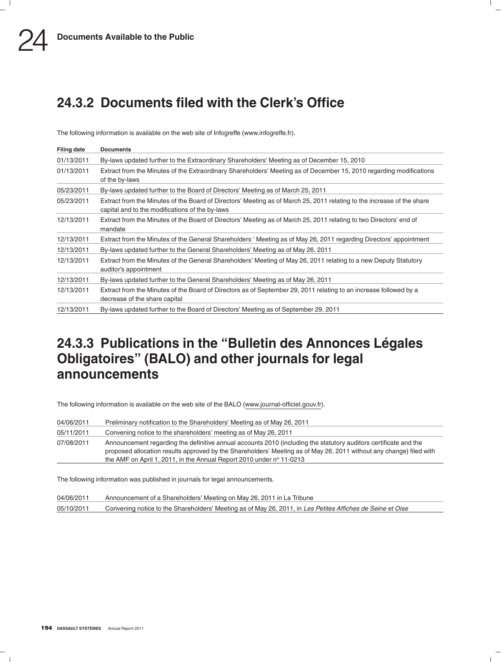## **24.3.2 Documents filed with the Clerk's Office**

The following information is available on the web site of Infogreffe (www.infogreffe.fr).

| <b>Filing date</b> | <b>Documents</b>                                                                                                                                                          |
|--------------------|---------------------------------------------------------------------------------------------------------------------------------------------------------------------------|
| 01/13/2011         | By-laws updated further to the Extraordinary Shareholders' Meeting as of December 15, 2010                                                                                |
| 01/13/2011         | Extract from the Minutes of the Extraordinary Shareholders' Meeting as of December 15, 2010 regarding modifications<br>of the by-laws                                     |
| 05/23/2011         | By-laws updated further to the Board of Directors' Meeting as of March 25, 2011                                                                                           |
| 05/23/2011         | Extract from the Minutes of the Board of Directors' Meeting as of March 25, 2011 relating to the increase of the share<br>capital and to the modifications of the by-laws |
| 12/13/2011         | Extract from the Minutes of the Board of Directors' Meeting as of March 25, 2011 relating to two Directors' end of<br>mandate                                             |
| 12/13/2011         | Extract from the Minutes of the General Shareholders 'Meeting as of May 26, 2011 regarding Directors' appointment                                                         |
| 12/13/2011         | By-laws updated further to the General Shareholders' Meeting as of May 26, 2011                                                                                           |
| 12/13/2011         | Extract from the Minutes of the General Shareholders' Meeting of May 26, 2011 relating to a new Deputy Statutory<br>auditor's appointment                                 |
| 12/13/2011         | By-laws updated further to the General Shareholders' Meeting as of May 26, 2011                                                                                           |
| 12/13/2011         | Extract from the Minutes of the Board of Directors as of September 29, 2011 relating to an increase followed by a<br>decrease of the share capital                        |
| 12/13/2011         | By-laws updated further to the Board of Directors' Meeting as of September 29, 2011                                                                                       |

## **24.3.3 Publications in the ''Bulletin des Annonces Legales ´ Obligatoires'' (BALO) and other journals for legal announcements**

The following information is available on the web site of the BALO (www.journal-officiel.gouv.fr).

| 04/06/2011 | Preliminary notification to the Shareholders' Meeting as of May 26, 2011                                                                                                                                                                                                                                                 |
|------------|--------------------------------------------------------------------------------------------------------------------------------------------------------------------------------------------------------------------------------------------------------------------------------------------------------------------------|
| 05/11/2011 | Convening notice to the shareholders' meeting as of May 26, 2011                                                                                                                                                                                                                                                         |
| 07/08/2011 | Announcement regarding the definitive annual accounts 2010 (including the statutory auditors certificate and the<br>proposed allocation results approved by the Shareholders' Meeting as of May 26, 2011 without any change) filed with<br>the AMF on April 1, 2011, in the Annual Report 2010 under $n^{\circ}$ 11-0213 |

The following information was published in journals for legal announcements.

| 04/06/2011 | Announcement of a Shareholders' Meeting on May 26, 2011 in La Tribune                                      |
|------------|------------------------------------------------------------------------------------------------------------|
| 05/10/2011 | Convening notice to the Shareholders' Meeting as of May 26, 2011, in Les Petites Affiches de Seine et Oise |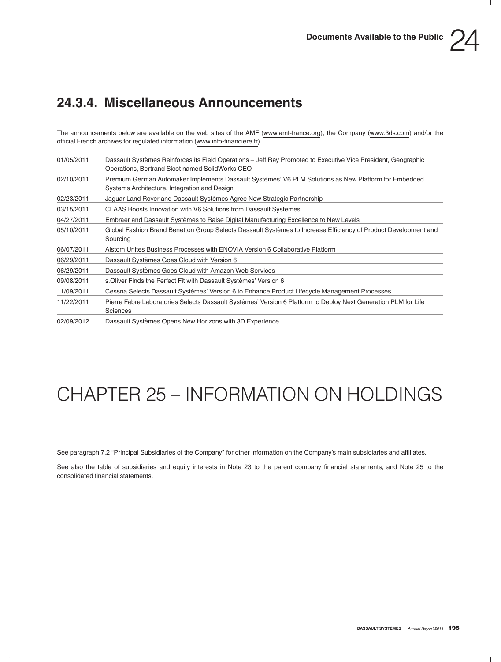

## **24.3.4. Miscellaneous Announcements**

The announcements below are available on the web sites of the AMF (www.amf-france.org), the Company (www.3ds.com) and/or the official French archives for regulated information (www.info-financiere.fr).

| 01/05/2011 | Dassault Systèmes Reinforces its Field Operations – Jeff Ray Promoted to Executive Vice President, Geographic<br>Operations, Bertrand Sicot named SolidWorks CEO |
|------------|------------------------------------------------------------------------------------------------------------------------------------------------------------------|
| 02/10/2011 | Premium German Automaker Implements Dassault Systèmes' V6 PLM Solutions as New Platform for Embedded<br>Systems Architecture, Integration and Design             |
| 02/23/2011 | Jaguar Land Rover and Dassault Systèmes Agree New Strategic Partnership                                                                                          |
| 03/15/2011 | CLAAS Boosts Innovation with V6 Solutions from Dassault Systèmes                                                                                                 |
| 04/27/2011 | Embraer and Dassault Systèmes to Raise Digital Manufacturing Excellence to New Levels                                                                            |
| 05/10/2011 | Global Fashion Brand Benetton Group Selects Dassault Systèmes to Increase Efficiency of Product Development and<br>Sourcing                                      |
| 06/07/2011 | Alstom Unites Business Processes with ENOVIA Version 6 Collaborative Platform                                                                                    |
| 06/29/2011 | Dassault Systèmes Goes Cloud with Version 6                                                                                                                      |
| 06/29/2011 | Dassault Systèmes Goes Cloud with Amazon Web Services                                                                                                            |
| 09/08/2011 | s. Oliver Finds the Perfect Fit with Dassault Systèmes' Version 6                                                                                                |
| 11/09/2011 | Cessna Selects Dassault Systèmes' Version 6 to Enhance Product Lifecycle Management Processes                                                                    |
| 11/22/2011 | Pierre Fabre Laboratories Selects Dassault Systèmes' Version 6 Platform to Deploy Next Generation PLM for Life<br><b>Sciences</b>                                |
| 02/09/2012 | Dassault Systèmes Opens New Horizons with 3D Experience                                                                                                          |

# CHAPTER 25 – INFORMATION ON HOLDINGS

See paragraph 7.2 ''Principal Subsidiaries of the Company'' for other information on the Company's main subsidiaries and affiliates.

See also the table of subsidiaries and equity interests in Note 23 to the parent company financial statements, and Note 25 to the consolidated financial statements.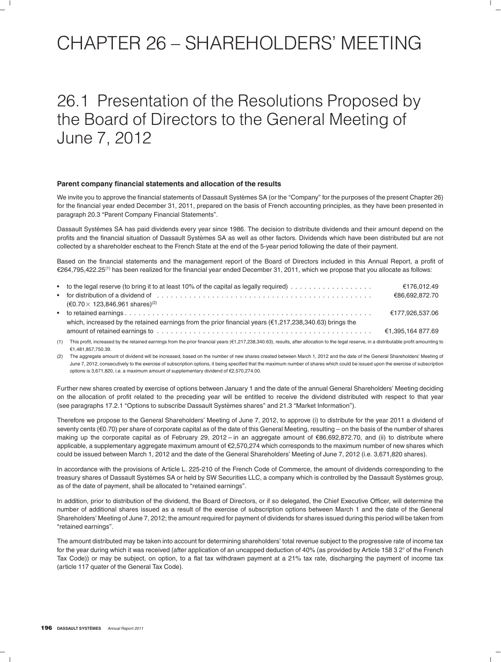# CHAPTER 26 – SHAREHOLDERS' MEETING

## 26.1 Presentation of the Resolutions Proposed by the Board of Directors to the General Meeting of June 7, 2012

### **Parent company financial statements and allocation of the results**

We invite you to approve the financial statements of Dassault Systèmes SA (or the "Company" for the purposes of the present Chapter 26) for the financial year ended December 31, 2011, prepared on the basis of French accounting principles, as they have been presented in paragraph 20.3 "Parent Company Financial Statements".

Dassault Systèmes SA has paid dividends every year since 1986. The decision to distribute dividends and their amount depend on the profits and the financial situation of Dassault Systèmes SA as well as other factors. Dividends which have been distributed but are not collected by a shareholder escheat to the French State at the end of the 5-year period following the date of their payment.

Based on the financial statements and the management report of the Board of Directors included in this Annual Report, a profit of €264,795,422.25<sup>(1)</sup> has been realized for the financial year ended December 31, 2011, which we propose that you allocate as follows:

|     | • to the legal reserve (to bring it to at least 10% of the capital as legally required) $\ldots \ldots \ldots \ldots \ldots$                                                                                     | €176.012.49       |
|-----|------------------------------------------------------------------------------------------------------------------------------------------------------------------------------------------------------------------|-------------------|
|     |                                                                                                                                                                                                                  | €86.692.872.70    |
|     | $(6.70 \times 123,846,961 \text{ shares})^{(2)}$                                                                                                                                                                 |                   |
|     |                                                                                                                                                                                                                  | €177.926.537.06   |
|     | which, increased by the retained earnings from the prior financial years ( $\epsilon$ 1,217,238,340.63) brings the                                                                                               |                   |
|     |                                                                                                                                                                                                                  | €1.395.164 877.69 |
| (1) | This profit, increased by the retained earnings from the prior financial years (€1,217,238,340.63), results, after allocation to the legal reserve, in a distributable profit amounting to<br>€1.481.857.750.39. |                   |

(2) The aggregate amount of dividend will be increased, based on the number of new shares created between March 1, 2012 and the date of the General Shareholders' Meeting of June 7, 2012, consecutively to the exercise of subscription options, it being specified that the maximum number of shares which could be issued upon the exercise of subscription options is 3,671,820, i.e. a maximum amount of supplementary dividend of e2,570,274.00.

Further new shares created by exercise of options between January 1 and the date of the annual General Shareholders' Meeting deciding on the allocation of profit related to the preceding year will be entitled to receive the dividend distributed with respect to that year (see paragraphs 17.2.1 ''Options to subscribe Dassault Systemes shares'' and 21.3 ''Market Information''). `

Therefore we propose to the General Shareholders' Meeting of June 7, 2012, to approve (i) to distribute for the year 2011 a dividend of seventy cents (€0.70) per share of corporate capital as of the date of this General Meeting, resulting – on the basis of the number of shares making up the corporate capital as of February 29, 2012 – in an aggregate amount of €86,692,872.70, and (ii) to distribute where applicable, a supplementary aggregate maximum amount of €2,570,274 which corresponds to the maximum number of new shares which could be issued between March 1, 2012 and the date of the General Shareholders' Meeting of June 7, 2012 (i.e. 3,671,820 shares).

In accordance with the provisions of Article L. 225-210 of the French Code of Commerce, the amount of dividends corresponding to the treasury shares of Dassault Systèmes SA or held by SW Securities LLC, a company which is controlled by the Dassault Systèmes group, as of the date of payment, shall be allocated to "retained earnings".

In addition, prior to distribution of the dividend, the Board of Directors, or if so delegated, the Chief Executive Officer, will determine the number of additional shares issued as a result of the exercise of subscription options between March 1 and the date of the General Shareholders' Meeting of June 7, 2012; the amount required for payment of dividends for shares issued during this period will be taken from ''retained earnings''.

The amount distributed may be taken into account for determining shareholders' total revenue subject to the progressive rate of income tax for the year during which it was received (after application of an uncapped deduction of 40% (as provided by Article 158 3 2° of the French Tax Code)) or may be subject, on option, to a flat tax withdrawn payment at a 21% tax rate, discharging the payment of income tax (article 117 quater of the General Tax Code).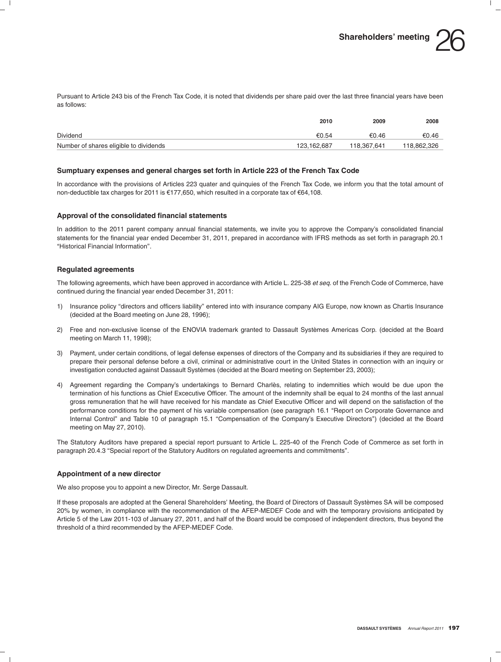Pursuant to Article 243 bis of the French Tax Code, it is noted that dividends per share paid over the last three financial years have been as follows:

|                                        | 2010        | 2009        | 2008        |
|----------------------------------------|-------------|-------------|-------------|
| Dividend                               | €0.54       | €0.46       | €0.46       |
| Number of shares eligible to dividends | 123.162.687 | 118.367.641 | 118.862.326 |

### **Sumptuary expenses and general charges set forth in Article 223 of the French Tax Code**

In accordance with the provisions of Articles 223 quater and quinquies of the French Tax Code, we inform you that the total amount of non-deductible tax charges for 2011 is  $\epsilon$ 177,650, which resulted in a corporate tax of  $\epsilon$ 64,108.

### **Approval of the consolidated financial statements**

In addition to the 2011 parent company annual financial statements, we invite you to approve the Company's consolidated financial statements for the financial year ended December 31, 2011, prepared in accordance with IFRS methods as set forth in paragraph 20.1 ''Historical Financial Information''.

### **Regulated agreements**

The following agreements, which have been approved in accordance with Article L. 225-38 *et seq.* of the French Code of Commerce, have continued during the financial year ended December 31, 2011:

- 1) Insurance policy ''directors and officers liability'' entered into with insurance company AIG Europe, now known as Chartis Insurance (decided at the Board meeting on June 28, 1996);
- 2) Free and non-exclusive license of the ENOVIA trademark granted to Dassault Systemes Americas Corp. (decided at the Board ` meeting on March 11, 1998);
- 3) Payment, under certain conditions, of legal defense expenses of directors of the Company and its subsidiaries if they are required to prepare their personal defense before a civil, criminal or administrative court in the United States in connection with an inquiry or investigation conducted against Dassault Systèmes (decided at the Board meeting on September 23, 2003);
- 4) Agreement regarding the Company's undertakings to Bernard Charlès, relating to indemnities which would be due upon the termination of his functions as Chief Excecutive Officer. The amount of the indemnity shall be equal to 24 months of the last annual gross remuneration that he will have received for his mandate as Chief Executive Officer and will depend on the satisfaction of the performance conditions for the payment of his variable compensation (see paragraph 16.1 "Report on Corporate Governance and Internal Control'' and Table 10 of paragraph 15.1 ''Compensation of the Company's Executive Directors'') (decided at the Board meeting on May 27, 2010).

The Statutory Auditors have prepared a special report pursuant to Article L. 225-40 of the French Code of Commerce as set forth in paragraph 20.4.3 ''Special report of the Statutory Auditors on regulated agreements and commitments''.

### **Appointment of a new director**

We also propose you to appoint a new Director, Mr. Serge Dassault.

If these proposals are adopted at the General Shareholders' Meeting, the Board of Directors of Dassault Systèmes SA will be composed 20% by women, in compliance with the recommendation of the AFEP-MEDEF Code and with the temporary provisions anticipated by Article 5 of the Law 2011-103 of January 27, 2011, and half of the Board would be composed of independent directors, thus beyond the threshold of a third recommended by the AFEP-MEDEF Code.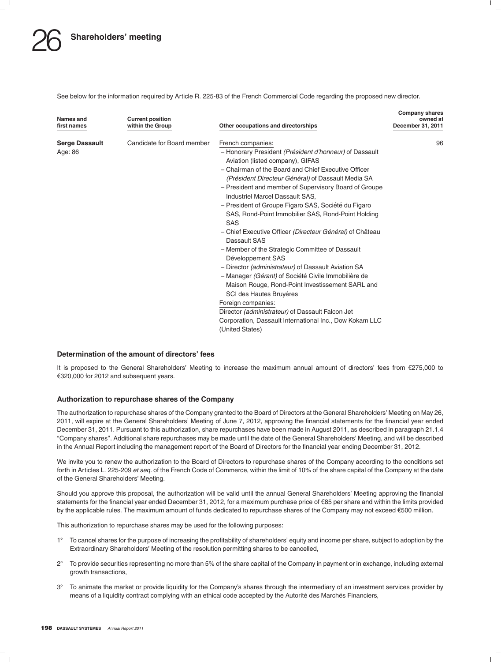See below for the information required by Article R. 225-83 of the French Commercial Code regarding the proposed new director.

| Names and<br>first names | <b>Current position</b><br>within the Group | Other occupations and directorships                                                                                     | <b>Company shares</b><br>owned at<br>December 31, 2011 |
|--------------------------|---------------------------------------------|-------------------------------------------------------------------------------------------------------------------------|--------------------------------------------------------|
| <b>Serge Dassault</b>    | Candidate for Board member                  | French companies:                                                                                                       | 96                                                     |
| Age: 86                  |                                             | - Honorary President (Président d'honneur) of Dassault<br>Aviation (listed company), GIFAS                              |                                                        |
|                          |                                             | - Chairman of the Board and Chief Executive Officer<br>(Président Directeur Général) of Dassault Media SA               |                                                        |
|                          |                                             | - President and member of Supervisory Board of Groupe<br>Industriel Marcel Dassault SAS.                                |                                                        |
|                          |                                             | - President of Groupe Figaro SAS, Société du Figaro<br>SAS, Rond-Point Immobilier SAS, Rond-Point Holding<br><b>SAS</b> |                                                        |
|                          |                                             | - Chief Executive Officer (Directeur Général) of Château<br>Dassault SAS                                                |                                                        |
|                          |                                             | - Member of the Strategic Committee of Dassault<br>Développement SAS                                                    |                                                        |
|                          |                                             | - Director <i>(administrateur)</i> of Dassault Aviation SA                                                              |                                                        |
|                          |                                             | - Manager (Gérant) of Société Civile Immobilière de                                                                     |                                                        |
|                          |                                             | Maison Rouge, Rond-Point Investissement SARL and                                                                        |                                                        |
|                          |                                             | SCI des Hautes Bruyères                                                                                                 |                                                        |
|                          |                                             | Foreign companies:                                                                                                      |                                                        |
|                          |                                             | Director (administrateur) of Dassault Falcon Jet                                                                        |                                                        |
|                          |                                             | Corporation, Dassault International Inc., Dow Kokam LLC                                                                 |                                                        |
|                          |                                             | (United States)                                                                                                         |                                                        |

### **Determination of the amount of directors' fees**

It is proposed to the General Shareholders' Meeting to increase the maximum annual amount of directors' fees from  $\epsilon$ 275,000 to €320,000 for 2012 and subsequent years.

### **Authorization to repurchase shares of the Company**

The authorization to repurchase shares of the Company granted to the Board of Directors at the General Shareholders' Meeting on May 26, 2011, will expire at the General Shareholders' Meeting of June 7, 2012, approving the financial statements for the financial year ended December 31, 2011. Pursuant to this authorization, share repurchases have been made in August 2011, as described in paragraph 21.1.4 ''Company shares''. Additional share repurchases may be made until the date of the General Shareholders' Meeting, and will be described in the Annual Report including the management report of the Board of Directors for the financial year ending December 31, 2012.

We invite you to renew the authorization to the Board of Directors to repurchase shares of the Company according to the conditions set forth in Articles L. 225-209 *et seq.* of the French Code of Commerce, within the limit of 10% of the share capital of the Company at the date of the General Shareholders' Meeting.

Should you approve this proposal, the authorization will be valid until the annual General Shareholders' Meeting approving the financial statements for the financial year ended December 31, 2012, for a maximum purchase price of €85 per share and within the limits provided by the applicable rules. The maximum amount of funds dedicated to repurchase shares of the Company may not exceed €500 million.

This authorization to repurchase shares may be used for the following purposes:

- $1^{\circ}$  To cancel shares for the purpose of increasing the profitability of shareholders' equity and income per share, subject to adoption by the Extraordinary Shareholders' Meeting of the resolution permitting shares to be cancelled,
- 2- To provide securities representing no more than 5% of the share capital of the Company in payment or in exchange, including external growth transactions,
- 3° To animate the market or provide liquidity for the Company's shares through the intermediary of an investment services provider by means of a liquidity contract complying with an ethical code accepted by the Autorité des Marchés Financiers,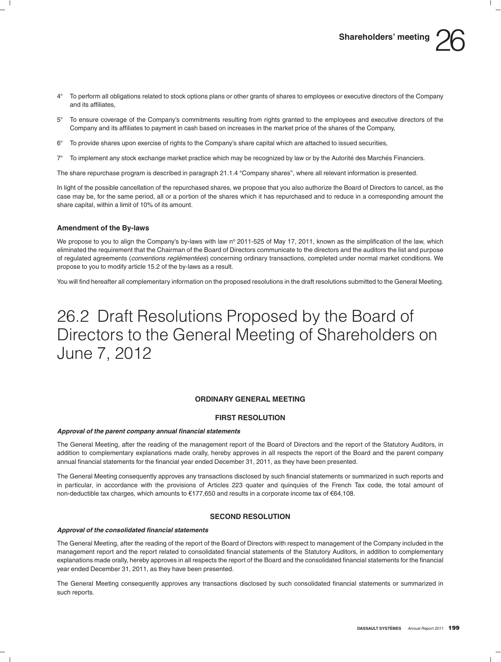- $A^{\circ}$  To perform all obligations related to stock options plans or other grants of shares to employees or executive directors of the Company and its affiliates,
- $5^{\circ}$  To ensure coverage of the Company's commitments resulting from rights granted to the employees and executive directors of the Company and its affiliates to payment in cash based on increases in the market price of the shares of the Company,
- 6- To provide shares upon exercise of rights to the Company's share capital which are attached to issued securities,
- $7^\circ$ To implement any stock exchange market practice which may be recognized by law or by the Autorité des Marchés Financiers.

The share repurchase program is described in paragraph 21.1.4 ''Company shares'', where all relevant information is presented.

In light of the possible cancellation of the repurchased shares, we propose that you also authorize the Board of Directors to cancel, as the case may be, for the same period, all or a portion of the shares which it has repurchased and to reduce in a corresponding amount the share capital, within a limit of 10% of its amount.

### **Amendment of the By-laws**

We propose to you to align the Company's by-laws with law  $n^{\circ}$  2011-525 of May 17, 2011, known as the simplification of the law, which eliminated the requirement that the Chairman of the Board of Directors communicate to the directors and the auditors the list and purpose of regulated agreements (*conventions reglémentées*) concerning ordinary transactions, completed under normal market conditions. We propose to you to modify article 15.2 of the by-laws as a result.

You will find hereafter all complementary information on the proposed resolutions in the draft resolutions submitted to the General Meeting.

## 26.2 Draft Resolutions Proposed by the Board of Directors to the General Meeting of Shareholders on June 7, 2012

### **ORDINARY GENERAL MEETING**

### **FIRST RESOLUTION**

#### *Approval of the parent company annual financial statements*

The General Meeting, after the reading of the management report of the Board of Directors and the report of the Statutory Auditors, in addition to complementary explanations made orally, hereby approves in all respects the report of the Board and the parent company annual financial statements for the financial year ended December 31, 2011, as they have been presented.

The General Meeting consequently approves any transactions disclosed by such financial statements or summarized in such reports and in particular, in accordance with the provisions of Articles 223 quater and quinquies of the French Tax code, the total amount of non-deductible tax charges, which amounts to  $\epsilon$ 177,650 and results in a corporate income tax of  $\epsilon$ 64,108.

### **SECOND RESOLUTION**

### *Approval of the consolidated financial statements*

The General Meeting, after the reading of the report of the Board of Directors with respect to management of the Company included in the management report and the report related to consolidated financial statements of the Statutory Auditors, in addition to complementary explanations made orally, hereby approves in all respects the report of the Board and the consolidated financial statements for the financial year ended December 31, 2011, as they have been presented.

The General Meeting consequently approves any transactions disclosed by such consolidated financial statements or summarized in such reports.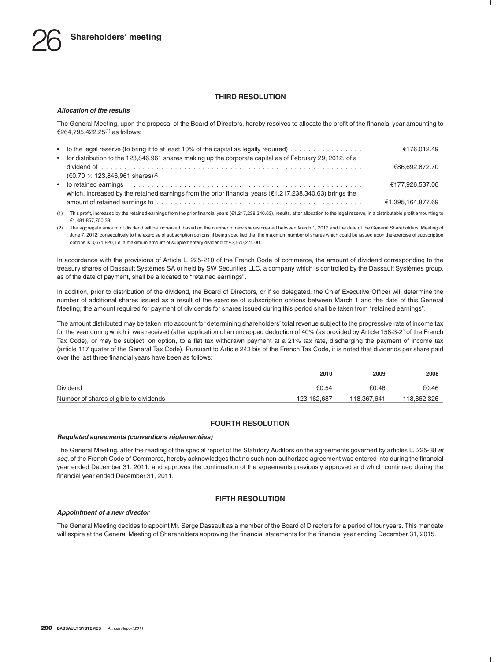### **THIRD RESOLUTION**

### *Allocation of the results*

The General Meeting, upon the proposal of the Board of Directors, hereby resolves to allocate the profit of the financial year amounting to e264,795,422.25(1) as follows:

| • to the legal reserve (to bring it to at least 10% of the capital as legally required) $\ldots \ldots \ldots \ldots$ | €176.012.49       |
|-----------------------------------------------------------------------------------------------------------------------|-------------------|
| • for distribution to the 123,846,961 shares making up the corporate capital as of February 29, 2012, of a            |                   |
|                                                                                                                       | €86.692.872.70    |
| $(60.70 \times 123.846.961$ shares) <sup>(2)</sup>                                                                    |                   |
|                                                                                                                       | €177.926.537.06   |
| which, increased by the retained earnings from the prior financial years ( $\epsilon$ 1,217,238,340.63) brings the    |                   |
|                                                                                                                       | €1.395.164.877.69 |

(1) This profit, increased by the retained earnings from the prior financial years (e1,217,238,340.63), results, after allocation to the legal reserve, in a distributable profit amounting to e1,481,857,750.39.

(2) The aggregate amount of dividend will be increased, based on the number of new shares created between March 1, 2012 and the date of the General Shareholders' Meeting of June 7, 2012, consecutively to the exercise of subscription options, it being specified that the maximum number of shares which could be issued upon the exercise of subscription options is 3,671,820, i.e. a maximum amount of supplementary dividend of e2,570,274.00.

In accordance with the provisions of Article L. 225-210 of the French Code of commerce, the amount of dividend corresponding to the treasury shares of Dassault Systèmes SA or held by SW Securities LLC, a company which is controlled by the Dassault Systèmes group, as of the date of payment, shall be allocated to "retained earnings".

In addition, prior to distribution of the dividend, the Board of Directors, or if so delegated, the Chief Executive Officer will determine the number of additional shares issued as a result of the exercise of subscription options between March 1 and the date of this General Meeting; the amount required for payment of dividends for shares issued during this period shall be taken from ''retained earnings''.

The amount distributed may be taken into account for determining shareholders' total revenue subject to the progressive rate of income tax for the year during which it was received (after application of an uncapped deduction of 40% (as provided by Article 158-3-2° of the French Tax Code), or may be subject, on option, to a flat tax withdrawn payment at a 21% tax rate, discharging the payment of income tax (article 117 quater of the General Tax Code). Pursuant to Article 243 bis of the French Tax Code, it is noted that dividends per share paid over the last three financial years have been as follows:

|                                        | 2010        | 2009        | 2008        |
|----------------------------------------|-------------|-------------|-------------|
| <b>Dividend</b>                        | €0.54       | €Ո 46       | €0.46       |
| Number of shares eligible to dividends | 123.162.687 | 118.367.641 | 118.862.326 |

### **FOURTH RESOLUTION**

### $Regulated agreements (conventions$  *réglements* (*conventions réglementées*)

The General Meeting, after the reading of the special report of the Statutory Auditors on the agreements governed by articles L. 225-38 *et seq.* of the French Code of Commerce, hereby acknowledges that no such non-authorized agreement was entered into during the financial year ended December 31, 2011, and approves the continuation of the agreements previously approved and which continued during the financial year ended December 31, 2011.

### **FIFTH RESOLUTION**

### *Appointment of a new director*

The General Meeting decides to appoint Mr. Serge Dassault as a member of the Board of Directors for a period of four years. This mandate will expire at the General Meeting of Shareholders approving the financial statements for the financial year ending December 31, 2015.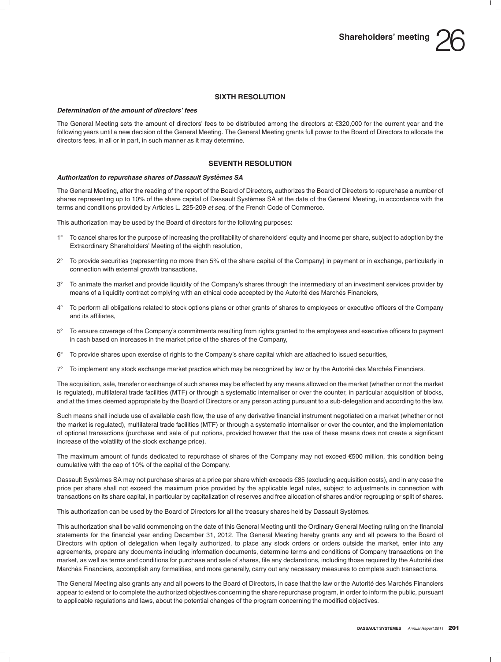

### **SIXTH RESOLUTION**

### *Determination of the amount of directors' fees*

The General Meeting sets the amount of directors' fees to be distributed among the directors at  $\epsilon$ 320,000 for the current year and the following years until a new decision of the General Meeting. The General Meeting grants full power to the Board of Directors to allocate the directors fees, in all or in part, in such manner as it may determine.

### **SEVENTH RESOLUTION**

### *Authorization to repurchase shares of Dassault Systemes SA `*

The General Meeting, after the reading of the report of the Board of Directors, authorizes the Board of Directors to repurchase a number of shares representing up to 10% of the share capital of Dassault Systèmes SA at the date of the General Meeting, in accordance with the terms and conditions provided by Articles L. 225-209 *et seq.* of the French Code of Commerce.

This authorization may be used by the Board of directors for the following purposes:

- 1° To cancel shares for the purpose of increasing the profitability of shareholders' equity and income per share, subject to adoption by the Extraordinary Shareholders' Meeting of the eighth resolution,
- 2- To provide securities (representing no more than 5% of the share capital of the Company) in payment or in exchange, particularly in connection with external growth transactions,
- 3- To animate the market and provide liquidity of the Company's shares through the intermediary of an investment services provider by means of a liquidity contract complying with an ethical code accepted by the Autorité des Marchés Financiers,
- 4- To perform all obligations related to stock options plans or other grants of shares to employees or executive officers of the Company and its affiliates,
- 5- To ensure coverage of the Company's commitments resulting from rights granted to the employees and executive officers to payment in cash based on increases in the market price of the shares of the Company,
- 6- To provide shares upon exercise of rights to the Company's share capital which are attached to issued securities,
- $7^\circ$ To implement any stock exchange market practice which may be recognized by law or by the Autorité des Marchés Financiers.

The acquisition, sale, transfer or exchange of such shares may be effected by any means allowed on the market (whether or not the market is regulated), multilateral trade facilities (MTF) or through a systematic internaliser or over the counter, in particular acquisition of blocks, and at the times deemed appropriate by the Board of Directors or any person acting pursuant to a sub-delegation and according to the law.

Such means shall include use of available cash flow, the use of any derivative financial instrument negotiated on a market (whether or not the market is regulated), multilateral trade facilities (MTF) or through a systematic internaliser or over the counter, and the implementation of optional transactions (purchase and sale of put options, provided however that the use of these means does not create a significant increase of the volatility of the stock exchange price).

The maximum amount of funds dedicated to repurchase of shares of the Company may not exceed €500 million, this condition being cumulative with the cap of 10% of the capital of the Company.

Dassault Systèmes SA may not purchase shares at a price per share which exceeds  $\epsilon$ 85 (excluding acquisition costs), and in any case the price per share shall not exceed the maximum price provided by the applicable legal rules, subject to adjustments in connection with transactions on its share capital, in particular by capitalization of reserves and free allocation of shares and/or regrouping or split of shares.

This authorization can be used by the Board of Directors for all the treasury shares held by Dassault Systemes. `

This authorization shall be valid commencing on the date of this General Meeting until the Ordinary General Meeting ruling on the financial statements for the financial year ending December 31, 2012. The General Meeting hereby grants any and all powers to the Board of Directors with option of delegation when legally authorized, to place any stock orders or orders outside the market, enter into any agreements, prepare any documents including information documents, determine terms and conditions of Company transactions on the market, as well as terms and conditions for purchase and sale of shares, file any declarations, including those required by the Autorité des Marchés Financiers, accomplish any formalities, and more generally, carry out any necessary measures to complete such transactions.

The General Meeting also grants any and all powers to the Board of Directors, in case that the law or the Autorité des Marchés Financiers appear to extend or to complete the authorized objectives concerning the share repurchase program, in order to inform the public, pursuant to applicable regulations and laws, about the potential changes of the program concerning the modified objectives.